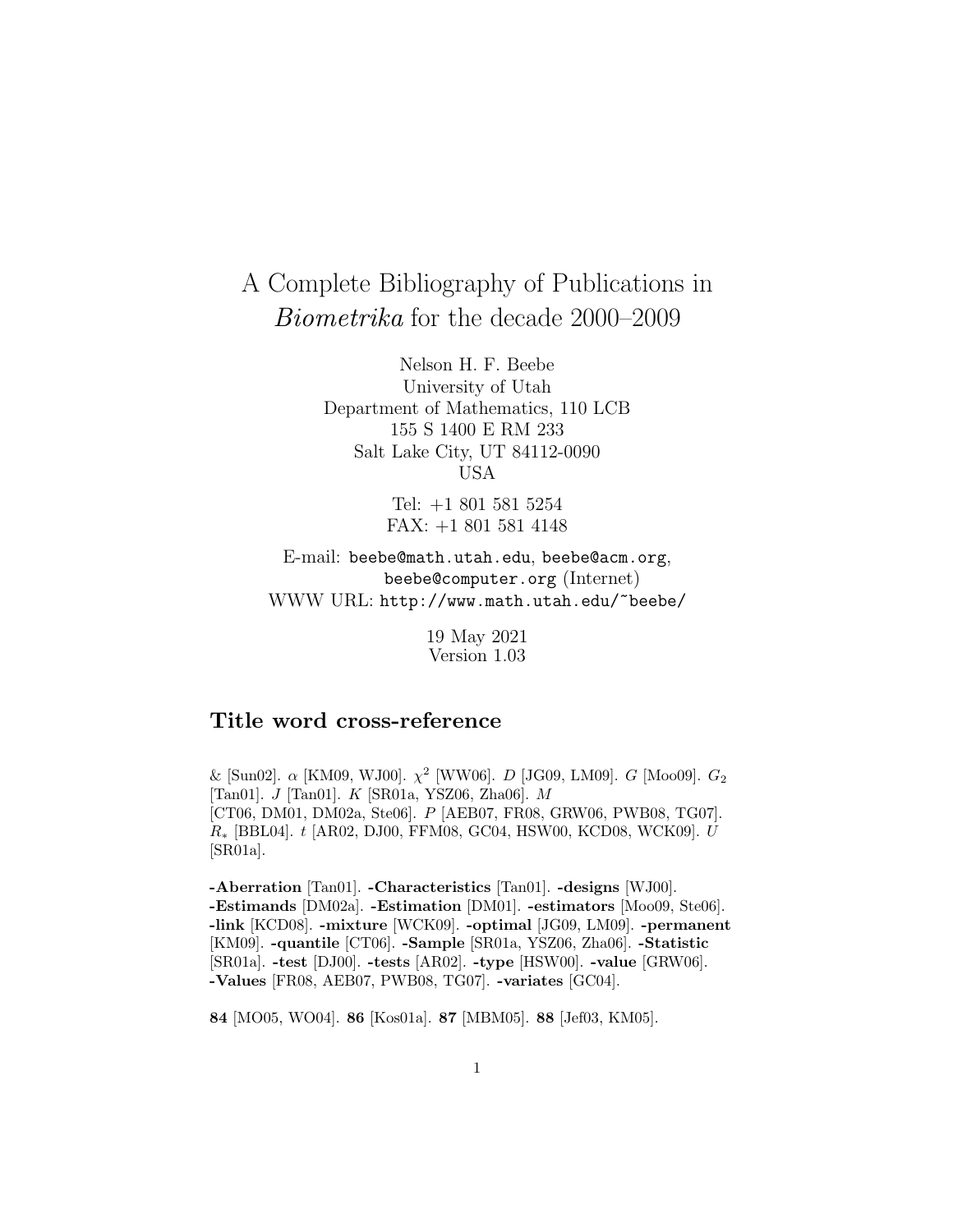# A Complete Bibliography of Publications in Biometrika for the decade 2000–2009

Nelson H. F. Beebe University of Utah Department of Mathematics, 110 LCB 155 S 1400 E RM 233 Salt Lake City, UT 84112-0090 USA

> Tel: +1 801 581 5254 FAX: +1 801 581 4148

E-mail: beebe@math.utah.edu, beebe@acm.org, beebe@computer.org (Internet) WWW URL: http://www.math.utah.edu/~beebe/

> 19 May 2021 Version 1.03

## **Title word cross-reference**

& [Sun02]. α [KM09, WJ00].  $\chi^2$  [WW06]. *D* [JG09, LM09]. *G* [Moo09].  $G_2$ [Tan01]. J [Tan01]. K [SR01a, YSZ06, Zha06]. M [CT06, DM01, DM02a, Ste06]. P [AEB07, FR08, GRW06, PWB08, TG07]. R<sup>∗</sup> [BBL04]. t [AR02, DJ00, FFM08, GC04, HSW00, KCD08, WCK09]. U [SR01a].

**-Aberration** [Tan01]. **-Characteristics** [Tan01]. **-designs** [WJ00]. **-Estimands** [DM02a]. **-Estimation** [DM01]. **-estimators** [Moo09, Ste06]. **-link** [KCD08]. **-mixture** [WCK09]. **-optimal** [JG09, LM09]. **-permanent** [KM09]. **-quantile** [CT06]. **-Sample** [SR01a, YSZ06, Zha06]. **-Statistic** [SR01a]. **-test** [DJ00]. **-tests** [AR02]. **-type** [HSW00]. **-value** [GRW06]. **-Values** [FR08, AEB07, PWB08, TG07]. **-variates** [GC04].

**84** [MO05, WO04]. **86** [Kos01a]. **87** [MBM05]. **88** [Jef03, KM05].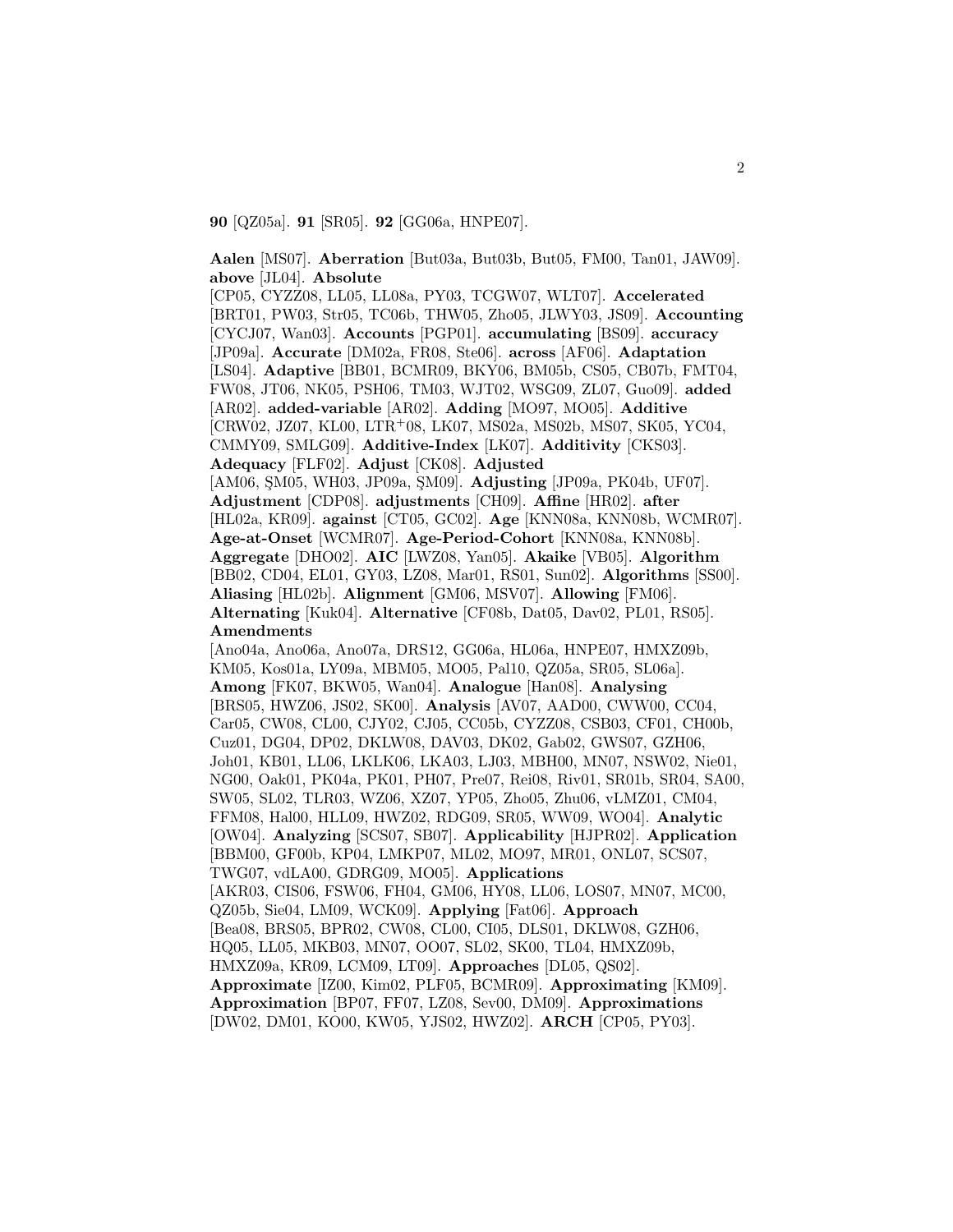**90** [QZ05a]. **91** [SR05]. **92** [GG06a, HNPE07].

**Aalen** [MS07]. **Aberration** [But03a, But03b, But05, FM00, Tan01, JAW09]. **above** [JL04]. **Absolute**

[CP05, CYZZ08, LL05, LL08a, PY03, TCGW07, WLT07]. **Accelerated** [BRT01, PW03, Str05, TC06b, THW05, Zho05, JLWY03, JS09]. **Accounting** [CYCJ07, Wan03]. **Accounts** [PGP01]. **accumulating** [BS09]. **accuracy** [JP09a]. **Accurate** [DM02a, FR08, Ste06]. **across** [AF06]. **Adaptation** [LS04]. **Adaptive** [BB01, BCMR09, BKY06, BM05b, CS05, CB07b, FMT04, FW08, JT06, NK05, PSH06, TM03, WJT02, WSG09, ZL07, Guo09]. **added** [AR02]. **added-variable** [AR02]. **Adding** [MO97, MO05]. **Additive** [CRW02, JZ07, KL00, LTR<sup>+</sup>08, LK07, MS02a, MS02b, MS07, SK05, YC04, CMMY09, SMLG09]. **Additive-Index** [LK07]. **Additivity** [CKS03]. **Adequacy** [FLF02]. **Adjust** [CK08]. **Adjusted** [AM06, SM05, WH03, JP09a, SM09]. **Adjusting** [JP09a, PK04b, UF07]. **Adjustment** [CDP08]. **adjustments** [CH09]. **Affine** [HR02]. **after** [HL02a, KR09]. **against** [CT05, GC02]. **Age** [KNN08a, KNN08b, WCMR07]. **Age-at-Onset** [WCMR07]. **Age-Period-Cohort** [KNN08a, KNN08b]. **Aggregate** [DHO02]. **AIC** [LWZ08, Yan05]. **Akaike** [VB05]. **Algorithm** [BB02, CD04, EL01, GY03, LZ08, Mar01, RS01, Sun02]. **Algorithms** [SS00]. **Aliasing** [HL02b]. **Alignment** [GM06, MSV07]. **Allowing** [FM06]. **Alternating** [Kuk04]. **Alternative** [CF08b, Dat05, Dav02, PL01, RS05]. **Amendments** [Ano04a, Ano06a, Ano07a, DRS12, GG06a, HL06a, HNPE07, HMXZ09b, KM05, Kos01a, LY09a, MBM05, MO05, Pal10, QZ05a, SR05, SL06a]. **Among** [FK07, BKW05, Wan04]. **Analogue** [Han08]. **Analysing** [BRS05, HWZ06, JS02, SK00]. **Analysis** [AV07, AAD00, CWW00, CC04, Car05, CW08, CL00, CJY02, CJ05, CC05b, CYZZ08, CSB03, CF01, CH00b, Cuz01, DG04, DP02, DKLW08, DAV03, DK02, Gab02, GWS07, GZH06, Joh01, KB01, LL06, LKLK06, LKA03, LJ03, MBH00, MN07, NSW02, Nie01, NG00, Oak01, PK04a, PK01, PH07, Pre07, Rei08, Riv01, SR01b, SR04, SA00, SW05, SL02, TLR03, WZ06, XZ07, YP05, Zho05, Zhu06, vLMZ01, CM04, FFM08, Hal00, HLL09, HWZ02, RDG09, SR05, WW09, WO04]. **Analytic** [OW04]. **Analyzing** [SCS07, SB07]. **Applicability** [HJPR02]. **Application** [BBM00, GF00b, KP04, LMKP07, ML02, MO97, MR01, ONL07, SCS07, TWG07, vdLA00, GDRG09, MO05]. **Applications** [AKR03, CIS06, FSW06, FH04, GM06, HY08, LL06, LOS07, MN07, MC00, QZ05b, Sie04, LM09, WCK09]. **Applying** [Fat06]. **Approach** [Bea08, BRS05, BPR02, CW08, CL00, CI05, DLS01, DKLW08, GZH06, HQ05, LL05, MKB03, MN07, OO07, SL02, SK00, TL04, HMXZ09b, HMXZ09a, KR09, LCM09, LT09]. **Approaches** [DL05, QS02]. **Approximate** [IZ00, Kim02, PLF05, BCMR09]. **Approximating** [KM09]. **Approximation** [BP07, FF07, LZ08, Sev00, DM09]. **Approximations** [DW02, DM01, KO00, KW05, YJS02, HWZ02]. **ARCH** [CP05, PY03].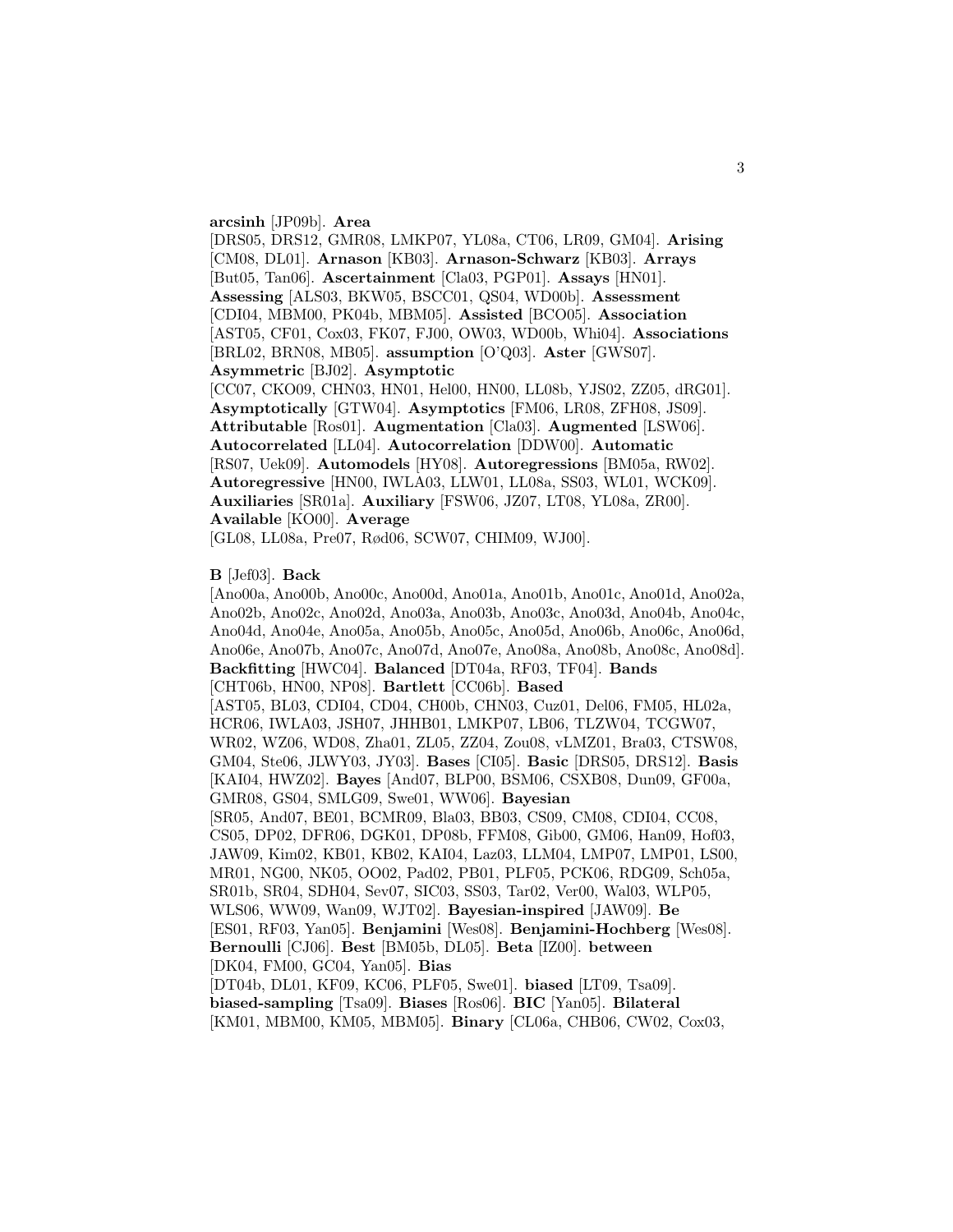#### **arcsinh** [JP09b]. **Area**

[DRS05, DRS12, GMR08, LMKP07, YL08a, CT06, LR09, GM04]. **Arising** [CM08, DL01]. **Arnason** [KB03]. **Arnason-Schwarz** [KB03]. **Arrays** [But05, Tan06]. **Ascertainment** [Cla03, PGP01]. **Assays** [HN01]. **Assessing** [ALS03, BKW05, BSCC01, QS04, WD00b]. **Assessment** [CDI04, MBM00, PK04b, MBM05]. **Assisted** [BCO05]. **Association** [AST05, CF01, Cox03, FK07, FJ00, OW03, WD00b, Whi04]. **Associations** [BRL02, BRN08, MB05]. **assumption** [O'Q03]. **Aster** [GWS07]. **Asymmetric** [BJ02]. **Asymptotic**

[CC07, CKO09, CHN03, HN01, Hel00, HN00, LL08b, YJS02, ZZ05, dRG01]. **Asymptotically** [GTW04]. **Asymptotics** [FM06, LR08, ZFH08, JS09]. **Attributable** [Ros01]. **Augmentation** [Cla03]. **Augmented** [LSW06]. **Autocorrelated** [LL04]. **Autocorrelation** [DDW00]. **Automatic** [RS07, Uek09]. **Automodels** [HY08]. **Autoregressions** [BM05a, RW02]. **Autoregressive** [HN00, IWLA03, LLW01, LL08a, SS03, WL01, WCK09]. **Auxiliaries** [SR01a]. **Auxiliary** [FSW06, JZ07, LT08, YL08a, ZR00]. **Available** [KO00]. **Average**

[GL08, LL08a, Pre07, Rød06, SCW07, CHIM09, WJ00].

#### **B** [Jef03]. **Back**

[Ano00a, Ano00b, Ano00c, Ano00d, Ano01a, Ano01b, Ano01c, Ano01d, Ano02a, Ano02b, Ano02c, Ano02d, Ano03a, Ano03b, Ano03c, Ano03d, Ano04b, Ano04c, Ano04d, Ano04e, Ano05a, Ano05b, Ano05c, Ano05d, Ano06b, Ano06c, Ano06d, Ano06e, Ano07b, Ano07c, Ano07d, Ano07e, Ano08a, Ano08b, Ano08c, Ano08d]. **Backfitting** [HWC04]. **Balanced** [DT04a, RF03, TF04]. **Bands** [CHT06b, HN00, NP08]. **Bartlett** [CC06b]. **Based** [AST05, BL03, CDI04, CD04, CH00b, CHN03, Cuz01, Del06, FM05, HL02a, HCR06, IWLA03, JSH07, JHHB01, LMKP07, LB06, TLZW04, TCGW07, WR02, WZ06, WD08, Zha01, ZL05, ZZ04, Zou08, vLMZ01, Bra03, CTSW08, GM04, Ste06, JLWY03, JY03]. **Bases** [CI05]. **Basic** [DRS05, DRS12]. **Basis** [KAI04, HWZ02]. **Bayes** [And07, BLP00, BSM06, CSXB08, Dun09, GF00a, GMR08, GS04, SMLG09, Swe01, WW06]. **Bayesian** [SR05, And07, BE01, BCMR09, Bla03, BB03, CS09, CM08, CDI04, CC08, CS05, DP02, DFR06, DGK01, DP08b, FFM08, Gib00, GM06, Han09, Hof03, JAW09, Kim02, KB01, KB02, KAI04, Laz03, LLM04, LMP07, LMP01, LS00, MR01, NG00, NK05, OO02, Pad02, PB01, PLF05, PCK06, RDG09, Sch05a, SR01b, SR04, SDH04, Sev07, SIC03, SS03, Tar02, Ver00, Wal03, WLP05, WLS06, WW09, Wan09, WJT02]. **Bayesian-inspired** [JAW09]. **Be** [ES01, RF03, Yan05]. **Benjamini** [Wes08]. **Benjamini-Hochberg** [Wes08]. **Bernoulli** [CJ06]. **Best** [BM05b, DL05]. **Beta** [IZ00]. **between** [DK04, FM00, GC04, Yan05]. **Bias** [DT04b, DL01, KF09, KC06, PLF05, Swe01]. **biased** [LT09, Tsa09]. **biased-sampling** [Tsa09]. **Biases** [Ros06]. **BIC** [Yan05]. **Bilateral**

[KM01, MBM00, KM05, MBM05]. **Binary** [CL06a, CHB06, CW02, Cox03,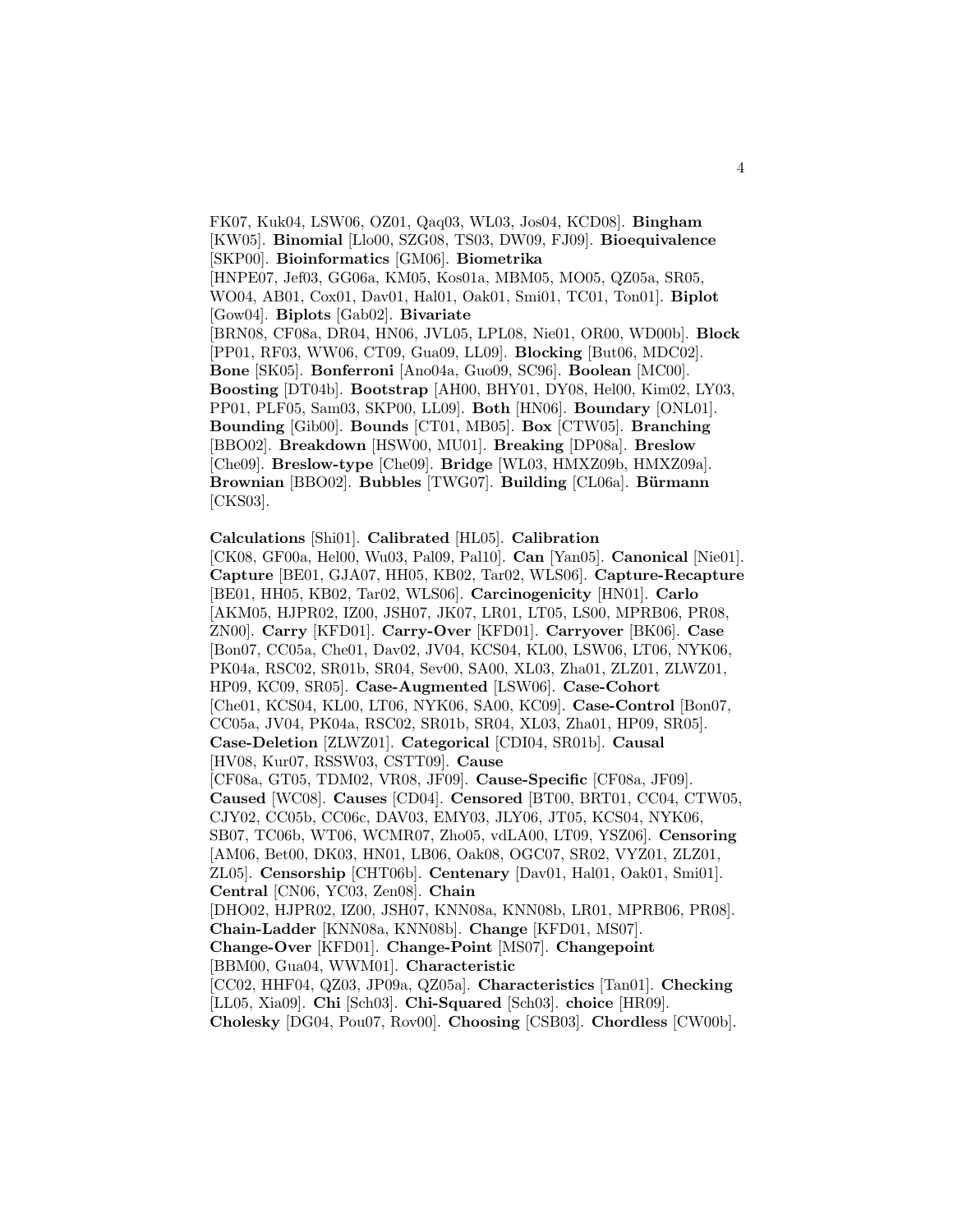FK07, Kuk04, LSW06, OZ01, Qaq03, WL03, Jos04, KCD08]. **Bingham** [KW05]. **Binomial** [Llo00, SZG08, TS03, DW09, FJ09]. **Bioequivalence** [SKP00]. **Bioinformatics** [GM06]. **Biometrika** [HNPE07, Jef03, GG06a, KM05, Kos01a, MBM05, MO05, QZ05a, SR05, WO04, AB01, Cox01, Dav01, Hal01, Oak01, Smi01, TC01, Ton01]. **Biplot** [Gow04]. **Biplots** [Gab02]. **Bivariate** [BRN08, CF08a, DR04, HN06, JVL05, LPL08, Nie01, OR00, WD00b]. **Block** [PP01, RF03, WW06, CT09, Gua09, LL09]. **Blocking** [But06, MDC02]. **Bone** [SK05]. **Bonferroni** [Ano04a, Guo09, SC96]. **Boolean** [MC00]. **Boosting** [DT04b]. **Bootstrap** [AH00, BHY01, DY08, Hel00, Kim02, LY03, PP01, PLF05, Sam03, SKP00, LL09]. **Both** [HN06]. **Boundary** [ONL01]. **Bounding** [Gib00]. **Bounds** [CT01, MB05]. **Box** [CTW05]. **Branching** [BBO02]. **Breakdown** [HSW00, MU01]. **Breaking** [DP08a]. **Breslow** [Che09]. **Breslow-type** [Che09]. **Bridge** [WL03, HMXZ09b, HMXZ09a]. **Brownian** [BBO02]. **Bubbles** [TWG07]. **Building** [CL06a]. **Bürmann** [CKS03].

**Calculations** [Shi01]. **Calibrated** [HL05]. **Calibration** [CK08, GF00a, Hel00, Wu03, Pal09, Pal10]. **Can** [Yan05]. **Canonical** [Nie01]. **Capture** [BE01, GJA07, HH05, KB02, Tar02, WLS06]. **Capture-Recapture** [BE01, HH05, KB02, Tar02, WLS06]. **Carcinogenicity** [HN01]. **Carlo** [AKM05, HJPR02, IZ00, JSH07, JK07, LR01, LT05, LS00, MPRB06, PR08, ZN00]. **Carry** [KFD01]. **Carry-Over** [KFD01]. **Carryover** [BK06]. **Case** [Bon07, CC05a, Che01, Dav02, JV04, KCS04, KL00, LSW06, LT06, NYK06, PK04a, RSC02, SR01b, SR04, Sev00, SA00, XL03, Zha01, ZLZ01, ZLWZ01, HP09, KC09, SR05]. **Case-Augmented** [LSW06]. **Case-Cohort** [Che01, KCS04, KL00, LT06, NYK06, SA00, KC09]. **Case-Control** [Bon07, CC05a, JV04, PK04a, RSC02, SR01b, SR04, XL03, Zha01, HP09, SR05]. **Case-Deletion** [ZLWZ01]. **Categorical** [CDI04, SR01b]. **Causal** [HV08, Kur07, RSSW03, CSTT09]. **Cause** [CF08a, GT05, TDM02, VR08, JF09]. **Cause-Specific** [CF08a, JF09]. **Caused** [WC08]. **Causes** [CD04]. **Censored** [BT00, BRT01, CC04, CTW05, CJY02, CC05b, CC06c, DAV03, EMY03, JLY06, JT05, KCS04, NYK06, SB07, TC06b, WT06, WCMR07, Zho05, vdLA00, LT09, YSZ06]. **Censoring** [AM06, Bet00, DK03, HN01, LB06, Oak08, OGC07, SR02, VYZ01, ZLZ01, ZL05]. **Censorship** [CHT06b]. **Centenary** [Dav01, Hal01, Oak01, Smi01]. **Central** [CN06, YC03, Zen08]. **Chain** [DHO02, HJPR02, IZ00, JSH07, KNN08a, KNN08b, LR01, MPRB06, PR08]. **Chain-Ladder** [KNN08a, KNN08b]. **Change** [KFD01, MS07]. **Change-Over** [KFD01]. **Change-Point** [MS07]. **Changepoint** [BBM00, Gua04, WWM01]. **Characteristic** [CC02, HHF04, QZ03, JP09a, QZ05a]. **Characteristics** [Tan01]. **Checking** [LL05, Xia09]. **Chi** [Sch03]. **Chi-Squared** [Sch03]. **choice** [HR09]. **Cholesky** [DG04, Pou07, Rov00]. **Choosing** [CSB03]. **Chordless** [CW00b].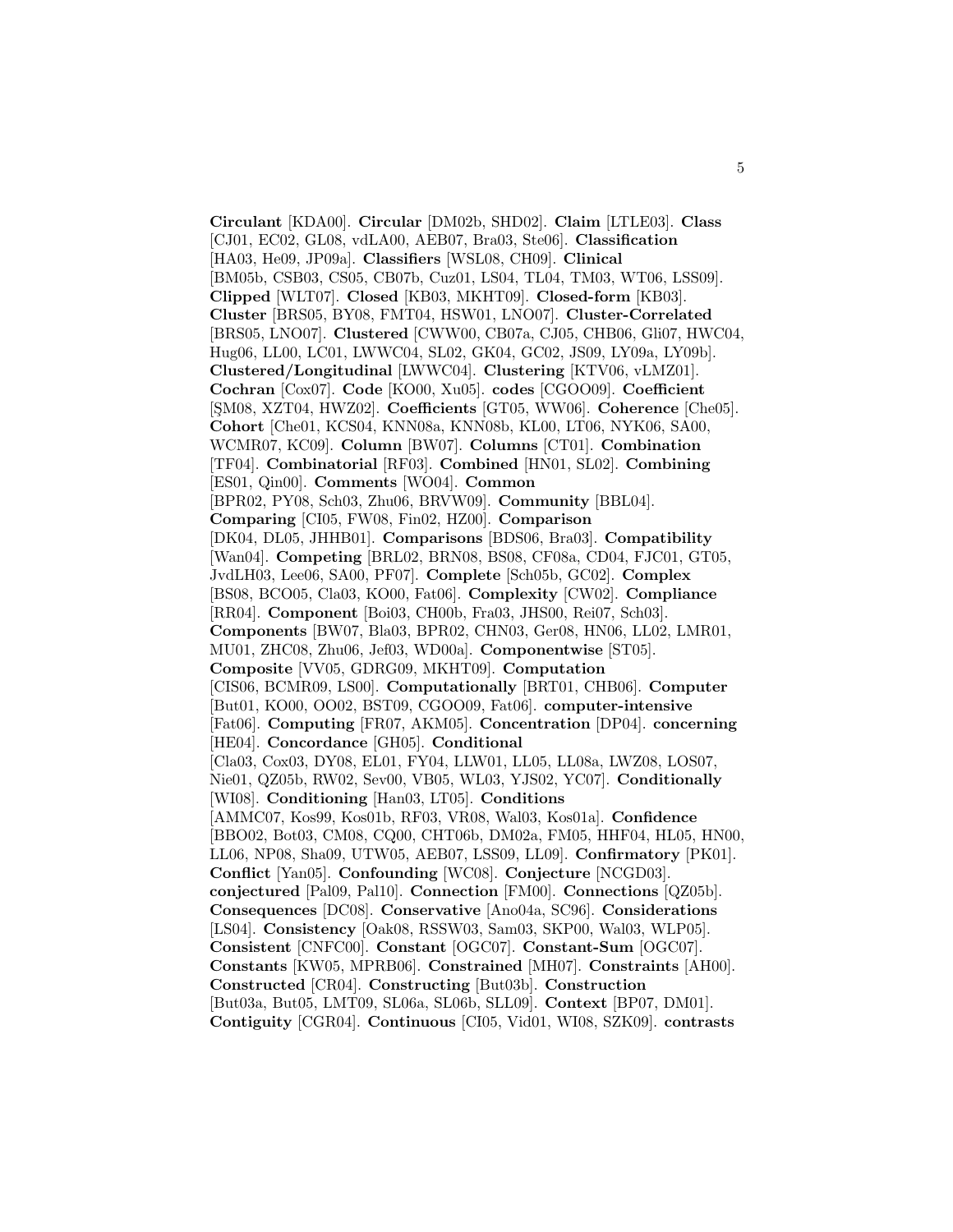**Circulant** [KDA00]. **Circular** [DM02b, SHD02]. **Claim** [LTLE03]. **Class** [CJ01, EC02, GL08, vdLA00, AEB07, Bra03, Ste06]. **Classification** [HA03, He09, JP09a]. **Classifiers** [WSL08, CH09]. **Clinical** [BM05b, CSB03, CS05, CB07b, Cuz01, LS04, TL04, TM03, WT06, LSS09]. **Clipped** [WLT07]. **Closed** [KB03, MKHT09]. **Closed-form** [KB03]. **Cluster** [BRS05, BY08, FMT04, HSW01, LNO07]. **Cluster-Correlated** [BRS05, LNO07]. **Clustered** [CWW00, CB07a, CJ05, CHB06, Gli07, HWC04, Hug06, LL00, LC01, LWWC04, SL02, GK04, GC02, JS09, LY09a, LY09b]. **Clustered/Longitudinal** [LWWC04]. **Clustering** [KTV06, vLMZ01]. **Cochran** [Cox07]. **Code** [KO00, Xu05]. **codes** [CGOO09]. **Coefficient** [¸SM08, XZT04, HWZ02]. **Coefficients** [GT05, WW06]. **Coherence** [Che05]. **Cohort** [Che01, KCS04, KNN08a, KNN08b, KL00, LT06, NYK06, SA00, WCMR07, KC09]. **Column** [BW07]. **Columns** [CT01]. **Combination** [TF04]. **Combinatorial** [RF03]. **Combined** [HN01, SL02]. **Combining** [ES01, Qin00]. **Comments** [WO04]. **Common** [BPR02, PY08, Sch03, Zhu06, BRVW09]. **Community** [BBL04]. **Comparing** [CI05, FW08, Fin02, HZ00]. **Comparison** [DK04, DL05, JHHB01]. **Comparisons** [BDS06, Bra03]. **Compatibility** [Wan04]. **Competing** [BRL02, BRN08, BS08, CF08a, CD04, FJC01, GT05, JvdLH03, Lee06, SA00, PF07]. **Complete** [Sch05b, GC02]. **Complex** [BS08, BCO05, Cla03, KO00, Fat06]. **Complexity** [CW02]. **Compliance** [RR04]. **Component** [Boi03, CH00b, Fra03, JHS00, Rei07, Sch03]. **Components** [BW07, Bla03, BPR02, CHN03, Ger08, HN06, LL02, LMR01, MU01, ZHC08, Zhu06, Jef03, WD00a]. **Componentwise** [ST05]. **Composite** [VV05, GDRG09, MKHT09]. **Computation** [CIS06, BCMR09, LS00]. **Computationally** [BRT01, CHB06]. **Computer** [But01, KO00, OO02, BST09, CGOO09, Fat06]. **computer-intensive** [Fat06]. **Computing** [FR07, AKM05]. **Concentration** [DP04]. **concerning** [HE04]. **Concordance** [GH05]. **Conditional** [Cla03, Cox03, DY08, EL01, FY04, LLW01, LL05, LL08a, LWZ08, LOS07, Nie01, QZ05b, RW02, Sev00, VB05, WL03, YJS02, YC07]. **Conditionally** [WI08]. **Conditioning** [Han03, LT05]. **Conditions** [AMMC07, Kos99, Kos01b, RF03, VR08, Wal03, Kos01a]. **Confidence** [BBO02, Bot03, CM08, CQ00, CHT06b, DM02a, FM05, HHF04, HL05, HN00, LL06, NP08, Sha09, UTW05, AEB07, LSS09, LL09]. **Confirmatory** [PK01]. **Conflict** [Yan05]. **Confounding** [WC08]. **Conjecture** [NCGD03]. **conjectured** [Pal09, Pal10]. **Connection** [FM00]. **Connections** [QZ05b]. **Consequences** [DC08]. **Conservative** [Ano04a, SC96]. **Considerations** [LS04]. **Consistency** [Oak08, RSSW03, Sam03, SKP00, Wal03, WLP05]. **Consistent** [CNFC00]. **Constant** [OGC07]. **Constant-Sum** [OGC07]. **Constants** [KW05, MPRB06]. **Constrained** [MH07]. **Constraints** [AH00]. **Constructed** [CR04]. **Constructing** [But03b]. **Construction** [But03a, But05, LMT09, SL06a, SL06b, SLL09]. **Context** [BP07, DM01]. **Contiguity** [CGR04]. **Continuous** [CI05, Vid01, WI08, SZK09]. **contrasts**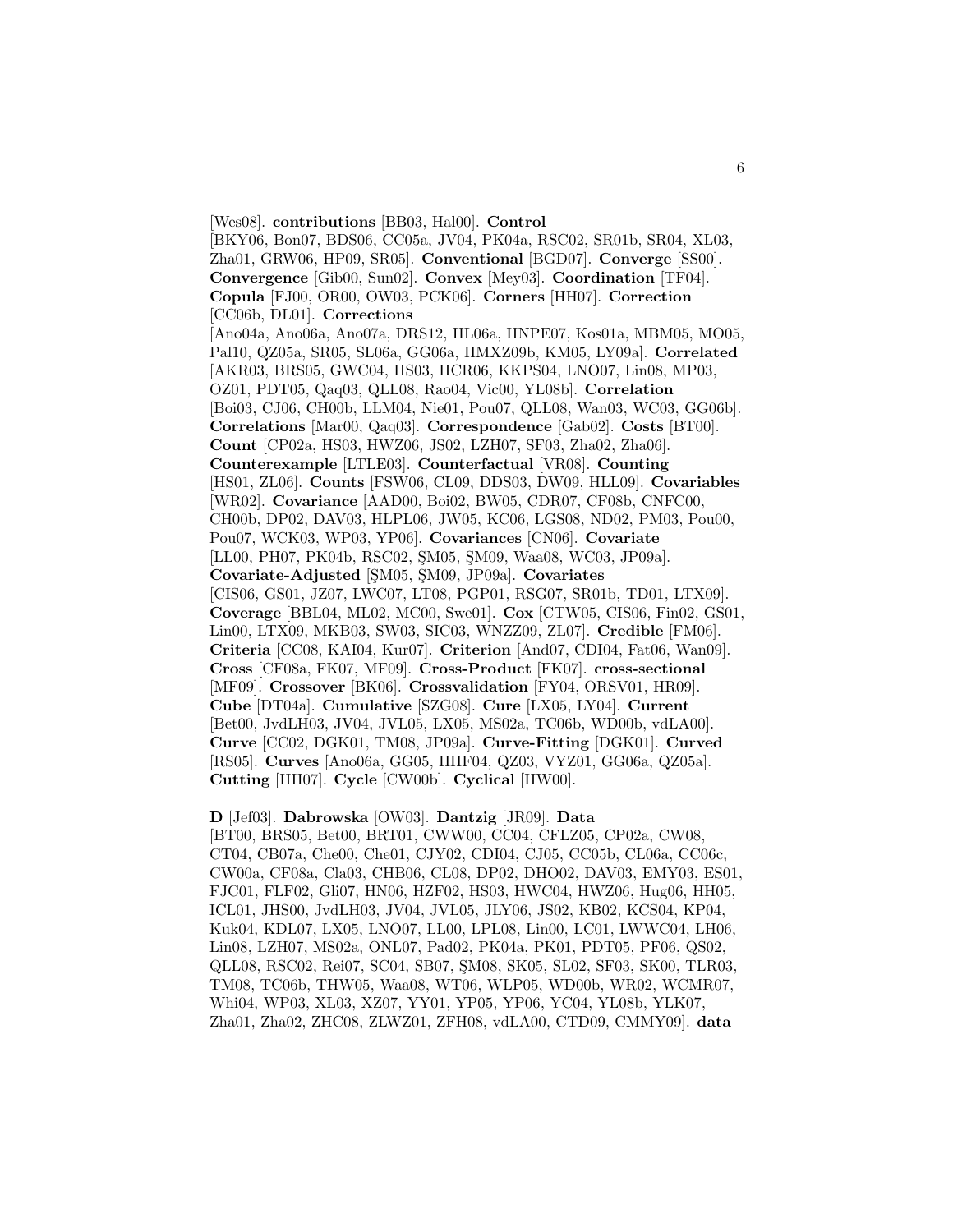[Wes08]. **contributions** [BB03, Hal00]. **Control** [BKY06, Bon07, BDS06, CC05a, JV04, PK04a, RSC02, SR01b, SR04, XL03, Zha01, GRW06, HP09, SR05]. **Conventional** [BGD07]. **Converge** [SS00]. **Convergence** [Gib00, Sun02]. **Convex** [Mey03]. **Coordination** [TF04]. **Copula** [FJ00, OR00, OW03, PCK06]. **Corners** [HH07]. **Correction** [CC06b, DL01]. **Corrections** [Ano04a, Ano06a, Ano07a, DRS12, HL06a, HNPE07, Kos01a, MBM05, MO05, Pal10, QZ05a, SR05, SL06a, GG06a, HMXZ09b, KM05, LY09a]. **Correlated** [AKR03, BRS05, GWC04, HS03, HCR06, KKPS04, LNO07, Lin08, MP03, OZ01, PDT05, Qaq03, QLL08, Rao04, Vic00, YL08b]. **Correlation** [Boi03, CJ06, CH00b, LLM04, Nie01, Pou07, QLL08, Wan03, WC03, GG06b]. **Correlations** [Mar00, Qaq03]. **Correspondence** [Gab02]. **Costs** [BT00]. **Count** [CP02a, HS03, HWZ06, JS02, LZH07, SF03, Zha02, Zha06]. **Counterexample** [LTLE03]. **Counterfactual** [VR08]. **Counting** [HS01, ZL06]. **Counts** [FSW06, CL09, DDS03, DW09, HLL09]. **Covariables** [WR02]. **Covariance** [AAD00, Boi02, BW05, CDR07, CF08b, CNFC00, CH00b, DP02, DAV03, HLPL06, JW05, KC06, LGS08, ND02, PM03, Pou00, Pou07, WCK03, WP03, YP06]. **Covariances** [CN06]. **Covariate** [LL00, PH07, PK04b, RSC02, SM05, SM09, Waa08, WC03, JP09a]. **Covariate-Adjusted** [¸SM05, ¸SM09, JP09a]. **Covariates** [CIS06, GS01, JZ07, LWC07, LT08, PGP01, RSG07, SR01b, TD01, LTX09]. **Coverage** [BBL04, ML02, MC00, Swe01]. **Cox** [CTW05, CIS06, Fin02, GS01, Lin00, LTX09, MKB03, SW03, SIC03, WNZZ09, ZL07]. **Credible** [FM06]. **Criteria** [CC08, KAI04, Kur07]. **Criterion** [And07, CDI04, Fat06, Wan09]. **Cross** [CF08a, FK07, MF09]. **Cross-Product** [FK07]. **cross-sectional** [MF09]. **Crossover** [BK06]. **Crossvalidation** [FY04, ORSV01, HR09]. **Cube** [DT04a]. **Cumulative** [SZG08]. **Cure** [LX05, LY04]. **Current** [Bet00, JvdLH03, JV04, JVL05, LX05, MS02a, TC06b, WD00b, vdLA00]. **Curve** [CC02, DGK01, TM08, JP09a]. **Curve-Fitting** [DGK01]. **Curved** [RS05]. **Curves** [Ano06a, GG05, HHF04, QZ03, VYZ01, GG06a, QZ05a]. **Cutting** [HH07]. **Cycle** [CW00b]. **Cyclical** [HW00].

**D** [Jef03]. **Dabrowska** [OW03]. **Dantzig** [JR09]. **Data** [BT00, BRS05, Bet00, BRT01, CWW00, CC04, CFLZ05, CP02a, CW08, CT04, CB07a, Che00, Che01, CJY02, CDI04, CJ05, CC05b, CL06a, CC06c, CW00a, CF08a, Cla03, CHB06, CL08, DP02, DHO02, DAV03, EMY03, ES01, FJC01, FLF02, Gli07, HN06, HZF02, HS03, HWC04, HWZ06, Hug06, HH05, ICL01, JHS00, JvdLH03, JV04, JVL05, JLY06, JS02, KB02, KCS04, KP04, Kuk04, KDL07, LX05, LNO07, LL00, LPL08, Lin00, LC01, LWWC04, LH06, Lin08, LZH07, MS02a, ONL07, Pad02, PK04a, PK01, PDT05, PF06, QS02, QLL08, RSC02, Rei07, SC04, SB07, SM08, SK05, SL02, SF03, SK00, TLR03, TM08, TC06b, THW05, Waa08, WT06, WLP05, WD00b, WR02, WCMR07, Whi04, WP03, XL03, XZ07, YY01, YP05, YP06, YC04, YL08b, YLK07, Zha01, Zha02, ZHC08, ZLWZ01, ZFH08, vdLA00, CTD09, CMMY09]. **data**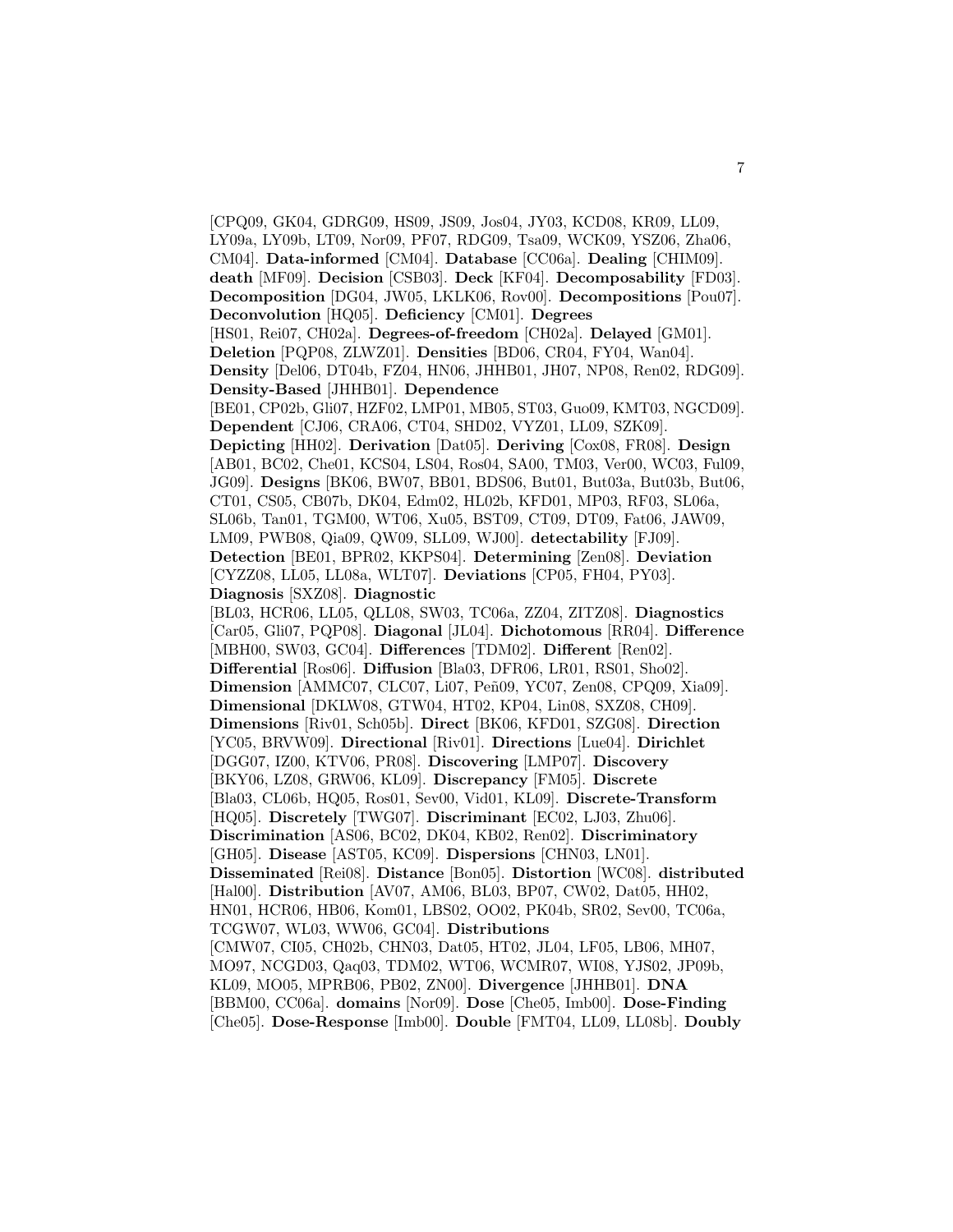[CPQ09, GK04, GDRG09, HS09, JS09, Jos04, JY03, KCD08, KR09, LL09, LY09a, LY09b, LT09, Nor09, PF07, RDG09, Tsa09, WCK09, YSZ06, Zha06, CM04]. **Data-informed** [CM04]. **Database** [CC06a]. **Dealing** [CHIM09]. **death** [MF09]. **Decision** [CSB03]. **Deck** [KF04]. **Decomposability** [FD03]. **Decomposition** [DG04, JW05, LKLK06, Rov00]. **Decompositions** [Pou07]. **Deconvolution** [HQ05]. **Deficiency** [CM01]. **Degrees** [HS01, Rei07, CH02a]. **Degrees-of-freedom** [CH02a]. **Delayed** [GM01]. **Deletion** [PQP08, ZLWZ01]. **Densities** [BD06, CR04, FY04, Wan04]. **Density** [Del06, DT04b, FZ04, HN06, JHHB01, JH07, NP08, Ren02, RDG09]. **Density-Based** [JHHB01]. **Dependence** [BE01, CP02b, Gli07, HZF02, LMP01, MB05, ST03, Guo09, KMT03, NGCD09]. **Dependent** [CJ06, CRA06, CT04, SHD02, VYZ01, LL09, SZK09]. **Depicting** [HH02]. **Derivation** [Dat05]. **Deriving** [Cox08, FR08]. **Design** [AB01, BC02, Che01, KCS04, LS04, Ros04, SA00, TM03, Ver00, WC03, Ful09, JG09]. **Designs** [BK06, BW07, BB01, BDS06, But01, But03a, But03b, But06, CT01, CS05, CB07b, DK04, Edm02, HL02b, KFD01, MP03, RF03, SL06a, SL06b, Tan01, TGM00, WT06, Xu05, BST09, CT09, DT09, Fat06, JAW09, LM09, PWB08, Qia09, QW09, SLL09, WJ00]. **detectability** [FJ09]. **Detection** [BE01, BPR02, KKPS04]. **Determining** [Zen08]. **Deviation** [CYZZ08, LL05, LL08a, WLT07]. **Deviations** [CP05, FH04, PY03]. **Diagnosis** [SXZ08]. **Diagnostic** [BL03, HCR06, LL05, QLL08, SW03, TC06a, ZZ04, ZITZ08]. **Diagnostics** [Car05, Gli07, PQP08]. **Diagonal** [JL04]. **Dichotomous** [RR04]. **Difference** [MBH00, SW03, GC04]. **Differences** [TDM02]. **Different** [Ren02]. **Differential** [Ros06]. **Diffusion** [Bla03, DFR06, LR01, RS01, Sho02]. **Dimension** [AMMC07, CLC07, Li07, Peñ09, YC07, Zen08, CPQ09, Xia09]. **Dimensional** [DKLW08, GTW04, HT02, KP04, Lin08, SXZ08, CH09]. **Dimensions** [Riv01, Sch05b]. **Direct** [BK06, KFD01, SZG08]. **Direction** [YC05, BRVW09]. **Directional** [Riv01]. **Directions** [Lue04]. **Dirichlet** [DGG07, IZ00, KTV06, PR08]. **Discovering** [LMP07]. **Discovery** [BKY06, LZ08, GRW06, KL09]. **Discrepancy** [FM05]. **Discrete** [Bla03, CL06b, HQ05, Ros01, Sev00, Vid01, KL09]. **Discrete-Transform** [HQ05]. **Discretely** [TWG07]. **Discriminant** [EC02, LJ03, Zhu06]. **Discrimination** [AS06, BC02, DK04, KB02, Ren02]. **Discriminatory** [GH05]. **Disease** [AST05, KC09]. **Dispersions** [CHN03, LN01]. **Disseminated** [Rei08]. **Distance** [Bon05]. **Distortion** [WC08]. **distributed** [Hal00]. **Distribution** [AV07, AM06, BL03, BP07, CW02, Dat05, HH02, HN01, HCR06, HB06, Kom01, LBS02, OO02, PK04b, SR02, Sev00, TC06a, TCGW07, WL03, WW06, GC04]. **Distributions** [CMW07, CI05, CH02b, CHN03, Dat05, HT02, JL04, LF05, LB06, MH07, MO97, NCGD03, Qaq03, TDM02, WT06, WCMR07, WI08, YJS02, JP09b, KL09, MO05, MPRB06, PB02, ZN00]. **Divergence** [JHHB01]. **DNA** [BBM00, CC06a]. **domains** [Nor09]. **Dose** [Che05, Imb00]. **Dose-Finding** [Che05]. **Dose-Response** [Imb00]. **Double** [FMT04, LL09, LL08b]. **Doubly**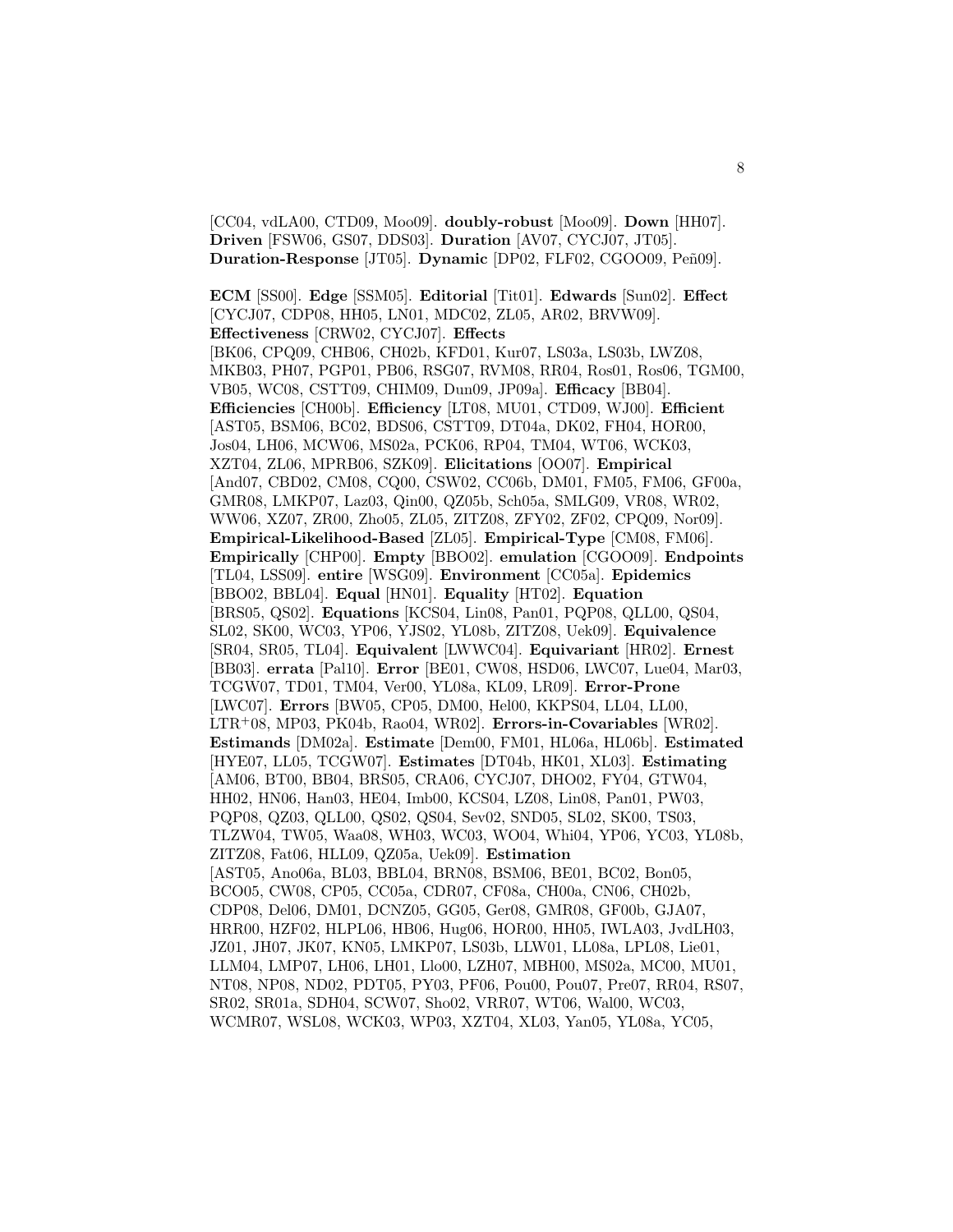[CC04, vdLA00, CTD09, Moo09]. **doubly-robust** [Moo09]. **Down** [HH07]. **Driven** [FSW06, GS07, DDS03]. **Duration** [AV07, CYCJ07, JT05]. **Duration-Response** [JT05]. **Dynamic** [DP02, FLF02, CGOO09, Peñ09].

**ECM** [SS00]. **Edge** [SSM05]. **Editorial** [Tit01]. **Edwards** [Sun02]. **Effect** [CYCJ07, CDP08, HH05, LN01, MDC02, ZL05, AR02, BRVW09]. **Effectiveness** [CRW02, CYCJ07]. **Effects** [BK06, CPQ09, CHB06, CH02b, KFD01, Kur07, LS03a, LS03b, LWZ08, MKB03, PH07, PGP01, PB06, RSG07, RVM08, RR04, Ros01, Ros06, TGM00, VB05, WC08, CSTT09, CHIM09, Dun09, JP09a]. **Efficacy** [BB04]. **Efficiencies** [CH00b]. **Efficiency** [LT08, MU01, CTD09, WJ00]. **Efficient** [AST05, BSM06, BC02, BDS06, CSTT09, DT04a, DK02, FH04, HOR00, Jos04, LH06, MCW06, MS02a, PCK06, RP04, TM04, WT06, WCK03, XZT04, ZL06, MPRB06, SZK09]. **Elicitations** [OO07]. **Empirical** [And07, CBD02, CM08, CQ00, CSW02, CC06b, DM01, FM05, FM06, GF00a, GMR08, LMKP07, Laz03, Qin00, QZ05b, Sch05a, SMLG09, VR08, WR02, WW06, XZ07, ZR00, Zho05, ZL05, ZITZ08, ZFY02, ZF02, CPQ09, Nor09]. **Empirical-Likelihood-Based** [ZL05]. **Empirical-Type** [CM08, FM06]. **Empirically** [CHP00]. **Empty** [BBO02]. **emulation** [CGOO09]. **Endpoints** [TL04, LSS09]. **entire** [WSG09]. **Environment** [CC05a]. **Epidemics** [BBO02, BBL04]. **Equal** [HN01]. **Equality** [HT02]. **Equation** [BRS05, QS02]. **Equations** [KCS04, Lin08, Pan01, PQP08, QLL00, QS04, SL02, SK00, WC03, YP06, YJS02, YL08b, ZITZ08, Uek09]. **Equivalence** [SR04, SR05, TL04]. **Equivalent** [LWWC04]. **Equivariant** [HR02]. **Ernest** [BB03]. **errata** [Pal10]. **Error** [BE01, CW08, HSD06, LWC07, Lue04, Mar03, TCGW07, TD01, TM04, Ver00, YL08a, KL09, LR09]. **Error-Prone** [LWC07]. **Errors** [BW05, CP05, DM00, Hel00, KKPS04, LL04, LL00, LTR<sup>+</sup>08, MP03, PK04b, Rao04, WR02]. **Errors-in-Covariables** [WR02]. **Estimands** [DM02a]. **Estimate** [Dem00, FM01, HL06a, HL06b]. **Estimated** [HYE07, LL05, TCGW07]. **Estimates** [DT04b, HK01, XL03]. **Estimating** [AM06, BT00, BB04, BRS05, CRA06, CYCJ07, DHO02, FY04, GTW04, HH02, HN06, Han03, HE04, Imb00, KCS04, LZ08, Lin08, Pan01, PW03, PQP08, QZ03, QLL00, QS02, QS04, Sev02, SND05, SL02, SK00, TS03, TLZW04, TW05, Waa08, WH03, WC03, WO04, Whi04, YP06, YC03, YL08b, ZITZ08, Fat06, HLL09, QZ05a, Uek09]. **Estimation** [AST05, Ano06a, BL03, BBL04, BRN08, BSM06, BE01, BC02, Bon05, BCO05, CW08, CP05, CC05a, CDR07, CF08a, CH00a, CN06, CH02b, CDP08, Del06, DM01, DCNZ05, GG05, Ger08, GMR08, GF00b, GJA07, HRR00, HZF02, HLPL06, HB06, Hug06, HOR00, HH05, IWLA03, JvdLH03, JZ01, JH07, JK07, KN05, LMKP07, LS03b, LLW01, LL08a, LPL08, Lie01, LLM04, LMP07, LH06, LH01, Llo00, LZH07, MBH00, MS02a, MC00, MU01, NT08, NP08, ND02, PDT05, PY03, PF06, Pou00, Pou07, Pre07, RR04, RS07, SR02, SR01a, SDH04, SCW07, Sho02, VRR07, WT06, Wal00, WC03, WCMR07, WSL08, WCK03, WP03, XZT04, XL03, Yan05, YL08a, YC05,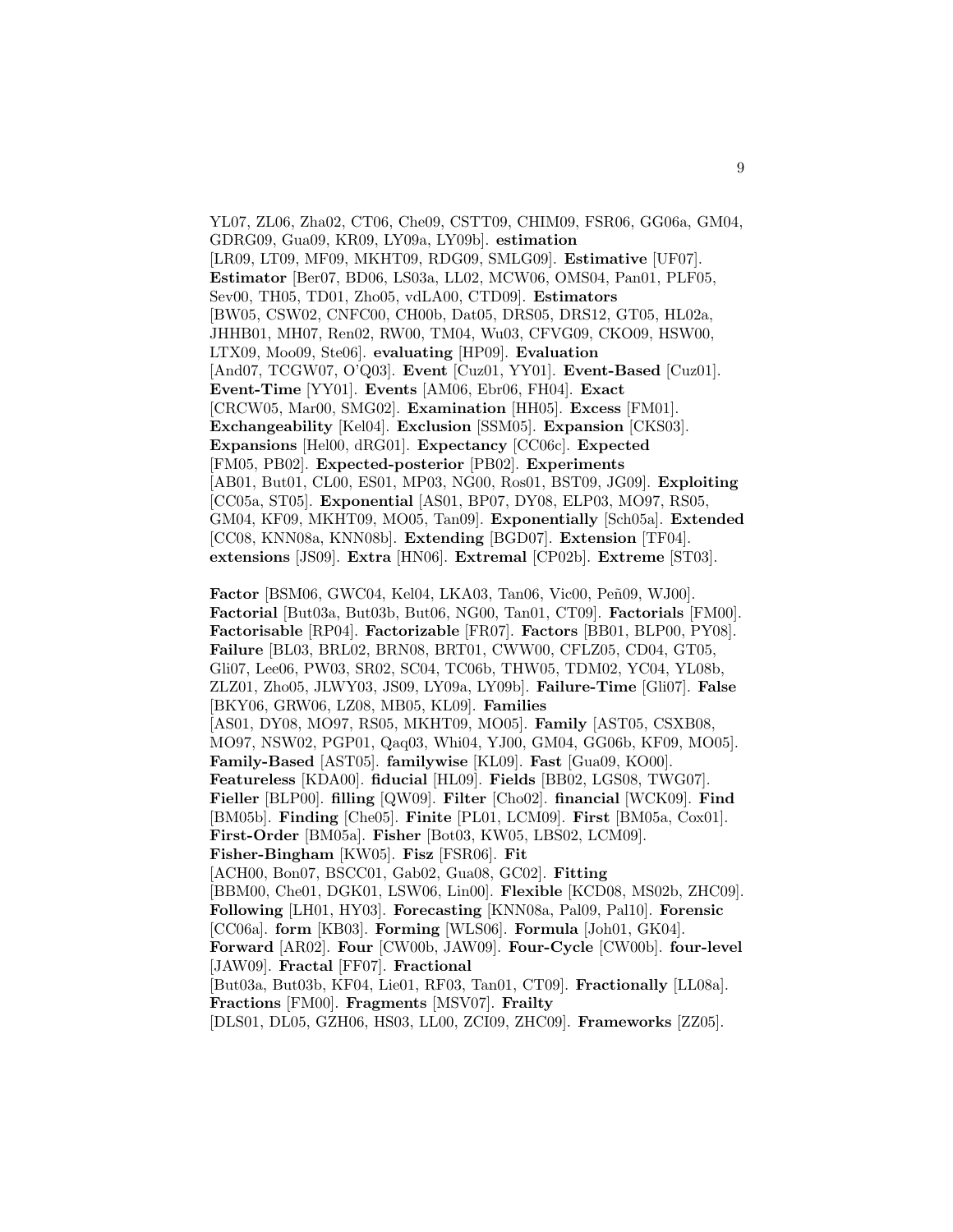YL07, ZL06, Zha02, CT06, Che09, CSTT09, CHIM09, FSR06, GG06a, GM04, GDRG09, Gua09, KR09, LY09a, LY09b]. **estimation** [LR09, LT09, MF09, MKHT09, RDG09, SMLG09]. **Estimative** [UF07]. **Estimator** [Ber07, BD06, LS03a, LL02, MCW06, OMS04, Pan01, PLF05, Sev00, TH05, TD01, Zho05, vdLA00, CTD09]. **Estimators** [BW05, CSW02, CNFC00, CH00b, Dat05, DRS05, DRS12, GT05, HL02a, JHHB01, MH07, Ren02, RW00, TM04, Wu03, CFVG09, CKO09, HSW00, LTX09, Moo09, Ste06]. **evaluating** [HP09]. **Evaluation** [And07, TCGW07, O'Q03]. **Event** [Cuz01, YY01]. **Event-Based** [Cuz01]. **Event-Time** [YY01]. **Events** [AM06, Ebr06, FH04]. **Exact** [CRCW05, Mar00, SMG02]. **Examination** [HH05]. **Excess** [FM01]. **Exchangeability** [Kel04]. **Exclusion** [SSM05]. **Expansion** [CKS03]. **Expansions** [Hel00, dRG01]. **Expectancy** [CC06c]. **Expected** [FM05, PB02]. **Expected-posterior** [PB02]. **Experiments** [AB01, But01, CL00, ES01, MP03, NG00, Ros01, BST09, JG09]. **Exploiting** [CC05a, ST05]. **Exponential** [AS01, BP07, DY08, ELP03, MO97, RS05, GM04, KF09, MKHT09, MO05, Tan09]. **Exponentially** [Sch05a]. **Extended** [CC08, KNN08a, KNN08b]. **Extending** [BGD07]. **Extension** [TF04]. **extensions** [JS09]. **Extra** [HN06]. **Extremal** [CP02b]. **Extreme** [ST03].

**Factor** [BSM06, GWC04, Kel04, LKA03, Tan06, Vic00, Peñ09, WJ00]. **Factorial** [But03a, But03b, But06, NG00, Tan01, CT09]. **Factorials** [FM00]. **Factorisable** [RP04]. **Factorizable** [FR07]. **Factors** [BB01, BLP00, PY08]. **Failure** [BL03, BRL02, BRN08, BRT01, CWW00, CFLZ05, CD04, GT05, Gli07, Lee06, PW03, SR02, SC04, TC06b, THW05, TDM02, YC04, YL08b, ZLZ01, Zho05, JLWY03, JS09, LY09a, LY09b]. **Failure-Time** [Gli07]. **False** [BKY06, GRW06, LZ08, MB05, KL09]. **Families** [AS01, DY08, MO97, RS05, MKHT09, MO05]. **Family** [AST05, CSXB08, MO97, NSW02, PGP01, Qaq03, Whi04, YJ00, GM04, GG06b, KF09, MO05]. **Family-Based** [AST05]. **familywise** [KL09]. **Fast** [Gua09, KO00]. **Featureless** [KDA00]. **fiducial** [HL09]. **Fields** [BB02, LGS08, TWG07]. **Fieller** [BLP00]. **filling** [QW09]. **Filter** [Cho02]. **financial** [WCK09]. **Find** [BM05b]. **Finding** [Che05]. **Finite** [PL01, LCM09]. **First** [BM05a, Cox01]. **First-Order** [BM05a]. **Fisher** [Bot03, KW05, LBS02, LCM09]. **Fisher-Bingham** [KW05]. **Fisz** [FSR06]. **Fit** [ACH00, Bon07, BSCC01, Gab02, Gua08, GC02]. **Fitting** [BBM00, Che01, DGK01, LSW06, Lin00]. **Flexible** [KCD08, MS02b, ZHC09]. **Following** [LH01, HY03]. **Forecasting** [KNN08a, Pal09, Pal10]. **Forensic** [CC06a]. **form** [KB03]. **Forming** [WLS06]. **Formula** [Joh01, GK04]. **Forward** [AR02]. **Four** [CW00b, JAW09]. **Four-Cycle** [CW00b]. **four-level** [JAW09]. **Fractal** [FF07]. **Fractional** [But03a, But03b, KF04, Lie01, RF03, Tan01, CT09]. **Fractionally** [LL08a]. **Fractions** [FM00]. **Fragments** [MSV07]. **Frailty** [DLS01, DL05, GZH06, HS03, LL00, ZCI09, ZHC09]. **Frameworks** [ZZ05].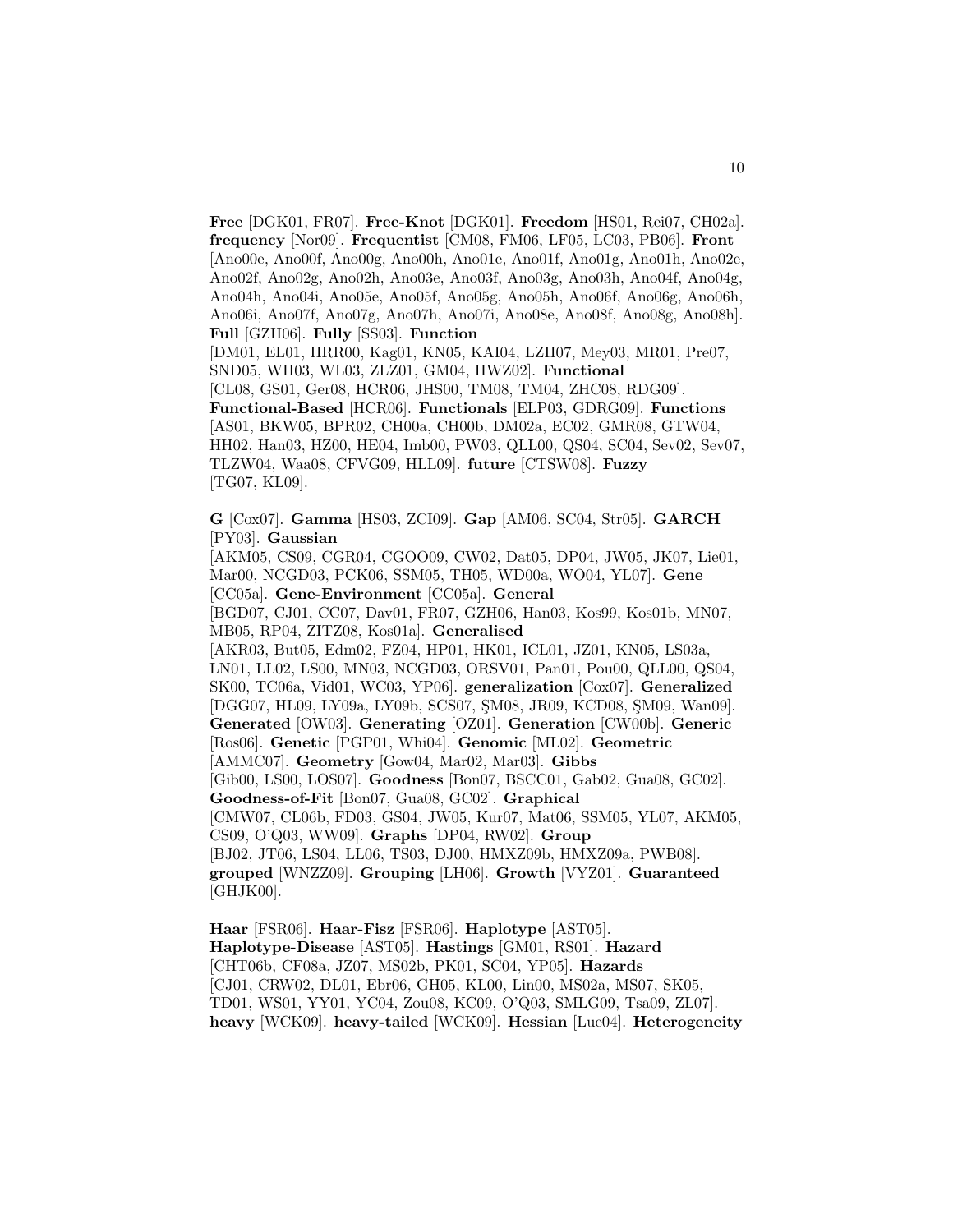**Free** [DGK01, FR07]. **Free-Knot** [DGK01]. **Freedom** [HS01, Rei07, CH02a]. **frequency** [Nor09]. **Frequentist** [CM08, FM06, LF05, LC03, PB06]. **Front** [Ano00e, Ano00f, Ano00g, Ano00h, Ano01e, Ano01f, Ano01g, Ano01h, Ano02e, Ano02f, Ano02g, Ano02h, Ano03e, Ano03f, Ano03g, Ano03h, Ano04f, Ano04g, Ano04h, Ano04i, Ano05e, Ano05f, Ano05g, Ano05h, Ano06f, Ano06g, Ano06h, Ano06i, Ano07f, Ano07g, Ano07h, Ano07i, Ano08e, Ano08f, Ano08g, Ano08h]. **Full** [GZH06]. **Fully** [SS03]. **Function** [DM01, EL01, HRR00, Kag01, KN05, KAI04, LZH07, Mey03, MR01, Pre07,

SND05, WH03, WL03, ZLZ01, GM04, HWZ02]. **Functional** [CL08, GS01, Ger08, HCR06, JHS00, TM08, TM04, ZHC08, RDG09]. **Functional-Based** [HCR06]. **Functionals** [ELP03, GDRG09]. **Functions** [AS01, BKW05, BPR02, CH00a, CH00b, DM02a, EC02, GMR08, GTW04, HH02, Han03, HZ00, HE04, Imb00, PW03, QLL00, QS04, SC04, Sev02, Sev07, TLZW04, Waa08, CFVG09, HLL09]. **future** [CTSW08]. **Fuzzy**

[TG07, KL09].

**G** [Cox07]. **Gamma** [HS03, ZCI09]. **Gap** [AM06, SC04, Str05]. **GARCH** [PY03]. **Gaussian**

[AKM05, CS09, CGR04, CGOO09, CW02, Dat05, DP04, JW05, JK07, Lie01, Mar00, NCGD03, PCK06, SSM05, TH05, WD00a, WO04, YL07]. **Gene** [CC05a]. **Gene-Environment** [CC05a]. **General** [BGD07, CJ01, CC07, Dav01, FR07, GZH06, Han03, Kos99, Kos01b, MN07, MB05, RP04, ZITZ08, Kos01a]. **Generalised** [AKR03, But05, Edm02, FZ04, HP01, HK01, ICL01, JZ01, KN05, LS03a, LN01, LL02, LS00, MN03, NCGD03, ORSV01, Pan01, Pou00, QLL00, QS04, SK00, TC06a, Vid01, WC03, YP06]. **generalization** [Cox07]. **Generalized** [DGG07, HL09, LY09a, LY09b, SCS07, SM08, JR09, KCD08, SM09, Wan09]. **Generated** [OW03]. **Generating** [OZ01]. **Generation** [CW00b]. **Generic** [Ros06]. **Genetic** [PGP01, Whi04]. **Genomic** [ML02]. **Geometric** [AMMC07]. **Geometry** [Gow04, Mar02, Mar03]. **Gibbs** [Gib00, LS00, LOS07]. **Goodness** [Bon07, BSCC01, Gab02, Gua08, GC02]. **Goodness-of-Fit** [Bon07, Gua08, GC02]. **Graphical** [CMW07, CL06b, FD03, GS04, JW05, Kur07, Mat06, SSM05, YL07, AKM05, CS09, O'Q03, WW09]. **Graphs** [DP04, RW02]. **Group** [BJ02, JT06, LS04, LL06, TS03, DJ00, HMXZ09b, HMXZ09a, PWB08]. **grouped** [WNZZ09]. **Grouping** [LH06]. **Growth** [VYZ01]. **Guaranteed** [GHJK00].

**Haar** [FSR06]. **Haar-Fisz** [FSR06]. **Haplotype** [AST05]. **Haplotype-Disease** [AST05]. **Hastings** [GM01, RS01]. **Hazard** [CHT06b, CF08a, JZ07, MS02b, PK01, SC04, YP05]. **Hazards** [CJ01, CRW02, DL01, Ebr06, GH05, KL00, Lin00, MS02a, MS07, SK05, TD01, WS01, YY01, YC04, Zou08, KC09, O'Q03, SMLG09, Tsa09, ZL07]. **heavy** [WCK09]. **heavy-tailed** [WCK09]. **Hessian** [Lue04]. **Heterogeneity**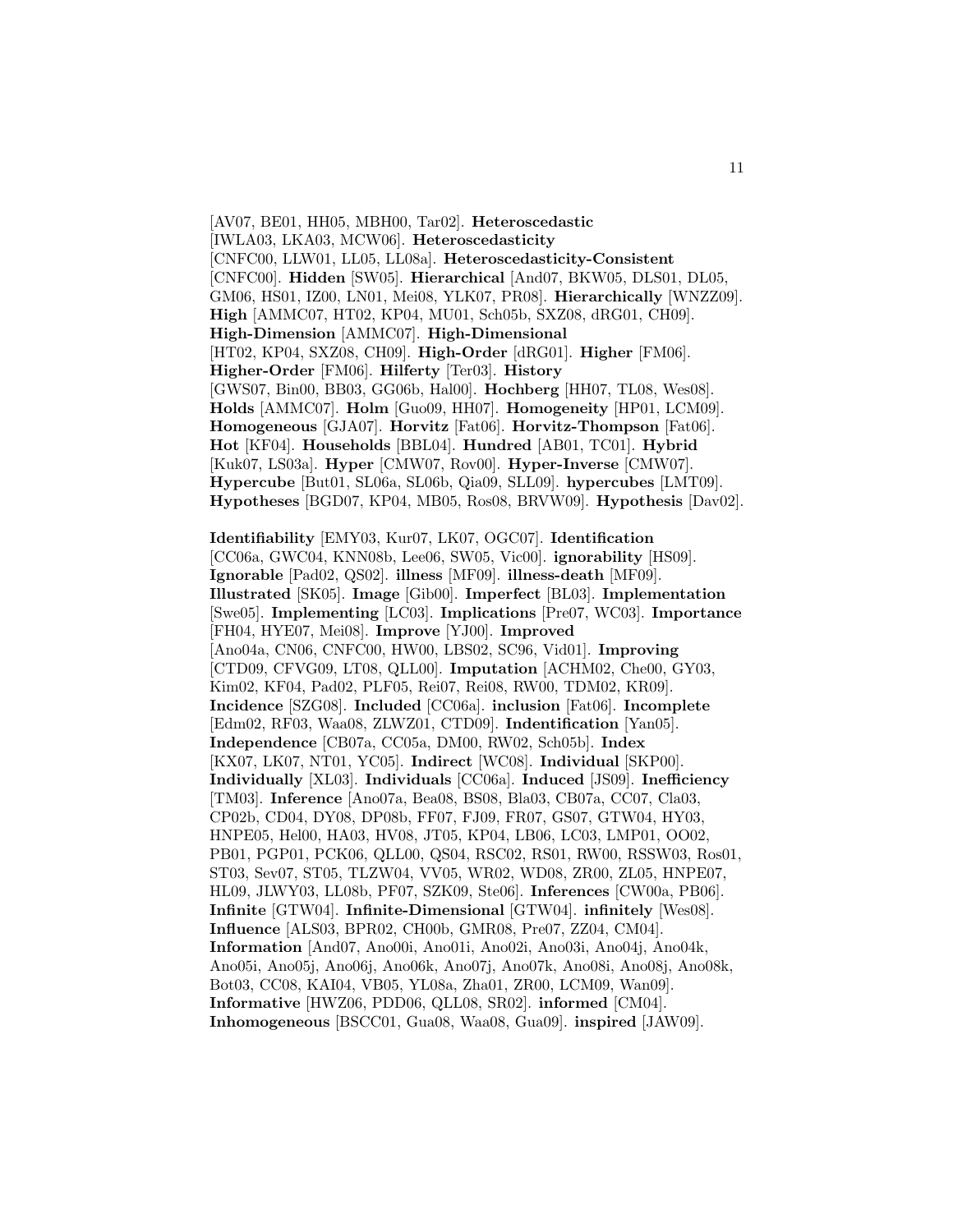[AV07, BE01, HH05, MBH00, Tar02]. **Heteroscedastic** [IWLA03, LKA03, MCW06]. **Heteroscedasticity** [CNFC00, LLW01, LL05, LL08a]. **Heteroscedasticity-Consistent** [CNFC00]. **Hidden** [SW05]. **Hierarchical** [And07, BKW05, DLS01, DL05, GM06, HS01, IZ00, LN01, Mei08, YLK07, PR08]. **Hierarchically** [WNZZ09]. **High** [AMMC07, HT02, KP04, MU01, Sch05b, SXZ08, dRG01, CH09]. **High-Dimension** [AMMC07]. **High-Dimensional** [HT02, KP04, SXZ08, CH09]. **High-Order** [dRG01]. **Higher** [FM06]. **Higher-Order** [FM06]. **Hilferty** [Ter03]. **History** [GWS07, Bin00, BB03, GG06b, Hal00]. **Hochberg** [HH07, TL08, Wes08]. **Holds** [AMMC07]. **Holm** [Guo09, HH07]. **Homogeneity** [HP01, LCM09]. **Homogeneous** [GJA07]. **Horvitz** [Fat06]. **Horvitz-Thompson** [Fat06]. **Hot** [KF04]. **Households** [BBL04]. **Hundred** [AB01, TC01]. **Hybrid** [Kuk07, LS03a]. **Hyper** [CMW07, Rov00]. **Hyper-Inverse** [CMW07]. **Hypercube** [But01, SL06a, SL06b, Qia09, SLL09]. **hypercubes** [LMT09]. **Hypotheses** [BGD07, KP04, MB05, Ros08, BRVW09]. **Hypothesis** [Dav02].

**Identifiability** [EMY03, Kur07, LK07, OGC07]. **Identification** [CC06a, GWC04, KNN08b, Lee06, SW05, Vic00]. **ignorability** [HS09]. **Ignorable** [Pad02, QS02]. **illness** [MF09]. **illness-death** [MF09]. **Illustrated** [SK05]. **Image** [Gib00]. **Imperfect** [BL03]. **Implementation** [Swe05]. **Implementing** [LC03]. **Implications** [Pre07, WC03]. **Importance** [FH04, HYE07, Mei08]. **Improve** [YJ00]. **Improved** [Ano04a, CN06, CNFC00, HW00, LBS02, SC96, Vid01]. **Improving** [CTD09, CFVG09, LT08, QLL00]. **Imputation** [ACHM02, Che00, GY03, Kim02, KF04, Pad02, PLF05, Rei07, Rei08, RW00, TDM02, KR09]. **Incidence** [SZG08]. **Included** [CC06a]. **inclusion** [Fat06]. **Incomplete** [Edm02, RF03, Waa08, ZLWZ01, CTD09]. **Indentification** [Yan05]. **Independence** [CB07a, CC05a, DM00, RW02, Sch05b]. **Index** [KX07, LK07, NT01, YC05]. **Indirect** [WC08]. **Individual** [SKP00]. **Individually** [XL03]. **Individuals** [CC06a]. **Induced** [JS09]. **Inefficiency** [TM03]. **Inference** [Ano07a, Bea08, BS08, Bla03, CB07a, CC07, Cla03, CP02b, CD04, DY08, DP08b, FF07, FJ09, FR07, GS07, GTW04, HY03, HNPE05, Hel00, HA03, HV08, JT05, KP04, LB06, LC03, LMP01, OO02, PB01, PGP01, PCK06, QLL00, QS04, RSC02, RS01, RW00, RSSW03, Ros01, ST03, Sev07, ST05, TLZW04, VV05, WR02, WD08, ZR00, ZL05, HNPE07, HL09, JLWY03, LL08b, PF07, SZK09, Ste06]. **Inferences** [CW00a, PB06]. **Infinite** [GTW04]. **Infinite-Dimensional** [GTW04]. **infinitely** [Wes08]. **Influence** [ALS03, BPR02, CH00b, GMR08, Pre07, ZZ04, CM04]. **Information** [And07, Ano00i, Ano01i, Ano02i, Ano03i, Ano04j, Ano04k, Ano05i, Ano05j, Ano06j, Ano06k, Ano07j, Ano07k, Ano08i, Ano08j, Ano08k, Bot03, CC08, KAI04, VB05, YL08a, Zha01, ZR00, LCM09, Wan09]. **Informative** [HWZ06, PDD06, QLL08, SR02]. **informed** [CM04]. **Inhomogeneous** [BSCC01, Gua08, Waa08, Gua09]. **inspired** [JAW09].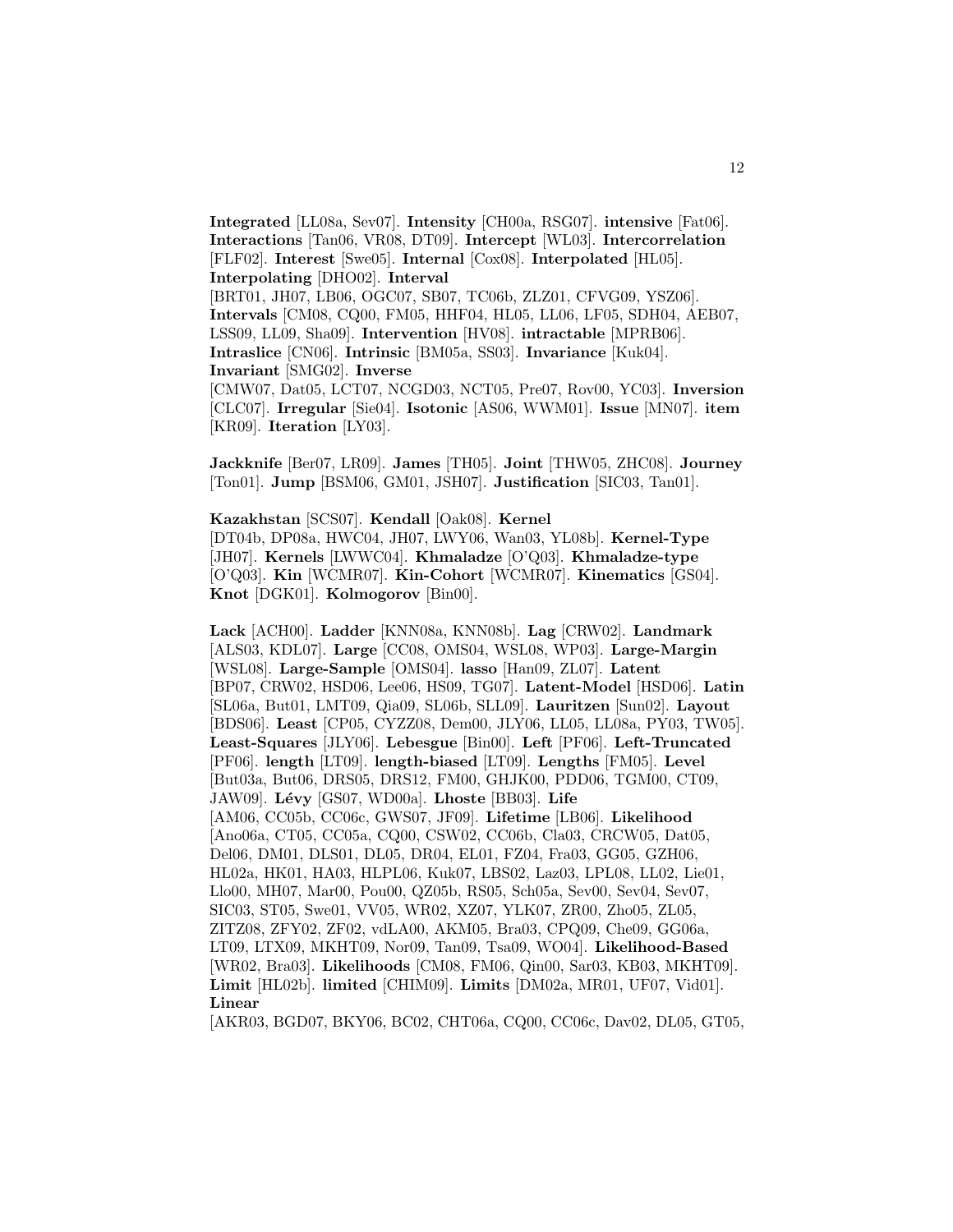**Integrated** [LL08a, Sev07]. **Intensity** [CH00a, RSG07]. **intensive** [Fat06]. **Interactions** [Tan06, VR08, DT09]. **Intercept** [WL03]. **Intercorrelation** [FLF02]. **Interest** [Swe05]. **Internal** [Cox08]. **Interpolated** [HL05]. **Interpolating** [DHO02]. **Interval** [BRT01, JH07, LB06, OGC07, SB07, TC06b, ZLZ01, CFVG09, YSZ06].

**Intervals** [CM08, CQ00, FM05, HHF04, HL05, LL06, LF05, SDH04, AEB07, LSS09, LL09, Sha09]. **Intervention** [HV08]. **intractable** [MPRB06]. **Intraslice** [CN06]. **Intrinsic** [BM05a, SS03]. **Invariance** [Kuk04]. **Invariant** [SMG02]. **Inverse**

[CMW07, Dat05, LCT07, NCGD03, NCT05, Pre07, Rov00, YC03]. **Inversion** [CLC07]. **Irregular** [Sie04]. **Isotonic** [AS06, WWM01]. **Issue** [MN07]. **item** [KR09]. **Iteration** [LY03].

**Jackknife** [Ber07, LR09]. **James** [TH05]. **Joint** [THW05, ZHC08]. **Journey** [Ton01]. **Jump** [BSM06, GM01, JSH07]. **Justification** [SIC03, Tan01].

**Kazakhstan** [SCS07]. **Kendall** [Oak08]. **Kernel**

[DT04b, DP08a, HWC04, JH07, LWY06, Wan03, YL08b]. **Kernel-Type** [JH07]. **Kernels** [LWWC04]. **Khmaladze** [O'Q03]. **Khmaladze-type** [O'Q03]. **Kin** [WCMR07]. **Kin-Cohort** [WCMR07]. **Kinematics** [GS04]. **Knot** [DGK01]. **Kolmogorov** [Bin00].

**Lack** [ACH00]. **Ladder** [KNN08a, KNN08b]. **Lag** [CRW02]. **Landmark** [ALS03, KDL07]. **Large** [CC08, OMS04, WSL08, WP03]. **Large-Margin** [WSL08]. **Large-Sample** [OMS04]. **lasso** [Han09, ZL07]. **Latent** [BP07, CRW02, HSD06, Lee06, HS09, TG07]. **Latent-Model** [HSD06]. **Latin** [SL06a, But01, LMT09, Qia09, SL06b, SLL09]. **Lauritzen** [Sun02]. **Layout** [BDS06]. **Least** [CP05, CYZZ08, Dem00, JLY06, LL05, LL08a, PY03, TW05]. **Least-Squares** [JLY06]. **Lebesgue** [Bin00]. **Left** [PF06]. **Left-Truncated** [PF06]. **length** [LT09]. **length-biased** [LT09]. **Lengths** [FM05]. **Level** [But03a, But06, DRS05, DRS12, FM00, GHJK00, PDD06, TGM00, CT09, JAW09]. **L´evy** [GS07, WD00a]. **Lhoste** [BB03]. **Life** [AM06, CC05b, CC06c, GWS07, JF09]. **Lifetime** [LB06]. **Likelihood** [Ano06a, CT05, CC05a, CQ00, CSW02, CC06b, Cla03, CRCW05, Dat05, Del06, DM01, DLS01, DL05, DR04, EL01, FZ04, Fra03, GG05, GZH06, HL02a, HK01, HA03, HLPL06, Kuk07, LBS02, Laz03, LPL08, LL02, Lie01, Llo00, MH07, Mar00, Pou00, QZ05b, RS05, Sch05a, Sev00, Sev04, Sev07, SIC03, ST05, Swe01, VV05, WR02, XZ07, YLK07, ZR00, Zho05, ZL05, ZITZ08, ZFY02, ZF02, vdLA00, AKM05, Bra03, CPQ09, Che09, GG06a, LT09, LTX09, MKHT09, Nor09, Tan09, Tsa09, WO04]. **Likelihood-Based** [WR02, Bra03]. **Likelihoods** [CM08, FM06, Qin00, Sar03, KB03, MKHT09]. **Limit** [HL02b]. **limited** [CHIM09]. **Limits** [DM02a, MR01, UF07, Vid01]. **Linear**

[AKR03, BGD07, BKY06, BC02, CHT06a, CQ00, CC06c, Dav02, DL05, GT05,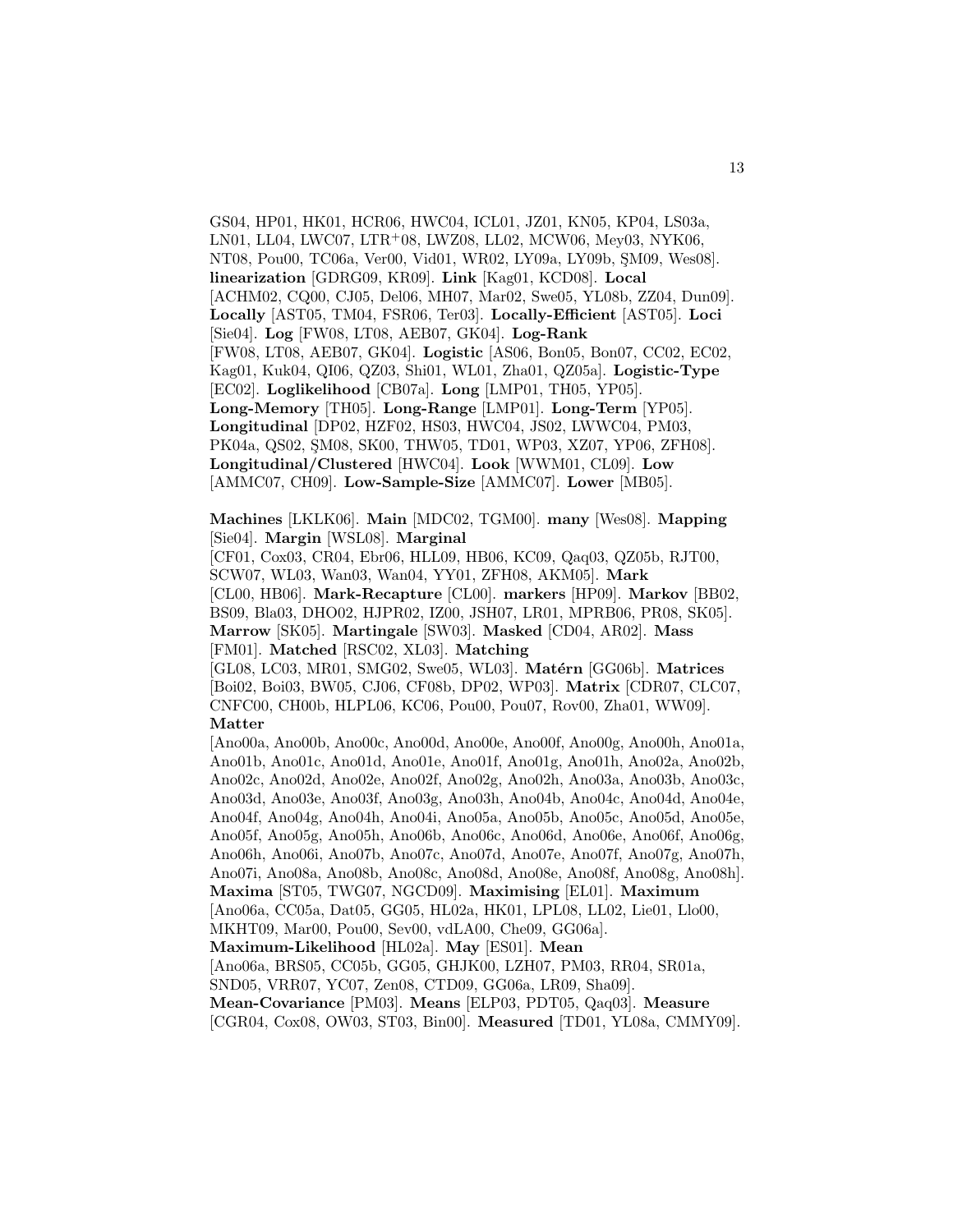GS04, HP01, HK01, HCR06, HWC04, ICL01, JZ01, KN05, KP04, LS03a, LN01, LL04, LWC07, LTR<sup>+</sup>08, LWZ08, LL02, MCW06, Mey03, NYK06, NT08, Pou00, TC06a, Ver00, Vid01, WR02, LY09a, LY09b, SM09, Wes08. **linearization** [GDRG09, KR09]. **Link** [Kag01, KCD08]. **Local** [ACHM02, CQ00, CJ05, Del06, MH07, Mar02, Swe05, YL08b, ZZ04, Dun09]. **Locally** [AST05, TM04, FSR06, Ter03]. **Locally-Efficient** [AST05]. **Loci** [Sie04]. **Log** [FW08, LT08, AEB07, GK04]. **Log-Rank** [FW08, LT08, AEB07, GK04]. **Logistic** [AS06, Bon05, Bon07, CC02, EC02, Kag01, Kuk04, QI06, QZ03, Shi01, WL01, Zha01, QZ05a]. **Logistic-Type** [EC02]. **Loglikelihood** [CB07a]. **Long** [LMP01, TH05, YP05]. **Long-Memory** [TH05]. **Long-Range** [LMP01]. **Long-Term** [YP05]. **Longitudinal** [DP02, HZF02, HS03, HWC04, JS02, LWWC04, PM03, PK04a, QS02, ŞM08, SK00, THW05, TD01, WP03, XZ07, YP06, ZFH08]. **Longitudinal/Clustered** [HWC04]. **Look** [WWM01, CL09]. **Low** [AMMC07, CH09]. **Low-Sample-Size** [AMMC07]. **Lower** [MB05].

**Machines** [LKLK06]. **Main** [MDC02, TGM00]. **many** [Wes08]. **Mapping** [Sie04]. **Margin** [WSL08]. **Marginal**

[CF01, Cox03, CR04, Ebr06, HLL09, HB06, KC09, Qaq03, QZ05b, RJT00, SCW07, WL03, Wan03, Wan04, YY01, ZFH08, AKM05]. **Mark** [CL00, HB06]. **Mark-Recapture** [CL00]. **markers** [HP09]. **Markov** [BB02, BS09, Bla03, DHO02, HJPR02, IZ00, JSH07, LR01, MPRB06, PR08, SK05]. **Marrow** [SK05]. **Martingale** [SW03]. **Masked** [CD04, AR02]. **Mass** [FM01]. **Matched** [RSC02, XL03]. **Matching**

[GL08, LC03, MR01, SMG02, Swe05, WL03]. **Matérn** [GG06b]. **Matrices** [Boi02, Boi03, BW05, CJ06, CF08b, DP02, WP03]. **Matrix** [CDR07, CLC07, CNFC00, CH00b, HLPL06, KC06, Pou00, Pou07, Rov00, Zha01, WW09]. **Matter**

[Ano00a, Ano00b, Ano00c, Ano00d, Ano00e, Ano00f, Ano00g, Ano00h, Ano01a, Ano01b, Ano01c, Ano01d, Ano01e, Ano01f, Ano01g, Ano01h, Ano02a, Ano02b, Ano02c, Ano02d, Ano02e, Ano02f, Ano02g, Ano02h, Ano03a, Ano03b, Ano03c, Ano03d, Ano03e, Ano03f, Ano03g, Ano03h, Ano04b, Ano04c, Ano04d, Ano04e, Ano04f, Ano04g, Ano04h, Ano04i, Ano05a, Ano05b, Ano05c, Ano05d, Ano05e, Ano05f, Ano05g, Ano05h, Ano06b, Ano06c, Ano06d, Ano06e, Ano06f, Ano06g, Ano06h, Ano06i, Ano07b, Ano07c, Ano07d, Ano07e, Ano07f, Ano07g, Ano07h, Ano07i, Ano08a, Ano08b, Ano08c, Ano08d, Ano08e, Ano08f, Ano08g, Ano08h]. **Maxima** [ST05, TWG07, NGCD09]. **Maximising** [EL01]. **Maximum** [Ano06a, CC05a, Dat05, GG05, HL02a, HK01, LPL08, LL02, Lie01, Llo00, MKHT09, Mar00, Pou00, Sev00, vdLA00, Che09, GG06a]. **Maximum-Likelihood** [HL02a]. **May** [ES01]. **Mean** [Ano06a, BRS05, CC05b, GG05, GHJK00, LZH07, PM03, RR04, SR01a, SND05, VRR07, YC07, Zen08, CTD09, GG06a, LR09, Sha09].

**Mean-Covariance** [PM03]. **Means** [ELP03, PDT05, Qaq03]. **Measure**

[CGR04, Cox08, OW03, ST03, Bin00]. **Measured** [TD01, YL08a, CMMY09].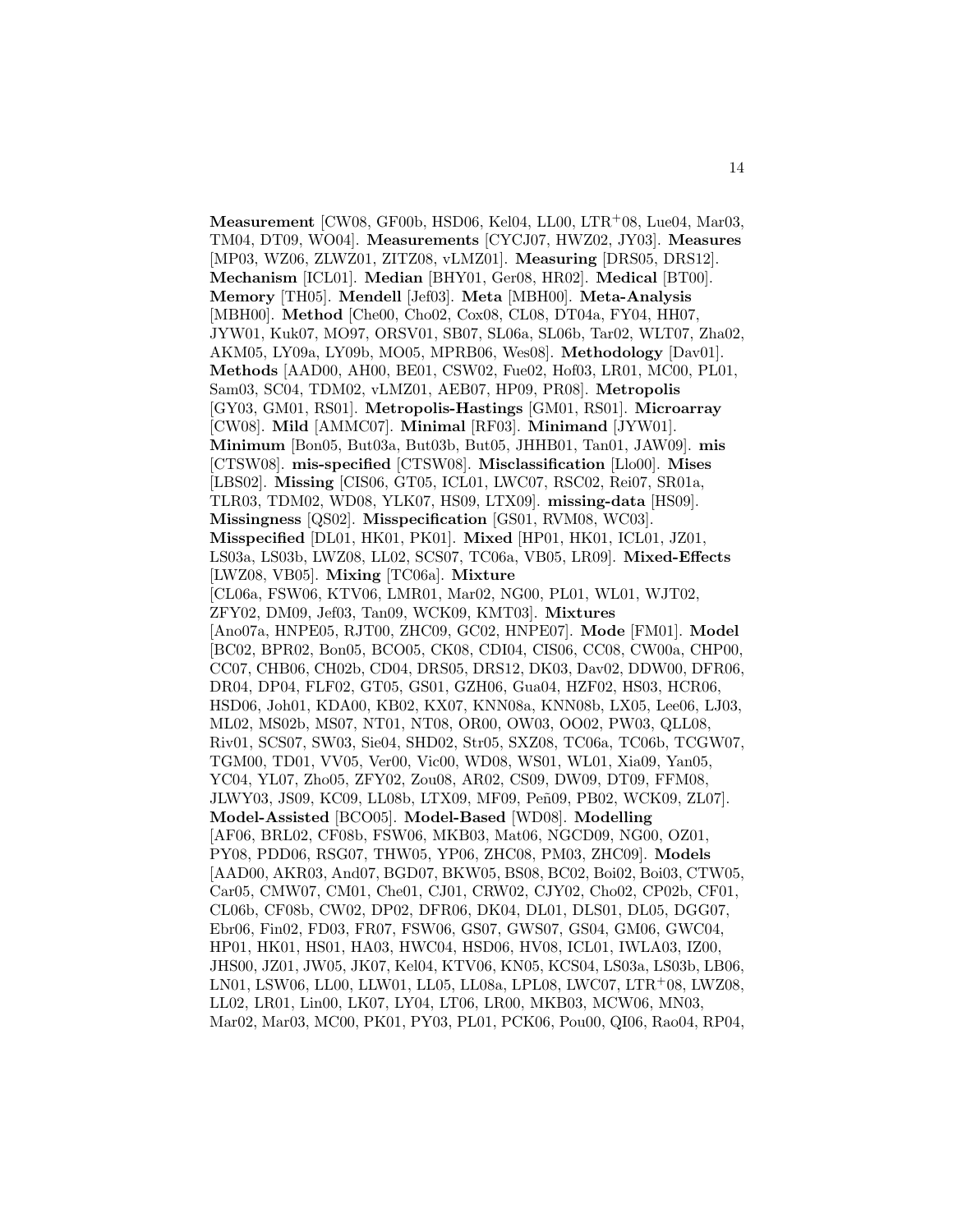**Measurement** [CW08, GF00b, HSD06, Kel04, LL00, LTR<sup>+</sup>08, Lue04, Mar03, TM04, DT09, WO04]. **Measurements** [CYCJ07, HWZ02, JY03]. **Measures** [MP03, WZ06, ZLWZ01, ZITZ08, vLMZ01]. **Measuring** [DRS05, DRS12]. **Mechanism** [ICL01]. **Median** [BHY01, Ger08, HR02]. **Medical** [BT00]. **Memory** [TH05]. **Mendell** [Jef03]. **Meta** [MBH00]. **Meta-Analysis** [MBH00]. **Method** [Che00, Cho02, Cox08, CL08, DT04a, FY04, HH07, JYW01, Kuk07, MO97, ORSV01, SB07, SL06a, SL06b, Tar02, WLT07, Zha02, AKM05, LY09a, LY09b, MO05, MPRB06, Wes08]. **Methodology** [Dav01]. **Methods** [AAD00, AH00, BE01, CSW02, Fue02, Hof03, LR01, MC00, PL01, Sam03, SC04, TDM02, vLMZ01, AEB07, HP09, PR08]. **Metropolis** [GY03, GM01, RS01]. **Metropolis-Hastings** [GM01, RS01]. **Microarray** [CW08]. **Mild** [AMMC07]. **Minimal** [RF03]. **Minimand** [JYW01]. **Minimum** [Bon05, But03a, But03b, But05, JHHB01, Tan01, JAW09]. **mis** [CTSW08]. **mis-specified** [CTSW08]. **Misclassification** [Llo00]. **Mises** [LBS02]. **Missing** [CIS06, GT05, ICL01, LWC07, RSC02, Rei07, SR01a, TLR03, TDM02, WD08, YLK07, HS09, LTX09]. **missing-data** [HS09]. **Missingness** [QS02]. **Misspecification** [GS01, RVM08, WC03]. **Misspecified** [DL01, HK01, PK01]. **Mixed** [HP01, HK01, ICL01, JZ01, LS03a, LS03b, LWZ08, LL02, SCS07, TC06a, VB05, LR09]. **Mixed-Effects** [LWZ08, VB05]. **Mixing** [TC06a]. **Mixture** [CL06a, FSW06, KTV06, LMR01, Mar02, NG00, PL01, WL01, WJT02, ZFY02, DM09, Jef03, Tan09, WCK09, KMT03]. **Mixtures** [Ano07a, HNPE05, RJT00, ZHC09, GC02, HNPE07]. **Mode** [FM01]. **Model** [BC02, BPR02, Bon05, BCO05, CK08, CDI04, CIS06, CC08, CW00a, CHP00, CC07, CHB06, CH02b, CD04, DRS05, DRS12, DK03, Dav02, DDW00, DFR06, DR04, DP04, FLF02, GT05, GS01, GZH06, Gua04, HZF02, HS03, HCR06, HSD06, Joh01, KDA00, KB02, KX07, KNN08a, KNN08b, LX05, Lee06, LJ03, ML02, MS02b, MS07, NT01, NT08, OR00, OW03, OO02, PW03, QLL08, Riv01, SCS07, SW03, Sie04, SHD02, Str05, SXZ08, TC06a, TC06b, TCGW07, TGM00, TD01, VV05, Ver00, Vic00, WD08, WS01, WL01, Xia09, Yan05, YC04, YL07, Zho05, ZFY02, Zou08, AR02, CS09, DW09, DT09, FFM08, JLWY03, JS09, KC09, LL08b, LTX09, MF09, Peñ09, PB02, WCK09, ZL07]. **Model-Assisted** [BCO05]. **Model-Based** [WD08]. **Modelling** [AF06, BRL02, CF08b, FSW06, MKB03, Mat06, NGCD09, NG00, OZ01, PY08, PDD06, RSG07, THW05, YP06, ZHC08, PM03, ZHC09]. **Models** [AAD00, AKR03, And07, BGD07, BKW05, BS08, BC02, Boi02, Boi03, CTW05, Car05, CMW07, CM01, Che01, CJ01, CRW02, CJY02, Cho02, CP02b, CF01, CL06b, CF08b, CW02, DP02, DFR06, DK04, DL01, DLS01, DL05, DGG07, Ebr06, Fin02, FD03, FR07, FSW06, GS07, GWS07, GS04, GM06, GWC04, HP01, HK01, HS01, HA03, HWC04, HSD06, HV08, ICL01, IWLA03, IZ00, JHS00, JZ01, JW05, JK07, Kel04, KTV06, KN05, KCS04, LS03a, LS03b, LB06, LN01, LSW06, LL00, LLW01, LL05, LL08a, LPL08, LWC07, LTR<sup>+</sup>08, LWZ08, LL02, LR01, Lin00, LK07, LY04, LT06, LR00, MKB03, MCW06, MN03, Mar02, Mar03, MC00, PK01, PY03, PL01, PCK06, Pou00, QI06, Rao04, RP04,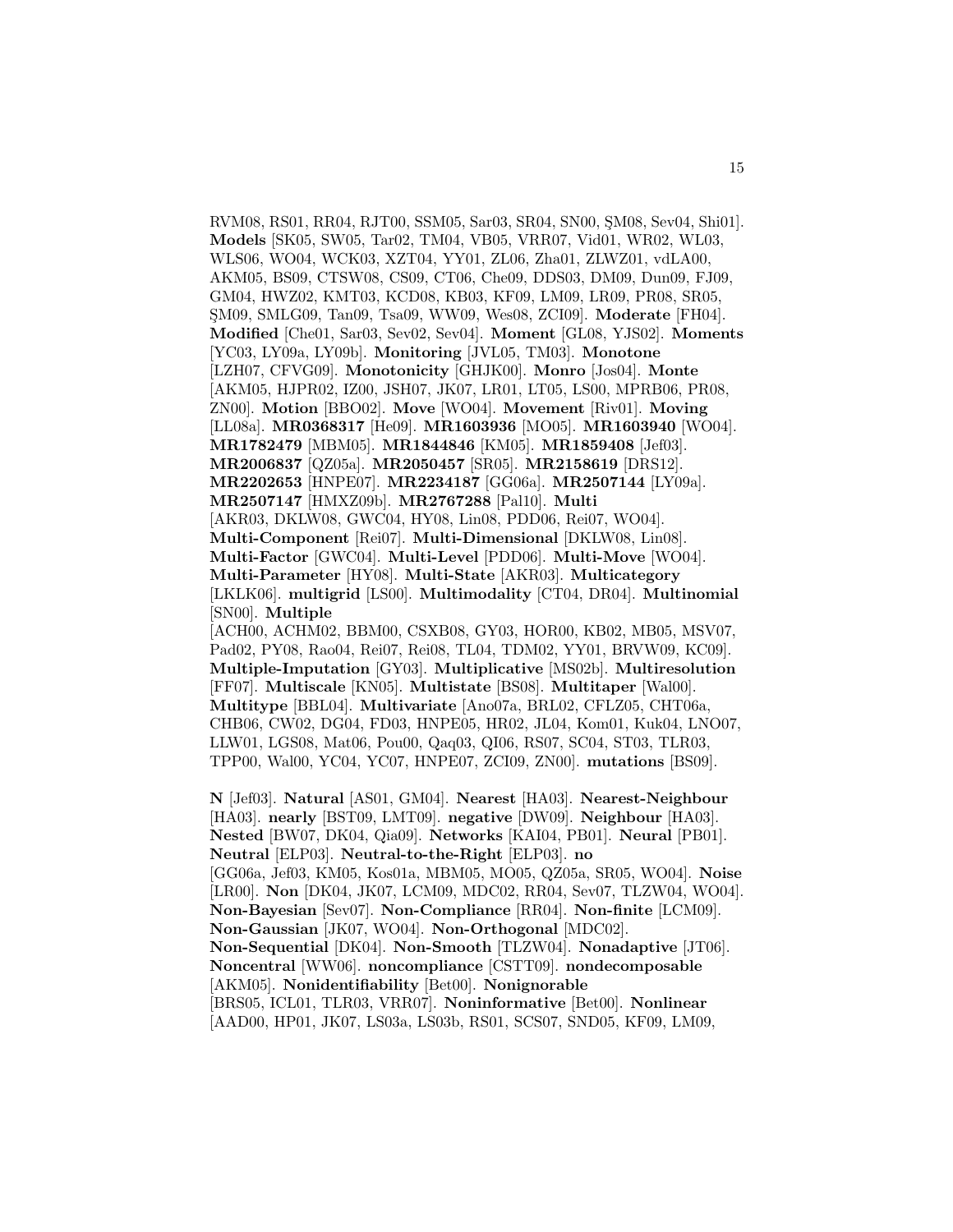RVM08, RS01, RR04, RJT00, SSM05, Sar03, SR04, SN00, SM08, Sev04, Shi01. **Models** [SK05, SW05, Tar02, TM04, VB05, VRR07, Vid01, WR02, WL03, WLS06, WO04, WCK03, XZT04, YY01, ZL06, Zha01, ZLWZ01, vdLA00, AKM05, BS09, CTSW08, CS09, CT06, Che09, DDS03, DM09, Dun09, FJ09, GM04, HWZ02, KMT03, KCD08, KB03, KF09, LM09, LR09, PR08, SR05, SM09, SMLG09, Tan09, Tsa09, WW09, Wes08, ZCI09]. ¸ **Moderate** [FH04]. **Modified** [Che01, Sar03, Sev02, Sev04]. **Moment** [GL08, YJS02]. **Moments** [YC03, LY09a, LY09b]. **Monitoring** [JVL05, TM03]. **Monotone** [LZH07, CFVG09]. **Monotonicity** [GHJK00]. **Monro** [Jos04]. **Monte** [AKM05, HJPR02, IZ00, JSH07, JK07, LR01, LT05, LS00, MPRB06, PR08, ZN00]. **Motion** [BBO02]. **Move** [WO04]. **Movement** [Riv01]. **Moving** [LL08a]. **MR0368317** [He09]. **MR1603936** [MO05]. **MR1603940** [WO04]. **MR1782479** [MBM05]. **MR1844846** [KM05]. **MR1859408** [Jef03]. **MR2006837** [QZ05a]. **MR2050457** [SR05]. **MR2158619** [DRS12]. **MR2202653** [HNPE07]. **MR2234187** [GG06a]. **MR2507144** [LY09a]. **MR2507147** [HMXZ09b]. **MR2767288** [Pal10]. **Multi** [AKR03, DKLW08, GWC04, HY08, Lin08, PDD06, Rei07, WO04]. **Multi-Component** [Rei07]. **Multi-Dimensional** [DKLW08, Lin08]. **Multi-Factor** [GWC04]. **Multi-Level** [PDD06]. **Multi-Move** [WO04]. **Multi-Parameter** [HY08]. **Multi-State** [AKR03]. **Multicategory** [LKLK06]. **multigrid** [LS00]. **Multimodality** [CT04, DR04]. **Multinomial** [SN00]. **Multiple** [ACH00, ACHM02, BBM00, CSXB08, GY03, HOR00, KB02, MB05, MSV07, Pad02, PY08, Rao04, Rei07, Rei08, TL04, TDM02, YY01, BRVW09, KC09]. **Multiple-Imputation** [GY03]. **Multiplicative** [MS02b]. **Multiresolution** [FF07]. **Multiscale** [KN05]. **Multistate** [BS08]. **Multitaper** [Wal00]. **Multitype** [BBL04]. **Multivariate** [Ano07a, BRL02, CFLZ05, CHT06a,

CHB06, CW02, DG04, FD03, HNPE05, HR02, JL04, Kom01, Kuk04, LNO07, LLW01, LGS08, Mat06, Pou00, Qaq03, QI06, RS07, SC04, ST03, TLR03, TPP00, Wal00, YC04, YC07, HNPE07, ZCI09, ZN00]. **mutations** [BS09].

**N** [Jef03]. **Natural** [AS01, GM04]. **Nearest** [HA03]. **Nearest-Neighbour** [HA03]. **nearly** [BST09, LMT09]. **negative** [DW09]. **Neighbour** [HA03]. **Nested** [BW07, DK04, Qia09]. **Networks** [KAI04, PB01]. **Neural** [PB01]. **Neutral** [ELP03]. **Neutral-to-the-Right** [ELP03]. **no** [GG06a, Jef03, KM05, Kos01a, MBM05, MO05, QZ05a, SR05, WO04]. **Noise** [LR00]. **Non** [DK04, JK07, LCM09, MDC02, RR04, Sev07, TLZW04, WO04]. **Non-Bayesian** [Sev07]. **Non-Compliance** [RR04]. **Non-finite** [LCM09]. **Non-Gaussian** [JK07, WO04]. **Non-Orthogonal** [MDC02]. **Non-Sequential** [DK04]. **Non-Smooth** [TLZW04]. **Nonadaptive** [JT06]. **Noncentral** [WW06]. **noncompliance** [CSTT09]. **nondecomposable** [AKM05]. **Nonidentifiability** [Bet00]. **Nonignorable** [BRS05, ICL01, TLR03, VRR07]. **Noninformative** [Bet00]. **Nonlinear** [AAD00, HP01, JK07, LS03a, LS03b, RS01, SCS07, SND05, KF09, LM09,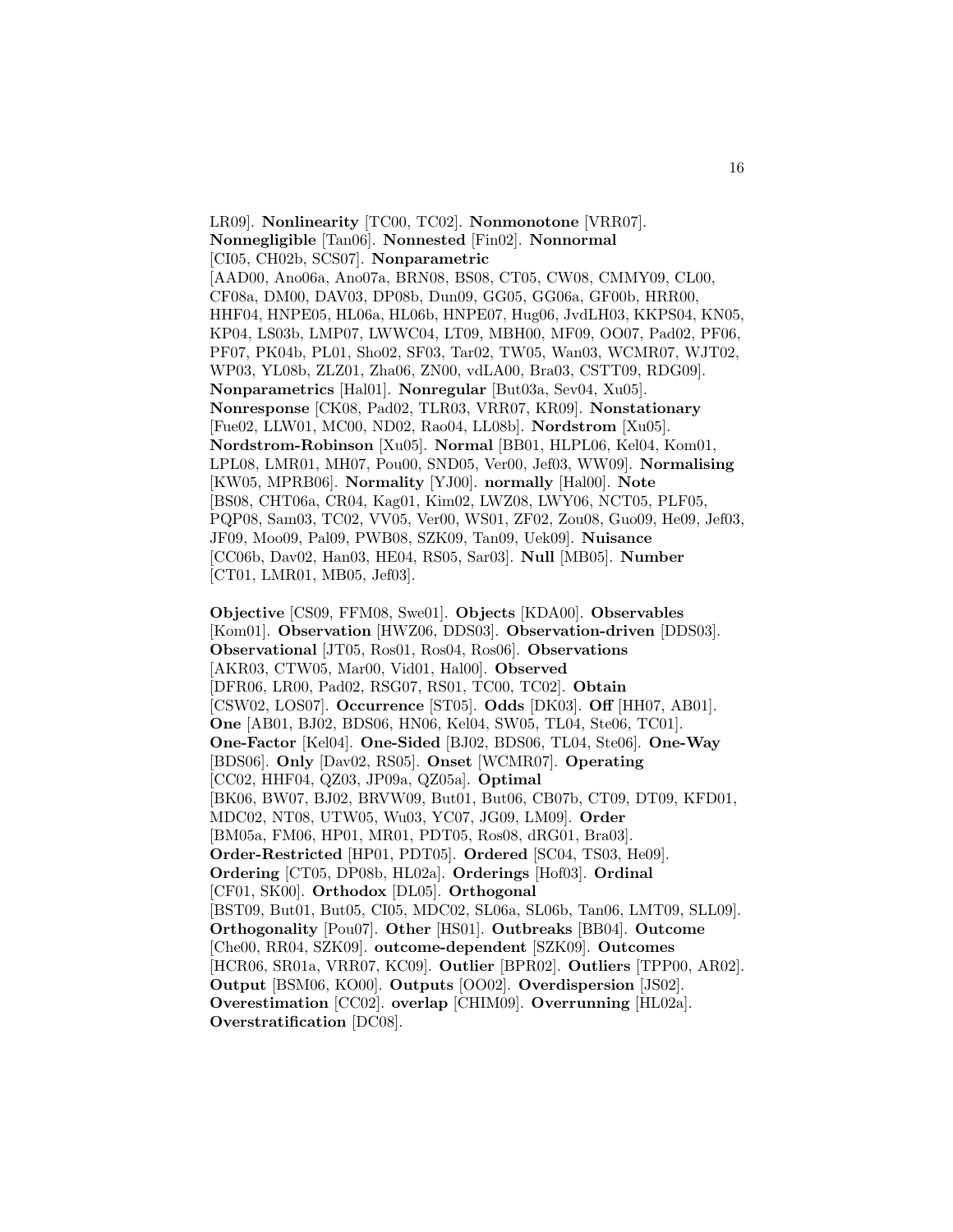LR09]. **Nonlinearity** [TC00, TC02]. **Nonmonotone** [VRR07]. **Nonnegligible** [Tan06]. **Nonnested** [Fin02]. **Nonnormal** [CI05, CH02b, SCS07]. **Nonparametric** [AAD00, Ano06a, Ano07a, BRN08, BS08, CT05, CW08, CMMY09, CL00, CF08a, DM00, DAV03, DP08b, Dun09, GG05, GG06a, GF00b, HRR00, HHF04, HNPE05, HL06a, HL06b, HNPE07, Hug06, JvdLH03, KKPS04, KN05, KP04, LS03b, LMP07, LWWC04, LT09, MBH00, MF09, OO07, Pad02, PF06, PF07, PK04b, PL01, Sho02, SF03, Tar02, TW05, Wan03, WCMR07, WJT02, WP03, YL08b, ZLZ01, Zha06, ZN00, vdLA00, Bra03, CSTT09, RDG09]. **Nonparametrics** [Hal01]. **Nonregular** [But03a, Sev04, Xu05]. **Nonresponse** [CK08, Pad02, TLR03, VRR07, KR09]. **Nonstationary** [Fue02, LLW01, MC00, ND02, Rao04, LL08b]. **Nordstrom** [Xu05]. **Nordstrom-Robinson** [Xu05]. **Normal** [BB01, HLPL06, Kel04, Kom01, LPL08, LMR01, MH07, Pou00, SND05, Ver00, Jef03, WW09]. **Normalising** [KW05, MPRB06]. **Normality** [YJ00]. **normally** [Hal00]. **Note** [BS08, CHT06a, CR04, Kag01, Kim02, LWZ08, LWY06, NCT05, PLF05, PQP08, Sam03, TC02, VV05, Ver00, WS01, ZF02, Zou08, Guo09, He09, Jef03, JF09, Moo09, Pal09, PWB08, SZK09, Tan09, Uek09]. **Nuisance** [CC06b, Dav02, Han03, HE04, RS05, Sar03]. **Null** [MB05]. **Number** [CT01, LMR01, MB05, Jef03].

**Objective** [CS09, FFM08, Swe01]. **Objects** [KDA00]. **Observables** [Kom01]. **Observation** [HWZ06, DDS03]. **Observation-driven** [DDS03]. **Observational** [JT05, Ros01, Ros04, Ros06]. **Observations** [AKR03, CTW05, Mar00, Vid01, Hal00]. **Observed** [DFR06, LR00, Pad02, RSG07, RS01, TC00, TC02]. **Obtain** [CSW02, LOS07]. **Occurrence** [ST05]. **Odds** [DK03]. **Off** [HH07, AB01]. **One** [AB01, BJ02, BDS06, HN06, Kel04, SW05, TL04, Ste06, TC01]. **One-Factor** [Kel04]. **One-Sided** [BJ02, BDS06, TL04, Ste06]. **One-Way** [BDS06]. **Only** [Dav02, RS05]. **Onset** [WCMR07]. **Operating** [CC02, HHF04, QZ03, JP09a, QZ05a]. **Optimal** [BK06, BW07, BJ02, BRVW09, But01, But06, CB07b, CT09, DT09, KFD01, MDC02, NT08, UTW05, Wu03, YC07, JG09, LM09]. **Order** [BM05a, FM06, HP01, MR01, PDT05, Ros08, dRG01, Bra03]. **Order-Restricted** [HP01, PDT05]. **Ordered** [SC04, TS03, He09]. **Ordering** [CT05, DP08b, HL02a]. **Orderings** [Hof03]. **Ordinal** [CF01, SK00]. **Orthodox** [DL05]. **Orthogonal** [BST09, But01, But05, CI05, MDC02, SL06a, SL06b, Tan06, LMT09, SLL09]. **Orthogonality** [Pou07]. **Other** [HS01]. **Outbreaks** [BB04]. **Outcome** [Che00, RR04, SZK09]. **outcome-dependent** [SZK09]. **Outcomes** [HCR06, SR01a, VRR07, KC09]. **Outlier** [BPR02]. **Outliers** [TPP00, AR02]. **Output** [BSM06, KO00]. **Outputs** [OO02]. **Overdispersion** [JS02]. **Overestimation** [CC02]. **overlap** [CHIM09]. **Overrunning** [HL02a]. **Overstratification** [DC08].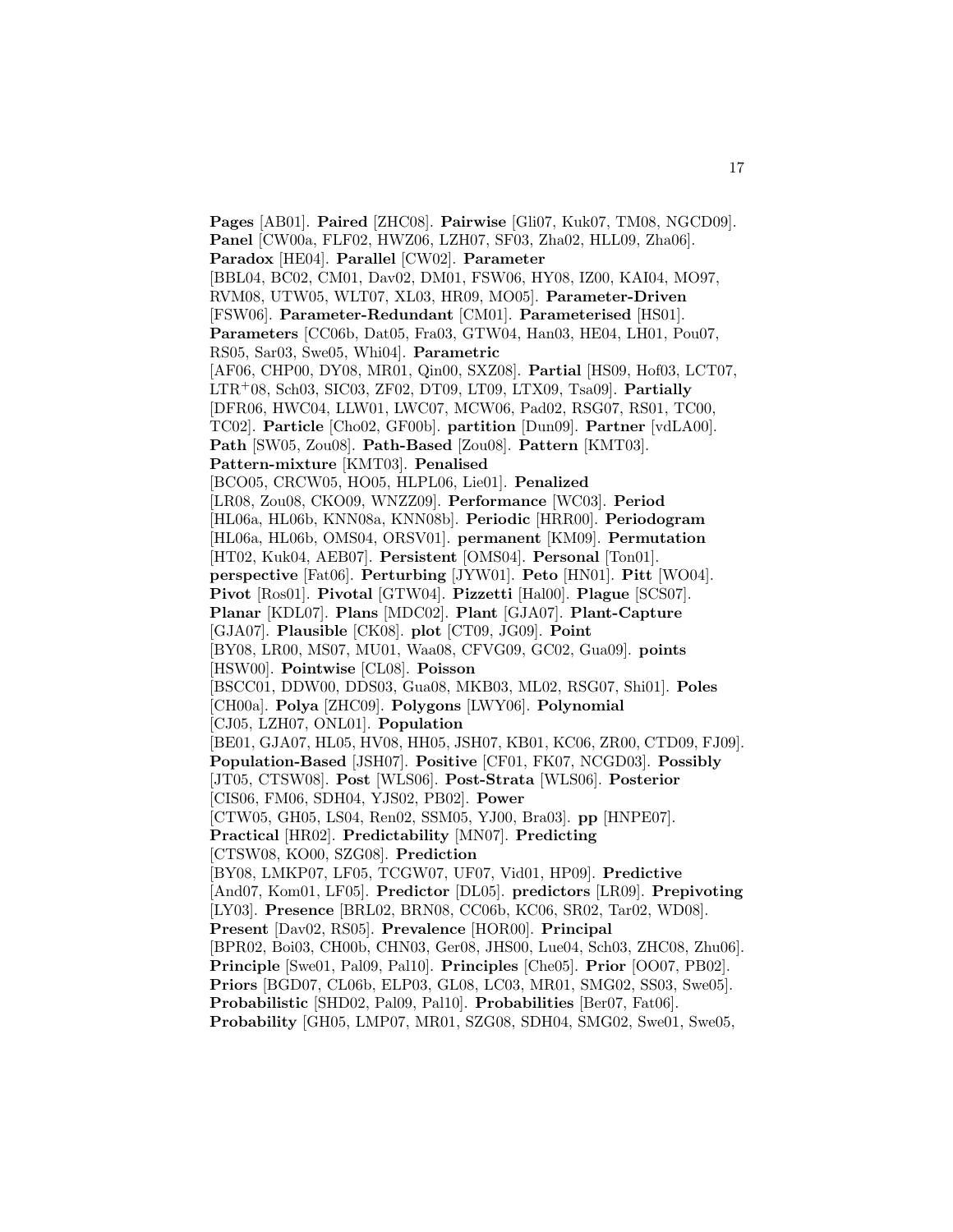**Pages** [AB01]. **Paired** [ZHC08]. **Pairwise** [Gli07, Kuk07, TM08, NGCD09]. **Panel** [CW00a, FLF02, HWZ06, LZH07, SF03, Zha02, HLL09, Zha06]. **Paradox** [HE04]. **Parallel** [CW02]. **Parameter** [BBL04, BC02, CM01, Dav02, DM01, FSW06, HY08, IZ00, KAI04, MO97, RVM08, UTW05, WLT07, XL03, HR09, MO05]. **Parameter-Driven** [FSW06]. **Parameter-Redundant** [CM01]. **Parameterised** [HS01]. **Parameters** [CC06b, Dat05, Fra03, GTW04, Han03, HE04, LH01, Pou07, RS05, Sar03, Swe05, Whi04]. **Parametric** [AF06, CHP00, DY08, MR01, Qin00, SXZ08]. **Partial** [HS09, Hof03, LCT07, LTR<sup>+</sup>08, Sch03, SIC03, ZF02, DT09, LT09, LTX09, Tsa09]. **Partially** [DFR06, HWC04, LLW01, LWC07, MCW06, Pad02, RSG07, RS01, TC00, TC02]. **Particle** [Cho02, GF00b]. **partition** [Dun09]. **Partner** [vdLA00]. **Path** [SW05, Zou08]. **Path-Based** [Zou08]. **Pattern** [KMT03]. **Pattern-mixture** [KMT03]. **Penalised** [BCO05, CRCW05, HO05, HLPL06, Lie01]. **Penalized** [LR08, Zou08, CKO09, WNZZ09]. **Performance** [WC03]. **Period** [HL06a, HL06b, KNN08a, KNN08b]. **Periodic** [HRR00]. **Periodogram** [HL06a, HL06b, OMS04, ORSV01]. **permanent** [KM09]. **Permutation** [HT02, Kuk04, AEB07]. **Persistent** [OMS04]. **Personal** [Ton01]. **perspective** [Fat06]. **Perturbing** [JYW01]. **Peto** [HN01]. **Pitt** [WO04]. **Pivot** [Ros01]. **Pivotal** [GTW04]. **Pizzetti** [Hal00]. **Plague** [SCS07]. **Planar** [KDL07]. **Plans** [MDC02]. **Plant** [GJA07]. **Plant-Capture** [GJA07]. **Plausible** [CK08]. **plot** [CT09, JG09]. **Point** [BY08, LR00, MS07, MU01, Waa08, CFVG09, GC02, Gua09]. **points** [HSW00]. **Pointwise** [CL08]. **Poisson** [BSCC01, DDW00, DDS03, Gua08, MKB03, ML02, RSG07, Shi01]. **Poles** [CH00a]. **Polya** [ZHC09]. **Polygons** [LWY06]. **Polynomial** [CJ05, LZH07, ONL01]. **Population** [BE01, GJA07, HL05, HV08, HH05, JSH07, KB01, KC06, ZR00, CTD09, FJ09]. **Population-Based** [JSH07]. **Positive** [CF01, FK07, NCGD03]. **Possibly** [JT05, CTSW08]. **Post** [WLS06]. **Post-Strata** [WLS06]. **Posterior** [CIS06, FM06, SDH04, YJS02, PB02]. **Power** [CTW05, GH05, LS04, Ren02, SSM05, YJ00, Bra03]. **pp** [HNPE07]. **Practical** [HR02]. **Predictability** [MN07]. **Predicting** [CTSW08, KO00, SZG08]. **Prediction** [BY08, LMKP07, LF05, TCGW07, UF07, Vid01, HP09]. **Predictive** [And07, Kom01, LF05]. **Predictor** [DL05]. **predictors** [LR09]. **Prepivoting** [LY03]. **Presence** [BRL02, BRN08, CC06b, KC06, SR02, Tar02, WD08]. **Present** [Dav02, RS05]. **Prevalence** [HOR00]. **Principal** [BPR02, Boi03, CH00b, CHN03, Ger08, JHS00, Lue04, Sch03, ZHC08, Zhu06]. **Principle** [Swe01, Pal09, Pal10]. **Principles** [Che05]. **Prior** [OO07, PB02]. **Priors** [BGD07, CL06b, ELP03, GL08, LC03, MR01, SMG02, SS03, Swe05]. **Probabilistic** [SHD02, Pal09, Pal10]. **Probabilities** [Ber07, Fat06]. **Probability** [GH05, LMP07, MR01, SZG08, SDH04, SMG02, Swe01, Swe05,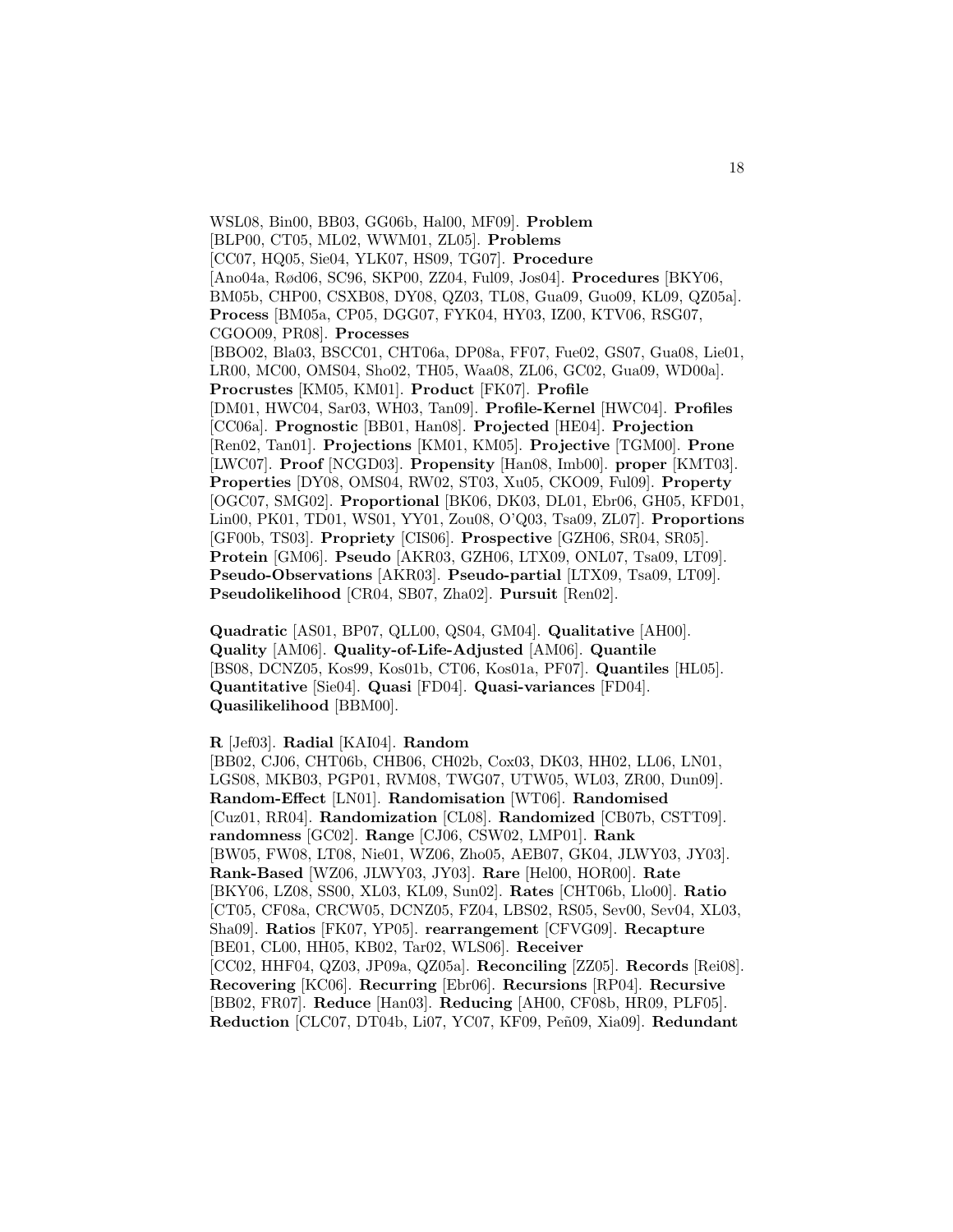WSL08, Bin00, BB03, GG06b, Hal00, MF09]. **Problem** [BLP00, CT05, ML02, WWM01, ZL05]. **Problems** [CC07, HQ05, Sie04, YLK07, HS09, TG07]. **Procedure** [Ano04a, Rød06, SC96, SKP00, ZZ04, Ful09, Jos04]. **Procedures** [BKY06, BM05b, CHP00, CSXB08, DY08, QZ03, TL08, Gua09, Guo09, KL09, QZ05a]. **Process** [BM05a, CP05, DGG07, FYK04, HY03, IZ00, KTV06, RSG07, CGOO09, PR08]. **Processes** [BBO02, Bla03, BSCC01, CHT06a, DP08a, FF07, Fue02, GS07, Gua08, Lie01, LR00, MC00, OMS04, Sho02, TH05, Waa08, ZL06, GC02, Gua09, WD00a]. **Procrustes** [KM05, KM01]. **Product** [FK07]. **Profile** [DM01, HWC04, Sar03, WH03, Tan09]. **Profile-Kernel** [HWC04]. **Profiles** [CC06a]. **Prognostic** [BB01, Han08]. **Projected** [HE04]. **Projection** [Ren02, Tan01]. **Projections** [KM01, KM05]. **Projective** [TGM00]. **Prone** [LWC07]. **Proof** [NCGD03]. **Propensity** [Han08, Imb00]. **proper** [KMT03]. **Properties** [DY08, OMS04, RW02, ST03, Xu05, CKO09, Ful09]. **Property** [OGC07, SMG02]. **Proportional** [BK06, DK03, DL01, Ebr06, GH05, KFD01, Lin00, PK01, TD01, WS01, YY01, Zou08, O'Q03, Tsa09, ZL07]. **Proportions** [GF00b, TS03]. **Propriety** [CIS06]. **Prospective** [GZH06, SR04, SR05]. **Protein** [GM06]. **Pseudo** [AKR03, GZH06, LTX09, ONL07, Tsa09, LT09]. **Pseudo-Observations** [AKR03]. **Pseudo-partial** [LTX09, Tsa09, LT09]. **Pseudolikelihood** [CR04, SB07, Zha02]. **Pursuit** [Ren02].

**Quadratic** [AS01, BP07, QLL00, QS04, GM04]. **Qualitative** [AH00]. **Quality** [AM06]. **Quality-of-Life-Adjusted** [AM06]. **Quantile** [BS08, DCNZ05, Kos99, Kos01b, CT06, Kos01a, PF07]. **Quantiles** [HL05]. **Quantitative** [Sie04]. **Quasi** [FD04]. **Quasi-variances** [FD04]. **Quasilikelihood** [BBM00].

**R** [Jef03]. **Radial** [KAI04]. **Random**

[BB02, CJ06, CHT06b, CHB06, CH02b, Cox03, DK03, HH02, LL06, LN01, LGS08, MKB03, PGP01, RVM08, TWG07, UTW05, WL03, ZR00, Dun09]. **Random-Effect** [LN01]. **Randomisation** [WT06]. **Randomised** [Cuz01, RR04]. **Randomization** [CL08]. **Randomized** [CB07b, CSTT09]. **randomness** [GC02]. **Range** [CJ06, CSW02, LMP01]. **Rank** [BW05, FW08, LT08, Nie01, WZ06, Zho05, AEB07, GK04, JLWY03, JY03]. **Rank-Based** [WZ06, JLWY03, JY03]. **Rare** [Hel00, HOR00]. **Rate** [BKY06, LZ08, SS00, XL03, KL09, Sun02]. **Rates** [CHT06b, Llo00]. **Ratio** [CT05, CF08a, CRCW05, DCNZ05, FZ04, LBS02, RS05, Sev00, Sev04, XL03, Sha09]. **Ratios** [FK07, YP05]. **rearrangement** [CFVG09]. **Recapture** [BE01, CL00, HH05, KB02, Tar02, WLS06]. **Receiver** [CC02, HHF04, QZ03, JP09a, QZ05a]. **Reconciling** [ZZ05]. **Records** [Rei08]. **Recovering** [KC06]. **Recurring** [Ebr06]. **Recursions** [RP04]. **Recursive** [BB02, FR07]. **Reduce** [Han03]. **Reducing** [AH00, CF08b, HR09, PLF05]. **Reduction** [CLC07, DT04b, Li07, YC07, KF09, Peñ09, Xia09]. **Redundant**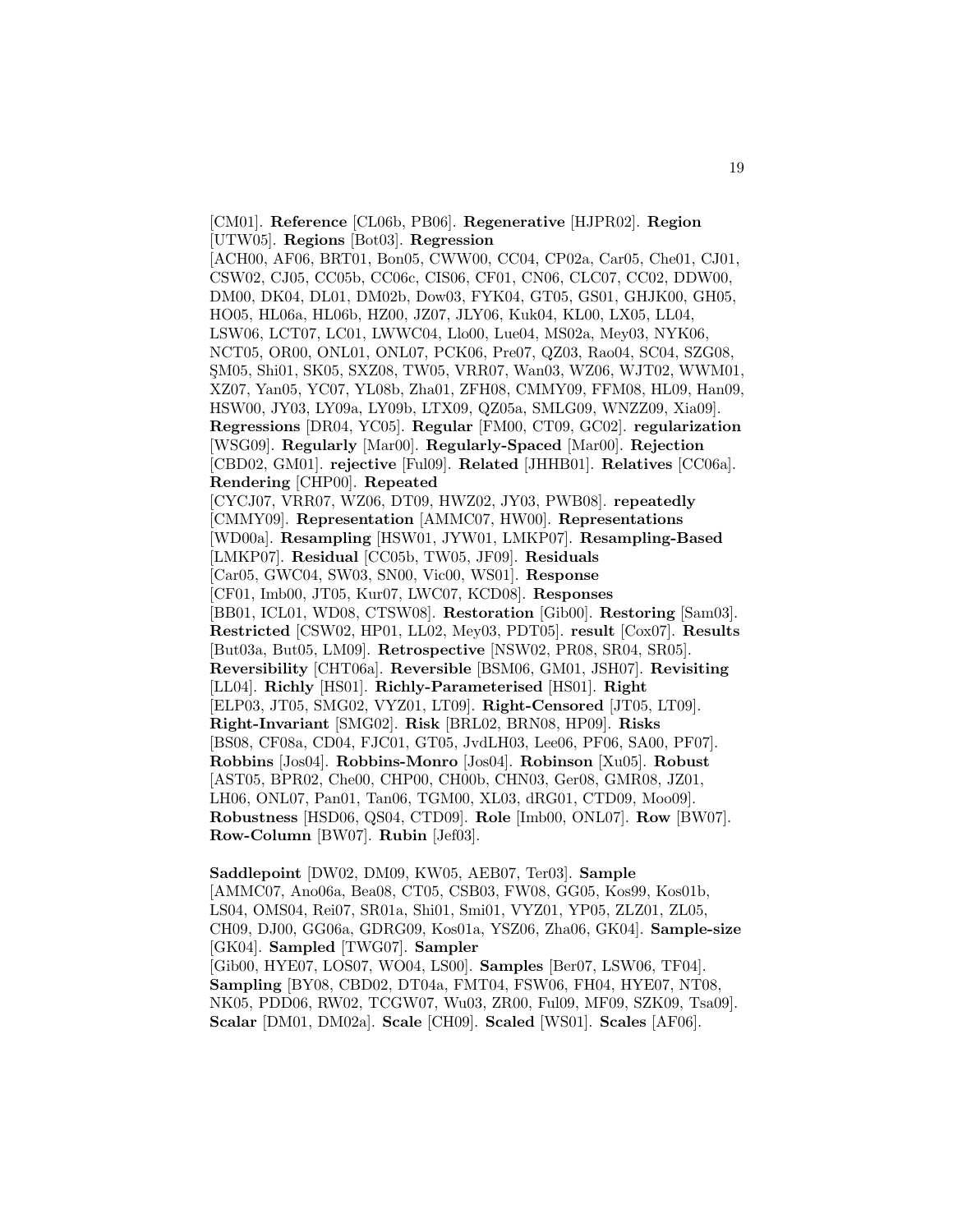[CM01]. **Reference** [CL06b, PB06]. **Regenerative** [HJPR02]. **Region** [UTW05]. **Regions** [Bot03]. **Regression** [ACH00, AF06, BRT01, Bon05, CWW00, CC04, CP02a, Car05, Che01, CJ01, CSW02, CJ05, CC05b, CC06c, CIS06, CF01, CN06, CLC07, CC02, DDW00, DM00, DK04, DL01, DM02b, Dow03, FYK04, GT05, GS01, GHJK00, GH05, HO05, HL06a, HL06b, HZ00, JZ07, JLY06, Kuk04, KL00, LX05, LL04, LSW06, LCT07, LC01, LWWC04, Llo00, Lue04, MS02a, Mey03, NYK06, NCT05, OR00, ONL01, ONL07, PCK06, Pre07, QZ03, Rao04, SC04, SZG08, SM05, Shi01, SK05, SXZ08, TW05, VRR07, Wan03, WZ06, WJT02, WWM01, XZ07, Yan05, YC07, YL08b, Zha01, ZFH08, CMMY09, FFM08, HL09, Han09, HSW00, JY03, LY09a, LY09b, LTX09, QZ05a, SMLG09, WNZZ09, Xia09]. **Regressions** [DR04, YC05]. **Regular** [FM00, CT09, GC02]. **regularization** [WSG09]. **Regularly** [Mar00]. **Regularly-Spaced** [Mar00]. **Rejection** [CBD02, GM01]. **rejective** [Ful09]. **Related** [JHHB01]. **Relatives** [CC06a]. **Rendering** [CHP00]. **Repeated** [CYCJ07, VRR07, WZ06, DT09, HWZ02, JY03, PWB08]. **repeatedly** [CMMY09]. **Representation** [AMMC07, HW00]. **Representations** [WD00a]. **Resampling** [HSW01, JYW01, LMKP07]. **Resampling-Based** [LMKP07]. **Residual** [CC05b, TW05, JF09]. **Residuals** [Car05, GWC04, SW03, SN00, Vic00, WS01]. **Response** [CF01, Imb00, JT05, Kur07, LWC07, KCD08]. **Responses** [BB01, ICL01, WD08, CTSW08]. **Restoration** [Gib00]. **Restoring** [Sam03]. **Restricted** [CSW02, HP01, LL02, Mey03, PDT05]. **result** [Cox07]. **Results** [But03a, But05, LM09]. **Retrospective** [NSW02, PR08, SR04, SR05]. **Reversibility** [CHT06a]. **Reversible** [BSM06, GM01, JSH07]. **Revisiting** [LL04]. **Richly** [HS01]. **Richly-Parameterised** [HS01]. **Right** [ELP03, JT05, SMG02, VYZ01, LT09]. **Right-Censored** [JT05, LT09]. **Right-Invariant** [SMG02]. **Risk** [BRL02, BRN08, HP09]. **Risks** [BS08, CF08a, CD04, FJC01, GT05, JvdLH03, Lee06, PF06, SA00, PF07]. **Robbins** [Jos04]. **Robbins-Monro** [Jos04]. **Robinson** [Xu05]. **Robust** [AST05, BPR02, Che00, CHP00, CH00b, CHN03, Ger08, GMR08, JZ01, LH06, ONL07, Pan01, Tan06, TGM00, XL03, dRG01, CTD09, Moo09]. **Robustness** [HSD06, QS04, CTD09]. **Role** [Imb00, ONL07]. **Row** [BW07]. **Row-Column** [BW07]. **Rubin** [Jef03].

**Saddlepoint** [DW02, DM09, KW05, AEB07, Ter03]. **Sample** [AMMC07, Ano06a, Bea08, CT05, CSB03, FW08, GG05, Kos99, Kos01b, LS04, OMS04, Rei07, SR01a, Shi01, Smi01, VYZ01, YP05, ZLZ01, ZL05, CH09, DJ00, GG06a, GDRG09, Kos01a, YSZ06, Zha06, GK04]. **Sample-size** [GK04]. **Sampled** [TWG07]. **Sampler** [Gib00, HYE07, LOS07, WO04, LS00]. **Samples** [Ber07, LSW06, TF04]. **Sampling** [BY08, CBD02, DT04a, FMT04, FSW06, FH04, HYE07, NT08, NK05, PDD06, RW02, TCGW07, Wu03, ZR00, Ful09, MF09, SZK09, Tsa09]. **Scalar** [DM01, DM02a]. **Scale** [CH09]. **Scaled** [WS01]. **Scales** [AF06].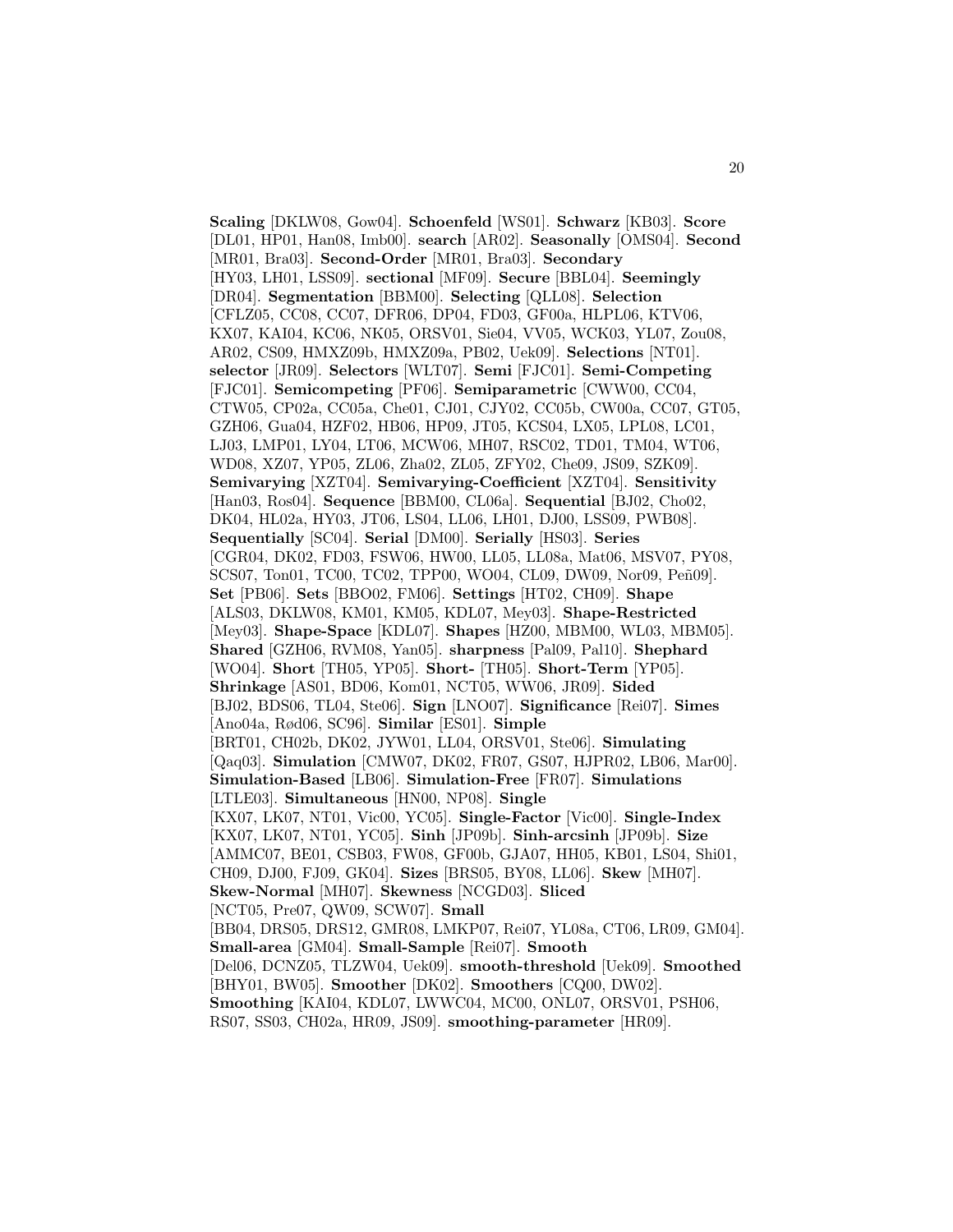**Scaling** [DKLW08, Gow04]. **Schoenfeld** [WS01]. **Schwarz** [KB03]. **Score** [DL01, HP01, Han08, Imb00]. **search** [AR02]. **Seasonally** [OMS04]. **Second** [MR01, Bra03]. **Second-Order** [MR01, Bra03]. **Secondary** [HY03, LH01, LSS09]. **sectional** [MF09]. **Secure** [BBL04]. **Seemingly** [DR04]. **Segmentation** [BBM00]. **Selecting** [QLL08]. **Selection** [CFLZ05, CC08, CC07, DFR06, DP04, FD03, GF00a, HLPL06, KTV06, KX07, KAI04, KC06, NK05, ORSV01, Sie04, VV05, WCK03, YL07, Zou08, AR02, CS09, HMXZ09b, HMXZ09a, PB02, Uek09]. **Selections** [NT01]. **selector** [JR09]. **Selectors** [WLT07]. **Semi** [FJC01]. **Semi-Competing** [FJC01]. **Semicompeting** [PF06]. **Semiparametric** [CWW00, CC04, CTW05, CP02a, CC05a, Che01, CJ01, CJY02, CC05b, CW00a, CC07, GT05, GZH06, Gua04, HZF02, HB06, HP09, JT05, KCS04, LX05, LPL08, LC01, LJ03, LMP01, LY04, LT06, MCW06, MH07, RSC02, TD01, TM04, WT06, WD08, XZ07, YP05, ZL06, Zha02, ZL05, ZFY02, Che09, JS09, SZK09]. **Semivarying** [XZT04]. **Semivarying-Coefficient** [XZT04]. **Sensitivity** [Han03, Ros04]. **Sequence** [BBM00, CL06a]. **Sequential** [BJ02, Cho02, DK04, HL02a, HY03, JT06, LS04, LL06, LH01, DJ00, LSS09, PWB08]. **Sequentially** [SC04]. **Serial** [DM00]. **Serially** [HS03]. **Series** [CGR04, DK02, FD03, FSW06, HW00, LL05, LL08a, Mat06, MSV07, PY08, SCS07, Ton01, TC00, TC02, TPP00, WO04, CL09, DW09, Nor09, Peñ09]. **Set** [PB06]. **Sets** [BBO02, FM06]. **Settings** [HT02, CH09]. **Shape** [ALS03, DKLW08, KM01, KM05, KDL07, Mey03]. **Shape-Restricted** [Mey03]. **Shape-Space** [KDL07]. **Shapes** [HZ00, MBM00, WL03, MBM05]. **Shared** [GZH06, RVM08, Yan05]. **sharpness** [Pal09, Pal10]. **Shephard** [WO04]. **Short** [TH05, YP05]. **Short-** [TH05]. **Short-Term** [YP05]. **Shrinkage** [AS01, BD06, Kom01, NCT05, WW06, JR09]. **Sided** [BJ02, BDS06, TL04, Ste06]. **Sign** [LNO07]. **Significance** [Rei07]. **Simes** [Ano04a, Rød06, SC96]. **Similar** [ES01]. **Simple** [BRT01, CH02b, DK02, JYW01, LL04, ORSV01, Ste06]. **Simulating** [Qaq03]. **Simulation** [CMW07, DK02, FR07, GS07, HJPR02, LB06, Mar00]. **Simulation-Based** [LB06]. **Simulation-Free** [FR07]. **Simulations** [LTLE03]. **Simultaneous** [HN00, NP08]. **Single** [KX07, LK07, NT01, Vic00, YC05]. **Single-Factor** [Vic00]. **Single-Index** [KX07, LK07, NT01, YC05]. **Sinh** [JP09b]. **Sinh-arcsinh** [JP09b]. **Size** [AMMC07, BE01, CSB03, FW08, GF00b, GJA07, HH05, KB01, LS04, Shi01, CH09, DJ00, FJ09, GK04]. **Sizes** [BRS05, BY08, LL06]. **Skew** [MH07]. **Skew-Normal** [MH07]. **Skewness** [NCGD03]. **Sliced** [NCT05, Pre07, QW09, SCW07]. **Small** [BB04, DRS05, DRS12, GMR08, LMKP07, Rei07, YL08a, CT06, LR09, GM04]. **Small-area** [GM04]. **Small-Sample** [Rei07]. **Smooth** [Del06, DCNZ05, TLZW04, Uek09]. **smooth-threshold** [Uek09]. **Smoothed** [BHY01, BW05]. **Smoother** [DK02]. **Smoothers** [CQ00, DW02]. **Smoothing** [KAI04, KDL07, LWWC04, MC00, ONL07, ORSV01, PSH06, RS07, SS03, CH02a, HR09, JS09]. **smoothing-parameter** [HR09].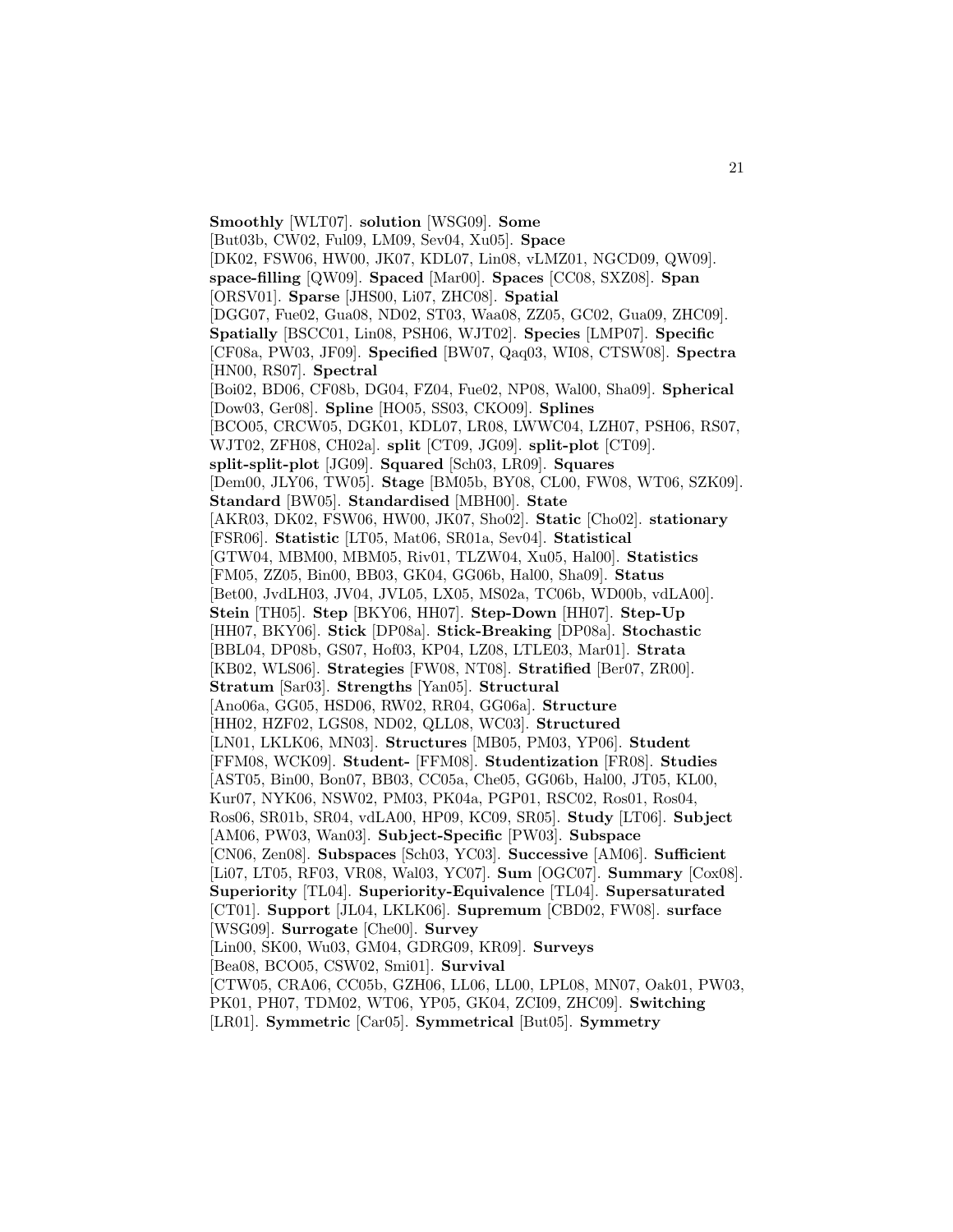**Smoothly** [WLT07]. **solution** [WSG09]. **Some** [But03b, CW02, Ful09, LM09, Sev04, Xu05]. **Space** [DK02, FSW06, HW00, JK07, KDL07, Lin08, vLMZ01, NGCD09, QW09]. **space-filling** [QW09]. **Spaced** [Mar00]. **Spaces** [CC08, SXZ08]. **Span** [ORSV01]. **Sparse** [JHS00, Li07, ZHC08]. **Spatial** [DGG07, Fue02, Gua08, ND02, ST03, Waa08, ZZ05, GC02, Gua09, ZHC09]. **Spatially** [BSCC01, Lin08, PSH06, WJT02]. **Species** [LMP07]. **Specific** [CF08a, PW03, JF09]. **Specified** [BW07, Qaq03, WI08, CTSW08]. **Spectra** [HN00, RS07]. **Spectral** [Boi02, BD06, CF08b, DG04, FZ04, Fue02, NP08, Wal00, Sha09]. **Spherical** [Dow03, Ger08]. **Spline** [HO05, SS03, CKO09]. **Splines** [BCO05, CRCW05, DGK01, KDL07, LR08, LWWC04, LZH07, PSH06, RS07, WJT02, ZFH08, CH02a]. **split** [CT09, JG09]. **split-plot** [CT09]. **split-split-plot** [JG09]. **Squared** [Sch03, LR09]. **Squares** [Dem00, JLY06, TW05]. **Stage** [BM05b, BY08, CL00, FW08, WT06, SZK09]. **Standard** [BW05]. **Standardised** [MBH00]. **State** [AKR03, DK02, FSW06, HW00, JK07, Sho02]. **Static** [Cho02]. **stationary** [FSR06]. **Statistic** [LT05, Mat06, SR01a, Sev04]. **Statistical** [GTW04, MBM00, MBM05, Riv01, TLZW04, Xu05, Hal00]. **Statistics** [FM05, ZZ05, Bin00, BB03, GK04, GG06b, Hal00, Sha09]. **Status** [Bet00, JvdLH03, JV04, JVL05, LX05, MS02a, TC06b, WD00b, vdLA00]. **Stein** [TH05]. **Step** [BKY06, HH07]. **Step-Down** [HH07]. **Step-Up** [HH07, BKY06]. **Stick** [DP08a]. **Stick-Breaking** [DP08a]. **Stochastic** [BBL04, DP08b, GS07, Hof03, KP04, LZ08, LTLE03, Mar01]. **Strata** [KB02, WLS06]. **Strategies** [FW08, NT08]. **Stratified** [Ber07, ZR00]. **Stratum** [Sar03]. **Strengths** [Yan05]. **Structural** [Ano06a, GG05, HSD06, RW02, RR04, GG06a]. **Structure** [HH02, HZF02, LGS08, ND02, QLL08, WC03]. **Structured** [LN01, LKLK06, MN03]. **Structures** [MB05, PM03, YP06]. **Student** [FFM08, WCK09]. **Student-** [FFM08]. **Studentization** [FR08]. **Studies** [AST05, Bin00, Bon07, BB03, CC05a, Che05, GG06b, Hal00, JT05, KL00, Kur07, NYK06, NSW02, PM03, PK04a, PGP01, RSC02, Ros01, Ros04, Ros06, SR01b, SR04, vdLA00, HP09, KC09, SR05]. **Study** [LT06]. **Subject** [AM06, PW03, Wan03]. **Subject-Specific** [PW03]. **Subspace** [CN06, Zen08]. **Subspaces** [Sch03, YC03]. **Successive** [AM06]. **Sufficient** [Li07, LT05, RF03, VR08, Wal03, YC07]. **Sum** [OGC07]. **Summary** [Cox08]. **Superiority** [TL04]. **Superiority-Equivalence** [TL04]. **Supersaturated** [CT01]. **Support** [JL04, LKLK06]. **Supremum** [CBD02, FW08]. **surface** [WSG09]. **Surrogate** [Che00]. **Survey** [Lin00, SK00, Wu03, GM04, GDRG09, KR09]. **Surveys** [Bea08, BCO05, CSW02, Smi01]. **Survival** [CTW05, CRA06, CC05b, GZH06, LL06, LL00, LPL08, MN07, Oak01, PW03, PK01, PH07, TDM02, WT06, YP05, GK04, ZCI09, ZHC09]. **Switching** [LR01]. **Symmetric** [Car05]. **Symmetrical** [But05]. **Symmetry**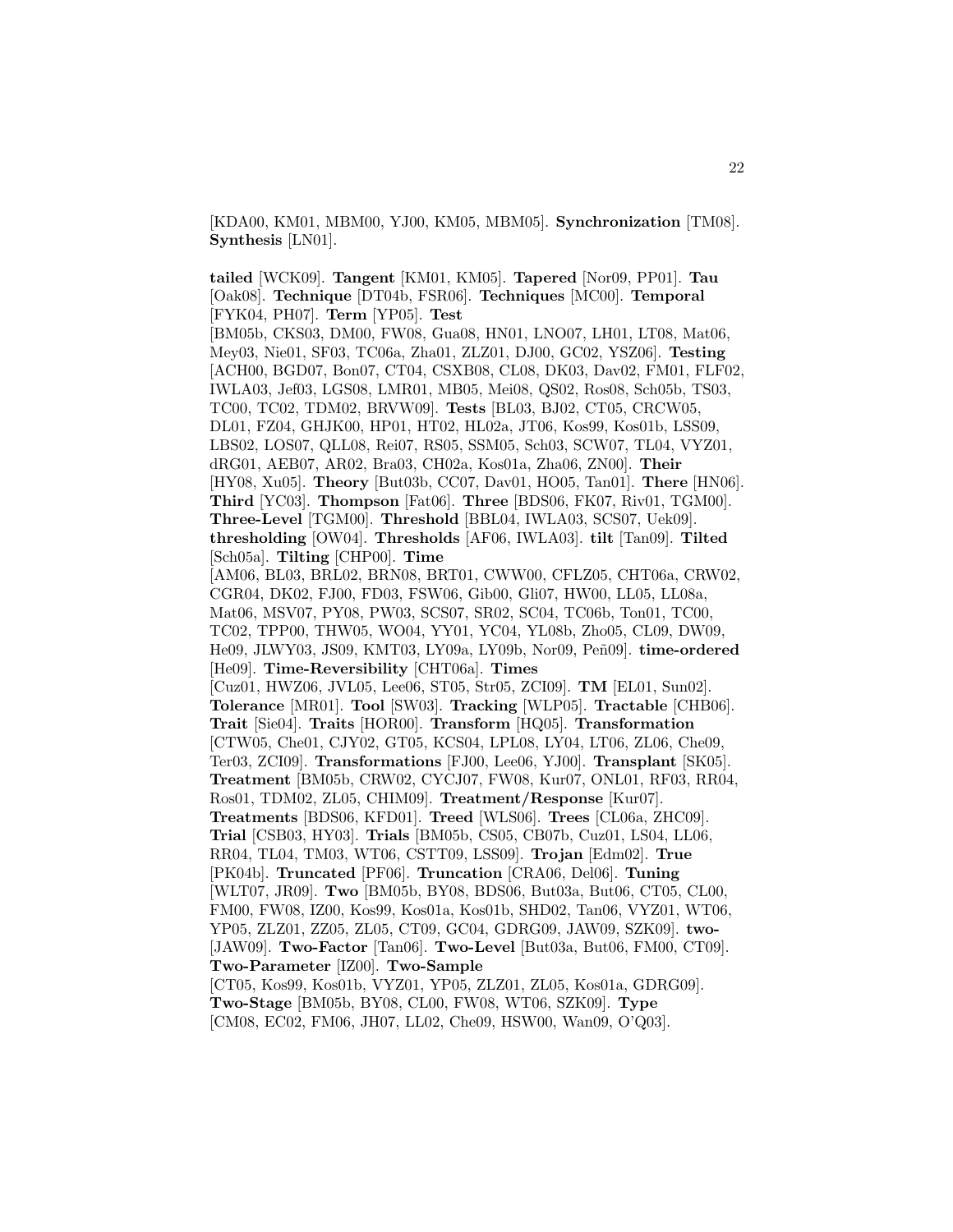[KDA00, KM01, MBM00, YJ00, KM05, MBM05]. **Synchronization** [TM08]. **Synthesis** [LN01].

**tailed** [WCK09]. **Tangent** [KM01, KM05]. **Tapered** [Nor09, PP01]. **Tau** [Oak08]. **Technique** [DT04b, FSR06]. **Techniques** [MC00]. **Temporal** [FYK04, PH07]. **Term** [YP05]. **Test** [BM05b, CKS03, DM00, FW08, Gua08, HN01, LNO07, LH01, LT08, Mat06, Mey03, Nie01, SF03, TC06a, Zha01, ZLZ01, DJ00, GC02, YSZ06]. **Testing** [ACH00, BGD07, Bon07, CT04, CSXB08, CL08, DK03, Dav02, FM01, FLF02, IWLA03, Jef03, LGS08, LMR01, MB05, Mei08, QS02, Ros08, Sch05b, TS03, TC00, TC02, TDM02, BRVW09]. **Tests** [BL03, BJ02, CT05, CRCW05, DL01, FZ04, GHJK00, HP01, HT02, HL02a, JT06, Kos99, Kos01b, LSS09, LBS02, LOS07, QLL08, Rei07, RS05, SSM05, Sch03, SCW07, TL04, VYZ01, dRG01, AEB07, AR02, Bra03, CH02a, Kos01a, Zha06, ZN00]. **Their** [HY08, Xu05]. **Theory** [But03b, CC07, Dav01, HO05, Tan01]. **There** [HN06]. **Third** [YC03]. **Thompson** [Fat06]. **Three** [BDS06, FK07, Riv01, TGM00]. **Three-Level** [TGM00]. **Threshold** [BBL04, IWLA03, SCS07, Uek09]. **thresholding** [OW04]. **Thresholds** [AF06, IWLA03]. **tilt** [Tan09]. **Tilted** [Sch05a]. **Tilting** [CHP00]. **Time** [AM06, BL03, BRL02, BRN08, BRT01, CWW00, CFLZ05, CHT06a, CRW02, CGR04, DK02, FJ00, FD03, FSW06, Gib00, Gli07, HW00, LL05, LL08a, Mat06, MSV07, PY08, PW03, SCS07, SR02, SC04, TC06b, Ton01, TC00, TC02, TPP00, THW05, WO04, YY01, YC04, YL08b, Zho05, CL09, DW09, He09, JLWY03, JS09, KMT03, LY09a, LY09b, Nor09, Peñ09]. **time-ordered** [He09]. **Time-Reversibility** [CHT06a]. **Times** [Cuz01, HWZ06, JVL05, Lee06, ST05, Str05, ZCI09]. **TM** [EL01, Sun02]. **Tolerance** [MR01]. **Tool** [SW03]. **Tracking** [WLP05]. **Tractable** [CHB06]. **Trait** [Sie04]. **Traits** [HOR00]. **Transform** [HQ05]. **Transformation** [CTW05, Che01, CJY02, GT05, KCS04, LPL08, LY04, LT06, ZL06, Che09, Ter03, ZCI09]. **Transformations** [FJ00, Lee06, YJ00]. **Transplant** [SK05]. **Treatment** [BM05b, CRW02, CYCJ07, FW08, Kur07, ONL01, RF03, RR04, Ros01, TDM02, ZL05, CHIM09]. **Treatment/Response** [Kur07]. **Treatments** [BDS06, KFD01]. **Treed** [WLS06]. **Trees** [CL06a, ZHC09]. **Trial** [CSB03, HY03]. **Trials** [BM05b, CS05, CB07b, Cuz01, LS04, LL06, RR04, TL04, TM03, WT06, CSTT09, LSS09]. **Trojan** [Edm02]. **True** [PK04b]. **Truncated** [PF06]. **Truncation** [CRA06, Del06]. **Tuning** [WLT07, JR09]. **Two** [BM05b, BY08, BDS06, But03a, But06, CT05, CL00, FM00, FW08, IZ00, Kos99, Kos01a, Kos01b, SHD02, Tan06, VYZ01, WT06, YP05, ZLZ01, ZZ05, ZL05, CT09, GC04, GDRG09, JAW09, SZK09]. **two-** [JAW09]. **Two-Factor** [Tan06]. **Two-Level** [But03a, But06, FM00, CT09]. **Two-Parameter** [IZ00]. **Two-Sample** [CT05, Kos99, Kos01b, VYZ01, YP05, ZLZ01, ZL05, Kos01a, GDRG09]. **Two-Stage** [BM05b, BY08, CL00, FW08, WT06, SZK09]. **Type**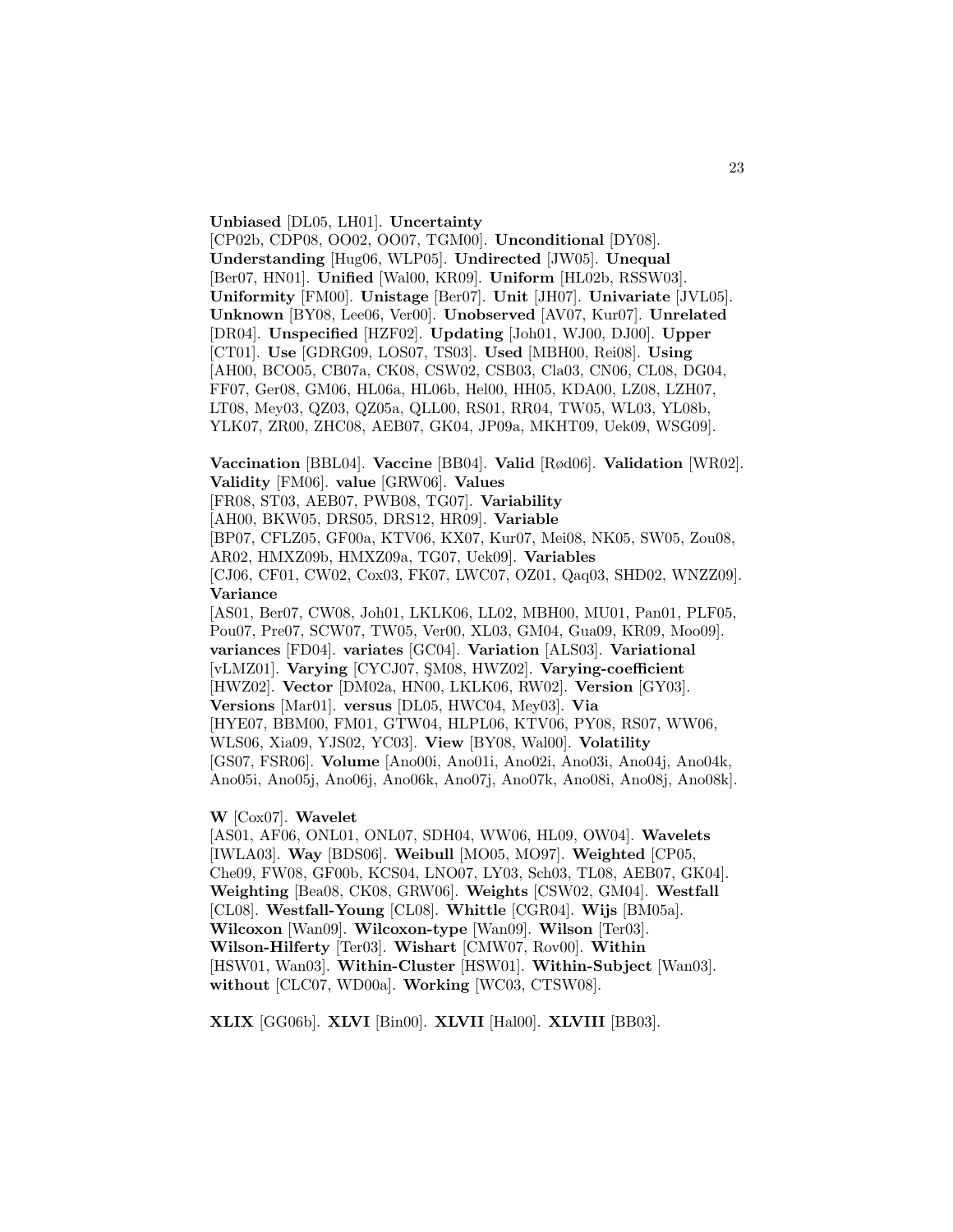**Unbiased** [DL05, LH01]. **Uncertainty** [CP02b, CDP08, OO02, OO07, TGM00]. **Unconditional** [DY08]. **Understanding** [Hug06, WLP05]. **Undirected** [JW05]. **Unequal** [Ber07, HN01]. **Unified** [Wal00, KR09]. **Uniform** [HL02b, RSSW03]. **Uniformity** [FM00]. **Unistage** [Ber07]. **Unit** [JH07]. **Univariate** [JVL05]. **Unknown** [BY08, Lee06, Ver00]. **Unobserved** [AV07, Kur07]. **Unrelated** [DR04]. **Unspecified** [HZF02]. **Updating** [Joh01, WJ00, DJ00]. **Upper** [CT01]. **Use** [GDRG09, LOS07, TS03]. **Used** [MBH00, Rei08]. **Using** [AH00, BCO05, CB07a, CK08, CSW02, CSB03, Cla03, CN06, CL08, DG04, FF07, Ger08, GM06, HL06a, HL06b, Hel00, HH05, KDA00, LZ08, LZH07, LT08, Mey03, QZ03, QZ05a, QLL00, RS01, RR04, TW05, WL03, YL08b, YLK07, ZR00, ZHC08, AEB07, GK04, JP09a, MKHT09, Uek09, WSG09].

**Vaccination** [BBL04]. **Vaccine** [BB04]. **Valid** [Rød06]. **Validation** [WR02]. **Validity** [FM06]. **value** [GRW06]. **Values**

[FR08, ST03, AEB07, PWB08, TG07]. **Variability**

[AH00, BKW05, DRS05, DRS12, HR09]. **Variable**

[BP07, CFLZ05, GF00a, KTV06, KX07, Kur07, Mei08, NK05, SW05, Zou08,

AR02, HMXZ09b, HMXZ09a, TG07, Uek09]. **Variables**

[CJ06, CF01, CW02, Cox03, FK07, LWC07, OZ01, Qaq03, SHD02, WNZZ09]. **Variance**

[AS01, Ber07, CW08, Joh01, LKLK06, LL02, MBH00, MU01, Pan01, PLF05, Pou07, Pre07, SCW07, TW05, Ver00, XL03, GM04, Gua09, KR09, Moo09]. **variances** [FD04]. **variates** [GC04]. **Variation** [ALS03]. **Variational** [vLMZ01]. **Varying** [CYCJ07, SM08, HWZ02]. **Varying-coefficient** [HWZ02]. **Vector** [DM02a, HN00, LKLK06, RW02]. **Version** [GY03]. **Versions** [Mar01]. **versus** [DL05, HWC04, Mey03]. **Via** [HYE07, BBM00, FM01, GTW04, HLPL06, KTV06, PY08, RS07, WW06, WLS06, Xia09, YJS02, YC03]. **View** [BY08, Wal00]. **Volatility** [GS07, FSR06]. **Volume** [Ano00i, Ano01i, Ano02i, Ano03i, Ano04j, Ano04k, Ano05i, Ano05j, Ano06j, Ano06k, Ano07j, Ano07k, Ano08i, Ano08j, Ano08k].

**W** [Cox07]. **Wavelet**

[AS01, AF06, ONL01, ONL07, SDH04, WW06, HL09, OW04]. **Wavelets** [IWLA03]. **Way** [BDS06]. **Weibull** [MO05, MO97]. **Weighted** [CP05, Che09, FW08, GF00b, KCS04, LNO07, LY03, Sch03, TL08, AEB07, GK04]. **Weighting** [Bea08, CK08, GRW06]. **Weights** [CSW02, GM04]. **Westfall** [CL08]. **Westfall-Young** [CL08]. **Whittle** [CGR04]. **Wijs** [BM05a]. **Wilcoxon** [Wan09]. **Wilcoxon-type** [Wan09]. **Wilson** [Ter03]. **Wilson-Hilferty** [Ter03]. **Wishart** [CMW07, Rov00]. **Within** [HSW01, Wan03]. **Within-Cluster** [HSW01]. **Within-Subject** [Wan03]. **without** [CLC07, WD00a]. **Working** [WC03, CTSW08].

**XLIX** [GG06b]. **XLVI** [Bin00]. **XLVII** [Hal00]. **XLVIII** [BB03].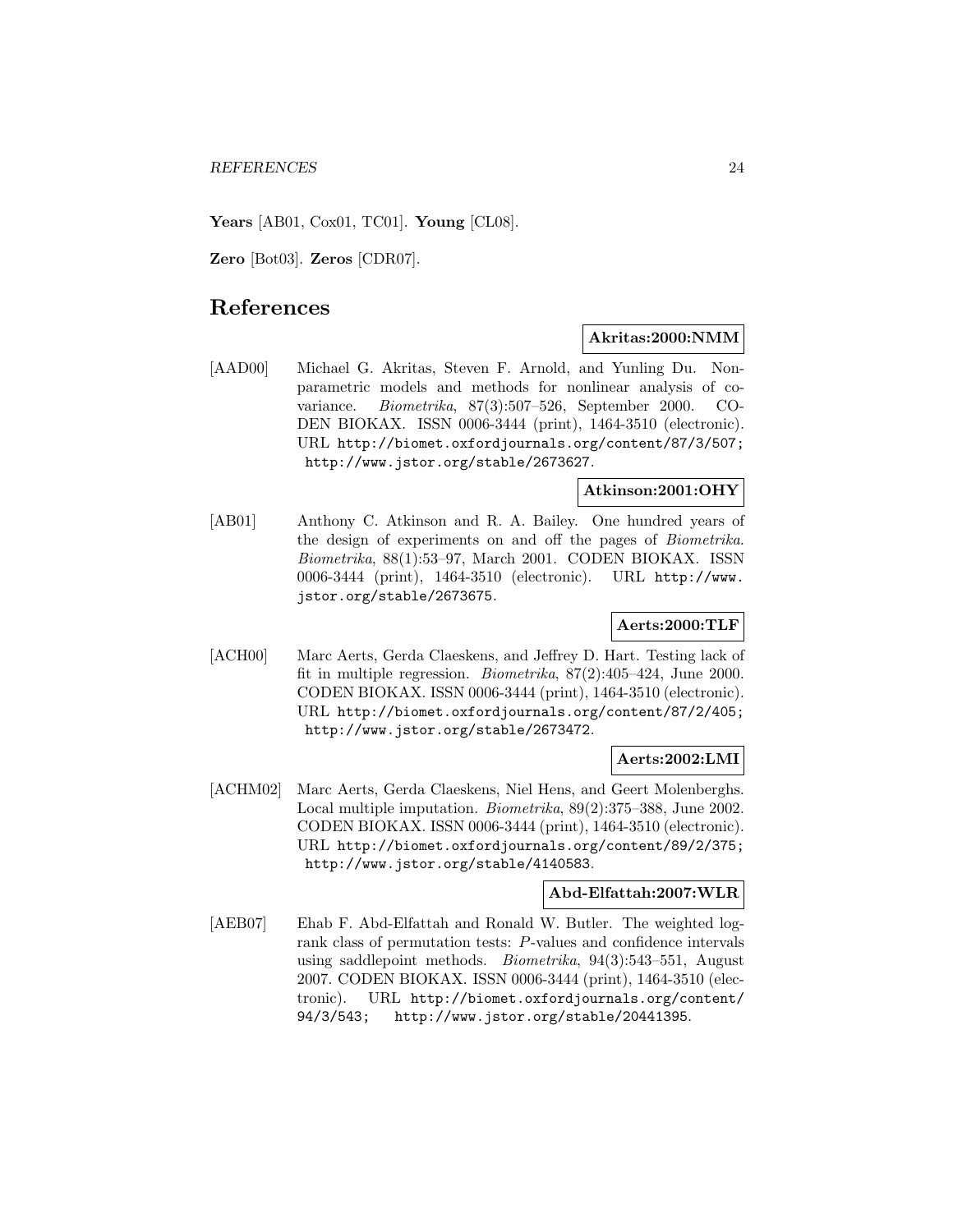**Years** [AB01, Cox01, TC01]. **Young** [CL08].

**Zero** [Bot03]. **Zeros** [CDR07].

## **References**

## **Akritas:2000:NMM**

[AAD00] Michael G. Akritas, Steven F. Arnold, and Yunling Du. Nonparametric models and methods for nonlinear analysis of covariance. Biometrika, 87(3):507–526, September 2000. CO-DEN BIOKAX. ISSN 0006-3444 (print), 1464-3510 (electronic). URL http://biomet.oxfordjournals.org/content/87/3/507; http://www.jstor.org/stable/2673627.

## **Atkinson:2001:OHY**

[AB01] Anthony C. Atkinson and R. A. Bailey. One hundred years of the design of experiments on and off the pages of Biometrika. Biometrika, 88(1):53–97, March 2001. CODEN BIOKAX. ISSN 0006-3444 (print), 1464-3510 (electronic). URL http://www. jstor.org/stable/2673675.

## **Aerts:2000:TLF**

[ACH00] Marc Aerts, Gerda Claeskens, and Jeffrey D. Hart. Testing lack of fit in multiple regression. Biometrika, 87(2):405–424, June 2000. CODEN BIOKAX. ISSN 0006-3444 (print), 1464-3510 (electronic). URL http://biomet.oxfordjournals.org/content/87/2/405; http://www.jstor.org/stable/2673472.

#### **Aerts:2002:LMI**

[ACHM02] Marc Aerts, Gerda Claeskens, Niel Hens, and Geert Molenberghs. Local multiple imputation. Biometrika, 89(2):375–388, June 2002. CODEN BIOKAX. ISSN 0006-3444 (print), 1464-3510 (electronic). URL http://biomet.oxfordjournals.org/content/89/2/375; http://www.jstor.org/stable/4140583.

## **Abd-Elfattah:2007:WLR**

[AEB07] Ehab F. Abd-Elfattah and Ronald W. Butler. The weighted logrank class of permutation tests: P-values and confidence intervals using saddlepoint methods. Biometrika, 94(3):543–551, August 2007. CODEN BIOKAX. ISSN 0006-3444 (print), 1464-3510 (electronic). URL http://biomet.oxfordjournals.org/content/ 94/3/543; http://www.jstor.org/stable/20441395.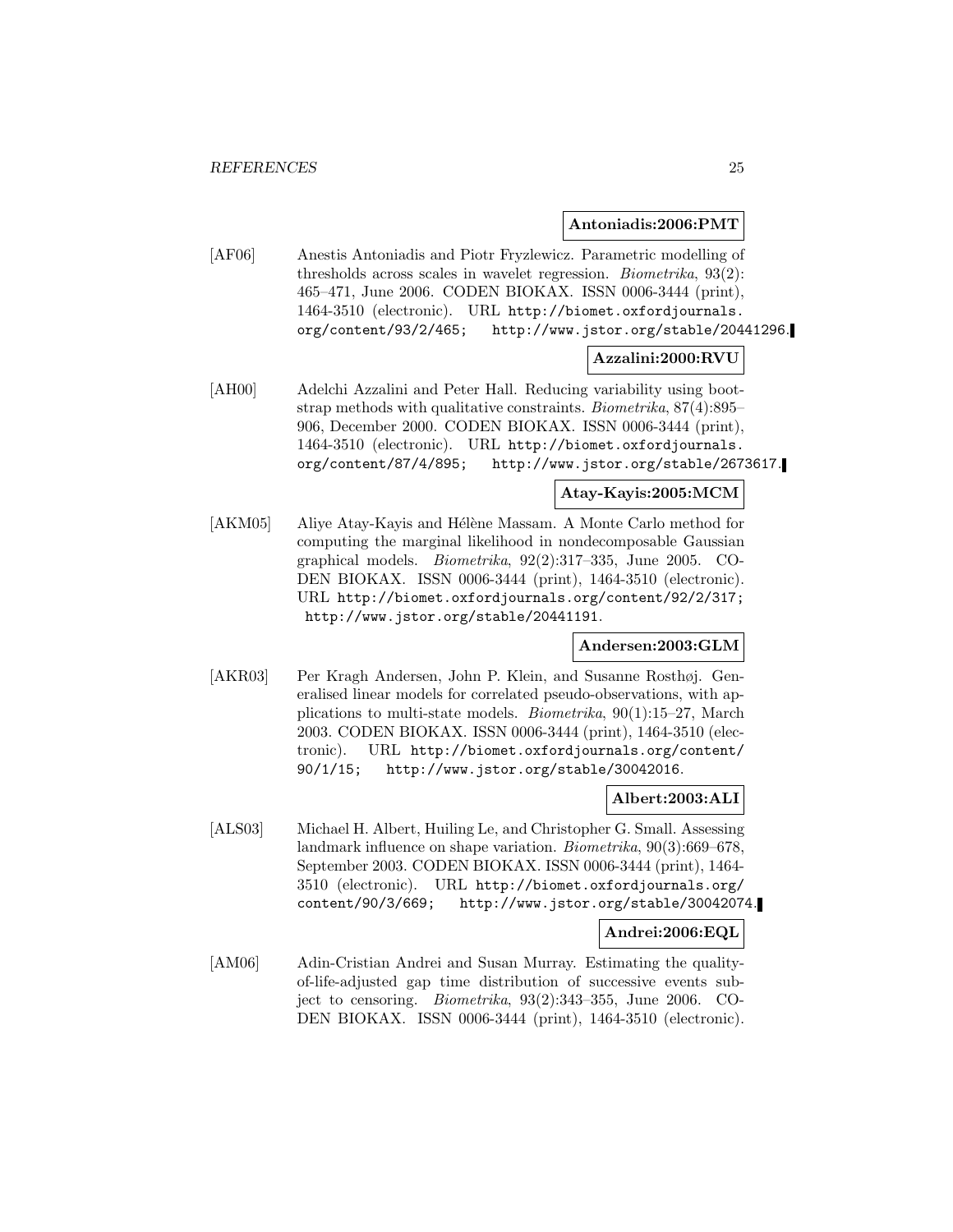#### **Antoniadis:2006:PMT**

[AF06] Anestis Antoniadis and Piotr Fryzlewicz. Parametric modelling of thresholds across scales in wavelet regression. Biometrika, 93(2): 465–471, June 2006. CODEN BIOKAX. ISSN 0006-3444 (print), 1464-3510 (electronic). URL http://biomet.oxfordjournals. org/content/93/2/465; http://www.jstor.org/stable/20441296.

## **Azzalini:2000:RVU**

[AH00] Adelchi Azzalini and Peter Hall. Reducing variability using bootstrap methods with qualitative constraints. Biometrika, 87(4):895– 906, December 2000. CODEN BIOKAX. ISSN 0006-3444 (print), 1464-3510 (electronic). URL http://biomet.oxfordjournals. org/content/87/4/895; http://www.jstor.org/stable/2673617.

## **Atay-Kayis:2005:MCM**

[AKM05] Aliye Atay-Kayis and Hélène Massam. A Monte Carlo method for computing the marginal likelihood in nondecomposable Gaussian graphical models. Biometrika, 92(2):317–335, June 2005. CO-DEN BIOKAX. ISSN 0006-3444 (print), 1464-3510 (electronic). URL http://biomet.oxfordjournals.org/content/92/2/317; http://www.jstor.org/stable/20441191.

## **Andersen:2003:GLM**

[AKR03] Per Kragh Andersen, John P. Klein, and Susanne Rosthøj. Generalised linear models for correlated pseudo-observations, with applications to multi-state models. Biometrika, 90(1):15–27, March 2003. CODEN BIOKAX. ISSN 0006-3444 (print), 1464-3510 (electronic). URL http://biomet.oxfordjournals.org/content/ 90/1/15; http://www.jstor.org/stable/30042016.

## **Albert:2003:ALI**

[ALS03] Michael H. Albert, Huiling Le, and Christopher G. Small. Assessing landmark influence on shape variation. Biometrika, 90(3):669–678, September 2003. CODEN BIOKAX. ISSN 0006-3444 (print), 1464- 3510 (electronic). URL http://biomet.oxfordjournals.org/ content/90/3/669; http://www.jstor.org/stable/30042074.

## **Andrei:2006:EQL**

[AM06] Adin-Cristian Andrei and Susan Murray. Estimating the qualityof-life-adjusted gap time distribution of successive events subject to censoring. Biometrika, 93(2):343–355, June 2006. CO-DEN BIOKAX. ISSN 0006-3444 (print), 1464-3510 (electronic).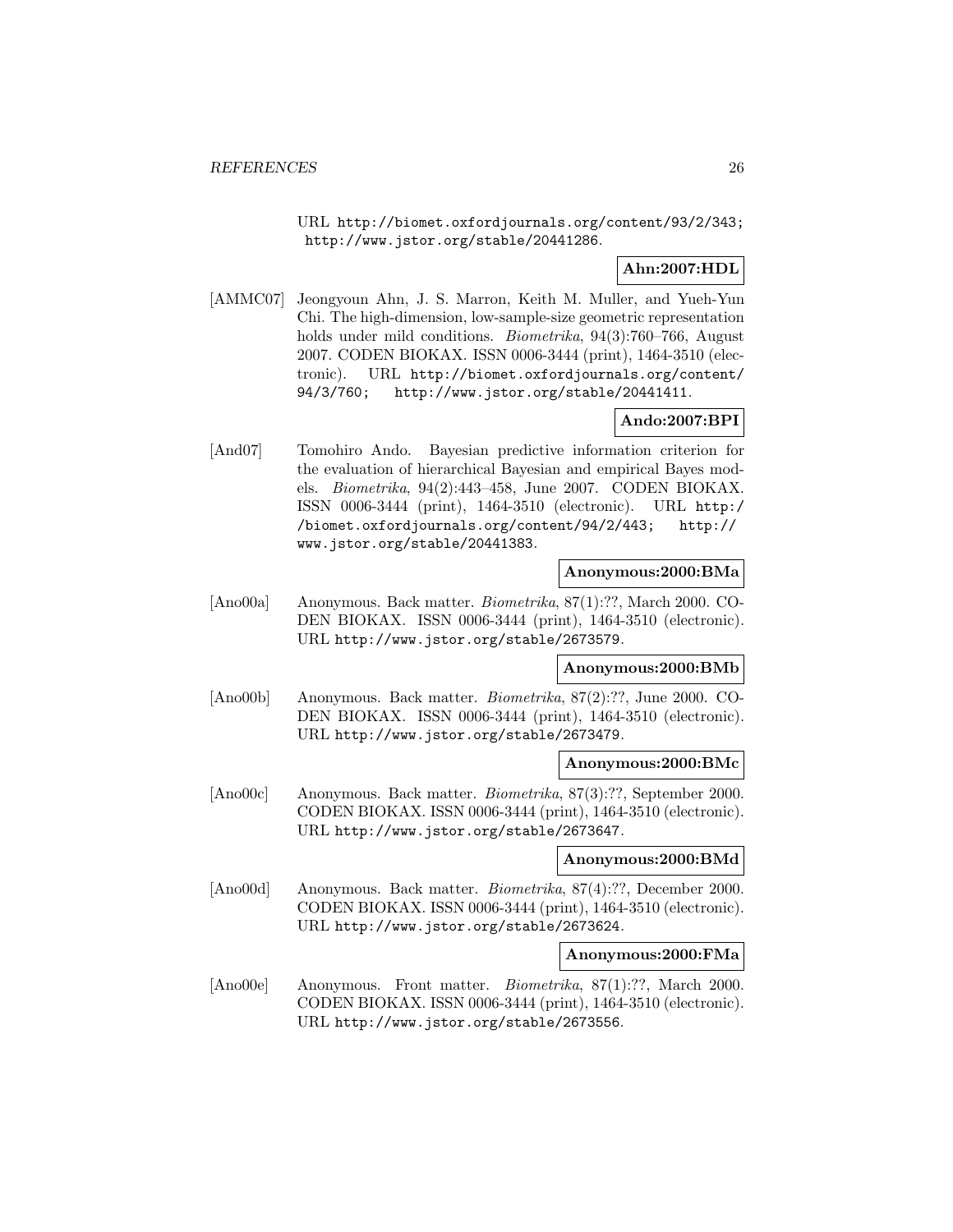URL http://biomet.oxfordjournals.org/content/93/2/343; http://www.jstor.org/stable/20441286.

## **Ahn:2007:HDL**

[AMMC07] Jeongyoun Ahn, J. S. Marron, Keith M. Muller, and Yueh-Yun Chi. The high-dimension, low-sample-size geometric representation holds under mild conditions. *Biometrika*, 94(3):760–766, August 2007. CODEN BIOKAX. ISSN 0006-3444 (print), 1464-3510 (electronic). URL http://biomet.oxfordjournals.org/content/ 94/3/760; http://www.jstor.org/stable/20441411.

## **Ando:2007:BPI**

[And07] Tomohiro Ando. Bayesian predictive information criterion for the evaluation of hierarchical Bayesian and empirical Bayes models. Biometrika, 94(2):443–458, June 2007. CODEN BIOKAX. ISSN 0006-3444 (print), 1464-3510 (electronic). URL http:/ /biomet.oxfordjournals.org/content/94/2/443; http:// www.jstor.org/stable/20441383.

## **Anonymous:2000:BMa**

[Ano00a] Anonymous. Back matter. Biometrika, 87(1):??, March 2000. CO-DEN BIOKAX. ISSN 0006-3444 (print), 1464-3510 (electronic). URL http://www.jstor.org/stable/2673579.

#### **Anonymous:2000:BMb**

[Ano00b] Anonymous. Back matter. Biometrika, 87(2):??, June 2000. CO-DEN BIOKAX. ISSN 0006-3444 (print), 1464-3510 (electronic). URL http://www.jstor.org/stable/2673479.

#### **Anonymous:2000:BMc**

[Ano00c] Anonymous. Back matter. Biometrika, 87(3):??, September 2000. CODEN BIOKAX. ISSN 0006-3444 (print), 1464-3510 (electronic). URL http://www.jstor.org/stable/2673647.

## **Anonymous:2000:BMd**

[Ano00d] Anonymous. Back matter. Biometrika, 87(4):??, December 2000. CODEN BIOKAX. ISSN 0006-3444 (print), 1464-3510 (electronic). URL http://www.jstor.org/stable/2673624.

## **Anonymous:2000:FMa**

[Ano00e] Anonymous. Front matter. Biometrika, 87(1):??, March 2000. CODEN BIOKAX. ISSN 0006-3444 (print), 1464-3510 (electronic). URL http://www.jstor.org/stable/2673556.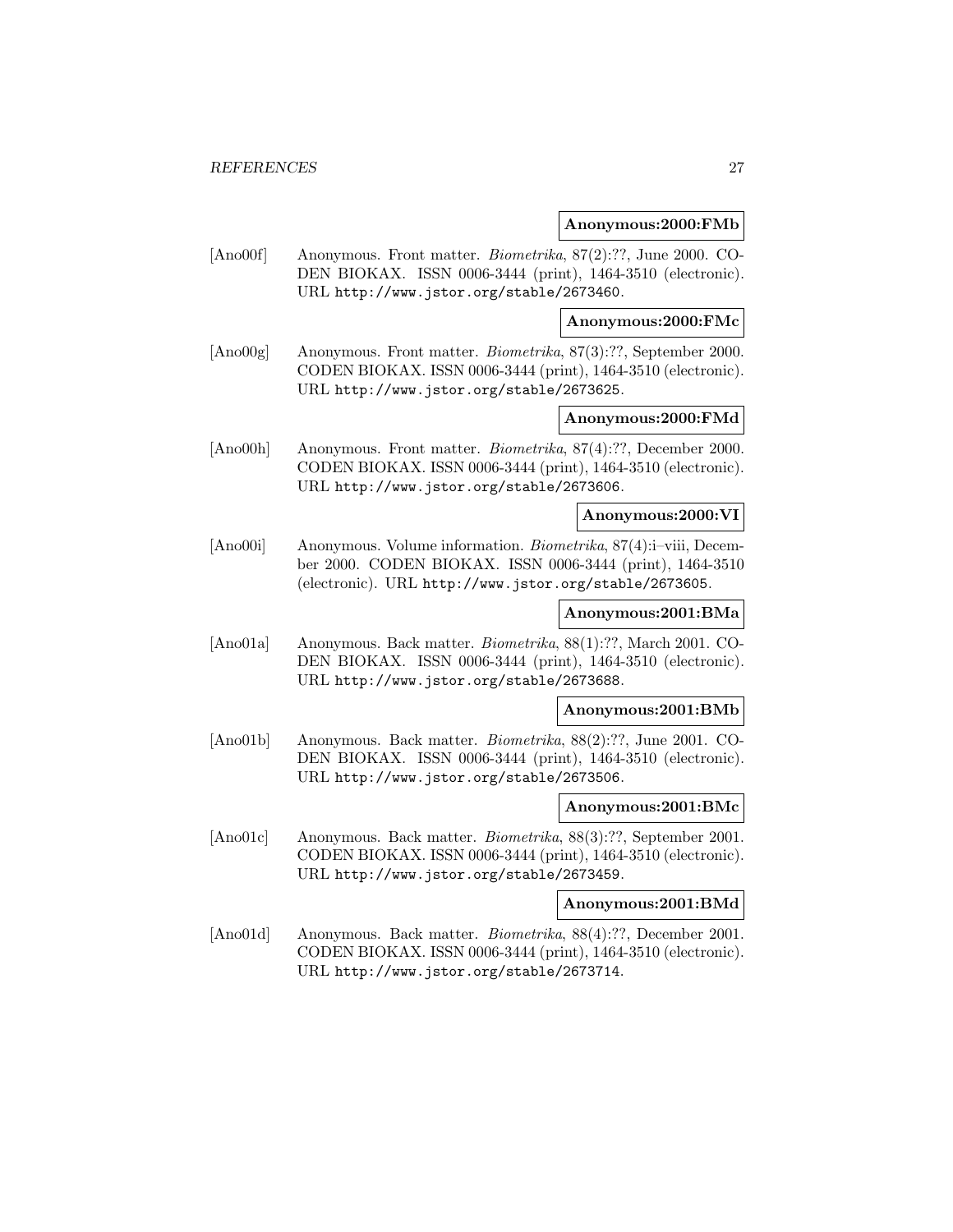#### **Anonymous:2000:FMb**

[Ano00f] Anonymous. Front matter. Biometrika, 87(2):??, June 2000. CO-DEN BIOKAX. ISSN 0006-3444 (print), 1464-3510 (electronic). URL http://www.jstor.org/stable/2673460.

**Anonymous:2000:FMc**

[Ano00g] Anonymous. Front matter. Biometrika, 87(3):??, September 2000. CODEN BIOKAX. ISSN 0006-3444 (print), 1464-3510 (electronic). URL http://www.jstor.org/stable/2673625.

## **Anonymous:2000:FMd**

[Ano00h] Anonymous. Front matter. Biometrika, 87(4):??, December 2000. CODEN BIOKAX. ISSN 0006-3444 (print), 1464-3510 (electronic). URL http://www.jstor.org/stable/2673606.

## **Anonymous:2000:VI**

[Ano00i] Anonymous. Volume information. Biometrika, 87(4):i–viii, December 2000. CODEN BIOKAX. ISSN 0006-3444 (print), 1464-3510 (electronic). URL http://www.jstor.org/stable/2673605.

## **Anonymous:2001:BMa**

[Ano01a] Anonymous. Back matter. Biometrika, 88(1):??, March 2001. CO-DEN BIOKAX. ISSN 0006-3444 (print), 1464-3510 (electronic). URL http://www.jstor.org/stable/2673688.

#### **Anonymous:2001:BMb**

[Ano01b] Anonymous. Back matter. Biometrika, 88(2):??, June 2001. CO-DEN BIOKAX. ISSN 0006-3444 (print), 1464-3510 (electronic). URL http://www.jstor.org/stable/2673506.

#### **Anonymous:2001:BMc**

[Ano01c] Anonymous. Back matter. Biometrika, 88(3):??, September 2001. CODEN BIOKAX. ISSN 0006-3444 (print), 1464-3510 (electronic). URL http://www.jstor.org/stable/2673459.

## **Anonymous:2001:BMd**

[Ano01d] Anonymous. Back matter. Biometrika, 88(4):??, December 2001. CODEN BIOKAX. ISSN 0006-3444 (print), 1464-3510 (electronic). URL http://www.jstor.org/stable/2673714.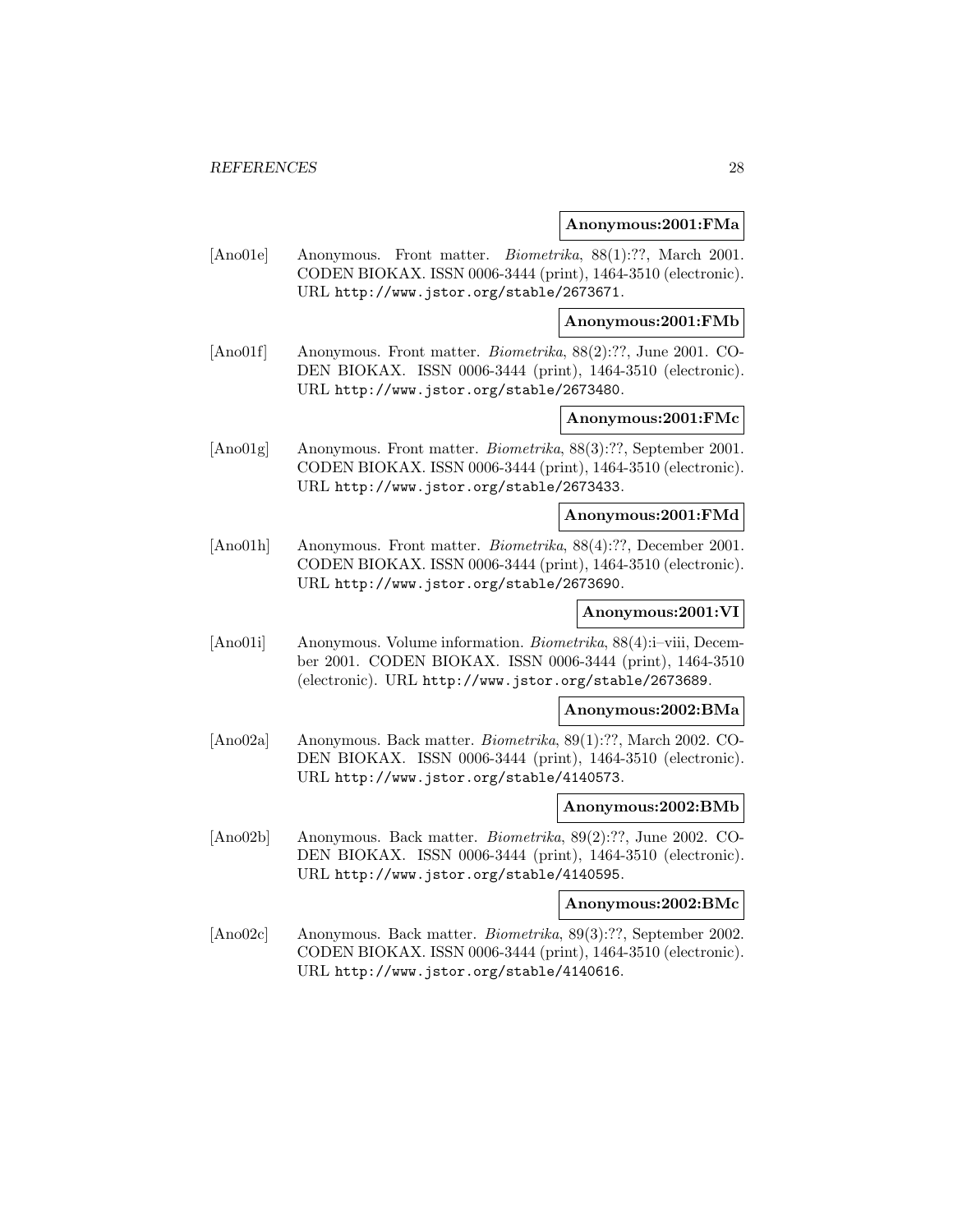#### **Anonymous:2001:FMa**

[Ano01e] Anonymous. Front matter. *Biometrika*, 88(1):??, March 2001. CODEN BIOKAX. ISSN 0006-3444 (print), 1464-3510 (electronic). URL http://www.jstor.org/stable/2673671.

**Anonymous:2001:FMb**

[Ano01f] Anonymous. Front matter. Biometrika, 88(2):??, June 2001. CO-DEN BIOKAX. ISSN 0006-3444 (print), 1464-3510 (electronic). URL http://www.jstor.org/stable/2673480.

## **Anonymous:2001:FMc**

[Ano01g] Anonymous. Front matter. Biometrika, 88(3):??, September 2001. CODEN BIOKAX. ISSN 0006-3444 (print), 1464-3510 (electronic). URL http://www.jstor.org/stable/2673433.

## **Anonymous:2001:FMd**

[Ano01h] Anonymous. Front matter. Biometrika, 88(4):??, December 2001. CODEN BIOKAX. ISSN 0006-3444 (print), 1464-3510 (electronic). URL http://www.jstor.org/stable/2673690.

## **Anonymous:2001:VI**

[Ano01i] Anonymous. Volume information. Biometrika, 88(4):i–viii, December 2001. CODEN BIOKAX. ISSN 0006-3444 (print), 1464-3510 (electronic). URL http://www.jstor.org/stable/2673689.

#### **Anonymous:2002:BMa**

[Ano02a] Anonymous. Back matter. Biometrika, 89(1):??, March 2002. CO-DEN BIOKAX. ISSN 0006-3444 (print), 1464-3510 (electronic). URL http://www.jstor.org/stable/4140573.

#### **Anonymous:2002:BMb**

[Ano02b] Anonymous. Back matter. Biometrika, 89(2):??, June 2002. CO-DEN BIOKAX. ISSN 0006-3444 (print), 1464-3510 (electronic). URL http://www.jstor.org/stable/4140595.

**Anonymous:2002:BMc**

[Ano02c] Anonymous. Back matter. Biometrika, 89(3):??, September 2002. CODEN BIOKAX. ISSN 0006-3444 (print), 1464-3510 (electronic). URL http://www.jstor.org/stable/4140616.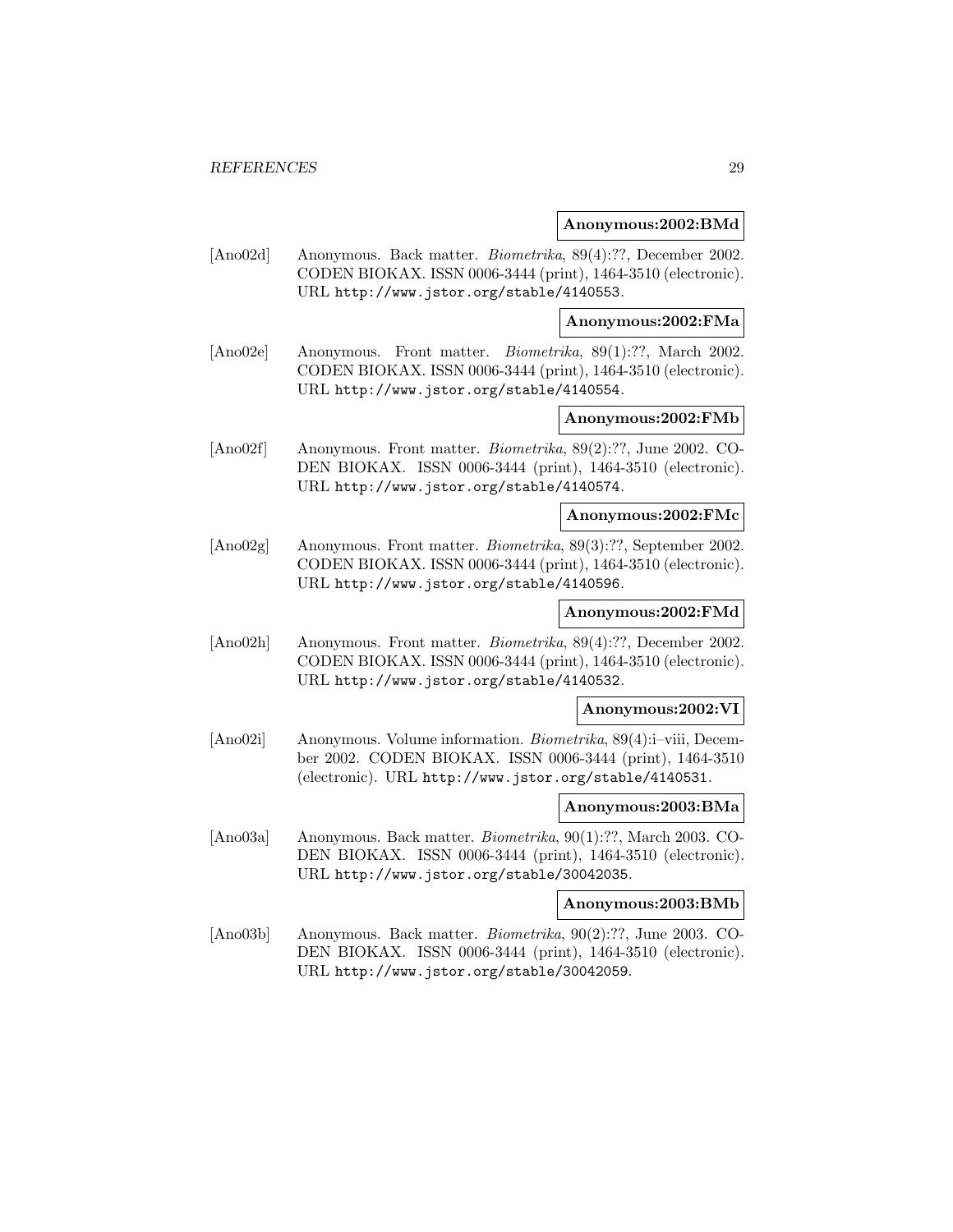#### **Anonymous:2002:BMd**

[Ano02d] Anonymous. Back matter. Biometrika, 89(4):??, December 2002. CODEN BIOKAX. ISSN 0006-3444 (print), 1464-3510 (electronic). URL http://www.jstor.org/stable/4140553.

**Anonymous:2002:FMa**

[Ano02e] Anonymous. Front matter. Biometrika, 89(1):??, March 2002. CODEN BIOKAX. ISSN 0006-3444 (print), 1464-3510 (electronic). URL http://www.jstor.org/stable/4140554.

## **Anonymous:2002:FMb**

[Ano02f] Anonymous. Front matter. Biometrika, 89(2):??, June 2002. CO-DEN BIOKAX. ISSN 0006-3444 (print), 1464-3510 (electronic). URL http://www.jstor.org/stable/4140574.

## **Anonymous:2002:FMc**

[Ano02g] Anonymous. Front matter. Biometrika, 89(3):??, September 2002. CODEN BIOKAX. ISSN 0006-3444 (print), 1464-3510 (electronic). URL http://www.jstor.org/stable/4140596.

## **Anonymous:2002:FMd**

[Ano02h] Anonymous. Front matter. Biometrika, 89(4):??, December 2002. CODEN BIOKAX. ISSN 0006-3444 (print), 1464-3510 (electronic). URL http://www.jstor.org/stable/4140532.

#### **Anonymous:2002:VI**

[Ano02i] Anonymous. Volume information. Biometrika, 89(4):i–viii, December 2002. CODEN BIOKAX. ISSN 0006-3444 (print), 1464-3510 (electronic). URL http://www.jstor.org/stable/4140531.

#### **Anonymous:2003:BMa**

[Ano03a] Anonymous. Back matter. Biometrika, 90(1):??, March 2003. CO-DEN BIOKAX. ISSN 0006-3444 (print), 1464-3510 (electronic). URL http://www.jstor.org/stable/30042035.

## **Anonymous:2003:BMb**

[Ano03b] Anonymous. Back matter. Biometrika, 90(2):??, June 2003. CO-DEN BIOKAX. ISSN 0006-3444 (print), 1464-3510 (electronic). URL http://www.jstor.org/stable/30042059.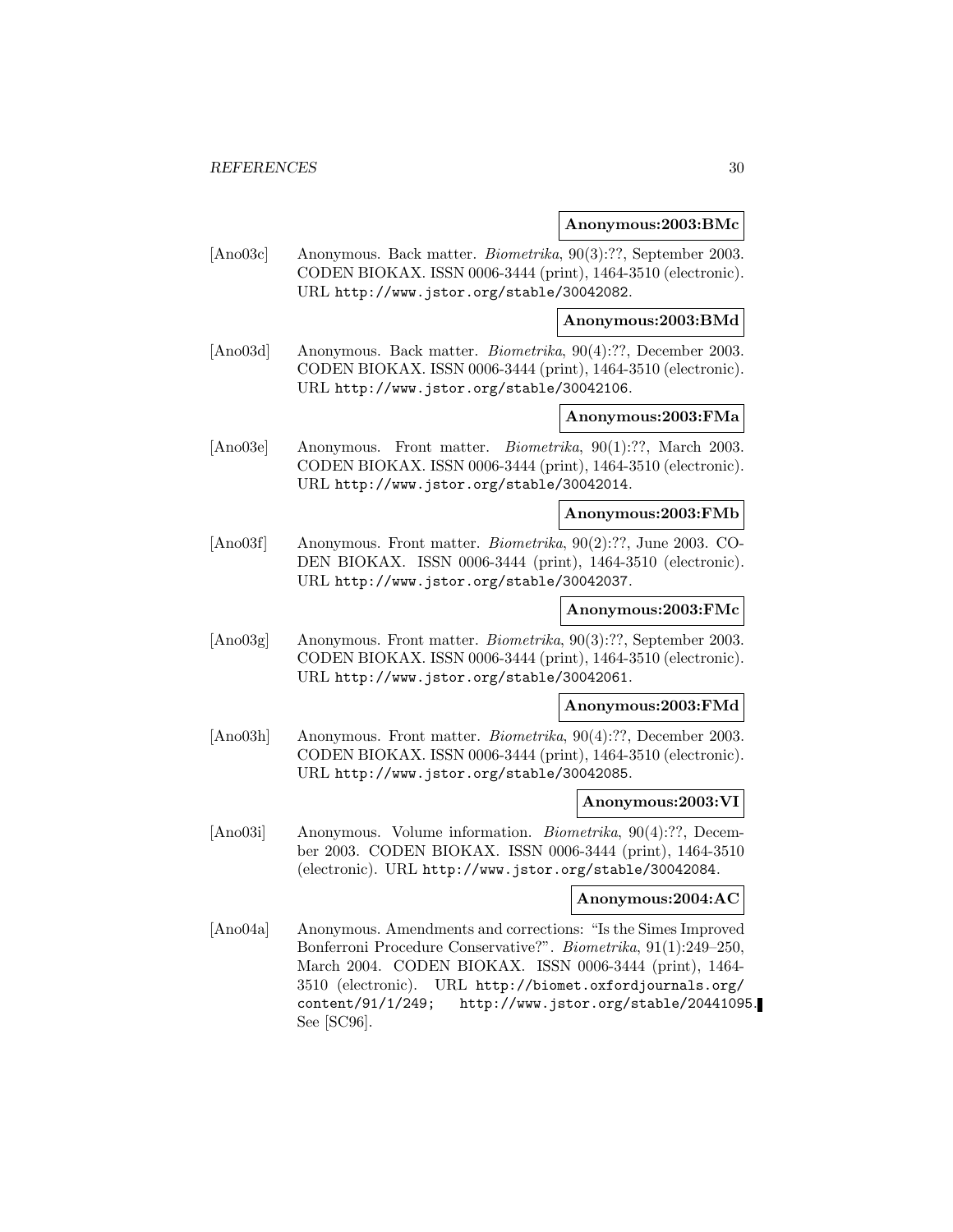#### **Anonymous:2003:BMc**

[Ano03c] Anonymous. Back matter. Biometrika, 90(3):??, September 2003. CODEN BIOKAX. ISSN 0006-3444 (print), 1464-3510 (electronic). URL http://www.jstor.org/stable/30042082.

## **Anonymous:2003:BMd**

[Ano03d] Anonymous. Back matter. Biometrika, 90(4):??, December 2003. CODEN BIOKAX. ISSN 0006-3444 (print), 1464-3510 (electronic). URL http://www.jstor.org/stable/30042106.

## **Anonymous:2003:FMa**

[Ano03e] Anonymous. Front matter. Biometrika, 90(1):??, March 2003. CODEN BIOKAX. ISSN 0006-3444 (print), 1464-3510 (electronic). URL http://www.jstor.org/stable/30042014.

## **Anonymous:2003:FMb**

[Ano03f] Anonymous. Front matter. Biometrika, 90(2):??, June 2003. CO-DEN BIOKAX. ISSN 0006-3444 (print), 1464-3510 (electronic). URL http://www.jstor.org/stable/30042037.

#### **Anonymous:2003:FMc**

[Ano03g] Anonymous. Front matter. Biometrika, 90(3):??, September 2003. CODEN BIOKAX. ISSN 0006-3444 (print), 1464-3510 (electronic). URL http://www.jstor.org/stable/30042061.

#### **Anonymous:2003:FMd**

[Ano03h] Anonymous. Front matter. *Biometrika*, 90(4):??, December 2003. CODEN BIOKAX. ISSN 0006-3444 (print), 1464-3510 (electronic). URL http://www.jstor.org/stable/30042085.

#### **Anonymous:2003:VI**

[Ano03i] Anonymous. Volume information. Biometrika, 90(4):??, December 2003. CODEN BIOKAX. ISSN 0006-3444 (print), 1464-3510 (electronic). URL http://www.jstor.org/stable/30042084.

## **Anonymous:2004:AC**

[Ano04a] Anonymous. Amendments and corrections: "Is the Simes Improved Bonferroni Procedure Conservative?". Biometrika, 91(1):249–250, March 2004. CODEN BIOKAX. ISSN 0006-3444 (print), 1464- 3510 (electronic). URL http://biomet.oxfordjournals.org/ content/91/1/249; http://www.jstor.org/stable/20441095. See [SC96].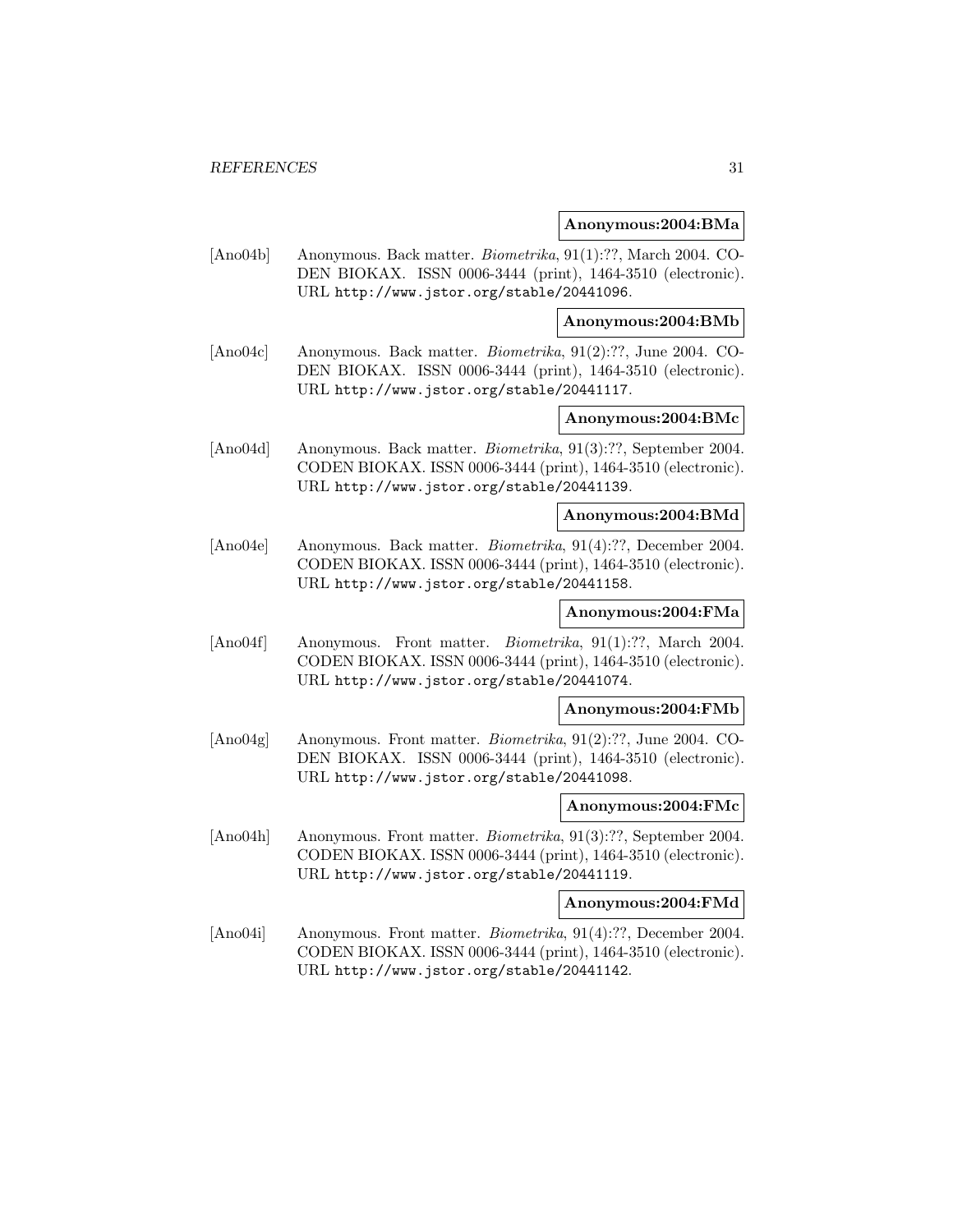#### **Anonymous:2004:BMa**

[Ano04b] Anonymous. Back matter. Biometrika, 91(1):??, March 2004. CO-DEN BIOKAX. ISSN 0006-3444 (print), 1464-3510 (electronic). URL http://www.jstor.org/stable/20441096.

#### **Anonymous:2004:BMb**

[Ano04c] Anonymous. Back matter. Biometrika, 91(2):??, June 2004. CO-DEN BIOKAX. ISSN 0006-3444 (print), 1464-3510 (electronic). URL http://www.jstor.org/stable/20441117.

## **Anonymous:2004:BMc**

[Ano04d] Anonymous. Back matter. Biometrika, 91(3):??, September 2004. CODEN BIOKAX. ISSN 0006-3444 (print), 1464-3510 (electronic). URL http://www.jstor.org/stable/20441139.

## **Anonymous:2004:BMd**

[Ano04e] Anonymous. Back matter. Biometrika, 91(4):??, December 2004. CODEN BIOKAX. ISSN 0006-3444 (print), 1464-3510 (electronic). URL http://www.jstor.org/stable/20441158.

## **Anonymous:2004:FMa**

[Ano04f] Anonymous. Front matter. *Biometrika*, 91(1):??, March 2004. CODEN BIOKAX. ISSN 0006-3444 (print), 1464-3510 (electronic). URL http://www.jstor.org/stable/20441074.

#### **Anonymous:2004:FMb**

[Ano04g] Anonymous. Front matter. Biometrika, 91(2):??, June 2004. CO-DEN BIOKAX. ISSN 0006-3444 (print), 1464-3510 (electronic). URL http://www.jstor.org/stable/20441098.

#### **Anonymous:2004:FMc**

[Ano04h] Anonymous. Front matter. Biometrika, 91(3):??, September 2004. CODEN BIOKAX. ISSN 0006-3444 (print), 1464-3510 (electronic). URL http://www.jstor.org/stable/20441119.

#### **Anonymous:2004:FMd**

[Ano04i] Anonymous. Front matter. Biometrika, 91(4):??, December 2004. CODEN BIOKAX. ISSN 0006-3444 (print), 1464-3510 (electronic). URL http://www.jstor.org/stable/20441142.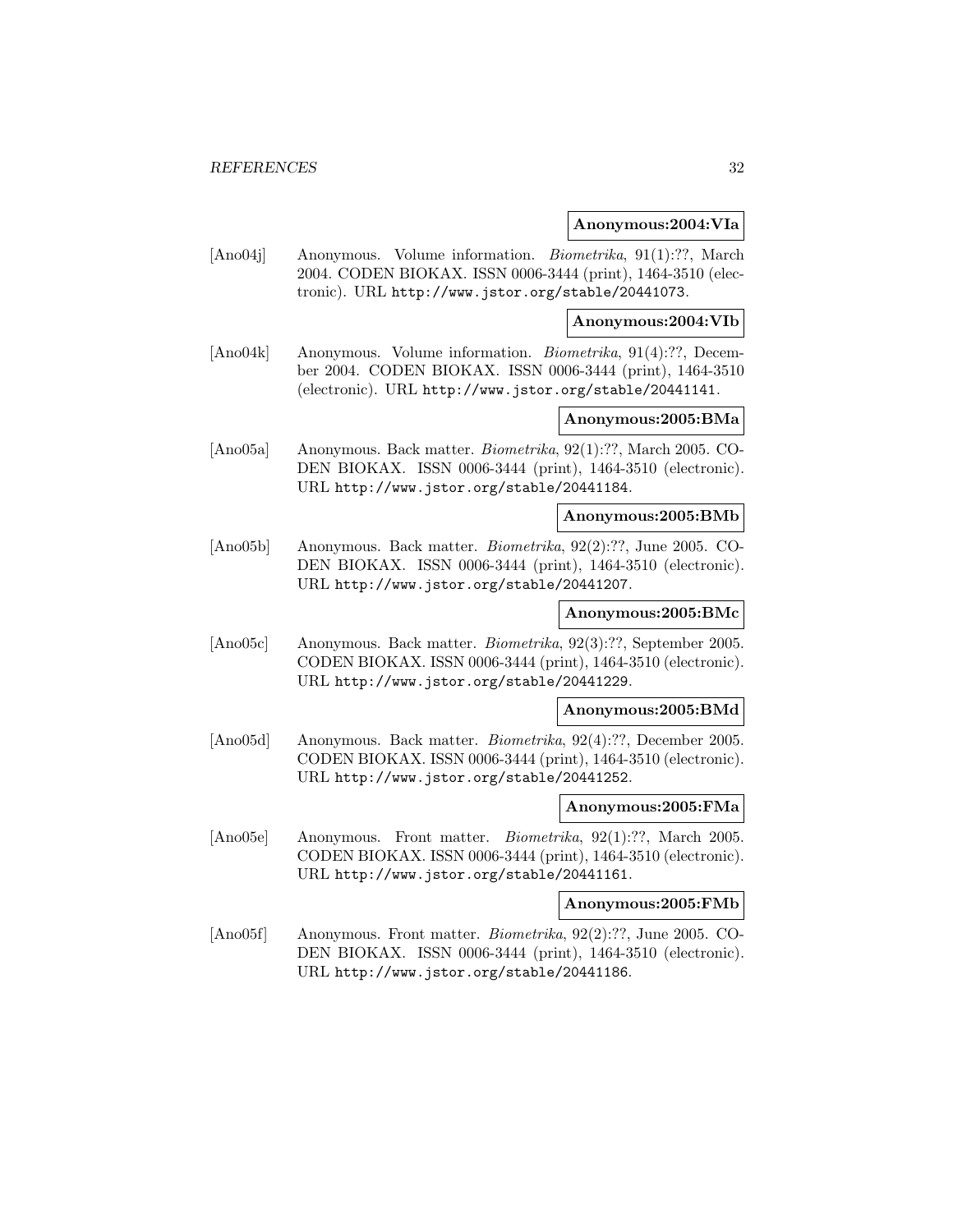#### **Anonymous:2004:VIa**

[Ano04j] Anonymous. Volume information. Biometrika, 91(1):??, March 2004. CODEN BIOKAX. ISSN 0006-3444 (print), 1464-3510 (electronic). URL http://www.jstor.org/stable/20441073.

**Anonymous:2004:VIb**

[Ano04k] Anonymous. Volume information. Biometrika, 91(4):??, December 2004. CODEN BIOKAX. ISSN 0006-3444 (print), 1464-3510 (electronic). URL http://www.jstor.org/stable/20441141.

## **Anonymous:2005:BMa**

[Ano05a] Anonymous. Back matter. Biometrika, 92(1):??, March 2005. CO-DEN BIOKAX. ISSN 0006-3444 (print), 1464-3510 (electronic). URL http://www.jstor.org/stable/20441184.

#### **Anonymous:2005:BMb**

[Ano05b] Anonymous. Back matter. Biometrika, 92(2):??, June 2005. CO-DEN BIOKAX. ISSN 0006-3444 (print), 1464-3510 (electronic). URL http://www.jstor.org/stable/20441207.

## **Anonymous:2005:BMc**

[Ano05c] Anonymous. Back matter. Biometrika, 92(3):??, September 2005. CODEN BIOKAX. ISSN 0006-3444 (print), 1464-3510 (electronic). URL http://www.jstor.org/stable/20441229.

#### **Anonymous:2005:BMd**

[Ano05d] Anonymous. Back matter. Biometrika, 92(4):??, December 2005. CODEN BIOKAX. ISSN 0006-3444 (print), 1464-3510 (electronic). URL http://www.jstor.org/stable/20441252.

#### **Anonymous:2005:FMa**

[Ano05e] Anonymous. Front matter. Biometrika, 92(1):??, March 2005. CODEN BIOKAX. ISSN 0006-3444 (print), 1464-3510 (electronic). URL http://www.jstor.org/stable/20441161.

## **Anonymous:2005:FMb**

[Ano05f] Anonymous. Front matter. Biometrika, 92(2):??, June 2005. CO-DEN BIOKAX. ISSN 0006-3444 (print), 1464-3510 (electronic). URL http://www.jstor.org/stable/20441186.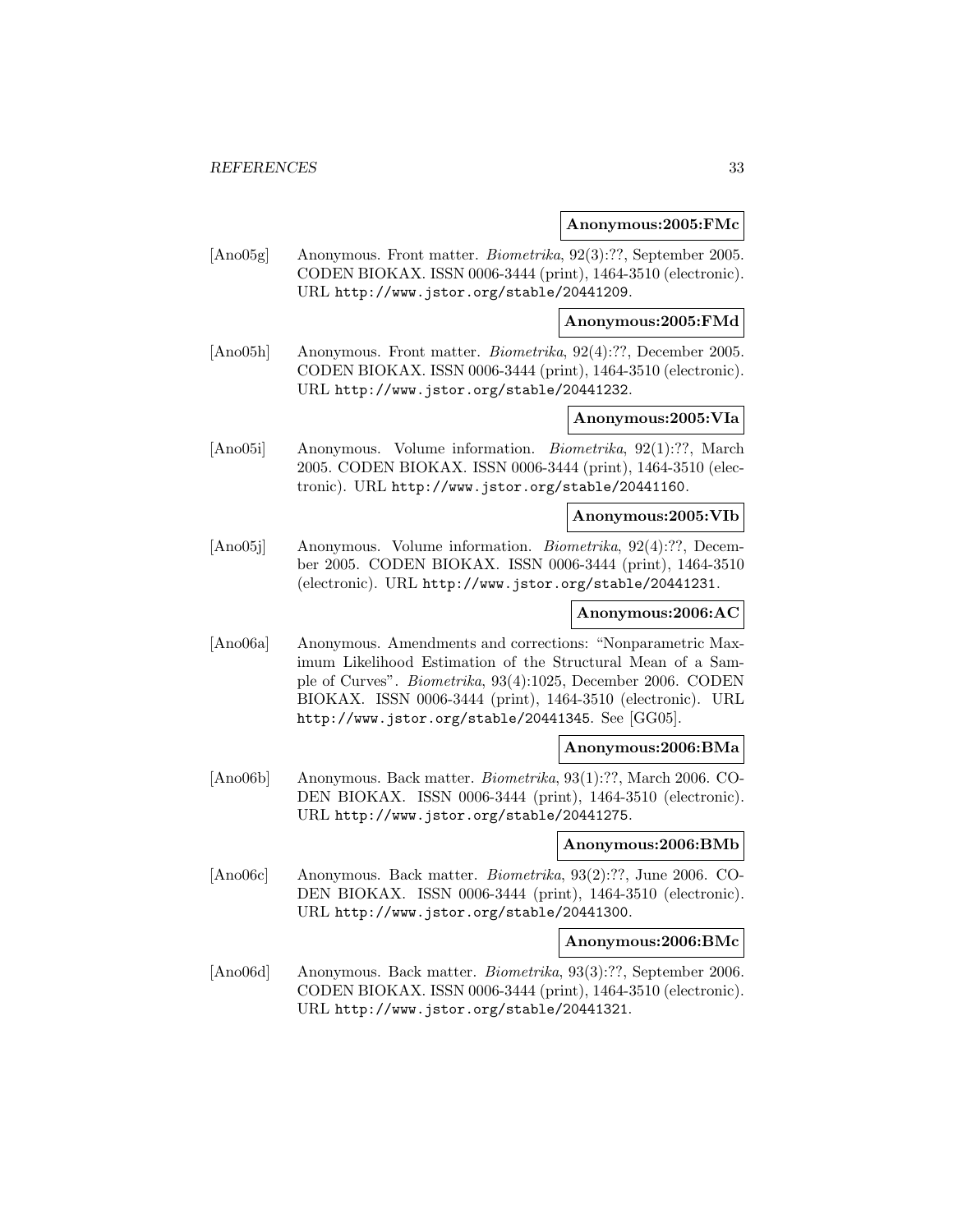#### **Anonymous:2005:FMc**

[Ano05g] Anonymous. Front matter. Biometrika, 92(3):??, September 2005. CODEN BIOKAX. ISSN 0006-3444 (print), 1464-3510 (electronic). URL http://www.jstor.org/stable/20441209.

#### **Anonymous:2005:FMd**

[Ano05h] Anonymous. Front matter. Biometrika, 92(4):??, December 2005. CODEN BIOKAX. ISSN 0006-3444 (print), 1464-3510 (electronic). URL http://www.jstor.org/stable/20441232.

## **Anonymous:2005:VIa**

[Ano05i] Anonymous. Volume information. Biometrika, 92(1):??, March 2005. CODEN BIOKAX. ISSN 0006-3444 (print), 1464-3510 (electronic). URL http://www.jstor.org/stable/20441160.

## **Anonymous:2005:VIb**

[Ano05j] Anonymous. Volume information. Biometrika, 92(4):??, December 2005. CODEN BIOKAX. ISSN 0006-3444 (print), 1464-3510 (electronic). URL http://www.jstor.org/stable/20441231.

## **Anonymous:2006:AC**

[Ano06a] Anonymous. Amendments and corrections: "Nonparametric Maximum Likelihood Estimation of the Structural Mean of a Sample of Curves". Biometrika, 93(4):1025, December 2006. CODEN BIOKAX. ISSN 0006-3444 (print), 1464-3510 (electronic). URL http://www.jstor.org/stable/20441345. See [GG05].

#### **Anonymous:2006:BMa**

[Ano06b] Anonymous. Back matter. Biometrika, 93(1):??, March 2006. CO-DEN BIOKAX. ISSN 0006-3444 (print), 1464-3510 (electronic). URL http://www.jstor.org/stable/20441275.

## **Anonymous:2006:BMb**

[Ano06c] Anonymous. Back matter. Biometrika, 93(2):??, June 2006. CO-DEN BIOKAX. ISSN 0006-3444 (print), 1464-3510 (electronic). URL http://www.jstor.org/stable/20441300.

#### **Anonymous:2006:BMc**

[Ano06d] Anonymous. Back matter. Biometrika, 93(3):??, September 2006. CODEN BIOKAX. ISSN 0006-3444 (print), 1464-3510 (electronic). URL http://www.jstor.org/stable/20441321.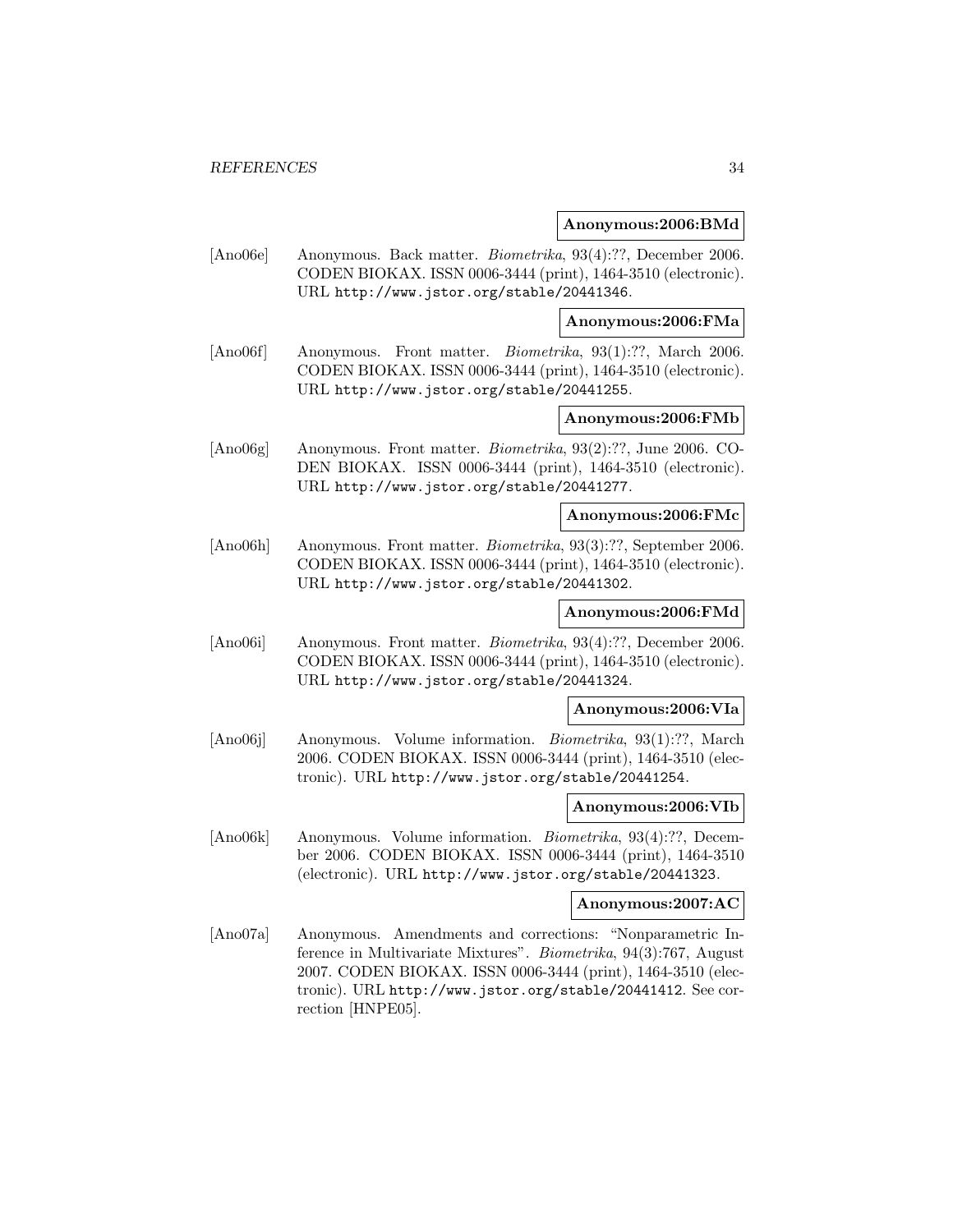#### **Anonymous:2006:BMd**

[Ano06e] Anonymous. Back matter. Biometrika, 93(4):??, December 2006. CODEN BIOKAX. ISSN 0006-3444 (print), 1464-3510 (electronic). URL http://www.jstor.org/stable/20441346.

**Anonymous:2006:FMa**

[Ano06f] Anonymous. Front matter. Biometrika, 93(1):??, March 2006. CODEN BIOKAX. ISSN 0006-3444 (print), 1464-3510 (electronic). URL http://www.jstor.org/stable/20441255.

## **Anonymous:2006:FMb**

[Ano06g] Anonymous. Front matter. Biometrika, 93(2):??, June 2006. CO-DEN BIOKAX. ISSN 0006-3444 (print), 1464-3510 (electronic). URL http://www.jstor.org/stable/20441277.

## **Anonymous:2006:FMc**

[Ano06h] Anonymous. Front matter. Biometrika, 93(3):??, September 2006. CODEN BIOKAX. ISSN 0006-3444 (print), 1464-3510 (electronic). URL http://www.jstor.org/stable/20441302.

## **Anonymous:2006:FMd**

[Ano06i] Anonymous. Front matter. Biometrika, 93(4):??, December 2006. CODEN BIOKAX. ISSN 0006-3444 (print), 1464-3510 (electronic). URL http://www.jstor.org/stable/20441324.

#### **Anonymous:2006:VIa**

[Ano06j] Anonymous. Volume information. Biometrika, 93(1):??, March 2006. CODEN BIOKAX. ISSN 0006-3444 (print), 1464-3510 (electronic). URL http://www.jstor.org/stable/20441254.

#### **Anonymous:2006:VIb**

[Ano06k] Anonymous. Volume information. Biometrika, 93(4):??, December 2006. CODEN BIOKAX. ISSN 0006-3444 (print), 1464-3510 (electronic). URL http://www.jstor.org/stable/20441323.

## **Anonymous:2007:AC**

[Ano07a] Anonymous. Amendments and corrections: "Nonparametric Inference in Multivariate Mixtures". Biometrika, 94(3):767, August 2007. CODEN BIOKAX. ISSN 0006-3444 (print), 1464-3510 (electronic). URL http://www.jstor.org/stable/20441412. See correction [HNPE05].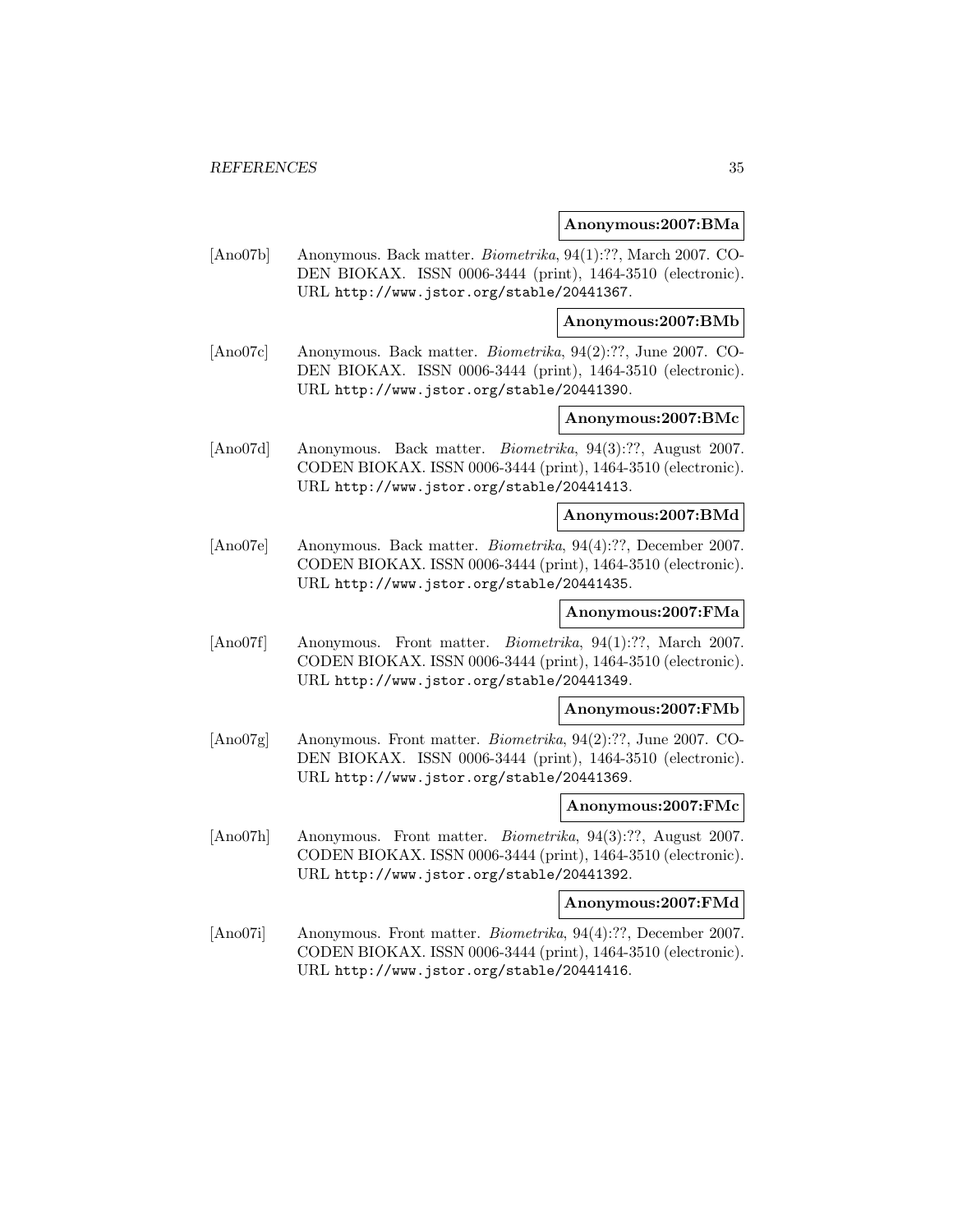#### **Anonymous:2007:BMa**

[Ano07b] Anonymous. Back matter. Biometrika, 94(1):??, March 2007. CO-DEN BIOKAX. ISSN 0006-3444 (print), 1464-3510 (electronic). URL http://www.jstor.org/stable/20441367.

#### **Anonymous:2007:BMb**

[Ano07c] Anonymous. Back matter. Biometrika, 94(2):??, June 2007. CO-DEN BIOKAX. ISSN 0006-3444 (print), 1464-3510 (electronic). URL http://www.jstor.org/stable/20441390.

## **Anonymous:2007:BMc**

[Ano07d] Anonymous. Back matter. Biometrika, 94(3):??, August 2007. CODEN BIOKAX. ISSN 0006-3444 (print), 1464-3510 (electronic). URL http://www.jstor.org/stable/20441413.

## **Anonymous:2007:BMd**

[Ano07e] Anonymous. Back matter. Biometrika, 94(4):??, December 2007. CODEN BIOKAX. ISSN 0006-3444 (print), 1464-3510 (electronic). URL http://www.jstor.org/stable/20441435.

## **Anonymous:2007:FMa**

[Ano07f] Anonymous. Front matter. Biometrika, 94(1):??, March 2007. CODEN BIOKAX. ISSN 0006-3444 (print), 1464-3510 (electronic). URL http://www.jstor.org/stable/20441349.

#### **Anonymous:2007:FMb**

[Ano07g] Anonymous. Front matter. Biometrika, 94(2):??, June 2007. CO-DEN BIOKAX. ISSN 0006-3444 (print), 1464-3510 (electronic). URL http://www.jstor.org/stable/20441369.

#### **Anonymous:2007:FMc**

[Ano07h] Anonymous. Front matter. Biometrika, 94(3):??, August 2007. CODEN BIOKAX. ISSN 0006-3444 (print), 1464-3510 (electronic). URL http://www.jstor.org/stable/20441392.

#### **Anonymous:2007:FMd**

[Ano07i] Anonymous. Front matter. Biometrika, 94(4):??, December 2007. CODEN BIOKAX. ISSN 0006-3444 (print), 1464-3510 (electronic). URL http://www.jstor.org/stable/20441416.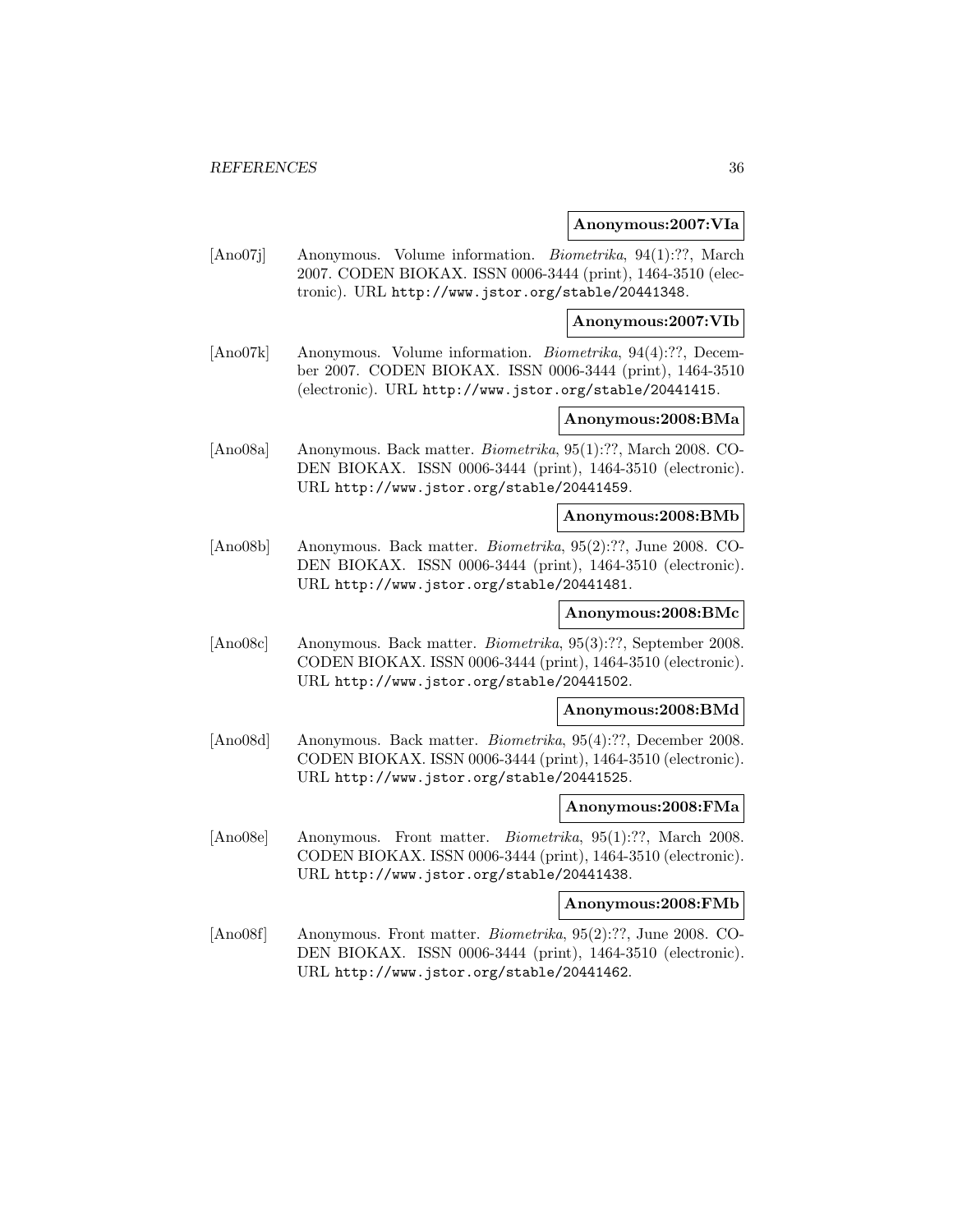#### **Anonymous:2007:VIa**

[Ano07j] Anonymous. Volume information. Biometrika, 94(1):??, March 2007. CODEN BIOKAX. ISSN 0006-3444 (print), 1464-3510 (electronic). URL http://www.jstor.org/stable/20441348.

**Anonymous:2007:VIb**

[Ano07k] Anonymous. Volume information. Biometrika, 94(4):??, December 2007. CODEN BIOKAX. ISSN 0006-3444 (print), 1464-3510 (electronic). URL http://www.jstor.org/stable/20441415.

## **Anonymous:2008:BMa**

[Ano08a] Anonymous. Back matter. Biometrika, 95(1):??, March 2008. CO-DEN BIOKAX. ISSN 0006-3444 (print), 1464-3510 (electronic). URL http://www.jstor.org/stable/20441459.

#### **Anonymous:2008:BMb**

[Ano08b] Anonymous. Back matter. Biometrika, 95(2):??, June 2008. CO-DEN BIOKAX. ISSN 0006-3444 (print), 1464-3510 (electronic). URL http://www.jstor.org/stable/20441481.

## **Anonymous:2008:BMc**

[Ano08c] Anonymous. Back matter. Biometrika, 95(3):??, September 2008. CODEN BIOKAX. ISSN 0006-3444 (print), 1464-3510 (electronic). URL http://www.jstor.org/stable/20441502.

#### **Anonymous:2008:BMd**

[Ano08d] Anonymous. Back matter. Biometrika, 95(4):??, December 2008. CODEN BIOKAX. ISSN 0006-3444 (print), 1464-3510 (electronic). URL http://www.jstor.org/stable/20441525.

#### **Anonymous:2008:FMa**

[Ano08e] Anonymous. Front matter. Biometrika, 95(1):??, March 2008. CODEN BIOKAX. ISSN 0006-3444 (print), 1464-3510 (electronic). URL http://www.jstor.org/stable/20441438.

## **Anonymous:2008:FMb**

[Ano08f] Anonymous. Front matter. Biometrika, 95(2):??, June 2008. CO-DEN BIOKAX. ISSN 0006-3444 (print), 1464-3510 (electronic). URL http://www.jstor.org/stable/20441462.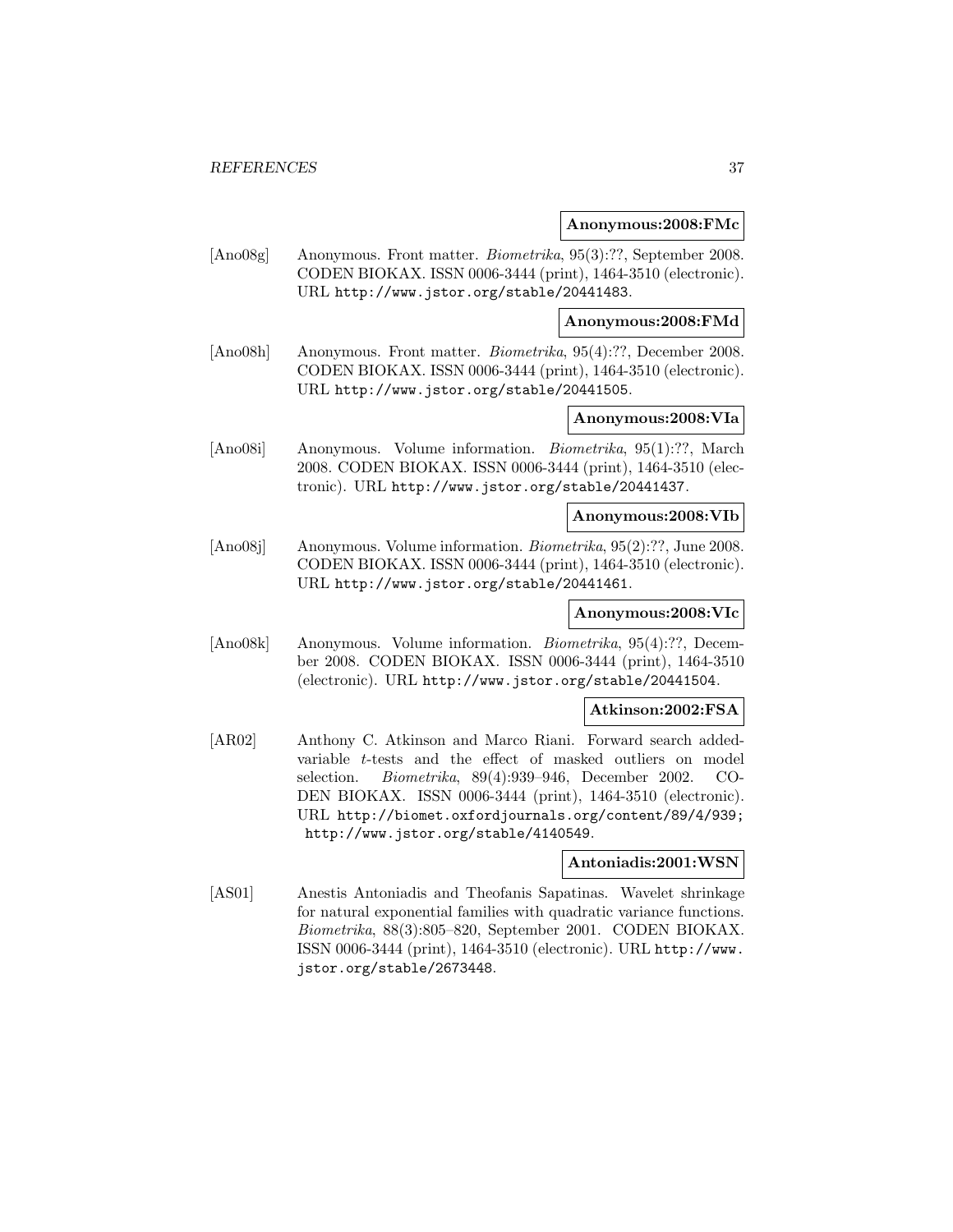#### **Anonymous:2008:FMc**

[Ano08g] Anonymous. Front matter. Biometrika, 95(3):??, September 2008. CODEN BIOKAX. ISSN 0006-3444 (print), 1464-3510 (electronic). URL http://www.jstor.org/stable/20441483.

**Anonymous:2008:FMd**

[Ano08h] Anonymous. Front matter. Biometrika, 95(4):??, December 2008. CODEN BIOKAX. ISSN 0006-3444 (print), 1464-3510 (electronic). URL http://www.jstor.org/stable/20441505.

## **Anonymous:2008:VIa**

[Ano08i] Anonymous. Volume information. Biometrika, 95(1):??, March 2008. CODEN BIOKAX. ISSN 0006-3444 (print), 1464-3510 (electronic). URL http://www.jstor.org/stable/20441437.

### **Anonymous:2008:VIb**

[Ano08j] Anonymous. Volume information. Biometrika, 95(2):??, June 2008. CODEN BIOKAX. ISSN 0006-3444 (print), 1464-3510 (electronic). URL http://www.jstor.org/stable/20441461.

## **Anonymous:2008:VIc**

[Ano08k] Anonymous. Volume information. Biometrika, 95(4):??, December 2008. CODEN BIOKAX. ISSN 0006-3444 (print), 1464-3510 (electronic). URL http://www.jstor.org/stable/20441504.

### **Atkinson:2002:FSA**

[AR02] Anthony C. Atkinson and Marco Riani. Forward search addedvariable t-tests and the effect of masked outliers on model selection. Biometrika, 89(4):939–946, December 2002. CO-DEN BIOKAX. ISSN 0006-3444 (print), 1464-3510 (electronic). URL http://biomet.oxfordjournals.org/content/89/4/939; http://www.jstor.org/stable/4140549.

## **Antoniadis:2001:WSN**

[AS01] Anestis Antoniadis and Theofanis Sapatinas. Wavelet shrinkage for natural exponential families with quadratic variance functions. Biometrika, 88(3):805–820, September 2001. CODEN BIOKAX. ISSN 0006-3444 (print), 1464-3510 (electronic). URL http://www. jstor.org/stable/2673448.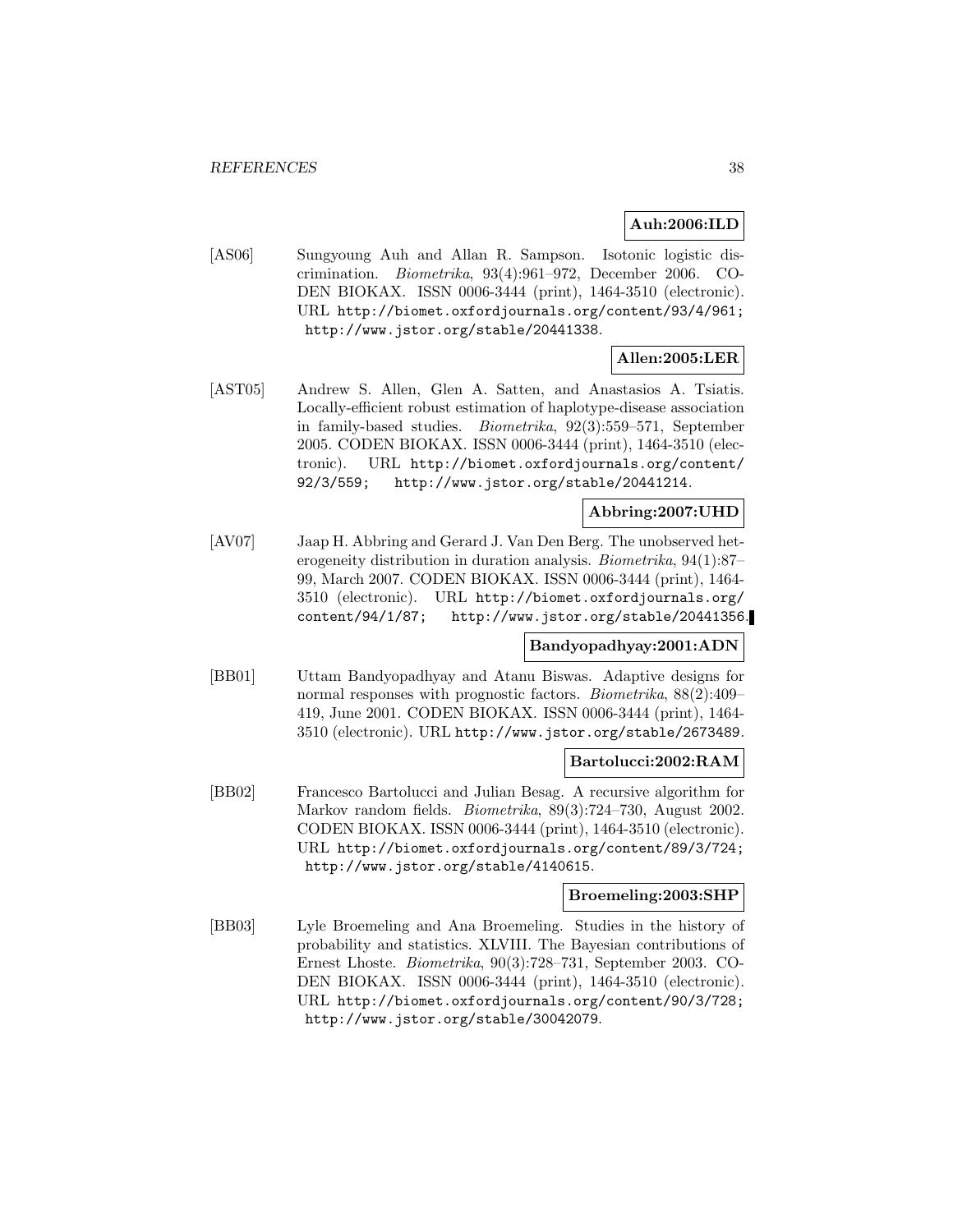## **Auh:2006:ILD**

[AS06] Sungyoung Auh and Allan R. Sampson. Isotonic logistic discrimination. Biometrika, 93(4):961–972, December 2006. CO-DEN BIOKAX. ISSN 0006-3444 (print), 1464-3510 (electronic). URL http://biomet.oxfordjournals.org/content/93/4/961; http://www.jstor.org/stable/20441338.

# **Allen:2005:LER**

[AST05] Andrew S. Allen, Glen A. Satten, and Anastasios A. Tsiatis. Locally-efficient robust estimation of haplotype-disease association in family-based studies. Biometrika, 92(3):559–571, September 2005. CODEN BIOKAX. ISSN 0006-3444 (print), 1464-3510 (electronic). URL http://biomet.oxfordjournals.org/content/ 92/3/559; http://www.jstor.org/stable/20441214.

## **Abbring:2007:UHD**

[AV07] Jaap H. Abbring and Gerard J. Van Den Berg. The unobserved heterogeneity distribution in duration analysis. Biometrika, 94(1):87– 99, March 2007. CODEN BIOKAX. ISSN 0006-3444 (print), 1464- 3510 (electronic). URL http://biomet.oxfordjournals.org/ content/94/1/87; http://www.jstor.org/stable/20441356.

# **Bandyopadhyay:2001:ADN**

[BB01] Uttam Bandyopadhyay and Atanu Biswas. Adaptive designs for normal responses with prognostic factors. Biometrika, 88(2):409– 419, June 2001. CODEN BIOKAX. ISSN 0006-3444 (print), 1464- 3510 (electronic). URL http://www.jstor.org/stable/2673489.

## **Bartolucci:2002:RAM**

[BB02] Francesco Bartolucci and Julian Besag. A recursive algorithm for Markov random fields. Biometrika, 89(3):724–730, August 2002. CODEN BIOKAX. ISSN 0006-3444 (print), 1464-3510 (electronic). URL http://biomet.oxfordjournals.org/content/89/3/724; http://www.jstor.org/stable/4140615.

## **Broemeling:2003:SHP**

[BB03] Lyle Broemeling and Ana Broemeling. Studies in the history of probability and statistics. XLVIII. The Bayesian contributions of Ernest Lhoste. Biometrika, 90(3):728–731, September 2003. CO-DEN BIOKAX. ISSN 0006-3444 (print), 1464-3510 (electronic). URL http://biomet.oxfordjournals.org/content/90/3/728; http://www.jstor.org/stable/30042079.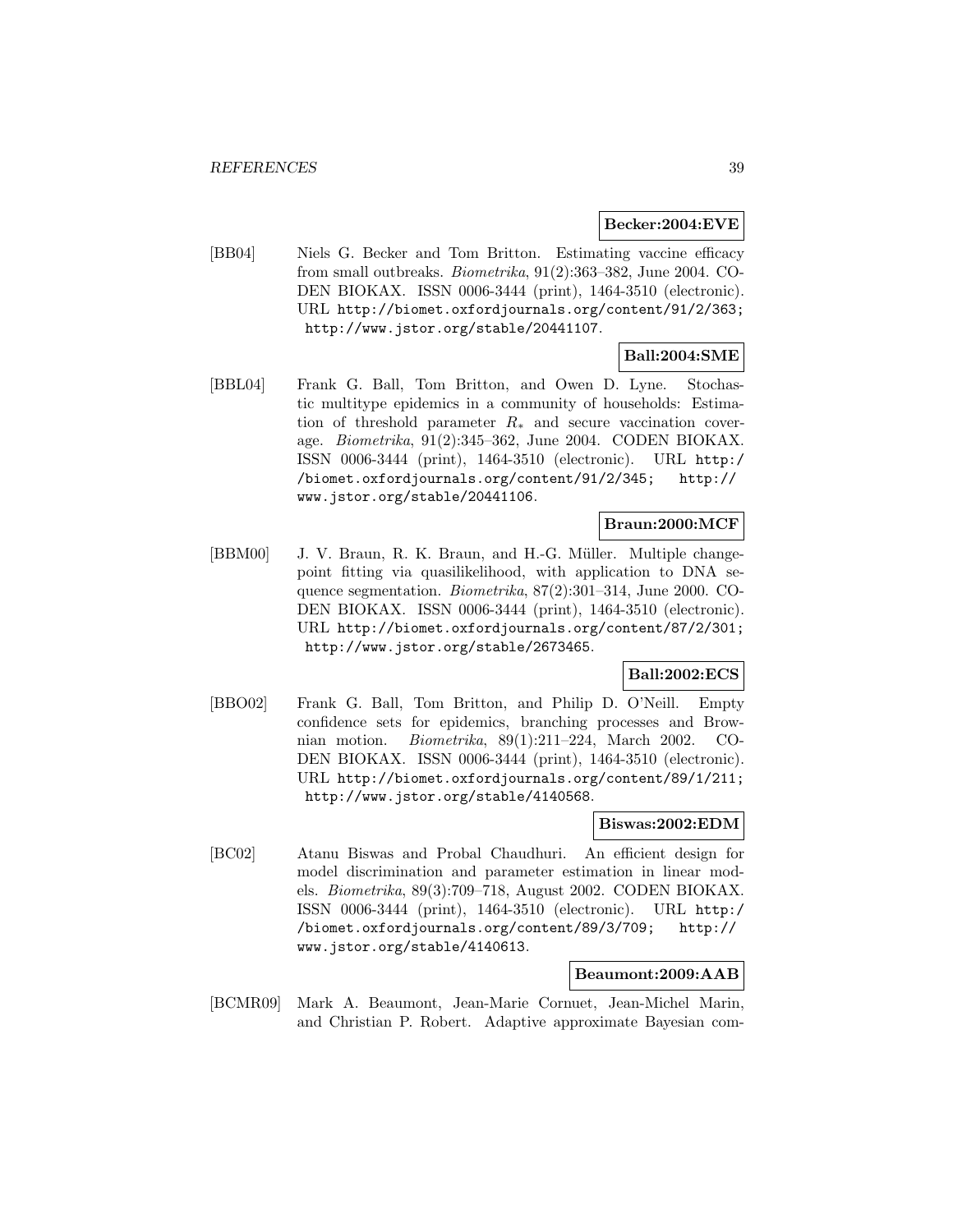#### **Becker:2004:EVE**

[BB04] Niels G. Becker and Tom Britton. Estimating vaccine efficacy from small outbreaks. Biometrika, 91(2):363–382, June 2004. CO-DEN BIOKAX. ISSN 0006-3444 (print), 1464-3510 (electronic). URL http://biomet.oxfordjournals.org/content/91/2/363; http://www.jstor.org/stable/20441107.

## **Ball:2004:SME**

[BBL04] Frank G. Ball, Tom Britton, and Owen D. Lyne. Stochastic multitype epidemics in a community of households: Estimation of threshold parameter  $R_*$  and secure vaccination coverage. Biometrika, 91(2):345–362, June 2004. CODEN BIOKAX. ISSN 0006-3444 (print), 1464-3510 (electronic). URL http:/ /biomet.oxfordjournals.org/content/91/2/345; http:// www.jstor.org/stable/20441106.

#### **Braun:2000:MCF**

[BBM00] J. V. Braun, R. K. Braun, and H.-G. Müller. Multiple changepoint fitting via quasilikelihood, with application to DNA sequence segmentation. Biometrika, 87(2):301–314, June 2000. CO-DEN BIOKAX. ISSN 0006-3444 (print), 1464-3510 (electronic). URL http://biomet.oxfordjournals.org/content/87/2/301; http://www.jstor.org/stable/2673465.

# **Ball:2002:ECS**

[BBO02] Frank G. Ball, Tom Britton, and Philip D. O'Neill. Empty confidence sets for epidemics, branching processes and Brownian motion. Biometrika, 89(1):211–224, March 2002. CO-DEN BIOKAX. ISSN 0006-3444 (print), 1464-3510 (electronic). URL http://biomet.oxfordjournals.org/content/89/1/211; http://www.jstor.org/stable/4140568.

#### **Biswas:2002:EDM**

[BC02] Atanu Biswas and Probal Chaudhuri. An efficient design for model discrimination and parameter estimation in linear models. Biometrika, 89(3):709–718, August 2002. CODEN BIOKAX. ISSN 0006-3444 (print), 1464-3510 (electronic). URL http:/ /biomet.oxfordjournals.org/content/89/3/709; http:// www.jstor.org/stable/4140613.

### **Beaumont:2009:AAB**

[BCMR09] Mark A. Beaumont, Jean-Marie Cornuet, Jean-Michel Marin, and Christian P. Robert. Adaptive approximate Bayesian com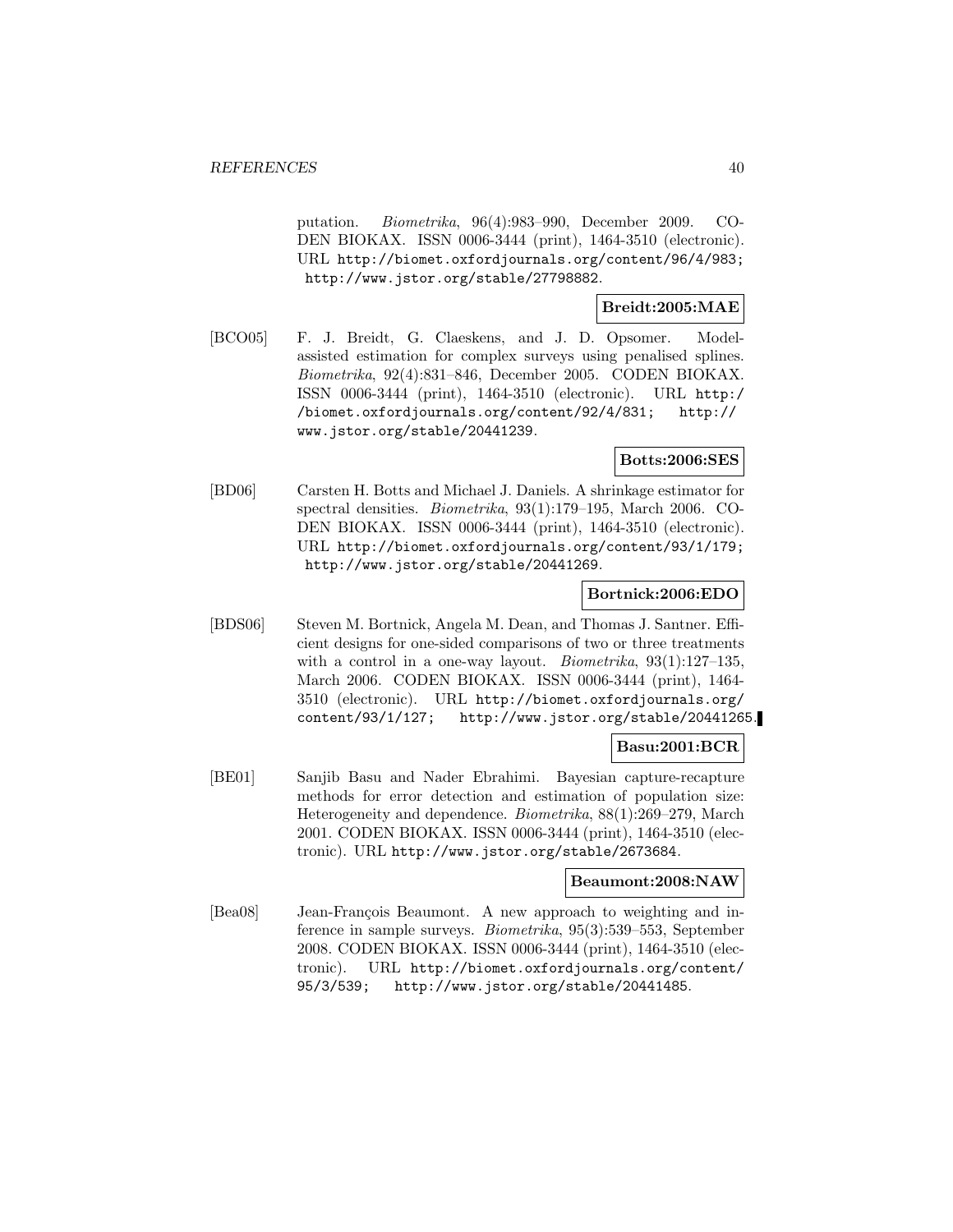putation. Biometrika, 96(4):983–990, December 2009. CO-DEN BIOKAX. ISSN 0006-3444 (print), 1464-3510 (electronic). URL http://biomet.oxfordjournals.org/content/96/4/983; http://www.jstor.org/stable/27798882.

# **Breidt:2005:MAE**

[BCO05] F. J. Breidt, G. Claeskens, and J. D. Opsomer. Modelassisted estimation for complex surveys using penalised splines. Biometrika, 92(4):831–846, December 2005. CODEN BIOKAX. ISSN 0006-3444 (print), 1464-3510 (electronic). URL http:/ /biomet.oxfordjournals.org/content/92/4/831; http:// www.jstor.org/stable/20441239.

# **Botts:2006:SES**

[BD06] Carsten H. Botts and Michael J. Daniels. A shrinkage estimator for spectral densities. Biometrika, 93(1):179–195, March 2006. CO-DEN BIOKAX. ISSN 0006-3444 (print), 1464-3510 (electronic). URL http://biomet.oxfordjournals.org/content/93/1/179; http://www.jstor.org/stable/20441269.

### **Bortnick:2006:EDO**

[BDS06] Steven M. Bortnick, Angela M. Dean, and Thomas J. Santner. Efficient designs for one-sided comparisons of two or three treatments with a control in a one-way layout. *Biometrika*, 93(1):127–135, March 2006. CODEN BIOKAX. ISSN 0006-3444 (print), 1464- 3510 (electronic). URL http://biomet.oxfordjournals.org/ content/93/1/127; http://www.jstor.org/stable/20441265.

### **Basu:2001:BCR**

[BE01] Sanjib Basu and Nader Ebrahimi. Bayesian capture-recapture methods for error detection and estimation of population size: Heterogeneity and dependence. Biometrika, 88(1):269–279, March 2001. CODEN BIOKAX. ISSN 0006-3444 (print), 1464-3510 (electronic). URL http://www.jstor.org/stable/2673684.

#### **Beaumont:2008:NAW**

[Bea08] Jean-François Beaumont. A new approach to weighting and inference in sample surveys. Biometrika, 95(3):539–553, September 2008. CODEN BIOKAX. ISSN 0006-3444 (print), 1464-3510 (electronic). URL http://biomet.oxfordjournals.org/content/ 95/3/539; http://www.jstor.org/stable/20441485.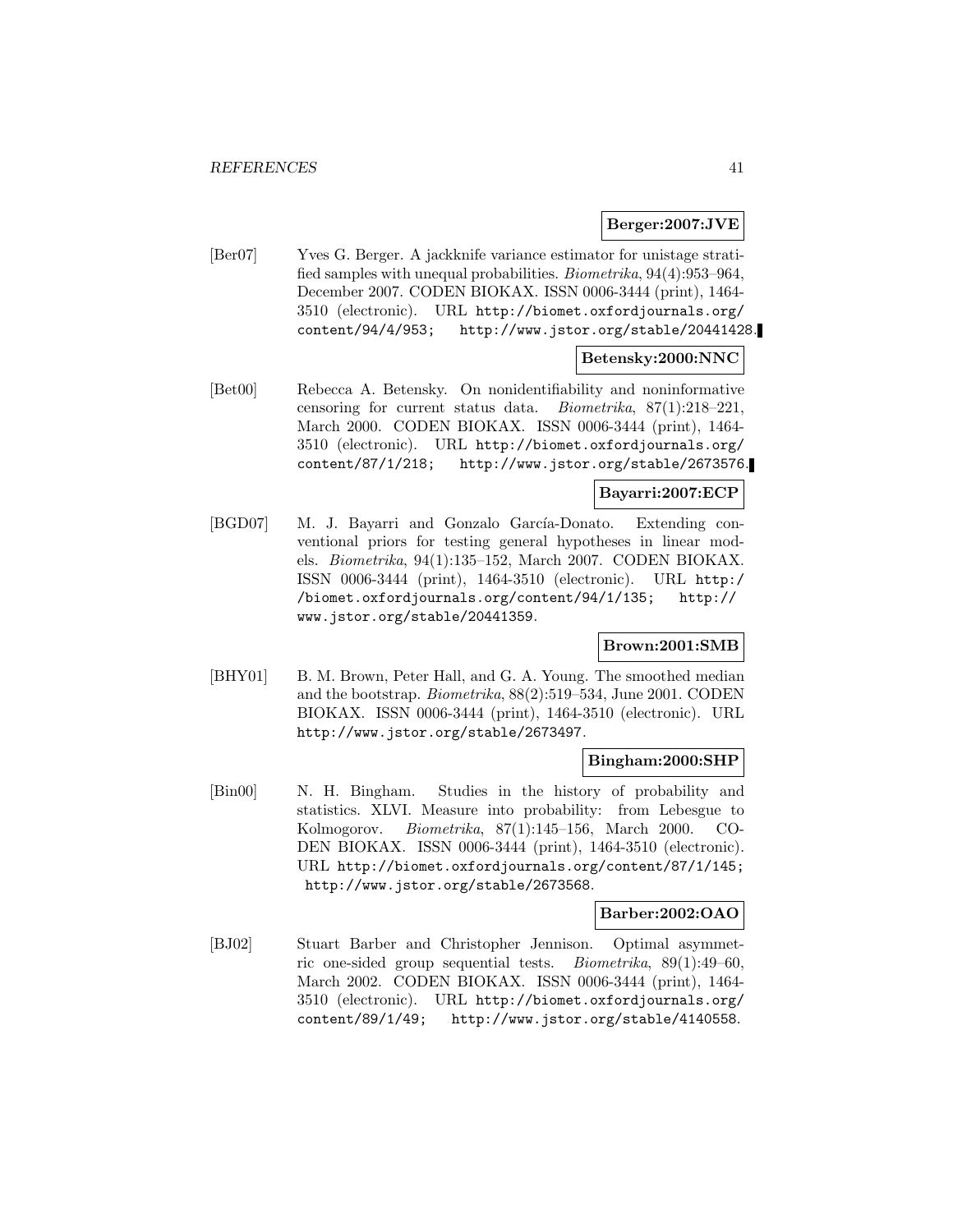### **Berger:2007:JVE**

[Ber07] Yves G. Berger. A jackknife variance estimator for unistage stratified samples with unequal probabilities. Biometrika, 94(4):953–964, December 2007. CODEN BIOKAX. ISSN 0006-3444 (print), 1464- 3510 (electronic). URL http://biomet.oxfordjournals.org/ content/94/4/953; http://www.jstor.org/stable/20441428.

## **Betensky:2000:NNC**

[Bet00] Rebecca A. Betensky. On nonidentifiability and noninformative censoring for current status data. Biometrika, 87(1):218–221, March 2000. CODEN BIOKAX. ISSN 0006-3444 (print), 1464- 3510 (electronic). URL http://biomet.oxfordjournals.org/ content/87/1/218; http://www.jstor.org/stable/2673576.

### **Bayarri:2007:ECP**

[BGD07] M. J. Bayarri and Gonzalo García-Donato. Extending conventional priors for testing general hypotheses in linear models. Biometrika, 94(1):135–152, March 2007. CODEN BIOKAX. ISSN 0006-3444 (print), 1464-3510 (electronic). URL http:/ /biomet.oxfordjournals.org/content/94/1/135; http:// www.jstor.org/stable/20441359.

## **Brown:2001:SMB**

[BHY01] B. M. Brown, Peter Hall, and G. A. Young. The smoothed median and the bootstrap. Biometrika, 88(2):519–534, June 2001. CODEN BIOKAX. ISSN 0006-3444 (print), 1464-3510 (electronic). URL http://www.jstor.org/stable/2673497.

#### **Bingham:2000:SHP**

[Bin00] N. H. Bingham. Studies in the history of probability and statistics. XLVI. Measure into probability: from Lebesgue to Kolmogorov. Biometrika, 87(1):145–156, March 2000. CO-DEN BIOKAX. ISSN 0006-3444 (print), 1464-3510 (electronic). URL http://biomet.oxfordjournals.org/content/87/1/145; http://www.jstor.org/stable/2673568.

#### **Barber:2002:OAO**

[BJ02] Stuart Barber and Christopher Jennison. Optimal asymmetric one-sided group sequential tests. Biometrika, 89(1):49–60, March 2002. CODEN BIOKAX. ISSN 0006-3444 (print), 1464- 3510 (electronic). URL http://biomet.oxfordjournals.org/ content/89/1/49; http://www.jstor.org/stable/4140558.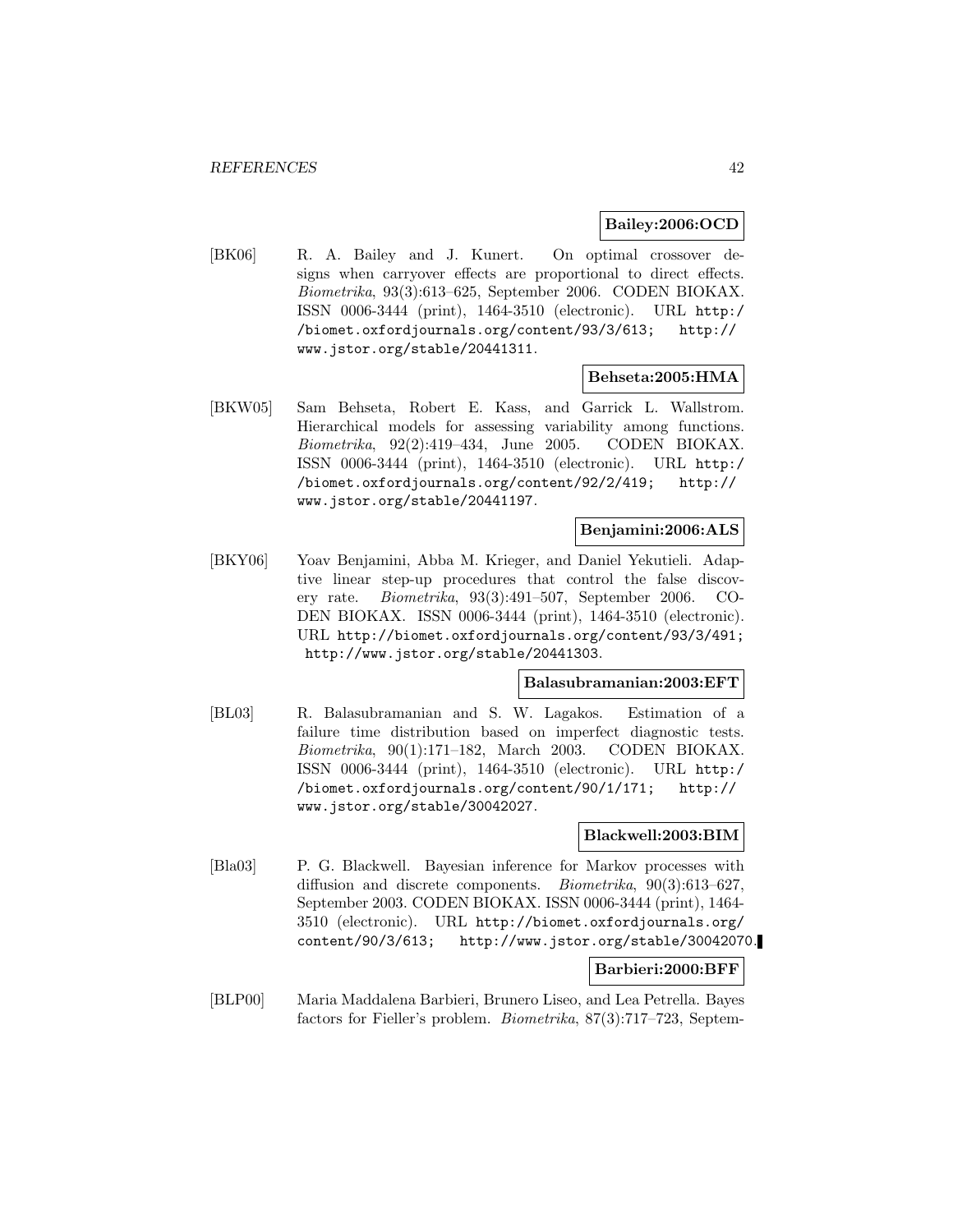### **Bailey:2006:OCD**

[BK06] R. A. Bailey and J. Kunert. On optimal crossover designs when carryover effects are proportional to direct effects. Biometrika, 93(3):613–625, September 2006. CODEN BIOKAX. ISSN 0006-3444 (print), 1464-3510 (electronic). URL http:/ /biomet.oxfordjournals.org/content/93/3/613; http:// www.jstor.org/stable/20441311.

#### **Behseta:2005:HMA**

[BKW05] Sam Behseta, Robert E. Kass, and Garrick L. Wallstrom. Hierarchical models for assessing variability among functions. Biometrika, 92(2):419–434, June 2005. CODEN BIOKAX. ISSN 0006-3444 (print), 1464-3510 (electronic). URL http:/ /biomet.oxfordjournals.org/content/92/2/419; http:// www.jstor.org/stable/20441197.

#### **Benjamini:2006:ALS**

[BKY06] Yoav Benjamini, Abba M. Krieger, and Daniel Yekutieli. Adaptive linear step-up procedures that control the false discovery rate. Biometrika, 93(3):491–507, September 2006. CO-DEN BIOKAX. ISSN 0006-3444 (print), 1464-3510 (electronic). URL http://biomet.oxfordjournals.org/content/93/3/491; http://www.jstor.org/stable/20441303.

#### **Balasubramanian:2003:EFT**

[BL03] R. Balasubramanian and S. W. Lagakos. Estimation of a failure time distribution based on imperfect diagnostic tests. Biometrika, 90(1):171–182, March 2003. CODEN BIOKAX. ISSN 0006-3444 (print), 1464-3510 (electronic). URL http:/ /biomet.oxfordjournals.org/content/90/1/171; http:// www.jstor.org/stable/30042027.

#### **Blackwell:2003:BIM**

[Bla03] P. G. Blackwell. Bayesian inference for Markov processes with diffusion and discrete components. Biometrika, 90(3):613–627, September 2003. CODEN BIOKAX. ISSN 0006-3444 (print), 1464- 3510 (electronic). URL http://biomet.oxfordjournals.org/ content/90/3/613; http://www.jstor.org/stable/30042070.

#### **Barbieri:2000:BFF**

[BLP00] Maria Maddalena Barbieri, Brunero Liseo, and Lea Petrella. Bayes factors for Fieller's problem. Biometrika, 87(3):717–723, Septem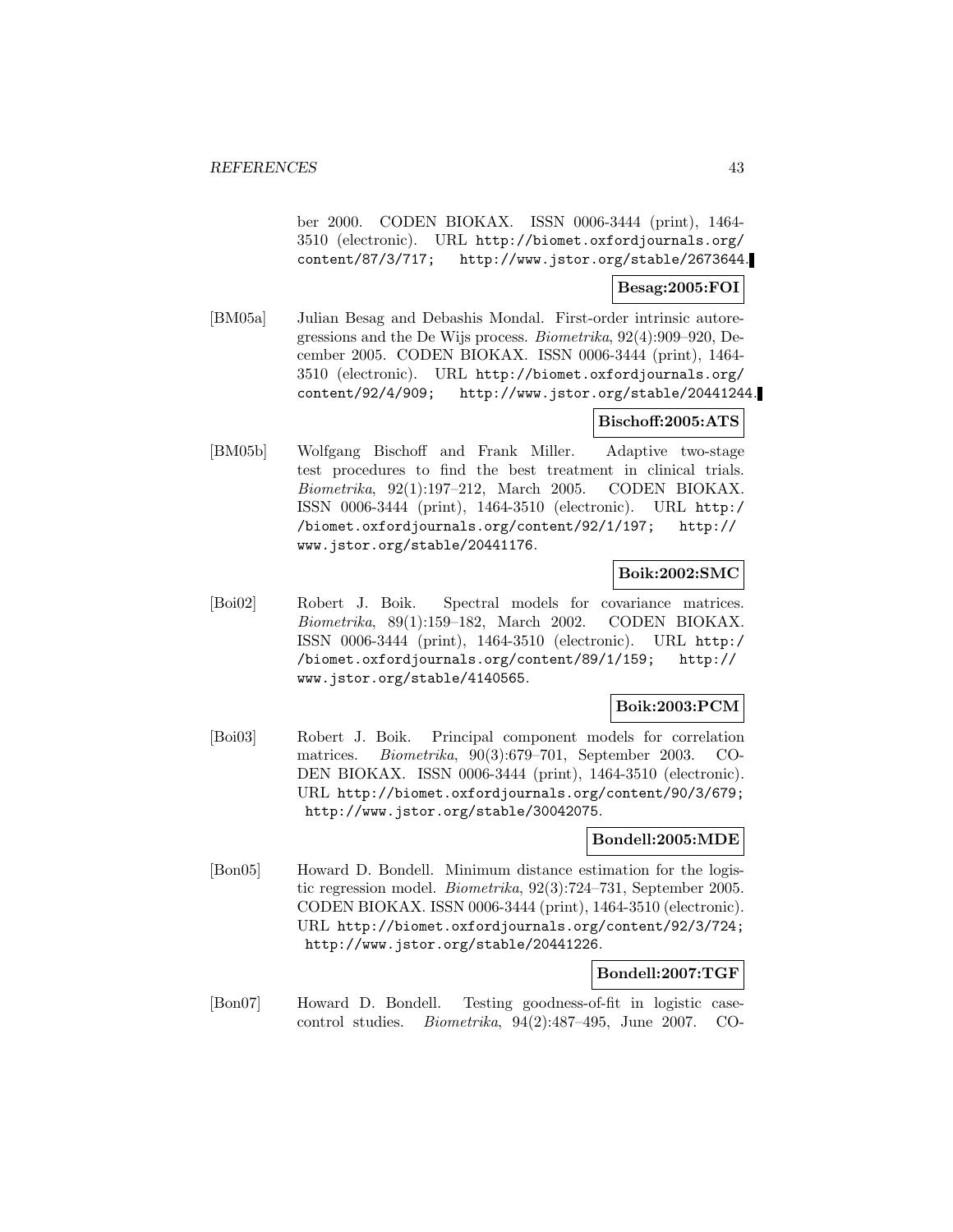ber 2000. CODEN BIOKAX. ISSN 0006-3444 (print), 1464- 3510 (electronic). URL http://biomet.oxfordjournals.org/ http://www.jstor.org/stable/2673644.

## **Besag:2005:FOI**

[BM05a] Julian Besag and Debashis Mondal. First-order intrinsic autoregressions and the De Wijs process. Biometrika, 92(4):909–920, December 2005. CODEN BIOKAX. ISSN 0006-3444 (print), 1464- 3510 (electronic). URL http://biomet.oxfordjournals.org/ content/92/4/909; http://www.jstor.org/stable/20441244.

#### **Bischoff:2005:ATS**

[BM05b] Wolfgang Bischoff and Frank Miller. Adaptive two-stage test procedures to find the best treatment in clinical trials. Biometrika, 92(1):197–212, March 2005. CODEN BIOKAX. ISSN 0006-3444 (print), 1464-3510 (electronic). URL http:/ /biomet.oxfordjournals.org/content/92/1/197; http:// www.jstor.org/stable/20441176.

#### **Boik:2002:SMC**

[Boi02] Robert J. Boik. Spectral models for covariance matrices. Biometrika, 89(1):159–182, March 2002. CODEN BIOKAX. ISSN 0006-3444 (print), 1464-3510 (electronic). URL http:/ /biomet.oxfordjournals.org/content/89/1/159; http:// www.jstor.org/stable/4140565.

### **Boik:2003:PCM**

[Boi03] Robert J. Boik. Principal component models for correlation matrices. Biometrika, 90(3):679–701, September 2003. CO-DEN BIOKAX. ISSN 0006-3444 (print), 1464-3510 (electronic). URL http://biomet.oxfordjournals.org/content/90/3/679; http://www.jstor.org/stable/30042075.

### **Bondell:2005:MDE**

[Bon05] Howard D. Bondell. Minimum distance estimation for the logistic regression model. Biometrika, 92(3):724–731, September 2005. CODEN BIOKAX. ISSN 0006-3444 (print), 1464-3510 (electronic). URL http://biomet.oxfordjournals.org/content/92/3/724; http://www.jstor.org/stable/20441226.

# **Bondell:2007:TGF**

[Bon07] Howard D. Bondell. Testing goodness-of-fit in logistic casecontrol studies. Biometrika, 94(2):487–495, June 2007. CO-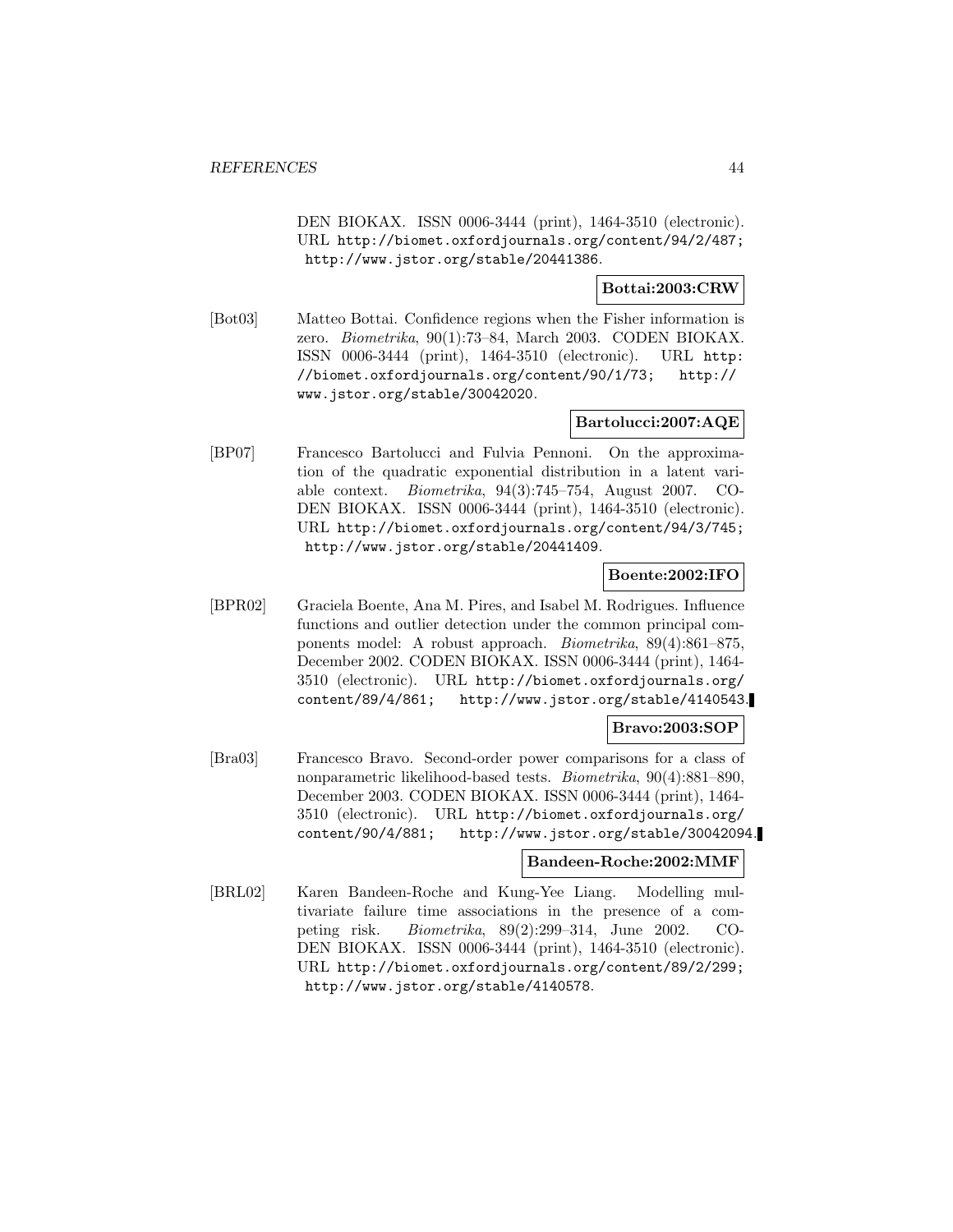DEN BIOKAX. ISSN 0006-3444 (print), 1464-3510 (electronic). URL http://biomet.oxfordjournals.org/content/94/2/487; http://www.jstor.org/stable/20441386.

## **Bottai:2003:CRW**

[Bot03] Matteo Bottai. Confidence regions when the Fisher information is zero. Biometrika, 90(1):73–84, March 2003. CODEN BIOKAX. ISSN 0006-3444 (print), 1464-3510 (electronic). URL http: //biomet.oxfordjournals.org/content/90/1/73; http:// www.jstor.org/stable/30042020.

# **Bartolucci:2007:AQE**

[BP07] Francesco Bartolucci and Fulvia Pennoni. On the approximation of the quadratic exponential distribution in a latent variable context. Biometrika, 94(3):745–754, August 2007. CO-DEN BIOKAX. ISSN 0006-3444 (print), 1464-3510 (electronic). URL http://biomet.oxfordjournals.org/content/94/3/745; http://www.jstor.org/stable/20441409.

## **Boente:2002:IFO**

[BPR02] Graciela Boente, Ana M. Pires, and Isabel M. Rodrigues. Influence functions and outlier detection under the common principal components model: A robust approach. Biometrika, 89(4):861–875, December 2002. CODEN BIOKAX. ISSN 0006-3444 (print), 1464- 3510 (electronic). URL http://biomet.oxfordjournals.org/ content/89/4/861; http://www.jstor.org/stable/4140543.

## **Bravo:2003:SOP**

[Bra03] Francesco Bravo. Second-order power comparisons for a class of nonparametric likelihood-based tests. Biometrika, 90(4):881–890, December 2003. CODEN BIOKAX. ISSN 0006-3444 (print), 1464- 3510 (electronic). URL http://biomet.oxfordjournals.org/ content/90/4/881; http://www.jstor.org/stable/30042094.

### **Bandeen-Roche:2002:MMF**

[BRL02] Karen Bandeen-Roche and Kung-Yee Liang. Modelling multivariate failure time associations in the presence of a competing risk. Biometrika, 89(2):299–314, June 2002. CO-DEN BIOKAX. ISSN 0006-3444 (print), 1464-3510 (electronic). URL http://biomet.oxfordjournals.org/content/89/2/299; http://www.jstor.org/stable/4140578.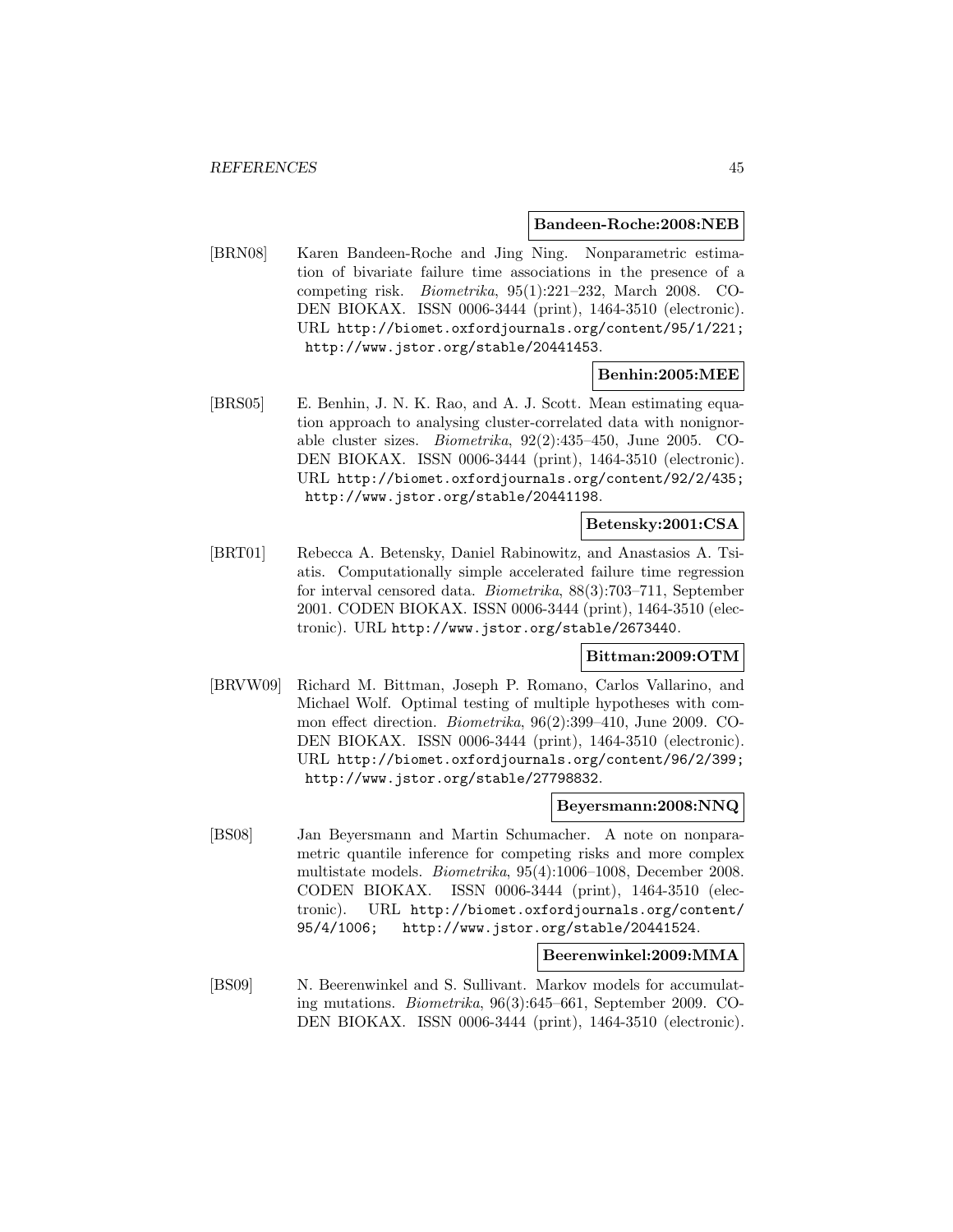#### **Bandeen-Roche:2008:NEB**

[BRN08] Karen Bandeen-Roche and Jing Ning. Nonparametric estimation of bivariate failure time associations in the presence of a competing risk. Biometrika, 95(1):221–232, March 2008. CO-DEN BIOKAX. ISSN 0006-3444 (print), 1464-3510 (electronic). URL http://biomet.oxfordjournals.org/content/95/1/221; http://www.jstor.org/stable/20441453.

## **Benhin:2005:MEE**

[BRS05] E. Benhin, J. N. K. Rao, and A. J. Scott. Mean estimating equation approach to analysing cluster-correlated data with nonignorable cluster sizes. Biometrika, 92(2):435–450, June 2005. CO-DEN BIOKAX. ISSN 0006-3444 (print), 1464-3510 (electronic). URL http://biomet.oxfordjournals.org/content/92/2/435; http://www.jstor.org/stable/20441198.

#### **Betensky:2001:CSA**

[BRT01] Rebecca A. Betensky, Daniel Rabinowitz, and Anastasios A. Tsiatis. Computationally simple accelerated failure time regression for interval censored data. Biometrika, 88(3):703–711, September 2001. CODEN BIOKAX. ISSN 0006-3444 (print), 1464-3510 (electronic). URL http://www.jstor.org/stable/2673440.

#### **Bittman:2009:OTM**

[BRVW09] Richard M. Bittman, Joseph P. Romano, Carlos Vallarino, and Michael Wolf. Optimal testing of multiple hypotheses with common effect direction. Biometrika, 96(2):399–410, June 2009. CO-DEN BIOKAX. ISSN 0006-3444 (print), 1464-3510 (electronic). URL http://biomet.oxfordjournals.org/content/96/2/399; http://www.jstor.org/stable/27798832.

#### **Beyersmann:2008:NNQ**

[BS08] Jan Beyersmann and Martin Schumacher. A note on nonparametric quantile inference for competing risks and more complex multistate models. Biometrika, 95(4):1006–1008, December 2008. CODEN BIOKAX. ISSN 0006-3444 (print), 1464-3510 (electronic). URL http://biomet.oxfordjournals.org/content/ 95/4/1006; http://www.jstor.org/stable/20441524.

### **Beerenwinkel:2009:MMA**

[BS09] N. Beerenwinkel and S. Sullivant. Markov models for accumulating mutations. Biometrika, 96(3):645–661, September 2009. CO-DEN BIOKAX. ISSN 0006-3444 (print), 1464-3510 (electronic).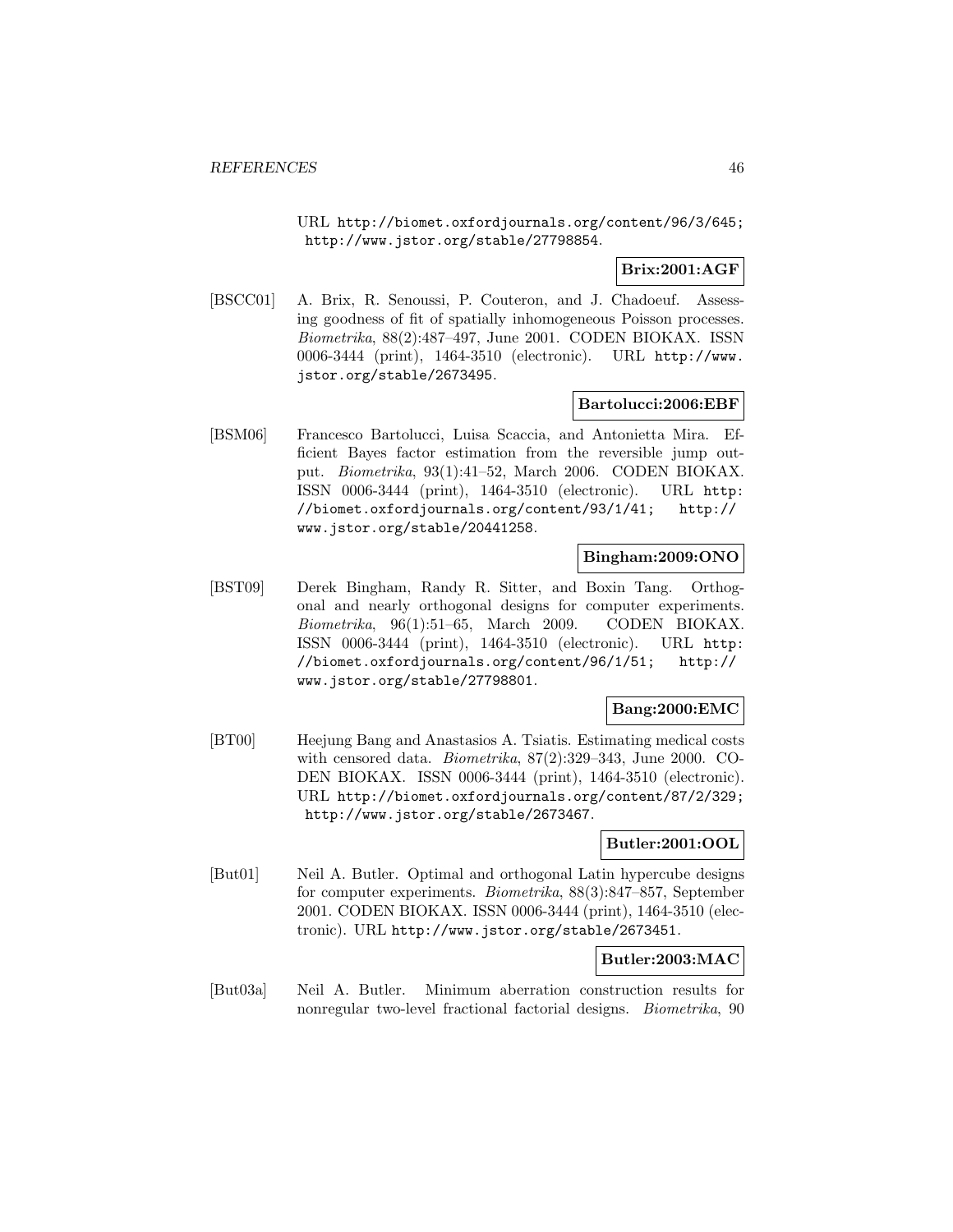URL http://biomet.oxfordjournals.org/content/96/3/645; http://www.jstor.org/stable/27798854.

**Brix:2001:AGF**

[BSCC01] A. Brix, R. Senoussi, P. Couteron, and J. Chadoeuf. Assessing goodness of fit of spatially inhomogeneous Poisson processes. Biometrika, 88(2):487–497, June 2001. CODEN BIOKAX. ISSN 0006-3444 (print), 1464-3510 (electronic). URL http://www. jstor.org/stable/2673495.

#### **Bartolucci:2006:EBF**

[BSM06] Francesco Bartolucci, Luisa Scaccia, and Antonietta Mira. Efficient Bayes factor estimation from the reversible jump output. Biometrika, 93(1):41–52, March 2006. CODEN BIOKAX. ISSN 0006-3444 (print), 1464-3510 (electronic). URL http: //biomet.oxfordjournals.org/content/93/1/41; http:// www.jstor.org/stable/20441258.

## **Bingham:2009:ONO**

[BST09] Derek Bingham, Randy R. Sitter, and Boxin Tang. Orthogonal and nearly orthogonal designs for computer experiments. Biometrika, 96(1):51–65, March 2009. CODEN BIOKAX. ISSN 0006-3444 (print), 1464-3510 (electronic). URL http: //biomet.oxfordjournals.org/content/96/1/51; http:// www.jstor.org/stable/27798801.

## **Bang:2000:EMC**

[BT00] Heejung Bang and Anastasios A. Tsiatis. Estimating medical costs with censored data. Biometrika, 87(2):329–343, June 2000. CO-DEN BIOKAX. ISSN 0006-3444 (print), 1464-3510 (electronic). URL http://biomet.oxfordjournals.org/content/87/2/329; http://www.jstor.org/stable/2673467.

### **Butler:2001:OOL**

[But01] Neil A. Butler. Optimal and orthogonal Latin hypercube designs for computer experiments. Biometrika, 88(3):847–857, September 2001. CODEN BIOKAX. ISSN 0006-3444 (print), 1464-3510 (electronic). URL http://www.jstor.org/stable/2673451.

### **Butler:2003:MAC**

[But03a] Neil A. Butler. Minimum aberration construction results for nonregular two-level fractional factorial designs. Biometrika, 90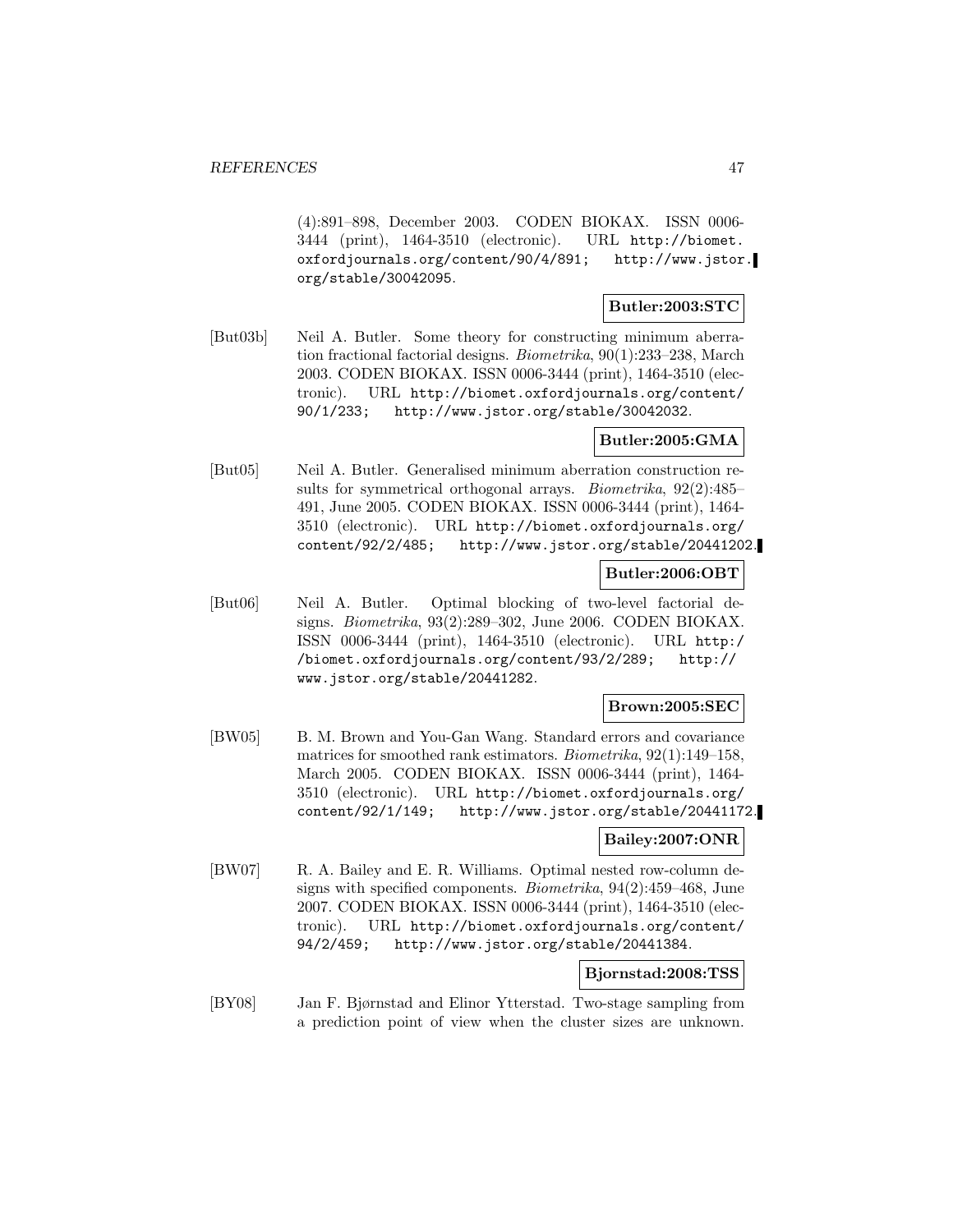(4):891–898, December 2003. CODEN BIOKAX. ISSN 0006- 3444 (print), 1464-3510 (electronic). URL http://biomet. oxfordjournals.org/content/90/4/891; http://www.jstor. org/stable/30042095.

### **Butler:2003:STC**

[But03b] Neil A. Butler. Some theory for constructing minimum aberration fractional factorial designs. Biometrika, 90(1):233–238, March 2003. CODEN BIOKAX. ISSN 0006-3444 (print), 1464-3510 (electronic). URL http://biomet.oxfordjournals.org/content/ 90/1/233; http://www.jstor.org/stable/30042032.

## **Butler:2005:GMA**

[But05] Neil A. Butler. Generalised minimum aberration construction results for symmetrical orthogonal arrays. Biometrika, 92(2):485– 491, June 2005. CODEN BIOKAX. ISSN 0006-3444 (print), 1464- 3510 (electronic). URL http://biomet.oxfordjournals.org/ content/92/2/485; http://www.jstor.org/stable/20441202.

#### **Butler:2006:OBT**

[But06] Neil A. Butler. Optimal blocking of two-level factorial designs. Biometrika, 93(2):289–302, June 2006. CODEN BIOKAX. ISSN 0006-3444 (print), 1464-3510 (electronic). URL http:/ /biomet.oxfordjournals.org/content/93/2/289; http:// www.jstor.org/stable/20441282.

### **Brown:2005:SEC**

[BW05] B. M. Brown and You-Gan Wang. Standard errors and covariance matrices for smoothed rank estimators. Biometrika, 92(1):149–158, March 2005. CODEN BIOKAX. ISSN 0006-3444 (print), 1464- 3510 (electronic). URL http://biomet.oxfordjournals.org/ content/92/1/149; http://www.jstor.org/stable/20441172.

#### **Bailey:2007:ONR**

[BW07] R. A. Bailey and E. R. Williams. Optimal nested row-column designs with specified components. Biometrika, 94(2):459–468, June 2007. CODEN BIOKAX. ISSN 0006-3444 (print), 1464-3510 (electronic). URL http://biomet.oxfordjournals.org/content/ 94/2/459; http://www.jstor.org/stable/20441384.

# **Bjornstad:2008:TSS**

[BY08] Jan F. Bjørnstad and Elinor Ytterstad. Two-stage sampling from a prediction point of view when the cluster sizes are unknown.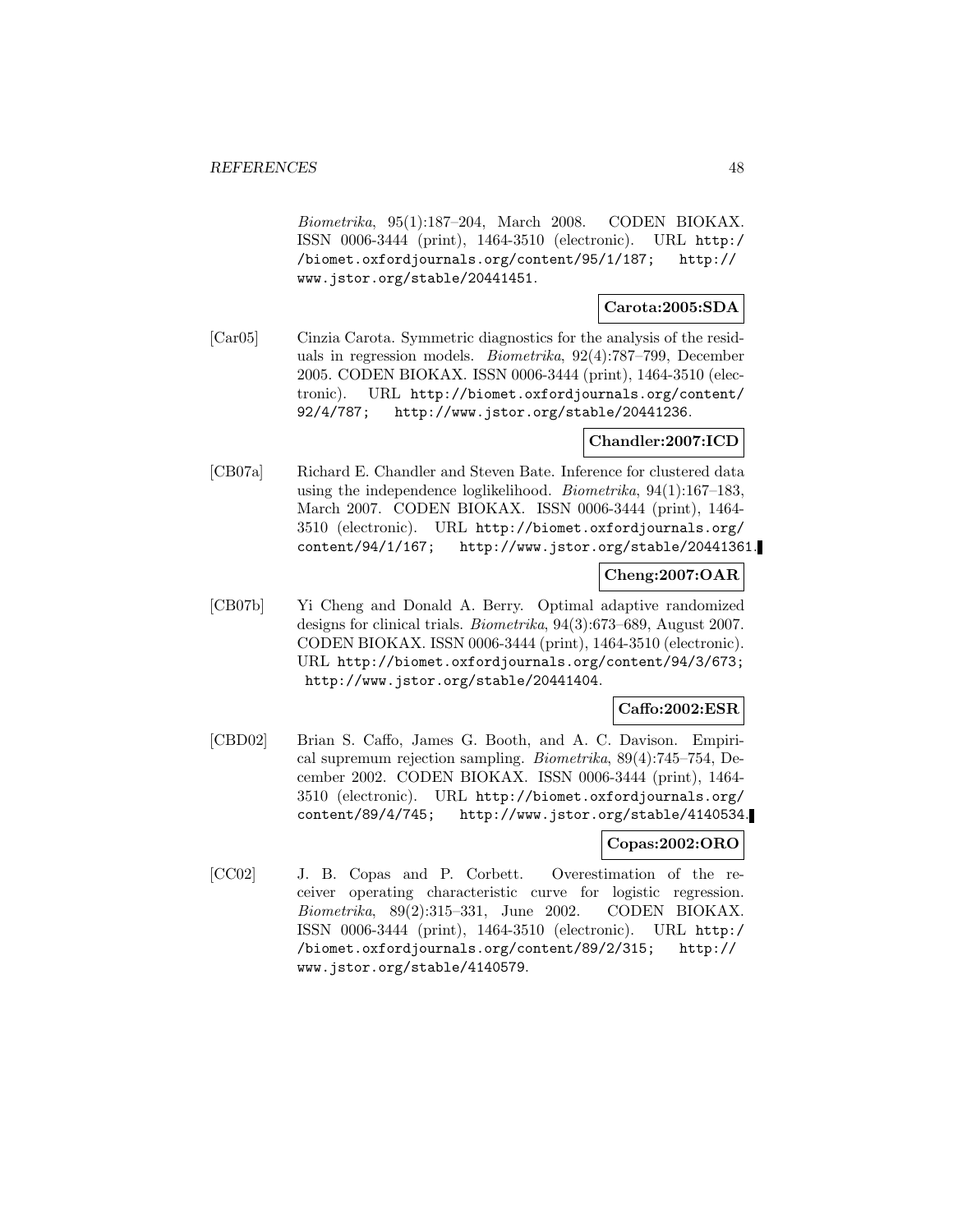Biometrika, 95(1):187–204, March 2008. CODEN BIOKAX. ISSN 0006-3444 (print), 1464-3510 (electronic). URL http:/ /biomet.oxfordjournals.org/content/95/1/187; http:// www.jstor.org/stable/20441451.

# **Carota:2005:SDA**

[Car05] Cinzia Carota. Symmetric diagnostics for the analysis of the residuals in regression models. Biometrika, 92(4):787–799, December 2005. CODEN BIOKAX. ISSN 0006-3444 (print), 1464-3510 (electronic). URL http://biomet.oxfordjournals.org/content/ 92/4/787; http://www.jstor.org/stable/20441236.

## **Chandler:2007:ICD**

[CB07a] Richard E. Chandler and Steven Bate. Inference for clustered data using the independence loglikelihood. Biometrika, 94(1):167–183, March 2007. CODEN BIOKAX. ISSN 0006-3444 (print), 1464- 3510 (electronic). URL http://biomet.oxfordjournals.org/ content/94/1/167; http://www.jstor.org/stable/20441361.

# **Cheng:2007:OAR**

[CB07b] Yi Cheng and Donald A. Berry. Optimal adaptive randomized designs for clinical trials. Biometrika, 94(3):673–689, August 2007. CODEN BIOKAX. ISSN 0006-3444 (print), 1464-3510 (electronic). URL http://biomet.oxfordjournals.org/content/94/3/673; http://www.jstor.org/stable/20441404.

## **Caffo:2002:ESR**

[CBD02] Brian S. Caffo, James G. Booth, and A. C. Davison. Empirical supremum rejection sampling. Biometrika, 89(4):745–754, December 2002. CODEN BIOKAX. ISSN 0006-3444 (print), 1464- 3510 (electronic). URL http://biomet.oxfordjournals.org/ content/89/4/745; http://www.jstor.org/stable/4140534.

# **Copas:2002:ORO**

[CC02] J. B. Copas and P. Corbett. Overestimation of the receiver operating characteristic curve for logistic regression. Biometrika, 89(2):315–331, June 2002. CODEN BIOKAX. ISSN 0006-3444 (print), 1464-3510 (electronic). URL http:/ /biomet.oxfordjournals.org/content/89/2/315; http:// www.jstor.org/stable/4140579.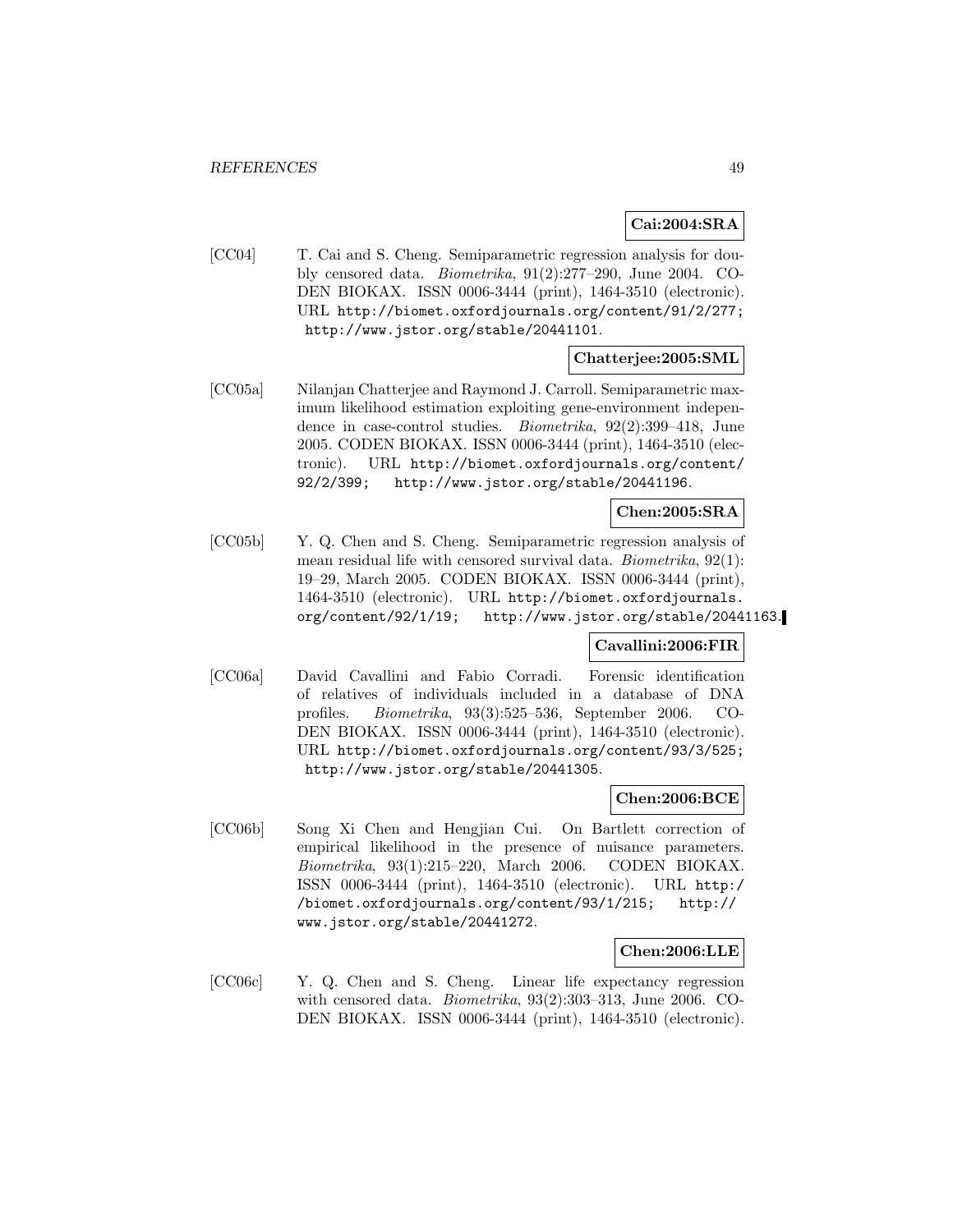# **Cai:2004:SRA**

[CC04] T. Cai and S. Cheng. Semiparametric regression analysis for doubly censored data. Biometrika, 91(2):277–290, June 2004. CO-DEN BIOKAX. ISSN 0006-3444 (print), 1464-3510 (electronic). URL http://biomet.oxfordjournals.org/content/91/2/277; http://www.jstor.org/stable/20441101.

# **Chatterjee:2005:SML**

[CC05a] Nilanjan Chatterjee and Raymond J. Carroll. Semiparametric maximum likelihood estimation exploiting gene-environment independence in case-control studies. Biometrika, 92(2):399–418, June 2005. CODEN BIOKAX. ISSN 0006-3444 (print), 1464-3510 (electronic). URL http://biomet.oxfordjournals.org/content/ 92/2/399; http://www.jstor.org/stable/20441196.

### **Chen:2005:SRA**

[CC05b] Y. Q. Chen and S. Cheng. Semiparametric regression analysis of mean residual life with censored survival data. Biometrika, 92(1): 19–29, March 2005. CODEN BIOKAX. ISSN 0006-3444 (print), 1464-3510 (electronic). URL http://biomet.oxfordjournals. org/content/92/1/19; http://www.jstor.org/stable/20441163.

### **Cavallini:2006:FIR**

[CC06a] David Cavallini and Fabio Corradi. Forensic identification of relatives of individuals included in a database of DNA profiles. Biometrika, 93(3):525–536, September 2006. CO-DEN BIOKAX. ISSN 0006-3444 (print), 1464-3510 (electronic). URL http://biomet.oxfordjournals.org/content/93/3/525; http://www.jstor.org/stable/20441305.

## **Chen:2006:BCE**

[CC06b] Song Xi Chen and Hengjian Cui. On Bartlett correction of empirical likelihood in the presence of nuisance parameters. Biometrika, 93(1):215–220, March 2006. CODEN BIOKAX. ISSN 0006-3444 (print), 1464-3510 (electronic). URL http:/ /biomet.oxfordjournals.org/content/93/1/215; http:// www.jstor.org/stable/20441272.

#### **Chen:2006:LLE**

[CC06c] Y. Q. Chen and S. Cheng. Linear life expectancy regression with censored data. Biometrika, 93(2):303–313, June 2006. CO-DEN BIOKAX. ISSN 0006-3444 (print), 1464-3510 (electronic).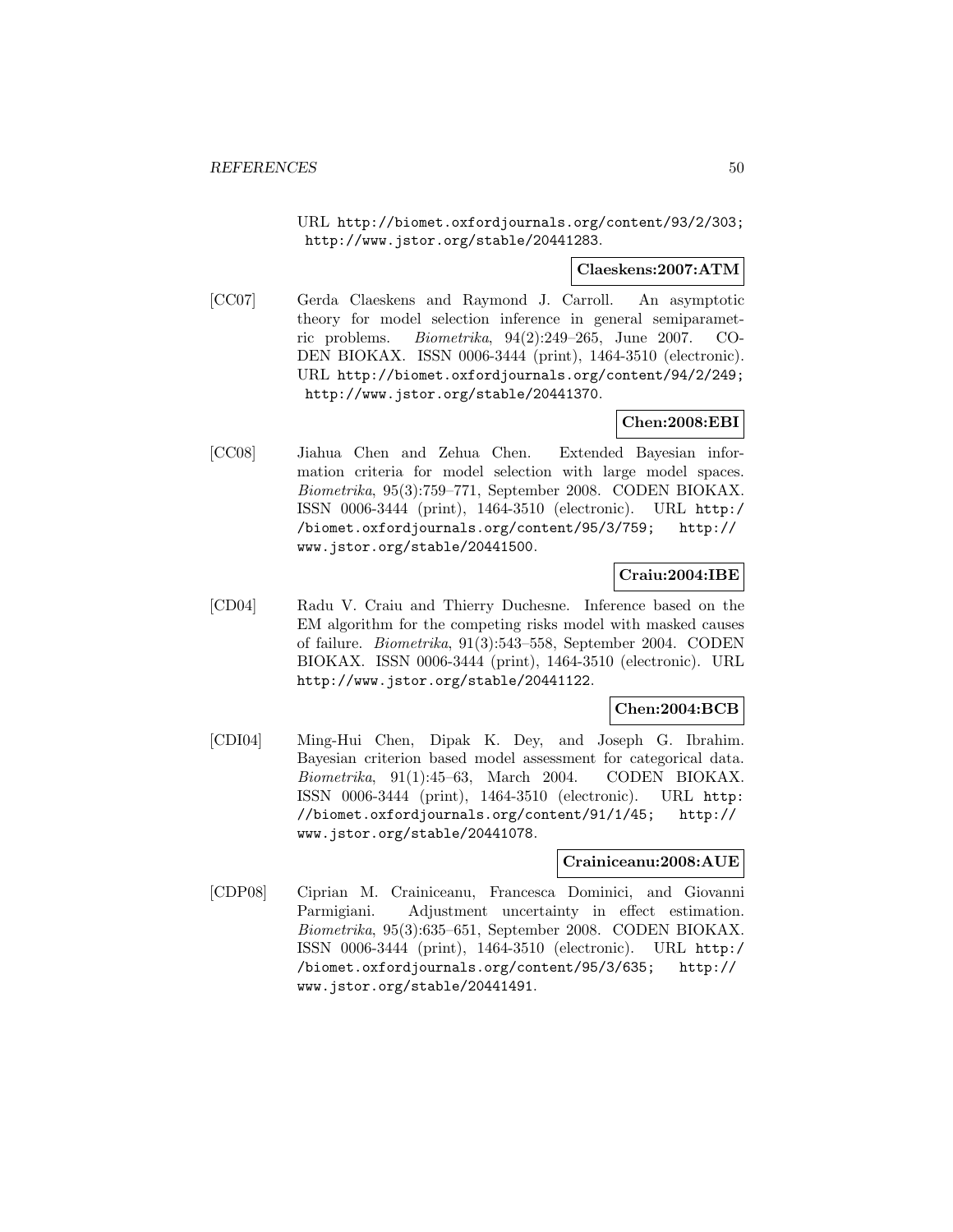URL http://biomet.oxfordjournals.org/content/93/2/303; http://www.jstor.org/stable/20441283.

# **Claeskens:2007:ATM**

[CC07] Gerda Claeskens and Raymond J. Carroll. An asymptotic theory for model selection inference in general semiparametric problems. Biometrika, 94(2):249–265, June 2007. CO-DEN BIOKAX. ISSN 0006-3444 (print), 1464-3510 (electronic). URL http://biomet.oxfordjournals.org/content/94/2/249; http://www.jstor.org/stable/20441370.

# **Chen:2008:EBI**

[CC08] Jiahua Chen and Zehua Chen. Extended Bayesian information criteria for model selection with large model spaces. Biometrika, 95(3):759–771, September 2008. CODEN BIOKAX. ISSN 0006-3444 (print), 1464-3510 (electronic). URL http:/ /biomet.oxfordjournals.org/content/95/3/759; http:// www.jstor.org/stable/20441500.

## **Craiu:2004:IBE**

[CD04] Radu V. Craiu and Thierry Duchesne. Inference based on the EM algorithm for the competing risks model with masked causes of failure. Biometrika, 91(3):543–558, September 2004. CODEN BIOKAX. ISSN 0006-3444 (print), 1464-3510 (electronic). URL http://www.jstor.org/stable/20441122.

# **Chen:2004:BCB**

[CDI04] Ming-Hui Chen, Dipak K. Dey, and Joseph G. Ibrahim. Bayesian criterion based model assessment for categorical data. Biometrika, 91(1):45–63, March 2004. CODEN BIOKAX. ISSN 0006-3444 (print), 1464-3510 (electronic). URL http: //biomet.oxfordjournals.org/content/91/1/45; http:// www.jstor.org/stable/20441078.

### **Crainiceanu:2008:AUE**

[CDP08] Ciprian M. Crainiceanu, Francesca Dominici, and Giovanni Parmigiani. Adjustment uncertainty in effect estimation. Biometrika, 95(3):635–651, September 2008. CODEN BIOKAX. ISSN 0006-3444 (print), 1464-3510 (electronic). URL http:/ /biomet.oxfordjournals.org/content/95/3/635; http:// www.jstor.org/stable/20441491.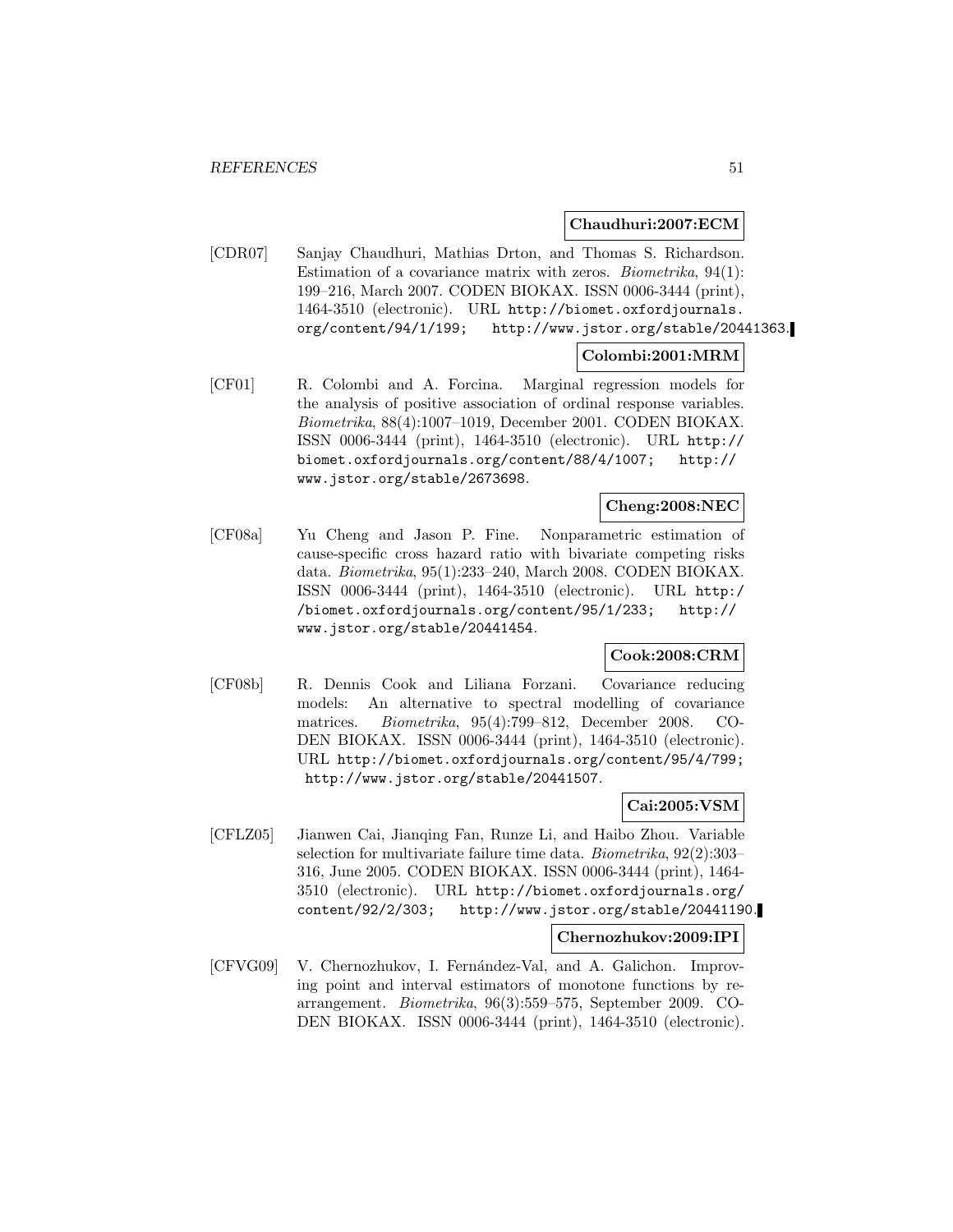#### **Chaudhuri:2007:ECM**

[CDR07] Sanjay Chaudhuri, Mathias Drton, and Thomas S. Richardson. Estimation of a covariance matrix with zeros. Biometrika, 94(1): 199–216, March 2007. CODEN BIOKAX. ISSN 0006-3444 (print), 1464-3510 (electronic). URL http://biomet.oxfordjournals. org/content/94/1/199; http://www.jstor.org/stable/20441363.

## **Colombi:2001:MRM**

[CF01] R. Colombi and A. Forcina. Marginal regression models for the analysis of positive association of ordinal response variables. Biometrika, 88(4):1007–1019, December 2001. CODEN BIOKAX. ISSN 0006-3444 (print), 1464-3510 (electronic). URL http:// biomet.oxfordjournals.org/content/88/4/1007; http:// www.jstor.org/stable/2673698.

## **Cheng:2008:NEC**

[CF08a] Yu Cheng and Jason P. Fine. Nonparametric estimation of cause-specific cross hazard ratio with bivariate competing risks data. Biometrika, 95(1):233–240, March 2008. CODEN BIOKAX. ISSN 0006-3444 (print), 1464-3510 (electronic). URL http:/ /biomet.oxfordjournals.org/content/95/1/233; http:// www.jstor.org/stable/20441454.

### **Cook:2008:CRM**

[CF08b] R. Dennis Cook and Liliana Forzani. Covariance reducing models: An alternative to spectral modelling of covariance matrices. Biometrika, 95(4):799–812, December 2008. CO-DEN BIOKAX. ISSN 0006-3444 (print), 1464-3510 (electronic). URL http://biomet.oxfordjournals.org/content/95/4/799; http://www.jstor.org/stable/20441507.

### **Cai:2005:VSM**

[CFLZ05] Jianwen Cai, Jianqing Fan, Runze Li, and Haibo Zhou. Variable selection for multivariate failure time data. Biometrika, 92(2):303– 316, June 2005. CODEN BIOKAX. ISSN 0006-3444 (print), 1464- 3510 (electronic). URL http://biomet.oxfordjournals.org/ content/92/2/303; http://www.jstor.org/stable/20441190.

### **Chernozhukov:2009:IPI**

[CFVG09] V. Chernozhukov, I. Fernández-Val, and A. Galichon. Improving point and interval estimators of monotone functions by rearrangement. Biometrika, 96(3):559–575, September 2009. CO-DEN BIOKAX. ISSN 0006-3444 (print), 1464-3510 (electronic).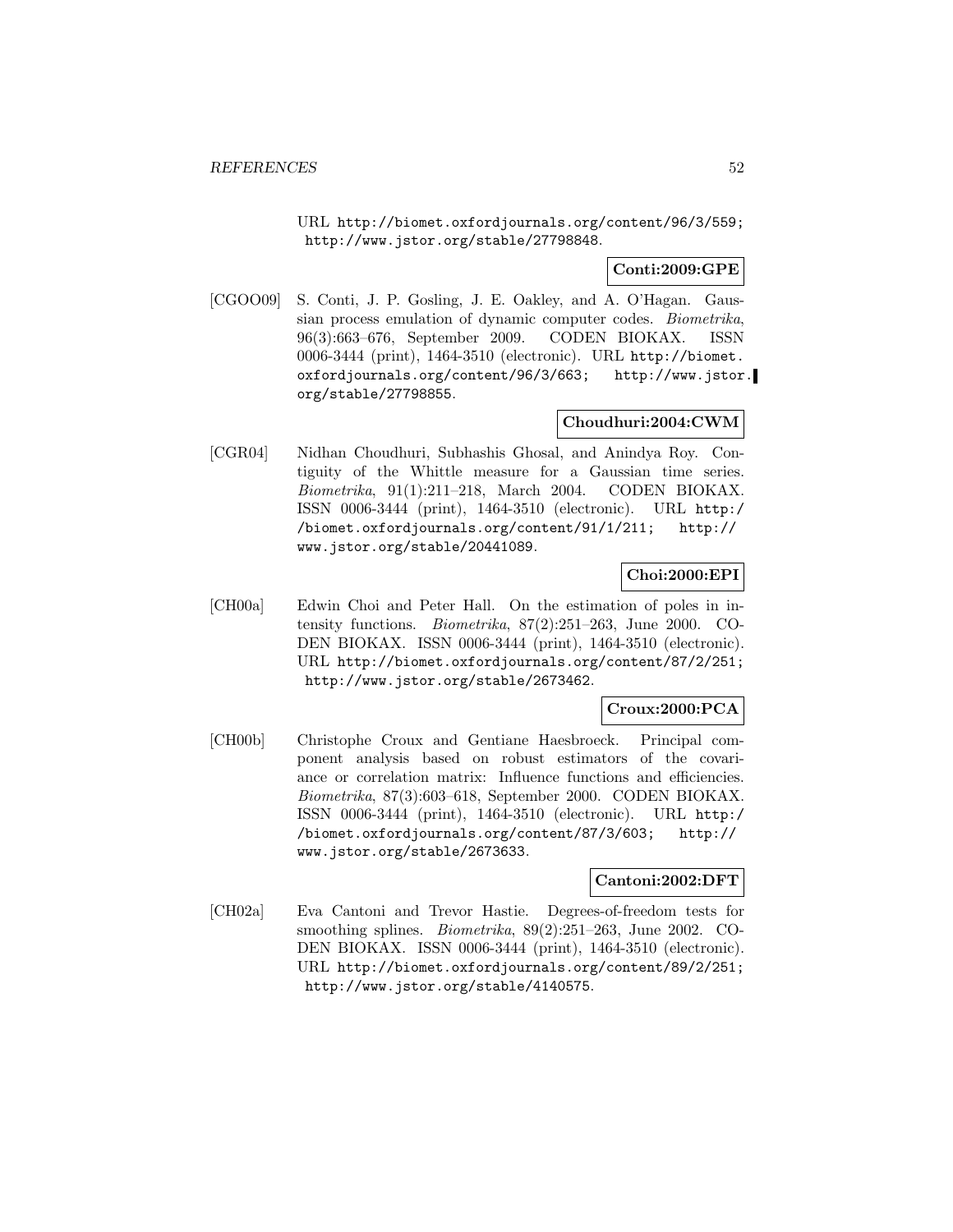URL http://biomet.oxfordjournals.org/content/96/3/559; http://www.jstor.org/stable/27798848.

**Conti:2009:GPE**

[CGOO09] S. Conti, J. P. Gosling, J. E. Oakley, and A. O'Hagan. Gaussian process emulation of dynamic computer codes. Biometrika, 96(3):663–676, September 2009. CODEN BIOKAX. ISSN 0006-3444 (print), 1464-3510 (electronic). URL http://biomet. oxfordjournals.org/content/96/3/663; http://www.jstor. org/stable/27798855.

# **Choudhuri:2004:CWM**

[CGR04] Nidhan Choudhuri, Subhashis Ghosal, and Anindya Roy. Contiguity of the Whittle measure for a Gaussian time series. Biometrika, 91(1):211–218, March 2004. CODEN BIOKAX. ISSN 0006-3444 (print), 1464-3510 (electronic). URL http:/ /biomet.oxfordjournals.org/content/91/1/211; http:// www.jstor.org/stable/20441089.

# **Choi:2000:EPI**

[CH00a] Edwin Choi and Peter Hall. On the estimation of poles in intensity functions. Biometrika, 87(2):251–263, June 2000. CO-DEN BIOKAX. ISSN 0006-3444 (print), 1464-3510 (electronic). URL http://biomet.oxfordjournals.org/content/87/2/251; http://www.jstor.org/stable/2673462.

# **Croux:2000:PCA**

[CH00b] Christophe Croux and Gentiane Haesbroeck. Principal component analysis based on robust estimators of the covariance or correlation matrix: Influence functions and efficiencies. Biometrika, 87(3):603–618, September 2000. CODEN BIOKAX. ISSN 0006-3444 (print), 1464-3510 (electronic). URL http:/ /biomet.oxfordjournals.org/content/87/3/603; http:// www.jstor.org/stable/2673633.

# **Cantoni:2002:DFT**

[CH02a] Eva Cantoni and Trevor Hastie. Degrees-of-freedom tests for smoothing splines. Biometrika, 89(2):251–263, June 2002. CO-DEN BIOKAX. ISSN 0006-3444 (print), 1464-3510 (electronic). URL http://biomet.oxfordjournals.org/content/89/2/251; http://www.jstor.org/stable/4140575.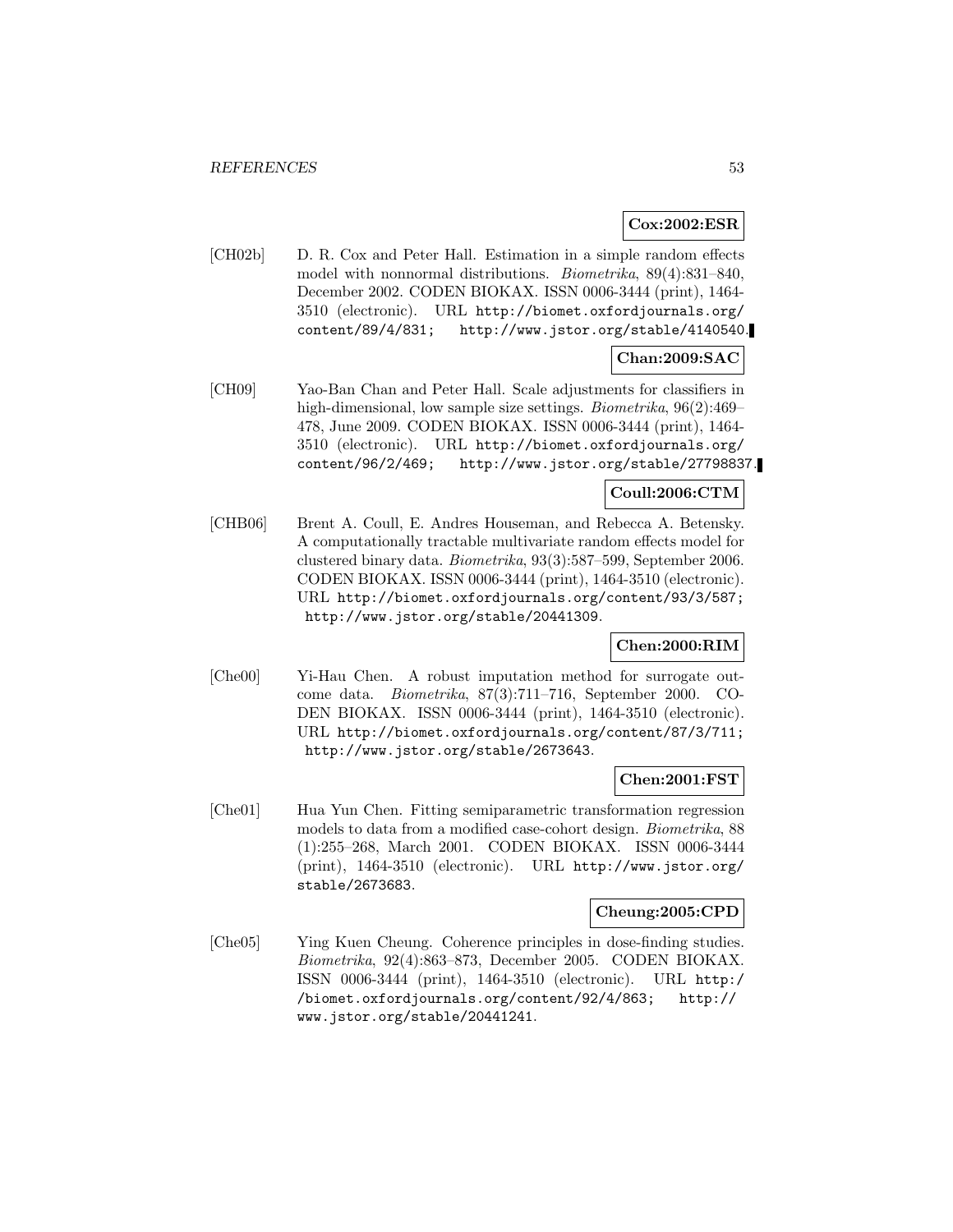## **Cox:2002:ESR**

[CH02b] D. R. Cox and Peter Hall. Estimation in a simple random effects model with nonnormal distributions. Biometrika, 89(4):831–840, December 2002. CODEN BIOKAX. ISSN 0006-3444 (print), 1464- 3510 (electronic). URL http://biomet.oxfordjournals.org/ content/89/4/831; http://www.jstor.org/stable/4140540.

# **Chan:2009:SAC**

[CH09] Yao-Ban Chan and Peter Hall. Scale adjustments for classifiers in high-dimensional, low sample size settings. *Biometrika*, 96(2):469– 478, June 2009. CODEN BIOKAX. ISSN 0006-3444 (print), 1464- 3510 (electronic). URL http://biomet.oxfordjournals.org/ content/96/2/469; http://www.jstor.org/stable/27798837.

## **Coull:2006:CTM**

[CHB06] Brent A. Coull, E. Andres Houseman, and Rebecca A. Betensky. A computationally tractable multivariate random effects model for clustered binary data. Biometrika, 93(3):587–599, September 2006. CODEN BIOKAX. ISSN 0006-3444 (print), 1464-3510 (electronic). URL http://biomet.oxfordjournals.org/content/93/3/587; http://www.jstor.org/stable/20441309.

## **Chen:2000:RIM**

[Che00] Yi-Hau Chen. A robust imputation method for surrogate outcome data. Biometrika, 87(3):711–716, September 2000. CO-DEN BIOKAX. ISSN 0006-3444 (print), 1464-3510 (electronic). URL http://biomet.oxfordjournals.org/content/87/3/711; http://www.jstor.org/stable/2673643.

#### **Chen:2001:FST**

[Che01] Hua Yun Chen. Fitting semiparametric transformation regression models to data from a modified case-cohort design. Biometrika, 88 (1):255–268, March 2001. CODEN BIOKAX. ISSN 0006-3444 (print), 1464-3510 (electronic). URL http://www.jstor.org/ stable/2673683.

#### **Cheung:2005:CPD**

[Che05] Ying Kuen Cheung. Coherence principles in dose-finding studies. Biometrika, 92(4):863–873, December 2005. CODEN BIOKAX. ISSN 0006-3444 (print), 1464-3510 (electronic). URL http:/ /biomet.oxfordjournals.org/content/92/4/863; http:// www.jstor.org/stable/20441241.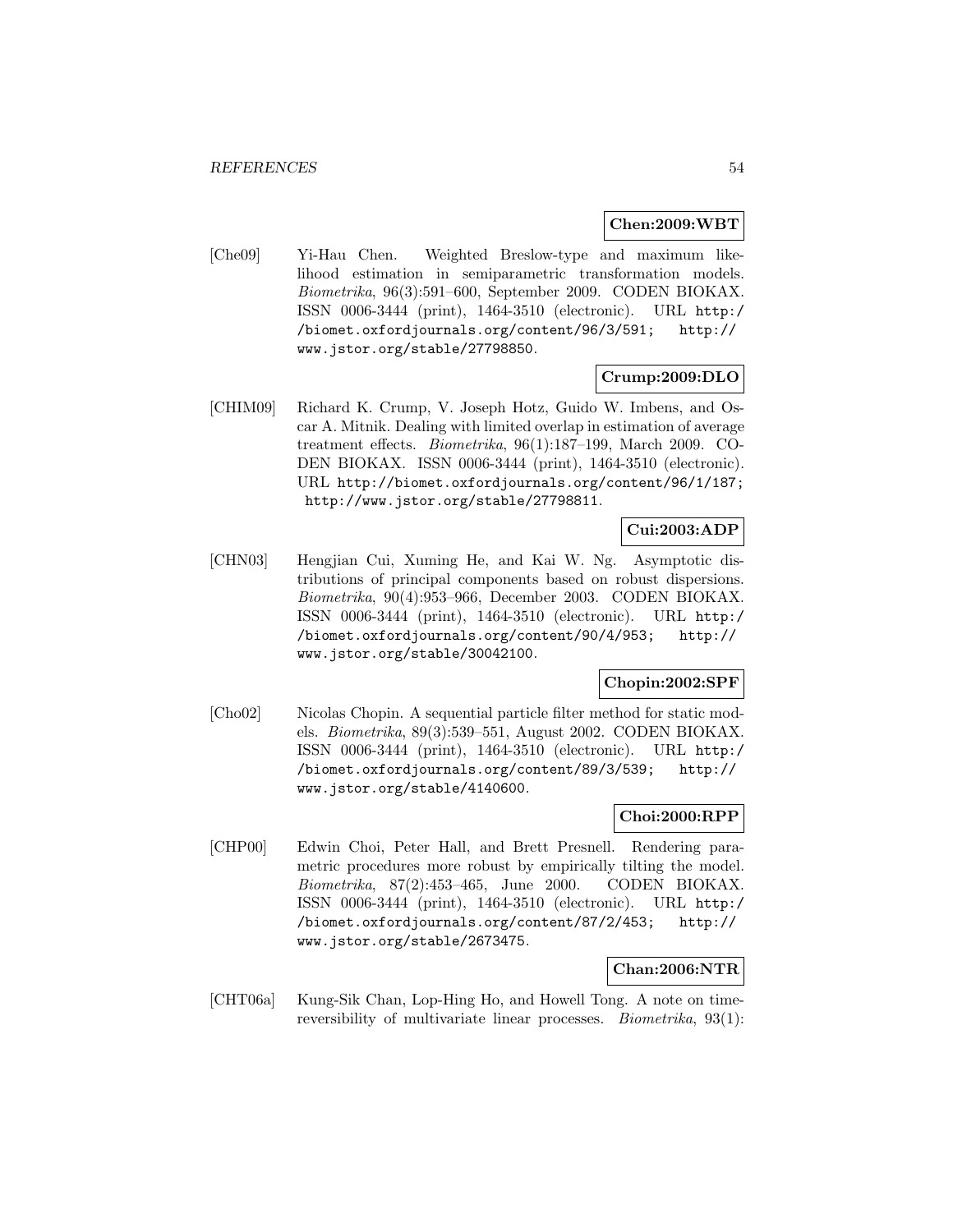#### **Chen:2009:WBT**

[Che09] Yi-Hau Chen. Weighted Breslow-type and maximum likelihood estimation in semiparametric transformation models. Biometrika, 96(3):591–600, September 2009. CODEN BIOKAX. ISSN 0006-3444 (print), 1464-3510 (electronic). URL http:/ /biomet.oxfordjournals.org/content/96/3/591; http:// www.jstor.org/stable/27798850.

## **Crump:2009:DLO**

[CHIM09] Richard K. Crump, V. Joseph Hotz, Guido W. Imbens, and Oscar A. Mitnik. Dealing with limited overlap in estimation of average treatment effects. Biometrika, 96(1):187–199, March 2009. CO-DEN BIOKAX. ISSN 0006-3444 (print), 1464-3510 (electronic). URL http://biomet.oxfordjournals.org/content/96/1/187; http://www.jstor.org/stable/27798811.

# **Cui:2003:ADP**

[CHN03] Hengjian Cui, Xuming He, and Kai W. Ng. Asymptotic distributions of principal components based on robust dispersions. Biometrika, 90(4):953–966, December 2003. CODEN BIOKAX. ISSN 0006-3444 (print), 1464-3510 (electronic). URL http:/ /biomet.oxfordjournals.org/content/90/4/953; http:// www.jstor.org/stable/30042100.

# **Chopin:2002:SPF**

[Cho02] Nicolas Chopin. A sequential particle filter method for static models. Biometrika, 89(3):539–551, August 2002. CODEN BIOKAX. ISSN 0006-3444 (print), 1464-3510 (electronic). URL http:/ /biomet.oxfordjournals.org/content/89/3/539; http:// www.jstor.org/stable/4140600.

#### **Choi:2000:RPP**

[CHP00] Edwin Choi, Peter Hall, and Brett Presnell. Rendering parametric procedures more robust by empirically tilting the model. Biometrika, 87(2):453–465, June 2000. CODEN BIOKAX. ISSN 0006-3444 (print), 1464-3510 (electronic). URL http:/ /biomet.oxfordjournals.org/content/87/2/453; http:// www.jstor.org/stable/2673475.

### **Chan:2006:NTR**

[CHT06a] Kung-Sik Chan, Lop-Hing Ho, and Howell Tong. A note on timereversibility of multivariate linear processes. Biometrika, 93(1):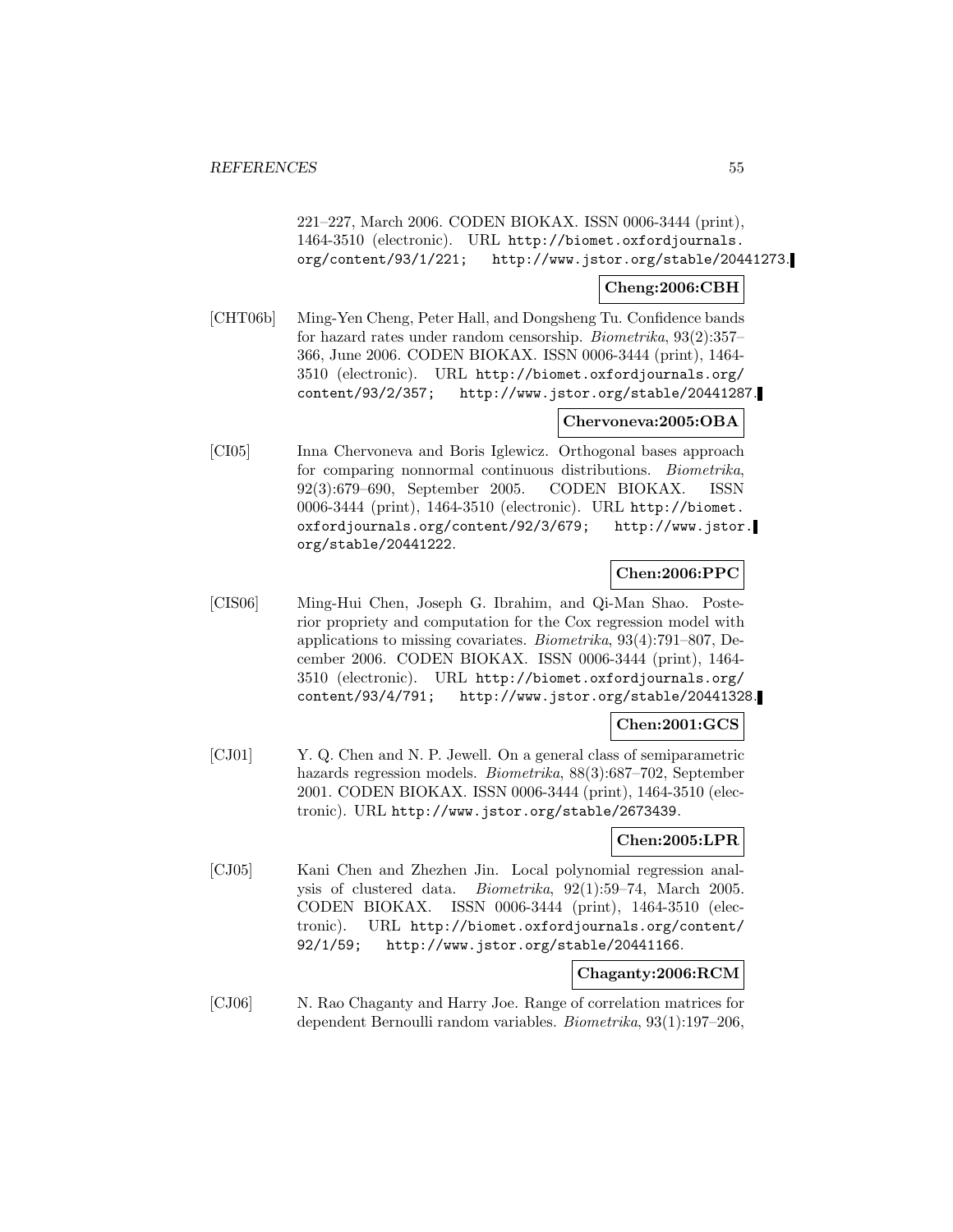221–227, March 2006. CODEN BIOKAX. ISSN 0006-3444 (print), 1464-3510 (electronic). URL http://biomet.oxfordjournals. org/content/93/1/221; http://www.jstor.org/stable/20441273.

## **Cheng:2006:CBH**

[CHT06b] Ming-Yen Cheng, Peter Hall, and Dongsheng Tu. Confidence bands for hazard rates under random censorship. Biometrika, 93(2):357– 366, June 2006. CODEN BIOKAX. ISSN 0006-3444 (print), 1464- 3510 (electronic). URL http://biomet.oxfordjournals.org/ content/93/2/357; http://www.jstor.org/stable/20441287.

## **Chervoneva:2005:OBA**

[CI05] Inna Chervoneva and Boris Iglewicz. Orthogonal bases approach for comparing nonnormal continuous distributions. Biometrika, 92(3):679–690, September 2005. CODEN BIOKAX. ISSN 0006-3444 (print), 1464-3510 (electronic). URL http://biomet. oxfordjournals.org/content/92/3/679; http://www.jstor. org/stable/20441222.

## **Chen:2006:PPC**

[CIS06] Ming-Hui Chen, Joseph G. Ibrahim, and Qi-Man Shao. Posterior propriety and computation for the Cox regression model with applications to missing covariates. Biometrika, 93(4):791–807, December 2006. CODEN BIOKAX. ISSN 0006-3444 (print), 1464- 3510 (electronic). URL http://biomet.oxfordjournals.org/ content/93/4/791; http://www.jstor.org/stable/20441328.

### **Chen:2001:GCS**

[CJ01] Y. Q. Chen and N. P. Jewell. On a general class of semiparametric hazards regression models. Biometrika, 88(3):687–702, September 2001. CODEN BIOKAX. ISSN 0006-3444 (print), 1464-3510 (electronic). URL http://www.jstor.org/stable/2673439.

### **Chen:2005:LPR**

[CJ05] Kani Chen and Zhezhen Jin. Local polynomial regression analysis of clustered data. Biometrika, 92(1):59–74, March 2005. CODEN BIOKAX. ISSN 0006-3444 (print), 1464-3510 (electronic). URL http://biomet.oxfordjournals.org/content/ 92/1/59; http://www.jstor.org/stable/20441166.

# **Chaganty:2006:RCM**

[CJ06] N. Rao Chaganty and Harry Joe. Range of correlation matrices for dependent Bernoulli random variables. Biometrika, 93(1):197–206,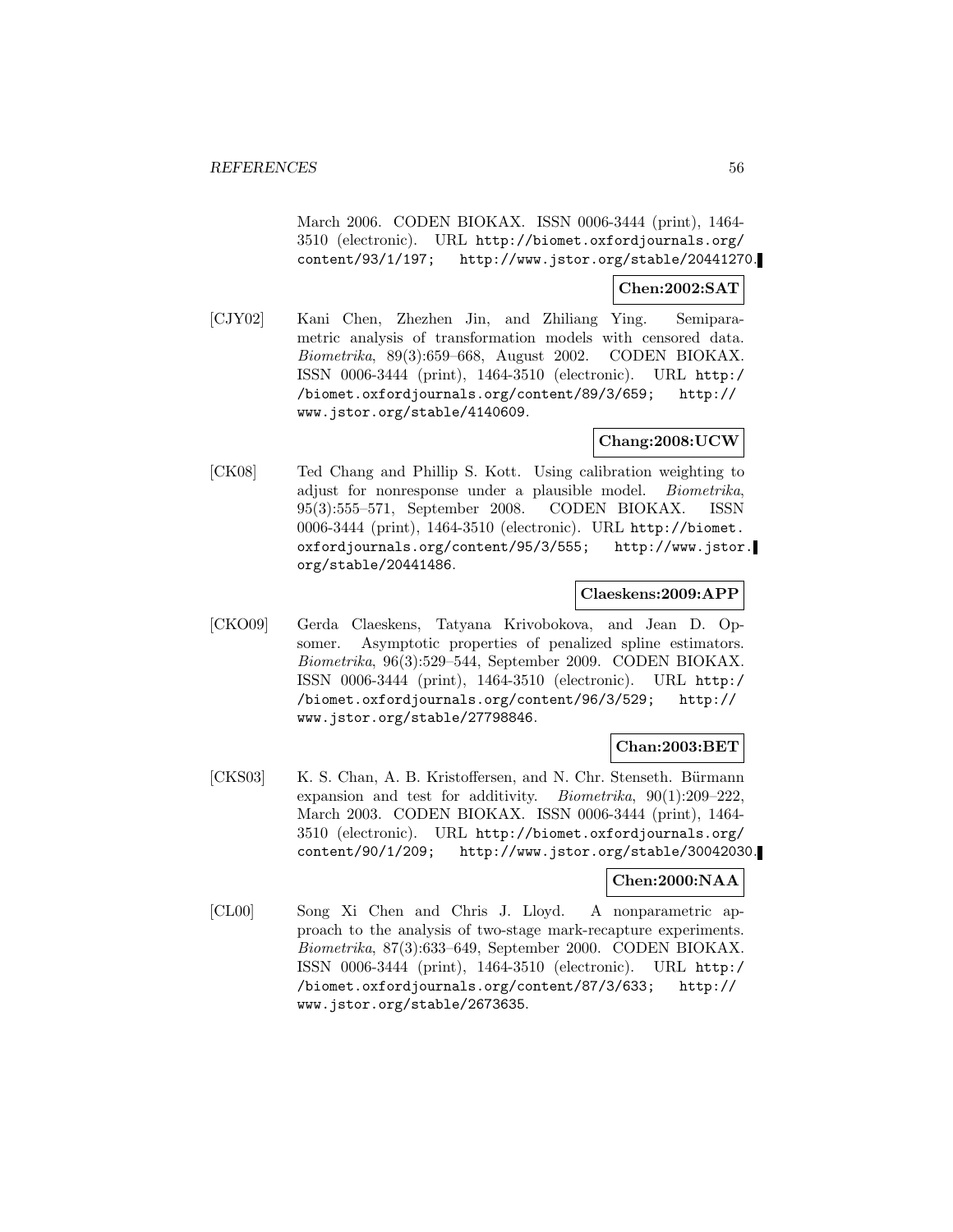March 2006. CODEN BIOKAX. ISSN 0006-3444 (print), 1464- 3510 (electronic). URL http://biomet.oxfordjournals.org/ content/93/1/197; http://www.jstor.org/stable/20441270.

#### **Chen:2002:SAT**

[CJY02] Kani Chen, Zhezhen Jin, and Zhiliang Ying. Semiparametric analysis of transformation models with censored data. Biometrika, 89(3):659–668, August 2002. CODEN BIOKAX. ISSN 0006-3444 (print), 1464-3510 (electronic). URL http:/ /biomet.oxfordjournals.org/content/89/3/659; http:// www.jstor.org/stable/4140609.

## **Chang:2008:UCW**

[CK08] Ted Chang and Phillip S. Kott. Using calibration weighting to adjust for nonresponse under a plausible model. Biometrika, 95(3):555–571, September 2008. CODEN BIOKAX. ISSN 0006-3444 (print), 1464-3510 (electronic). URL http://biomet. oxfordjournals.org/content/95/3/555; http://www.jstor. org/stable/20441486.

### **Claeskens:2009:APP**

[CKO09] Gerda Claeskens, Tatyana Krivobokova, and Jean D. Opsomer. Asymptotic properties of penalized spline estimators. Biometrika, 96(3):529–544, September 2009. CODEN BIOKAX. ISSN 0006-3444 (print), 1464-3510 (electronic). URL http:/ /biomet.oxfordjournals.org/content/96/3/529; http:// www.jstor.org/stable/27798846.

### **Chan:2003:BET**

[CKS03] K. S. Chan, A. B. Kristoffersen, and N. Chr. Stenseth. Bürmann expansion and test for additivity. Biometrika, 90(1):209–222, March 2003. CODEN BIOKAX. ISSN 0006-3444 (print), 1464- 3510 (electronic). URL http://biomet.oxfordjournals.org/ content/90/1/209; http://www.jstor.org/stable/30042030.

# **Chen:2000:NAA**

[CL00] Song Xi Chen and Chris J. Lloyd. A nonparametric approach to the analysis of two-stage mark-recapture experiments. Biometrika, 87(3):633–649, September 2000. CODEN BIOKAX. ISSN 0006-3444 (print), 1464-3510 (electronic). URL http:/ /biomet.oxfordjournals.org/content/87/3/633; http:// www.jstor.org/stable/2673635.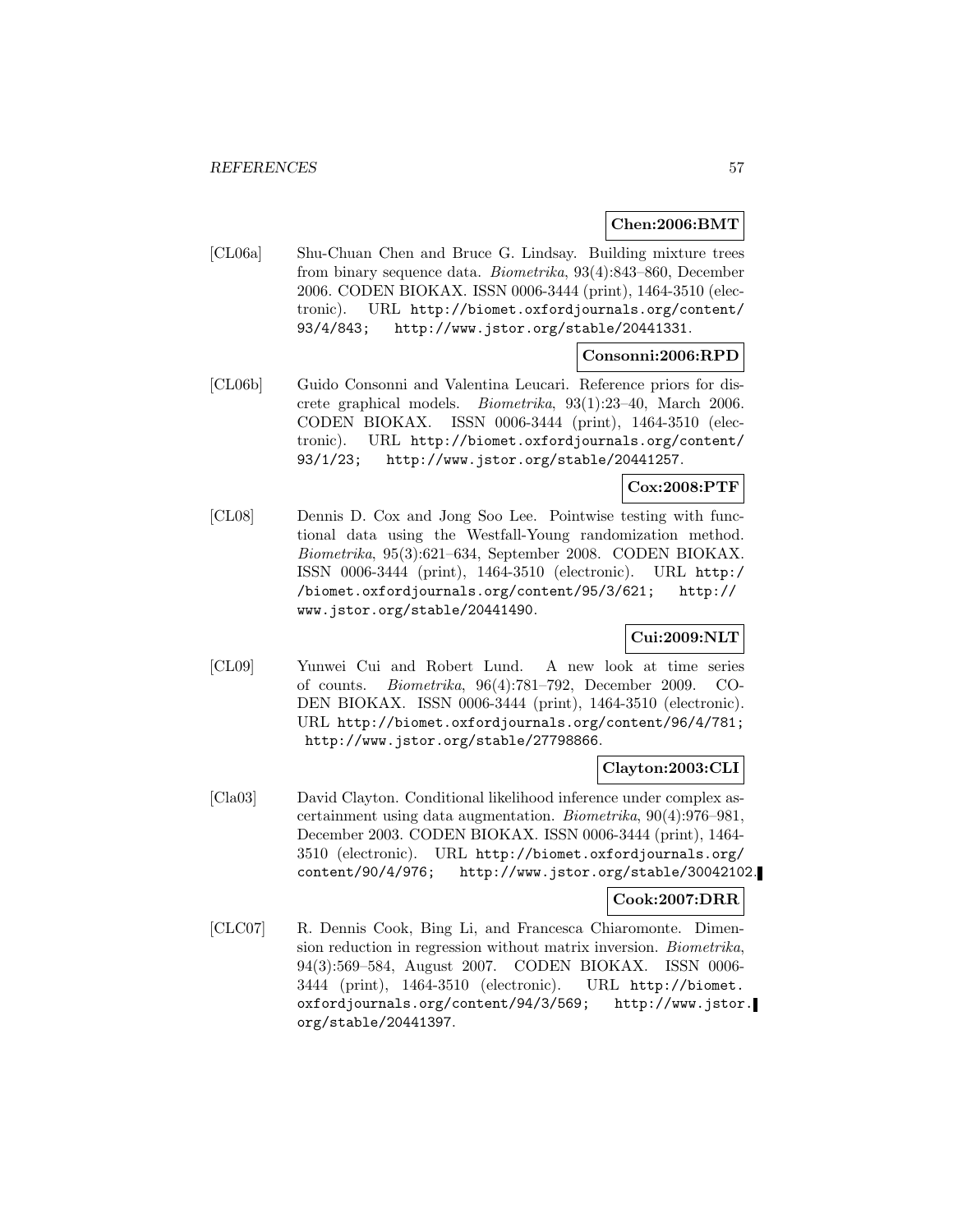# **Chen:2006:BMT**

[CL06a] Shu-Chuan Chen and Bruce G. Lindsay. Building mixture trees from binary sequence data. Biometrika, 93(4):843–860, December 2006. CODEN BIOKAX. ISSN 0006-3444 (print), 1464-3510 (electronic). URL http://biomet.oxfordjournals.org/content/ 93/4/843; http://www.jstor.org/stable/20441331.

### **Consonni:2006:RPD**

[CL06b] Guido Consonni and Valentina Leucari. Reference priors for discrete graphical models. Biometrika, 93(1):23–40, March 2006. CODEN BIOKAX. ISSN 0006-3444 (print), 1464-3510 (electronic). URL http://biomet.oxfordjournals.org/content/ 93/1/23; http://www.jstor.org/stable/20441257.

# **Cox:2008:PTF**

[CL08] Dennis D. Cox and Jong Soo Lee. Pointwise testing with functional data using the Westfall-Young randomization method. Biometrika, 95(3):621–634, September 2008. CODEN BIOKAX. ISSN 0006-3444 (print), 1464-3510 (electronic). URL http:/ /biomet.oxfordjournals.org/content/95/3/621; http:// www.jstor.org/stable/20441490.

# **Cui:2009:NLT**

[CL09] Yunwei Cui and Robert Lund. A new look at time series of counts. Biometrika, 96(4):781–792, December 2009. CO-DEN BIOKAX. ISSN 0006-3444 (print), 1464-3510 (electronic). URL http://biomet.oxfordjournals.org/content/96/4/781; http://www.jstor.org/stable/27798866.

# **Clayton:2003:CLI**

[Cla03] David Clayton. Conditional likelihood inference under complex ascertainment using data augmentation. Biometrika, 90(4):976–981, December 2003. CODEN BIOKAX. ISSN 0006-3444 (print), 1464- 3510 (electronic). URL http://biomet.oxfordjournals.org/ content/90/4/976; http://www.jstor.org/stable/30042102.

### **Cook:2007:DRR**

[CLC07] R. Dennis Cook, Bing Li, and Francesca Chiaromonte. Dimension reduction in regression without matrix inversion. Biometrika, 94(3):569–584, August 2007. CODEN BIOKAX. ISSN 0006- 3444 (print), 1464-3510 (electronic). URL http://biomet. oxfordjournals.org/content/94/3/569; http://www.jstor. org/stable/20441397.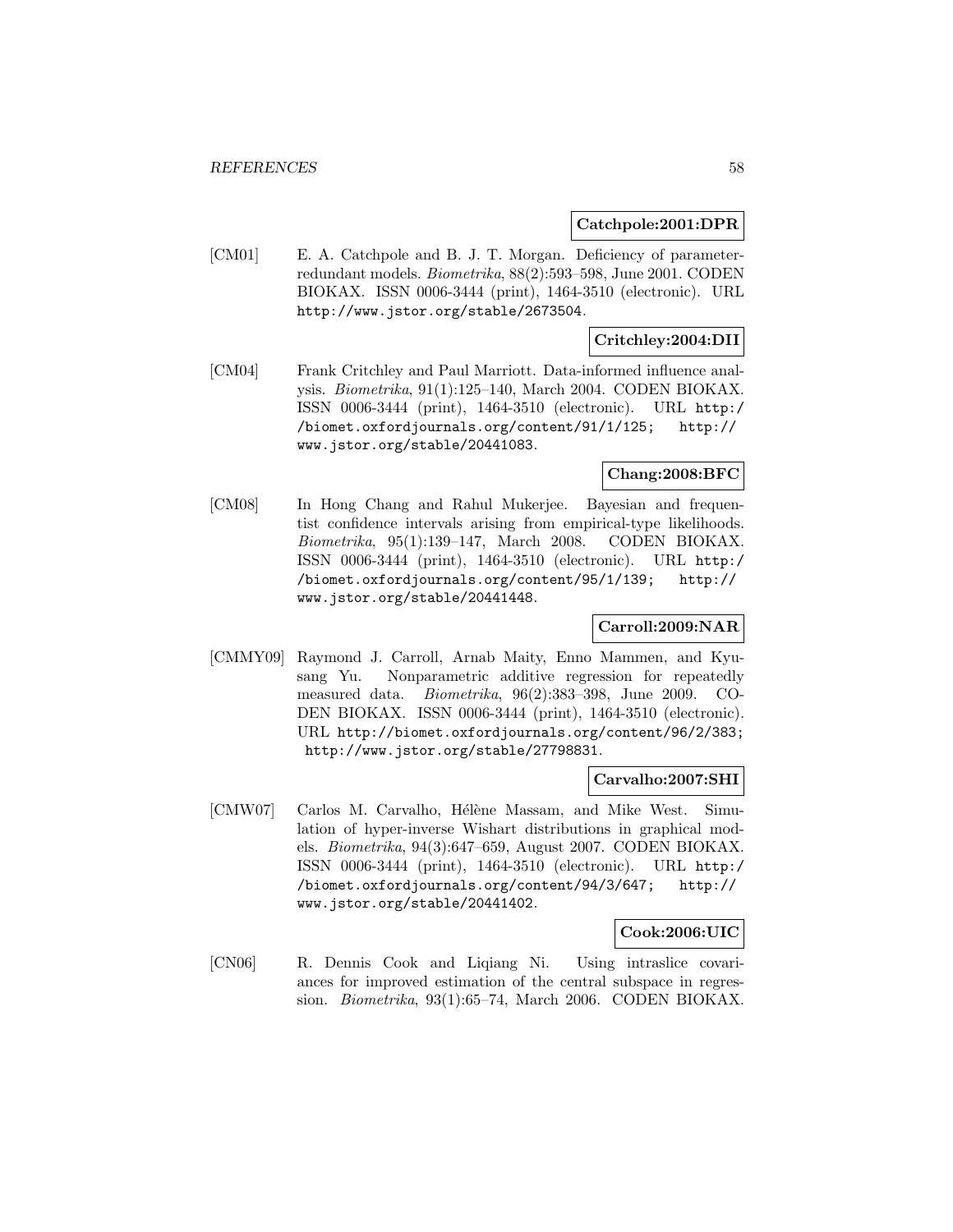#### **Catchpole:2001:DPR**

[CM01] E. A. Catchpole and B. J. T. Morgan. Deficiency of parameterredundant models. Biometrika, 88(2):593–598, June 2001. CODEN BIOKAX. ISSN 0006-3444 (print), 1464-3510 (electronic). URL http://www.jstor.org/stable/2673504.

## **Critchley:2004:DII**

[CM04] Frank Critchley and Paul Marriott. Data-informed influence analysis. Biometrika, 91(1):125–140, March 2004. CODEN BIOKAX. ISSN 0006-3444 (print), 1464-3510 (electronic). URL http:/ /biomet.oxfordjournals.org/content/91/1/125; http:// www.jstor.org/stable/20441083.

# **Chang:2008:BFC**

[CM08] In Hong Chang and Rahul Mukerjee. Bayesian and frequentist confidence intervals arising from empirical-type likelihoods. Biometrika, 95(1):139–147, March 2008. CODEN BIOKAX. ISSN 0006-3444 (print), 1464-3510 (electronic). URL http:/ /biomet.oxfordjournals.org/content/95/1/139; http:// www.jstor.org/stable/20441448.

### **Carroll:2009:NAR**

[CMMY09] Raymond J. Carroll, Arnab Maity, Enno Mammen, and Kyusang Yu. Nonparametric additive regression for repeatedly measured data. Biometrika, 96(2):383–398, June 2009. CO-DEN BIOKAX. ISSN 0006-3444 (print), 1464-3510 (electronic). URL http://biomet.oxfordjournals.org/content/96/2/383; http://www.jstor.org/stable/27798831.

#### **Carvalho:2007:SHI**

[CMW07] Carlos M. Carvalho, Hélène Massam, and Mike West. Simulation of hyper-inverse Wishart distributions in graphical models. Biometrika, 94(3):647–659, August 2007. CODEN BIOKAX. ISSN 0006-3444 (print), 1464-3510 (electronic). URL http:/ /biomet.oxfordjournals.org/content/94/3/647; http:// www.jstor.org/stable/20441402.

#### **Cook:2006:UIC**

[CN06] R. Dennis Cook and Liqiang Ni. Using intraslice covariances for improved estimation of the central subspace in regression. Biometrika, 93(1):65–74, March 2006. CODEN BIOKAX.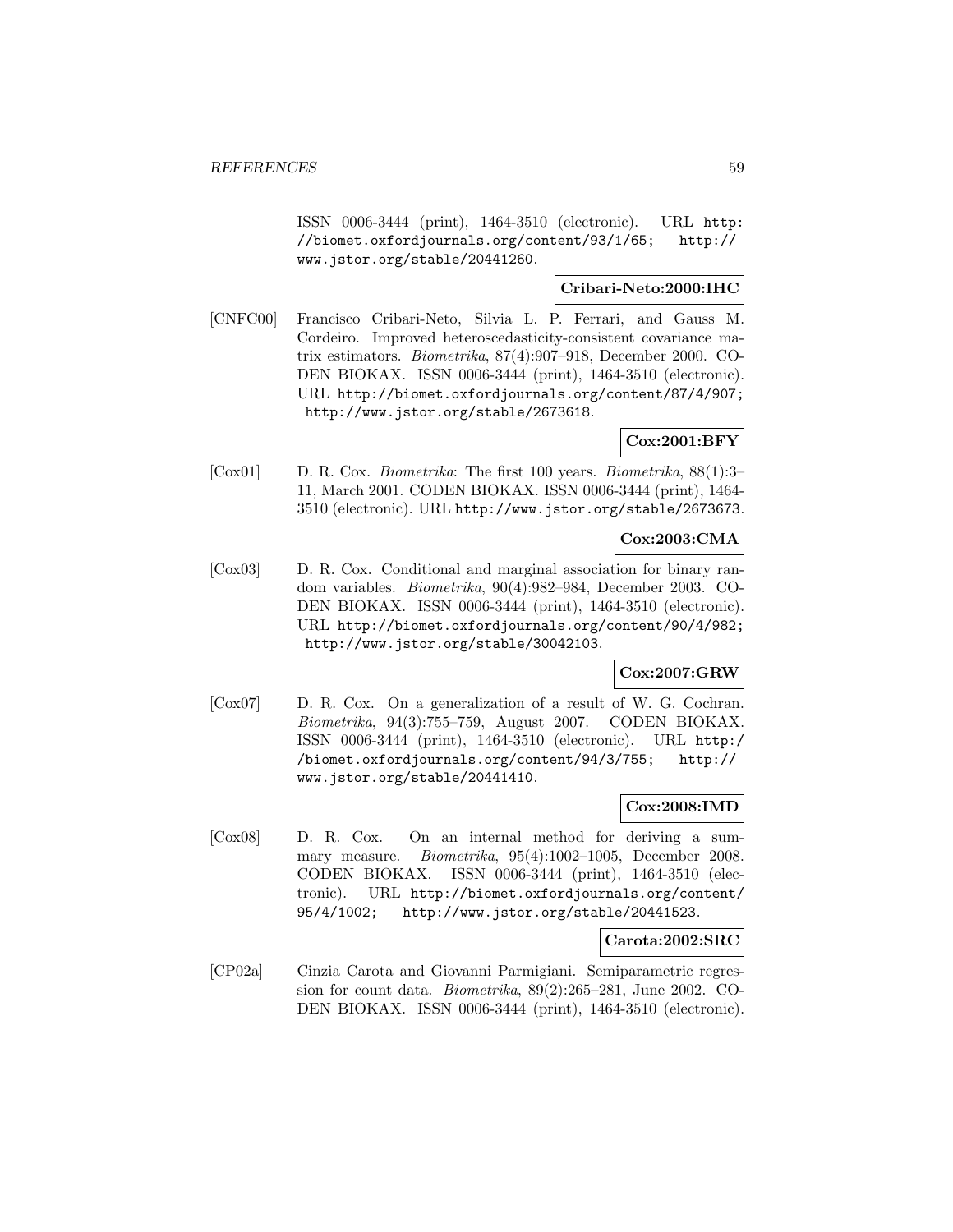ISSN 0006-3444 (print), 1464-3510 (electronic). URL http: //biomet.oxfordjournals.org/content/93/1/65; http:// www.jstor.org/stable/20441260.

## **Cribari-Neto:2000:IHC**

[CNFC00] Francisco Cribari-Neto, Silvia L. P. Ferrari, and Gauss M. Cordeiro. Improved heteroscedasticity-consistent covariance matrix estimators. Biometrika, 87(4):907–918, December 2000. CO-DEN BIOKAX. ISSN 0006-3444 (print), 1464-3510 (electronic). URL http://biomet.oxfordjournals.org/content/87/4/907; http://www.jstor.org/stable/2673618.

### **Cox:2001:BFY**

[Cox01] D. R. Cox. Biometrika: The first 100 years. Biometrika, 88(1):3– 11, March 2001. CODEN BIOKAX. ISSN 0006-3444 (print), 1464- 3510 (electronic). URL http://www.jstor.org/stable/2673673.

# **Cox:2003:CMA**

[Cox03] D. R. Cox. Conditional and marginal association for binary random variables. Biometrika, 90(4):982–984, December 2003. CO-DEN BIOKAX. ISSN 0006-3444 (print), 1464-3510 (electronic). URL http://biomet.oxfordjournals.org/content/90/4/982; http://www.jstor.org/stable/30042103.

#### **Cox:2007:GRW**

[Cox07] D. R. Cox. On a generalization of a result of W. G. Cochran. Biometrika, 94(3):755–759, August 2007. CODEN BIOKAX. ISSN 0006-3444 (print), 1464-3510 (electronic). URL http:/ /biomet.oxfordjournals.org/content/94/3/755; http:// www.jstor.org/stable/20441410.

## **Cox:2008:IMD**

[Cox08] D. R. Cox. On an internal method for deriving a summary measure. Biometrika, 95(4):1002–1005, December 2008. CODEN BIOKAX. ISSN 0006-3444 (print), 1464-3510 (electronic). URL http://biomet.oxfordjournals.org/content/ 95/4/1002; http://www.jstor.org/stable/20441523.

#### **Carota:2002:SRC**

[CP02a] Cinzia Carota and Giovanni Parmigiani. Semiparametric regression for count data. Biometrika, 89(2):265–281, June 2002. CO-DEN BIOKAX. ISSN 0006-3444 (print), 1464-3510 (electronic).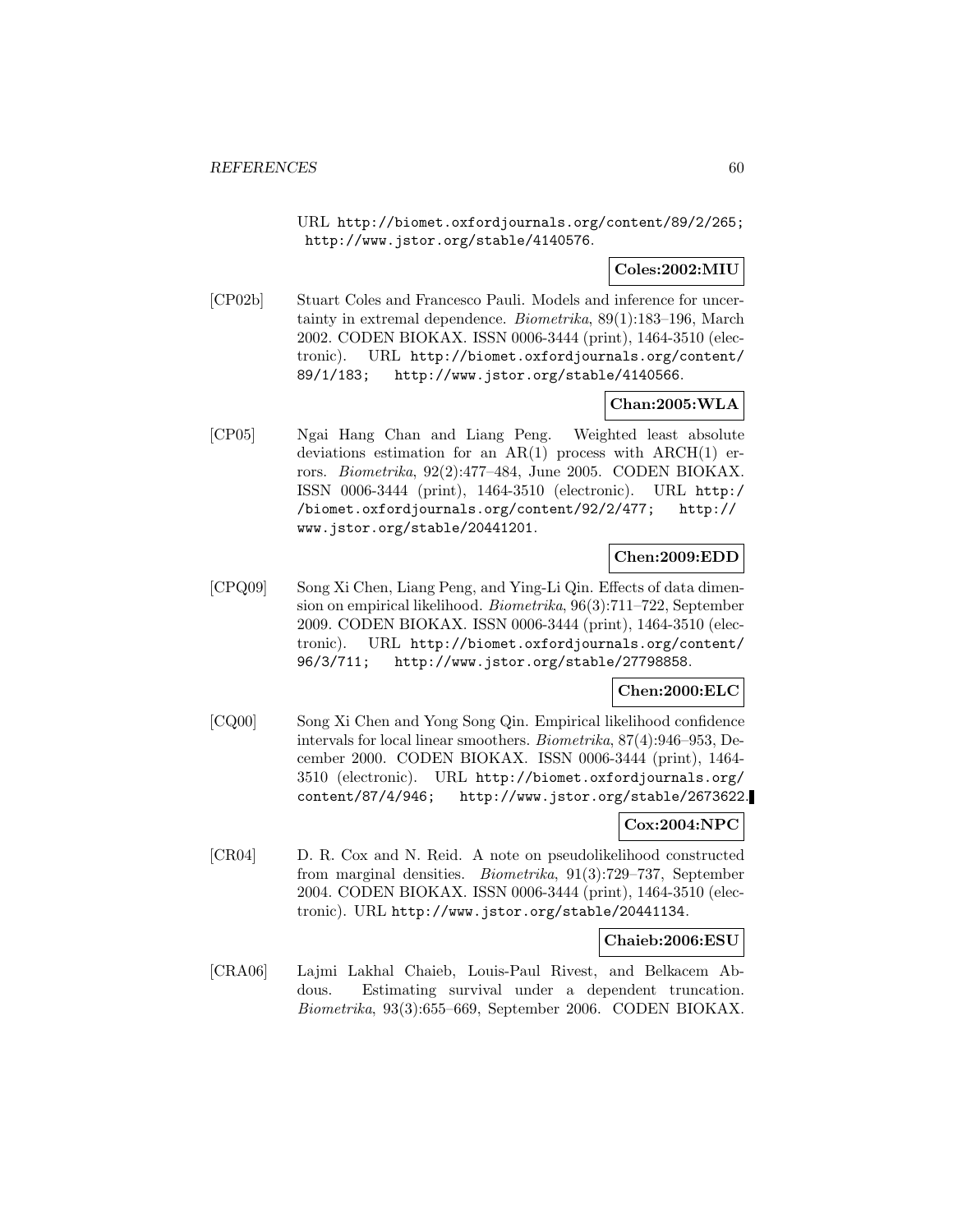URL http://biomet.oxfordjournals.org/content/89/2/265; http://www.jstor.org/stable/4140576.

## **Coles:2002:MIU**

[CP02b] Stuart Coles and Francesco Pauli. Models and inference for uncertainty in extremal dependence. Biometrika, 89(1):183–196, March 2002. CODEN BIOKAX. ISSN 0006-3444 (print), 1464-3510 (electronic). URL http://biomet.oxfordjournals.org/content/ 89/1/183; http://www.jstor.org/stable/4140566.

# **Chan:2005:WLA**

[CP05] Ngai Hang Chan and Liang Peng. Weighted least absolute deviations estimation for an  $AR(1)$  process with  $ARCH(1)$  errors. Biometrika, 92(2):477–484, June 2005. CODEN BIOKAX. ISSN 0006-3444 (print), 1464-3510 (electronic). URL http:/ /biomet.oxfordjournals.org/content/92/2/477; http:// www.jstor.org/stable/20441201.

## **Chen:2009:EDD**

[CPQ09] Song Xi Chen, Liang Peng, and Ying-Li Qin. Effects of data dimension on empirical likelihood. Biometrika, 96(3):711–722, September 2009. CODEN BIOKAX. ISSN 0006-3444 (print), 1464-3510 (electronic). URL http://biomet.oxfordjournals.org/content/ 96/3/711; http://www.jstor.org/stable/27798858.

# **Chen:2000:ELC**

[CQ00] Song Xi Chen and Yong Song Qin. Empirical likelihood confidence intervals for local linear smoothers. Biometrika, 87(4):946–953, December 2000. CODEN BIOKAX. ISSN 0006-3444 (print), 1464- 3510 (electronic). URL http://biomet.oxfordjournals.org/ content/87/4/946; http://www.jstor.org/stable/2673622.

### **Cox:2004:NPC**

[CR04] D. R. Cox and N. Reid. A note on pseudolikelihood constructed from marginal densities. Biometrika, 91(3):729–737, September 2004. CODEN BIOKAX. ISSN 0006-3444 (print), 1464-3510 (electronic). URL http://www.jstor.org/stable/20441134.

### **Chaieb:2006:ESU**

[CRA06] Lajmi Lakhal Chaieb, Louis-Paul Rivest, and Belkacem Abdous. Estimating survival under a dependent truncation. Biometrika, 93(3):655–669, September 2006. CODEN BIOKAX.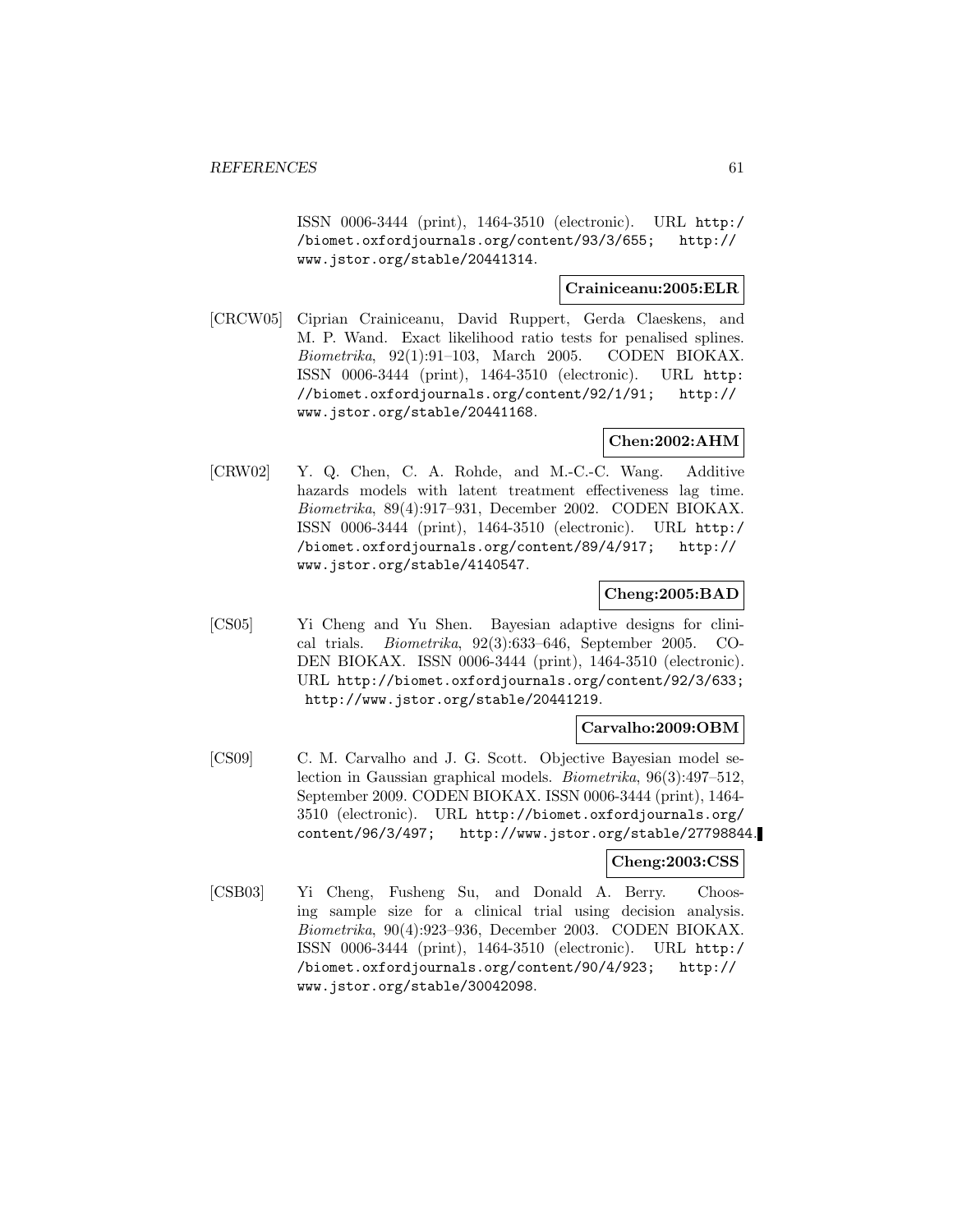ISSN 0006-3444 (print), 1464-3510 (electronic). URL http:/ /biomet.oxfordjournals.org/content/93/3/655; http:// www.jstor.org/stable/20441314.

# **Crainiceanu:2005:ELR**

[CRCW05] Ciprian Crainiceanu, David Ruppert, Gerda Claeskens, and M. P. Wand. Exact likelihood ratio tests for penalised splines. Biometrika, 92(1):91–103, March 2005. CODEN BIOKAX. ISSN 0006-3444 (print), 1464-3510 (electronic). URL http: //biomet.oxfordjournals.org/content/92/1/91; http:// www.jstor.org/stable/20441168.

## **Chen:2002:AHM**

[CRW02] Y. Q. Chen, C. A. Rohde, and M.-C.-C. Wang. Additive hazards models with latent treatment effectiveness lag time. Biometrika, 89(4):917–931, December 2002. CODEN BIOKAX. ISSN 0006-3444 (print), 1464-3510 (electronic). URL http:/ /biomet.oxfordjournals.org/content/89/4/917; http:// www.jstor.org/stable/4140547.

# **Cheng:2005:BAD**

[CS05] Yi Cheng and Yu Shen. Bayesian adaptive designs for clinical trials. Biometrika, 92(3):633–646, September 2005. CO-DEN BIOKAX. ISSN 0006-3444 (print), 1464-3510 (electronic). URL http://biomet.oxfordjournals.org/content/92/3/633; http://www.jstor.org/stable/20441219.

### **Carvalho:2009:OBM**

[CS09] C. M. Carvalho and J. G. Scott. Objective Bayesian model selection in Gaussian graphical models. Biometrika, 96(3):497–512, September 2009. CODEN BIOKAX. ISSN 0006-3444 (print), 1464- 3510 (electronic). URL http://biomet.oxfordjournals.org/ content/96/3/497; http://www.jstor.org/stable/27798844.

### **Cheng:2003:CSS**

[CSB03] Yi Cheng, Fusheng Su, and Donald A. Berry. Choosing sample size for a clinical trial using decision analysis. Biometrika, 90(4):923–936, December 2003. CODEN BIOKAX. ISSN 0006-3444 (print), 1464-3510 (electronic). URL http:/ /biomet.oxfordjournals.org/content/90/4/923; http:// www.jstor.org/stable/30042098.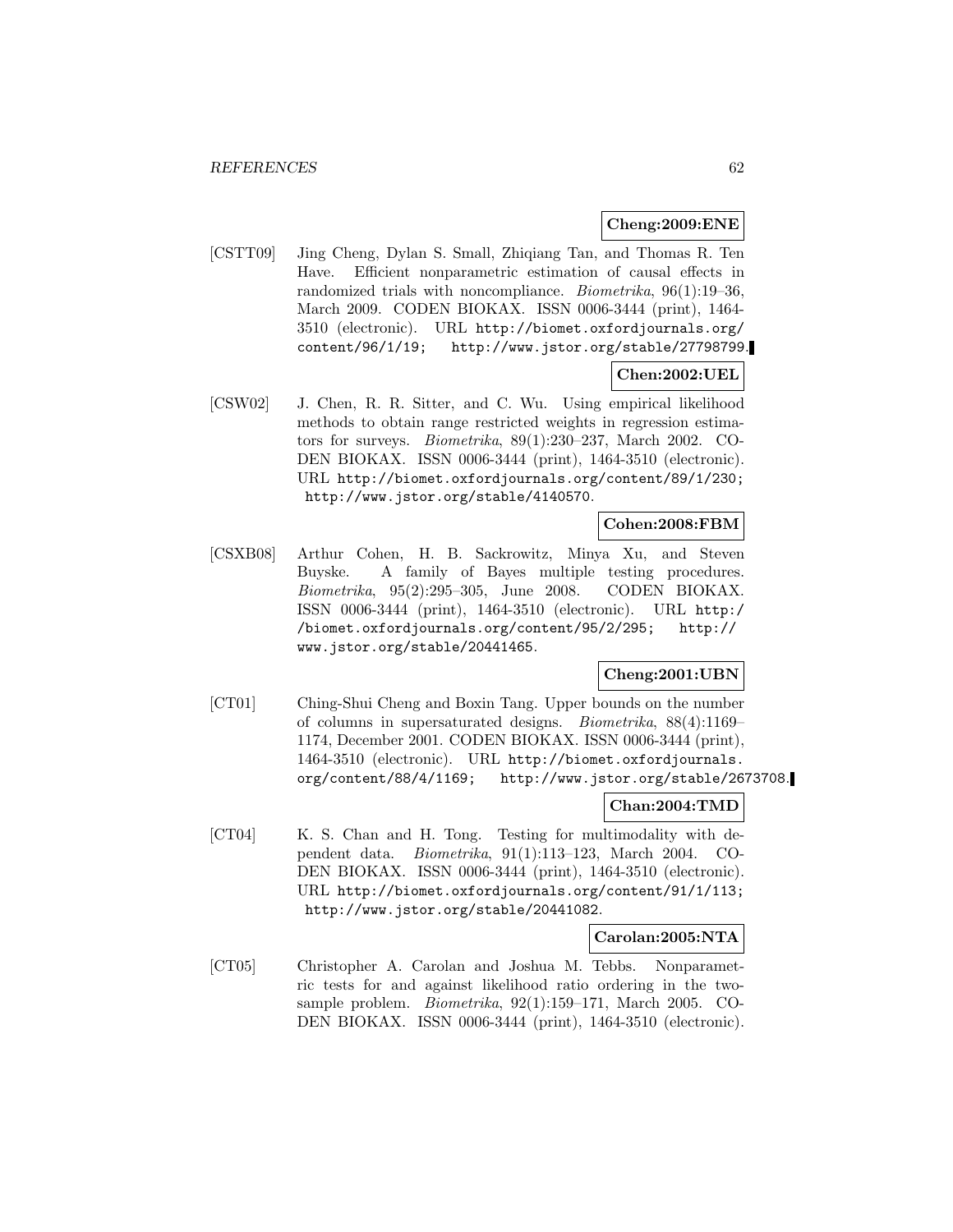### **Cheng:2009:ENE**

[CSTT09] Jing Cheng, Dylan S. Small, Zhiqiang Tan, and Thomas R. Ten Have. Efficient nonparametric estimation of causal effects in randomized trials with noncompliance. Biometrika, 96(1):19–36, March 2009. CODEN BIOKAX. ISSN 0006-3444 (print), 1464- 3510 (electronic). URL http://biomet.oxfordjournals.org/ content/96/1/19; http://www.jstor.org/stable/27798799.

# **Chen:2002:UEL**

[CSW02] J. Chen, R. R. Sitter, and C. Wu. Using empirical likelihood methods to obtain range restricted weights in regression estimators for surveys. Biometrika, 89(1):230–237, March 2002. CO-DEN BIOKAX. ISSN 0006-3444 (print), 1464-3510 (electronic). URL http://biomet.oxfordjournals.org/content/89/1/230; http://www.jstor.org/stable/4140570.

### **Cohen:2008:FBM**

[CSXB08] Arthur Cohen, H. B. Sackrowitz, Minya Xu, and Steven Buyske. A family of Bayes multiple testing procedures. Biometrika, 95(2):295–305, June 2008. CODEN BIOKAX. ISSN 0006-3444 (print), 1464-3510 (electronic). URL http:/ /biomet.oxfordjournals.org/content/95/2/295; http:// www.jstor.org/stable/20441465.

## **Cheng:2001:UBN**

[CT01] Ching-Shui Cheng and Boxin Tang. Upper bounds on the number of columns in supersaturated designs. Biometrika, 88(4):1169– 1174, December 2001. CODEN BIOKAX. ISSN 0006-3444 (print), 1464-3510 (electronic). URL http://biomet.oxfordjournals. org/content/88/4/1169; http://www.jstor.org/stable/2673708.

#### **Chan:2004:TMD**

[CT04] K. S. Chan and H. Tong. Testing for multimodality with dependent data. Biometrika, 91(1):113–123, March 2004. CO-DEN BIOKAX. ISSN 0006-3444 (print), 1464-3510 (electronic). URL http://biomet.oxfordjournals.org/content/91/1/113; http://www.jstor.org/stable/20441082.

# **Carolan:2005:NTA**

[CT05] Christopher A. Carolan and Joshua M. Tebbs. Nonparametric tests for and against likelihood ratio ordering in the twosample problem. Biometrika, 92(1):159–171, March 2005. CO-DEN BIOKAX. ISSN 0006-3444 (print), 1464-3510 (electronic).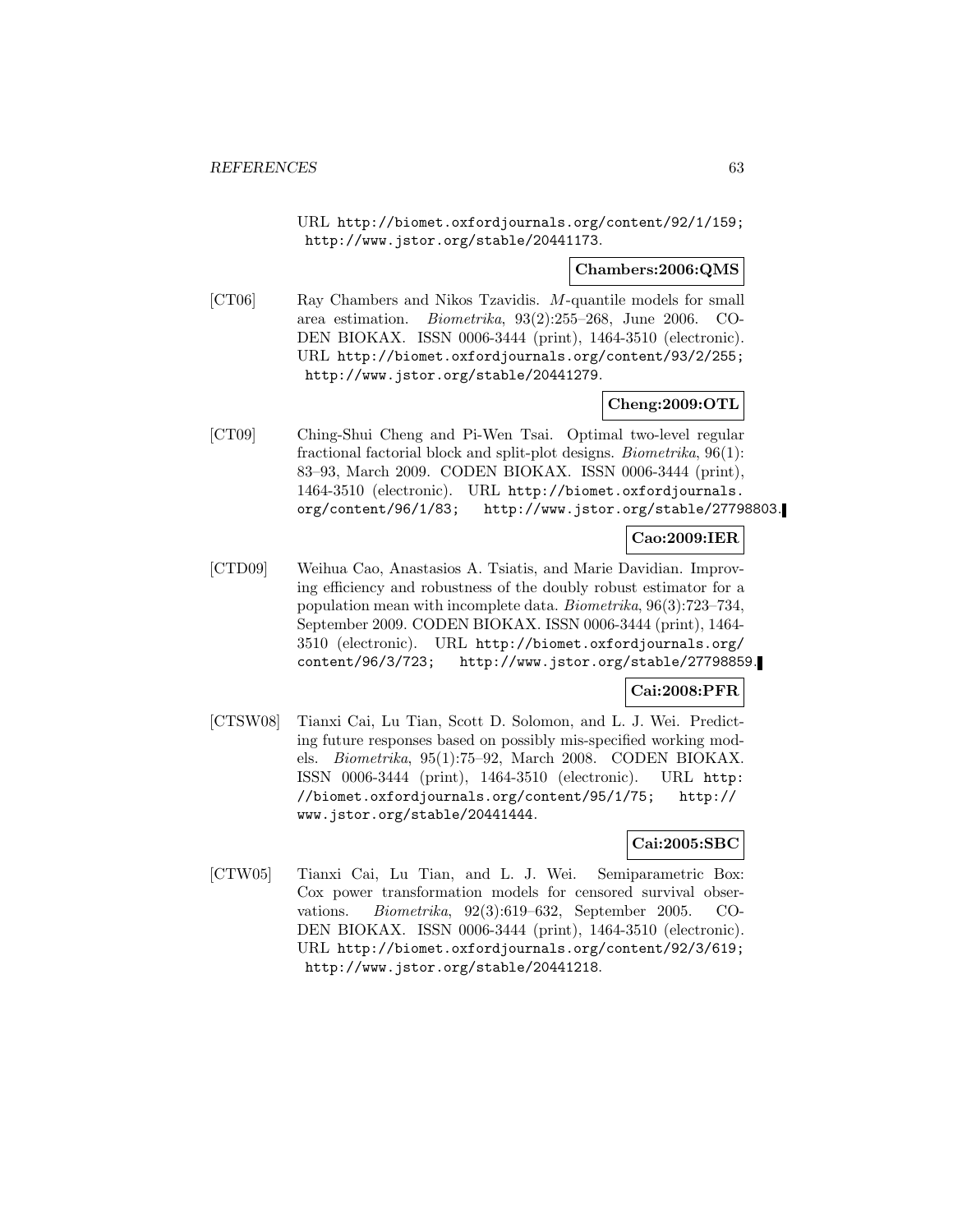URL http://biomet.oxfordjournals.org/content/92/1/159; http://www.jstor.org/stable/20441173.

### **Chambers:2006:QMS**

[CT06] Ray Chambers and Nikos Tzavidis. M-quantile models for small area estimation. Biometrika, 93(2):255–268, June 2006. CO-DEN BIOKAX. ISSN 0006-3444 (print), 1464-3510 (electronic). URL http://biomet.oxfordjournals.org/content/93/2/255; http://www.jstor.org/stable/20441279.

## **Cheng:2009:OTL**

[CT09] Ching-Shui Cheng and Pi-Wen Tsai. Optimal two-level regular fractional factorial block and split-plot designs. Biometrika, 96(1): 83–93, March 2009. CODEN BIOKAX. ISSN 0006-3444 (print), 1464-3510 (electronic). URL http://biomet.oxfordjournals. org/content/96/1/83; http://www.jstor.org/stable/27798803.

# **Cao:2009:IER**

[CTD09] Weihua Cao, Anastasios A. Tsiatis, and Marie Davidian. Improving efficiency and robustness of the doubly robust estimator for a population mean with incomplete data. Biometrika, 96(3):723–734, September 2009. CODEN BIOKAX. ISSN 0006-3444 (print), 1464- 3510 (electronic). URL http://biomet.oxfordjournals.org/ content/96/3/723; http://www.jstor.org/stable/27798859.

# **Cai:2008:PFR**

[CTSW08] Tianxi Cai, Lu Tian, Scott D. Solomon, and L. J. Wei. Predicting future responses based on possibly mis-specified working models. Biometrika, 95(1):75–92, March 2008. CODEN BIOKAX. ISSN 0006-3444 (print), 1464-3510 (electronic). URL http: //biomet.oxfordjournals.org/content/95/1/75; http:// www.jstor.org/stable/20441444.

# **Cai:2005:SBC**

[CTW05] Tianxi Cai, Lu Tian, and L. J. Wei. Semiparametric Box: Cox power transformation models for censored survival observations. Biometrika, 92(3):619–632, September 2005. CO-DEN BIOKAX. ISSN 0006-3444 (print), 1464-3510 (electronic). URL http://biomet.oxfordjournals.org/content/92/3/619; http://www.jstor.org/stable/20441218.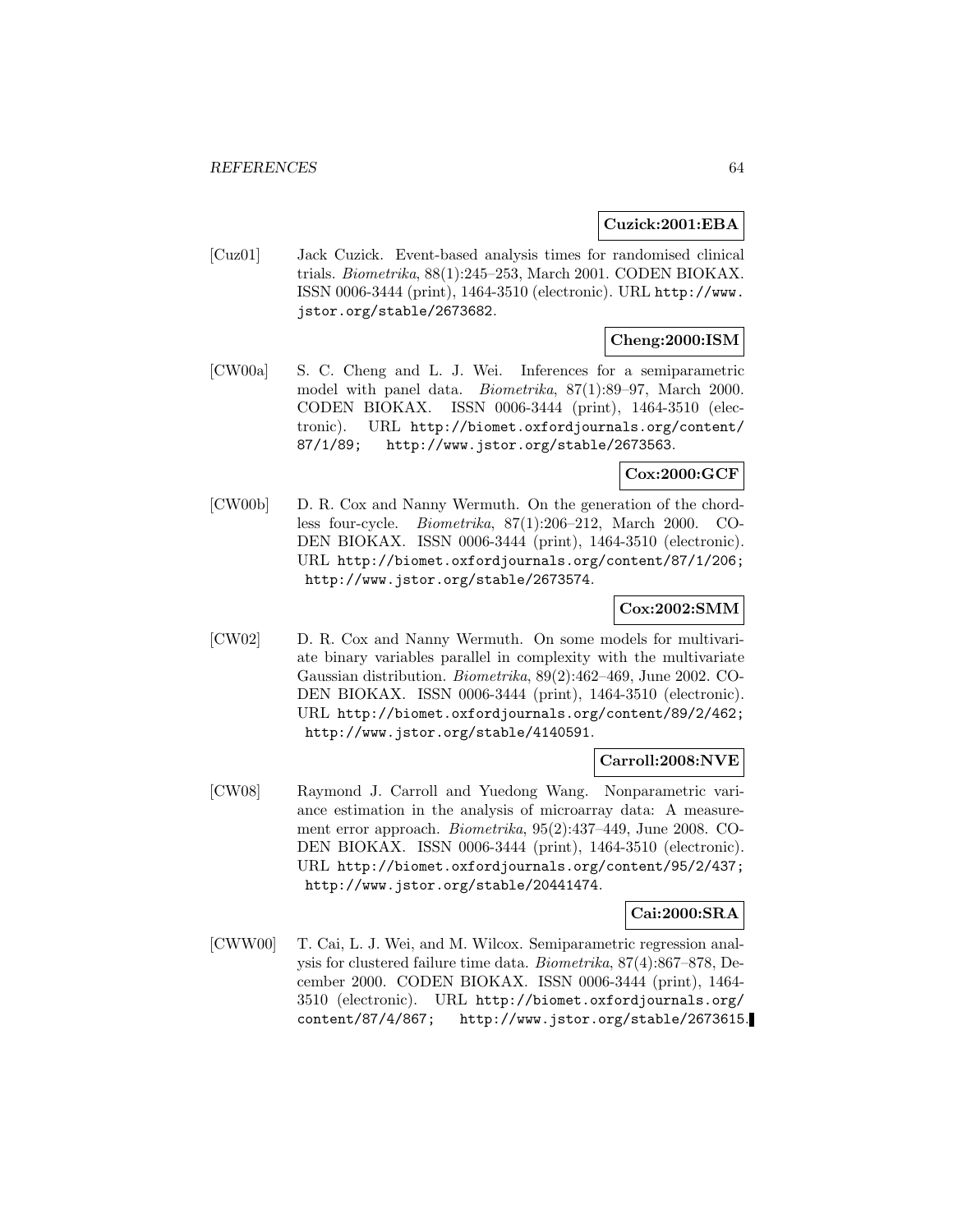#### **Cuzick:2001:EBA**

[Cuz01] Jack Cuzick. Event-based analysis times for randomised clinical trials. Biometrika, 88(1):245–253, March 2001. CODEN BIOKAX. ISSN 0006-3444 (print), 1464-3510 (electronic). URL http://www. jstor.org/stable/2673682.

# **Cheng:2000:ISM**

[CW00a] S. C. Cheng and L. J. Wei. Inferences for a semiparametric model with panel data. Biometrika, 87(1):89–97, March 2000. CODEN BIOKAX. ISSN 0006-3444 (print), 1464-3510 (electronic). URL http://biomet.oxfordjournals.org/content/ 87/1/89; http://www.jstor.org/stable/2673563.

# **Cox:2000:GCF**

[CW00b] D. R. Cox and Nanny Wermuth. On the generation of the chordless four-cycle. Biometrika, 87(1):206–212, March 2000. CO-DEN BIOKAX. ISSN 0006-3444 (print), 1464-3510 (electronic). URL http://biomet.oxfordjournals.org/content/87/1/206; http://www.jstor.org/stable/2673574.

## **Cox:2002:SMM**

[CW02] D. R. Cox and Nanny Wermuth. On some models for multivariate binary variables parallel in complexity with the multivariate Gaussian distribution. Biometrika, 89(2):462–469, June 2002. CO-DEN BIOKAX. ISSN 0006-3444 (print), 1464-3510 (electronic). URL http://biomet.oxfordjournals.org/content/89/2/462; http://www.jstor.org/stable/4140591.

### **Carroll:2008:NVE**

[CW08] Raymond J. Carroll and Yuedong Wang. Nonparametric variance estimation in the analysis of microarray data: A measurement error approach. Biometrika, 95(2):437–449, June 2008. CO-DEN BIOKAX. ISSN 0006-3444 (print), 1464-3510 (electronic). URL http://biomet.oxfordjournals.org/content/95/2/437; http://www.jstor.org/stable/20441474.

### **Cai:2000:SRA**

[CWW00] T. Cai, L. J. Wei, and M. Wilcox. Semiparametric regression analysis for clustered failure time data. Biometrika, 87(4):867–878, December 2000. CODEN BIOKAX. ISSN 0006-3444 (print), 1464- 3510 (electronic). URL http://biomet.oxfordjournals.org/ content/87/4/867; http://www.jstor.org/stable/2673615.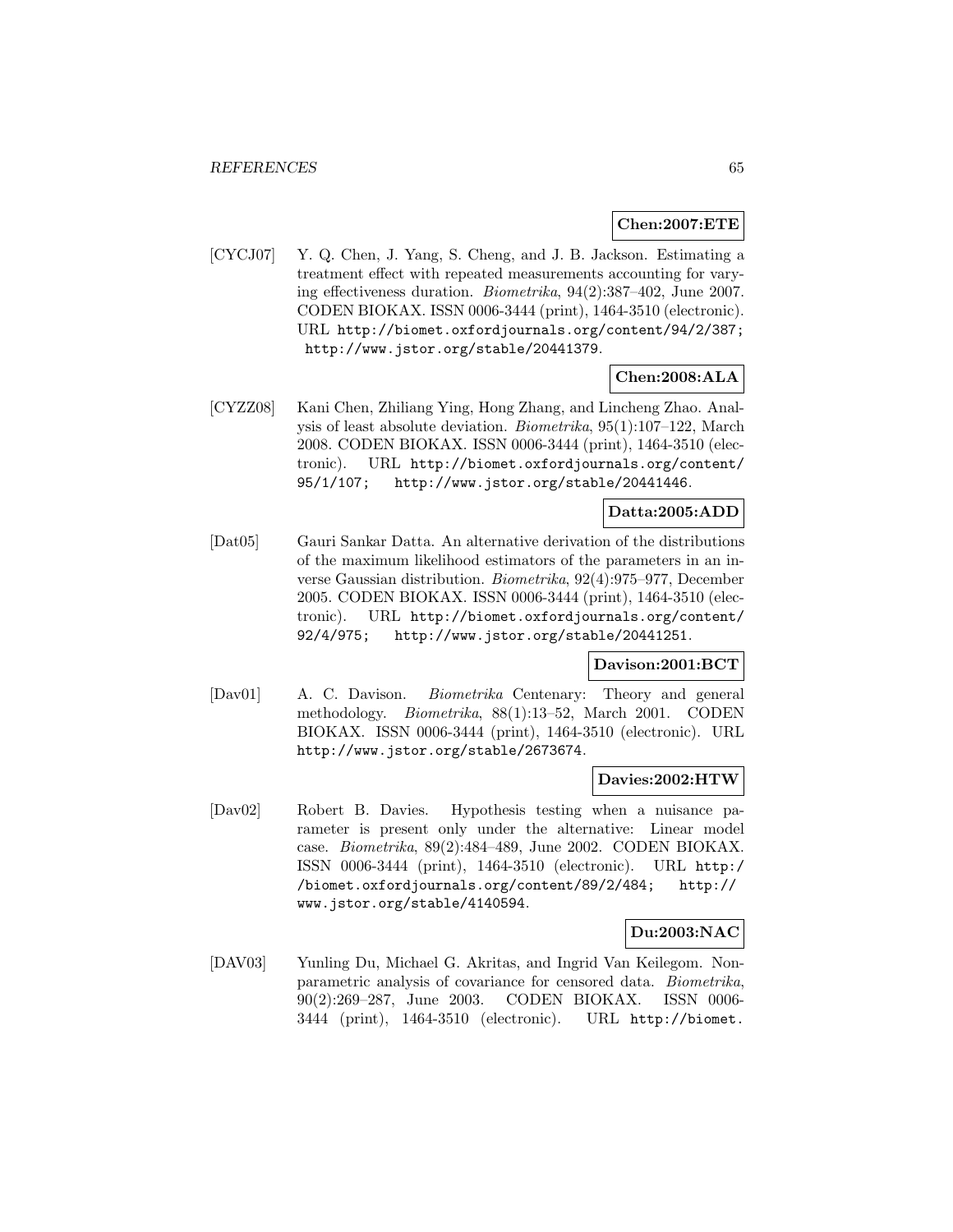### **Chen:2007:ETE**

[CYCJ07] Y. Q. Chen, J. Yang, S. Cheng, and J. B. Jackson. Estimating a treatment effect with repeated measurements accounting for varying effectiveness duration. Biometrika, 94(2):387–402, June 2007. CODEN BIOKAX. ISSN 0006-3444 (print), 1464-3510 (electronic). URL http://biomet.oxfordjournals.org/content/94/2/387; http://www.jstor.org/stable/20441379.

**Chen:2008:ALA**

[CYZZ08] Kani Chen, Zhiliang Ying, Hong Zhang, and Lincheng Zhao. Analysis of least absolute deviation. Biometrika, 95(1):107–122, March 2008. CODEN BIOKAX. ISSN 0006-3444 (print), 1464-3510 (electronic). URL http://biomet.oxfordjournals.org/content/ 95/1/107; http://www.jstor.org/stable/20441446.

## **Datta:2005:ADD**

[Dat05] Gauri Sankar Datta. An alternative derivation of the distributions of the maximum likelihood estimators of the parameters in an inverse Gaussian distribution. Biometrika, 92(4):975–977, December 2005. CODEN BIOKAX. ISSN 0006-3444 (print), 1464-3510 (electronic). URL http://biomet.oxfordjournals.org/content/ 92/4/975; http://www.jstor.org/stable/20441251.

#### **Davison:2001:BCT**

[Dav01] A. C. Davison. Biometrika Centenary: Theory and general methodology. Biometrika, 88(1):13–52, March 2001. CODEN BIOKAX. ISSN 0006-3444 (print), 1464-3510 (electronic). URL http://www.jstor.org/stable/2673674.

#### **Davies:2002:HTW**

[Dav02] Robert B. Davies. Hypothesis testing when a nuisance parameter is present only under the alternative: Linear model case. Biometrika, 89(2):484–489, June 2002. CODEN BIOKAX. ISSN 0006-3444 (print), 1464-3510 (electronic). URL http:/ /biomet.oxfordjournals.org/content/89/2/484; http:// www.jstor.org/stable/4140594.

## **Du:2003:NAC**

[DAV03] Yunling Du, Michael G. Akritas, and Ingrid Van Keilegom. Nonparametric analysis of covariance for censored data. Biometrika, 90(2):269–287, June 2003. CODEN BIOKAX. ISSN 0006- 3444 (print), 1464-3510 (electronic). URL http://biomet.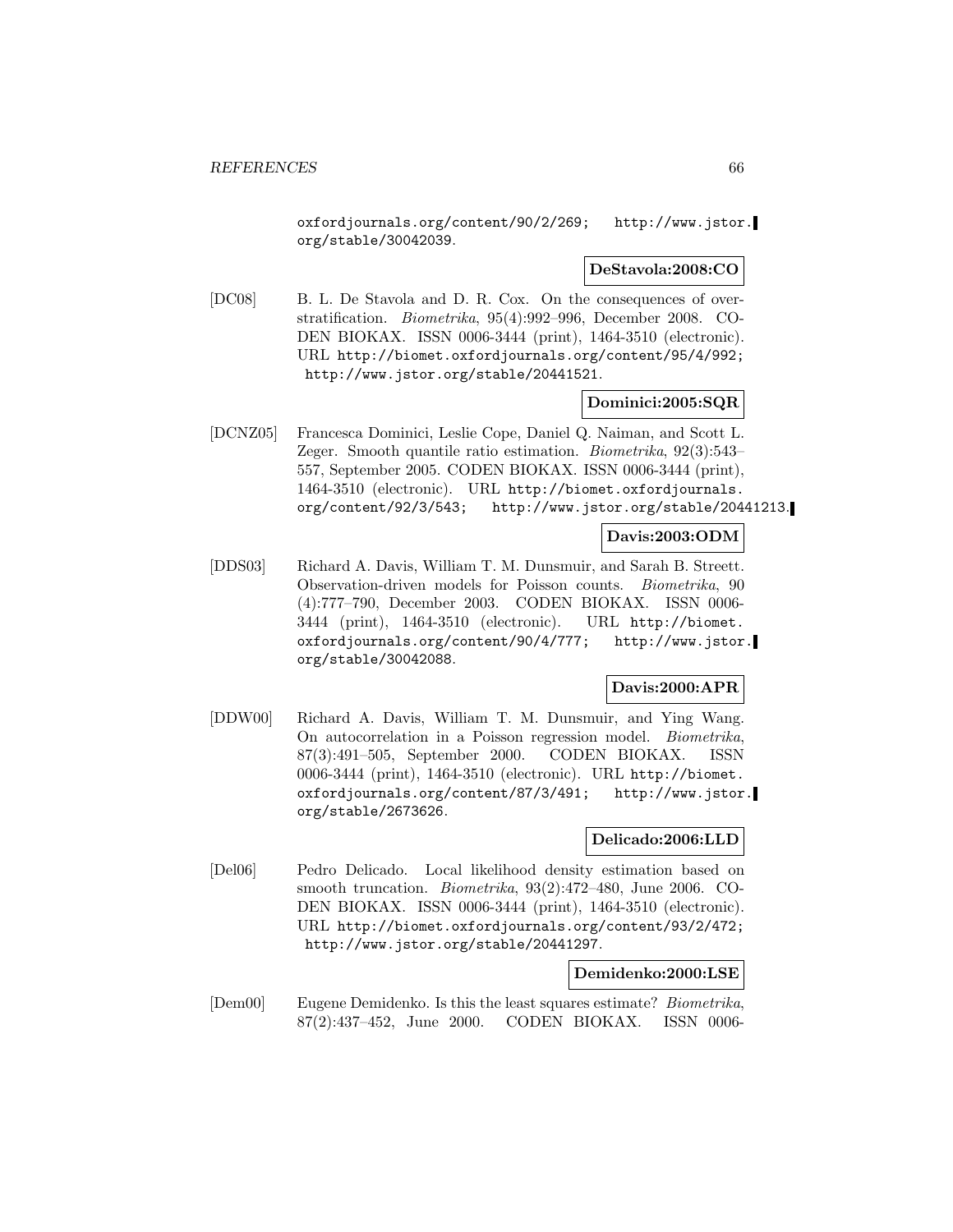oxfordjournals.org/content/90/2/269; http://www.jstor. org/stable/30042039.

### **DeStavola:2008:CO**

[DC08] B. L. De Stavola and D. R. Cox. On the consequences of overstratification. Biometrika, 95(4):992–996, December 2008. CO-DEN BIOKAX. ISSN 0006-3444 (print), 1464-3510 (electronic). URL http://biomet.oxfordjournals.org/content/95/4/992; http://www.jstor.org/stable/20441521.

### **Dominici:2005:SQR**

[DCNZ05] Francesca Dominici, Leslie Cope, Daniel Q. Naiman, and Scott L. Zeger. Smooth quantile ratio estimation. Biometrika, 92(3):543– 557, September 2005. CODEN BIOKAX. ISSN 0006-3444 (print), 1464-3510 (electronic). URL http://biomet.oxfordjournals. org/content/92/3/543; http://www.jstor.org/stable/20441213.

## **Davis:2003:ODM**

[DDS03] Richard A. Davis, William T. M. Dunsmuir, and Sarah B. Streett. Observation-driven models for Poisson counts. Biometrika, 90 (4):777–790, December 2003. CODEN BIOKAX. ISSN 0006- 3444 (print), 1464-3510 (electronic). URL http://biomet. oxfordjournals.org/content/90/4/777; http://www.jstor. org/stable/30042088.

### **Davis:2000:APR**

[DDW00] Richard A. Davis, William T. M. Dunsmuir, and Ying Wang. On autocorrelation in a Poisson regression model. Biometrika, 87(3):491–505, September 2000. CODEN BIOKAX. ISSN 0006-3444 (print), 1464-3510 (electronic). URL http://biomet. oxfordjournals.org/content/87/3/491; http://www.jstor. org/stable/2673626.

### **Delicado:2006:LLD**

[Del06] Pedro Delicado. Local likelihood density estimation based on smooth truncation. Biometrika, 93(2):472–480, June 2006. CO-DEN BIOKAX. ISSN 0006-3444 (print), 1464-3510 (electronic). URL http://biomet.oxfordjournals.org/content/93/2/472; http://www.jstor.org/stable/20441297.

## **Demidenko:2000:LSE**

[Dem00] Eugene Demidenko. Is this the least squares estimate? Biometrika, 87(2):437–452, June 2000. CODEN BIOKAX. ISSN 0006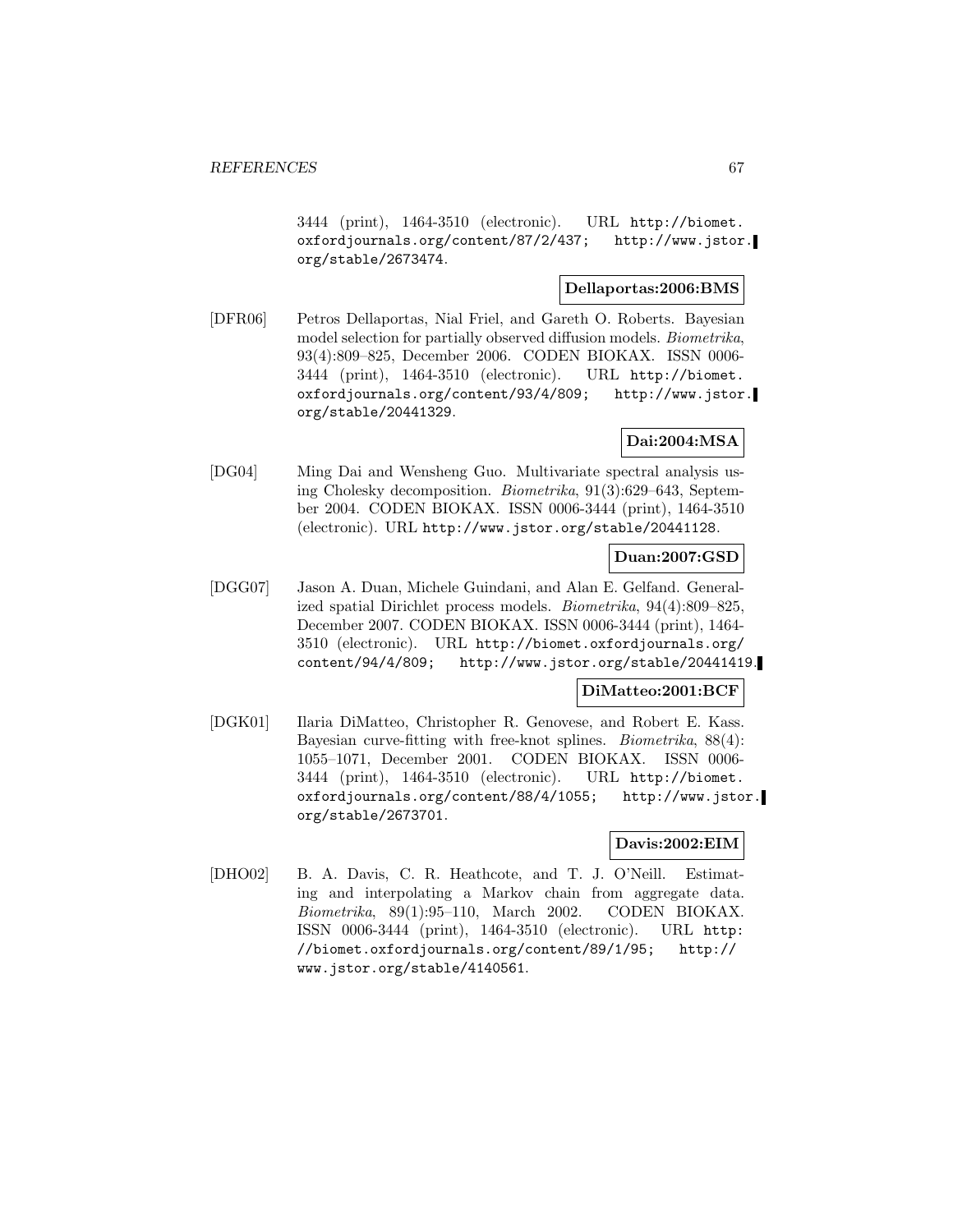3444 (print), 1464-3510 (electronic). URL http://biomet. oxfordjournals.org/content/87/2/437; http://www.jstor. org/stable/2673474.

## **Dellaportas:2006:BMS**

[DFR06] Petros Dellaportas, Nial Friel, and Gareth O. Roberts. Bayesian model selection for partially observed diffusion models. Biometrika, 93(4):809–825, December 2006. CODEN BIOKAX. ISSN 0006- 3444 (print), 1464-3510 (electronic). URL http://biomet. oxfordjournals.org/content/93/4/809; http://www.jstor. org/stable/20441329.

## **Dai:2004:MSA**

[DG04] Ming Dai and Wensheng Guo. Multivariate spectral analysis using Cholesky decomposition. Biometrika, 91(3):629–643, September 2004. CODEN BIOKAX. ISSN 0006-3444 (print), 1464-3510 (electronic). URL http://www.jstor.org/stable/20441128.

### **Duan:2007:GSD**

[DGG07] Jason A. Duan, Michele Guindani, and Alan E. Gelfand. Generalized spatial Dirichlet process models. Biometrika, 94(4):809–825, December 2007. CODEN BIOKAX. ISSN 0006-3444 (print), 1464- 3510 (electronic). URL http://biomet.oxfordjournals.org/ content/94/4/809; http://www.jstor.org/stable/20441419.

# **DiMatteo:2001:BCF**

[DGK01] Ilaria DiMatteo, Christopher R. Genovese, and Robert E. Kass. Bayesian curve-fitting with free-knot splines. Biometrika, 88(4): 1055–1071, December 2001. CODEN BIOKAX. ISSN 0006- 3444 (print), 1464-3510 (electronic). URL http://biomet. oxfordjournals.org/content/88/4/1055; http://www.jstor. org/stable/2673701.

## **Davis:2002:EIM**

[DHO02] B. A. Davis, C. R. Heathcote, and T. J. O'Neill. Estimating and interpolating a Markov chain from aggregate data. Biometrika, 89(1):95–110, March 2002. CODEN BIOKAX. ISSN 0006-3444 (print), 1464-3510 (electronic). URL http: //biomet.oxfordjournals.org/content/89/1/95; http:// www.jstor.org/stable/4140561.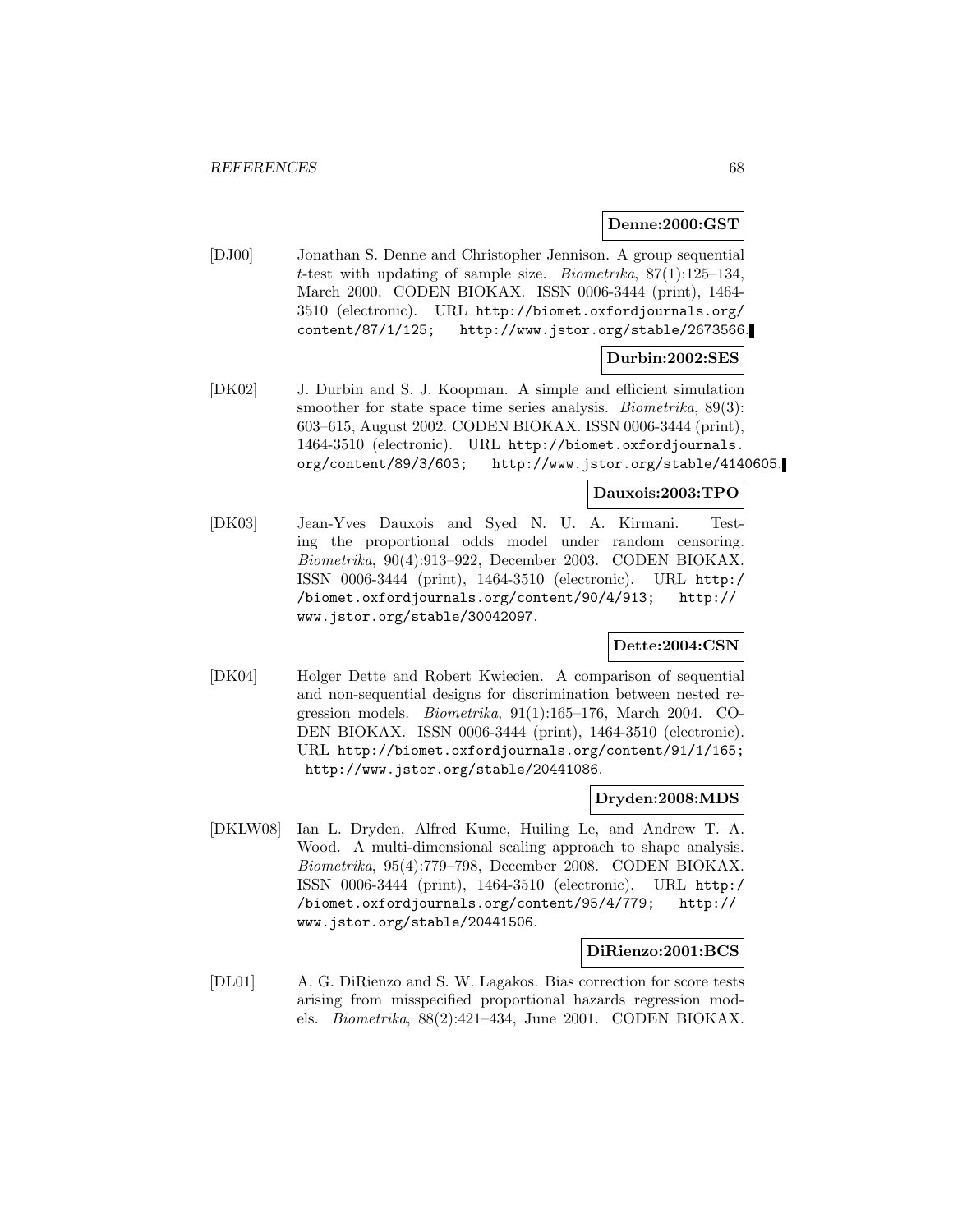#### **Denne:2000:GST**

[DJ00] Jonathan S. Denne and Christopher Jennison. A group sequential t-test with updating of sample size. *Biometrika*,  $87(1):125-134$ , March 2000. CODEN BIOKAX. ISSN 0006-3444 (print), 1464- 3510 (electronic). URL http://biomet.oxfordjournals.org/ content/87/1/125; http://www.jstor.org/stable/2673566.

## **Durbin:2002:SES**

[DK02] J. Durbin and S. J. Koopman. A simple and efficient simulation smoother for state space time series analysis. *Biometrika*, 89(3): 603–615, August 2002. CODEN BIOKAX. ISSN 0006-3444 (print), 1464-3510 (electronic). URL http://biomet.oxfordjournals. org/content/89/3/603; http://www.jstor.org/stable/4140605.

### **Dauxois:2003:TPO**

[DK03] Jean-Yves Dauxois and Syed N. U. A. Kirmani. Testing the proportional odds model under random censoring. Biometrika, 90(4):913–922, December 2003. CODEN BIOKAX. ISSN 0006-3444 (print), 1464-3510 (electronic). URL http:/ /biomet.oxfordjournals.org/content/90/4/913; http:// www.jstor.org/stable/30042097.

## **Dette:2004:CSN**

[DK04] Holger Dette and Robert Kwiecien. A comparison of sequential and non-sequential designs for discrimination between nested regression models. Biometrika, 91(1):165–176, March 2004. CO-DEN BIOKAX. ISSN 0006-3444 (print), 1464-3510 (electronic). URL http://biomet.oxfordjournals.org/content/91/1/165; http://www.jstor.org/stable/20441086.

### **Dryden:2008:MDS**

[DKLW08] Ian L. Dryden, Alfred Kume, Huiling Le, and Andrew T. A. Wood. A multi-dimensional scaling approach to shape analysis. Biometrika, 95(4):779–798, December 2008. CODEN BIOKAX. ISSN 0006-3444 (print), 1464-3510 (electronic). URL http:/ /biomet.oxfordjournals.org/content/95/4/779; http:// www.jstor.org/stable/20441506.

#### **DiRienzo:2001:BCS**

[DL01] A. G. DiRienzo and S. W. Lagakos. Bias correction for score tests arising from misspecified proportional hazards regression models. Biometrika, 88(2):421–434, June 2001. CODEN BIOKAX.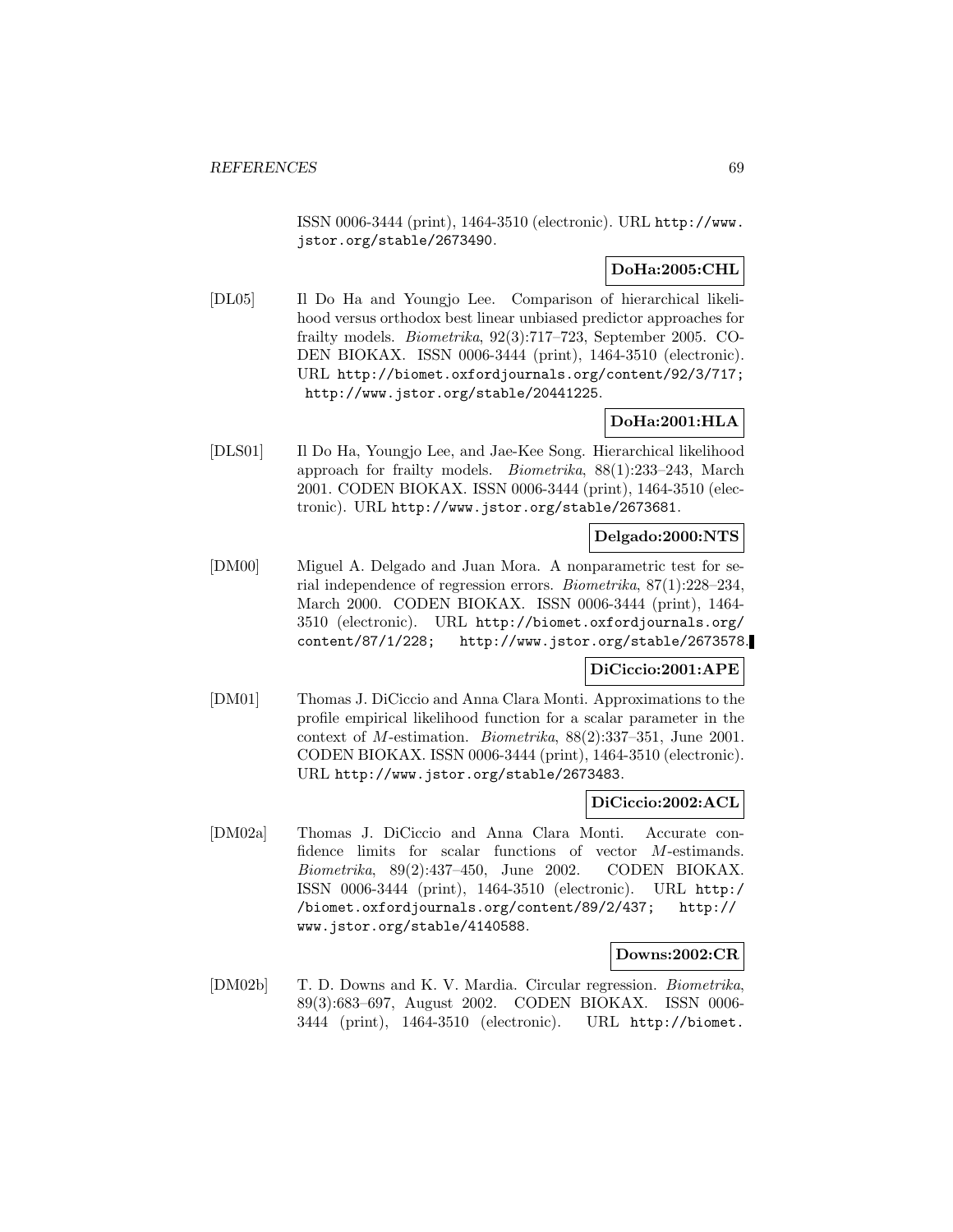ISSN 0006-3444 (print), 1464-3510 (electronic). URL http://www. jstor.org/stable/2673490.

# **DoHa:2005:CHL**

[DL05] Il Do Ha and Youngjo Lee. Comparison of hierarchical likelihood versus orthodox best linear unbiased predictor approaches for frailty models. Biometrika, 92(3):717–723, September 2005. CO-DEN BIOKAX. ISSN 0006-3444 (print), 1464-3510 (electronic). URL http://biomet.oxfordjournals.org/content/92/3/717; http://www.jstor.org/stable/20441225.

# **DoHa:2001:HLA**

[DLS01] Il Do Ha, Youngjo Lee, and Jae-Kee Song. Hierarchical likelihood approach for frailty models. Biometrika, 88(1):233–243, March 2001. CODEN BIOKAX. ISSN 0006-3444 (print), 1464-3510 (electronic). URL http://www.jstor.org/stable/2673681.

# **Delgado:2000:NTS**

[DM00] Miguel A. Delgado and Juan Mora. A nonparametric test for serial independence of regression errors. Biometrika, 87(1):228–234, March 2000. CODEN BIOKAX. ISSN 0006-3444 (print), 1464- 3510 (electronic). URL http://biomet.oxfordjournals.org/ content/87/1/228; http://www.jstor.org/stable/2673578.

# **DiCiccio:2001:APE**

[DM01] Thomas J. DiCiccio and Anna Clara Monti. Approximations to the profile empirical likelihood function for a scalar parameter in the context of M-estimation. Biometrika, 88(2):337–351, June 2001. CODEN BIOKAX. ISSN 0006-3444 (print), 1464-3510 (electronic). URL http://www.jstor.org/stable/2673483.

### **DiCiccio:2002:ACL**

[DM02a] Thomas J. DiCiccio and Anna Clara Monti. Accurate confidence limits for scalar functions of vector M-estimands. Biometrika, 89(2):437–450, June 2002. CODEN BIOKAX. ISSN 0006-3444 (print), 1464-3510 (electronic). URL http:/ /biomet.oxfordjournals.org/content/89/2/437; http:// www.jstor.org/stable/4140588.

### **Downs:2002:CR**

[DM02b] T. D. Downs and K. V. Mardia. Circular regression. Biometrika, 89(3):683–697, August 2002. CODEN BIOKAX. ISSN 0006- 3444 (print), 1464-3510 (electronic). URL http://biomet.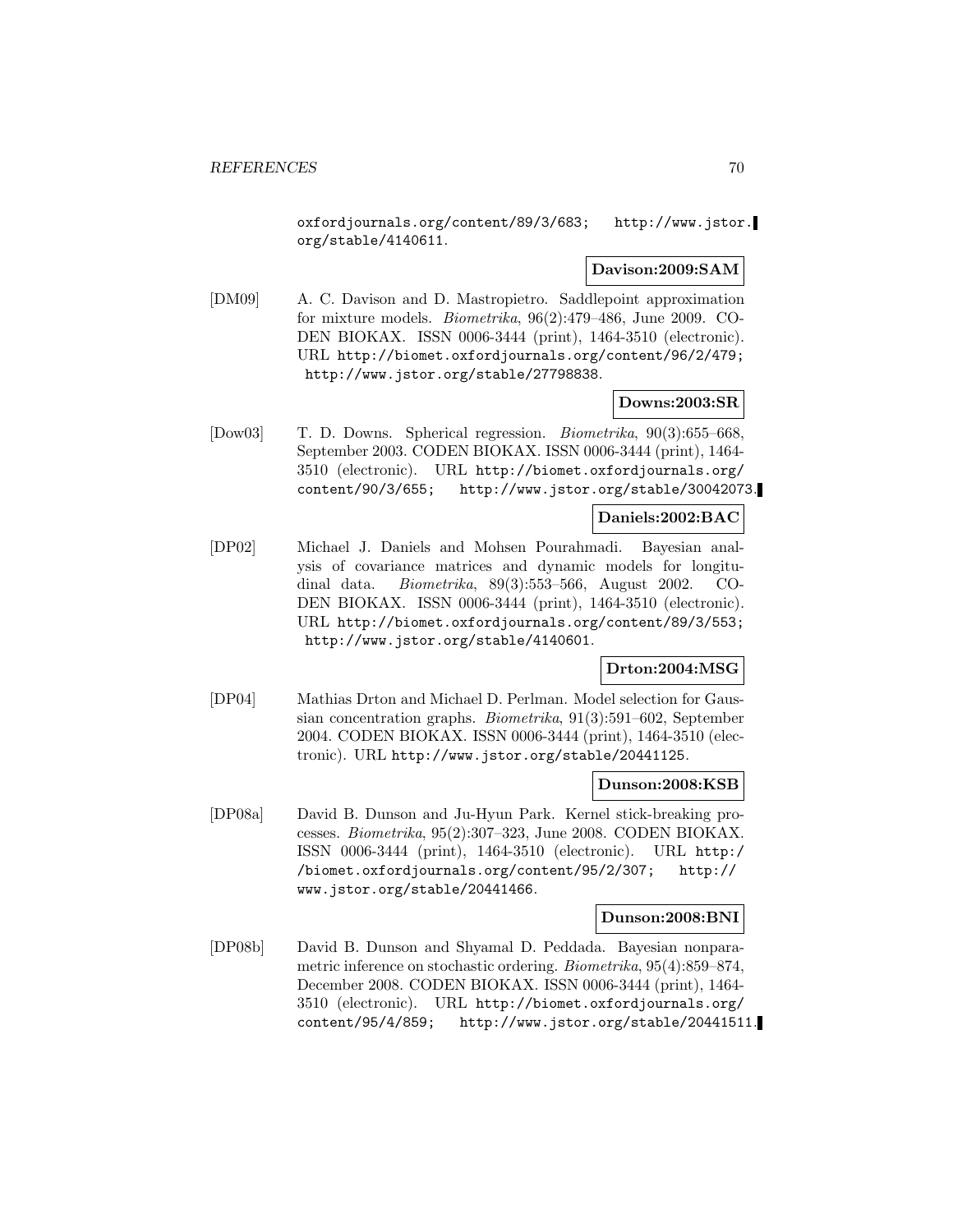oxfordjournals.org/content/89/3/683; http://www.jstor. org/stable/4140611.

### **Davison:2009:SAM**

[DM09] A. C. Davison and D. Mastropietro. Saddlepoint approximation for mixture models. Biometrika, 96(2):479–486, June 2009. CO-DEN BIOKAX. ISSN 0006-3444 (print), 1464-3510 (electronic). URL http://biomet.oxfordjournals.org/content/96/2/479; http://www.jstor.org/stable/27798838.

### **Downs:2003:SR**

[Dow03] T. D. Downs. Spherical regression. *Biometrika*, 90(3):655–668, September 2003. CODEN BIOKAX. ISSN 0006-3444 (print), 1464- 3510 (electronic). URL http://biomet.oxfordjournals.org/ content/90/3/655; http://www.jstor.org/stable/30042073.

### **Daniels:2002:BAC**

[DP02] Michael J. Daniels and Mohsen Pourahmadi. Bayesian analysis of covariance matrices and dynamic models for longitudinal data. Biometrika, 89(3):553–566, August 2002. CO-DEN BIOKAX. ISSN 0006-3444 (print), 1464-3510 (electronic). URL http://biomet.oxfordjournals.org/content/89/3/553; http://www.jstor.org/stable/4140601.

## **Drton:2004:MSG**

[DP04] Mathias Drton and Michael D. Perlman. Model selection for Gaussian concentration graphs. Biometrika, 91(3):591–602, September 2004. CODEN BIOKAX. ISSN 0006-3444 (print), 1464-3510 (electronic). URL http://www.jstor.org/stable/20441125.

#### **Dunson:2008:KSB**

[DP08a] David B. Dunson and Ju-Hyun Park. Kernel stick-breaking processes. Biometrika, 95(2):307–323, June 2008. CODEN BIOKAX. ISSN 0006-3444 (print), 1464-3510 (electronic). URL http:/ /biomet.oxfordjournals.org/content/95/2/307; http:// www.jstor.org/stable/20441466.

### **Dunson:2008:BNI**

[DP08b] David B. Dunson and Shyamal D. Peddada. Bayesian nonparametric inference on stochastic ordering. Biometrika, 95(4):859–874, December 2008. CODEN BIOKAX. ISSN 0006-3444 (print), 1464- 3510 (electronic). URL http://biomet.oxfordjournals.org/ content/95/4/859; http://www.jstor.org/stable/20441511.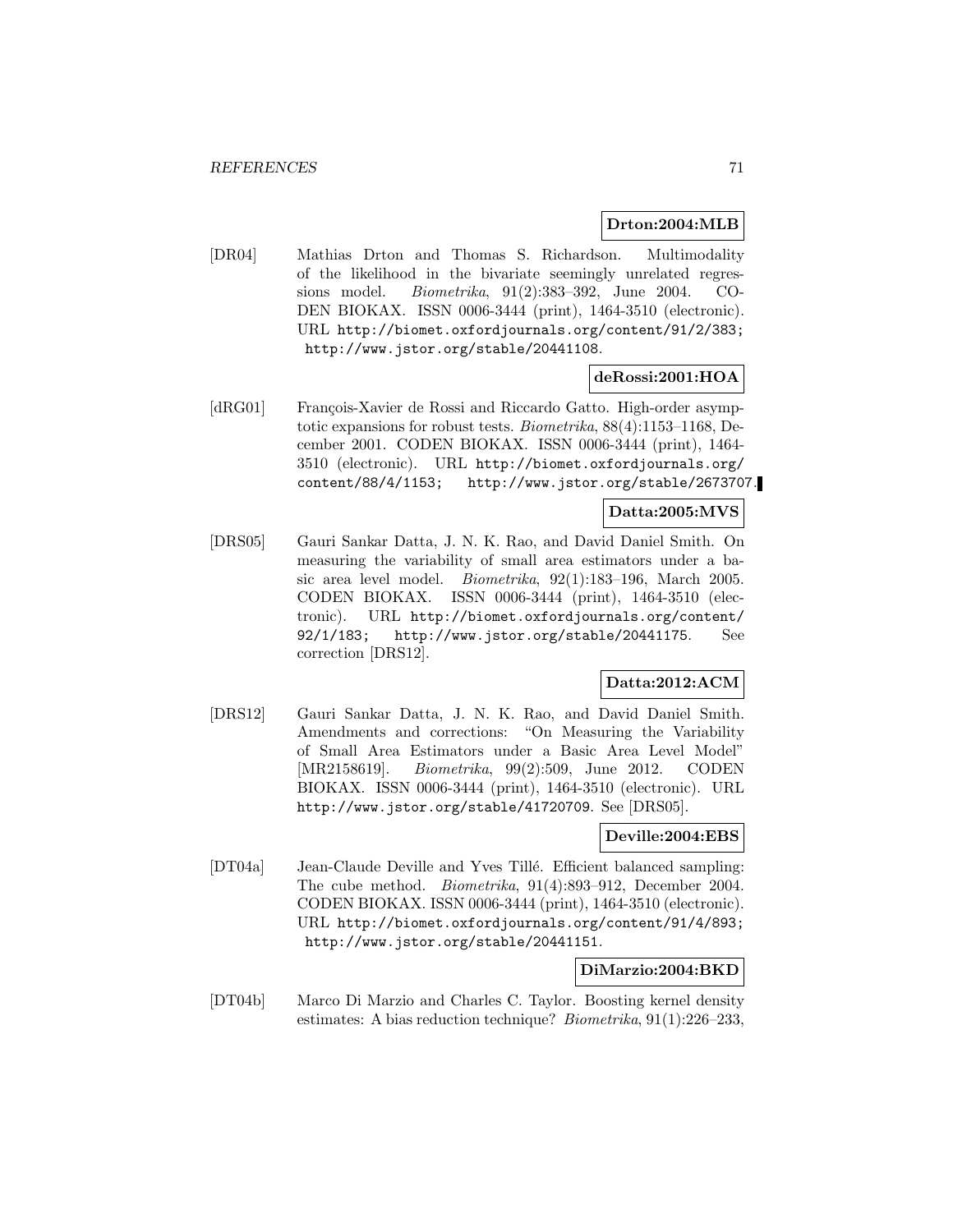### **Drton:2004:MLB**

[DR04] Mathias Drton and Thomas S. Richardson. Multimodality of the likelihood in the bivariate seemingly unrelated regressions model. Biometrika, 91(2):383–392, June 2004. CO-DEN BIOKAX. ISSN 0006-3444 (print), 1464-3510 (electronic). URL http://biomet.oxfordjournals.org/content/91/2/383; http://www.jstor.org/stable/20441108.

### **deRossi:2001:HOA**

[dRG01] François-Xavier de Rossi and Riccardo Gatto. High-order asymptotic expansions for robust tests. Biometrika, 88(4):1153–1168, December 2001. CODEN BIOKAX. ISSN 0006-3444 (print), 1464- 3510 (electronic). URL http://biomet.oxfordjournals.org/ content/88/4/1153; http://www.jstor.org/stable/2673707.

# **Datta:2005:MVS**

[DRS05] Gauri Sankar Datta, J. N. K. Rao, and David Daniel Smith. On measuring the variability of small area estimators under a basic area level model. Biometrika, 92(1):183–196, March 2005. CODEN BIOKAX. ISSN 0006-3444 (print), 1464-3510 (electronic). URL http://biomet.oxfordjournals.org/content/ 92/1/183; http://www.jstor.org/stable/20441175. See correction [DRS12].

# **Datta:2012:ACM**

[DRS12] Gauri Sankar Datta, J. N. K. Rao, and David Daniel Smith. Amendments and corrections: "On Measuring the Variability of Small Area Estimators under a Basic Area Level Model" [MR2158619]. Biometrika, 99(2):509, June 2012. CODEN BIOKAX. ISSN 0006-3444 (print), 1464-3510 (electronic). URL http://www.jstor.org/stable/41720709. See [DRS05].

#### **Deville:2004:EBS**

[DT04a] Jean-Claude Deville and Yves Tillé. Efficient balanced sampling: The cube method. Biometrika, 91(4):893–912, December 2004. CODEN BIOKAX. ISSN 0006-3444 (print), 1464-3510 (electronic). URL http://biomet.oxfordjournals.org/content/91/4/893; http://www.jstor.org/stable/20441151.

#### **DiMarzio:2004:BKD**

[DT04b] Marco Di Marzio and Charles C. Taylor. Boosting kernel density estimates: A bias reduction technique? Biometrika, 91(1):226–233,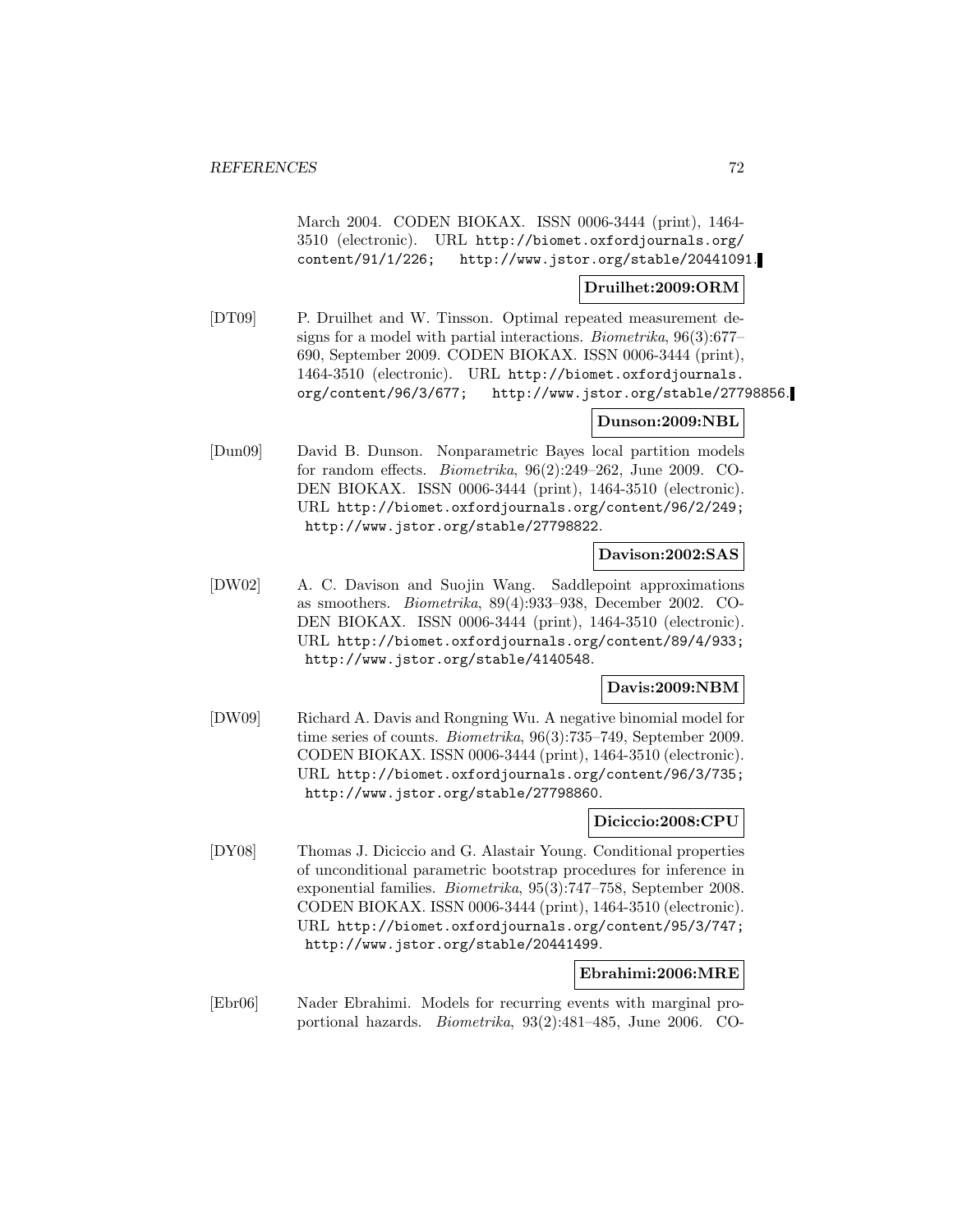March 2004. CODEN BIOKAX. ISSN 0006-3444 (print), 1464- 3510 (electronic). URL http://biomet.oxfordjournals.org/ content/91/1/226; http://www.jstor.org/stable/20441091.

### **Druilhet:2009:ORM**

[DT09] P. Druilhet and W. Tinsson. Optimal repeated measurement designs for a model with partial interactions. Biometrika, 96(3):677– 690, September 2009. CODEN BIOKAX. ISSN 0006-3444 (print), 1464-3510 (electronic). URL http://biomet.oxfordjournals. org/content/96/3/677; http://www.jstor.org/stable/27798856.

### **Dunson:2009:NBL**

[Dun09] David B. Dunson. Nonparametric Bayes local partition models for random effects. Biometrika, 96(2):249–262, June 2009. CO-DEN BIOKAX. ISSN 0006-3444 (print), 1464-3510 (electronic). URL http://biomet.oxfordjournals.org/content/96/2/249; http://www.jstor.org/stable/27798822.

### **Davison:2002:SAS**

[DW02] A. C. Davison and Suojin Wang. Saddlepoint approximations as smoothers. Biometrika, 89(4):933–938, December 2002. CO-DEN BIOKAX. ISSN 0006-3444 (print), 1464-3510 (electronic). URL http://biomet.oxfordjournals.org/content/89/4/933; http://www.jstor.org/stable/4140548.

### **Davis:2009:NBM**

[DW09] Richard A. Davis and Rongning Wu. A negative binomial model for time series of counts. Biometrika, 96(3):735–749, September 2009. CODEN BIOKAX. ISSN 0006-3444 (print), 1464-3510 (electronic). URL http://biomet.oxfordjournals.org/content/96/3/735; http://www.jstor.org/stable/27798860.

### **Diciccio:2008:CPU**

[DY08] Thomas J. Diciccio and G. Alastair Young. Conditional properties of unconditional parametric bootstrap procedures for inference in exponential families. Biometrika, 95(3):747–758, September 2008. CODEN BIOKAX. ISSN 0006-3444 (print), 1464-3510 (electronic). URL http://biomet.oxfordjournals.org/content/95/3/747; http://www.jstor.org/stable/20441499.

# **Ebrahimi:2006:MRE**

[Ebr06] Nader Ebrahimi. Models for recurring events with marginal proportional hazards. Biometrika, 93(2):481–485, June 2006. CO-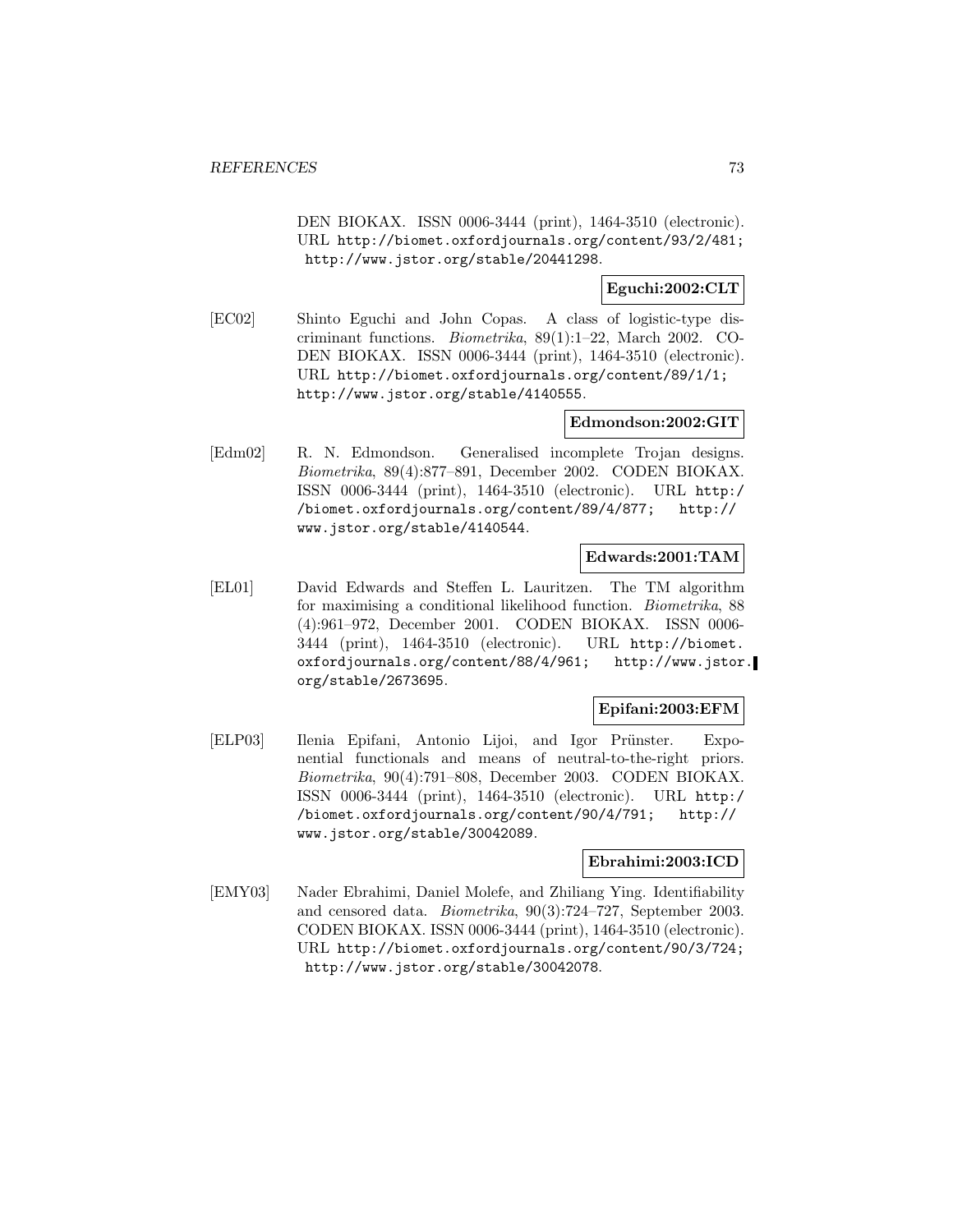DEN BIOKAX. ISSN 0006-3444 (print), 1464-3510 (electronic). URL http://biomet.oxfordjournals.org/content/93/2/481; http://www.jstor.org/stable/20441298.

**Eguchi:2002:CLT**

[EC02] Shinto Eguchi and John Copas. A class of logistic-type discriminant functions. Biometrika, 89(1):1–22, March 2002. CO-DEN BIOKAX. ISSN 0006-3444 (print), 1464-3510 (electronic). URL http://biomet.oxfordjournals.org/content/89/1/1; http://www.jstor.org/stable/4140555.

### **Edmondson:2002:GIT**

[Edm02] R. N. Edmondson. Generalised incomplete Trojan designs. Biometrika, 89(4):877–891, December 2002. CODEN BIOKAX. ISSN 0006-3444 (print), 1464-3510 (electronic). URL http:/ /biomet.oxfordjournals.org/content/89/4/877; http:// www.jstor.org/stable/4140544.

#### **Edwards:2001:TAM**

[EL01] David Edwards and Steffen L. Lauritzen. The TM algorithm for maximising a conditional likelihood function. Biometrika, 88 (4):961–972, December 2001. CODEN BIOKAX. ISSN 0006- 3444 (print), 1464-3510 (electronic). URL http://biomet. oxfordjournals.org/content/88/4/961; http://www.jstor. org/stable/2673695.

### **Epifani:2003:EFM**

[ELP03] Ilenia Epifani, Antonio Lijoi, and Igor Prünster. Exponential functionals and means of neutral-to-the-right priors. Biometrika, 90(4):791–808, December 2003. CODEN BIOKAX. ISSN 0006-3444 (print), 1464-3510 (electronic). URL http:/ /biomet.oxfordjournals.org/content/90/4/791; http:// www.jstor.org/stable/30042089.

### **Ebrahimi:2003:ICD**

[EMY03] Nader Ebrahimi, Daniel Molefe, and Zhiliang Ying. Identifiability and censored data. Biometrika, 90(3):724–727, September 2003. CODEN BIOKAX. ISSN 0006-3444 (print), 1464-3510 (electronic). URL http://biomet.oxfordjournals.org/content/90/3/724; http://www.jstor.org/stable/30042078.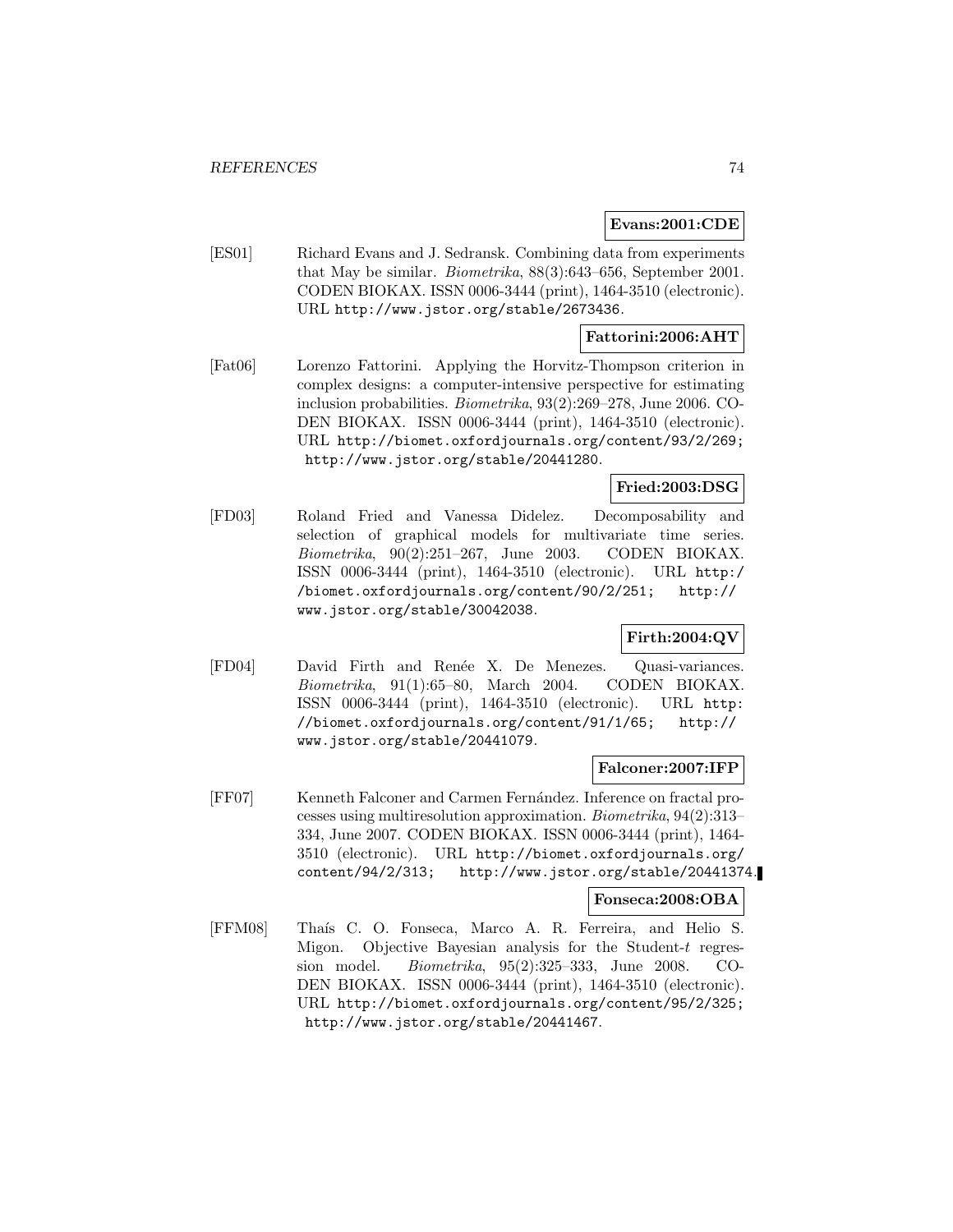### **Evans:2001:CDE**

[ES01] Richard Evans and J. Sedransk. Combining data from experiments that May be similar. Biometrika, 88(3):643–656, September 2001. CODEN BIOKAX. ISSN 0006-3444 (print), 1464-3510 (electronic). URL http://www.jstor.org/stable/2673436.

### **Fattorini:2006:AHT**

[Fat06] Lorenzo Fattorini. Applying the Horvitz-Thompson criterion in complex designs: a computer-intensive perspective for estimating inclusion probabilities. Biometrika, 93(2):269–278, June 2006. CO-DEN BIOKAX. ISSN 0006-3444 (print), 1464-3510 (electronic). URL http://biomet.oxfordjournals.org/content/93/2/269; http://www.jstor.org/stable/20441280.

### **Fried:2003:DSG**

[FD03] Roland Fried and Vanessa Didelez. Decomposability and selection of graphical models for multivariate time series. Biometrika, 90(2):251–267, June 2003. CODEN BIOKAX. ISSN 0006-3444 (print), 1464-3510 (electronic). URL http:/ /biomet.oxfordjournals.org/content/90/2/251; http:// www.jstor.org/stable/30042038.

## **Firth:2004:QV**

[FD04] David Firth and Ren´ee X. De Menezes. Quasi-variances. Biometrika, 91(1):65–80, March 2004. CODEN BIOKAX. ISSN 0006-3444 (print), 1464-3510 (electronic). URL http: //biomet.oxfordjournals.org/content/91/1/65; http:// www.jstor.org/stable/20441079.

### **Falconer:2007:IFP**

[FF07] Kenneth Falconer and Carmen Fernández. Inference on fractal processes using multiresolution approximation. Biometrika, 94(2):313– 334, June 2007. CODEN BIOKAX. ISSN 0006-3444 (print), 1464- 3510 (electronic). URL http://biomet.oxfordjournals.org/ content/94/2/313; http://www.jstor.org/stable/20441374.

#### **Fonseca:2008:OBA**

[FFM08] Thaís C. O. Fonseca, Marco A. R. Ferreira, and Helio S. Migon. Objective Bayesian analysis for the Student-t regression model. Biometrika, 95(2):325–333, June 2008. CO-DEN BIOKAX. ISSN 0006-3444 (print), 1464-3510 (electronic). URL http://biomet.oxfordjournals.org/content/95/2/325; http://www.jstor.org/stable/20441467.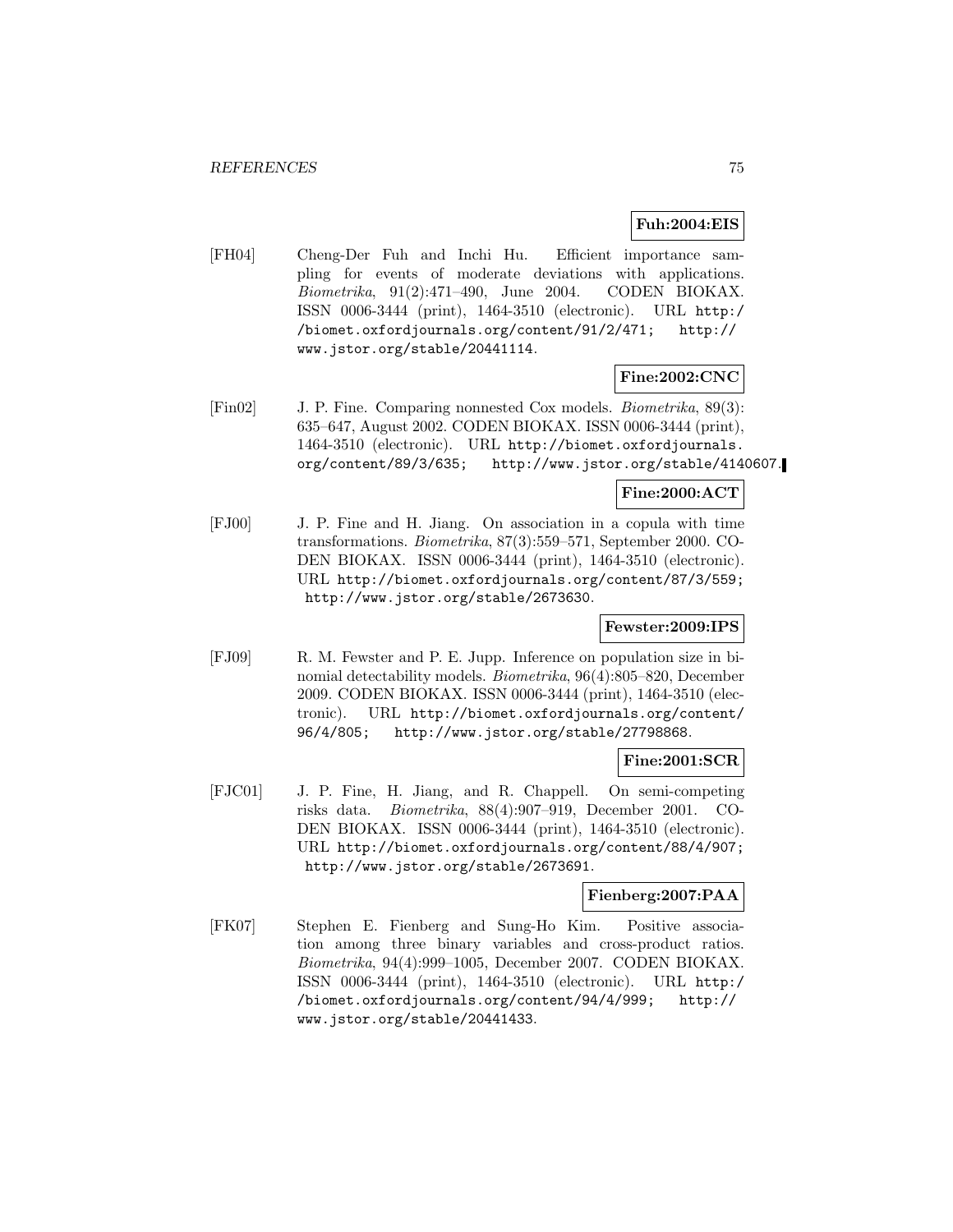### **Fuh:2004:EIS**

[FH04] Cheng-Der Fuh and Inchi Hu. Efficient importance sampling for events of moderate deviations with applications. Biometrika, 91(2):471–490, June 2004. CODEN BIOKAX. ISSN 0006-3444 (print), 1464-3510 (electronic). URL http:/ /biomet.oxfordjournals.org/content/91/2/471; http:// www.jstor.org/stable/20441114.

#### **Fine:2002:CNC**

[Fin02] J. P. Fine. Comparing nonnested Cox models. Biometrika, 89(3): 635–647, August 2002. CODEN BIOKAX. ISSN 0006-3444 (print), 1464-3510 (electronic). URL http://biomet.oxfordjournals. org/content/89/3/635; http://www.jstor.org/stable/4140607.

### **Fine:2000:ACT**

[FJ00] J. P. Fine and H. Jiang. On association in a copula with time transformations. Biometrika, 87(3):559–571, September 2000. CO-DEN BIOKAX. ISSN 0006-3444 (print), 1464-3510 (electronic). URL http://biomet.oxfordjournals.org/content/87/3/559; http://www.jstor.org/stable/2673630.

### **Fewster:2009:IPS**

[FJ09] R. M. Fewster and P. E. Jupp. Inference on population size in binomial detectability models. Biometrika, 96(4):805–820, December 2009. CODEN BIOKAX. ISSN 0006-3444 (print), 1464-3510 (electronic). URL http://biomet.oxfordjournals.org/content/ 96/4/805; http://www.jstor.org/stable/27798868.

### **Fine:2001:SCR**

[FJC01] J. P. Fine, H. Jiang, and R. Chappell. On semi-competing risks data. Biometrika, 88(4):907–919, December 2001. CO-DEN BIOKAX. ISSN 0006-3444 (print), 1464-3510 (electronic). URL http://biomet.oxfordjournals.org/content/88/4/907; http://www.jstor.org/stable/2673691.

### **Fienberg:2007:PAA**

[FK07] Stephen E. Fienberg and Sung-Ho Kim. Positive association among three binary variables and cross-product ratios. Biometrika, 94(4):999–1005, December 2007. CODEN BIOKAX. ISSN 0006-3444 (print), 1464-3510 (electronic). URL http:/ /biomet.oxfordjournals.org/content/94/4/999; http:// www.jstor.org/stable/20441433.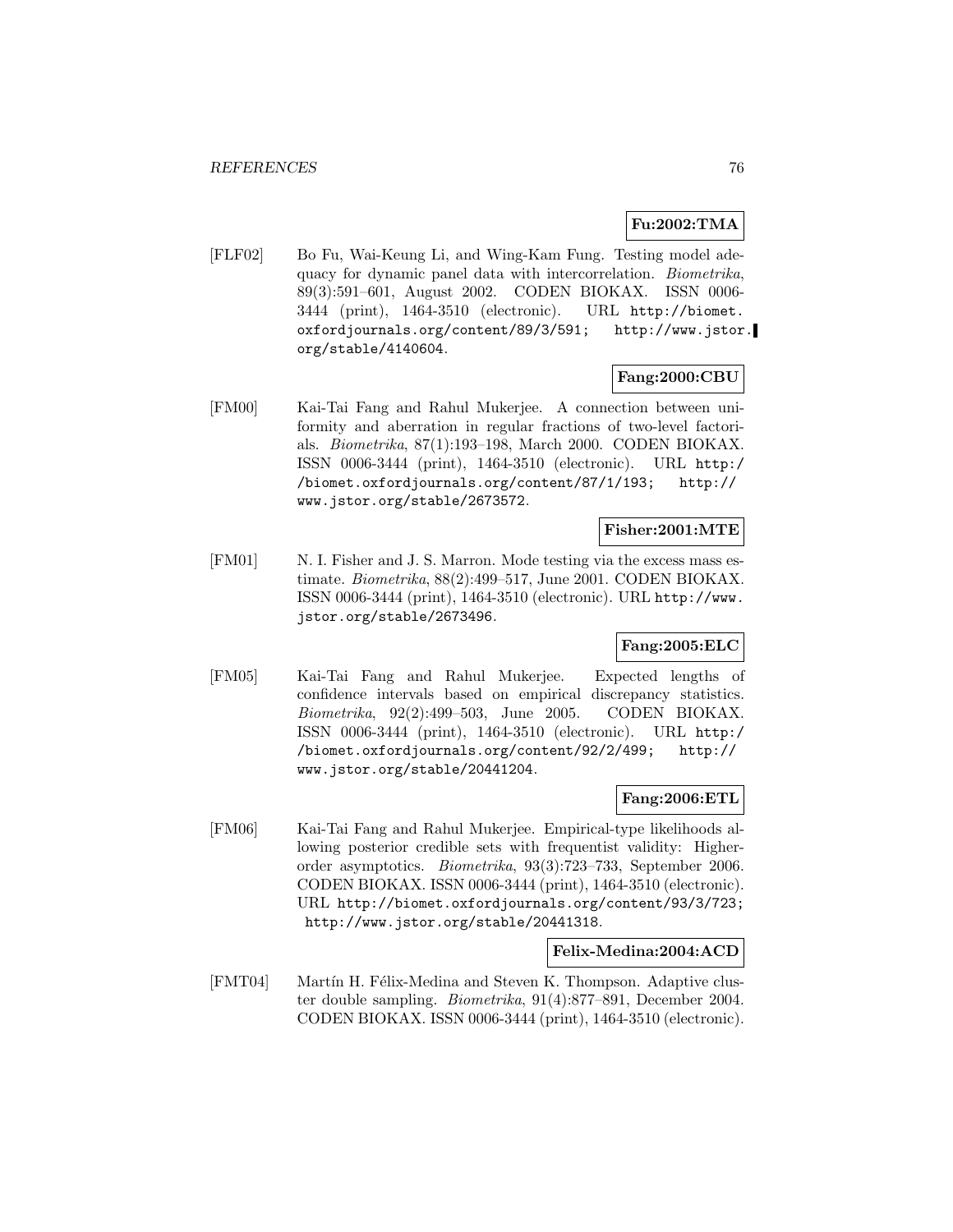## **Fu:2002:TMA**

[FLF02] Bo Fu, Wai-Keung Li, and Wing-Kam Fung. Testing model adequacy for dynamic panel data with intercorrelation. Biometrika, 89(3):591–601, August 2002. CODEN BIOKAX. ISSN 0006- 3444 (print), 1464-3510 (electronic). URL http://biomet. oxfordjournals.org/content/89/3/591; http://www.jstor. org/stable/4140604.

### **Fang:2000:CBU**

[FM00] Kai-Tai Fang and Rahul Mukerjee. A connection between uniformity and aberration in regular fractions of two-level factorials. Biometrika, 87(1):193–198, March 2000. CODEN BIOKAX. ISSN 0006-3444 (print), 1464-3510 (electronic). URL http:/ /biomet.oxfordjournals.org/content/87/1/193; http:// www.jstor.org/stable/2673572.

## **Fisher:2001:MTE**

[FM01] N. I. Fisher and J. S. Marron. Mode testing via the excess mass estimate. Biometrika, 88(2):499–517, June 2001. CODEN BIOKAX. ISSN 0006-3444 (print), 1464-3510 (electronic). URL http://www. jstor.org/stable/2673496.

### **Fang:2005:ELC**

[FM05] Kai-Tai Fang and Rahul Mukerjee. Expected lengths of confidence intervals based on empirical discrepancy statistics. Biometrika, 92(2):499–503, June 2005. CODEN BIOKAX. ISSN 0006-3444 (print), 1464-3510 (electronic). URL http:/ /biomet.oxfordjournals.org/content/92/2/499; http:// www.jstor.org/stable/20441204.

### **Fang:2006:ETL**

[FM06] Kai-Tai Fang and Rahul Mukerjee. Empirical-type likelihoods allowing posterior credible sets with frequentist validity: Higherorder asymptotics. Biometrika, 93(3):723–733, September 2006. CODEN BIOKAX. ISSN 0006-3444 (print), 1464-3510 (electronic). URL http://biomet.oxfordjournals.org/content/93/3/723; http://www.jstor.org/stable/20441318.

### **Felix-Medina:2004:ACD**

[FMT04] Martín H. Félix-Medina and Steven K. Thompson. Adaptive cluster double sampling. Biometrika, 91(4):877–891, December 2004. CODEN BIOKAX. ISSN 0006-3444 (print), 1464-3510 (electronic).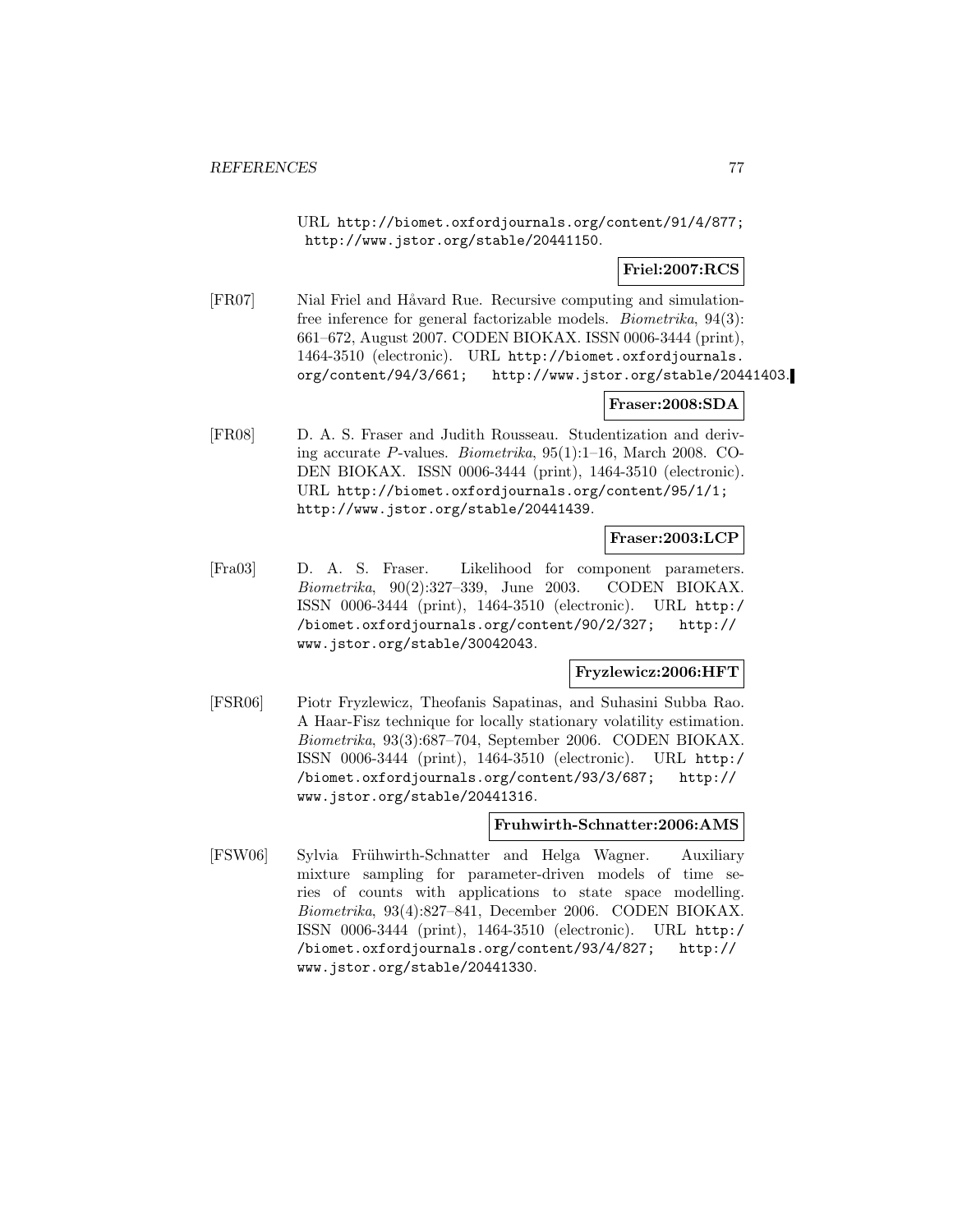URL http://biomet.oxfordjournals.org/content/91/4/877; http://www.jstor.org/stable/20441150.

**Friel:2007:RCS**

[FR07] Nial Friel and Håvard Rue. Recursive computing and simulationfree inference for general factorizable models. Biometrika, 94(3): 661–672, August 2007. CODEN BIOKAX. ISSN 0006-3444 (print), 1464-3510 (electronic). URL http://biomet.oxfordjournals. org/content/94/3/661; http://www.jstor.org/stable/20441403.

## **Fraser:2008:SDA**

[FR08] D. A. S. Fraser and Judith Rousseau. Studentization and deriving accurate P-values. Biometrika, 95(1):1–16, March 2008. CO-DEN BIOKAX. ISSN 0006-3444 (print), 1464-3510 (electronic). URL http://biomet.oxfordjournals.org/content/95/1/1; http://www.jstor.org/stable/20441439.

**Fraser:2003:LCP**

[Fra03] D. A. S. Fraser. Likelihood for component parameters. Biometrika, 90(2):327–339, June 2003. CODEN BIOKAX. ISSN 0006-3444 (print), 1464-3510 (electronic). URL http:/ /biomet.oxfordjournals.org/content/90/2/327; http:// www.jstor.org/stable/30042043.

**Fryzlewicz:2006:HFT**

[FSR06] Piotr Fryzlewicz, Theofanis Sapatinas, and Suhasini Subba Rao. A Haar-Fisz technique for locally stationary volatility estimation. Biometrika, 93(3):687–704, September 2006. CODEN BIOKAX. ISSN 0006-3444 (print), 1464-3510 (electronic). URL http:/ /biomet.oxfordjournals.org/content/93/3/687; http:// www.jstor.org/stable/20441316.

### **Fruhwirth-Schnatter:2006:AMS**

[FSW06] Sylvia Frühwirth-Schnatter and Helga Wagner. Auxiliary mixture sampling for parameter-driven models of time series of counts with applications to state space modelling. Biometrika, 93(4):827–841, December 2006. CODEN BIOKAX. ISSN 0006-3444 (print), 1464-3510 (electronic). URL http:/ /biomet.oxfordjournals.org/content/93/4/827; http:// www.jstor.org/stable/20441330.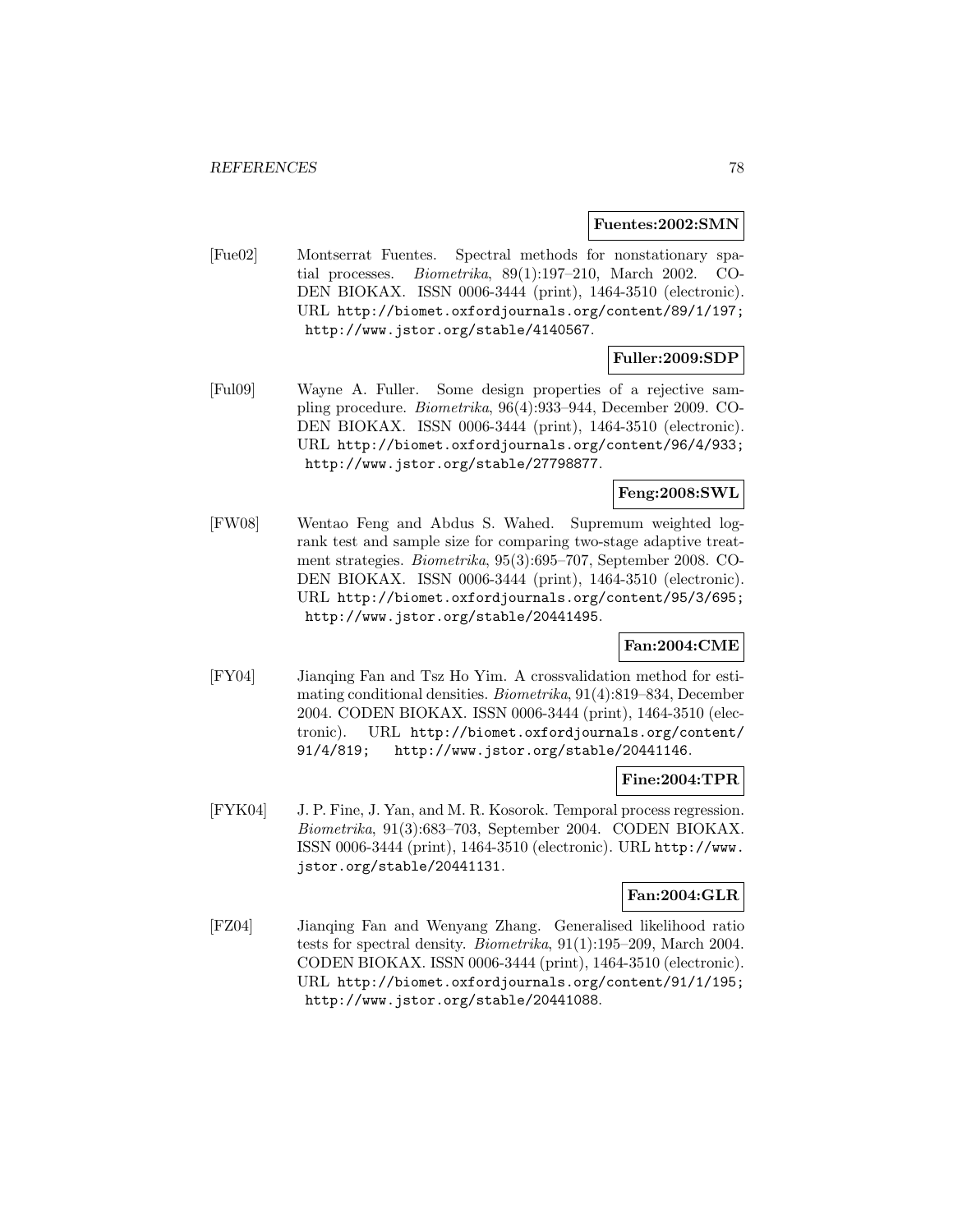#### **Fuentes:2002:SMN**

[Fue02] Montserrat Fuentes. Spectral methods for nonstationary spatial processes. Biometrika, 89(1):197–210, March 2002. CO-DEN BIOKAX. ISSN 0006-3444 (print), 1464-3510 (electronic). URL http://biomet.oxfordjournals.org/content/89/1/197; http://www.jstor.org/stable/4140567.

## **Fuller:2009:SDP**

[Ful09] Wayne A. Fuller. Some design properties of a rejective sampling procedure. Biometrika, 96(4):933–944, December 2009. CO-DEN BIOKAX. ISSN 0006-3444 (print), 1464-3510 (electronic). URL http://biomet.oxfordjournals.org/content/96/4/933; http://www.jstor.org/stable/27798877.

## **Feng:2008:SWL**

[FW08] Wentao Feng and Abdus S. Wahed. Supremum weighted logrank test and sample size for comparing two-stage adaptive treatment strategies. Biometrika, 95(3):695–707, September 2008. CO-DEN BIOKAX. ISSN 0006-3444 (print), 1464-3510 (electronic). URL http://biomet.oxfordjournals.org/content/95/3/695; http://www.jstor.org/stable/20441495.

### **Fan:2004:CME**

[FY04] Jianqing Fan and Tsz Ho Yim. A crossvalidation method for estimating conditional densities. Biometrika, 91(4):819–834, December 2004. CODEN BIOKAX. ISSN 0006-3444 (print), 1464-3510 (electronic). URL http://biomet.oxfordjournals.org/content/ 91/4/819; http://www.jstor.org/stable/20441146.

#### **Fine:2004:TPR**

[FYK04] J. P. Fine, J. Yan, and M. R. Kosorok. Temporal process regression. Biometrika, 91(3):683–703, September 2004. CODEN BIOKAX. ISSN 0006-3444 (print), 1464-3510 (electronic). URL http://www. jstor.org/stable/20441131.

### **Fan:2004:GLR**

[FZ04] Jianqing Fan and Wenyang Zhang. Generalised likelihood ratio tests for spectral density. Biometrika, 91(1):195–209, March 2004. CODEN BIOKAX. ISSN 0006-3444 (print), 1464-3510 (electronic). URL http://biomet.oxfordjournals.org/content/91/1/195; http://www.jstor.org/stable/20441088.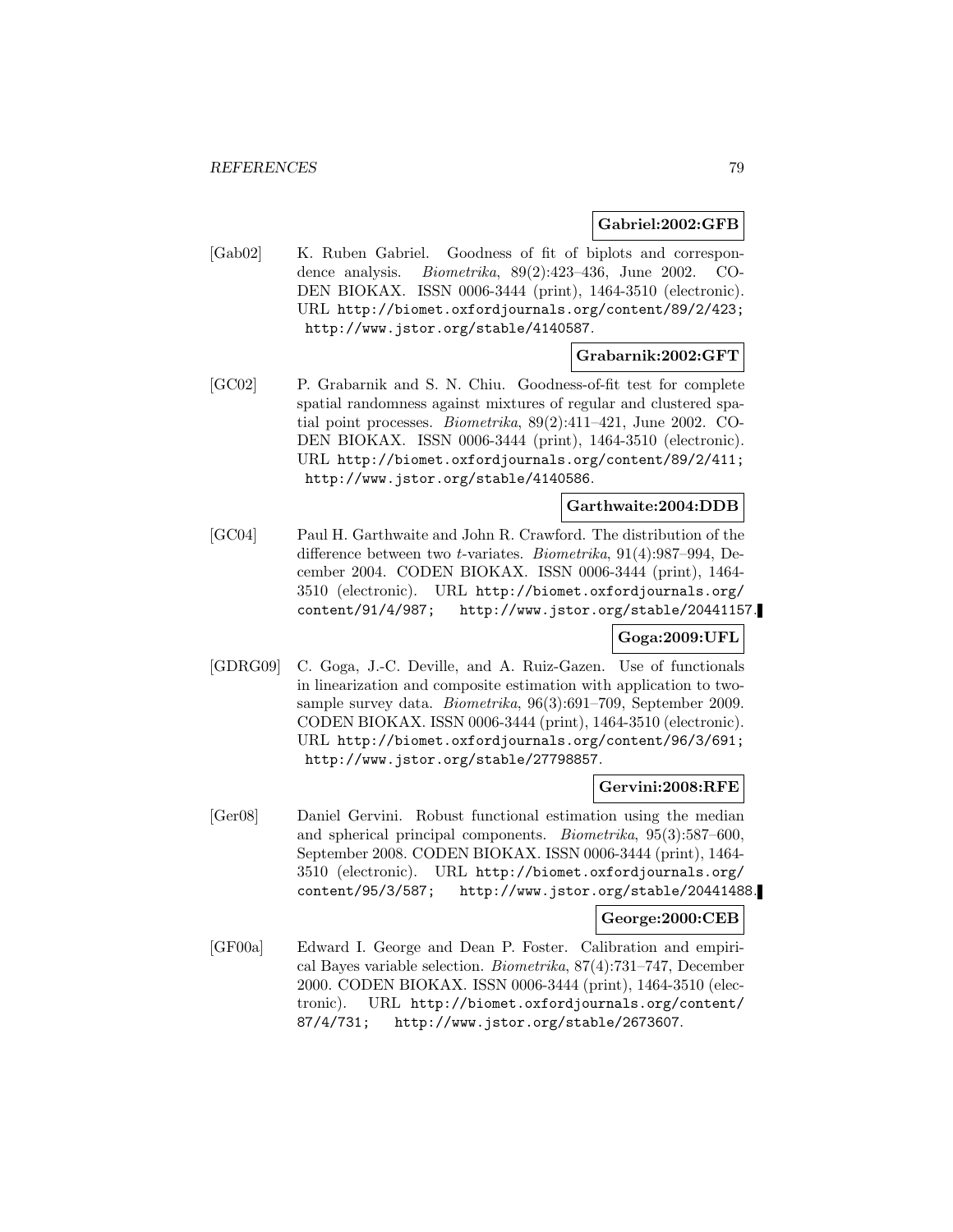### **Gabriel:2002:GFB**

[Gab02] K. Ruben Gabriel. Goodness of fit of biplots and correspondence analysis. Biometrika, 89(2):423–436, June 2002. CO-DEN BIOKAX. ISSN 0006-3444 (print), 1464-3510 (electronic). URL http://biomet.oxfordjournals.org/content/89/2/423; http://www.jstor.org/stable/4140587.

#### **Grabarnik:2002:GFT**

[GC02] P. Grabarnik and S. N. Chiu. Goodness-of-fit test for complete spatial randomness against mixtures of regular and clustered spatial point processes. Biometrika, 89(2):411–421, June 2002. CO-DEN BIOKAX. ISSN 0006-3444 (print), 1464-3510 (electronic). URL http://biomet.oxfordjournals.org/content/89/2/411; http://www.jstor.org/stable/4140586.

### **Garthwaite:2004:DDB**

[GC04] Paul H. Garthwaite and John R. Crawford. The distribution of the difference between two t-variates. Biometrika, 91(4):987–994, December 2004. CODEN BIOKAX. ISSN 0006-3444 (print), 1464- 3510 (electronic). URL http://biomet.oxfordjournals.org/ content/91/4/987; http://www.jstor.org/stable/20441157.

## **Goga:2009:UFL**

[GDRG09] C. Goga, J.-C. Deville, and A. Ruiz-Gazen. Use of functionals in linearization and composite estimation with application to twosample survey data. Biometrika, 96(3):691–709, September 2009. CODEN BIOKAX. ISSN 0006-3444 (print), 1464-3510 (electronic). URL http://biomet.oxfordjournals.org/content/96/3/691; http://www.jstor.org/stable/27798857.

#### **Gervini:2008:RFE**

[Ger08] Daniel Gervini. Robust functional estimation using the median and spherical principal components. Biometrika, 95(3):587–600, September 2008. CODEN BIOKAX. ISSN 0006-3444 (print), 1464- 3510 (electronic). URL http://biomet.oxfordjournals.org/ content/95/3/587; http://www.jstor.org/stable/20441488.

### **George:2000:CEB**

[GF00a] Edward I. George and Dean P. Foster. Calibration and empirical Bayes variable selection. Biometrika, 87(4):731–747, December 2000. CODEN BIOKAX. ISSN 0006-3444 (print), 1464-3510 (electronic). URL http://biomet.oxfordjournals.org/content/ 87/4/731; http://www.jstor.org/stable/2673607.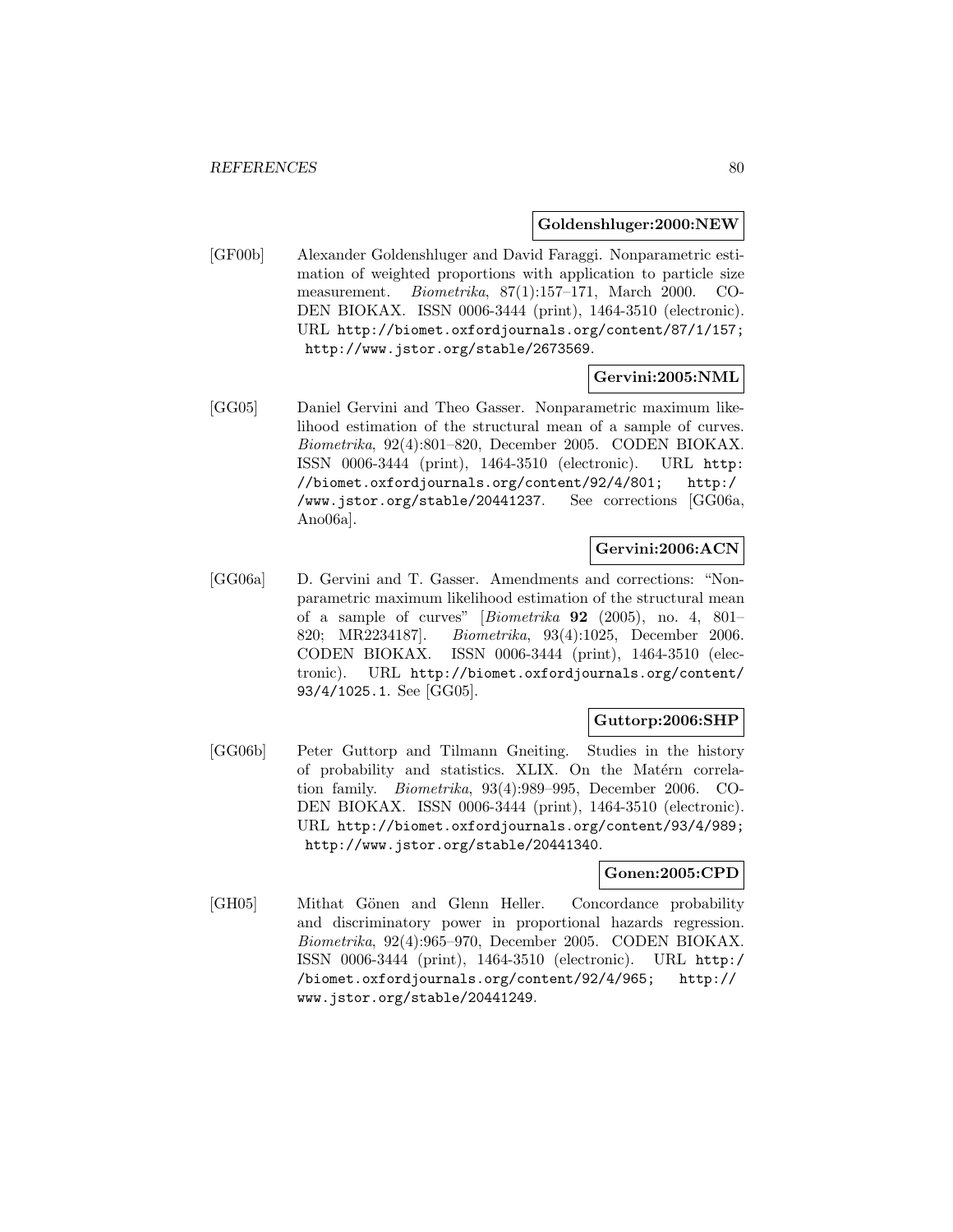#### **Goldenshluger:2000:NEW**

[GF00b] Alexander Goldenshluger and David Faraggi. Nonparametric estimation of weighted proportions with application to particle size measurement. Biometrika, 87(1):157–171, March 2000. CO-DEN BIOKAX. ISSN 0006-3444 (print), 1464-3510 (electronic). URL http://biomet.oxfordjournals.org/content/87/1/157; http://www.jstor.org/stable/2673569.

### **Gervini:2005:NML**

[GG05] Daniel Gervini and Theo Gasser. Nonparametric maximum likelihood estimation of the structural mean of a sample of curves. Biometrika, 92(4):801–820, December 2005. CODEN BIOKAX. ISSN 0006-3444 (print), 1464-3510 (electronic). URL http: //biomet.oxfordjournals.org/content/92/4/801; http:/ /www.jstor.org/stable/20441237. See corrections [GG06a, Ano06a].

## **Gervini:2006:ACN**

[GG06a] D. Gervini and T. Gasser. Amendments and corrections: "Nonparametric maximum likelihood estimation of the structural mean of a sample of curves" [Biometrika **92** (2005), no. 4, 801– 820; MR2234187]. Biometrika, 93(4):1025, December 2006. CODEN BIOKAX. ISSN 0006-3444 (print), 1464-3510 (electronic). URL http://biomet.oxfordjournals.org/content/ 93/4/1025.1. See [GG05].

## **Guttorp:2006:SHP**

[GG06b] Peter Guttorp and Tilmann Gneiting. Studies in the history of probability and statistics. XLIX. On the Matérn correlation family. Biometrika, 93(4):989–995, December 2006. CO-DEN BIOKAX. ISSN 0006-3444 (print), 1464-3510 (electronic). URL http://biomet.oxfordjournals.org/content/93/4/989; http://www.jstor.org/stable/20441340.

### **Gonen:2005:CPD**

[GH05] Mithat Gönen and Glenn Heller. Concordance probability and discriminatory power in proportional hazards regression. Biometrika, 92(4):965–970, December 2005. CODEN BIOKAX. ISSN 0006-3444 (print), 1464-3510 (electronic). URL http:/ /biomet.oxfordjournals.org/content/92/4/965; http:// www.jstor.org/stable/20441249.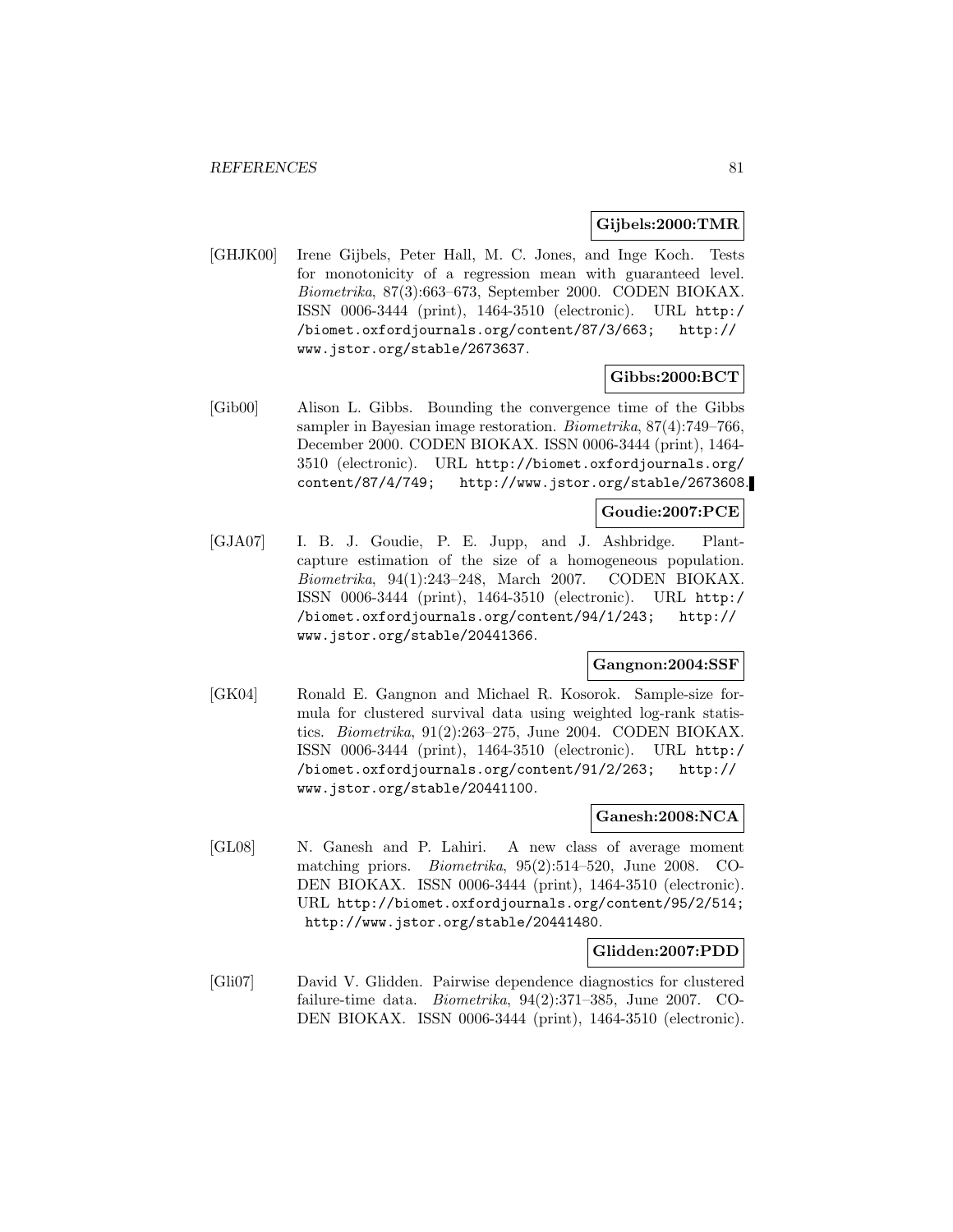#### **Gijbels:2000:TMR**

[GHJK00] Irene Gijbels, Peter Hall, M. C. Jones, and Inge Koch. Tests for monotonicity of a regression mean with guaranteed level. Biometrika, 87(3):663–673, September 2000. CODEN BIOKAX. ISSN 0006-3444 (print), 1464-3510 (electronic). URL http:/ /biomet.oxfordjournals.org/content/87/3/663; http:// www.jstor.org/stable/2673637.

### **Gibbs:2000:BCT**

[Gib00] Alison L. Gibbs. Bounding the convergence time of the Gibbs sampler in Bayesian image restoration. Biometrika, 87(4):749–766, December 2000. CODEN BIOKAX. ISSN 0006-3444 (print), 1464- 3510 (electronic). URL http://biomet.oxfordjournals.org/ content/87/4/749; http://www.jstor.org/stable/2673608.

## **Goudie:2007:PCE**

[GJA07] I. B. J. Goudie, P. E. Jupp, and J. Ashbridge. Plantcapture estimation of the size of a homogeneous population. Biometrika, 94(1):243–248, March 2007. CODEN BIOKAX. ISSN 0006-3444 (print), 1464-3510 (electronic). URL http:/ /biomet.oxfordjournals.org/content/94/1/243; http:// www.jstor.org/stable/20441366.

### **Gangnon:2004:SSF**

[GK04] Ronald E. Gangnon and Michael R. Kosorok. Sample-size formula for clustered survival data using weighted log-rank statistics. Biometrika, 91(2):263–275, June 2004. CODEN BIOKAX. ISSN 0006-3444 (print), 1464-3510 (electronic). URL http:/ /biomet.oxfordjournals.org/content/91/2/263; http:// www.jstor.org/stable/20441100.

#### **Ganesh:2008:NCA**

[GL08] N. Ganesh and P. Lahiri. A new class of average moment matching priors. Biometrika, 95(2):514–520, June 2008. CO-DEN BIOKAX. ISSN 0006-3444 (print), 1464-3510 (electronic). URL http://biomet.oxfordjournals.org/content/95/2/514; http://www.jstor.org/stable/20441480.

#### **Glidden:2007:PDD**

[Gli07] David V. Glidden. Pairwise dependence diagnostics for clustered failure-time data. Biometrika, 94(2):371–385, June 2007. CO-DEN BIOKAX. ISSN 0006-3444 (print), 1464-3510 (electronic).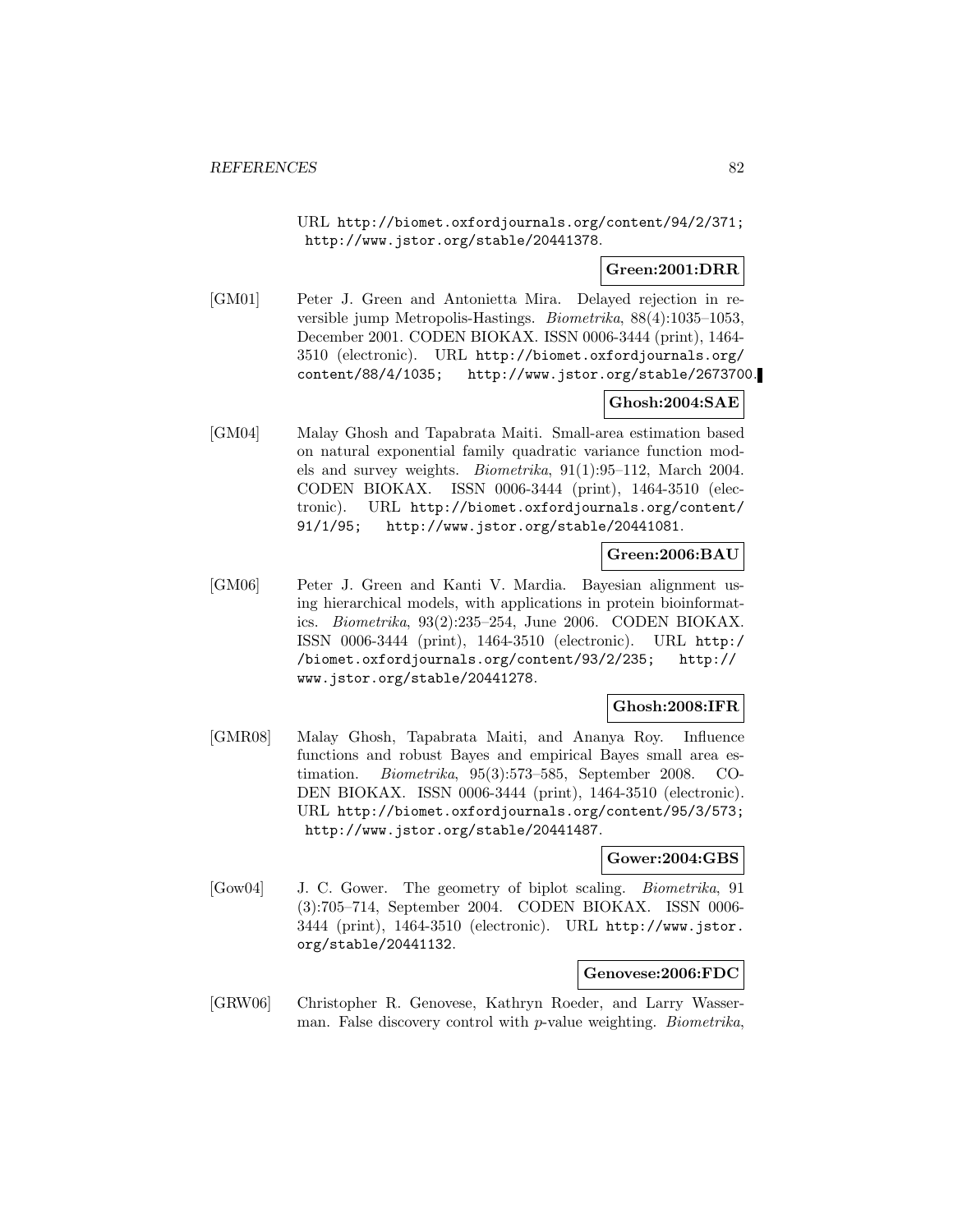URL http://biomet.oxfordjournals.org/content/94/2/371; http://www.jstor.org/stable/20441378.

### **Green:2001:DRR**

[GM01] Peter J. Green and Antonietta Mira. Delayed rejection in reversible jump Metropolis-Hastings. Biometrika, 88(4):1035–1053, December 2001. CODEN BIOKAX. ISSN 0006-3444 (print), 1464- 3510 (electronic). URL http://biomet.oxfordjournals.org/ content/88/4/1035; http://www.jstor.org/stable/2673700.

## **Ghosh:2004:SAE**

[GM04] Malay Ghosh and Tapabrata Maiti. Small-area estimation based on natural exponential family quadratic variance function models and survey weights. Biometrika, 91(1):95–112, March 2004. CODEN BIOKAX. ISSN 0006-3444 (print), 1464-3510 (electronic). URL http://biomet.oxfordjournals.org/content/ 91/1/95; http://www.jstor.org/stable/20441081.

## **Green:2006:BAU**

[GM06] Peter J. Green and Kanti V. Mardia. Bayesian alignment using hierarchical models, with applications in protein bioinformatics. Biometrika, 93(2):235–254, June 2006. CODEN BIOKAX. ISSN 0006-3444 (print), 1464-3510 (electronic). URL http:/ /biomet.oxfordjournals.org/content/93/2/235; http:// www.jstor.org/stable/20441278.

## **Ghosh:2008:IFR**

[GMR08] Malay Ghosh, Tapabrata Maiti, and Ananya Roy. Influence functions and robust Bayes and empirical Bayes small area estimation. Biometrika, 95(3):573–585, September 2008. CO-DEN BIOKAX. ISSN 0006-3444 (print), 1464-3510 (electronic). URL http://biomet.oxfordjournals.org/content/95/3/573; http://www.jstor.org/stable/20441487.

### **Gower:2004:GBS**

[Gow04] J. C. Gower. The geometry of biplot scaling. Biometrika, 91 (3):705–714, September 2004. CODEN BIOKAX. ISSN 0006- 3444 (print), 1464-3510 (electronic). URL http://www.jstor. org/stable/20441132.

### **Genovese:2006:FDC**

[GRW06] Christopher R. Genovese, Kathryn Roeder, and Larry Wasserman. False discovery control with p-value weighting. Biometrika,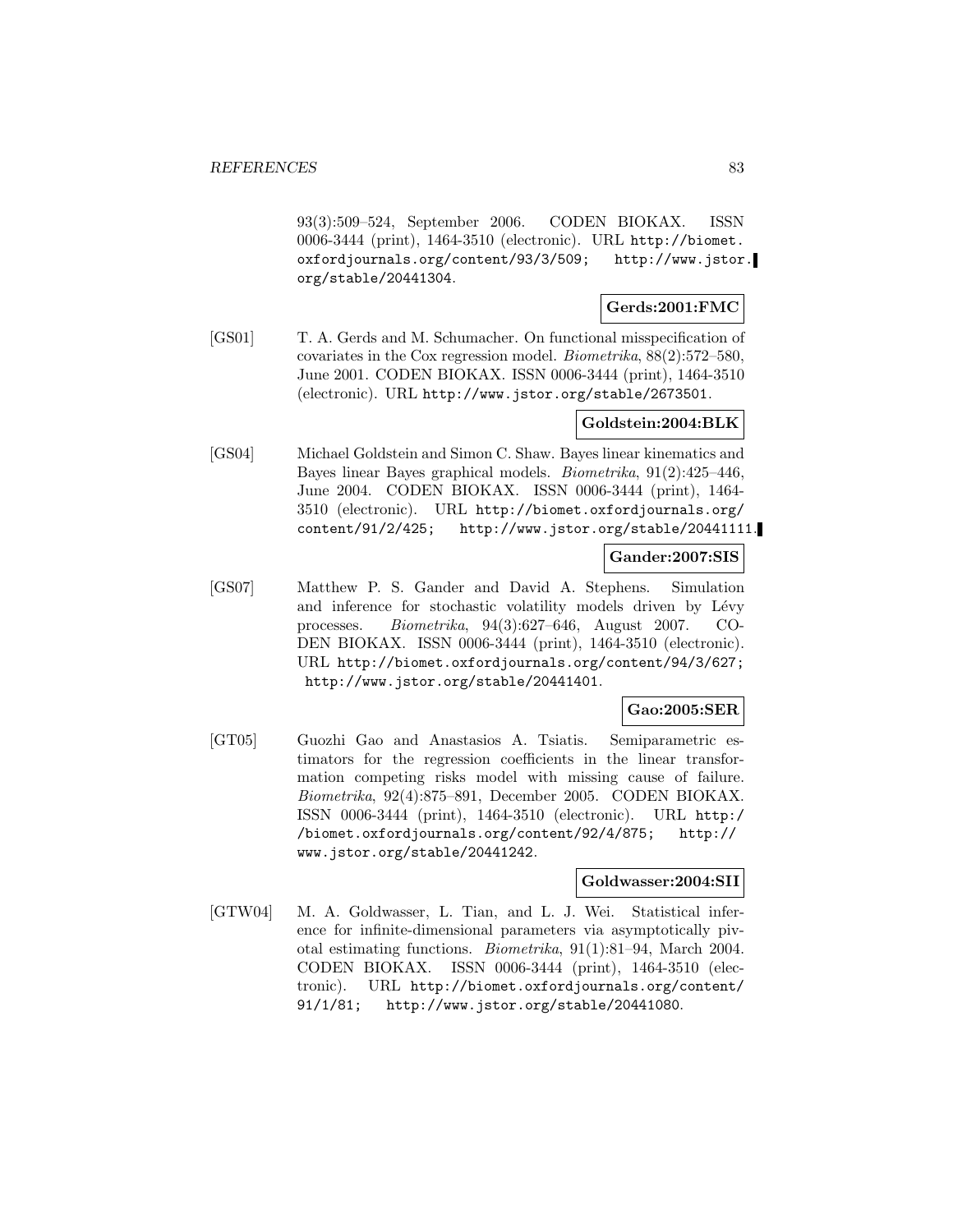93(3):509–524, September 2006. CODEN BIOKAX. ISSN 0006-3444 (print), 1464-3510 (electronic). URL http://biomet. oxfordjournals.org/content/93/3/509; http://www.jstor. org/stable/20441304.

**Gerds:2001:FMC**

[GS01] T. A. Gerds and M. Schumacher. On functional misspecification of covariates in the Cox regression model. Biometrika, 88(2):572–580, June 2001. CODEN BIOKAX. ISSN 0006-3444 (print), 1464-3510 (electronic). URL http://www.jstor.org/stable/2673501.

### **Goldstein:2004:BLK**

[GS04] Michael Goldstein and Simon C. Shaw. Bayes linear kinematics and Bayes linear Bayes graphical models. Biometrika, 91(2):425–446, June 2004. CODEN BIOKAX. ISSN 0006-3444 (print), 1464- 3510 (electronic). URL http://biomet.oxfordjournals.org/ content/91/2/425; http://www.jstor.org/stable/20441111.

### **Gander:2007:SIS**

[GS07] Matthew P. S. Gander and David A. Stephens. Simulation and inference for stochastic volatility models driven by Lévy processes. Biometrika, 94(3):627–646, August 2007. CO-DEN BIOKAX. ISSN 0006-3444 (print), 1464-3510 (electronic). URL http://biomet.oxfordjournals.org/content/94/3/627; http://www.jstor.org/stable/20441401.

### **Gao:2005:SER**

[GT05] Guozhi Gao and Anastasios A. Tsiatis. Semiparametric estimators for the regression coefficients in the linear transformation competing risks model with missing cause of failure. Biometrika, 92(4):875–891, December 2005. CODEN BIOKAX. ISSN 0006-3444 (print), 1464-3510 (electronic). URL http:/ /biomet.oxfordjournals.org/content/92/4/875; http:// www.jstor.org/stable/20441242.

#### **Goldwasser:2004:SII**

[GTW04] M. A. Goldwasser, L. Tian, and L. J. Wei. Statistical inference for infinite-dimensional parameters via asymptotically pivotal estimating functions. Biometrika, 91(1):81–94, March 2004. CODEN BIOKAX. ISSN 0006-3444 (print), 1464-3510 (electronic). URL http://biomet.oxfordjournals.org/content/ 91/1/81; http://www.jstor.org/stable/20441080.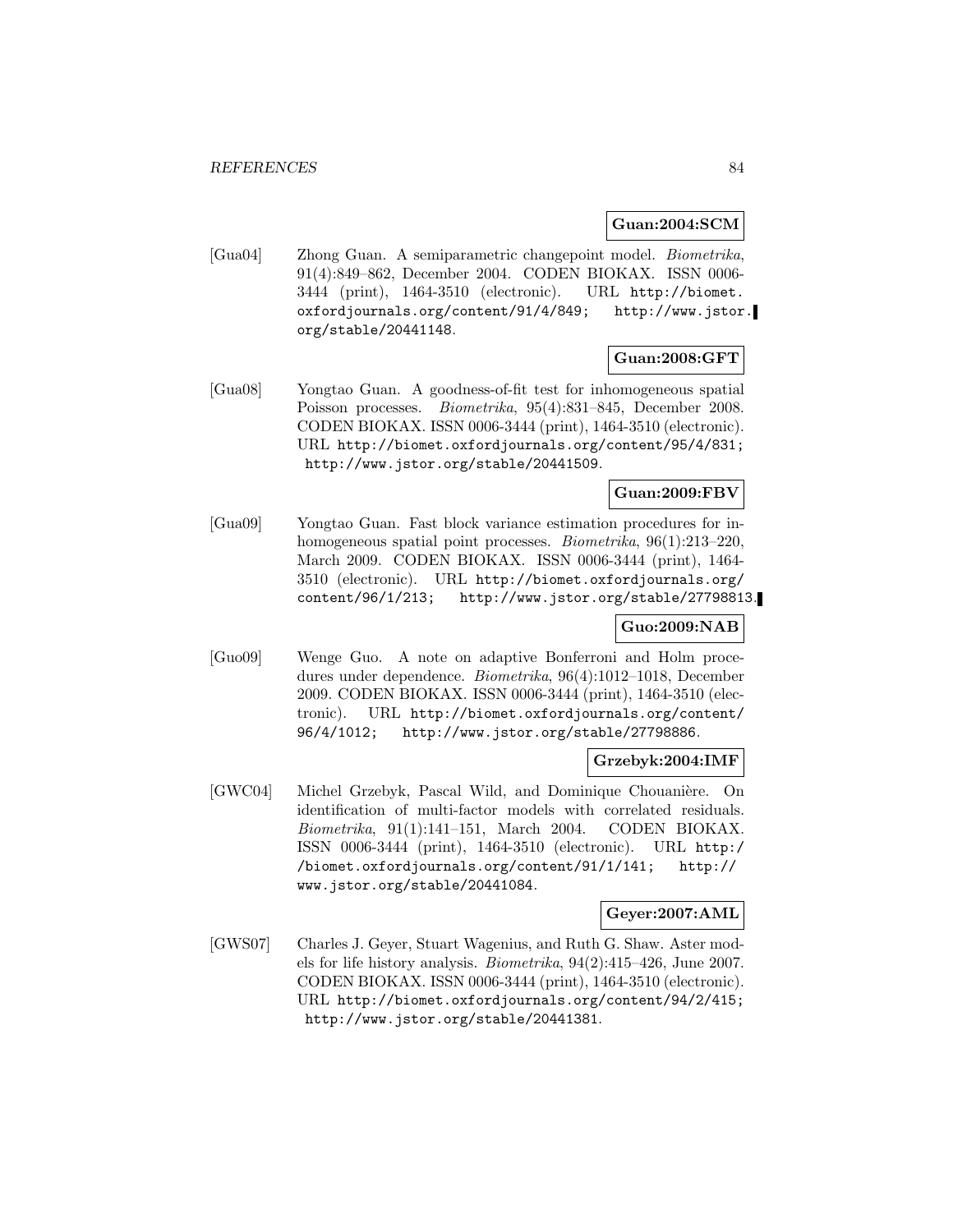**Guan:2004:SCM**

[Gua04] Zhong Guan. A semiparametric changepoint model. Biometrika, 91(4):849–862, December 2004. CODEN BIOKAX. ISSN 0006- 3444 (print), 1464-3510 (electronic). URL http://biomet. oxfordjournals.org/content/91/4/849; http://www.jstor. org/stable/20441148.

## **Guan:2008:GFT**

[Gua08] Yongtao Guan. A goodness-of-fit test for inhomogeneous spatial Poisson processes. Biometrika, 95(4):831–845, December 2008. CODEN BIOKAX. ISSN 0006-3444 (print), 1464-3510 (electronic). URL http://biomet.oxfordjournals.org/content/95/4/831; http://www.jstor.org/stable/20441509.

## **Guan:2009:FBV**

[Gua09] Yongtao Guan. Fast block variance estimation procedures for inhomogeneous spatial point processes. *Biometrika*, 96(1):213–220, March 2009. CODEN BIOKAX. ISSN 0006-3444 (print), 1464- 3510 (electronic). URL http://biomet.oxfordjournals.org/ content/96/1/213; http://www.jstor.org/stable/27798813.

### **Guo:2009:NAB**

[Guo09] Wenge Guo. A note on adaptive Bonferroni and Holm procedures under dependence. Biometrika, 96(4):1012–1018, December 2009. CODEN BIOKAX. ISSN 0006-3444 (print), 1464-3510 (electronic). URL http://biomet.oxfordjournals.org/content/ 96/4/1012; http://www.jstor.org/stable/27798886.

### **Grzebyk:2004:IMF**

[GWC04] Michel Grzebyk, Pascal Wild, and Dominique Chouanière. On identification of multi-factor models with correlated residuals. Biometrika, 91(1):141–151, March 2004. CODEN BIOKAX. ISSN 0006-3444 (print), 1464-3510 (electronic). URL http:/ /biomet.oxfordjournals.org/content/91/1/141; http:// www.jstor.org/stable/20441084.

### **Geyer:2007:AML**

[GWS07] Charles J. Geyer, Stuart Wagenius, and Ruth G. Shaw. Aster models for life history analysis. Biometrika, 94(2):415–426, June 2007. CODEN BIOKAX. ISSN 0006-3444 (print), 1464-3510 (electronic). URL http://biomet.oxfordjournals.org/content/94/2/415; http://www.jstor.org/stable/20441381.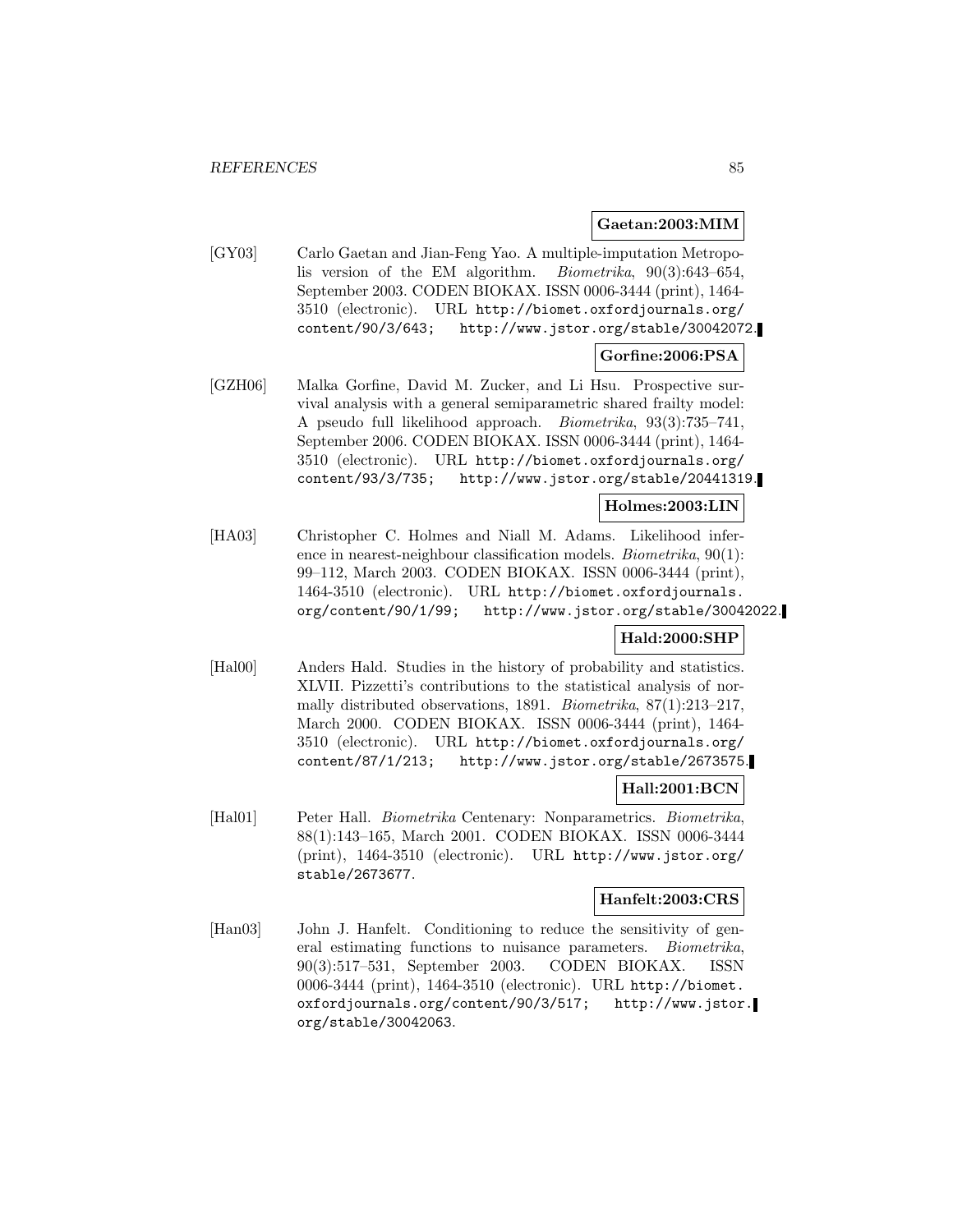#### **Gaetan:2003:MIM**

[GY03] Carlo Gaetan and Jian-Feng Yao. A multiple-imputation Metropolis version of the EM algorithm. Biometrika, 90(3):643–654, September 2003. CODEN BIOKAX. ISSN 0006-3444 (print), 1464- 3510 (electronic). URL http://biomet.oxfordjournals.org/ content/90/3/643; http://www.jstor.org/stable/30042072.

### **Gorfine:2006:PSA**

[GZH06] Malka Gorfine, David M. Zucker, and Li Hsu. Prospective survival analysis with a general semiparametric shared frailty model: A pseudo full likelihood approach. Biometrika, 93(3):735–741, September 2006. CODEN BIOKAX. ISSN 0006-3444 (print), 1464- 3510 (electronic). URL http://biomet.oxfordjournals.org/ content/93/3/735; http://www.jstor.org/stable/20441319.

## **Holmes:2003:LIN**

[HA03] Christopher C. Holmes and Niall M. Adams. Likelihood inference in nearest-neighbour classification models. Biometrika, 90(1): 99–112, March 2003. CODEN BIOKAX. ISSN 0006-3444 (print), 1464-3510 (electronic). URL http://biomet.oxfordjournals. org/content/90/1/99; http://www.jstor.org/stable/30042022.

### **Hald:2000:SHP**

[Hal00] Anders Hald. Studies in the history of probability and statistics. XLVII. Pizzetti's contributions to the statistical analysis of normally distributed observations, 1891. Biometrika, 87(1):213–217, March 2000. CODEN BIOKAX. ISSN 0006-3444 (print), 1464- 3510 (electronic). URL http://biomet.oxfordjournals.org/ content/87/1/213; http://www.jstor.org/stable/2673575.

### **Hall:2001:BCN**

[Hal01] Peter Hall. Biometrika Centenary: Nonparametrics. Biometrika, 88(1):143–165, March 2001. CODEN BIOKAX. ISSN 0006-3444 (print), 1464-3510 (electronic). URL http://www.jstor.org/ stable/2673677.

### **Hanfelt:2003:CRS**

[Han03] John J. Hanfelt. Conditioning to reduce the sensitivity of general estimating functions to nuisance parameters. Biometrika, 90(3):517–531, September 2003. CODEN BIOKAX. ISSN 0006-3444 (print), 1464-3510 (electronic). URL http://biomet. oxfordjournals.org/content/90/3/517; http://www.jstor. org/stable/30042063.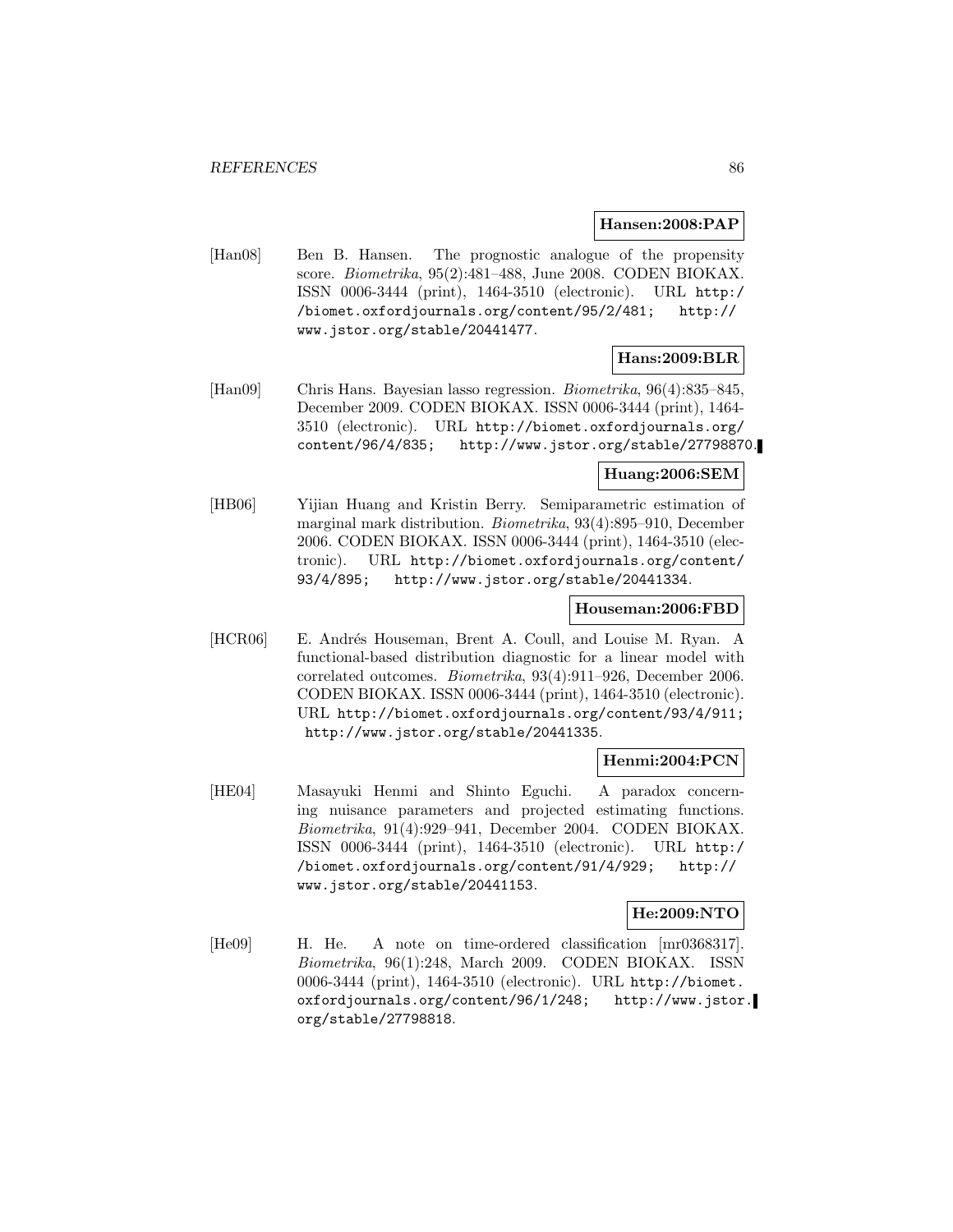#### **Hansen:2008:PAP**

[Han08] Ben B. Hansen. The prognostic analogue of the propensity score. Biometrika, 95(2):481–488, June 2008. CODEN BIOKAX. ISSN 0006-3444 (print), 1464-3510 (electronic). URL http:/ /biomet.oxfordjournals.org/content/95/2/481; http:// www.jstor.org/stable/20441477.

## **Hans:2009:BLR**

[Han09] Chris Hans. Bayesian lasso regression. Biometrika, 96(4):835–845, December 2009. CODEN BIOKAX. ISSN 0006-3444 (print), 1464- 3510 (electronic). URL http://biomet.oxfordjournals.org/ content/96/4/835; http://www.jstor.org/stable/27798870.

### **Huang:2006:SEM**

[HB06] Yijian Huang and Kristin Berry. Semiparametric estimation of marginal mark distribution. Biometrika, 93(4):895–910, December 2006. CODEN BIOKAX. ISSN 0006-3444 (print), 1464-3510 (electronic). URL http://biomet.oxfordjournals.org/content/ 93/4/895; http://www.jstor.org/stable/20441334.

### **Houseman:2006:FBD**

[HCR06] E. Andrés Houseman, Brent A. Coull, and Louise M. Ryan. A functional-based distribution diagnostic for a linear model with correlated outcomes. Biometrika, 93(4):911–926, December 2006. CODEN BIOKAX. ISSN 0006-3444 (print), 1464-3510 (electronic). URL http://biomet.oxfordjournals.org/content/93/4/911; http://www.jstor.org/stable/20441335.

### **Henmi:2004:PCN**

[HE04] Masayuki Henmi and Shinto Eguchi. A paradox concerning nuisance parameters and projected estimating functions. Biometrika, 91(4):929–941, December 2004. CODEN BIOKAX. ISSN 0006-3444 (print), 1464-3510 (electronic). URL http:/ /biomet.oxfordjournals.org/content/91/4/929; http:// www.jstor.org/stable/20441153.

### **He:2009:NTO**

[He09] H. He. A note on time-ordered classification [mr0368317]. Biometrika, 96(1):248, March 2009. CODEN BIOKAX. ISSN 0006-3444 (print), 1464-3510 (electronic). URL http://biomet. oxfordjournals.org/content/96/1/248; http://www.jstor. org/stable/27798818.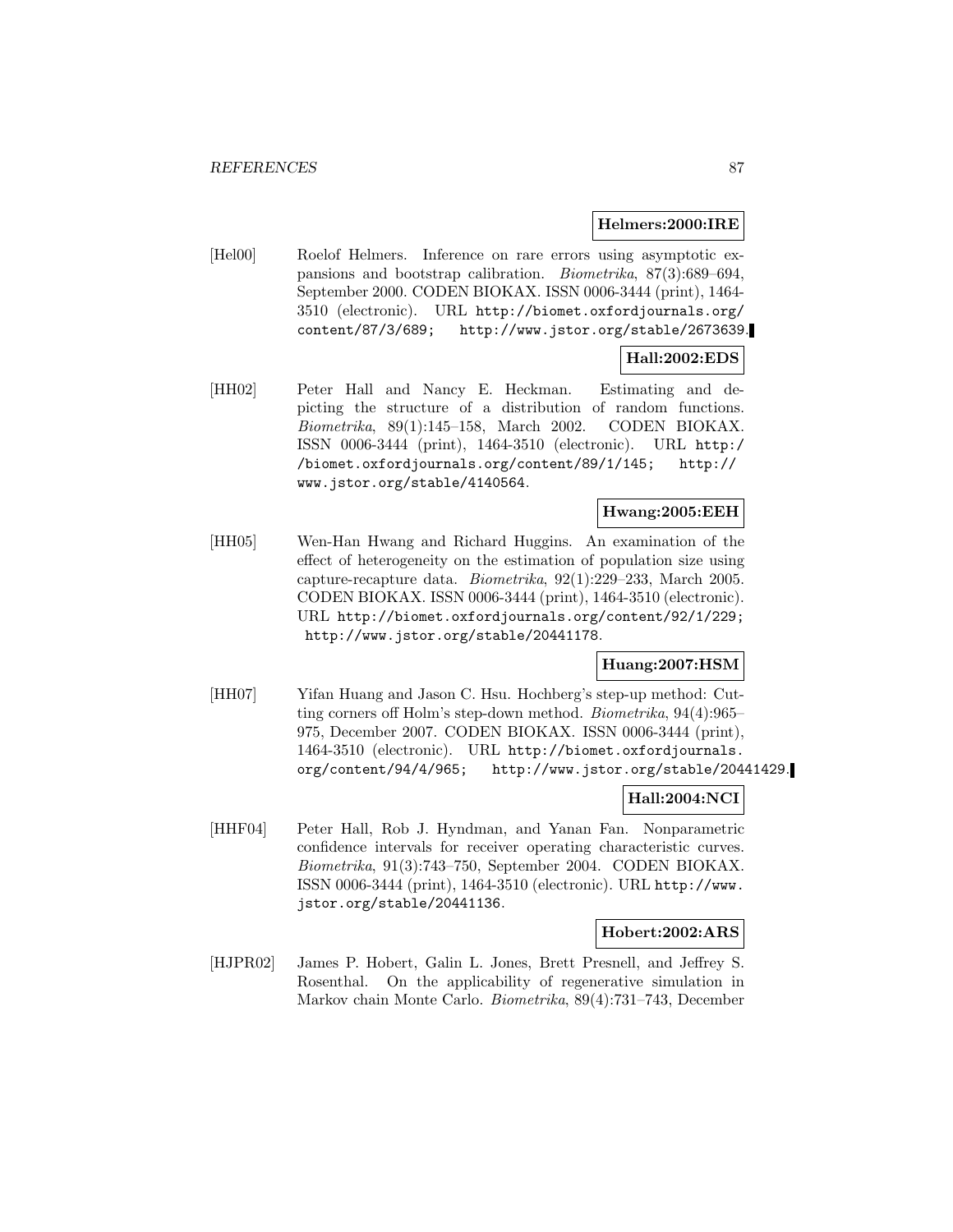#### **Helmers:2000:IRE**

[Hel00] Roelof Helmers. Inference on rare errors using asymptotic expansions and bootstrap calibration. Biometrika, 87(3):689–694, September 2000. CODEN BIOKAX. ISSN 0006-3444 (print), 1464- 3510 (electronic). URL http://biomet.oxfordjournals.org/ content/87/3/689; http://www.jstor.org/stable/2673639.

## **Hall:2002:EDS**

[HH02] Peter Hall and Nancy E. Heckman. Estimating and depicting the structure of a distribution of random functions. Biometrika, 89(1):145–158, March 2002. CODEN BIOKAX. ISSN 0006-3444 (print), 1464-3510 (electronic). URL http:/ /biomet.oxfordjournals.org/content/89/1/145; http:// www.jstor.org/stable/4140564.

## **Hwang:2005:EEH**

[HH05] Wen-Han Hwang and Richard Huggins. An examination of the effect of heterogeneity on the estimation of population size using capture-recapture data. Biometrika, 92(1):229–233, March 2005. CODEN BIOKAX. ISSN 0006-3444 (print), 1464-3510 (electronic). URL http://biomet.oxfordjournals.org/content/92/1/229; http://www.jstor.org/stable/20441178.

### **Huang:2007:HSM**

[HH07] Yifan Huang and Jason C. Hsu. Hochberg's step-up method: Cutting corners off Holm's step-down method. Biometrika, 94(4):965– 975, December 2007. CODEN BIOKAX. ISSN 0006-3444 (print), 1464-3510 (electronic). URL http://biomet.oxfordjournals. org/content/94/4/965; http://www.jstor.org/stable/20441429.

### **Hall:2004:NCI**

[HHF04] Peter Hall, Rob J. Hyndman, and Yanan Fan. Nonparametric confidence intervals for receiver operating characteristic curves. Biometrika, 91(3):743–750, September 2004. CODEN BIOKAX. ISSN 0006-3444 (print), 1464-3510 (electronic). URL http://www. jstor.org/stable/20441136.

### **Hobert:2002:ARS**

[HJPR02] James P. Hobert, Galin L. Jones, Brett Presnell, and Jeffrey S. Rosenthal. On the applicability of regenerative simulation in Markov chain Monte Carlo. Biometrika, 89(4):731–743, December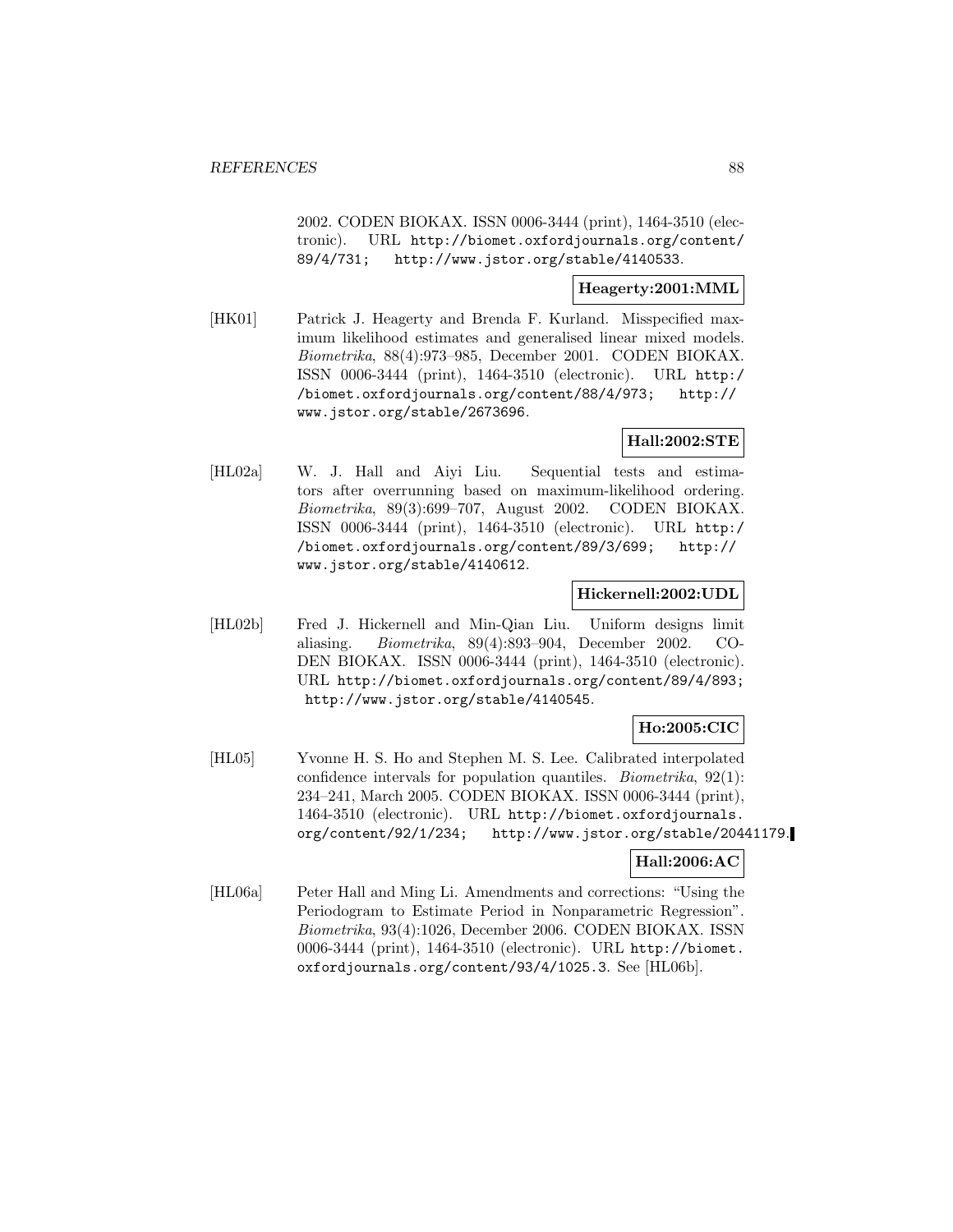2002. CODEN BIOKAX. ISSN 0006-3444 (print), 1464-3510 (electronic). URL http://biomet.oxfordjournals.org/content/ 89/4/731; http://www.jstor.org/stable/4140533.

### **Heagerty:2001:MML**

[HK01] Patrick J. Heagerty and Brenda F. Kurland. Misspecified maximum likelihood estimates and generalised linear mixed models. Biometrika, 88(4):973–985, December 2001. CODEN BIOKAX. ISSN 0006-3444 (print), 1464-3510 (electronic). URL http:/ /biomet.oxfordjournals.org/content/88/4/973; http:// www.jstor.org/stable/2673696.

### **Hall:2002:STE**

[HL02a] W. J. Hall and Aiyi Liu. Sequential tests and estimators after overrunning based on maximum-likelihood ordering. Biometrika, 89(3):699–707, August 2002. CODEN BIOKAX. ISSN 0006-3444 (print), 1464-3510 (electronic). URL http:/ /biomet.oxfordjournals.org/content/89/3/699; http:// www.jstor.org/stable/4140612.

### **Hickernell:2002:UDL**

[HL02b] Fred J. Hickernell and Min-Qian Liu. Uniform designs limit aliasing. Biometrika, 89(4):893–904, December 2002. CO-DEN BIOKAX. ISSN 0006-3444 (print), 1464-3510 (electronic). URL http://biomet.oxfordjournals.org/content/89/4/893; http://www.jstor.org/stable/4140545.

## **Ho:2005:CIC**

[HL05] Yvonne H. S. Ho and Stephen M. S. Lee. Calibrated interpolated confidence intervals for population quantiles. Biometrika, 92(1): 234–241, March 2005. CODEN BIOKAX. ISSN 0006-3444 (print), 1464-3510 (electronic). URL http://biomet.oxfordjournals. org/content/92/1/234; http://www.jstor.org/stable/20441179.

## **Hall:2006:AC**

[HL06a] Peter Hall and Ming Li. Amendments and corrections: "Using the Periodogram to Estimate Period in Nonparametric Regression". Biometrika, 93(4):1026, December 2006. CODEN BIOKAX. ISSN 0006-3444 (print), 1464-3510 (electronic). URL http://biomet. oxfordjournals.org/content/93/4/1025.3. See [HL06b].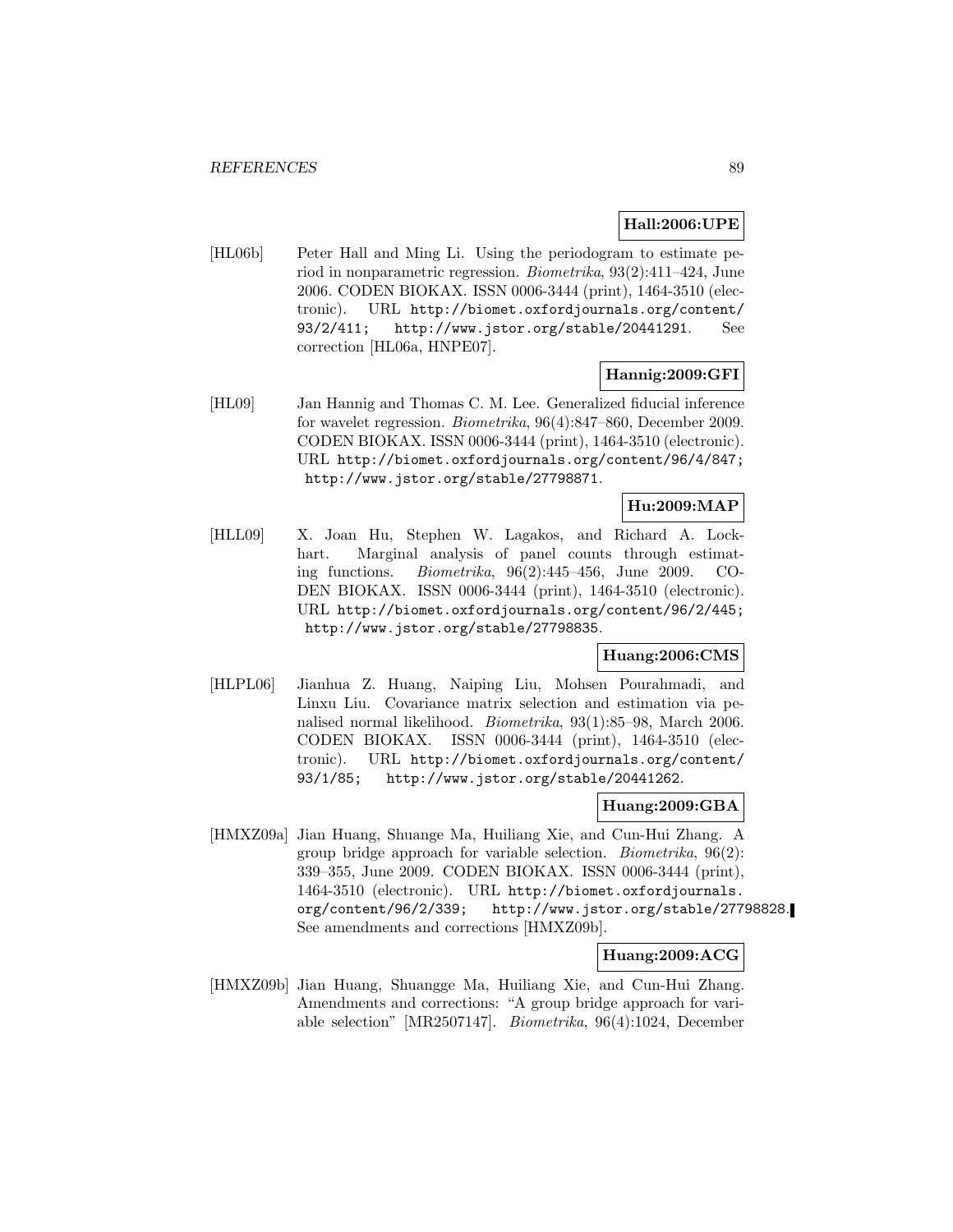### **Hall:2006:UPE**

[HL06b] Peter Hall and Ming Li. Using the periodogram to estimate period in nonparametric regression. Biometrika, 93(2):411–424, June 2006. CODEN BIOKAX. ISSN 0006-3444 (print), 1464-3510 (electronic). URL http://biomet.oxfordjournals.org/content/ 93/2/411; http://www.jstor.org/stable/20441291. See correction [HL06a, HNPE07].

### **Hannig:2009:GFI**

[HL09] Jan Hannig and Thomas C. M. Lee. Generalized fiducial inference for wavelet regression. Biometrika, 96(4):847–860, December 2009. CODEN BIOKAX. ISSN 0006-3444 (print), 1464-3510 (electronic). URL http://biomet.oxfordjournals.org/content/96/4/847; http://www.jstor.org/stable/27798871.

## **Hu:2009:MAP**

[HLL09] X. Joan Hu, Stephen W. Lagakos, and Richard A. Lockhart. Marginal analysis of panel counts through estimating functions. Biometrika, 96(2):445–456, June 2009. CO-DEN BIOKAX. ISSN 0006-3444 (print), 1464-3510 (electronic). URL http://biomet.oxfordjournals.org/content/96/2/445; http://www.jstor.org/stable/27798835.

### **Huang:2006:CMS**

[HLPL06] Jianhua Z. Huang, Naiping Liu, Mohsen Pourahmadi, and Linxu Liu. Covariance matrix selection and estimation via penalised normal likelihood. Biometrika, 93(1):85–98, March 2006. CODEN BIOKAX. ISSN 0006-3444 (print), 1464-3510 (electronic). URL http://biomet.oxfordjournals.org/content/ 93/1/85; http://www.jstor.org/stable/20441262.

#### **Huang:2009:GBA**

[HMXZ09a] Jian Huang, Shuange Ma, Huiliang Xie, and Cun-Hui Zhang. A group bridge approach for variable selection. Biometrika, 96(2): 339–355, June 2009. CODEN BIOKAX. ISSN 0006-3444 (print), 1464-3510 (electronic). URL http://biomet.oxfordjournals. org/content/96/2/339; http://www.jstor.org/stable/27798828. See amendments and corrections [HMXZ09b].

### **Huang:2009:ACG**

[HMXZ09b] Jian Huang, Shuangge Ma, Huiliang Xie, and Cun-Hui Zhang. Amendments and corrections: "A group bridge approach for variable selection" [MR2507147]. Biometrika, 96(4):1024, December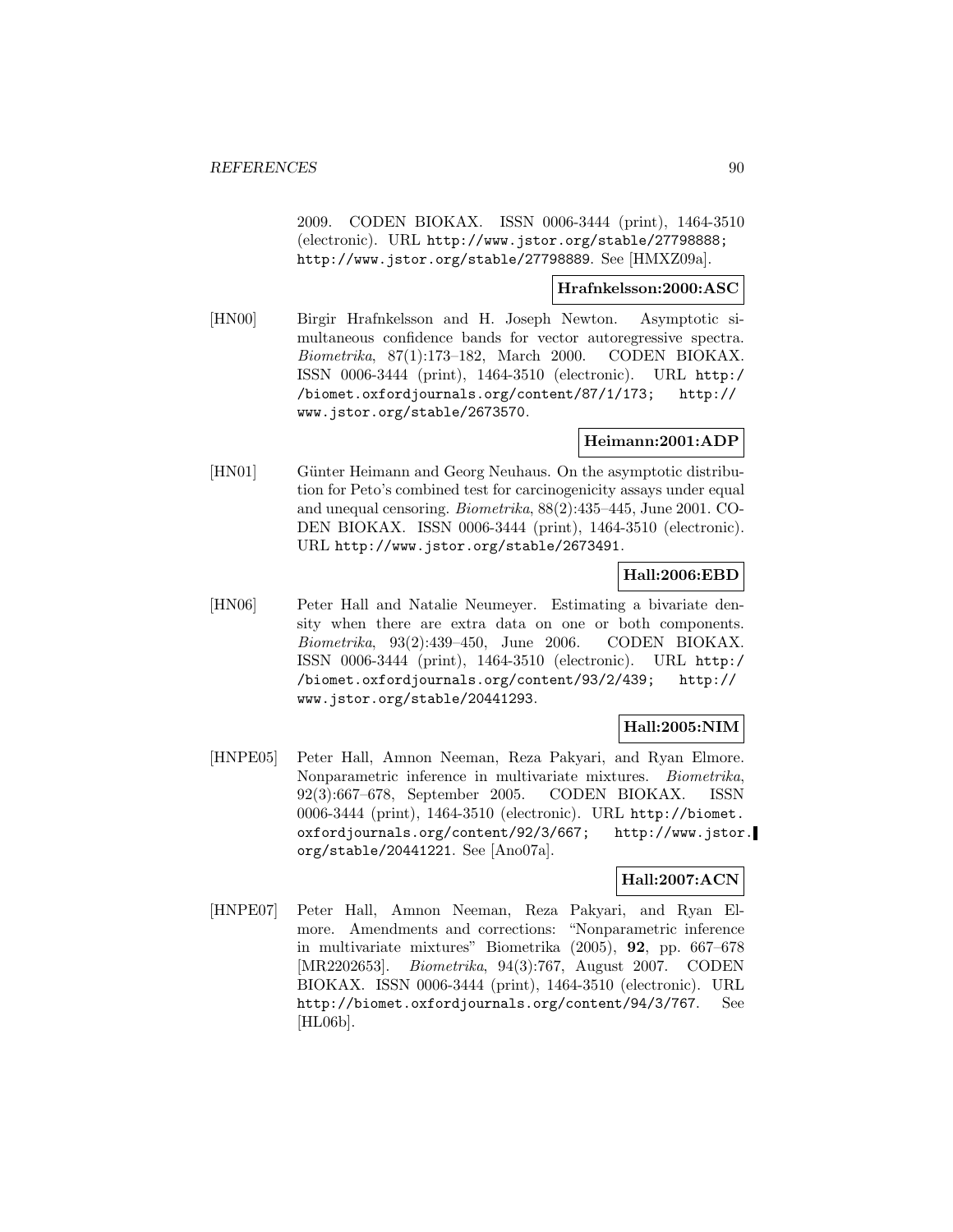2009. CODEN BIOKAX. ISSN 0006-3444 (print), 1464-3510 (electronic). URL http://www.jstor.org/stable/27798888; http://www.jstor.org/stable/27798889. See [HMXZ09a].

### **Hrafnkelsson:2000:ASC**

[HN00] Birgir Hrafnkelsson and H. Joseph Newton. Asymptotic simultaneous confidence bands for vector autoregressive spectra. Biometrika, 87(1):173–182, March 2000. CODEN BIOKAX. ISSN 0006-3444 (print), 1464-3510 (electronic). URL http:/ /biomet.oxfordjournals.org/content/87/1/173; http:// www.jstor.org/stable/2673570.

### **Heimann:2001:ADP**

[HN01] Günter Heimann and Georg Neuhaus. On the asymptotic distribution for Peto's combined test for carcinogenicity assays under equal and unequal censoring. Biometrika, 88(2):435–445, June 2001. CO-DEN BIOKAX. ISSN 0006-3444 (print), 1464-3510 (electronic). URL http://www.jstor.org/stable/2673491.

### **Hall:2006:EBD**

[HN06] Peter Hall and Natalie Neumeyer. Estimating a bivariate density when there are extra data on one or both components. Biometrika, 93(2):439–450, June 2006. CODEN BIOKAX. ISSN 0006-3444 (print), 1464-3510 (electronic). URL http:/ /biomet.oxfordjournals.org/content/93/2/439; http:// www.jstor.org/stable/20441293.

## **Hall:2005:NIM**

[HNPE05] Peter Hall, Amnon Neeman, Reza Pakyari, and Ryan Elmore. Nonparametric inference in multivariate mixtures. Biometrika, 92(3):667–678, September 2005. CODEN BIOKAX. ISSN 0006-3444 (print), 1464-3510 (electronic). URL http://biomet. oxfordjournals.org/content/92/3/667; http://www.jstor. org/stable/20441221. See [Ano07a].

## **Hall:2007:ACN**

[HNPE07] Peter Hall, Amnon Neeman, Reza Pakyari, and Ryan Elmore. Amendments and corrections: "Nonparametric inference in multivariate mixtures" Biometrika (2005), **92**, pp. 667–678 [MR2202653]. Biometrika, 94(3):767, August 2007. CODEN BIOKAX. ISSN 0006-3444 (print), 1464-3510 (electronic). URL http://biomet.oxfordjournals.org/content/94/3/767. See [HL06b].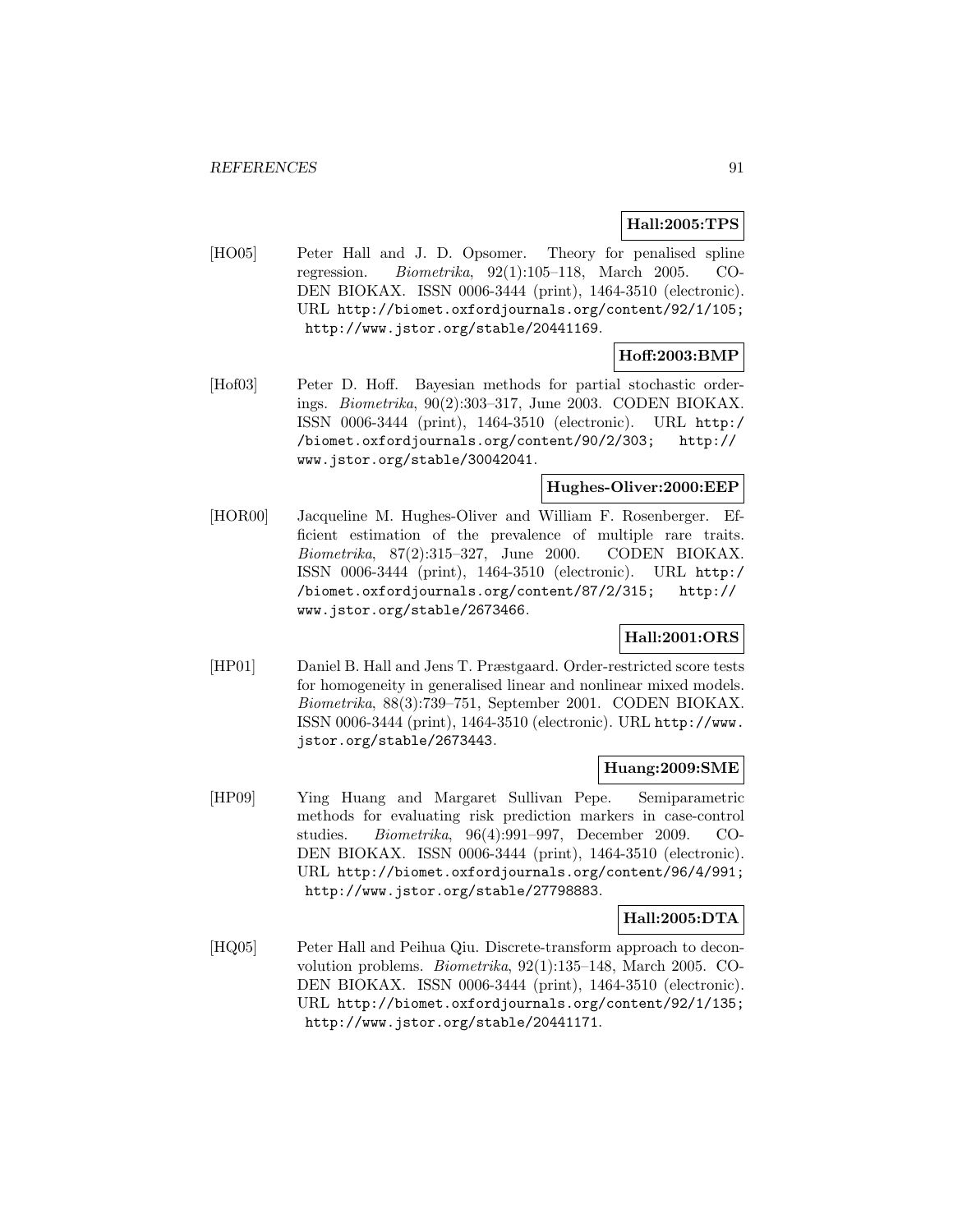## **Hall:2005:TPS**

[HO05] Peter Hall and J. D. Opsomer. Theory for penalised spline regression. Biometrika, 92(1):105–118, March 2005. CO-DEN BIOKAX. ISSN 0006-3444 (print), 1464-3510 (electronic). URL http://biomet.oxfordjournals.org/content/92/1/105; http://www.jstor.org/stable/20441169.

### **Hoff:2003:BMP**

[Hof03] Peter D. Hoff. Bayesian methods for partial stochastic orderings. Biometrika, 90(2):303–317, June 2003. CODEN BIOKAX. ISSN 0006-3444 (print), 1464-3510 (electronic). URL http:/ /biomet.oxfordjournals.org/content/90/2/303; http:// www.jstor.org/stable/30042041.

### **Hughes-Oliver:2000:EEP**

[HOR00] Jacqueline M. Hughes-Oliver and William F. Rosenberger. Efficient estimation of the prevalence of multiple rare traits. Biometrika, 87(2):315–327, June 2000. CODEN BIOKAX. ISSN 0006-3444 (print), 1464-3510 (electronic). URL http:/ /biomet.oxfordjournals.org/content/87/2/315; http:// www.jstor.org/stable/2673466.

## **Hall:2001:ORS**

[HP01] Daniel B. Hall and Jens T. Præstgaard. Order-restricted score tests for homogeneity in generalised linear and nonlinear mixed models. Biometrika, 88(3):739–751, September 2001. CODEN BIOKAX. ISSN 0006-3444 (print), 1464-3510 (electronic). URL http://www. jstor.org/stable/2673443.

### **Huang:2009:SME**

[HP09] Ying Huang and Margaret Sullivan Pepe. Semiparametric methods for evaluating risk prediction markers in case-control studies. Biometrika, 96(4):991–997, December 2009. CO-DEN BIOKAX. ISSN 0006-3444 (print), 1464-3510 (electronic). URL http://biomet.oxfordjournals.org/content/96/4/991; http://www.jstor.org/stable/27798883.

### **Hall:2005:DTA**

[HQ05] Peter Hall and Peihua Qiu. Discrete-transform approach to deconvolution problems. Biometrika, 92(1):135–148, March 2005. CO-DEN BIOKAX. ISSN 0006-3444 (print), 1464-3510 (electronic). URL http://biomet.oxfordjournals.org/content/92/1/135; http://www.jstor.org/stable/20441171.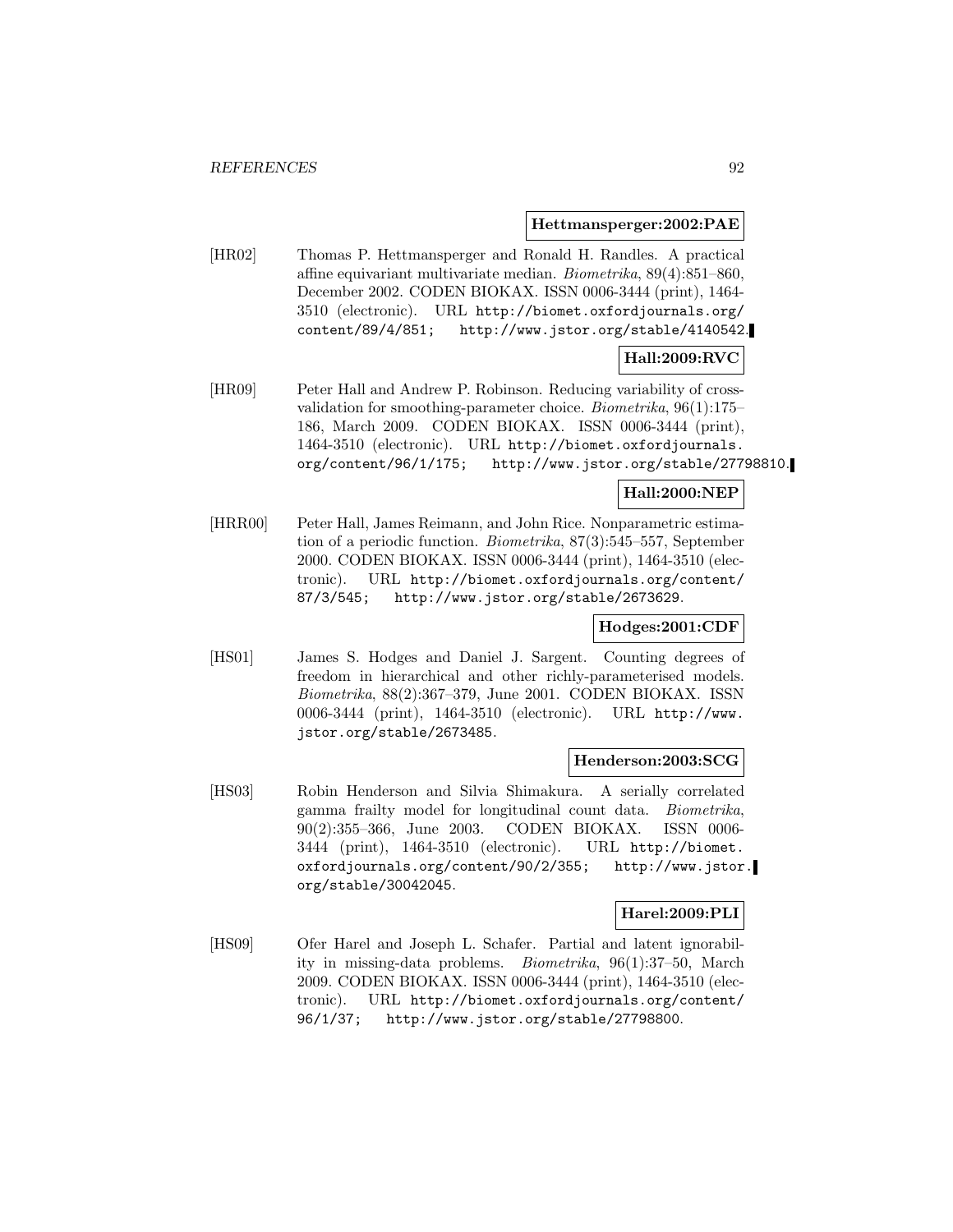**Hettmansperger:2002:PAE**

[HR02] Thomas P. Hettmansperger and Ronald H. Randles. A practical affine equivariant multivariate median. Biometrika, 89(4):851–860, December 2002. CODEN BIOKAX. ISSN 0006-3444 (print), 1464- 3510 (electronic). URL http://biomet.oxfordjournals.org/ content/89/4/851; http://www.jstor.org/stable/4140542.

## **Hall:2009:RVC**

[HR09] Peter Hall and Andrew P. Robinson. Reducing variability of crossvalidation for smoothing-parameter choice. Biometrika, 96(1):175– 186, March 2009. CODEN BIOKAX. ISSN 0006-3444 (print), 1464-3510 (electronic). URL http://biomet.oxfordjournals. org/content/96/1/175; http://www.jstor.org/stable/27798810.

### **Hall:2000:NEP**

[HRR00] Peter Hall, James Reimann, and John Rice. Nonparametric estimation of a periodic function. Biometrika, 87(3):545–557, September 2000. CODEN BIOKAX. ISSN 0006-3444 (print), 1464-3510 (electronic). URL http://biomet.oxfordjournals.org/content/ 87/3/545; http://www.jstor.org/stable/2673629.

### **Hodges:2001:CDF**

[HS01] James S. Hodges and Daniel J. Sargent. Counting degrees of freedom in hierarchical and other richly-parameterised models. Biometrika, 88(2):367–379, June 2001. CODEN BIOKAX. ISSN 0006-3444 (print), 1464-3510 (electronic). URL http://www. jstor.org/stable/2673485.

#### **Henderson:2003:SCG**

[HS03] Robin Henderson and Silvia Shimakura. A serially correlated gamma frailty model for longitudinal count data. Biometrika, 90(2):355–366, June 2003. CODEN BIOKAX. ISSN 0006- 3444 (print), 1464-3510 (electronic). URL http://biomet. oxfordjournals.org/content/90/2/355; http://www.jstor. org/stable/30042045.

### **Harel:2009:PLI**

[HS09] Ofer Harel and Joseph L. Schafer. Partial and latent ignorability in missing-data problems. Biometrika, 96(1):37–50, March 2009. CODEN BIOKAX. ISSN 0006-3444 (print), 1464-3510 (electronic). URL http://biomet.oxfordjournals.org/content/ 96/1/37; http://www.jstor.org/stable/27798800.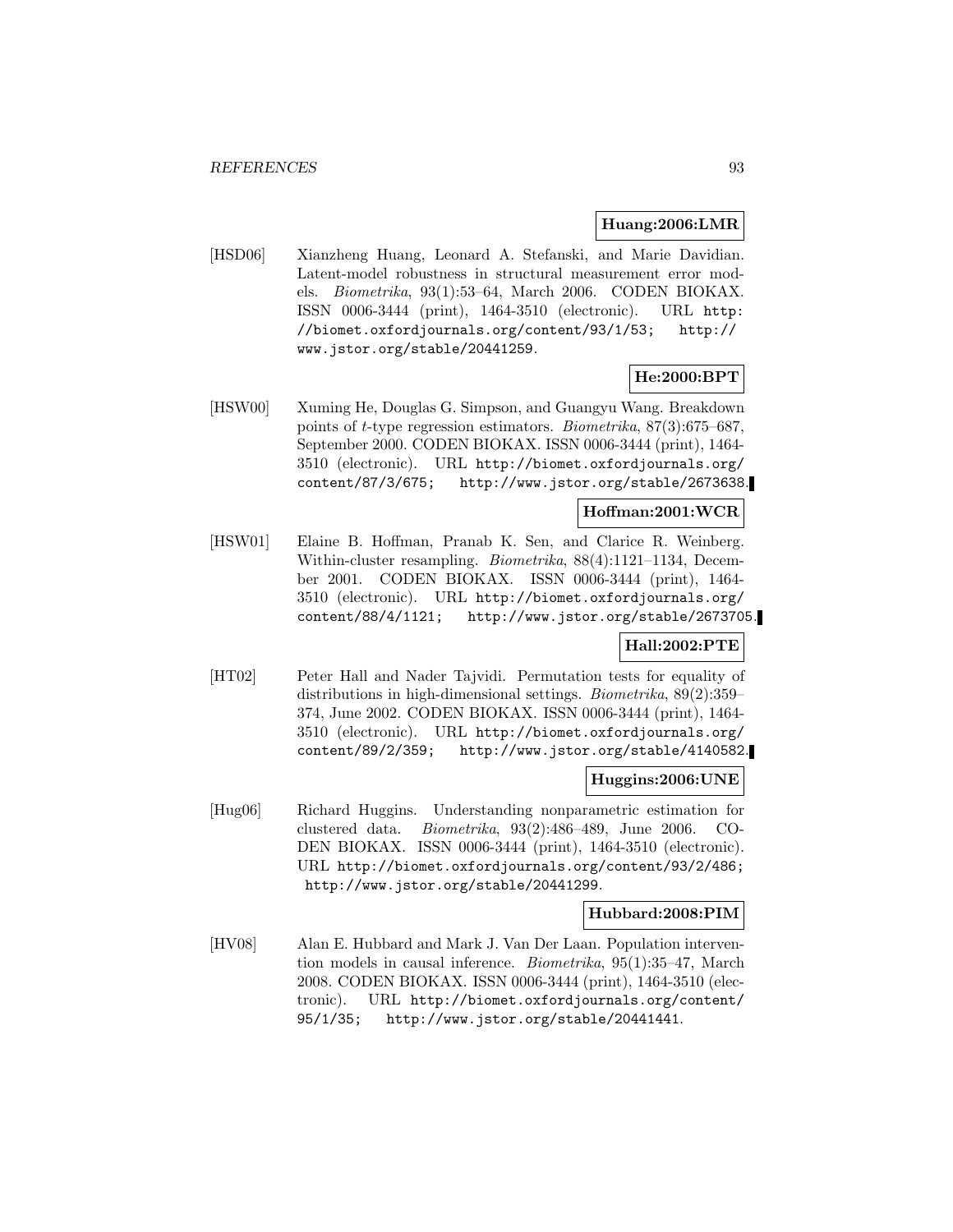#### **Huang:2006:LMR**

[HSD06] Xianzheng Huang, Leonard A. Stefanski, and Marie Davidian. Latent-model robustness in structural measurement error models. Biometrika, 93(1):53–64, March 2006. CODEN BIOKAX. ISSN 0006-3444 (print), 1464-3510 (electronic). URL http: //biomet.oxfordjournals.org/content/93/1/53; http:// www.jstor.org/stable/20441259.

### **He:2000:BPT**

[HSW00] Xuming He, Douglas G. Simpson, and Guangyu Wang. Breakdown points of t-type regression estimators. Biometrika, 87(3):675–687, September 2000. CODEN BIOKAX. ISSN 0006-3444 (print), 1464- 3510 (electronic). URL http://biomet.oxfordjournals.org/ content/87/3/675; http://www.jstor.org/stable/2673638.

## **Hoffman:2001:WCR**

[HSW01] Elaine B. Hoffman, Pranab K. Sen, and Clarice R. Weinberg. Within-cluster resampling. Biometrika, 88(4):1121–1134, December 2001. CODEN BIOKAX. ISSN 0006-3444 (print), 1464- 3510 (electronic). URL http://biomet.oxfordjournals.org/ content/88/4/1121; http://www.jstor.org/stable/2673705.

### **Hall:2002:PTE**

[HT02] Peter Hall and Nader Tajvidi. Permutation tests for equality of distributions in high-dimensional settings. Biometrika, 89(2):359– 374, June 2002. CODEN BIOKAX. ISSN 0006-3444 (print), 1464- 3510 (electronic). URL http://biomet.oxfordjournals.org/ content/89/2/359; http://www.jstor.org/stable/4140582.

### **Huggins:2006:UNE**

[Hug06] Richard Huggins. Understanding nonparametric estimation for clustered data. Biometrika, 93(2):486–489, June 2006. CO-DEN BIOKAX. ISSN 0006-3444 (print), 1464-3510 (electronic). URL http://biomet.oxfordjournals.org/content/93/2/486; http://www.jstor.org/stable/20441299.

### **Hubbard:2008:PIM**

[HV08] Alan E. Hubbard and Mark J. Van Der Laan. Population intervention models in causal inference. Biometrika, 95(1):35–47, March 2008. CODEN BIOKAX. ISSN 0006-3444 (print), 1464-3510 (electronic). URL http://biomet.oxfordjournals.org/content/ 95/1/35; http://www.jstor.org/stable/20441441.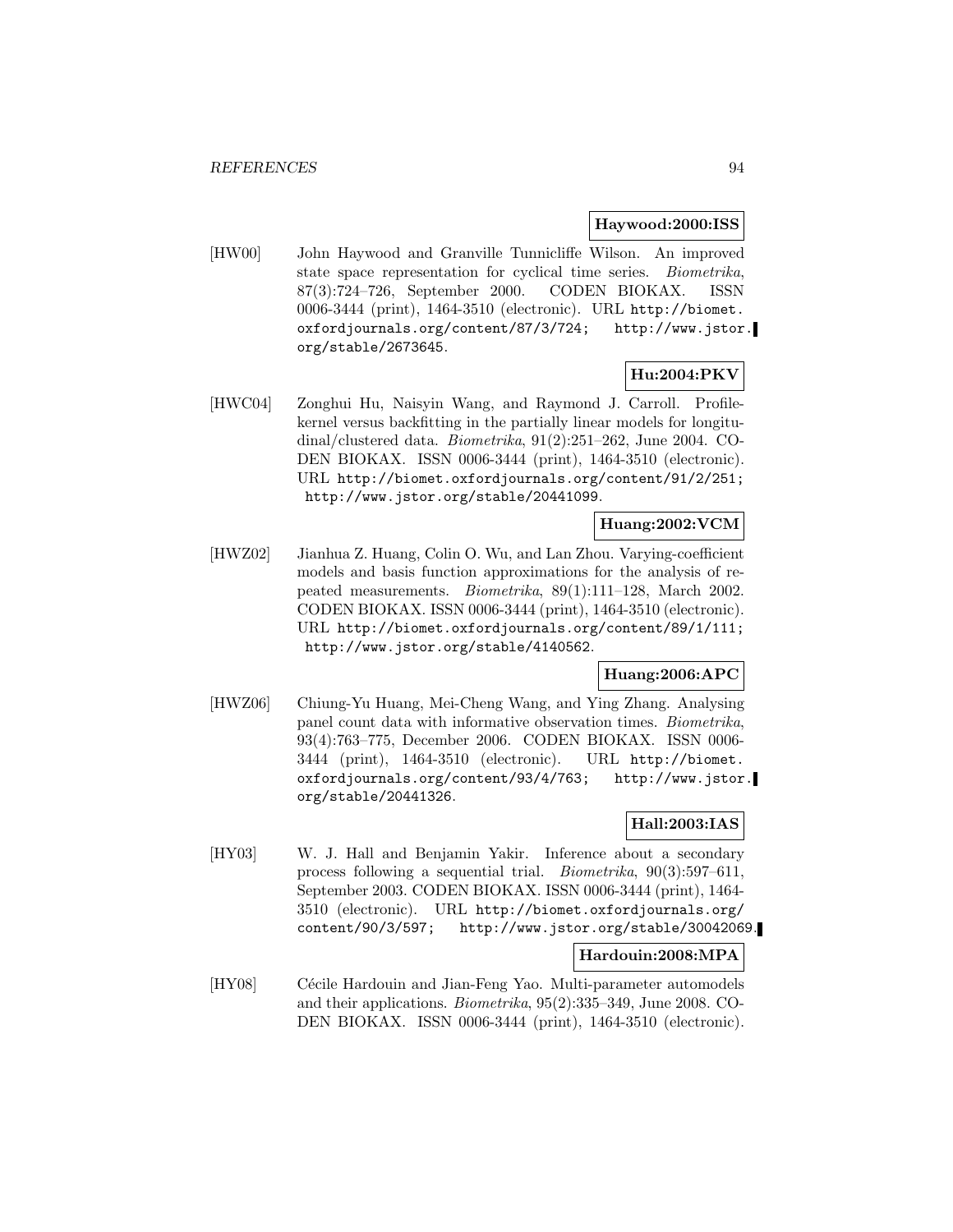#### **Haywood:2000:ISS**

[HW00] John Haywood and Granville Tunnicliffe Wilson. An improved state space representation for cyclical time series. Biometrika, 87(3):724–726, September 2000. CODEN BIOKAX. ISSN 0006-3444 (print), 1464-3510 (electronic). URL http://biomet. oxfordjournals.org/content/87/3/724; http://www.jstor. org/stable/2673645.

## **Hu:2004:PKV**

[HWC04] Zonghui Hu, Naisyin Wang, and Raymond J. Carroll. Profilekernel versus backfitting in the partially linear models for longitudinal/clustered data. Biometrika, 91(2):251–262, June 2004. CO-DEN BIOKAX. ISSN 0006-3444 (print), 1464-3510 (electronic). URL http://biomet.oxfordjournals.org/content/91/2/251; http://www.jstor.org/stable/20441099.

#### **Huang:2002:VCM**

[HWZ02] Jianhua Z. Huang, Colin O. Wu, and Lan Zhou. Varying-coefficient models and basis function approximations for the analysis of repeated measurements. Biometrika, 89(1):111–128, March 2002. CODEN BIOKAX. ISSN 0006-3444 (print), 1464-3510 (electronic). URL http://biomet.oxfordjournals.org/content/89/1/111; http://www.jstor.org/stable/4140562.

## **Huang:2006:APC**

[HWZ06] Chiung-Yu Huang, Mei-Cheng Wang, and Ying Zhang. Analysing panel count data with informative observation times. Biometrika, 93(4):763–775, December 2006. CODEN BIOKAX. ISSN 0006- 3444 (print), 1464-3510 (electronic). URL http://biomet. oxfordjournals.org/content/93/4/763; http://www.jstor. org/stable/20441326.

## **Hall:2003:IAS**

[HY03] W. J. Hall and Benjamin Yakir. Inference about a secondary process following a sequential trial. Biometrika, 90(3):597–611, September 2003. CODEN BIOKAX. ISSN 0006-3444 (print), 1464- 3510 (electronic). URL http://biomet.oxfordjournals.org/ content/90/3/597; http://www.jstor.org/stable/30042069.

### **Hardouin:2008:MPA**

[HY08] Cécile Hardouin and Jian-Feng Yao. Multi-parameter automodels and their applications. Biometrika, 95(2):335–349, June 2008. CO-DEN BIOKAX. ISSN 0006-3444 (print), 1464-3510 (electronic).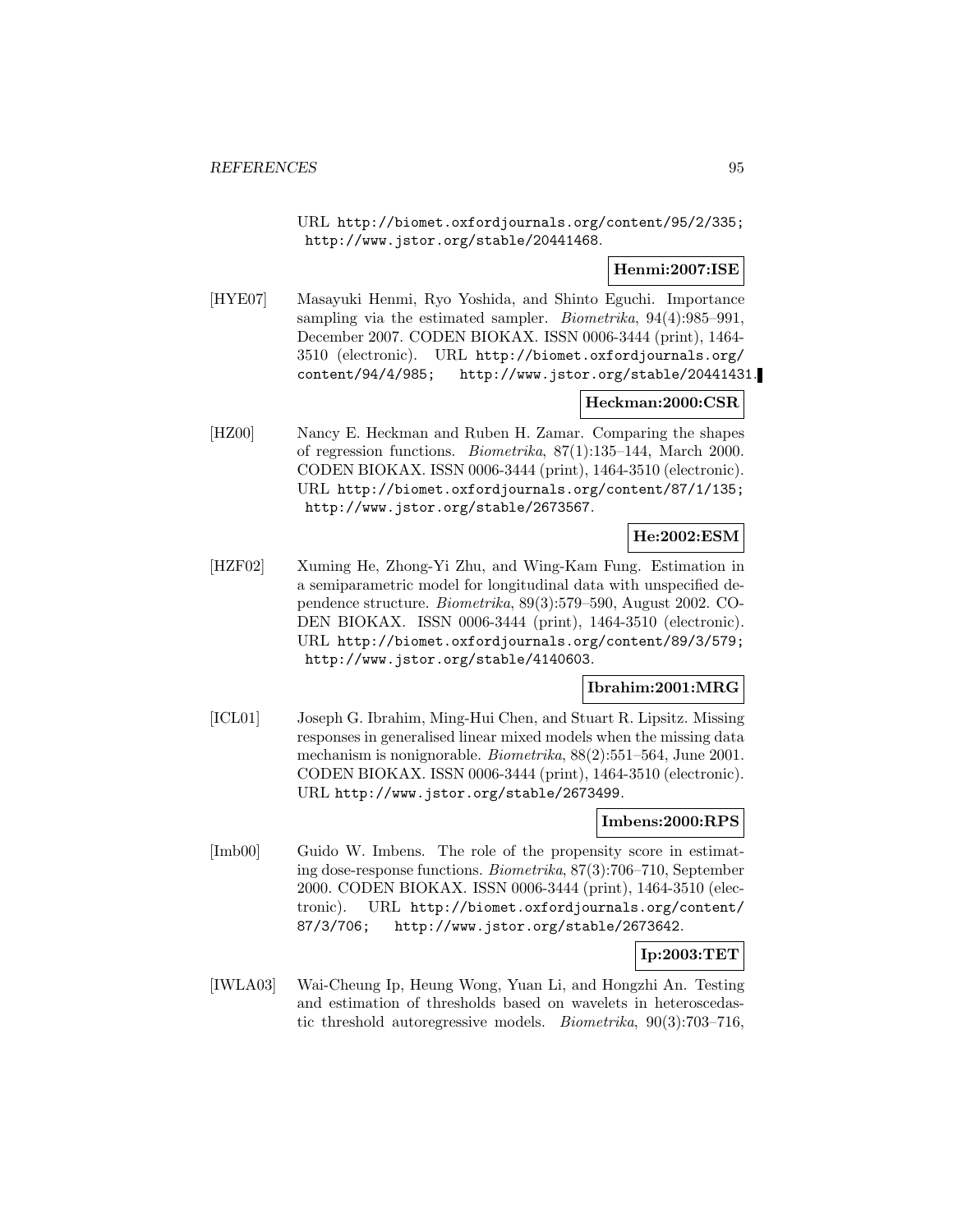URL http://biomet.oxfordjournals.org/content/95/2/335; http://www.jstor.org/stable/20441468.

## **Henmi:2007:ISE**

[HYE07] Masayuki Henmi, Ryo Yoshida, and Shinto Eguchi. Importance sampling via the estimated sampler. *Biometrika*, 94(4):985–991, December 2007. CODEN BIOKAX. ISSN 0006-3444 (print), 1464- 3510 (electronic). URL http://biomet.oxfordjournals.org/ content/94/4/985; http://www.jstor.org/stable/20441431.

## **Heckman:2000:CSR**

[HZ00] Nancy E. Heckman and Ruben H. Zamar. Comparing the shapes of regression functions. Biometrika, 87(1):135–144, March 2000. CODEN BIOKAX. ISSN 0006-3444 (print), 1464-3510 (electronic). URL http://biomet.oxfordjournals.org/content/87/1/135; http://www.jstor.org/stable/2673567.

## **He:2002:ESM**

[HZF02] Xuming He, Zhong-Yi Zhu, and Wing-Kam Fung. Estimation in a semiparametric model for longitudinal data with unspecified dependence structure. Biometrika, 89(3):579–590, August 2002. CO-DEN BIOKAX. ISSN 0006-3444 (print), 1464-3510 (electronic). URL http://biomet.oxfordjournals.org/content/89/3/579; http://www.jstor.org/stable/4140603.

### **Ibrahim:2001:MRG**

[ICL01] Joseph G. Ibrahim, Ming-Hui Chen, and Stuart R. Lipsitz. Missing responses in generalised linear mixed models when the missing data mechanism is nonignorable. Biometrika, 88(2):551–564, June 2001. CODEN BIOKAX. ISSN 0006-3444 (print), 1464-3510 (electronic). URL http://www.jstor.org/stable/2673499.

### **Imbens:2000:RPS**

[Imb00] Guido W. Imbens. The role of the propensity score in estimating dose-response functions. Biometrika, 87(3):706–710, September 2000. CODEN BIOKAX. ISSN 0006-3444 (print), 1464-3510 (electronic). URL http://biomet.oxfordjournals.org/content/ 87/3/706; http://www.jstor.org/stable/2673642.

## **Ip:2003:TET**

[IWLA03] Wai-Cheung Ip, Heung Wong, Yuan Li, and Hongzhi An. Testing and estimation of thresholds based on wavelets in heteroscedastic threshold autoregressive models. Biometrika, 90(3):703–716,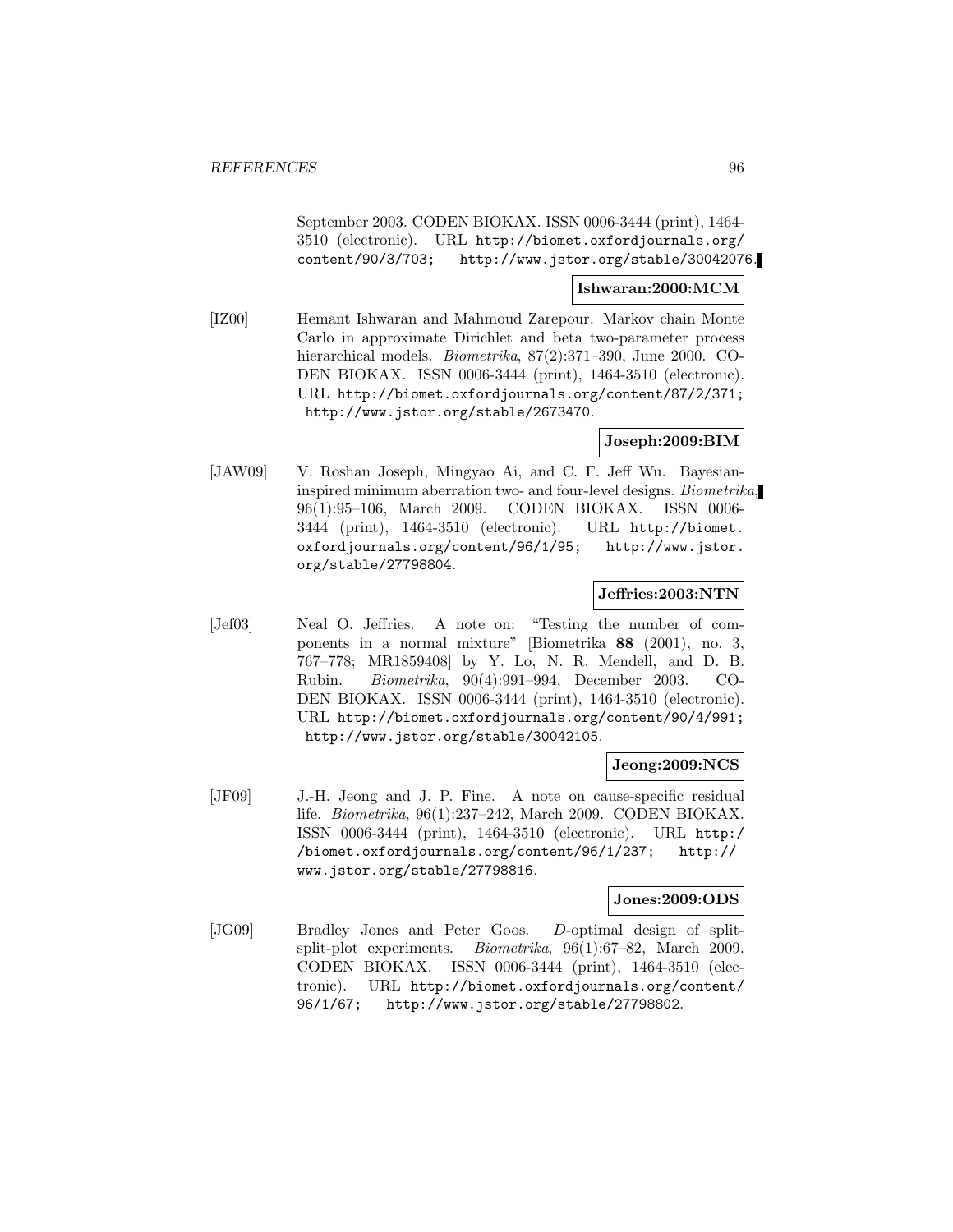September 2003. CODEN BIOKAX. ISSN 0006-3444 (print), 1464- 3510 (electronic). URL http://biomet.oxfordjournals.org/ content/90/3/703; http://www.jstor.org/stable/30042076.

### **Ishwaran:2000:MCM**

[IZ00] Hemant Ishwaran and Mahmoud Zarepour. Markov chain Monte Carlo in approximate Dirichlet and beta two-parameter process hierarchical models. *Biometrika*, 87(2):371–390, June 2000. CO-DEN BIOKAX. ISSN 0006-3444 (print), 1464-3510 (electronic). URL http://biomet.oxfordjournals.org/content/87/2/371; http://www.jstor.org/stable/2673470.

### **Joseph:2009:BIM**

[JAW09] V. Roshan Joseph, Mingyao Ai, and C. F. Jeff Wu. Bayesianinspired minimum aberration two- and four-level designs. Biometrika, 96(1):95–106, March 2009. CODEN BIOKAX. ISSN 0006- 3444 (print), 1464-3510 (electronic). URL http://biomet. oxfordjournals.org/content/96/1/95; http://www.jstor. org/stable/27798804.

### **Jeffries:2003:NTN**

[Jef03] Neal O. Jeffries. A note on: "Testing the number of components in a normal mixture" [Biometrika **88** (2001), no. 3, 767–778; MR1859408] by Y. Lo, N. R. Mendell, and D. B. Rubin. Biometrika, 90(4):991–994, December 2003. CO-DEN BIOKAX. ISSN 0006-3444 (print), 1464-3510 (electronic). URL http://biomet.oxfordjournals.org/content/90/4/991; http://www.jstor.org/stable/30042105.

### **Jeong:2009:NCS**

[JF09] J.-H. Jeong and J. P. Fine. A note on cause-specific residual life. Biometrika, 96(1):237–242, March 2009. CODEN BIOKAX. ISSN 0006-3444 (print), 1464-3510 (electronic). URL http:/ /biomet.oxfordjournals.org/content/96/1/237; http:// www.jstor.org/stable/27798816.

### **Jones:2009:ODS**

[JG09] Bradley Jones and Peter Goos. D-optimal design of splitsplit-plot experiments. Biometrika, 96(1):67–82, March 2009. CODEN BIOKAX. ISSN 0006-3444 (print), 1464-3510 (electronic). URL http://biomet.oxfordjournals.org/content/ 96/1/67; http://www.jstor.org/stable/27798802.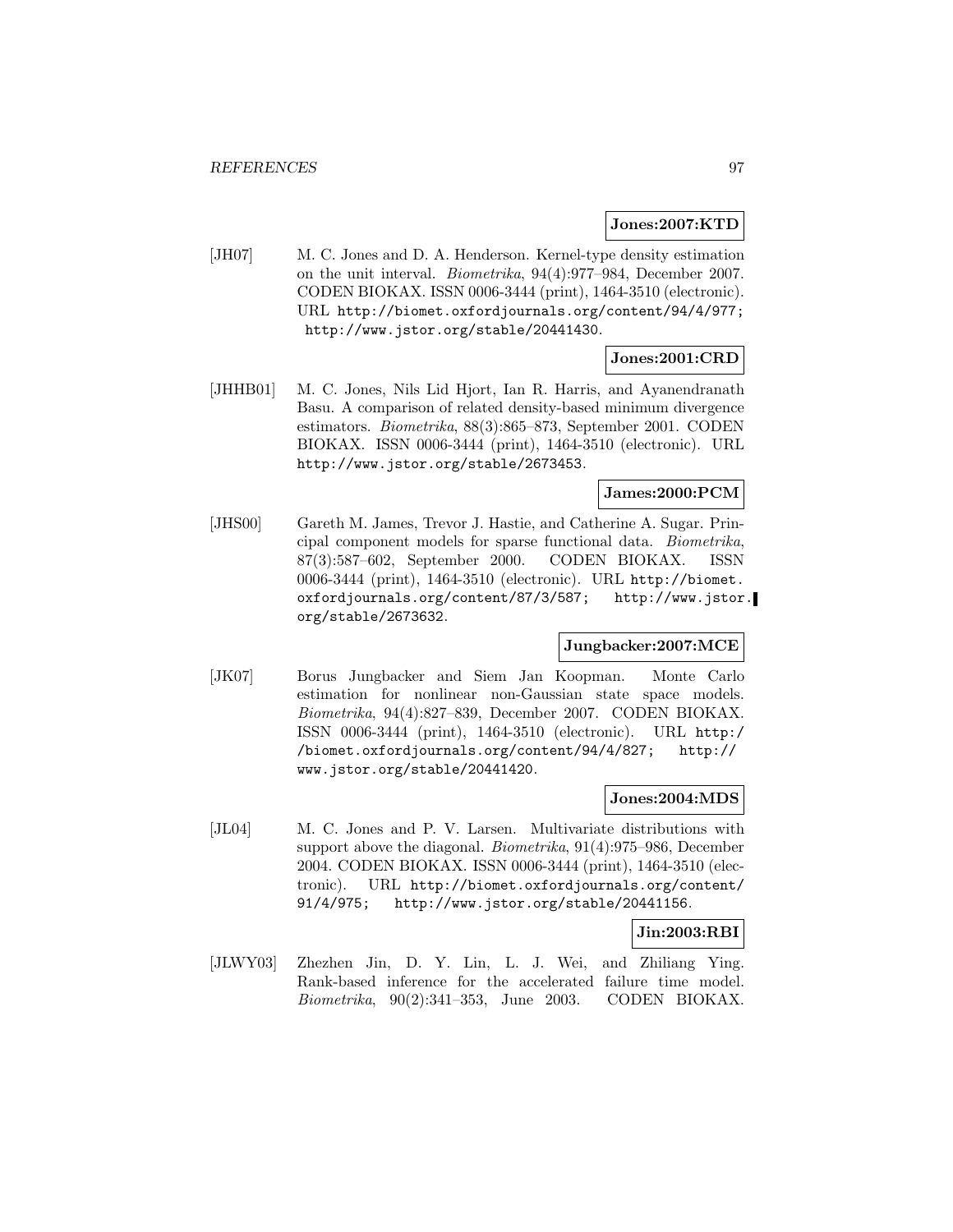#### **Jones:2007:KTD**

[JH07] M. C. Jones and D. A. Henderson. Kernel-type density estimation on the unit interval. Biometrika, 94(4):977–984, December 2007. CODEN BIOKAX. ISSN 0006-3444 (print), 1464-3510 (electronic). URL http://biomet.oxfordjournals.org/content/94/4/977; http://www.jstor.org/stable/20441430.

## **Jones:2001:CRD**

[JHHB01] M. C. Jones, Nils Lid Hjort, Ian R. Harris, and Ayanendranath Basu. A comparison of related density-based minimum divergence estimators. Biometrika, 88(3):865–873, September 2001. CODEN BIOKAX. ISSN 0006-3444 (print), 1464-3510 (electronic). URL http://www.jstor.org/stable/2673453.

## **James:2000:PCM**

[JHS00] Gareth M. James, Trevor J. Hastie, and Catherine A. Sugar. Principal component models for sparse functional data. Biometrika, 87(3):587–602, September 2000. CODEN BIOKAX. ISSN 0006-3444 (print), 1464-3510 (electronic). URL http://biomet. oxfordjournals.org/content/87/3/587; http://www.jstor. org/stable/2673632.

### **Jungbacker:2007:MCE**

[JK07] Borus Jungbacker and Siem Jan Koopman. Monte Carlo estimation for nonlinear non-Gaussian state space models. Biometrika, 94(4):827–839, December 2007. CODEN BIOKAX. ISSN 0006-3444 (print), 1464-3510 (electronic). URL http:/ /biomet.oxfordjournals.org/content/94/4/827; http:// www.jstor.org/stable/20441420.

### **Jones:2004:MDS**

[JL04] M. C. Jones and P. V. Larsen. Multivariate distributions with support above the diagonal. Biometrika, 91(4):975–986, December 2004. CODEN BIOKAX. ISSN 0006-3444 (print), 1464-3510 (electronic). URL http://biomet.oxfordjournals.org/content/ 91/4/975; http://www.jstor.org/stable/20441156.

### **Jin:2003:RBI**

[JLWY03] Zhezhen Jin, D. Y. Lin, L. J. Wei, and Zhiliang Ying. Rank-based inference for the accelerated failure time model. Biometrika, 90(2):341–353, June 2003. CODEN BIOKAX.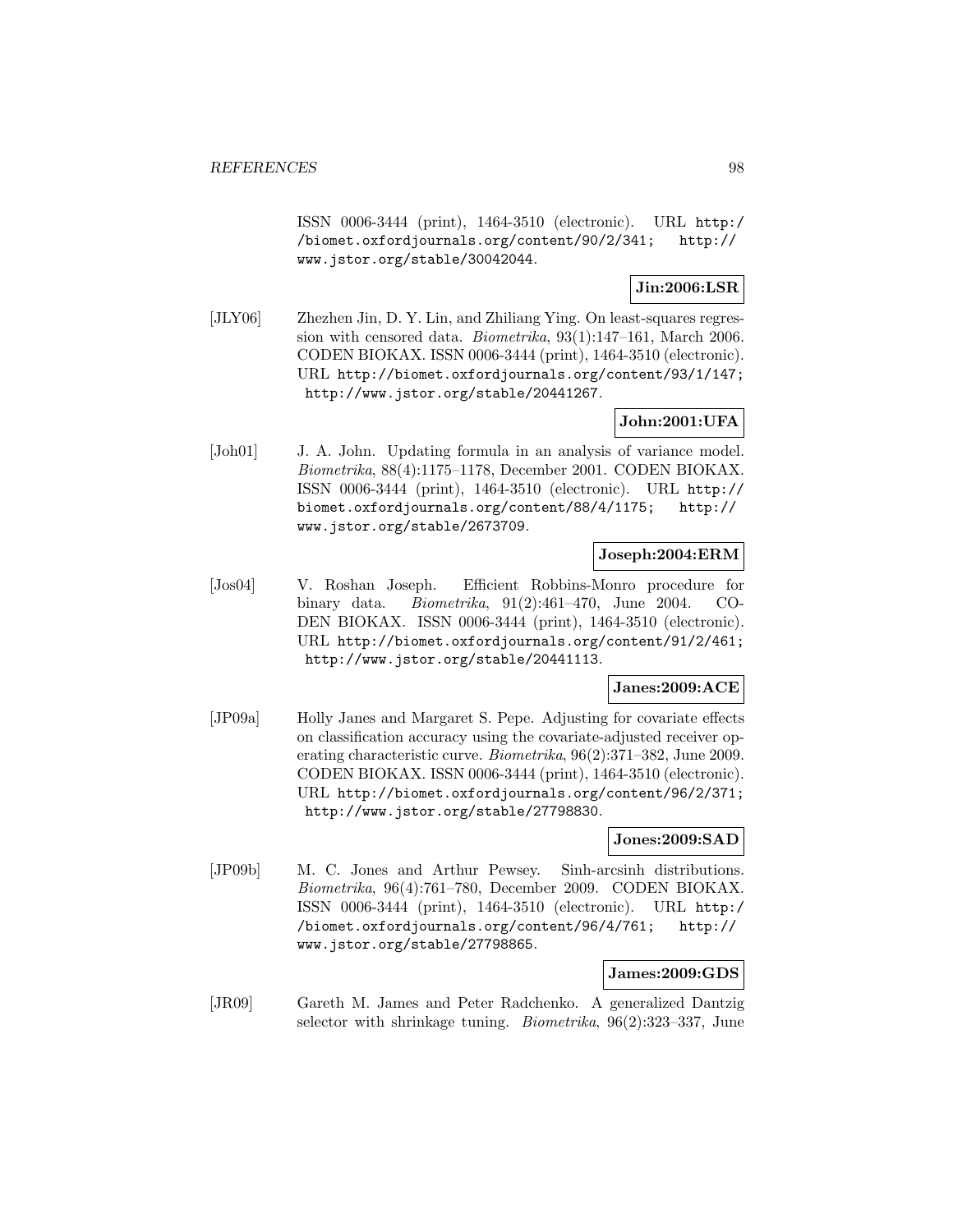ISSN 0006-3444 (print), 1464-3510 (electronic). URL http:/ /biomet.oxfordjournals.org/content/90/2/341; http:// www.jstor.org/stable/30042044.

## **Jin:2006:LSR**

[JLY06] Zhezhen Jin, D. Y. Lin, and Zhiliang Ying. On least-squares regression with censored data. Biometrika, 93(1):147–161, March 2006. CODEN BIOKAX. ISSN 0006-3444 (print), 1464-3510 (electronic). URL http://biomet.oxfordjournals.org/content/93/1/147; http://www.jstor.org/stable/20441267.

## **John:2001:UFA**

[Joh01] J. A. John. Updating formula in an analysis of variance model. Biometrika, 88(4):1175–1178, December 2001. CODEN BIOKAX. ISSN 0006-3444 (print), 1464-3510 (electronic). URL http:// biomet.oxfordjournals.org/content/88/4/1175; http:// www.jstor.org/stable/2673709.

## **Joseph:2004:ERM**

[Jos04] V. Roshan Joseph. Efficient Robbins-Monro procedure for binary data. Biometrika, 91(2):461–470, June 2004. CO-DEN BIOKAX. ISSN 0006-3444 (print), 1464-3510 (electronic). URL http://biomet.oxfordjournals.org/content/91/2/461; http://www.jstor.org/stable/20441113.

### **Janes:2009:ACE**

[JP09a] Holly Janes and Margaret S. Pepe. Adjusting for covariate effects on classification accuracy using the covariate-adjusted receiver operating characteristic curve. Biometrika, 96(2):371–382, June 2009. CODEN BIOKAX. ISSN 0006-3444 (print), 1464-3510 (electronic). URL http://biomet.oxfordjournals.org/content/96/2/371; http://www.jstor.org/stable/27798830.

### **Jones:2009:SAD**

[JP09b] M. C. Jones and Arthur Pewsey. Sinh-arcsinh distributions. Biometrika, 96(4):761–780, December 2009. CODEN BIOKAX. ISSN 0006-3444 (print), 1464-3510 (electronic). URL http:/ /biomet.oxfordjournals.org/content/96/4/761; http:// www.jstor.org/stable/27798865.

## **James:2009:GDS**

[JR09] Gareth M. James and Peter Radchenko. A generalized Dantzig selector with shrinkage tuning. Biometrika, 96(2):323–337, June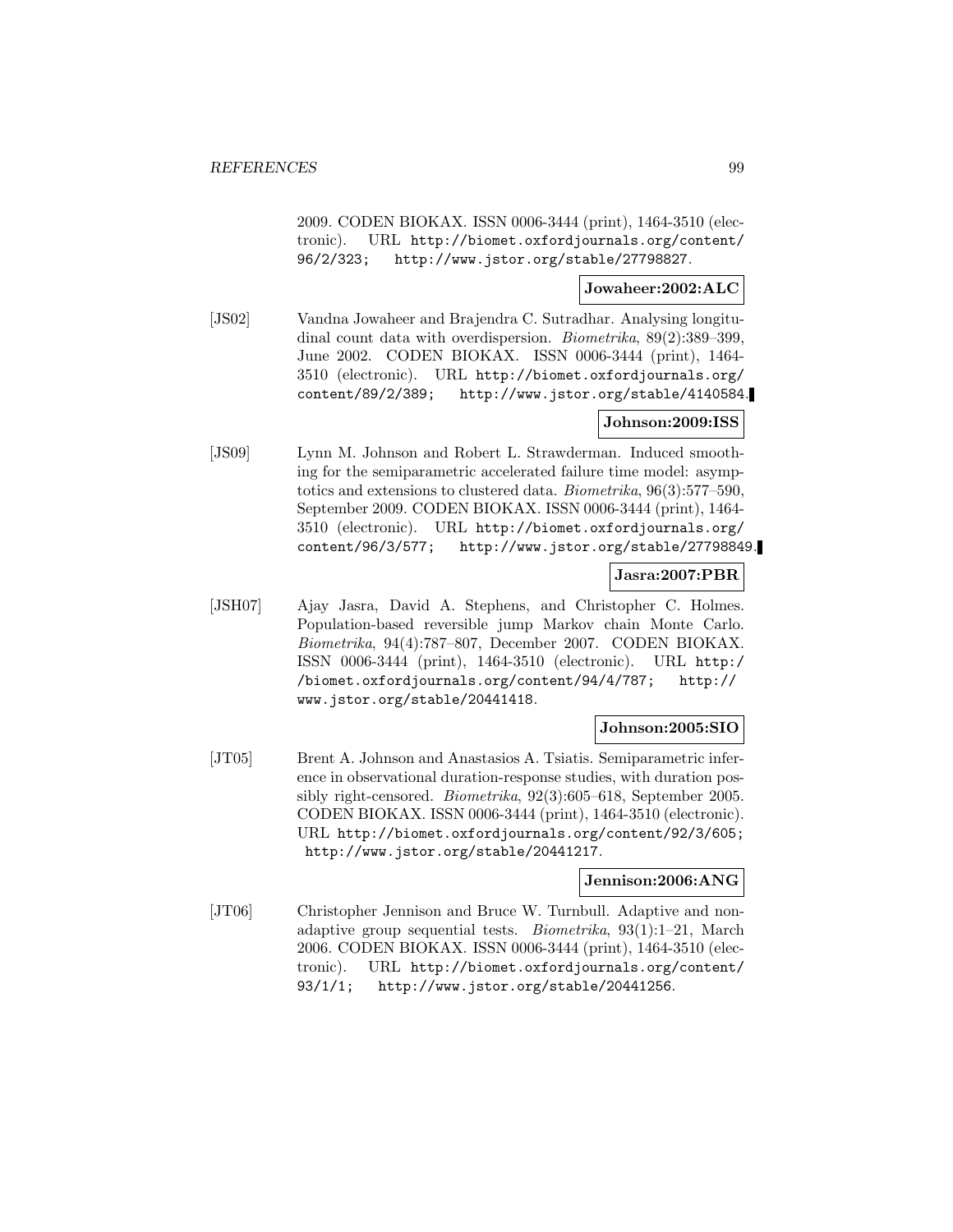2009. CODEN BIOKAX. ISSN 0006-3444 (print), 1464-3510 (electronic). URL http://biomet.oxfordjournals.org/content/ 96/2/323; http://www.jstor.org/stable/27798827.

### **Jowaheer:2002:ALC**

[JS02] Vandna Jowaheer and Brajendra C. Sutradhar. Analysing longitudinal count data with overdispersion. Biometrika, 89(2):389–399, June 2002. CODEN BIOKAX. ISSN 0006-3444 (print), 1464- 3510 (electronic). URL http://biomet.oxfordjournals.org/ content/89/2/389; http://www.jstor.org/stable/4140584.

### **Johnson:2009:ISS**

[JS09] Lynn M. Johnson and Robert L. Strawderman. Induced smoothing for the semiparametric accelerated failure time model: asymptotics and extensions to clustered data. Biometrika, 96(3):577–590, September 2009. CODEN BIOKAX. ISSN 0006-3444 (print), 1464- 3510 (electronic). URL http://biomet.oxfordjournals.org/ content/96/3/577; http://www.jstor.org/stable/27798849.

### **Jasra:2007:PBR**

[JSH07] Ajay Jasra, David A. Stephens, and Christopher C. Holmes. Population-based reversible jump Markov chain Monte Carlo. Biometrika, 94(4):787–807, December 2007. CODEN BIOKAX. ISSN 0006-3444 (print), 1464-3510 (electronic). URL http:/ /biomet.oxfordjournals.org/content/94/4/787; http:// www.jstor.org/stable/20441418.

### **Johnson:2005:SIO**

[JT05] Brent A. Johnson and Anastasios A. Tsiatis. Semiparametric inference in observational duration-response studies, with duration possibly right-censored. Biometrika, 92(3):605–618, September 2005. CODEN BIOKAX. ISSN 0006-3444 (print), 1464-3510 (electronic). URL http://biomet.oxfordjournals.org/content/92/3/605; http://www.jstor.org/stable/20441217.

#### **Jennison:2006:ANG**

[JT06] Christopher Jennison and Bruce W. Turnbull. Adaptive and nonadaptive group sequential tests. Biometrika, 93(1):1–21, March 2006. CODEN BIOKAX. ISSN 0006-3444 (print), 1464-3510 (electronic). URL http://biomet.oxfordjournals.org/content/ 93/1/1; http://www.jstor.org/stable/20441256.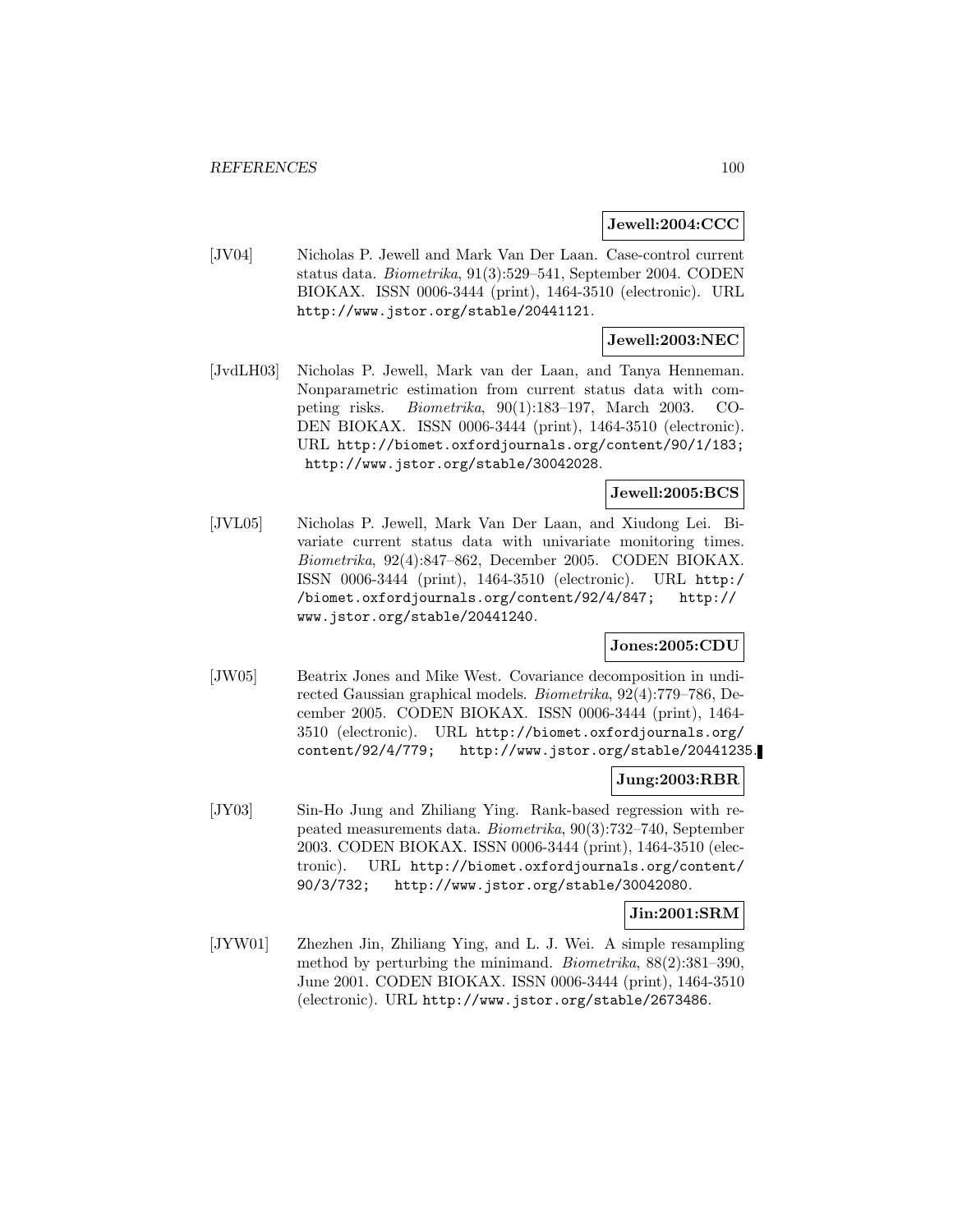#### **Jewell:2004:CCC**

[JV04] Nicholas P. Jewell and Mark Van Der Laan. Case-control current status data. Biometrika, 91(3):529–541, September 2004. CODEN BIOKAX. ISSN 0006-3444 (print), 1464-3510 (electronic). URL http://www.jstor.org/stable/20441121.

### **Jewell:2003:NEC**

[JvdLH03] Nicholas P. Jewell, Mark van der Laan, and Tanya Henneman. Nonparametric estimation from current status data with competing risks. Biometrika, 90(1):183–197, March 2003. CO-DEN BIOKAX. ISSN 0006-3444 (print), 1464-3510 (electronic). URL http://biomet.oxfordjournals.org/content/90/1/183; http://www.jstor.org/stable/30042028.

## **Jewell:2005:BCS**

[JVL05] Nicholas P. Jewell, Mark Van Der Laan, and Xiudong Lei. Bivariate current status data with univariate monitoring times. Biometrika, 92(4):847–862, December 2005. CODEN BIOKAX. ISSN 0006-3444 (print), 1464-3510 (electronic). URL http:/ /biomet.oxfordjournals.org/content/92/4/847; http:// www.jstor.org/stable/20441240.

### **Jones:2005:CDU**

[JW05] Beatrix Jones and Mike West. Covariance decomposition in undirected Gaussian graphical models. Biometrika, 92(4):779–786, December 2005. CODEN BIOKAX. ISSN 0006-3444 (print), 1464- 3510 (electronic). URL http://biomet.oxfordjournals.org/ content/92/4/779; http://www.jstor.org/stable/20441235.

#### **Jung:2003:RBR**

[JY03] Sin-Ho Jung and Zhiliang Ying. Rank-based regression with repeated measurements data. Biometrika, 90(3):732–740, September 2003. CODEN BIOKAX. ISSN 0006-3444 (print), 1464-3510 (electronic). URL http://biomet.oxfordjournals.org/content/ 90/3/732; http://www.jstor.org/stable/30042080.

### **Jin:2001:SRM**

[JYW01] Zhezhen Jin, Zhiliang Ying, and L. J. Wei. A simple resampling method by perturbing the minimand. Biometrika, 88(2):381–390, June 2001. CODEN BIOKAX. ISSN 0006-3444 (print), 1464-3510 (electronic). URL http://www.jstor.org/stable/2673486.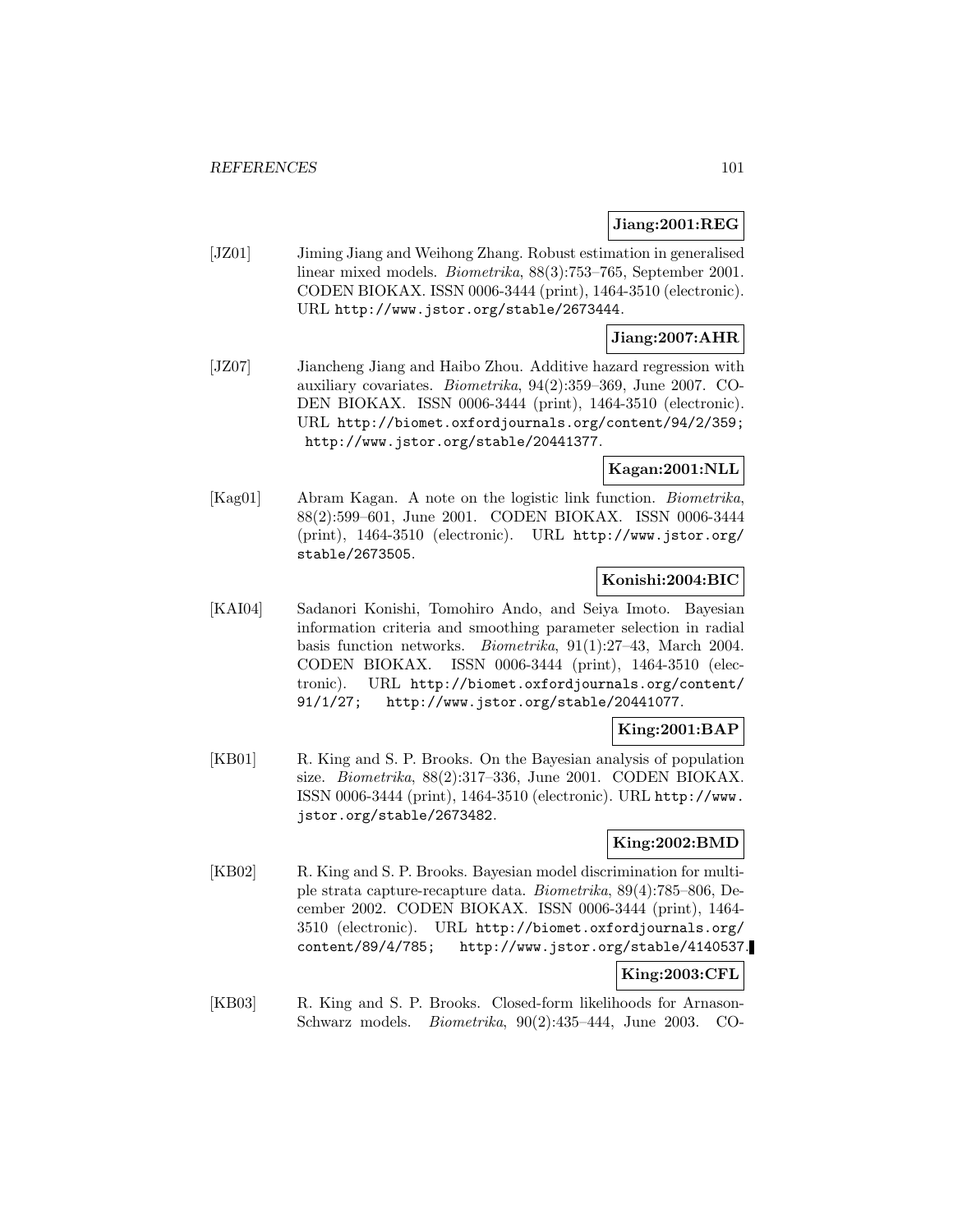### **Jiang:2001:REG**

[JZ01] Jiming Jiang and Weihong Zhang. Robust estimation in generalised linear mixed models. Biometrika, 88(3):753–765, September 2001. CODEN BIOKAX. ISSN 0006-3444 (print), 1464-3510 (electronic). URL http://www.jstor.org/stable/2673444.

### **Jiang:2007:AHR**

[JZ07] Jiancheng Jiang and Haibo Zhou. Additive hazard regression with auxiliary covariates. Biometrika, 94(2):359–369, June 2007. CO-DEN BIOKAX. ISSN 0006-3444 (print), 1464-3510 (electronic). URL http://biomet.oxfordjournals.org/content/94/2/359; http://www.jstor.org/stable/20441377.

## **Kagan:2001:NLL**

[Kag01] Abram Kagan. A note on the logistic link function. Biometrika, 88(2):599–601, June 2001. CODEN BIOKAX. ISSN 0006-3444 (print), 1464-3510 (electronic). URL http://www.jstor.org/ stable/2673505.

### **Konishi:2004:BIC**

[KAI04] Sadanori Konishi, Tomohiro Ando, and Seiya Imoto. Bayesian information criteria and smoothing parameter selection in radial basis function networks. Biometrika, 91(1):27–43, March 2004. CODEN BIOKAX. ISSN 0006-3444 (print), 1464-3510 (electronic). URL http://biomet.oxfordjournals.org/content/ 91/1/27; http://www.jstor.org/stable/20441077.

### **King:2001:BAP**

[KB01] R. King and S. P. Brooks. On the Bayesian analysis of population size. Biometrika, 88(2):317–336, June 2001. CODEN BIOKAX. ISSN 0006-3444 (print), 1464-3510 (electronic). URL http://www. jstor.org/stable/2673482.

## **King:2002:BMD**

[KB02] R. King and S. P. Brooks. Bayesian model discrimination for multiple strata capture-recapture data. Biometrika, 89(4):785–806, December 2002. CODEN BIOKAX. ISSN 0006-3444 (print), 1464- 3510 (electronic). URL http://biomet.oxfordjournals.org/ content/89/4/785; http://www.jstor.org/stable/4140537.

## **King:2003:CFL**

[KB03] R. King and S. P. Brooks. Closed-form likelihoods for Arnason-Schwarz models. Biometrika, 90(2):435–444, June 2003. CO-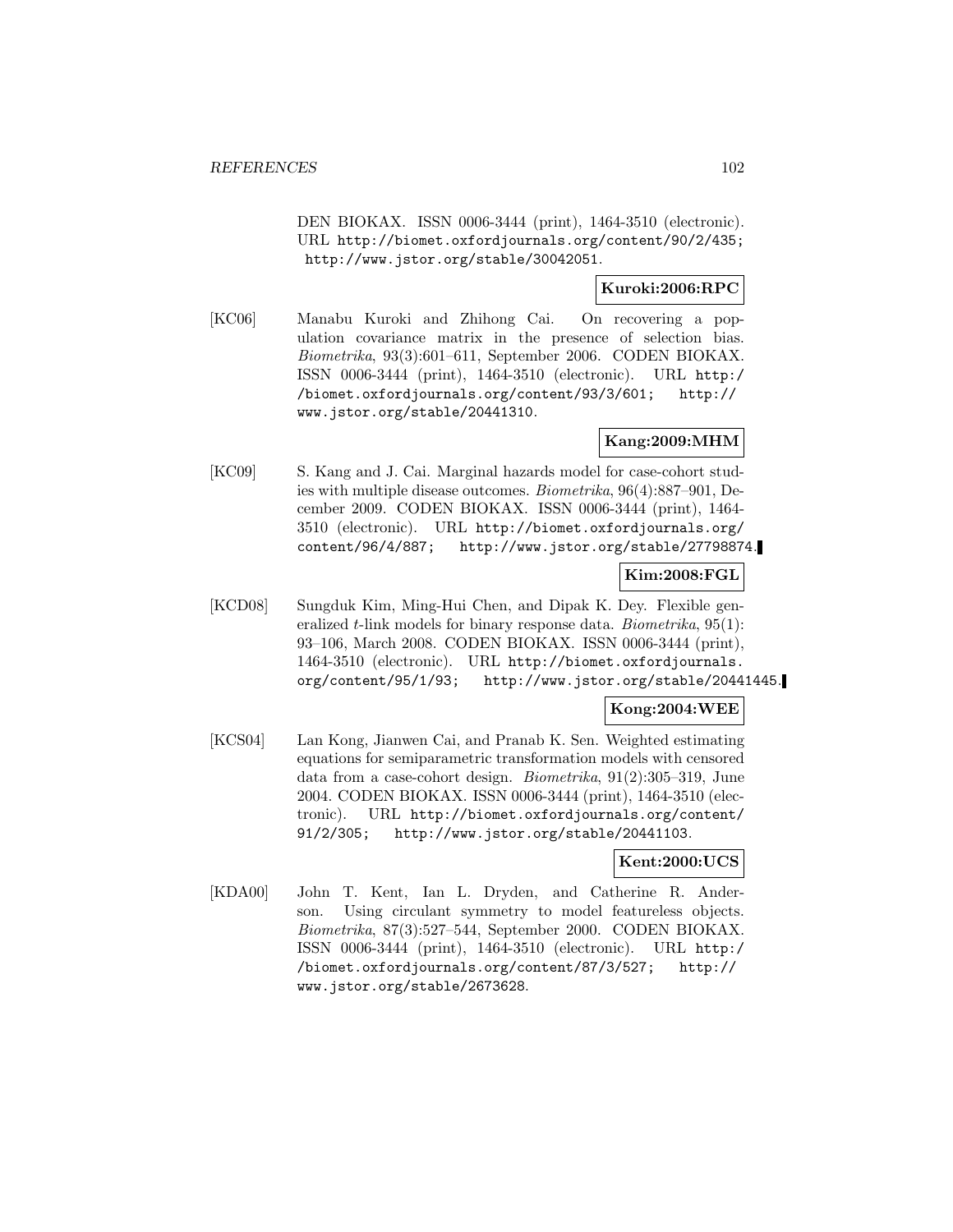DEN BIOKAX. ISSN 0006-3444 (print), 1464-3510 (electronic). URL http://biomet.oxfordjournals.org/content/90/2/435; http://www.jstor.org/stable/30042051.

### **Kuroki:2006:RPC**

[KC06] Manabu Kuroki and Zhihong Cai. On recovering a population covariance matrix in the presence of selection bias. Biometrika, 93(3):601–611, September 2006. CODEN BIOKAX. ISSN 0006-3444 (print), 1464-3510 (electronic). URL http:/ /biomet.oxfordjournals.org/content/93/3/601; http:// www.jstor.org/stable/20441310.

## **Kang:2009:MHM**

[KC09] S. Kang and J. Cai. Marginal hazards model for case-cohort studies with multiple disease outcomes. Biometrika, 96(4):887–901, December 2009. CODEN BIOKAX. ISSN 0006-3444 (print), 1464- 3510 (electronic). URL http://biomet.oxfordjournals.org/ content/96/4/887; http://www.jstor.org/stable/27798874.

### **Kim:2008:FGL**

[KCD08] Sungduk Kim, Ming-Hui Chen, and Dipak K. Dey. Flexible generalized t-link models for binary response data. Biometrika, 95(1): 93–106, March 2008. CODEN BIOKAX. ISSN 0006-3444 (print), 1464-3510 (electronic). URL http://biomet.oxfordjournals. org/content/95/1/93; http://www.jstor.org/stable/20441445.

## **Kong:2004:WEE**

[KCS04] Lan Kong, Jianwen Cai, and Pranab K. Sen. Weighted estimating equations for semiparametric transformation models with censored data from a case-cohort design. Biometrika, 91(2):305–319, June 2004. CODEN BIOKAX. ISSN 0006-3444 (print), 1464-3510 (electronic). URL http://biomet.oxfordjournals.org/content/ 91/2/305; http://www.jstor.org/stable/20441103.

### **Kent:2000:UCS**

[KDA00] John T. Kent, Ian L. Dryden, and Catherine R. Anderson. Using circulant symmetry to model featureless objects. Biometrika, 87(3):527–544, September 2000. CODEN BIOKAX. ISSN 0006-3444 (print), 1464-3510 (electronic). URL http:/ /biomet.oxfordjournals.org/content/87/3/527; http:// www.jstor.org/stable/2673628.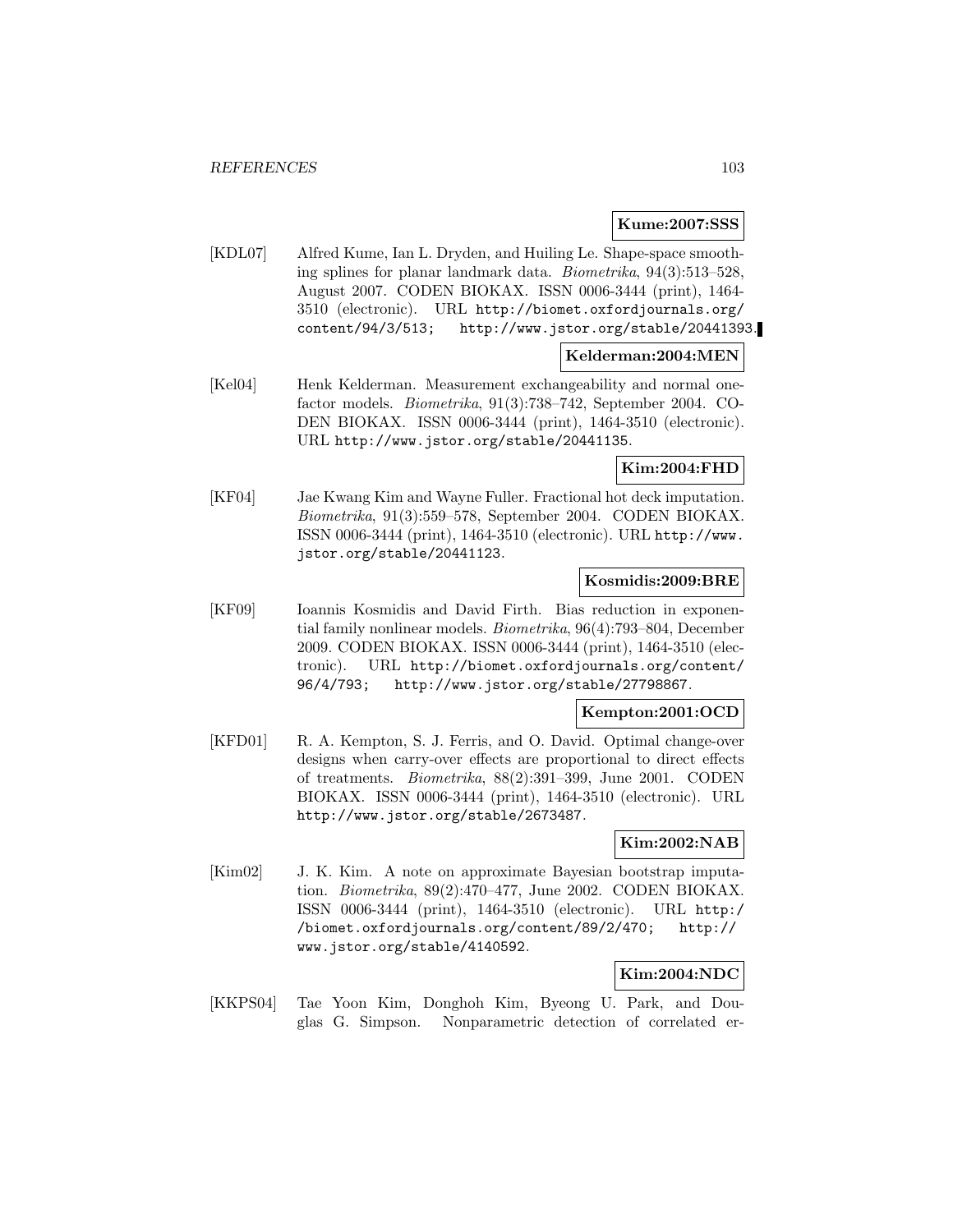#### **Kume:2007:SSS**

[KDL07] Alfred Kume, Ian L. Dryden, and Huiling Le. Shape-space smoothing splines for planar landmark data. Biometrika, 94(3):513–528, August 2007. CODEN BIOKAX. ISSN 0006-3444 (print), 1464- 3510 (electronic). URL http://biomet.oxfordjournals.org/ content/94/3/513; http://www.jstor.org/stable/20441393.

## **Kelderman:2004:MEN**

[Kel04] Henk Kelderman. Measurement exchangeability and normal onefactor models. Biometrika, 91(3):738–742, September 2004. CO-DEN BIOKAX. ISSN 0006-3444 (print), 1464-3510 (electronic). URL http://www.jstor.org/stable/20441135.

### **Kim:2004:FHD**

[KF04] Jae Kwang Kim and Wayne Fuller. Fractional hot deck imputation. Biometrika, 91(3):559–578, September 2004. CODEN BIOKAX. ISSN 0006-3444 (print), 1464-3510 (electronic). URL http://www. jstor.org/stable/20441123.

### **Kosmidis:2009:BRE**

[KF09] Ioannis Kosmidis and David Firth. Bias reduction in exponential family nonlinear models. Biometrika, 96(4):793–804, December 2009. CODEN BIOKAX. ISSN 0006-3444 (print), 1464-3510 (electronic). URL http://biomet.oxfordjournals.org/content/ 96/4/793; http://www.jstor.org/stable/27798867.

#### **Kempton:2001:OCD**

[KFD01] R. A. Kempton, S. J. Ferris, and O. David. Optimal change-over designs when carry-over effects are proportional to direct effects of treatments. Biometrika, 88(2):391–399, June 2001. CODEN BIOKAX. ISSN 0006-3444 (print), 1464-3510 (electronic). URL http://www.jstor.org/stable/2673487.

#### **Kim:2002:NAB**

[Kim02] J. K. Kim. A note on approximate Bayesian bootstrap imputation. Biometrika, 89(2):470–477, June 2002. CODEN BIOKAX. ISSN 0006-3444 (print), 1464-3510 (electronic). URL http:/ /biomet.oxfordjournals.org/content/89/2/470; http:// www.jstor.org/stable/4140592.

## **Kim:2004:NDC**

[KKPS04] Tae Yoon Kim, Donghoh Kim, Byeong U. Park, and Douglas G. Simpson. Nonparametric detection of correlated er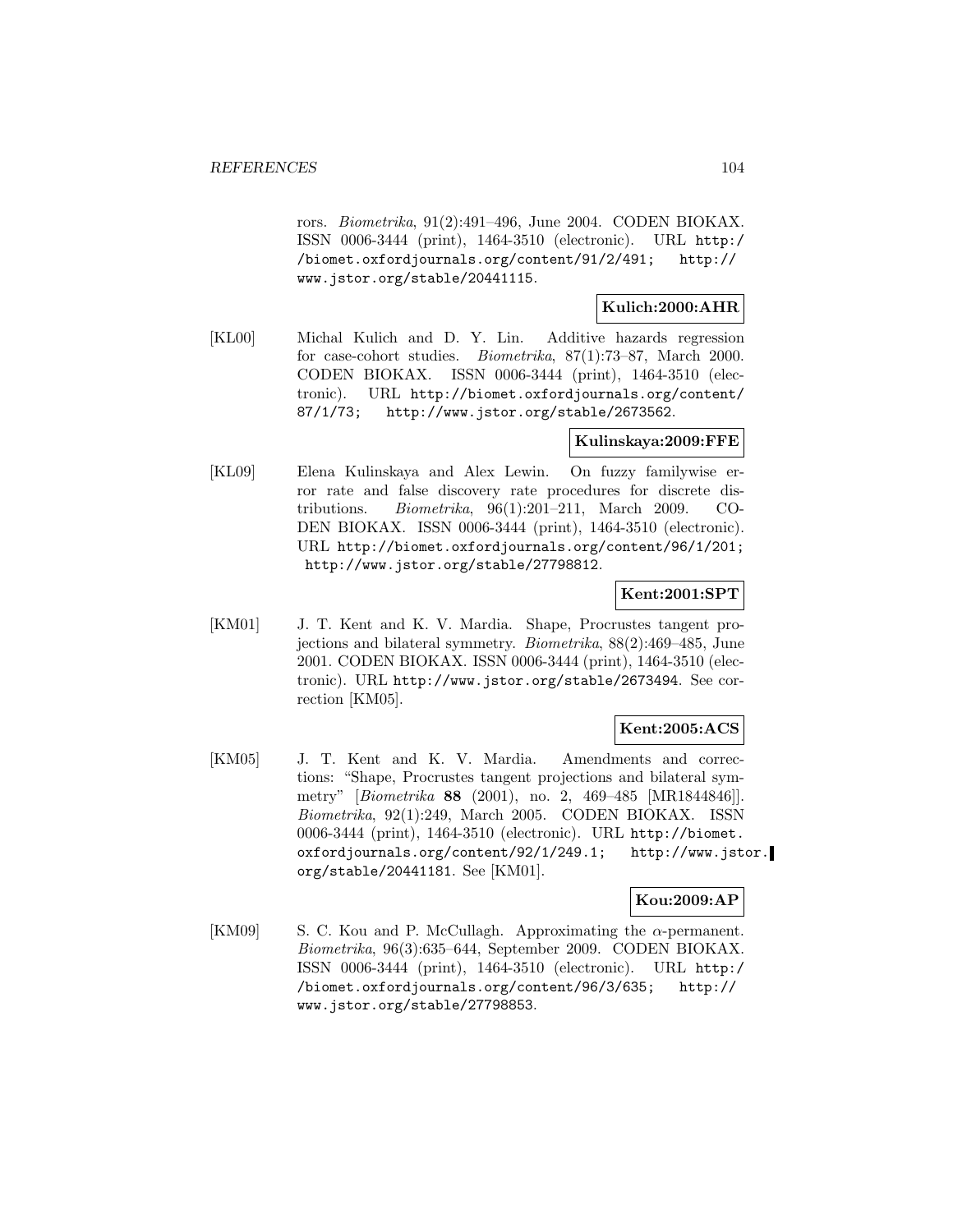rors. Biometrika, 91(2):491–496, June 2004. CODEN BIOKAX. ISSN 0006-3444 (print), 1464-3510 (electronic). URL http:/ /biomet.oxfordjournals.org/content/91/2/491; http:// www.jstor.org/stable/20441115.

**Kulich:2000:AHR**

[KL00] Michal Kulich and D. Y. Lin. Additive hazards regression for case-cohort studies. Biometrika, 87(1):73–87, March 2000. CODEN BIOKAX. ISSN 0006-3444 (print), 1464-3510 (electronic). URL http://biomet.oxfordjournals.org/content/ 87/1/73; http://www.jstor.org/stable/2673562.

### **Kulinskaya:2009:FFE**

[KL09] Elena Kulinskaya and Alex Lewin. On fuzzy familywise error rate and false discovery rate procedures for discrete distributions. Biometrika, 96(1):201–211, March 2009. CO-DEN BIOKAX. ISSN 0006-3444 (print), 1464-3510 (electronic). URL http://biomet.oxfordjournals.org/content/96/1/201; http://www.jstor.org/stable/27798812.

### **Kent:2001:SPT**

[KM01] J. T. Kent and K. V. Mardia. Shape, Procrustes tangent projections and bilateral symmetry. Biometrika, 88(2):469–485, June 2001. CODEN BIOKAX. ISSN 0006-3444 (print), 1464-3510 (electronic). URL http://www.jstor.org/stable/2673494. See correction [KM05].

### **Kent:2005:ACS**

[KM05] J. T. Kent and K. V. Mardia. Amendments and corrections: "Shape, Procrustes tangent projections and bilateral symmetry" [Biometrika **88** (2001), no. 2, 469–485 [MR1844846]]. Biometrika, 92(1):249, March 2005. CODEN BIOKAX. ISSN 0006-3444 (print), 1464-3510 (electronic). URL http://biomet. oxfordjournals.org/content/92/1/249.1; http://www.jstor. org/stable/20441181. See [KM01].

**Kou:2009:AP**

[KM09] S. C. Kou and P. McCullagh. Approximating the  $\alpha$ -permanent. Biometrika, 96(3):635–644, September 2009. CODEN BIOKAX. ISSN 0006-3444 (print), 1464-3510 (electronic). URL http:/ /biomet.oxfordjournals.org/content/96/3/635; http:// www.jstor.org/stable/27798853.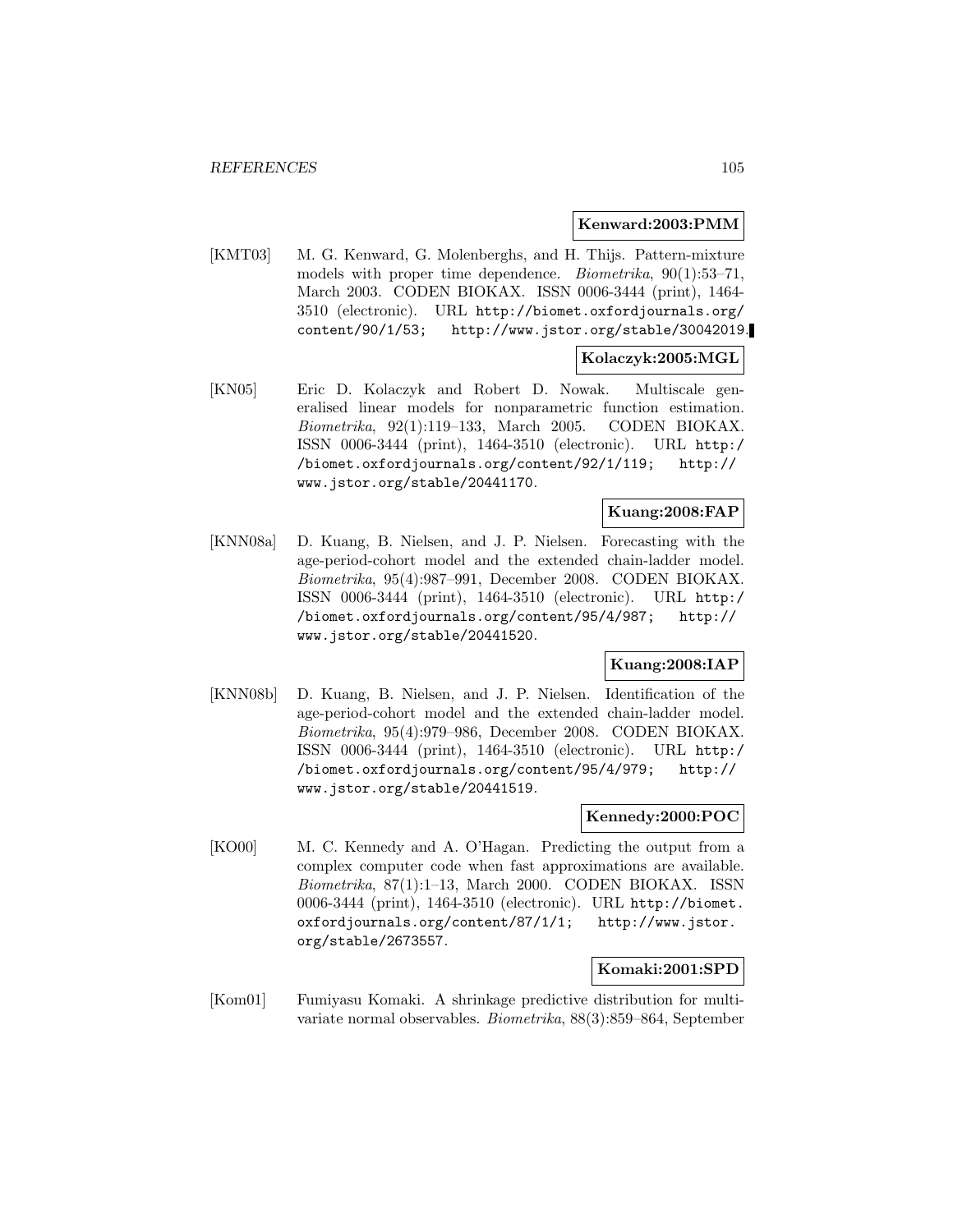#### **Kenward:2003:PMM**

[KMT03] M. G. Kenward, G. Molenberghs, and H. Thijs. Pattern-mixture models with proper time dependence. Biometrika, 90(1):53–71, March 2003. CODEN BIOKAX. ISSN 0006-3444 (print), 1464- 3510 (electronic). URL http://biomet.oxfordjournals.org/ content/90/1/53; http://www.jstor.org/stable/30042019.

## **Kolaczyk:2005:MGL**

[KN05] Eric D. Kolaczyk and Robert D. Nowak. Multiscale generalised linear models for nonparametric function estimation. Biometrika, 92(1):119–133, March 2005. CODEN BIOKAX. ISSN 0006-3444 (print), 1464-3510 (electronic). URL http:/ /biomet.oxfordjournals.org/content/92/1/119; http:// www.jstor.org/stable/20441170.

## **Kuang:2008:FAP**

[KNN08a] D. Kuang, B. Nielsen, and J. P. Nielsen. Forecasting with the age-period-cohort model and the extended chain-ladder model. Biometrika, 95(4):987–991, December 2008. CODEN BIOKAX. ISSN 0006-3444 (print), 1464-3510 (electronic). URL http:/ /biomet.oxfordjournals.org/content/95/4/987; http:// www.jstor.org/stable/20441520.

### **Kuang:2008:IAP**

[KNN08b] D. Kuang, B. Nielsen, and J. P. Nielsen. Identification of the age-period-cohort model and the extended chain-ladder model. Biometrika, 95(4):979–986, December 2008. CODEN BIOKAX. ISSN 0006-3444 (print), 1464-3510 (electronic). URL http:/ /biomet.oxfordjournals.org/content/95/4/979; http:// www.jstor.org/stable/20441519.

#### **Kennedy:2000:POC**

[KO00] M. C. Kennedy and A. O'Hagan. Predicting the output from a complex computer code when fast approximations are available. Biometrika, 87(1):1–13, March 2000. CODEN BIOKAX. ISSN 0006-3444 (print), 1464-3510 (electronic). URL http://biomet. oxfordjournals.org/content/87/1/1; http://www.jstor. org/stable/2673557.

#### **Komaki:2001:SPD**

[Kom01] Fumiyasu Komaki. A shrinkage predictive distribution for multivariate normal observables. Biometrika, 88(3):859–864, September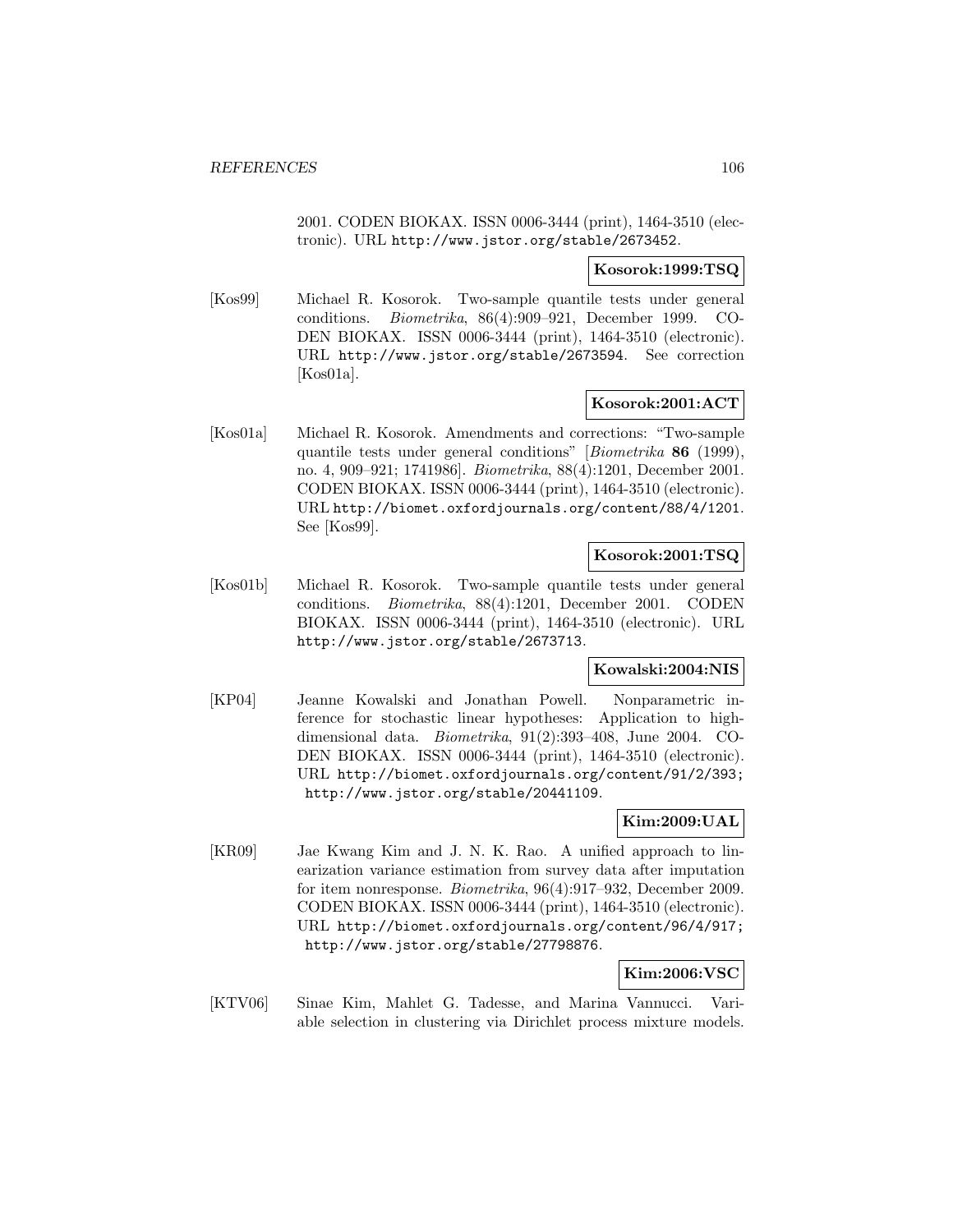2001. CODEN BIOKAX. ISSN 0006-3444 (print), 1464-3510 (electronic). URL http://www.jstor.org/stable/2673452.

### **Kosorok:1999:TSQ**

[Kos99] Michael R. Kosorok. Two-sample quantile tests under general conditions. Biometrika, 86(4):909–921, December 1999. CO-DEN BIOKAX. ISSN 0006-3444 (print), 1464-3510 (electronic). URL http://www.jstor.org/stable/2673594. See correction [Kos01a].

### **Kosorok:2001:ACT**

[Kos01a] Michael R. Kosorok. Amendments and corrections: "Two-sample quantile tests under general conditions" [Biometrika **86** (1999), no. 4, 909–921; 1741986]. Biometrika, 88(4):1201, December 2001. CODEN BIOKAX. ISSN 0006-3444 (print), 1464-3510 (electronic). URL http://biomet.oxfordjournals.org/content/88/4/1201. See [Kos99].

## **Kosorok:2001:TSQ**

[Kos01b] Michael R. Kosorok. Two-sample quantile tests under general conditions. Biometrika, 88(4):1201, December 2001. CODEN BIOKAX. ISSN 0006-3444 (print), 1464-3510 (electronic). URL http://www.jstor.org/stable/2673713.

### **Kowalski:2004:NIS**

[KP04] Jeanne Kowalski and Jonathan Powell. Nonparametric inference for stochastic linear hypotheses: Application to highdimensional data. Biometrika, 91(2):393–408, June 2004. CO-DEN BIOKAX. ISSN 0006-3444 (print), 1464-3510 (electronic). URL http://biomet.oxfordjournals.org/content/91/2/393; http://www.jstor.org/stable/20441109.

## **Kim:2009:UAL**

[KR09] Jae Kwang Kim and J. N. K. Rao. A unified approach to linearization variance estimation from survey data after imputation for item nonresponse. Biometrika, 96(4):917–932, December 2009. CODEN BIOKAX. ISSN 0006-3444 (print), 1464-3510 (electronic). URL http://biomet.oxfordjournals.org/content/96/4/917; http://www.jstor.org/stable/27798876.

## **Kim:2006:VSC**

[KTV06] Sinae Kim, Mahlet G. Tadesse, and Marina Vannucci. Variable selection in clustering via Dirichlet process mixture models.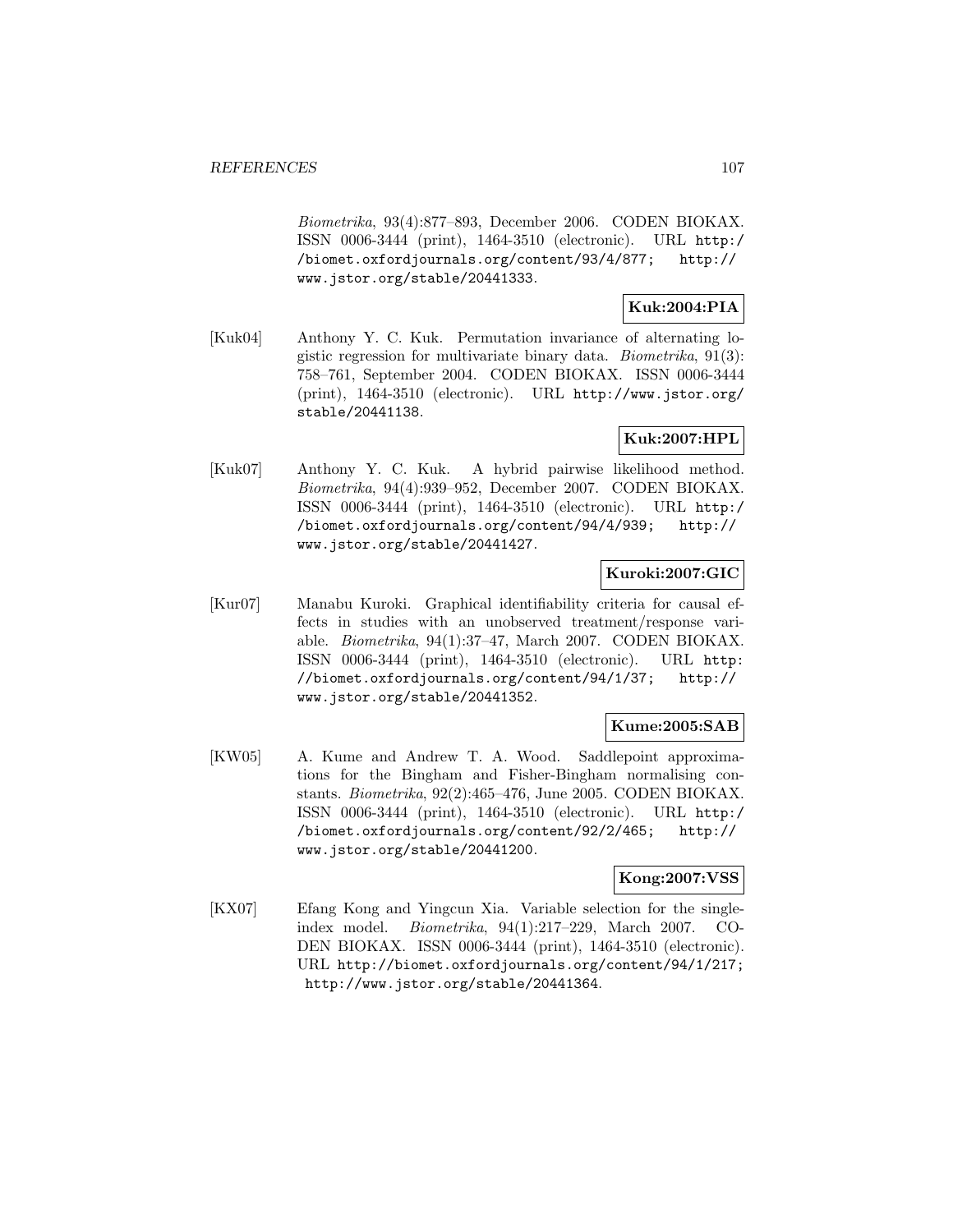Biometrika, 93(4):877–893, December 2006. CODEN BIOKAX. ISSN 0006-3444 (print), 1464-3510 (electronic). URL http:/ /biomet.oxfordjournals.org/content/93/4/877; http:// www.jstor.org/stable/20441333.

# **Kuk:2004:PIA**

[Kuk04] Anthony Y. C. Kuk. Permutation invariance of alternating logistic regression for multivariate binary data. Biometrika, 91(3): 758–761, September 2004. CODEN BIOKAX. ISSN 0006-3444 (print), 1464-3510 (electronic). URL http://www.jstor.org/ stable/20441138.

### **Kuk:2007:HPL**

[Kuk07] Anthony Y. C. Kuk. A hybrid pairwise likelihood method. Biometrika, 94(4):939–952, December 2007. CODEN BIOKAX. ISSN 0006-3444 (print), 1464-3510 (electronic). URL http:/ /biomet.oxfordjournals.org/content/94/4/939; http:// www.jstor.org/stable/20441427.

### **Kuroki:2007:GIC**

[Kur07] Manabu Kuroki. Graphical identifiability criteria for causal effects in studies with an unobserved treatment/response variable. Biometrika, 94(1):37–47, March 2007. CODEN BIOKAX. ISSN 0006-3444 (print), 1464-3510 (electronic). URL http: //biomet.oxfordjournals.org/content/94/1/37; http:// www.jstor.org/stable/20441352.

## **Kume:2005:SAB**

[KW05] A. Kume and Andrew T. A. Wood. Saddlepoint approximations for the Bingham and Fisher-Bingham normalising constants. Biometrika, 92(2):465–476, June 2005. CODEN BIOKAX. ISSN 0006-3444 (print), 1464-3510 (electronic). URL http:/ /biomet.oxfordjournals.org/content/92/2/465; http:// www.jstor.org/stable/20441200.

### **Kong:2007:VSS**

[KX07] Efang Kong and Yingcun Xia. Variable selection for the singleindex model. Biometrika, 94(1):217–229, March 2007. CO-DEN BIOKAX. ISSN 0006-3444 (print), 1464-3510 (electronic). URL http://biomet.oxfordjournals.org/content/94/1/217; http://www.jstor.org/stable/20441364.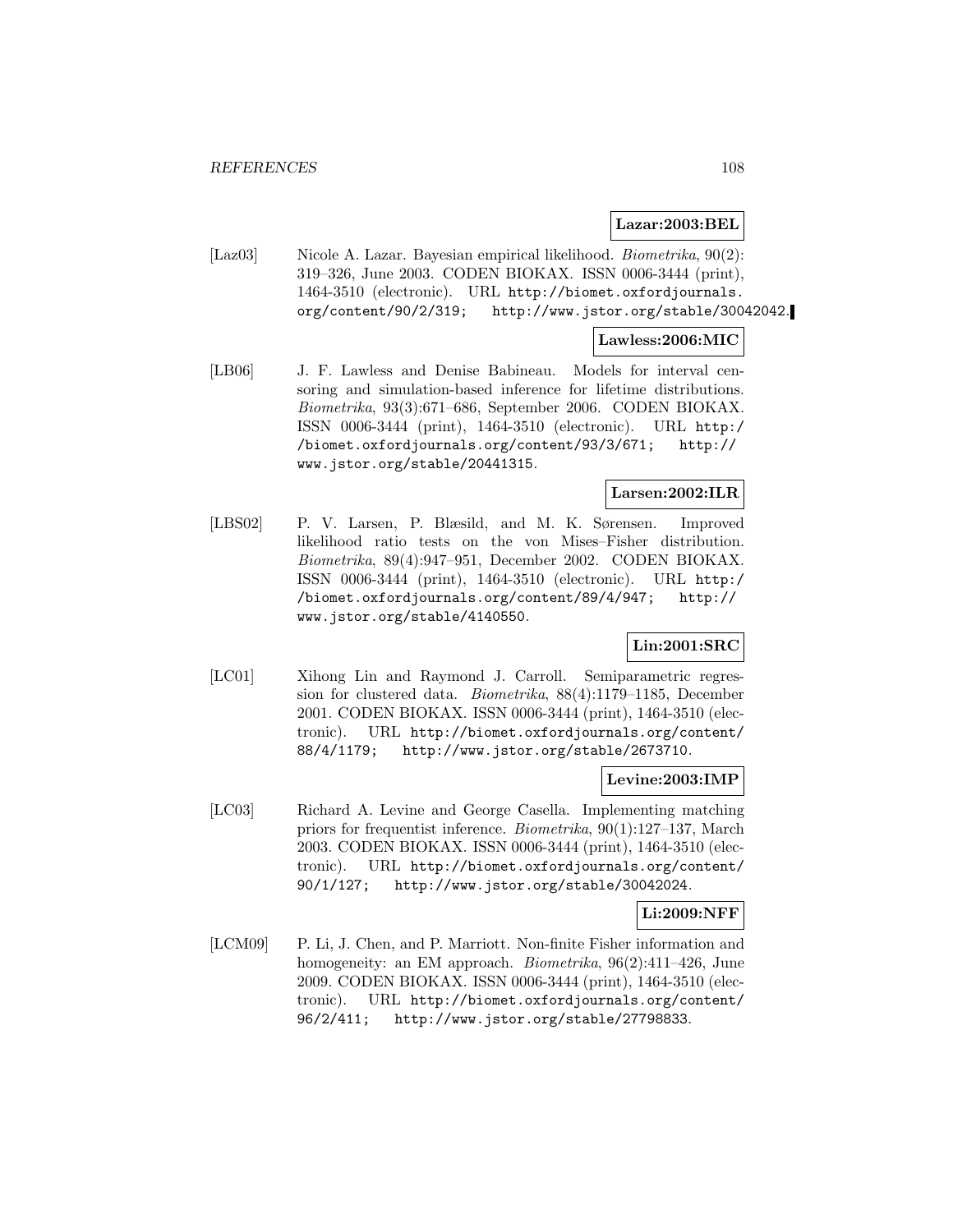#### **Lazar:2003:BEL**

[Laz03] Nicole A. Lazar. Bayesian empirical likelihood. Biometrika, 90(2): 319–326, June 2003. CODEN BIOKAX. ISSN 0006-3444 (print), 1464-3510 (electronic). URL http://biomet.oxfordjournals. org/content/90/2/319; http://www.jstor.org/stable/30042042.

#### **Lawless:2006:MIC**

[LB06] J. F. Lawless and Denise Babineau. Models for interval censoring and simulation-based inference for lifetime distributions. Biometrika, 93(3):671–686, September 2006. CODEN BIOKAX. ISSN 0006-3444 (print), 1464-3510 (electronic). URL http:/ /biomet.oxfordjournals.org/content/93/3/671; http:// www.jstor.org/stable/20441315.

### **Larsen:2002:ILR**

[LBS02] P. V. Larsen, P. Blæsild, and M. K. Sørensen. Improved likelihood ratio tests on the von Mises–Fisher distribution. Biometrika, 89(4):947–951, December 2002. CODEN BIOKAX. ISSN 0006-3444 (print), 1464-3510 (electronic). URL http:/ /biomet.oxfordjournals.org/content/89/4/947; http:// www.jstor.org/stable/4140550.

## **Lin:2001:SRC**

[LC01] Xihong Lin and Raymond J. Carroll. Semiparametric regression for clustered data. Biometrika, 88(4):1179–1185, December 2001. CODEN BIOKAX. ISSN 0006-3444 (print), 1464-3510 (electronic). URL http://biomet.oxfordjournals.org/content/ 88/4/1179; http://www.jstor.org/stable/2673710.

#### **Levine:2003:IMP**

[LC03] Richard A. Levine and George Casella. Implementing matching priors for frequentist inference. Biometrika, 90(1):127–137, March 2003. CODEN BIOKAX. ISSN 0006-3444 (print), 1464-3510 (electronic). URL http://biomet.oxfordjournals.org/content/ 90/1/127; http://www.jstor.org/stable/30042024.

#### **Li:2009:NFF**

[LCM09] P. Li, J. Chen, and P. Marriott. Non-finite Fisher information and homogeneity: an EM approach. *Biometrika*, 96(2):411-426, June 2009. CODEN BIOKAX. ISSN 0006-3444 (print), 1464-3510 (electronic). URL http://biomet.oxfordjournals.org/content/ 96/2/411; http://www.jstor.org/stable/27798833.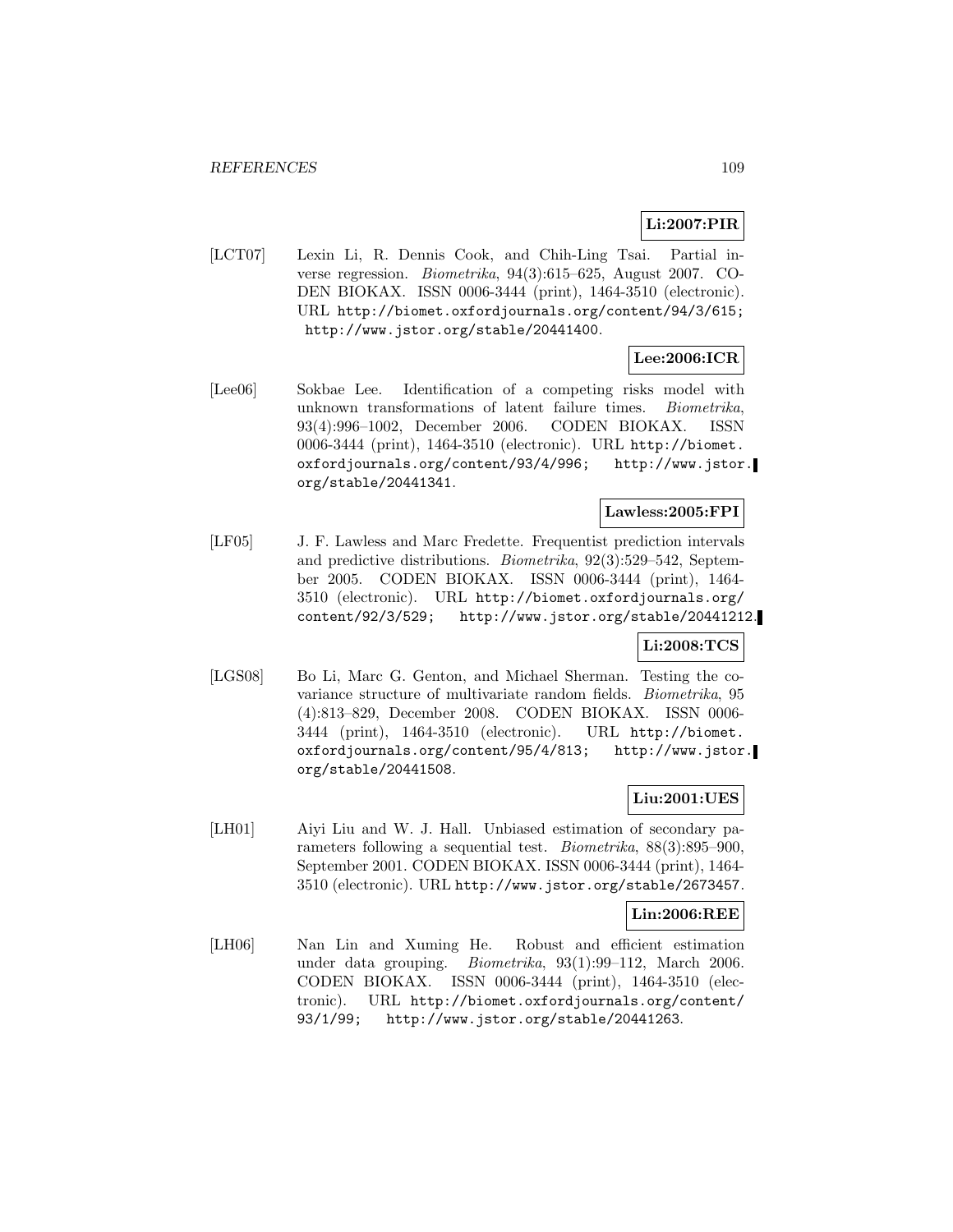## **Li:2007:PIR**

[LCT07] Lexin Li, R. Dennis Cook, and Chih-Ling Tsai. Partial inverse regression. Biometrika, 94(3):615–625, August 2007. CO-DEN BIOKAX. ISSN 0006-3444 (print), 1464-3510 (electronic). URL http://biomet.oxfordjournals.org/content/94/3/615; http://www.jstor.org/stable/20441400.

## **Lee:2006:ICR**

[Lee06] Sokbae Lee. Identification of a competing risks model with unknown transformations of latent failure times. Biometrika, 93(4):996–1002, December 2006. CODEN BIOKAX. ISSN 0006-3444 (print), 1464-3510 (electronic). URL http://biomet. oxfordjournals.org/content/93/4/996; http://www.jstor. org/stable/20441341.

## **Lawless:2005:FPI**

[LF05] J. F. Lawless and Marc Fredette. Frequentist prediction intervals and predictive distributions. Biometrika, 92(3):529–542, September 2005. CODEN BIOKAX. ISSN 0006-3444 (print), 1464- 3510 (electronic). URL http://biomet.oxfordjournals.org/ content/92/3/529; http://www.jstor.org/stable/20441212.

### **Li:2008:TCS**

[LGS08] Bo Li, Marc G. Genton, and Michael Sherman. Testing the covariance structure of multivariate random fields. Biometrika, 95 (4):813–829, December 2008. CODEN BIOKAX. ISSN 0006- 3444 (print), 1464-3510 (electronic). URL http://biomet. oxfordjournals.org/content/95/4/813; http://www.jstor. org/stable/20441508.

## **Liu:2001:UES**

[LH01] Aiyi Liu and W. J. Hall. Unbiased estimation of secondary parameters following a sequential test. *Biometrika*,  $88(3):895-900$ , September 2001. CODEN BIOKAX. ISSN 0006-3444 (print), 1464- 3510 (electronic). URL http://www.jstor.org/stable/2673457.

## **Lin:2006:REE**

[LH06] Nan Lin and Xuming He. Robust and efficient estimation under data grouping. Biometrika, 93(1):99–112, March 2006. CODEN BIOKAX. ISSN 0006-3444 (print), 1464-3510 (electronic). URL http://biomet.oxfordjournals.org/content/ 93/1/99; http://www.jstor.org/stable/20441263.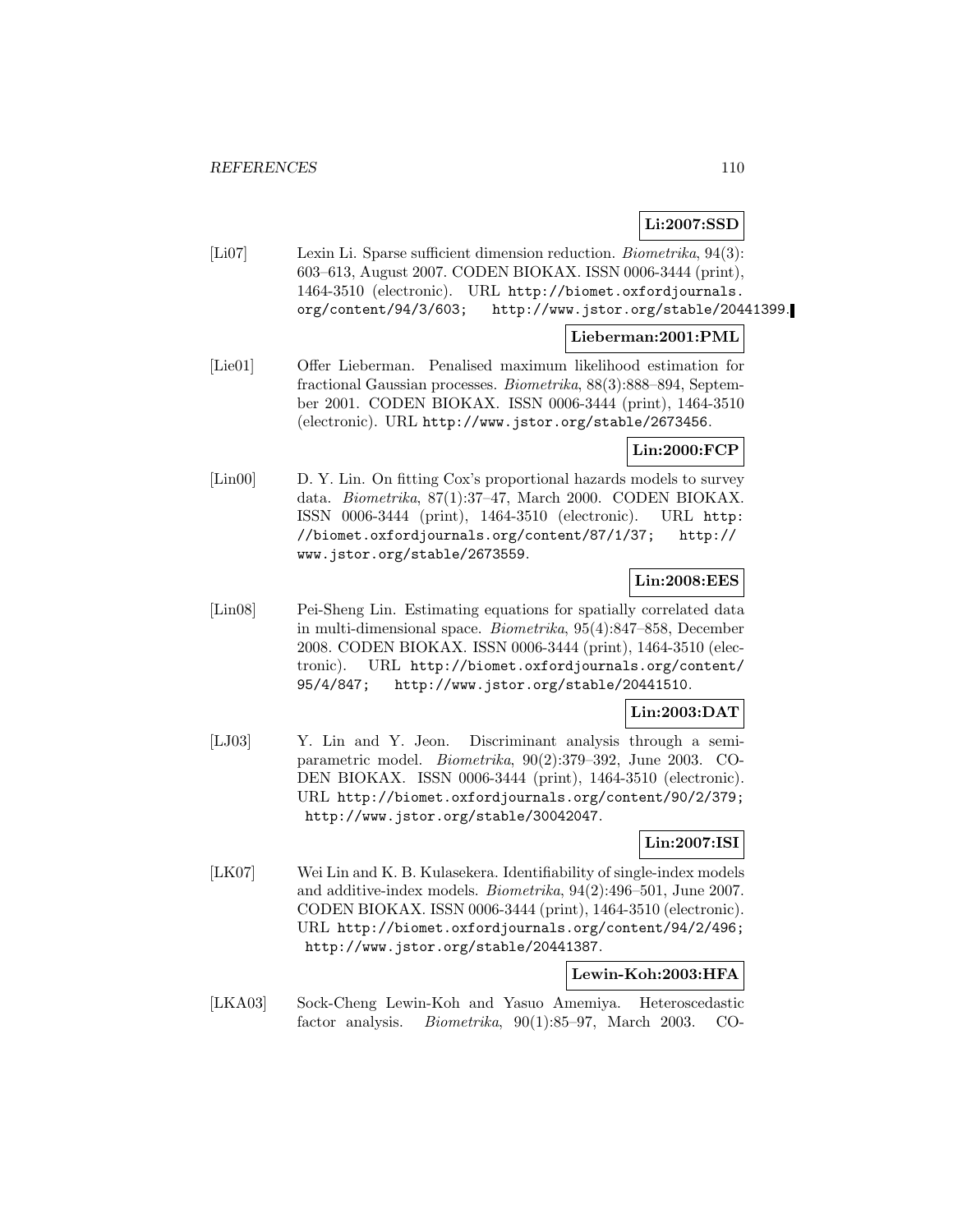## **Li:2007:SSD**

[Li07] Lexin Li. Sparse sufficient dimension reduction. Biometrika, 94(3): 603–613, August 2007. CODEN BIOKAX. ISSN 0006-3444 (print), 1464-3510 (electronic). URL http://biomet.oxfordjournals. org/content/94/3/603; http://www.jstor.org/stable/20441399.

### **Lieberman:2001:PML**

[Lie01] Offer Lieberman. Penalised maximum likelihood estimation for fractional Gaussian processes. Biometrika, 88(3):888–894, September 2001. CODEN BIOKAX. ISSN 0006-3444 (print), 1464-3510 (electronic). URL http://www.jstor.org/stable/2673456.

### **Lin:2000:FCP**

[Lin00] D. Y. Lin. On fitting Cox's proportional hazards models to survey data. Biometrika, 87(1):37–47, March 2000. CODEN BIOKAX. ISSN 0006-3444 (print), 1464-3510 (electronic). URL http: //biomet.oxfordjournals.org/content/87/1/37; http:// www.jstor.org/stable/2673559.

## **Lin:2008:EES**

[Lin08] Pei-Sheng Lin. Estimating equations for spatially correlated data in multi-dimensional space. Biometrika, 95(4):847–858, December 2008. CODEN BIOKAX. ISSN 0006-3444 (print), 1464-3510 (electronic). URL http://biomet.oxfordjournals.org/content/ 95/4/847; http://www.jstor.org/stable/20441510.

### **Lin:2003:DAT**

[LJ03] Y. Lin and Y. Jeon. Discriminant analysis through a semiparametric model. Biometrika, 90(2):379–392, June 2003. CO-DEN BIOKAX. ISSN 0006-3444 (print), 1464-3510 (electronic). URL http://biomet.oxfordjournals.org/content/90/2/379; http://www.jstor.org/stable/30042047.

## **Lin:2007:ISI**

[LK07] Wei Lin and K. B. Kulasekera. Identifiability of single-index models and additive-index models. Biometrika, 94(2):496–501, June 2007. CODEN BIOKAX. ISSN 0006-3444 (print), 1464-3510 (electronic). URL http://biomet.oxfordjournals.org/content/94/2/496; http://www.jstor.org/stable/20441387.

### **Lewin-Koh:2003:HFA**

[LKA03] Sock-Cheng Lewin-Koh and Yasuo Amemiya. Heteroscedastic factor analysis. Biometrika, 90(1):85–97, March 2003. CO-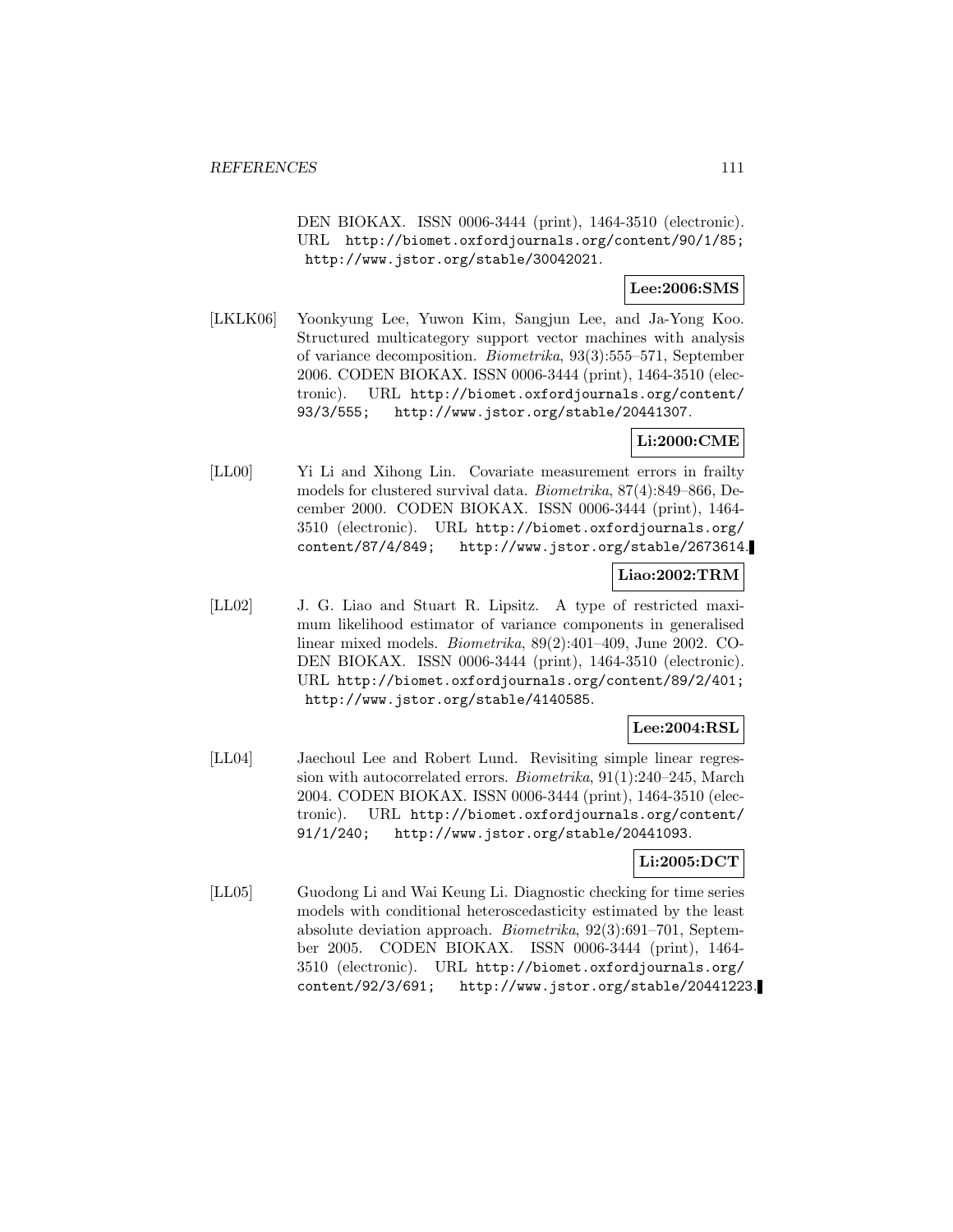DEN BIOKAX. ISSN 0006-3444 (print), 1464-3510 (electronic). URL http://biomet.oxfordjournals.org/content/90/1/85; http://www.jstor.org/stable/30042021.

### **Lee:2006:SMS**

[LKLK06] Yoonkyung Lee, Yuwon Kim, Sangjun Lee, and Ja-Yong Koo. Structured multicategory support vector machines with analysis of variance decomposition. Biometrika, 93(3):555–571, September 2006. CODEN BIOKAX. ISSN 0006-3444 (print), 1464-3510 (electronic). URL http://biomet.oxfordjournals.org/content/ 93/3/555; http://www.jstor.org/stable/20441307.

### **Li:2000:CME**

[LL00] Yi Li and Xihong Lin. Covariate measurement errors in frailty models for clustered survival data. Biometrika, 87(4):849–866, December 2000. CODEN BIOKAX. ISSN 0006-3444 (print), 1464- 3510 (electronic). URL http://biomet.oxfordjournals.org/ content/87/4/849; http://www.jstor.org/stable/2673614.

### **Liao:2002:TRM**

[LL02] J. G. Liao and Stuart R. Lipsitz. A type of restricted maximum likelihood estimator of variance components in generalised linear mixed models. Biometrika, 89(2):401–409, June 2002. CO-DEN BIOKAX. ISSN 0006-3444 (print), 1464-3510 (electronic). URL http://biomet.oxfordjournals.org/content/89/2/401; http://www.jstor.org/stable/4140585.

### **Lee:2004:RSL**

[LL04] Jaechoul Lee and Robert Lund. Revisiting simple linear regression with autocorrelated errors. Biometrika, 91(1):240–245, March 2004. CODEN BIOKAX. ISSN 0006-3444 (print), 1464-3510 (electronic). URL http://biomet.oxfordjournals.org/content/ 91/1/240; http://www.jstor.org/stable/20441093.

### **Li:2005:DCT**

[LL05] Guodong Li and Wai Keung Li. Diagnostic checking for time series models with conditional heteroscedasticity estimated by the least absolute deviation approach. Biometrika, 92(3):691–701, September 2005. CODEN BIOKAX. ISSN 0006-3444 (print), 1464- 3510 (electronic). URL http://biomet.oxfordjournals.org/ content/92/3/691; http://www.jstor.org/stable/20441223.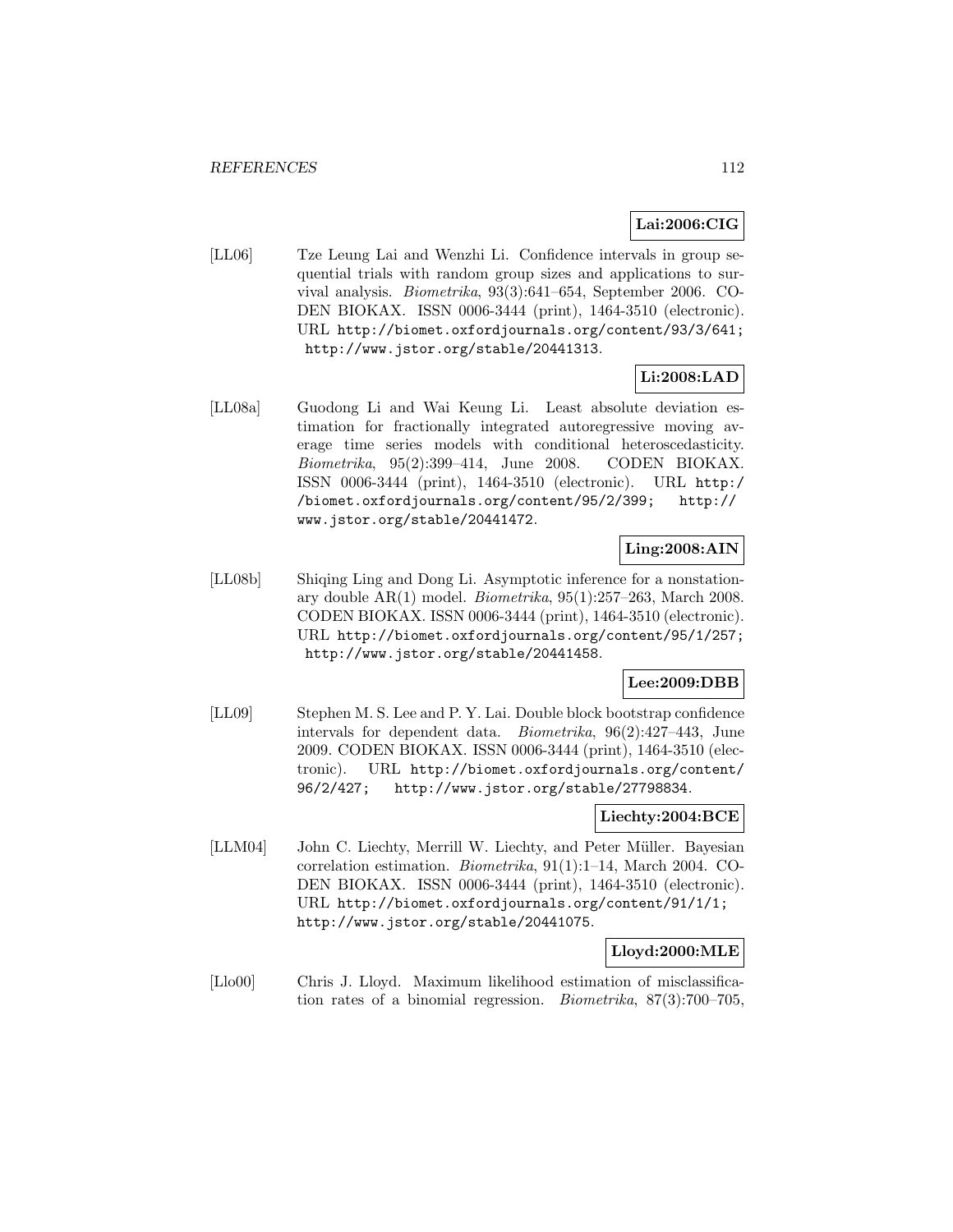## **Lai:2006:CIG**

[LL06] Tze Leung Lai and Wenzhi Li. Confidence intervals in group sequential trials with random group sizes and applications to survival analysis. Biometrika, 93(3):641–654, September 2006. CO-DEN BIOKAX. ISSN 0006-3444 (print), 1464-3510 (electronic). URL http://biomet.oxfordjournals.org/content/93/3/641; http://www.jstor.org/stable/20441313.

## **Li:2008:LAD**

[LL08a] Guodong Li and Wai Keung Li. Least absolute deviation estimation for fractionally integrated autoregressive moving average time series models with conditional heteroscedasticity. Biometrika, 95(2):399–414, June 2008. CODEN BIOKAX. ISSN 0006-3444 (print), 1464-3510 (electronic). URL http:/ /biomet.oxfordjournals.org/content/95/2/399; http:// www.jstor.org/stable/20441472.

## **Ling:2008:AIN**

[LL08b] Shiqing Ling and Dong Li. Asymptotic inference for a nonstationary double  $AR(1)$  model. *Biometrika*,  $95(1):257-263$ , March 2008. CODEN BIOKAX. ISSN 0006-3444 (print), 1464-3510 (electronic). URL http://biomet.oxfordjournals.org/content/95/1/257; http://www.jstor.org/stable/20441458.

## **Lee:2009:DBB**

[LL09] Stephen M. S. Lee and P. Y. Lai. Double block bootstrap confidence intervals for dependent data. Biometrika, 96(2):427–443, June 2009. CODEN BIOKAX. ISSN 0006-3444 (print), 1464-3510 (electronic). URL http://biomet.oxfordjournals.org/content/ 96/2/427; http://www.jstor.org/stable/27798834.

#### **Liechty:2004:BCE**

[LLM04] John C. Liechty, Merrill W. Liechty, and Peter Müller. Bayesian correlation estimation. Biometrika, 91(1):1–14, March 2004. CO-DEN BIOKAX. ISSN 0006-3444 (print), 1464-3510 (electronic). URL http://biomet.oxfordjournals.org/content/91/1/1; http://www.jstor.org/stable/20441075.

### **Lloyd:2000:MLE**

[Llo00] Chris J. Lloyd. Maximum likelihood estimation of misclassification rates of a binomial regression. Biometrika, 87(3):700–705,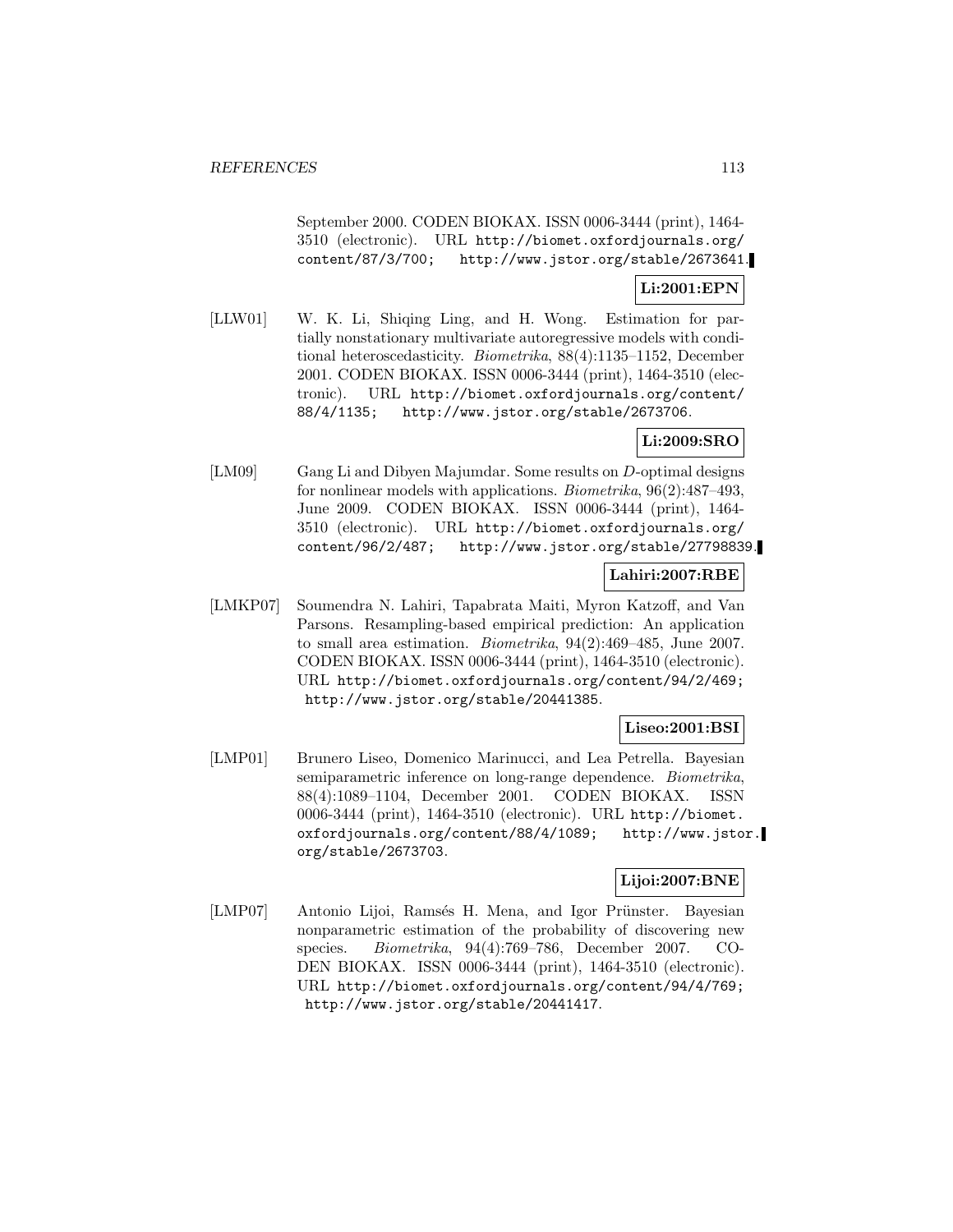September 2000. CODEN BIOKAX. ISSN 0006-3444 (print), 1464- 3510 (electronic). URL http://biomet.oxfordjournals.org/ http://www.jstor.org/stable/2673641.

### **Li:2001:EPN**

[LLW01] W. K. Li, Shiqing Ling, and H. Wong. Estimation for partially nonstationary multivariate autoregressive models with conditional heteroscedasticity. Biometrika, 88(4):1135–1152, December 2001. CODEN BIOKAX. ISSN 0006-3444 (print), 1464-3510 (electronic). URL http://biomet.oxfordjournals.org/content/ 88/4/1135; http://www.jstor.org/stable/2673706.

## **Li:2009:SRO**

[LM09] Gang Li and Dibyen Majumdar. Some results on D-optimal designs for nonlinear models with applications. Biometrika, 96(2):487–493, June 2009. CODEN BIOKAX. ISSN 0006-3444 (print), 1464- 3510 (electronic). URL http://biomet.oxfordjournals.org/ content/96/2/487; http://www.jstor.org/stable/27798839.

### **Lahiri:2007:RBE**

[LMKP07] Soumendra N. Lahiri, Tapabrata Maiti, Myron Katzoff, and Van Parsons. Resampling-based empirical prediction: An application to small area estimation. Biometrika, 94(2):469–485, June 2007. CODEN BIOKAX. ISSN 0006-3444 (print), 1464-3510 (electronic). URL http://biomet.oxfordjournals.org/content/94/2/469; http://www.jstor.org/stable/20441385.

## **Liseo:2001:BSI**

[LMP01] Brunero Liseo, Domenico Marinucci, and Lea Petrella. Bayesian semiparametric inference on long-range dependence. Biometrika, 88(4):1089–1104, December 2001. CODEN BIOKAX. ISSN 0006-3444 (print), 1464-3510 (electronic). URL http://biomet. oxfordjournals.org/content/88/4/1089; http://www.jstor. org/stable/2673703.

### **Lijoi:2007:BNE**

[LMP07] Antonio Lijoi, Ramsés H. Mena, and Igor Prünster. Bayesian nonparametric estimation of the probability of discovering new species. Biometrika, 94(4):769–786, December 2007. CO-DEN BIOKAX. ISSN 0006-3444 (print), 1464-3510 (electronic). URL http://biomet.oxfordjournals.org/content/94/4/769; http://www.jstor.org/stable/20441417.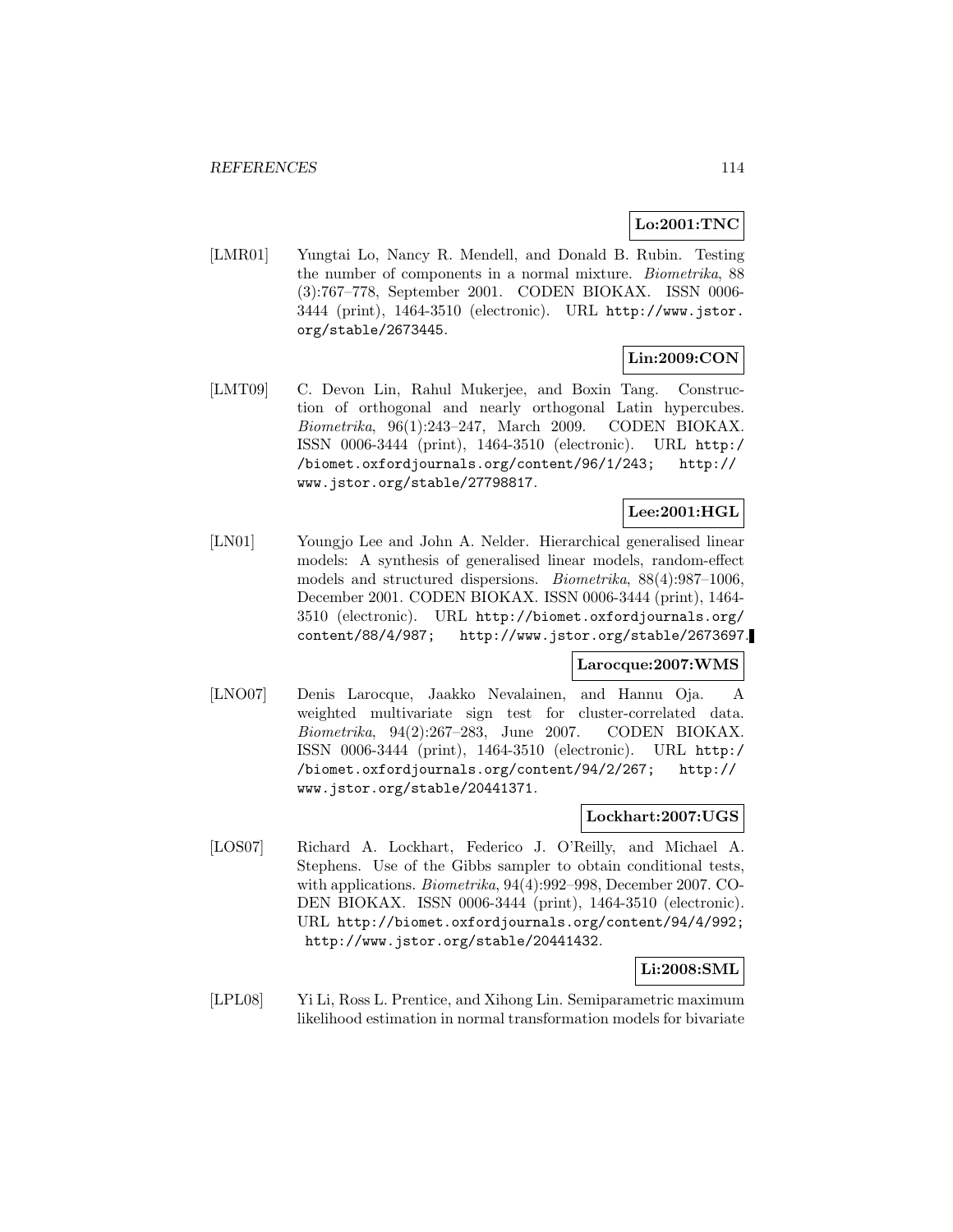## **Lo:2001:TNC**

[LMR01] Yungtai Lo, Nancy R. Mendell, and Donald B. Rubin. Testing the number of components in a normal mixture. Biometrika, 88 (3):767–778, September 2001. CODEN BIOKAX. ISSN 0006- 3444 (print), 1464-3510 (electronic). URL http://www.jstor. org/stable/2673445.

# **Lin:2009:CON**

[LMT09] C. Devon Lin, Rahul Mukerjee, and Boxin Tang. Construction of orthogonal and nearly orthogonal Latin hypercubes. Biometrika, 96(1):243–247, March 2009. CODEN BIOKAX. ISSN 0006-3444 (print), 1464-3510 (electronic). URL http:/ /biomet.oxfordjournals.org/content/96/1/243; http:// www.jstor.org/stable/27798817.

## **Lee:2001:HGL**

[LN01] Youngjo Lee and John A. Nelder. Hierarchical generalised linear models: A synthesis of generalised linear models, random-effect models and structured dispersions. Biometrika, 88(4):987–1006, December 2001. CODEN BIOKAX. ISSN 0006-3444 (print), 1464- 3510 (electronic). URL http://biomet.oxfordjournals.org/ content/88/4/987; http://www.jstor.org/stable/2673697.

## **Larocque:2007:WMS**

[LNO07] Denis Larocque, Jaakko Nevalainen, and Hannu Oja. A weighted multivariate sign test for cluster-correlated data. Biometrika, 94(2):267–283, June 2007. CODEN BIOKAX. ISSN 0006-3444 (print), 1464-3510 (electronic). URL http:/ /biomet.oxfordjournals.org/content/94/2/267; http:// www.jstor.org/stable/20441371.

## **Lockhart:2007:UGS**

[LOS07] Richard A. Lockhart, Federico J. O'Reilly, and Michael A. Stephens. Use of the Gibbs sampler to obtain conditional tests, with applications. Biometrika, 94(4):992–998, December 2007. CO-DEN BIOKAX. ISSN 0006-3444 (print), 1464-3510 (electronic). URL http://biomet.oxfordjournals.org/content/94/4/992; http://www.jstor.org/stable/20441432.

### **Li:2008:SML**

[LPL08] Yi Li, Ross L. Prentice, and Xihong Lin. Semiparametric maximum likelihood estimation in normal transformation models for bivariate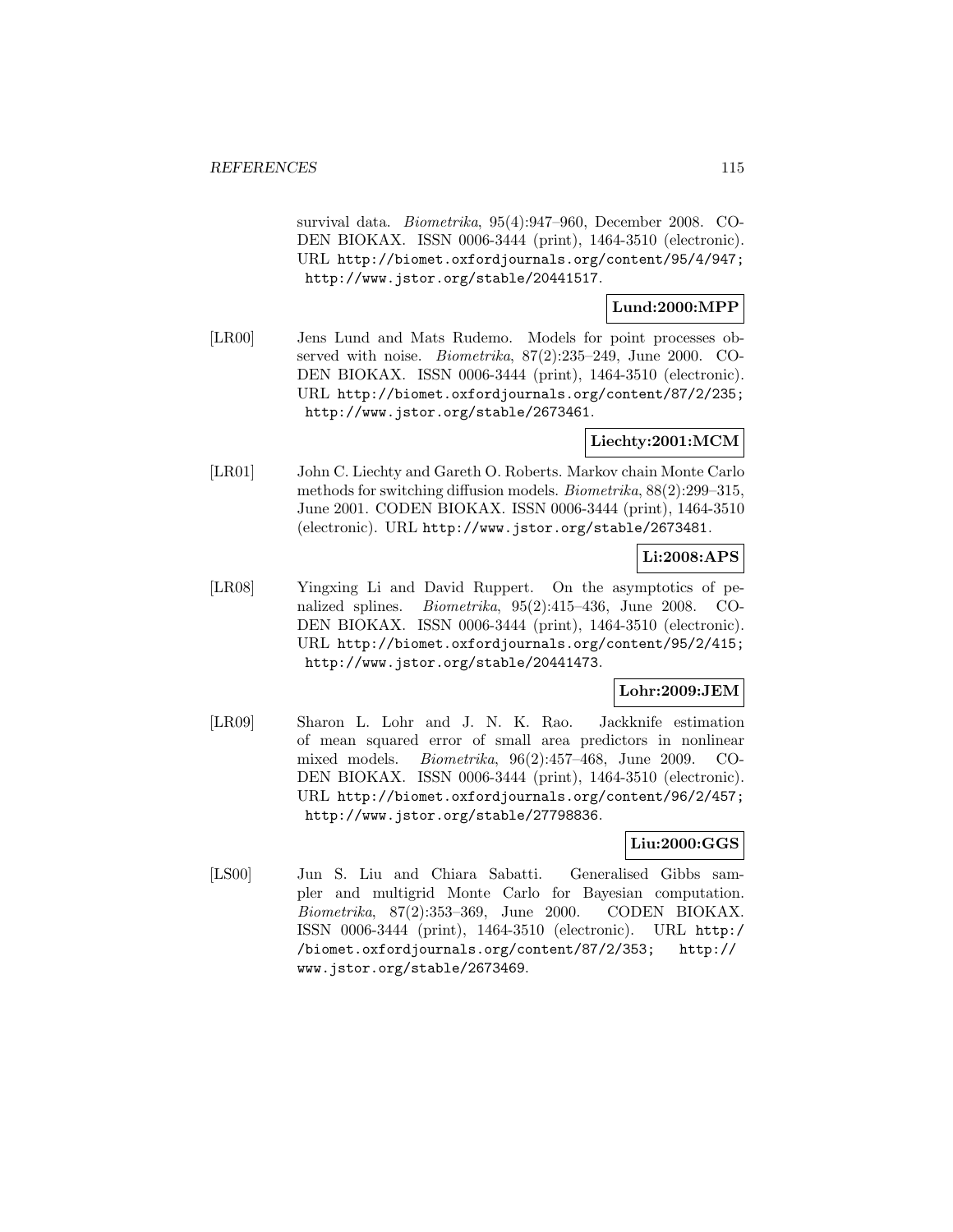survival data. Biometrika, 95(4):947–960, December 2008. CO-DEN BIOKAX. ISSN 0006-3444 (print), 1464-3510 (electronic). URL http://biomet.oxfordjournals.org/content/95/4/947; http://www.jstor.org/stable/20441517.

## **Lund:2000:MPP**

[LR00] Jens Lund and Mats Rudemo. Models for point processes observed with noise. Biometrika, 87(2):235–249, June 2000. CO-DEN BIOKAX. ISSN 0006-3444 (print), 1464-3510 (electronic). URL http://biomet.oxfordjournals.org/content/87/2/235; http://www.jstor.org/stable/2673461.

## **Liechty:2001:MCM**

[LR01] John C. Liechty and Gareth O. Roberts. Markov chain Monte Carlo methods for switching diffusion models. Biometrika, 88(2):299–315, June 2001. CODEN BIOKAX. ISSN 0006-3444 (print), 1464-3510 (electronic). URL http://www.jstor.org/stable/2673481.

## **Li:2008:APS**

[LR08] Yingxing Li and David Ruppert. On the asymptotics of penalized splines. Biometrika, 95(2):415–436, June 2008. CO-DEN BIOKAX. ISSN 0006-3444 (print), 1464-3510 (electronic). URL http://biomet.oxfordjournals.org/content/95/2/415; http://www.jstor.org/stable/20441473.

## **Lohr:2009:JEM**

[LR09] Sharon L. Lohr and J. N. K. Rao. Jackknife estimation of mean squared error of small area predictors in nonlinear mixed models. Biometrika, 96(2):457–468, June 2009. CO-DEN BIOKAX. ISSN 0006-3444 (print), 1464-3510 (electronic). URL http://biomet.oxfordjournals.org/content/96/2/457; http://www.jstor.org/stable/27798836.

## **Liu:2000:GGS**

[LS00] Jun S. Liu and Chiara Sabatti. Generalised Gibbs sampler and multigrid Monte Carlo for Bayesian computation. Biometrika, 87(2):353–369, June 2000. CODEN BIOKAX. ISSN 0006-3444 (print), 1464-3510 (electronic). URL http:/ /biomet.oxfordjournals.org/content/87/2/353; http:// www.jstor.org/stable/2673469.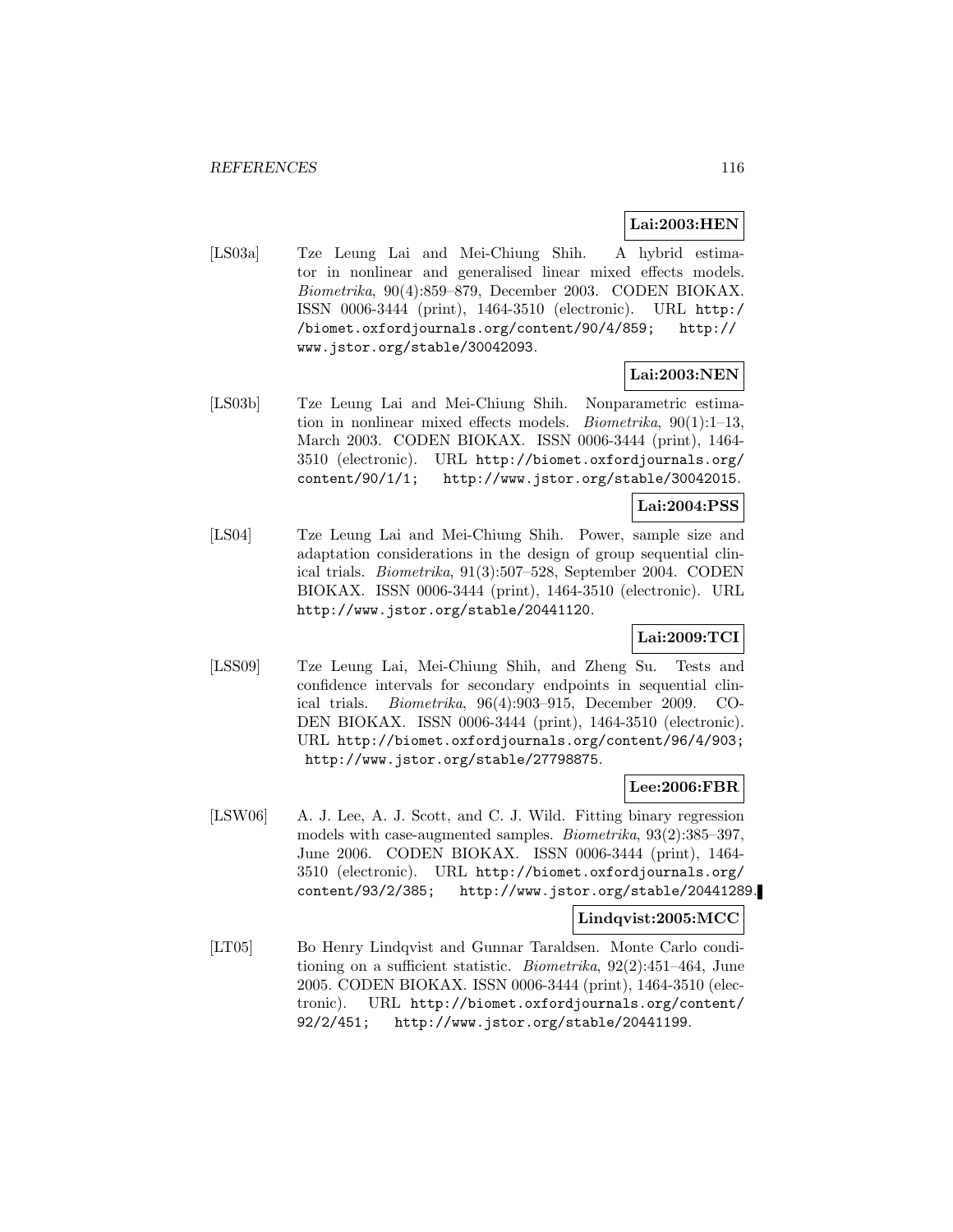## **Lai:2003:HEN**

[LS03a] Tze Leung Lai and Mei-Chiung Shih. A hybrid estimator in nonlinear and generalised linear mixed effects models. Biometrika, 90(4):859–879, December 2003. CODEN BIOKAX. ISSN 0006-3444 (print), 1464-3510 (electronic). URL http:/ /biomet.oxfordjournals.org/content/90/4/859; http:// www.jstor.org/stable/30042093.

# **Lai:2003:NEN**

[LS03b] Tze Leung Lai and Mei-Chiung Shih. Nonparametric estimation in nonlinear mixed effects models. Biometrika, 90(1):1–13, March 2003. CODEN BIOKAX. ISSN 0006-3444 (print), 1464- 3510 (electronic). URL http://biomet.oxfordjournals.org/ content/90/1/1; http://www.jstor.org/stable/30042015.

## **Lai:2004:PSS**

[LS04] Tze Leung Lai and Mei-Chiung Shih. Power, sample size and adaptation considerations in the design of group sequential clinical trials. Biometrika, 91(3):507–528, September 2004. CODEN BIOKAX. ISSN 0006-3444 (print), 1464-3510 (electronic). URL http://www.jstor.org/stable/20441120.

## **Lai:2009:TCI**

[LSS09] Tze Leung Lai, Mei-Chiung Shih, and Zheng Su. Tests and confidence intervals for secondary endpoints in sequential clinical trials. Biometrika, 96(4):903–915, December 2009. CO-DEN BIOKAX. ISSN 0006-3444 (print), 1464-3510 (electronic). URL http://biomet.oxfordjournals.org/content/96/4/903; http://www.jstor.org/stable/27798875.

### **Lee:2006:FBR**

[LSW06] A. J. Lee, A. J. Scott, and C. J. Wild. Fitting binary regression models with case-augmented samples. Biometrika, 93(2):385–397, June 2006. CODEN BIOKAX. ISSN 0006-3444 (print), 1464- 3510 (electronic). URL http://biomet.oxfordjournals.org/ content/93/2/385; http://www.jstor.org/stable/20441289.

### **Lindqvist:2005:MCC**

[LT05] Bo Henry Lindqvist and Gunnar Taraldsen. Monte Carlo conditioning on a sufficient statistic. Biometrika, 92(2):451–464, June 2005. CODEN BIOKAX. ISSN 0006-3444 (print), 1464-3510 (electronic). URL http://biomet.oxfordjournals.org/content/ 92/2/451; http://www.jstor.org/stable/20441199.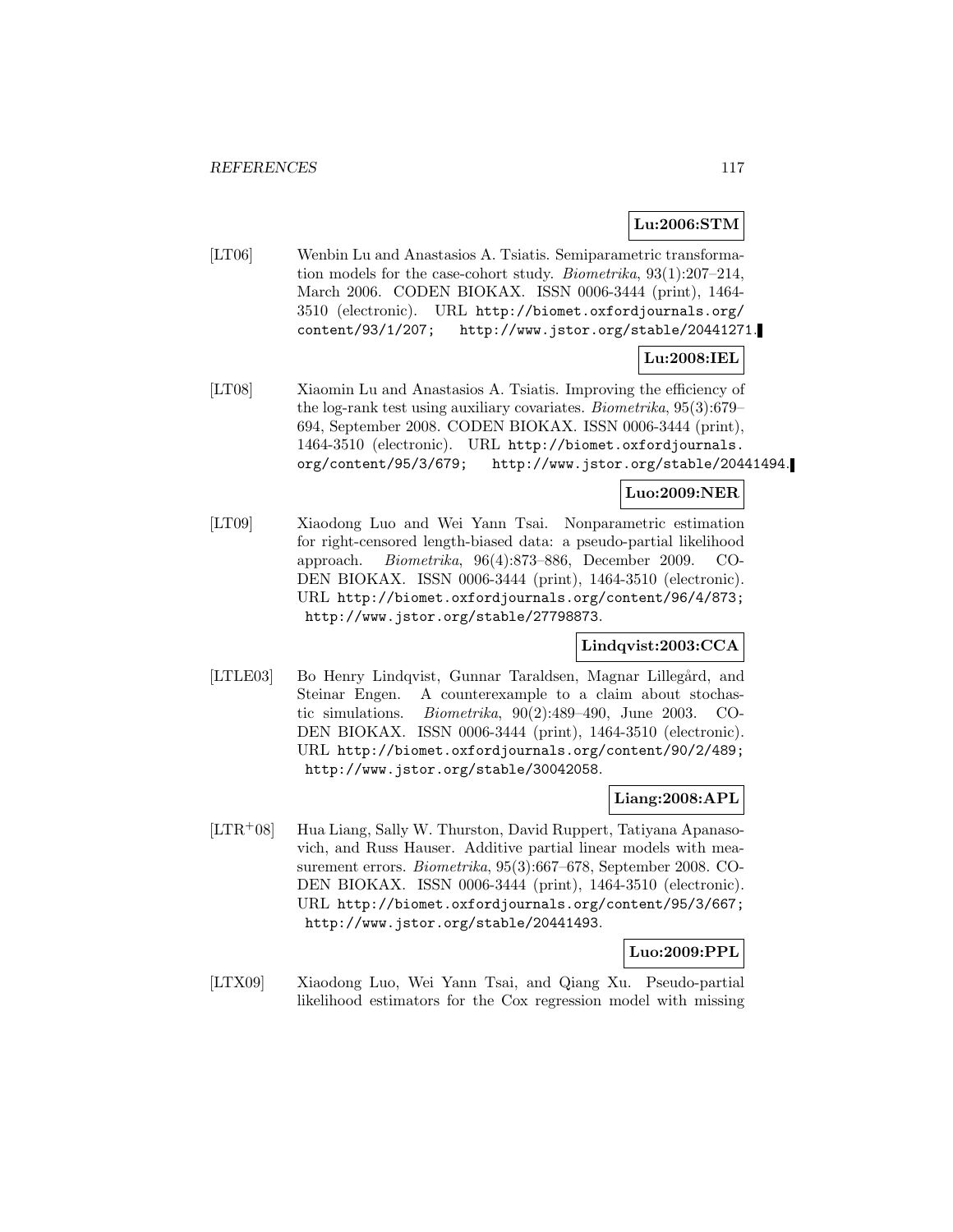## **Lu:2006:STM**

[LT06] Wenbin Lu and Anastasios A. Tsiatis. Semiparametric transformation models for the case-cohort study. Biometrika, 93(1):207–214, March 2006. CODEN BIOKAX. ISSN 0006-3444 (print), 1464- 3510 (electronic). URL http://biomet.oxfordjournals.org/ content/93/1/207; http://www.jstor.org/stable/20441271.

## **Lu:2008:IEL**

[LT08] Xiaomin Lu and Anastasios A. Tsiatis. Improving the efficiency of the log-rank test using auxiliary covariates. Biometrika, 95(3):679– 694, September 2008. CODEN BIOKAX. ISSN 0006-3444 (print), 1464-3510 (electronic). URL http://biomet.oxfordjournals. org/content/95/3/679; http://www.jstor.org/stable/20441494.

### **Luo:2009:NER**

[LT09] Xiaodong Luo and Wei Yann Tsai. Nonparametric estimation for right-censored length-biased data: a pseudo-partial likelihood approach. Biometrika, 96(4):873–886, December 2009. CO-DEN BIOKAX. ISSN 0006-3444 (print), 1464-3510 (electronic). URL http://biomet.oxfordjournals.org/content/96/4/873; http://www.jstor.org/stable/27798873.

## **Lindqvist:2003:CCA**

[LTLE03] Bo Henry Lindqvist, Gunnar Taraldsen, Magnar Lillegård, and Steinar Engen. A counterexample to a claim about stochastic simulations. Biometrika, 90(2):489–490, June 2003. CO-DEN BIOKAX. ISSN 0006-3444 (print), 1464-3510 (electronic). URL http://biomet.oxfordjournals.org/content/90/2/489; http://www.jstor.org/stable/30042058.

## **Liang:2008:APL**

[LTR<sup>+</sup>08] Hua Liang, Sally W. Thurston, David Ruppert, Tatiyana Apanasovich, and Russ Hauser. Additive partial linear models with measurement errors. Biometrika, 95(3):667–678, September 2008. CO-DEN BIOKAX. ISSN 0006-3444 (print), 1464-3510 (electronic). URL http://biomet.oxfordjournals.org/content/95/3/667; http://www.jstor.org/stable/20441493.

**Luo:2009:PPL**

[LTX09] Xiaodong Luo, Wei Yann Tsai, and Qiang Xu. Pseudo-partial likelihood estimators for the Cox regression model with missing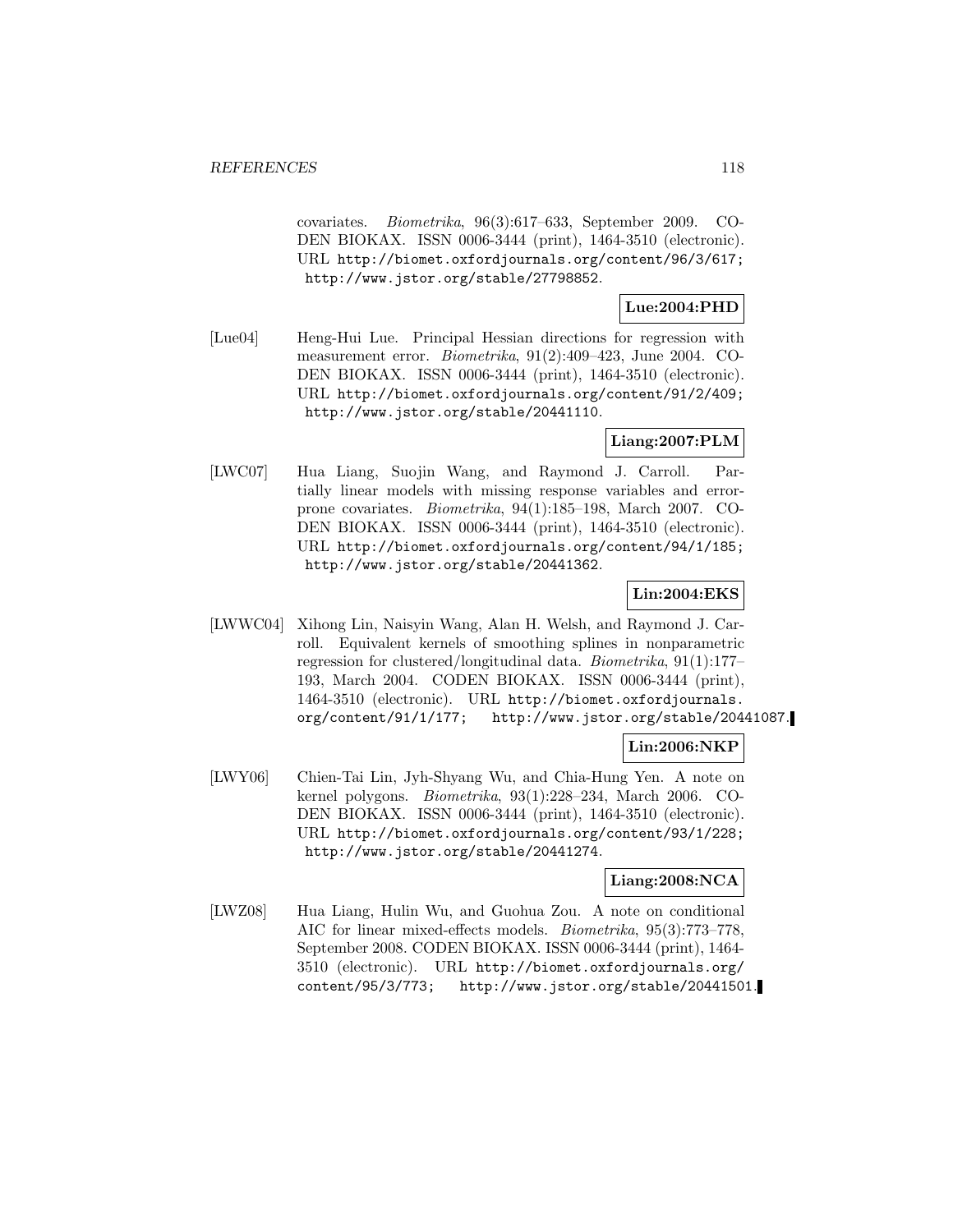covariates. Biometrika, 96(3):617–633, September 2009. CO-DEN BIOKAX. ISSN 0006-3444 (print), 1464-3510 (electronic). URL http://biomet.oxfordjournals.org/content/96/3/617; http://www.jstor.org/stable/27798852.

## **Lue:2004:PHD**

[Lue04] Heng-Hui Lue. Principal Hessian directions for regression with measurement error. Biometrika, 91(2):409–423, June 2004. CO-DEN BIOKAX. ISSN 0006-3444 (print), 1464-3510 (electronic). URL http://biomet.oxfordjournals.org/content/91/2/409; http://www.jstor.org/stable/20441110.

## **Liang:2007:PLM**

[LWC07] Hua Liang, Suojin Wang, and Raymond J. Carroll. Partially linear models with missing response variables and errorprone covariates. Biometrika, 94(1):185–198, March 2007. CO-DEN BIOKAX. ISSN 0006-3444 (print), 1464-3510 (electronic). URL http://biomet.oxfordjournals.org/content/94/1/185; http://www.jstor.org/stable/20441362.

### **Lin:2004:EKS**

[LWWC04] Xihong Lin, Naisyin Wang, Alan H. Welsh, and Raymond J. Carroll. Equivalent kernels of smoothing splines in nonparametric regression for clustered/longitudinal data. Biometrika, 91(1):177– 193, March 2004. CODEN BIOKAX. ISSN 0006-3444 (print), 1464-3510 (electronic). URL http://biomet.oxfordjournals. org/content/91/1/177; http://www.jstor.org/stable/20441087.

### **Lin:2006:NKP**

[LWY06] Chien-Tai Lin, Jyh-Shyang Wu, and Chia-Hung Yen. A note on kernel polygons. Biometrika, 93(1):228–234, March 2006. CO-DEN BIOKAX. ISSN 0006-3444 (print), 1464-3510 (electronic). URL http://biomet.oxfordjournals.org/content/93/1/228; http://www.jstor.org/stable/20441274.

### **Liang:2008:NCA**

[LWZ08] Hua Liang, Hulin Wu, and Guohua Zou. A note on conditional AIC for linear mixed-effects models. Biometrika, 95(3):773–778, September 2008. CODEN BIOKAX. ISSN 0006-3444 (print), 1464- 3510 (electronic). URL http://biomet.oxfordjournals.org/ content/95/3/773; http://www.jstor.org/stable/20441501.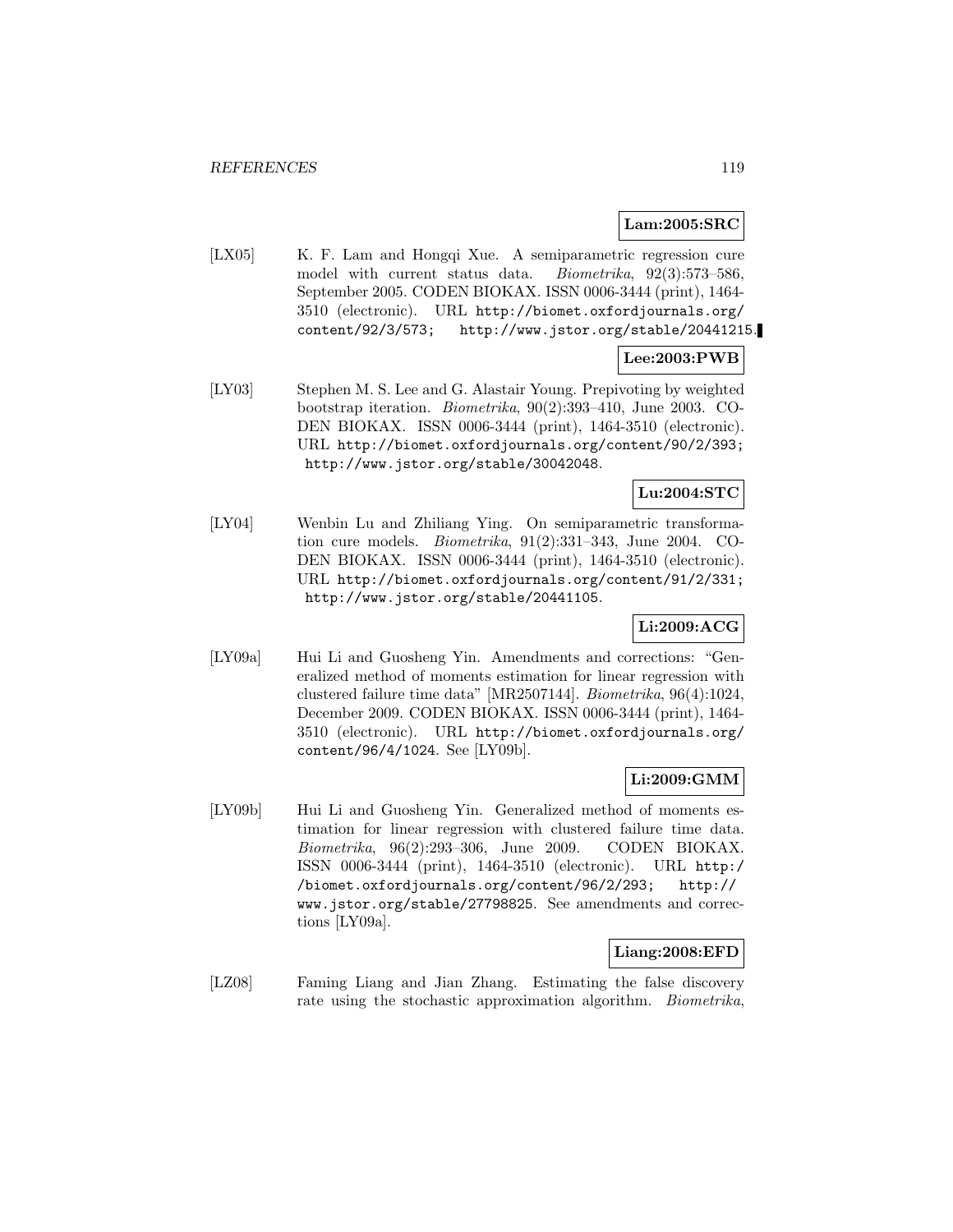### **Lam:2005:SRC**

[LX05] K. F. Lam and Hongqi Xue. A semiparametric regression cure model with current status data. Biometrika, 92(3):573–586, September 2005. CODEN BIOKAX. ISSN 0006-3444 (print), 1464- 3510 (electronic). URL http://biomet.oxfordjournals.org/ content/92/3/573; http://www.jstor.org/stable/20441215.

# **Lee:2003:PWB**

[LY03] Stephen M. S. Lee and G. Alastair Young. Prepivoting by weighted bootstrap iteration. Biometrika, 90(2):393–410, June 2003. CO-DEN BIOKAX. ISSN 0006-3444 (print), 1464-3510 (electronic). URL http://biomet.oxfordjournals.org/content/90/2/393; http://www.jstor.org/stable/30042048.

## **Lu:2004:STC**

[LY04] Wenbin Lu and Zhiliang Ying. On semiparametric transformation cure models. Biometrika, 91(2):331–343, June 2004. CO-DEN BIOKAX. ISSN 0006-3444 (print), 1464-3510 (electronic). URL http://biomet.oxfordjournals.org/content/91/2/331; http://www.jstor.org/stable/20441105.

## **Li:2009:ACG**

[LY09a] Hui Li and Guosheng Yin. Amendments and corrections: "Generalized method of moments estimation for linear regression with clustered failure time data" [MR2507144]. Biometrika, 96(4):1024, December 2009. CODEN BIOKAX. ISSN 0006-3444 (print), 1464- 3510 (electronic). URL http://biomet.oxfordjournals.org/ content/96/4/1024. See [LY09b].

## **Li:2009:GMM**

[LY09b] Hui Li and Guosheng Yin. Generalized method of moments estimation for linear regression with clustered failure time data. Biometrika, 96(2):293–306, June 2009. CODEN BIOKAX. ISSN 0006-3444 (print), 1464-3510 (electronic). URL http:/ /biomet.oxfordjournals.org/content/96/2/293; http:// www.jstor.org/stable/27798825. See amendments and corrections [LY09a].

## **Liang:2008:EFD**

[LZ08] Faming Liang and Jian Zhang. Estimating the false discovery rate using the stochastic approximation algorithm. *Biometrika*,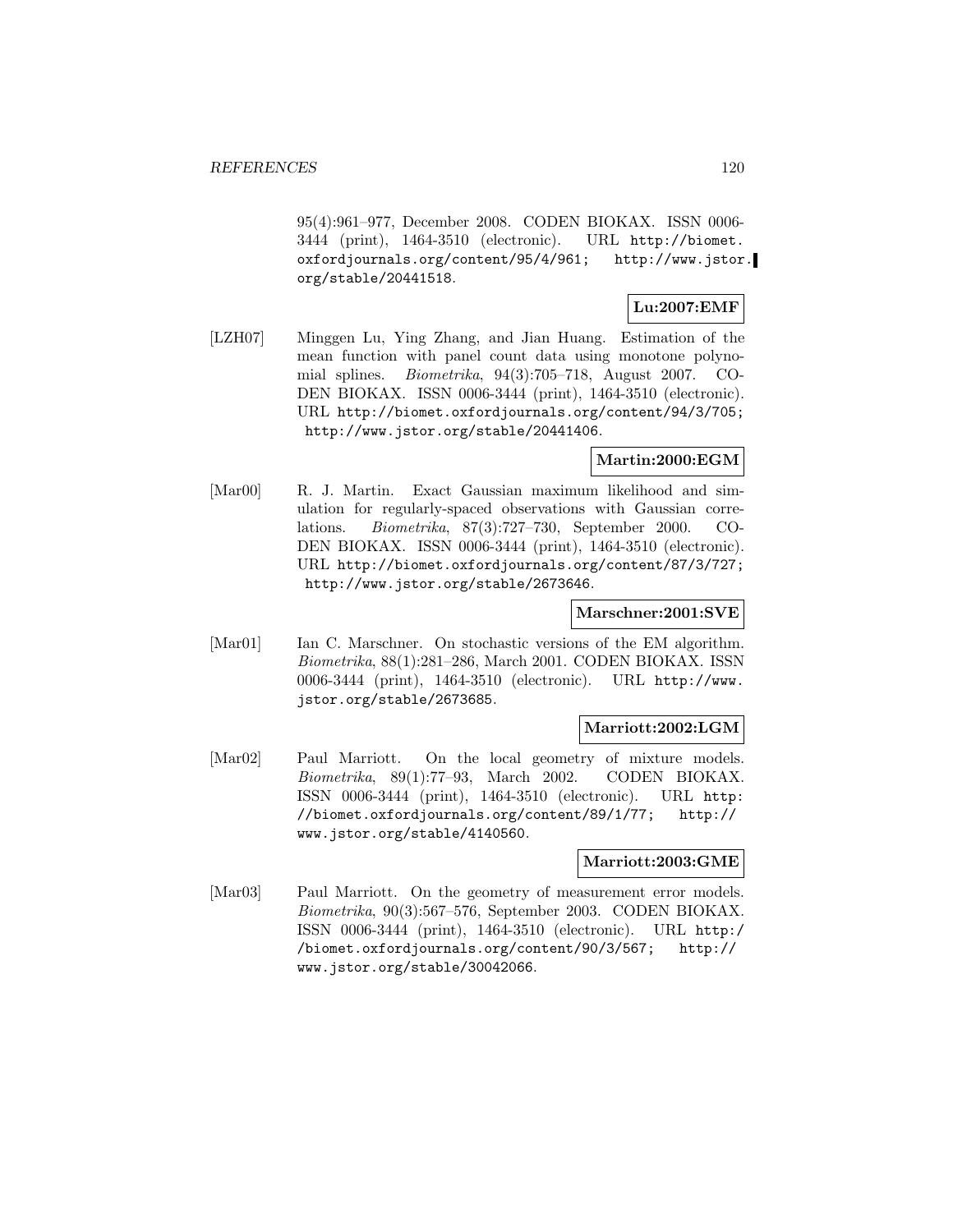95(4):961–977, December 2008. CODEN BIOKAX. ISSN 0006- 3444 (print), 1464-3510 (electronic). URL http://biomet. oxfordjournals.org/content/95/4/961; http://www.jstor. org/stable/20441518.

## **Lu:2007:EMF**

[LZH07] Minggen Lu, Ying Zhang, and Jian Huang. Estimation of the mean function with panel count data using monotone polynomial splines. Biometrika, 94(3):705–718, August 2007. CO-DEN BIOKAX. ISSN 0006-3444 (print), 1464-3510 (electronic). URL http://biomet.oxfordjournals.org/content/94/3/705; http://www.jstor.org/stable/20441406.

## **Martin:2000:EGM**

[Mar00] R. J. Martin. Exact Gaussian maximum likelihood and simulation for regularly-spaced observations with Gaussian correlations. Biometrika, 87(3):727–730, September 2000. CO-DEN BIOKAX. ISSN 0006-3444 (print), 1464-3510 (electronic). URL http://biomet.oxfordjournals.org/content/87/3/727; http://www.jstor.org/stable/2673646.

### **Marschner:2001:SVE**

[Mar01] Ian C. Marschner. On stochastic versions of the EM algorithm. Biometrika, 88(1):281–286, March 2001. CODEN BIOKAX. ISSN 0006-3444 (print), 1464-3510 (electronic). URL http://www. jstor.org/stable/2673685.

### **Marriott:2002:LGM**

[Mar02] Paul Marriott. On the local geometry of mixture models. Biometrika, 89(1):77–93, March 2002. CODEN BIOKAX. ISSN 0006-3444 (print), 1464-3510 (electronic). URL http: //biomet.oxfordjournals.org/content/89/1/77; http:// www.jstor.org/stable/4140560.

### **Marriott:2003:GME**

[Mar03] Paul Marriott. On the geometry of measurement error models. Biometrika, 90(3):567–576, September 2003. CODEN BIOKAX. ISSN 0006-3444 (print), 1464-3510 (electronic). URL http:/ /biomet.oxfordjournals.org/content/90/3/567; http:// www.jstor.org/stable/30042066.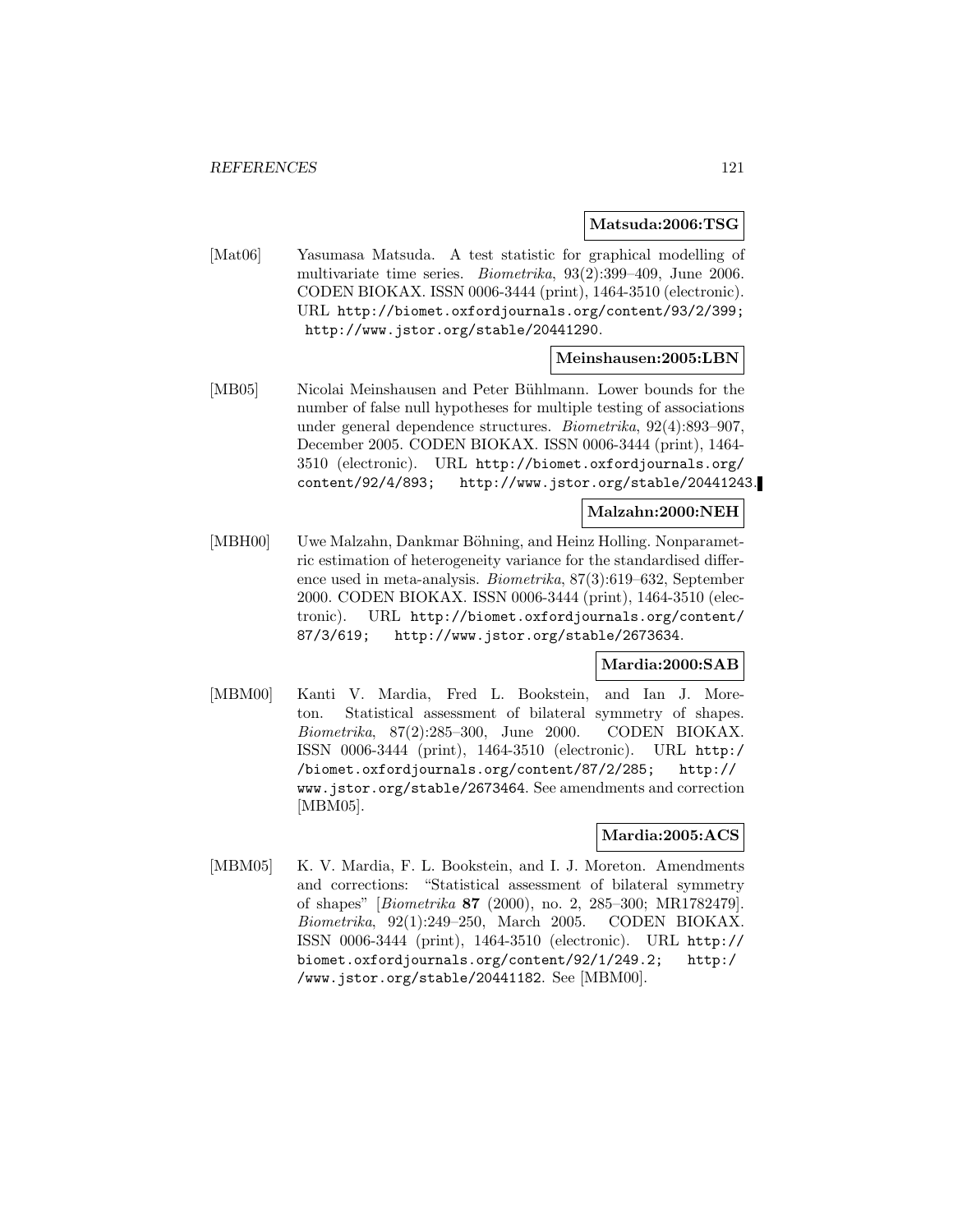#### **Matsuda:2006:TSG**

[Mat06] Yasumasa Matsuda. A test statistic for graphical modelling of multivariate time series. Biometrika, 93(2):399–409, June 2006. CODEN BIOKAX. ISSN 0006-3444 (print), 1464-3510 (electronic). URL http://biomet.oxfordjournals.org/content/93/2/399; http://www.jstor.org/stable/20441290.

## **Meinshausen:2005:LBN**

[MB05] Nicolai Meinshausen and Peter Bühlmann. Lower bounds for the number of false null hypotheses for multiple testing of associations under general dependence structures. Biometrika, 92(4):893–907, December 2005. CODEN BIOKAX. ISSN 0006-3444 (print), 1464- 3510 (electronic). URL http://biomet.oxfordjournals.org/ content/92/4/893; http://www.jstor.org/stable/20441243.

## **Malzahn:2000:NEH**

[MBH00] Uwe Malzahn, Dankmar Böhning, and Heinz Holling. Nonparametric estimation of heterogeneity variance for the standardised difference used in meta-analysis. Biometrika, 87(3):619–632, September 2000. CODEN BIOKAX. ISSN 0006-3444 (print), 1464-3510 (electronic). URL http://biomet.oxfordjournals.org/content/ 87/3/619; http://www.jstor.org/stable/2673634.

### **Mardia:2000:SAB**

[MBM00] Kanti V. Mardia, Fred L. Bookstein, and Ian J. Moreton. Statistical assessment of bilateral symmetry of shapes. Biometrika, 87(2):285–300, June 2000. CODEN BIOKAX. ISSN 0006-3444 (print), 1464-3510 (electronic). URL http:/ /biomet.oxfordjournals.org/content/87/2/285; http:// www.jstor.org/stable/2673464. See amendments and correction [MBM05].

#### **Mardia:2005:ACS**

[MBM05] K. V. Mardia, F. L. Bookstein, and I. J. Moreton. Amendments and corrections: "Statistical assessment of bilateral symmetry of shapes" [Biometrika **87** (2000), no. 2, 285–300; MR1782479]. Biometrika, 92(1):249–250, March 2005. CODEN BIOKAX. ISSN 0006-3444 (print), 1464-3510 (electronic). URL http:// biomet.oxfordjournals.org/content/92/1/249.2; http:/ /www.jstor.org/stable/20441182. See [MBM00].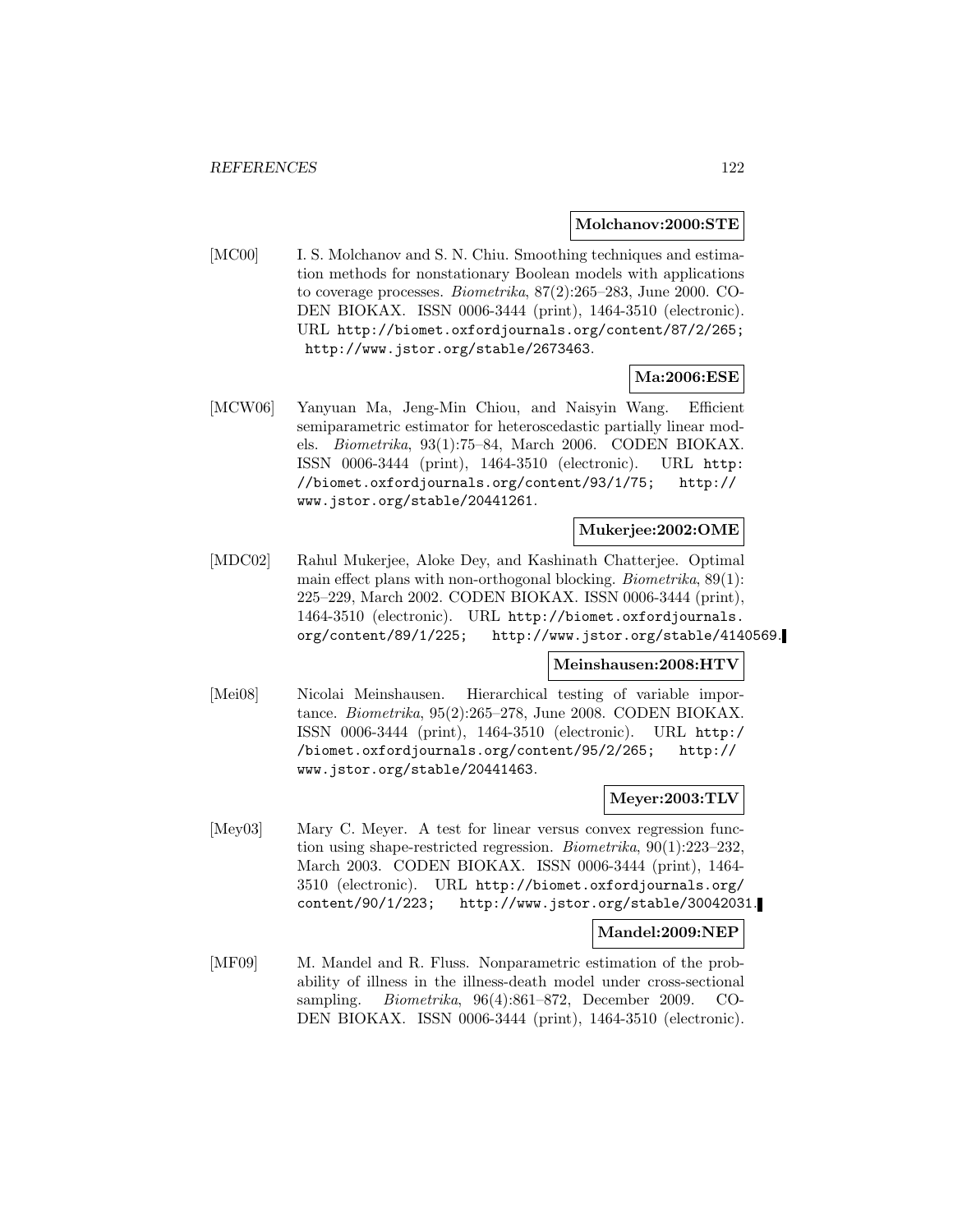#### **Molchanov:2000:STE**

[MC00] I. S. Molchanov and S. N. Chiu. Smoothing techniques and estimation methods for nonstationary Boolean models with applications to coverage processes. Biometrika, 87(2):265–283, June 2000. CO-DEN BIOKAX. ISSN 0006-3444 (print), 1464-3510 (electronic). URL http://biomet.oxfordjournals.org/content/87/2/265; http://www.jstor.org/stable/2673463.

### **Ma:2006:ESE**

[MCW06] Yanyuan Ma, Jeng-Min Chiou, and Naisyin Wang. Efficient semiparametric estimator for heteroscedastic partially linear models. Biometrika, 93(1):75–84, March 2006. CODEN BIOKAX. ISSN 0006-3444 (print), 1464-3510 (electronic). URL http: //biomet.oxfordjournals.org/content/93/1/75; http:// www.jstor.org/stable/20441261.

### **Mukerjee:2002:OME**

[MDC02] Rahul Mukerjee, Aloke Dey, and Kashinath Chatterjee. Optimal main effect plans with non-orthogonal blocking. Biometrika, 89(1): 225–229, March 2002. CODEN BIOKAX. ISSN 0006-3444 (print), 1464-3510 (electronic). URL http://biomet.oxfordjournals. org/content/89/1/225; http://www.jstor.org/stable/4140569.

### **Meinshausen:2008:HTV**

[Mei08] Nicolai Meinshausen. Hierarchical testing of variable importance. Biometrika, 95(2):265–278, June 2008. CODEN BIOKAX. ISSN 0006-3444 (print), 1464-3510 (electronic). URL http:/ /biomet.oxfordjournals.org/content/95/2/265; http:// www.jstor.org/stable/20441463.

#### **Meyer:2003:TLV**

[Mey03] Mary C. Meyer. A test for linear versus convex regression function using shape-restricted regression. Biometrika, 90(1):223–232, March 2003. CODEN BIOKAX. ISSN 0006-3444 (print), 1464- 3510 (electronic). URL http://biomet.oxfordjournals.org/ content/90/1/223; http://www.jstor.org/stable/30042031.

#### **Mandel:2009:NEP**

[MF09] M. Mandel and R. Fluss. Nonparametric estimation of the probability of illness in the illness-death model under cross-sectional sampling. Biometrika, 96(4):861–872, December 2009. CO-DEN BIOKAX. ISSN 0006-3444 (print), 1464-3510 (electronic).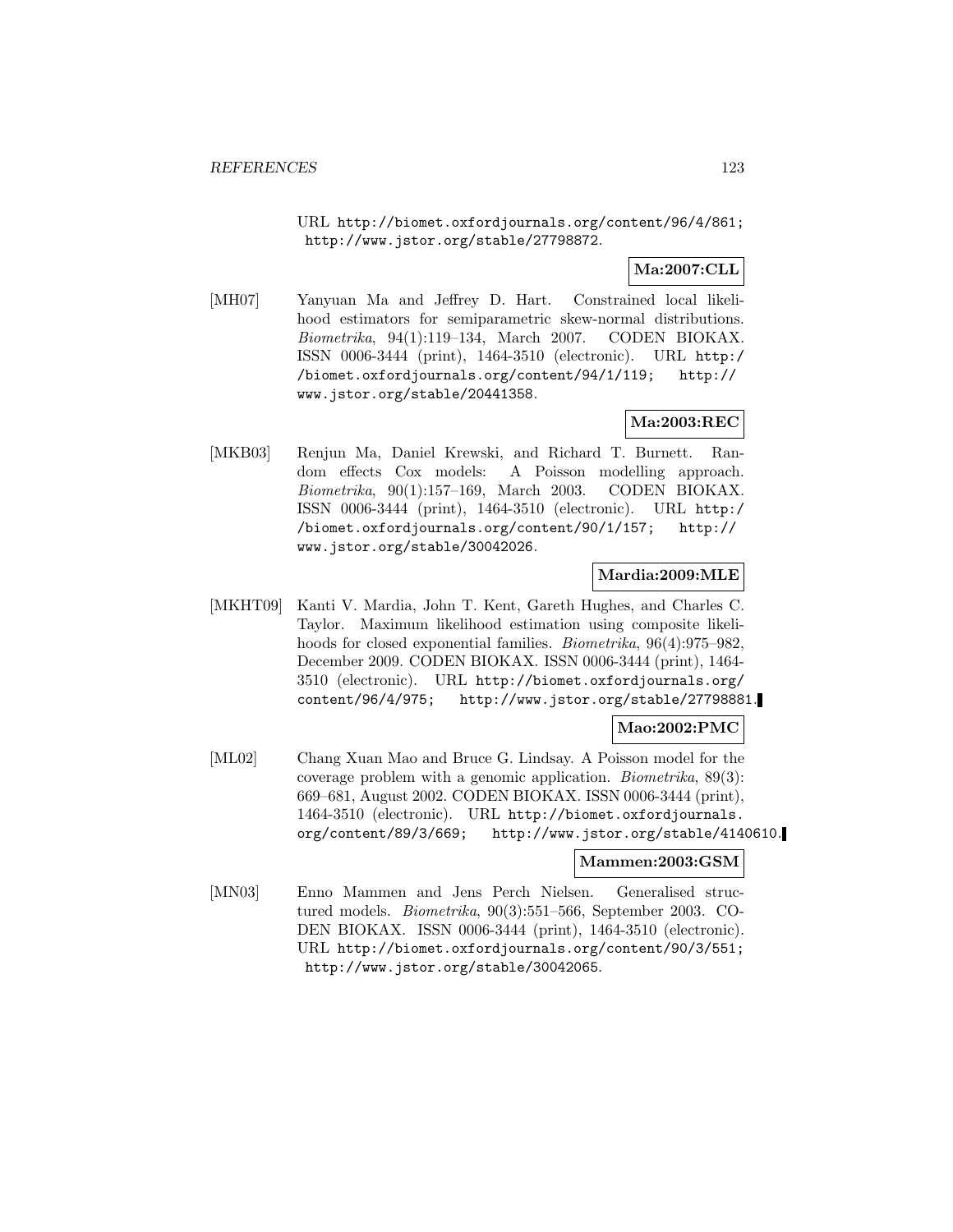URL http://biomet.oxfordjournals.org/content/96/4/861; http://www.jstor.org/stable/27798872.

## **Ma:2007:CLL**

[MH07] Yanyuan Ma and Jeffrey D. Hart. Constrained local likelihood estimators for semiparametric skew-normal distributions. Biometrika, 94(1):119–134, March 2007. CODEN BIOKAX. ISSN 0006-3444 (print), 1464-3510 (electronic). URL http:/ /biomet.oxfordjournals.org/content/94/1/119; http:// www.jstor.org/stable/20441358.

## **Ma:2003:REC**

[MKB03] Renjun Ma, Daniel Krewski, and Richard T. Burnett. Random effects Cox models: A Poisson modelling approach. Biometrika, 90(1):157–169, March 2003. CODEN BIOKAX. ISSN 0006-3444 (print), 1464-3510 (electronic). URL http:/ /biomet.oxfordjournals.org/content/90/1/157; http:// www.jstor.org/stable/30042026.

### **Mardia:2009:MLE**

[MKHT09] Kanti V. Mardia, John T. Kent, Gareth Hughes, and Charles C. Taylor. Maximum likelihood estimation using composite likelihoods for closed exponential families. *Biometrika*, 96(4):975–982, December 2009. CODEN BIOKAX. ISSN 0006-3444 (print), 1464- 3510 (electronic). URL http://biomet.oxfordjournals.org/ content/96/4/975; http://www.jstor.org/stable/27798881.

### **Mao:2002:PMC**

[ML02] Chang Xuan Mao and Bruce G. Lindsay. A Poisson model for the coverage problem with a genomic application. Biometrika, 89(3): 669–681, August 2002. CODEN BIOKAX. ISSN 0006-3444 (print), 1464-3510 (electronic). URL http://biomet.oxfordjournals. org/content/89/3/669; http://www.jstor.org/stable/4140610.

### **Mammen:2003:GSM**

[MN03] Enno Mammen and Jens Perch Nielsen. Generalised structured models. Biometrika, 90(3):551–566, September 2003. CO-DEN BIOKAX. ISSN 0006-3444 (print), 1464-3510 (electronic). URL http://biomet.oxfordjournals.org/content/90/3/551; http://www.jstor.org/stable/30042065.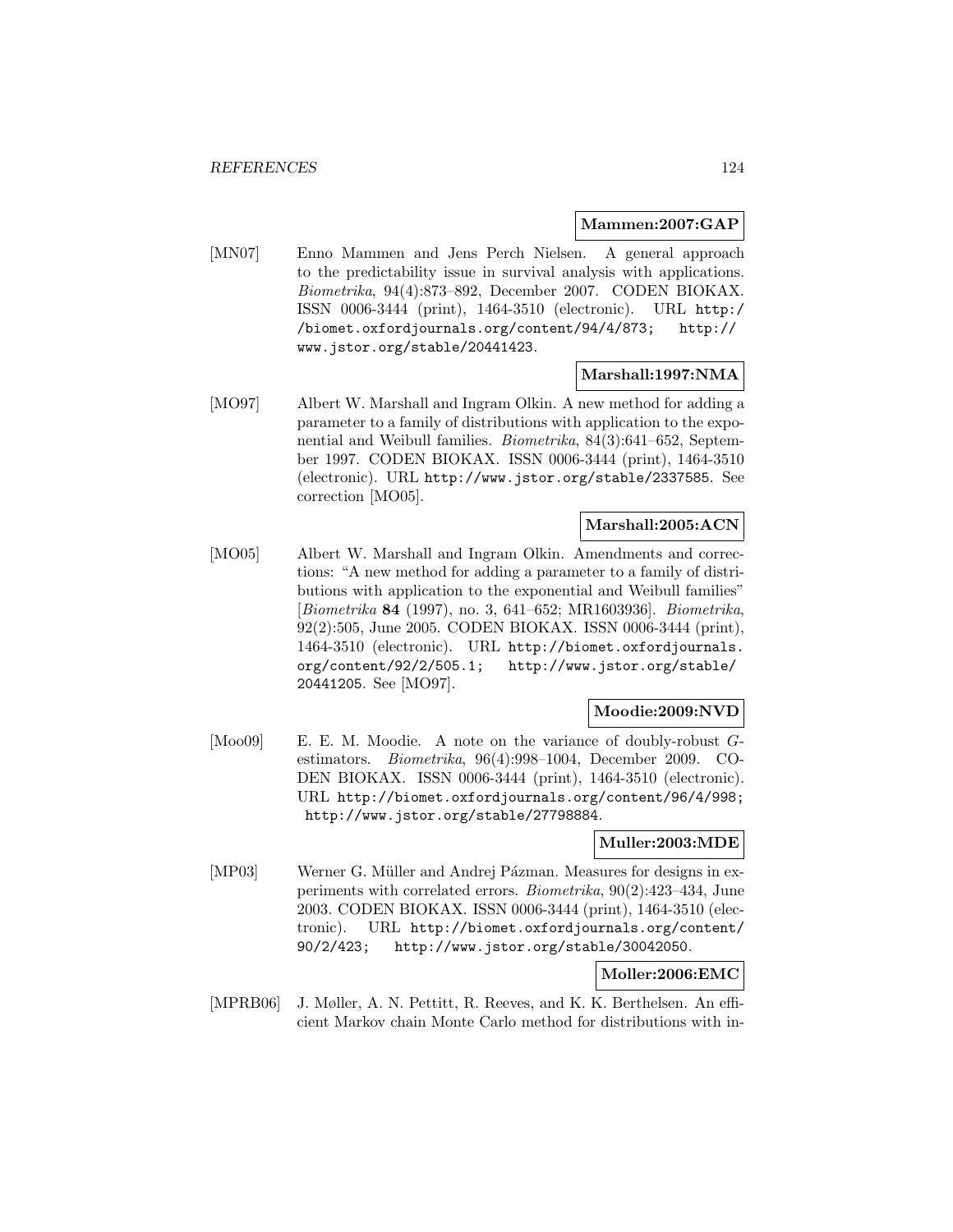### **Mammen:2007:GAP**

[MN07] Enno Mammen and Jens Perch Nielsen. A general approach to the predictability issue in survival analysis with applications. Biometrika, 94(4):873–892, December 2007. CODEN BIOKAX. ISSN 0006-3444 (print), 1464-3510 (electronic). URL http:/ /biomet.oxfordjournals.org/content/94/4/873; http:// www.jstor.org/stable/20441423.

## **Marshall:1997:NMA**

[MO97] Albert W. Marshall and Ingram Olkin. A new method for adding a parameter to a family of distributions with application to the exponential and Weibull families. Biometrika, 84(3):641–652, September 1997. CODEN BIOKAX. ISSN 0006-3444 (print), 1464-3510 (electronic). URL http://www.jstor.org/stable/2337585. See correction [MO05].

### **Marshall:2005:ACN**

[MO05] Albert W. Marshall and Ingram Olkin. Amendments and corrections: "A new method for adding a parameter to a family of distributions with application to the exponential and Weibull families" [Biometrika **84** (1997), no. 3, 641–652; MR1603936]. Biometrika, 92(2):505, June 2005. CODEN BIOKAX. ISSN 0006-3444 (print), 1464-3510 (electronic). URL http://biomet.oxfordjournals. org/content/92/2/505.1; http://www.jstor.org/stable/ 20441205. See [MO97].

### **Moodie:2009:NVD**

[Moo09] E. E. M. Moodie. A note on the variance of doubly-robust Gestimators. Biometrika, 96(4):998–1004, December 2009. CO-DEN BIOKAX. ISSN 0006-3444 (print), 1464-3510 (electronic). URL http://biomet.oxfordjournals.org/content/96/4/998; http://www.jstor.org/stable/27798884.

## **Muller:2003:MDE**

[MP03] Werner G. Müller and Andrej Pázman. Measures for designs in experiments with correlated errors. Biometrika, 90(2):423–434, June 2003. CODEN BIOKAX. ISSN 0006-3444 (print), 1464-3510 (electronic). URL http://biomet.oxfordjournals.org/content/ 90/2/423; http://www.jstor.org/stable/30042050.

## **Moller:2006:EMC**

[MPRB06] J. Møller, A. N. Pettitt, R. Reeves, and K. K. Berthelsen. An efficient Markov chain Monte Carlo method for distributions with in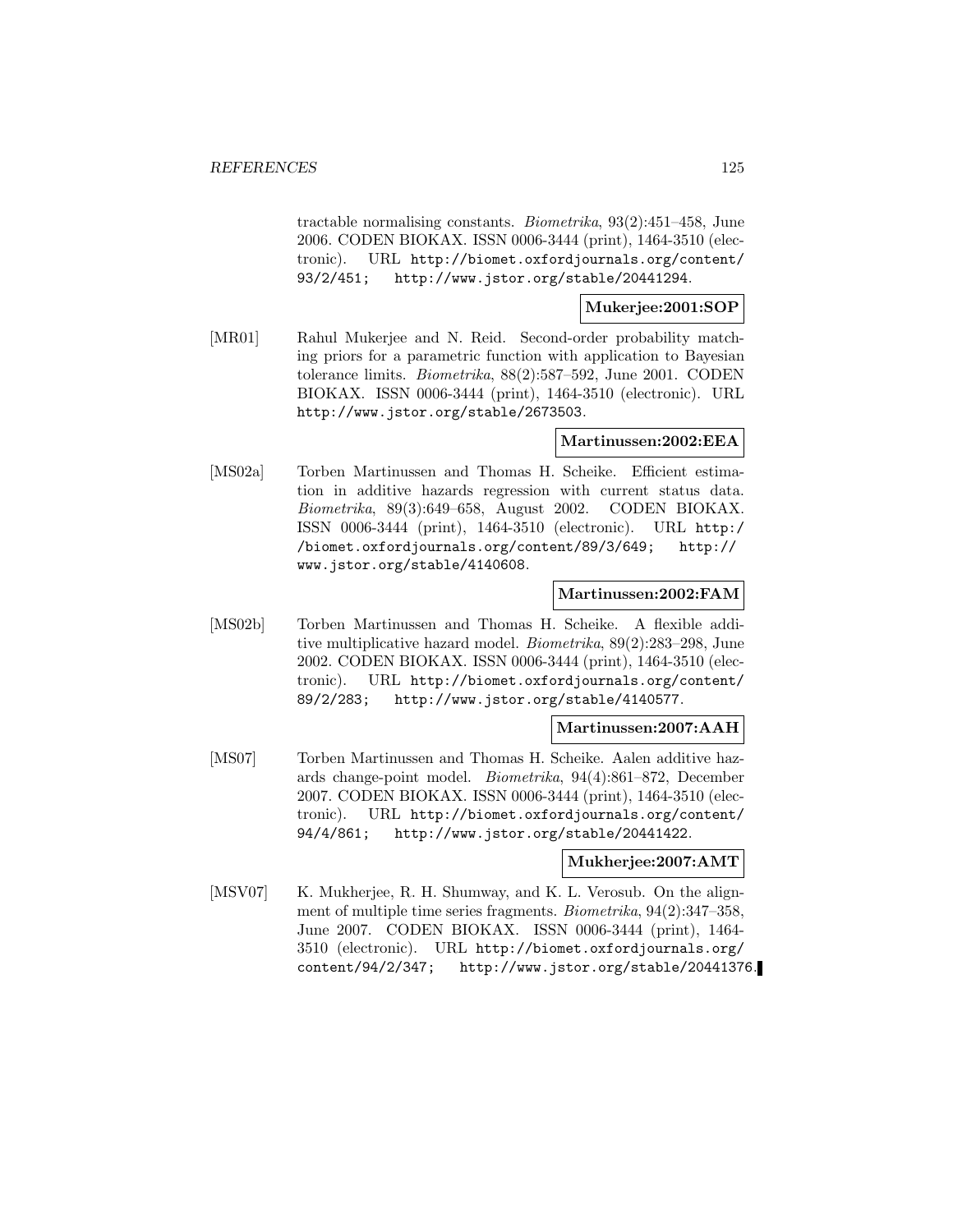tractable normalising constants. Biometrika, 93(2):451–458, June 2006. CODEN BIOKAX. ISSN 0006-3444 (print), 1464-3510 (electronic). URL http://biomet.oxfordjournals.org/content/ 93/2/451; http://www.jstor.org/stable/20441294.

### **Mukerjee:2001:SOP**

[MR01] Rahul Mukerjee and N. Reid. Second-order probability matching priors for a parametric function with application to Bayesian tolerance limits. Biometrika, 88(2):587–592, June 2001. CODEN BIOKAX. ISSN 0006-3444 (print), 1464-3510 (electronic). URL http://www.jstor.org/stable/2673503.

#### **Martinussen:2002:EEA**

[MS02a] Torben Martinussen and Thomas H. Scheike. Efficient estimation in additive hazards regression with current status data. Biometrika, 89(3):649–658, August 2002. CODEN BIOKAX. ISSN 0006-3444 (print), 1464-3510 (electronic). URL http:/ /biomet.oxfordjournals.org/content/89/3/649; http:// www.jstor.org/stable/4140608.

### **Martinussen:2002:FAM**

[MS02b] Torben Martinussen and Thomas H. Scheike. A flexible additive multiplicative hazard model. Biometrika, 89(2):283–298, June 2002. CODEN BIOKAX. ISSN 0006-3444 (print), 1464-3510 (electronic). URL http://biomet.oxfordjournals.org/content/ 89/2/283; http://www.jstor.org/stable/4140577.

### **Martinussen:2007:AAH**

[MS07] Torben Martinussen and Thomas H. Scheike. Aalen additive hazards change-point model. Biometrika, 94(4):861–872, December 2007. CODEN BIOKAX. ISSN 0006-3444 (print), 1464-3510 (electronic). URL http://biomet.oxfordjournals.org/content/ 94/4/861; http://www.jstor.org/stable/20441422.

#### **Mukherjee:2007:AMT**

[MSV07] K. Mukherjee, R. H. Shumway, and K. L. Verosub. On the alignment of multiple time series fragments. Biometrika, 94(2):347–358, June 2007. CODEN BIOKAX. ISSN 0006-3444 (print), 1464- 3510 (electronic). URL http://biomet.oxfordjournals.org/ content/94/2/347; http://www.jstor.org/stable/20441376.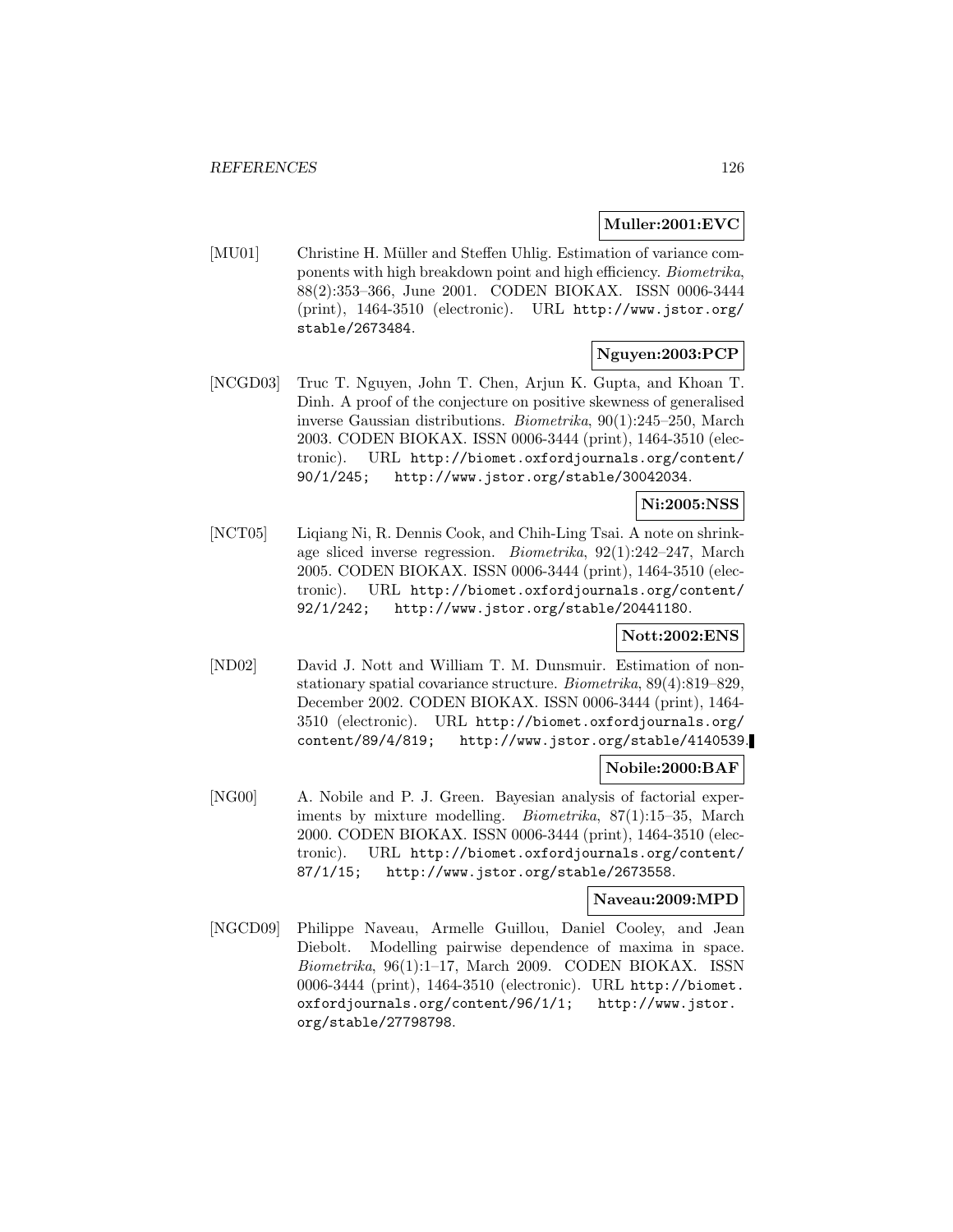### **Muller:2001:EVC**

[MU01] Christine H. Müller and Steffen Uhlig. Estimation of variance components with high breakdown point and high efficiency. Biometrika, 88(2):353–366, June 2001. CODEN BIOKAX. ISSN 0006-3444 (print), 1464-3510 (electronic). URL http://www.jstor.org/ stable/2673484.

## **Nguyen:2003:PCP**

[NCGD03] Truc T. Nguyen, John T. Chen, Arjun K. Gupta, and Khoan T. Dinh. A proof of the conjecture on positive skewness of generalised inverse Gaussian distributions. Biometrika, 90(1):245–250, March 2003. CODEN BIOKAX. ISSN 0006-3444 (print), 1464-3510 (electronic). URL http://biomet.oxfordjournals.org/content/ 90/1/245; http://www.jstor.org/stable/30042034.

## **Ni:2005:NSS**

[NCT05] Liqiang Ni, R. Dennis Cook, and Chih-Ling Tsai. A note on shrinkage sliced inverse regression. Biometrika, 92(1):242–247, March 2005. CODEN BIOKAX. ISSN 0006-3444 (print), 1464-3510 (electronic). URL http://biomet.oxfordjournals.org/content/ 92/1/242; http://www.jstor.org/stable/20441180.

### **Nott:2002:ENS**

[ND02] David J. Nott and William T. M. Dunsmuir. Estimation of nonstationary spatial covariance structure. Biometrika, 89(4):819–829, December 2002. CODEN BIOKAX. ISSN 0006-3444 (print), 1464- 3510 (electronic). URL http://biomet.oxfordjournals.org/ content/89/4/819; http://www.jstor.org/stable/4140539.

## **Nobile:2000:BAF**

[NG00] A. Nobile and P. J. Green. Bayesian analysis of factorial experiments by mixture modelling. Biometrika, 87(1):15–35, March 2000. CODEN BIOKAX. ISSN 0006-3444 (print), 1464-3510 (electronic). URL http://biomet.oxfordjournals.org/content/ 87/1/15; http://www.jstor.org/stable/2673558.

### **Naveau:2009:MPD**

[NGCD09] Philippe Naveau, Armelle Guillou, Daniel Cooley, and Jean Diebolt. Modelling pairwise dependence of maxima in space. Biometrika, 96(1):1–17, March 2009. CODEN BIOKAX. ISSN 0006-3444 (print), 1464-3510 (electronic). URL http://biomet. oxfordjournals.org/content/96/1/1; http://www.jstor. org/stable/27798798.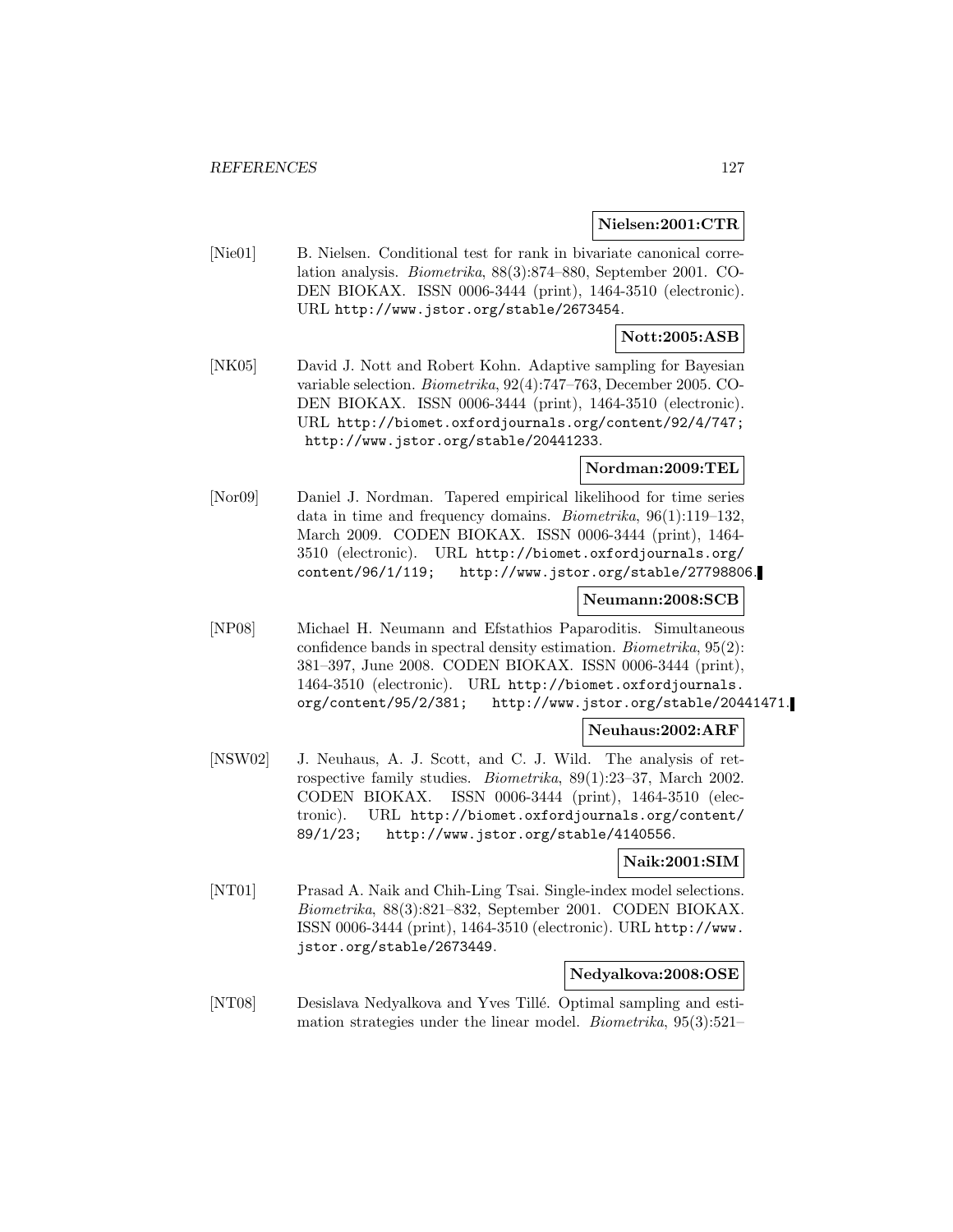#### **Nielsen:2001:CTR**

[Nie01] B. Nielsen. Conditional test for rank in bivariate canonical correlation analysis. Biometrika, 88(3):874–880, September 2001. CO-DEN BIOKAX. ISSN 0006-3444 (print), 1464-3510 (electronic). URL http://www.jstor.org/stable/2673454.

## **Nott:2005:ASB**

[NK05] David J. Nott and Robert Kohn. Adaptive sampling for Bayesian variable selection. Biometrika, 92(4):747–763, December 2005. CO-DEN BIOKAX. ISSN 0006-3444 (print), 1464-3510 (electronic). URL http://biomet.oxfordjournals.org/content/92/4/747; http://www.jstor.org/stable/20441233.

### **Nordman:2009:TEL**

[Nor09] Daniel J. Nordman. Tapered empirical likelihood for time series data in time and frequency domains. Biometrika, 96(1):119–132, March 2009. CODEN BIOKAX. ISSN 0006-3444 (print), 1464- 3510 (electronic). URL http://biomet.oxfordjournals.org/ content/96/1/119; http://www.jstor.org/stable/27798806.

### **Neumann:2008:SCB**

[NP08] Michael H. Neumann and Efstathios Paparoditis. Simultaneous confidence bands in spectral density estimation. Biometrika, 95(2): 381–397, June 2008. CODEN BIOKAX. ISSN 0006-3444 (print), 1464-3510 (electronic). URL http://biomet.oxfordjournals. org/content/95/2/381; http://www.jstor.org/stable/20441471.

### **Neuhaus:2002:ARF**

[NSW02] J. Neuhaus, A. J. Scott, and C. J. Wild. The analysis of retrospective family studies. Biometrika, 89(1):23–37, March 2002. CODEN BIOKAX. ISSN 0006-3444 (print), 1464-3510 (electronic). URL http://biomet.oxfordjournals.org/content/ 89/1/23; http://www.jstor.org/stable/4140556.

## **Naik:2001:SIM**

[NT01] Prasad A. Naik and Chih-Ling Tsai. Single-index model selections. Biometrika, 88(3):821–832, September 2001. CODEN BIOKAX. ISSN 0006-3444 (print), 1464-3510 (electronic). URL http://www. jstor.org/stable/2673449.

### **Nedyalkova:2008:OSE**

[NT08] Desislava Nedyalkova and Yves Tillé. Optimal sampling and estimation strategies under the linear model. Biometrika, 95(3):521–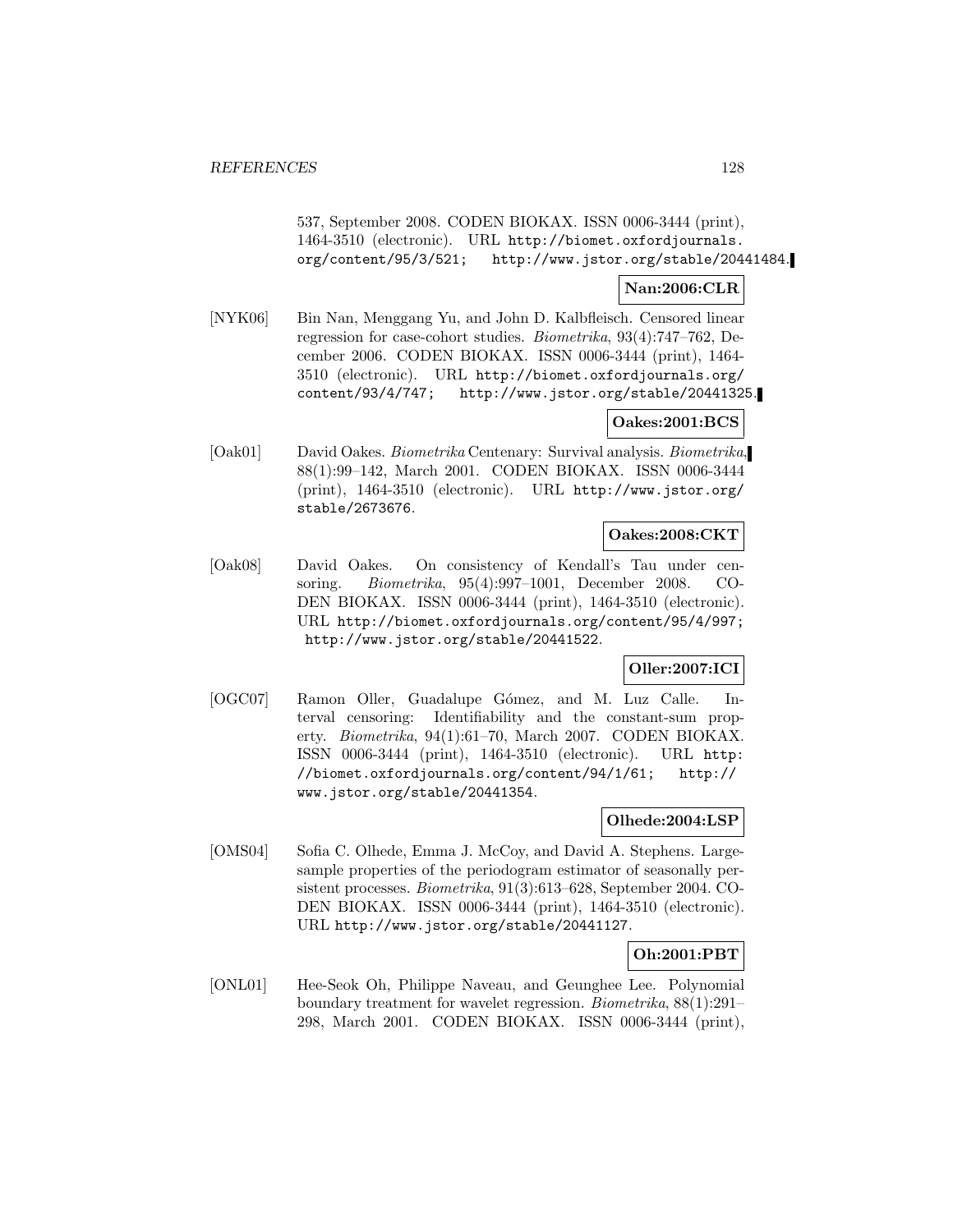537, September 2008. CODEN BIOKAX. ISSN 0006-3444 (print), 1464-3510 (electronic). URL http://biomet.oxfordjournals. org/content/95/3/521; http://www.jstor.org/stable/20441484.

## **Nan:2006:CLR**

[NYK06] Bin Nan, Menggang Yu, and John D. Kalbfleisch. Censored linear regression for case-cohort studies. Biometrika, 93(4):747–762, December 2006. CODEN BIOKAX. ISSN 0006-3444 (print), 1464- 3510 (electronic). URL http://biomet.oxfordjournals.org/ content/93/4/747; http://www.jstor.org/stable/20441325.

### **Oakes:2001:BCS**

[Oak01] David Oakes. Biometrika Centenary: Survival analysis. Biometrika, 88(1):99–142, March 2001. CODEN BIOKAX. ISSN 0006-3444 (print), 1464-3510 (electronic). URL http://www.jstor.org/ stable/2673676.

### **Oakes:2008:CKT**

[Oak08] David Oakes. On consistency of Kendall's Tau under censoring. Biometrika, 95(4):997–1001, December 2008. CO-DEN BIOKAX. ISSN 0006-3444 (print), 1464-3510 (electronic). URL http://biomet.oxfordjournals.org/content/95/4/997; http://www.jstor.org/stable/20441522.

## **Oller:2007:ICI**

[OGC07] Ramon Oller, Guadalupe Gómez, and M. Luz Calle. Interval censoring: Identifiability and the constant-sum property. Biometrika, 94(1):61–70, March 2007. CODEN BIOKAX. ISSN 0006-3444 (print), 1464-3510 (electronic). URL http: //biomet.oxfordjournals.org/content/94/1/61; http:// www.jstor.org/stable/20441354.

## **Olhede:2004:LSP**

[OMS04] Sofia C. Olhede, Emma J. McCoy, and David A. Stephens. Largesample properties of the periodogram estimator of seasonally persistent processes. Biometrika, 91(3):613–628, September 2004. CO-DEN BIOKAX. ISSN 0006-3444 (print), 1464-3510 (electronic). URL http://www.jstor.org/stable/20441127.

### **Oh:2001:PBT**

[ONL01] Hee-Seok Oh, Philippe Naveau, and Geunghee Lee. Polynomial boundary treatment for wavelet regression. Biometrika, 88(1):291– 298, March 2001. CODEN BIOKAX. ISSN 0006-3444 (print),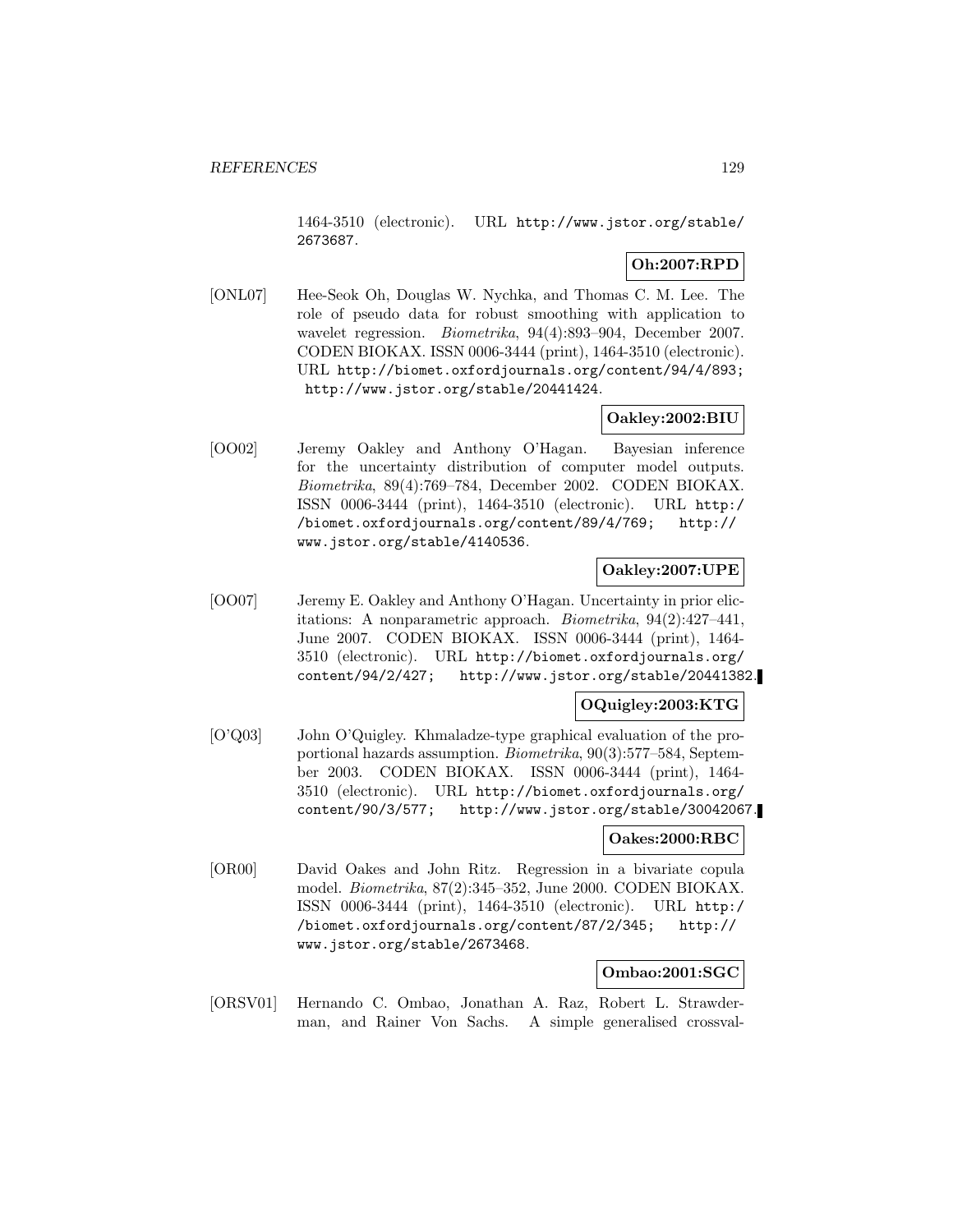1464-3510 (electronic). URL http://www.jstor.org/stable/ 2673687.

## **Oh:2007:RPD**

[ONL07] Hee-Seok Oh, Douglas W. Nychka, and Thomas C. M. Lee. The role of pseudo data for robust smoothing with application to wavelet regression. Biometrika, 94(4):893–904, December 2007. CODEN BIOKAX. ISSN 0006-3444 (print), 1464-3510 (electronic). URL http://biomet.oxfordjournals.org/content/94/4/893; http://www.jstor.org/stable/20441424.

## **Oakley:2002:BIU**

[OO02] Jeremy Oakley and Anthony O'Hagan. Bayesian inference for the uncertainty distribution of computer model outputs. Biometrika, 89(4):769–784, December 2002. CODEN BIOKAX. ISSN 0006-3444 (print), 1464-3510 (electronic). URL http:/ /biomet.oxfordjournals.org/content/89/4/769; http:// www.jstor.org/stable/4140536.

## **Oakley:2007:UPE**

[OO07] Jeremy E. Oakley and Anthony O'Hagan. Uncertainty in prior elicitations: A nonparametric approach. Biometrika, 94(2):427–441, June 2007. CODEN BIOKAX. ISSN 0006-3444 (print), 1464- 3510 (electronic). URL http://biomet.oxfordjournals.org/ content/94/2/427; http://www.jstor.org/stable/20441382.

## **OQuigley:2003:KTG**

[O'Q03] John O'Quigley. Khmaladze-type graphical evaluation of the proportional hazards assumption. Biometrika, 90(3):577–584, September 2003. CODEN BIOKAX. ISSN 0006-3444 (print), 1464- 3510 (electronic). URL http://biomet.oxfordjournals.org/ content/90/3/577; http://www.jstor.org/stable/30042067.

### **Oakes:2000:RBC**

[OR00] David Oakes and John Ritz. Regression in a bivariate copula model. Biometrika, 87(2):345–352, June 2000. CODEN BIOKAX. ISSN 0006-3444 (print), 1464-3510 (electronic). URL http:/ /biomet.oxfordjournals.org/content/87/2/345; http:// www.jstor.org/stable/2673468.

### **Ombao:2001:SGC**

[ORSV01] Hernando C. Ombao, Jonathan A. Raz, Robert L. Strawderman, and Rainer Von Sachs. A simple generalised crossval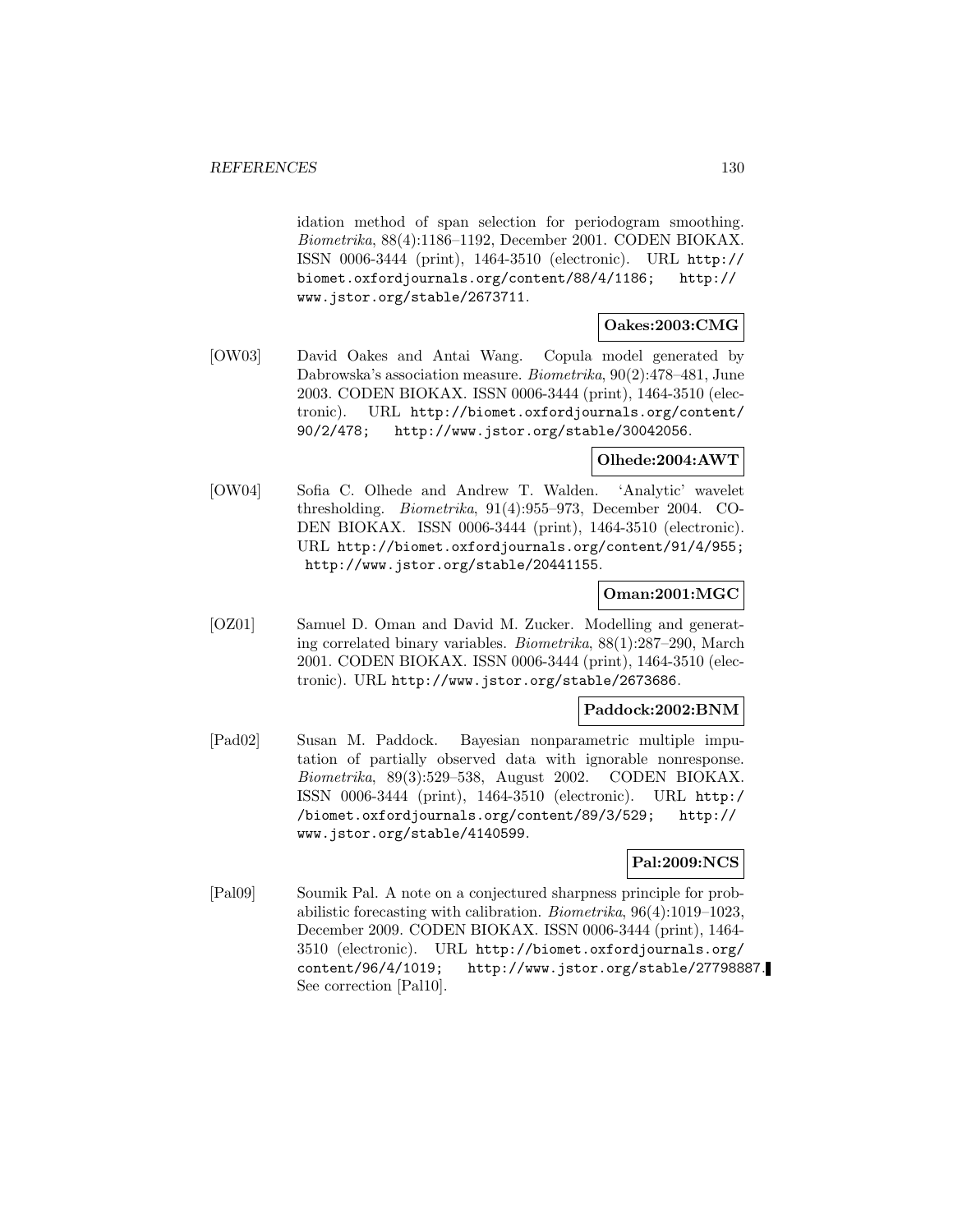idation method of span selection for periodogram smoothing. Biometrika, 88(4):1186–1192, December 2001. CODEN BIOKAX. ISSN 0006-3444 (print), 1464-3510 (electronic). URL http:// biomet.oxfordjournals.org/content/88/4/1186; http:// www.jstor.org/stable/2673711.

## **Oakes:2003:CMG**

[OW03] David Oakes and Antai Wang. Copula model generated by Dabrowska's association measure. Biometrika, 90(2):478–481, June 2003. CODEN BIOKAX. ISSN 0006-3444 (print), 1464-3510 (electronic). URL http://biomet.oxfordjournals.org/content/ 90/2/478; http://www.jstor.org/stable/30042056.

## **Olhede:2004:AWT**

[OW04] Sofia C. Olhede and Andrew T. Walden. 'Analytic' wavelet thresholding. Biometrika, 91(4):955–973, December 2004. CO-DEN BIOKAX. ISSN 0006-3444 (print), 1464-3510 (electronic). URL http://biomet.oxfordjournals.org/content/91/4/955; http://www.jstor.org/stable/20441155.

### **Oman:2001:MGC**

[OZ01] Samuel D. Oman and David M. Zucker. Modelling and generating correlated binary variables. Biometrika, 88(1):287–290, March 2001. CODEN BIOKAX. ISSN 0006-3444 (print), 1464-3510 (electronic). URL http://www.jstor.org/stable/2673686.

### **Paddock:2002:BNM**

[Pad02] Susan M. Paddock. Bayesian nonparametric multiple imputation of partially observed data with ignorable nonresponse. Biometrika, 89(3):529–538, August 2002. CODEN BIOKAX. ISSN 0006-3444 (print), 1464-3510 (electronic). URL http:/ /biomet.oxfordjournals.org/content/89/3/529; http:// www.jstor.org/stable/4140599.

## **Pal:2009:NCS**

[Pal09] Soumik Pal. A note on a conjectured sharpness principle for probabilistic forecasting with calibration. Biometrika, 96(4):1019–1023, December 2009. CODEN BIOKAX. ISSN 0006-3444 (print), 1464- 3510 (electronic). URL http://biomet.oxfordjournals.org/ content/96/4/1019; http://www.jstor.org/stable/27798887. See correction [Pal10].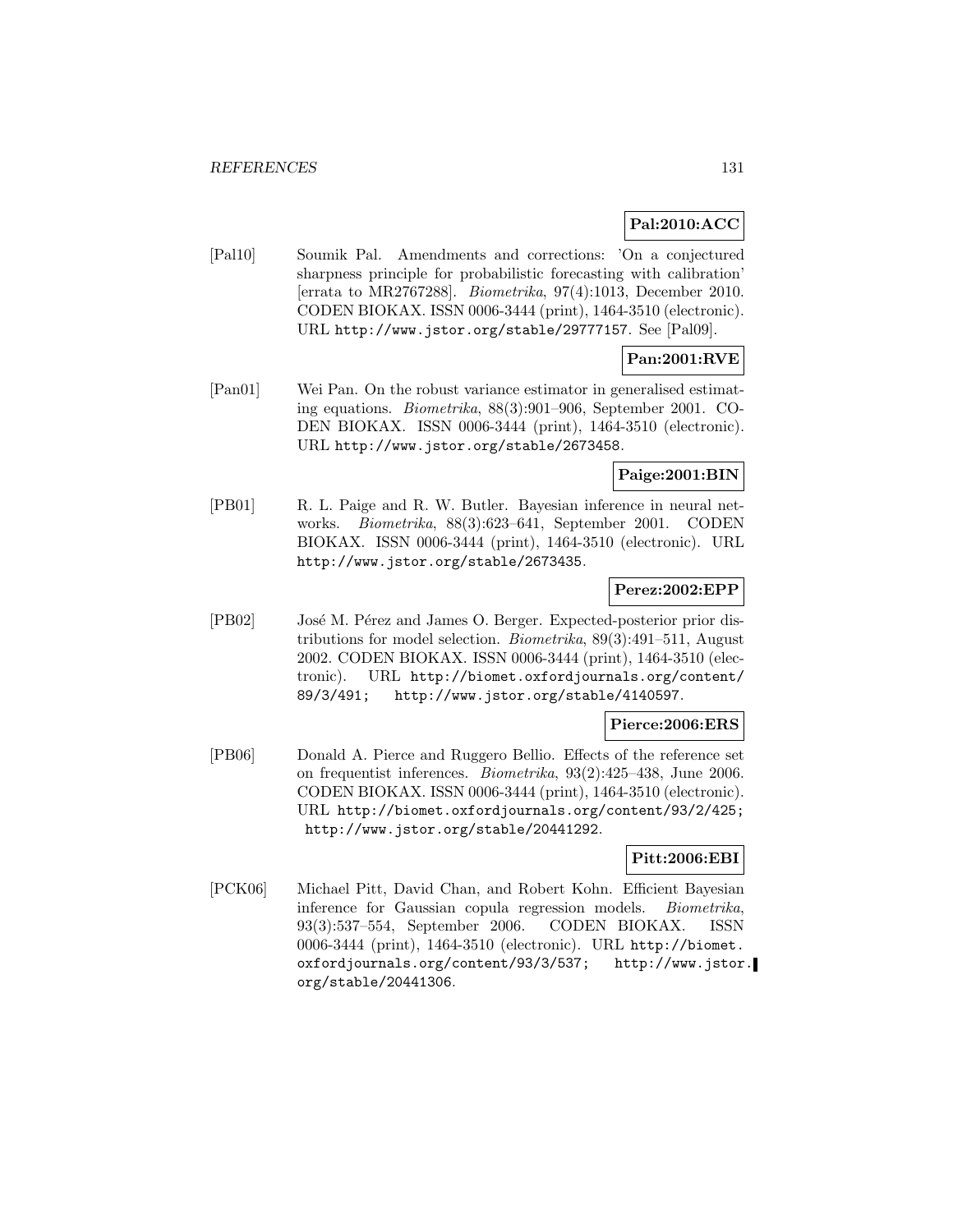## **Pal:2010:ACC**

[Pal10] Soumik Pal. Amendments and corrections: 'On a conjectured sharpness principle for probabilistic forecasting with calibration' [errata to MR2767288]. Biometrika, 97(4):1013, December 2010. CODEN BIOKAX. ISSN 0006-3444 (print), 1464-3510 (electronic). URL http://www.jstor.org/stable/29777157. See [Pal09].

# **Pan:2001:RVE**

[Pan01] Wei Pan. On the robust variance estimator in generalised estimating equations. Biometrika, 88(3):901–906, September 2001. CO-DEN BIOKAX. ISSN 0006-3444 (print), 1464-3510 (electronic). URL http://www.jstor.org/stable/2673458.

### **Paige:2001:BIN**

[PB01] R. L. Paige and R. W. Butler. Bayesian inference in neural networks. Biometrika, 88(3):623–641, September 2001. CODEN BIOKAX. ISSN 0006-3444 (print), 1464-3510 (electronic). URL http://www.jstor.org/stable/2673435.

## **Perez:2002:EPP**

[PB02] José M. Pérez and James O. Berger. Expected-posterior prior distributions for model selection. Biometrika, 89(3):491–511, August 2002. CODEN BIOKAX. ISSN 0006-3444 (print), 1464-3510 (electronic). URL http://biomet.oxfordjournals.org/content/ 89/3/491; http://www.jstor.org/stable/4140597.

### **Pierce:2006:ERS**

[PB06] Donald A. Pierce and Ruggero Bellio. Effects of the reference set on frequentist inferences. Biometrika, 93(2):425–438, June 2006. CODEN BIOKAX. ISSN 0006-3444 (print), 1464-3510 (electronic). URL http://biomet.oxfordjournals.org/content/93/2/425; http://www.jstor.org/stable/20441292.

## **Pitt:2006:EBI**

[PCK06] Michael Pitt, David Chan, and Robert Kohn. Efficient Bayesian inference for Gaussian copula regression models. Biometrika, 93(3):537–554, September 2006. CODEN BIOKAX. ISSN 0006-3444 (print), 1464-3510 (electronic). URL http://biomet. oxfordjournals.org/content/93/3/537; http://www.jstor. org/stable/20441306.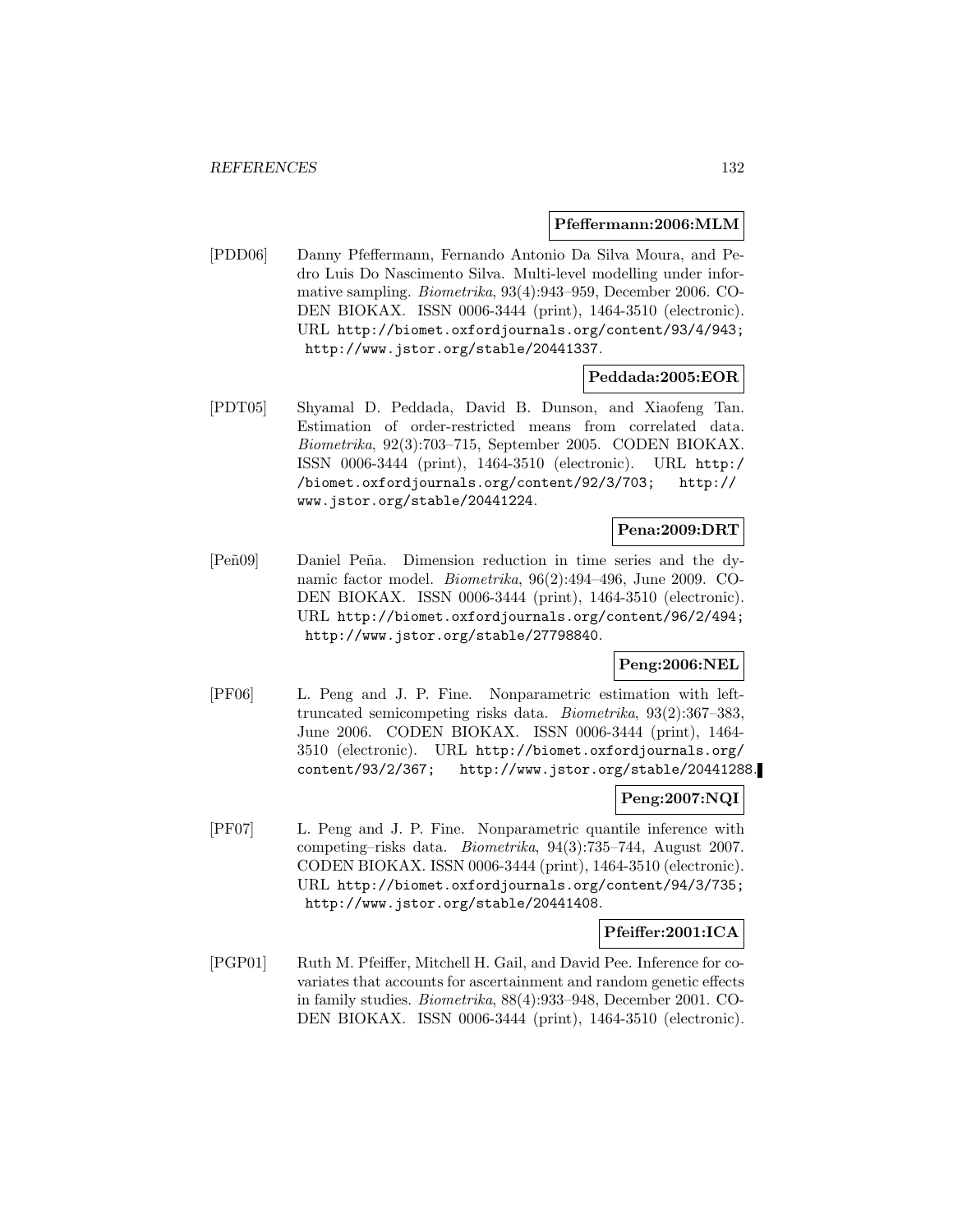#### **Pfeffermann:2006:MLM**

[PDD06] Danny Pfeffermann, Fernando Antonio Da Silva Moura, and Pedro Luis Do Nascimento Silva. Multi-level modelling under informative sampling. Biometrika, 93(4):943–959, December 2006. CO-DEN BIOKAX. ISSN 0006-3444 (print), 1464-3510 (electronic). URL http://biomet.oxfordjournals.org/content/93/4/943; http://www.jstor.org/stable/20441337.

### **Peddada:2005:EOR**

[PDT05] Shyamal D. Peddada, David B. Dunson, and Xiaofeng Tan. Estimation of order-restricted means from correlated data. Biometrika, 92(3):703–715, September 2005. CODEN BIOKAX. ISSN 0006-3444 (print), 1464-3510 (electronic). URL http:/ /biomet.oxfordjournals.org/content/92/3/703; http:// www.jstor.org/stable/20441224.

## **Pena:2009:DRT**

[Peñ09] Daniel Peña. Dimension reduction in time series and the dynamic factor model. Biometrika, 96(2):494–496, June 2009. CO-DEN BIOKAX. ISSN 0006-3444 (print), 1464-3510 (electronic). URL http://biomet.oxfordjournals.org/content/96/2/494; http://www.jstor.org/stable/27798840.

## **Peng:2006:NEL**

[PF06] L. Peng and J. P. Fine. Nonparametric estimation with lefttruncated semicompeting risks data. Biometrika, 93(2):367–383, June 2006. CODEN BIOKAX. ISSN 0006-3444 (print), 1464- 3510 (electronic). URL http://biomet.oxfordjournals.org/ content/93/2/367; http://www.jstor.org/stable/20441288.

#### **Peng:2007:NQI**

[PF07] L. Peng and J. P. Fine. Nonparametric quantile inference with competing–risks data. Biometrika, 94(3):735–744, August 2007. CODEN BIOKAX. ISSN 0006-3444 (print), 1464-3510 (electronic). URL http://biomet.oxfordjournals.org/content/94/3/735; http://www.jstor.org/stable/20441408.

### **Pfeiffer:2001:ICA**

[PGP01] Ruth M. Pfeiffer, Mitchell H. Gail, and David Pee. Inference for covariates that accounts for ascertainment and random genetic effects in family studies. Biometrika, 88(4):933–948, December 2001. CO-DEN BIOKAX. ISSN 0006-3444 (print), 1464-3510 (electronic).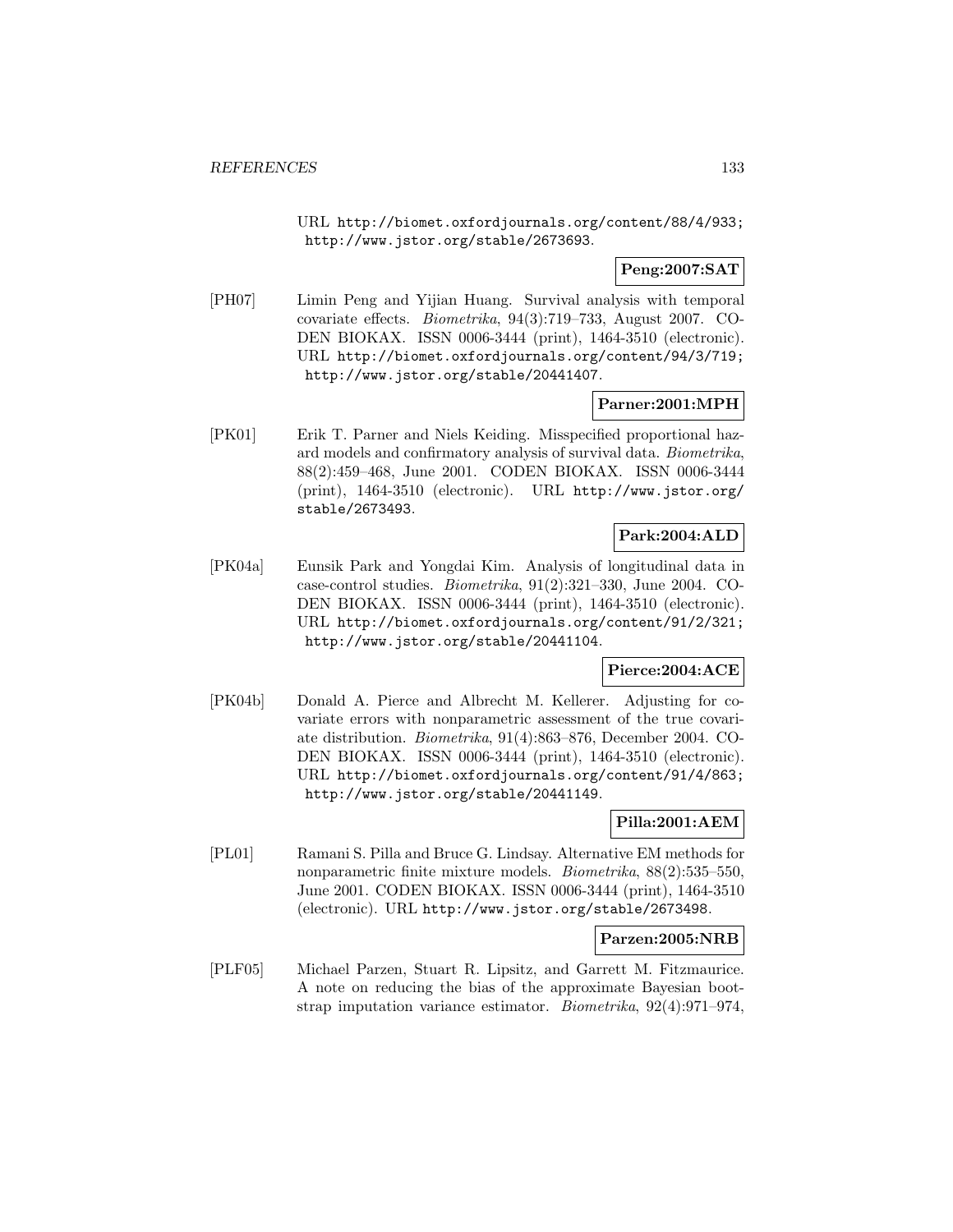URL http://biomet.oxfordjournals.org/content/88/4/933; http://www.jstor.org/stable/2673693.

**Peng:2007:SAT**

[PH07] Limin Peng and Yijian Huang. Survival analysis with temporal covariate effects. Biometrika, 94(3):719–733, August 2007. CO-DEN BIOKAX. ISSN 0006-3444 (print), 1464-3510 (electronic). URL http://biomet.oxfordjournals.org/content/94/3/719; http://www.jstor.org/stable/20441407.

## **Parner:2001:MPH**

[PK01] Erik T. Parner and Niels Keiding. Misspecified proportional hazard models and confirmatory analysis of survival data. Biometrika, 88(2):459–468, June 2001. CODEN BIOKAX. ISSN 0006-3444 (print), 1464-3510 (electronic). URL http://www.jstor.org/ stable/2673493.

## **Park:2004:ALD**

[PK04a] Eunsik Park and Yongdai Kim. Analysis of longitudinal data in case-control studies. Biometrika, 91(2):321–330, June 2004. CO-DEN BIOKAX. ISSN 0006-3444 (print), 1464-3510 (electronic). URL http://biomet.oxfordjournals.org/content/91/2/321; http://www.jstor.org/stable/20441104.

### **Pierce:2004:ACE**

[PK04b] Donald A. Pierce and Albrecht M. Kellerer. Adjusting for covariate errors with nonparametric assessment of the true covariate distribution. Biometrika, 91(4):863–876, December 2004. CO-DEN BIOKAX. ISSN 0006-3444 (print), 1464-3510 (electronic). URL http://biomet.oxfordjournals.org/content/91/4/863; http://www.jstor.org/stable/20441149.

### **Pilla:2001:AEM**

[PL01] Ramani S. Pilla and Bruce G. Lindsay. Alternative EM methods for nonparametric finite mixture models. Biometrika, 88(2):535–550, June 2001. CODEN BIOKAX. ISSN 0006-3444 (print), 1464-3510 (electronic). URL http://www.jstor.org/stable/2673498.

### **Parzen:2005:NRB**

[PLF05] Michael Parzen, Stuart R. Lipsitz, and Garrett M. Fitzmaurice. A note on reducing the bias of the approximate Bayesian bootstrap imputation variance estimator. Biometrika, 92(4):971–974,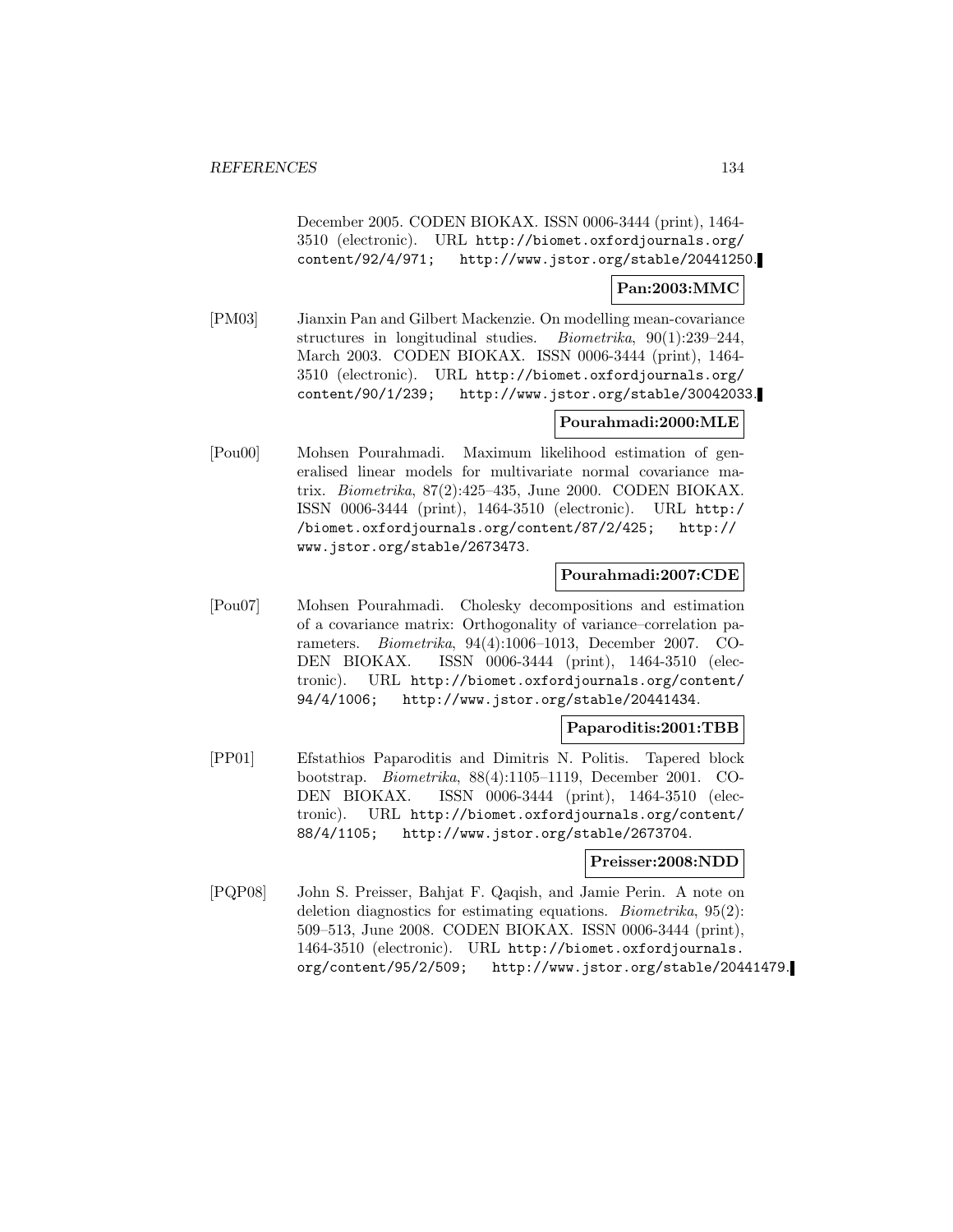December 2005. CODEN BIOKAX. ISSN 0006-3444 (print), 1464- 3510 (electronic). URL http://biomet.oxfordjournals.org/ content/92/4/971; http://www.jstor.org/stable/20441250.

#### **Pan:2003:MMC**

[PM03] Jianxin Pan and Gilbert Mackenzie. On modelling mean-covariance structures in longitudinal studies. Biometrika, 90(1):239–244, March 2003. CODEN BIOKAX. ISSN 0006-3444 (print), 1464- 3510 (electronic). URL http://biomet.oxfordjournals.org/ content/90/1/239; http://www.jstor.org/stable/30042033.

### **Pourahmadi:2000:MLE**

[Pou00] Mohsen Pourahmadi. Maximum likelihood estimation of generalised linear models for multivariate normal covariance matrix. Biometrika, 87(2):425–435, June 2000. CODEN BIOKAX. ISSN 0006-3444 (print), 1464-3510 (electronic). URL http:/ /biomet.oxfordjournals.org/content/87/2/425; http:// www.jstor.org/stable/2673473.

## **Pourahmadi:2007:CDE**

[Pou07] Mohsen Pourahmadi. Cholesky decompositions and estimation of a covariance matrix: Orthogonality of variance–correlation parameters. Biometrika, 94(4):1006–1013, December 2007. CO-DEN BIOKAX. ISSN 0006-3444 (print), 1464-3510 (electronic). URL http://biomet.oxfordjournals.org/content/ 94/4/1006; http://www.jstor.org/stable/20441434.

### **Paparoditis:2001:TBB**

[PP01] Efstathios Paparoditis and Dimitris N. Politis. Tapered block bootstrap. Biometrika, 88(4):1105–1119, December 2001. CO-DEN BIOKAX. ISSN 0006-3444 (print), 1464-3510 (electronic). URL http://biomet.oxfordjournals.org/content/ 88/4/1105; http://www.jstor.org/stable/2673704.

#### **Preisser:2008:NDD**

[PQP08] John S. Preisser, Bahjat F. Qaqish, and Jamie Perin. A note on deletion diagnostics for estimating equations. Biometrika, 95(2): 509–513, June 2008. CODEN BIOKAX. ISSN 0006-3444 (print), 1464-3510 (electronic). URL http://biomet.oxfordjournals. org/content/95/2/509; http://www.jstor.org/stable/20441479.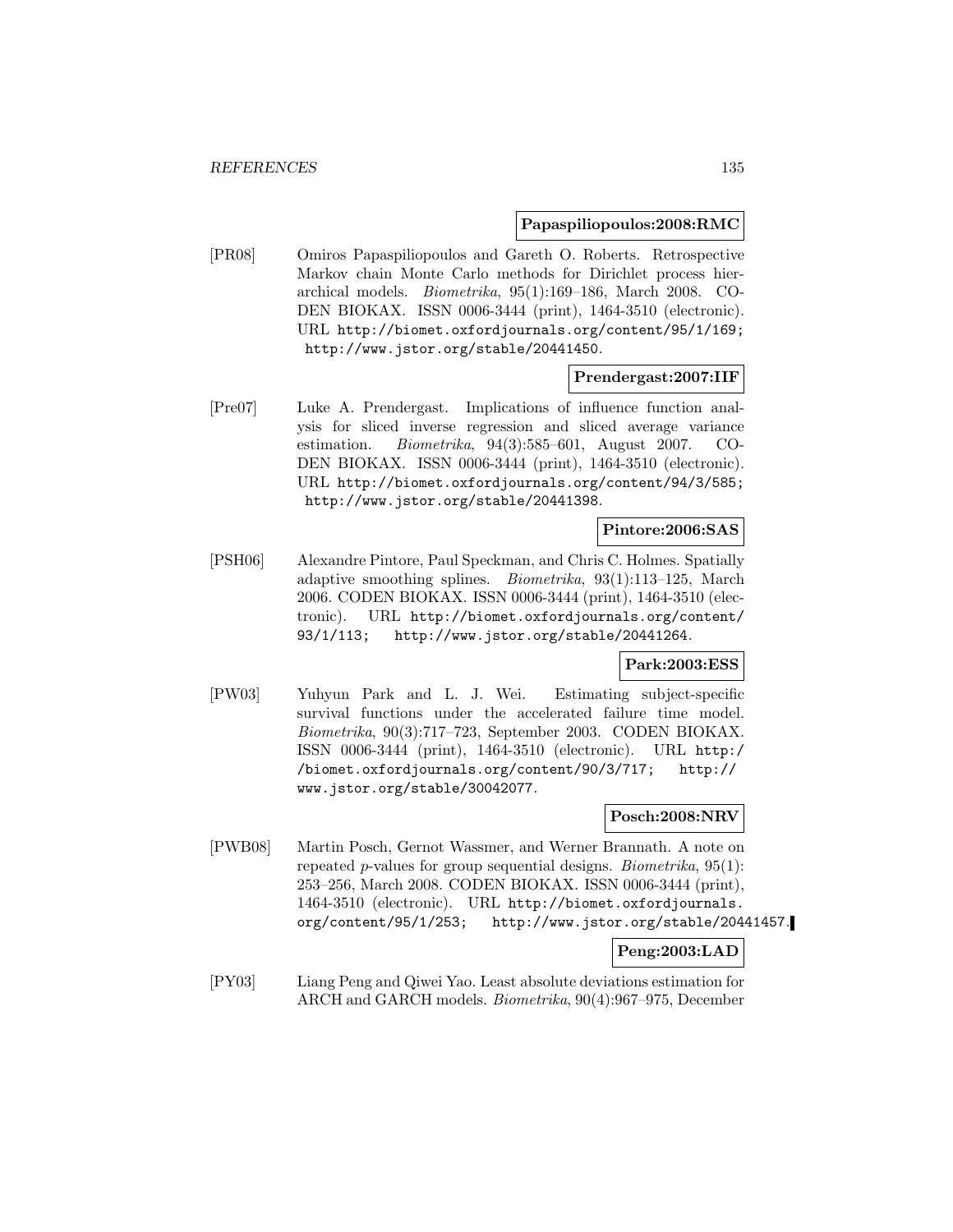#### **Papaspiliopoulos:2008:RMC**

[PR08] Omiros Papaspiliopoulos and Gareth O. Roberts. Retrospective Markov chain Monte Carlo methods for Dirichlet process hierarchical models. Biometrika, 95(1):169–186, March 2008. CO-DEN BIOKAX. ISSN 0006-3444 (print), 1464-3510 (electronic). URL http://biomet.oxfordjournals.org/content/95/1/169; http://www.jstor.org/stable/20441450.

### **Prendergast:2007:IIF**

[Pre07] Luke A. Prendergast. Implications of influence function analysis for sliced inverse regression and sliced average variance estimation. Biometrika, 94(3):585–601, August 2007. CO-DEN BIOKAX. ISSN 0006-3444 (print), 1464-3510 (electronic). URL http://biomet.oxfordjournals.org/content/94/3/585; http://www.jstor.org/stable/20441398.

## **Pintore:2006:SAS**

[PSH06] Alexandre Pintore, Paul Speckman, and Chris C. Holmes. Spatially adaptive smoothing splines. Biometrika, 93(1):113–125, March 2006. CODEN BIOKAX. ISSN 0006-3444 (print), 1464-3510 (electronic). URL http://biomet.oxfordjournals.org/content/ 93/1/113; http://www.jstor.org/stable/20441264.

### **Park:2003:ESS**

[PW03] Yuhyun Park and L. J. Wei. Estimating subject-specific survival functions under the accelerated failure time model. Biometrika, 90(3):717–723, September 2003. CODEN BIOKAX. ISSN 0006-3444 (print), 1464-3510 (electronic). URL http:/ /biomet.oxfordjournals.org/content/90/3/717; http:// www.jstor.org/stable/30042077.

## **Posch:2008:NRV**

[PWB08] Martin Posch, Gernot Wassmer, and Werner Brannath. A note on repeated *p*-values for group sequential designs. *Biometrika*,  $95(1)$ : 253–256, March 2008. CODEN BIOKAX. ISSN 0006-3444 (print), 1464-3510 (electronic). URL http://biomet.oxfordjournals. org/content/95/1/253; http://www.jstor.org/stable/20441457.

#### **Peng:2003:LAD**

[PY03] Liang Peng and Qiwei Yao. Least absolute deviations estimation for ARCH and GARCH models. Biometrika, 90(4):967–975, December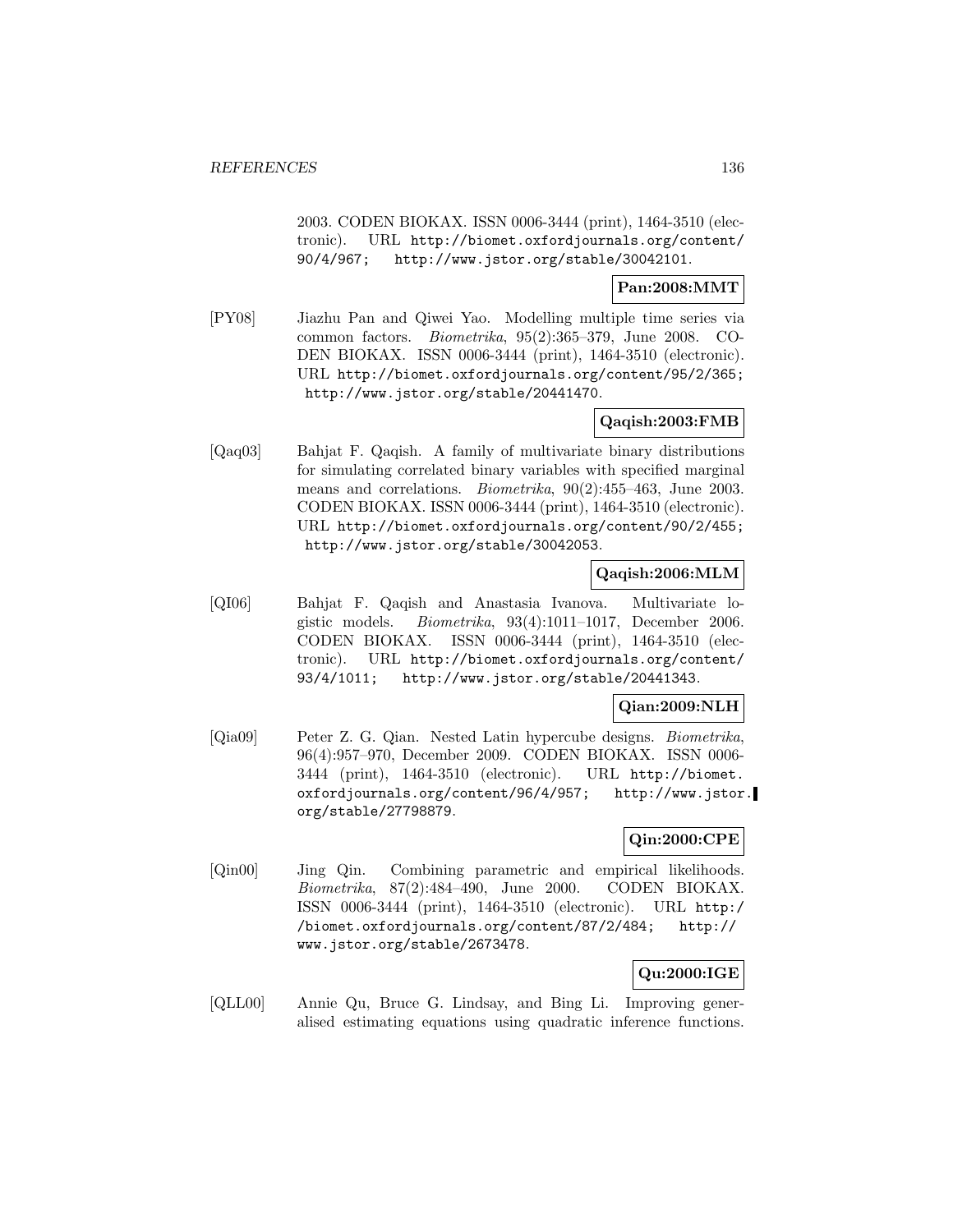2003. CODEN BIOKAX. ISSN 0006-3444 (print), 1464-3510 (electronic). URL http://biomet.oxfordjournals.org/content/ 90/4/967; http://www.jstor.org/stable/30042101.

### **Pan:2008:MMT**

[PY08] Jiazhu Pan and Qiwei Yao. Modelling multiple time series via common factors. Biometrika, 95(2):365–379, June 2008. CO-DEN BIOKAX. ISSN 0006-3444 (print), 1464-3510 (electronic). URL http://biomet.oxfordjournals.org/content/95/2/365; http://www.jstor.org/stable/20441470.

### **Qaqish:2003:FMB**

[Qaq03] Bahjat F. Qaqish. A family of multivariate binary distributions for simulating correlated binary variables with specified marginal means and correlations. Biometrika, 90(2):455–463, June 2003. CODEN BIOKAX. ISSN 0006-3444 (print), 1464-3510 (electronic). URL http://biomet.oxfordjournals.org/content/90/2/455; http://www.jstor.org/stable/30042053.

## **Qaqish:2006:MLM**

[QI06] Bahjat F. Qaqish and Anastasia Ivanova. Multivariate logistic models. Biometrika, 93(4):1011–1017, December 2006. CODEN BIOKAX. ISSN 0006-3444 (print), 1464-3510 (electronic). URL http://biomet.oxfordjournals.org/content/ 93/4/1011; http://www.jstor.org/stable/20441343.

## **Qian:2009:NLH**

[Qia09] Peter Z. G. Qian. Nested Latin hypercube designs. Biometrika, 96(4):957–970, December 2009. CODEN BIOKAX. ISSN 0006- 3444 (print), 1464-3510 (electronic). URL http://biomet. oxfordjournals.org/content/96/4/957; http://www.jstor. org/stable/27798879.

## **Qin:2000:CPE**

[Qin00] Jing Qin. Combining parametric and empirical likelihoods. Biometrika, 87(2):484–490, June 2000. CODEN BIOKAX. ISSN 0006-3444 (print), 1464-3510 (electronic). URL http:/ /biomet.oxfordjournals.org/content/87/2/484; http:// www.jstor.org/stable/2673478.

## **Qu:2000:IGE**

[QLL00] Annie Qu, Bruce G. Lindsay, and Bing Li. Improving generalised estimating equations using quadratic inference functions.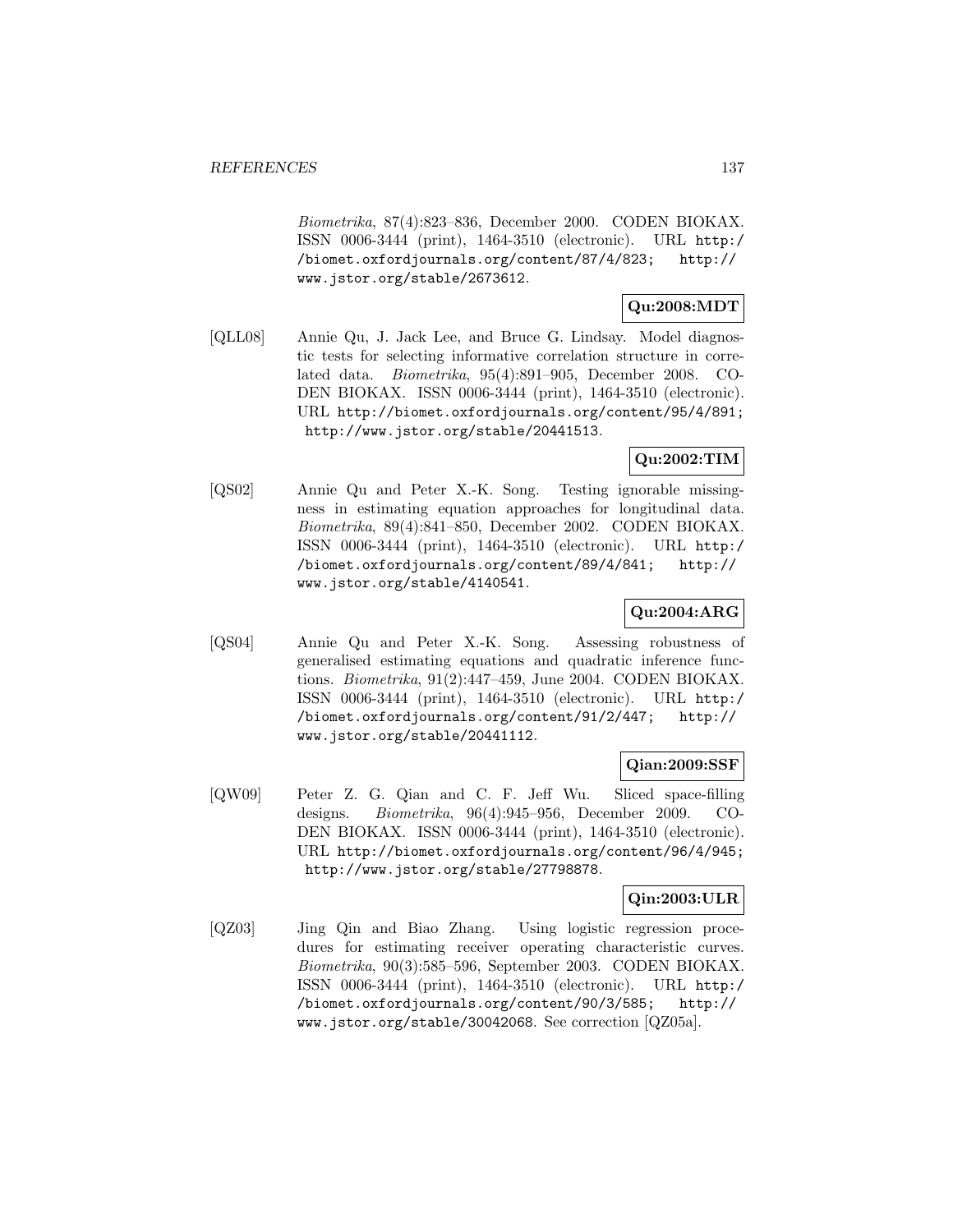Biometrika, 87(4):823–836, December 2000. CODEN BIOKAX. ISSN 0006-3444 (print), 1464-3510 (electronic). URL http:/ /biomet.oxfordjournals.org/content/87/4/823; http:// www.jstor.org/stable/2673612.

# **Qu:2008:MDT**

[QLL08] Annie Qu, J. Jack Lee, and Bruce G. Lindsay. Model diagnostic tests for selecting informative correlation structure in correlated data. Biometrika, 95(4):891–905, December 2008. CO-DEN BIOKAX. ISSN 0006-3444 (print), 1464-3510 (electronic). URL http://biomet.oxfordjournals.org/content/95/4/891; http://www.jstor.org/stable/20441513.

# **Qu:2002:TIM**

[QS02] Annie Qu and Peter X.-K. Song. Testing ignorable missingness in estimating equation approaches for longitudinal data. Biometrika, 89(4):841–850, December 2002. CODEN BIOKAX. ISSN 0006-3444 (print), 1464-3510 (electronic). URL http:/ /biomet.oxfordjournals.org/content/89/4/841; http:// www.jstor.org/stable/4140541.

# **Qu:2004:ARG**

[QS04] Annie Qu and Peter X.-K. Song. Assessing robustness of generalised estimating equations and quadratic inference functions. Biometrika, 91(2):447–459, June 2004. CODEN BIOKAX. ISSN 0006-3444 (print), 1464-3510 (electronic). URL http:/ /biomet.oxfordjournals.org/content/91/2/447; http:// www.jstor.org/stable/20441112.

## **Qian:2009:SSF**

[QW09] Peter Z. G. Qian and C. F. Jeff Wu. Sliced space-filling designs. Biometrika, 96(4):945–956, December 2009. CO-DEN BIOKAX. ISSN 0006-3444 (print), 1464-3510 (electronic). URL http://biomet.oxfordjournals.org/content/96/4/945; http://www.jstor.org/stable/27798878.

## **Qin:2003:ULR**

[QZ03] Jing Qin and Biao Zhang. Using logistic regression procedures for estimating receiver operating characteristic curves. Biometrika, 90(3):585–596, September 2003. CODEN BIOKAX. ISSN 0006-3444 (print), 1464-3510 (electronic). URL http:/ /biomet.oxfordjournals.org/content/90/3/585; http:// www.jstor.org/stable/30042068. See correction [QZ05a].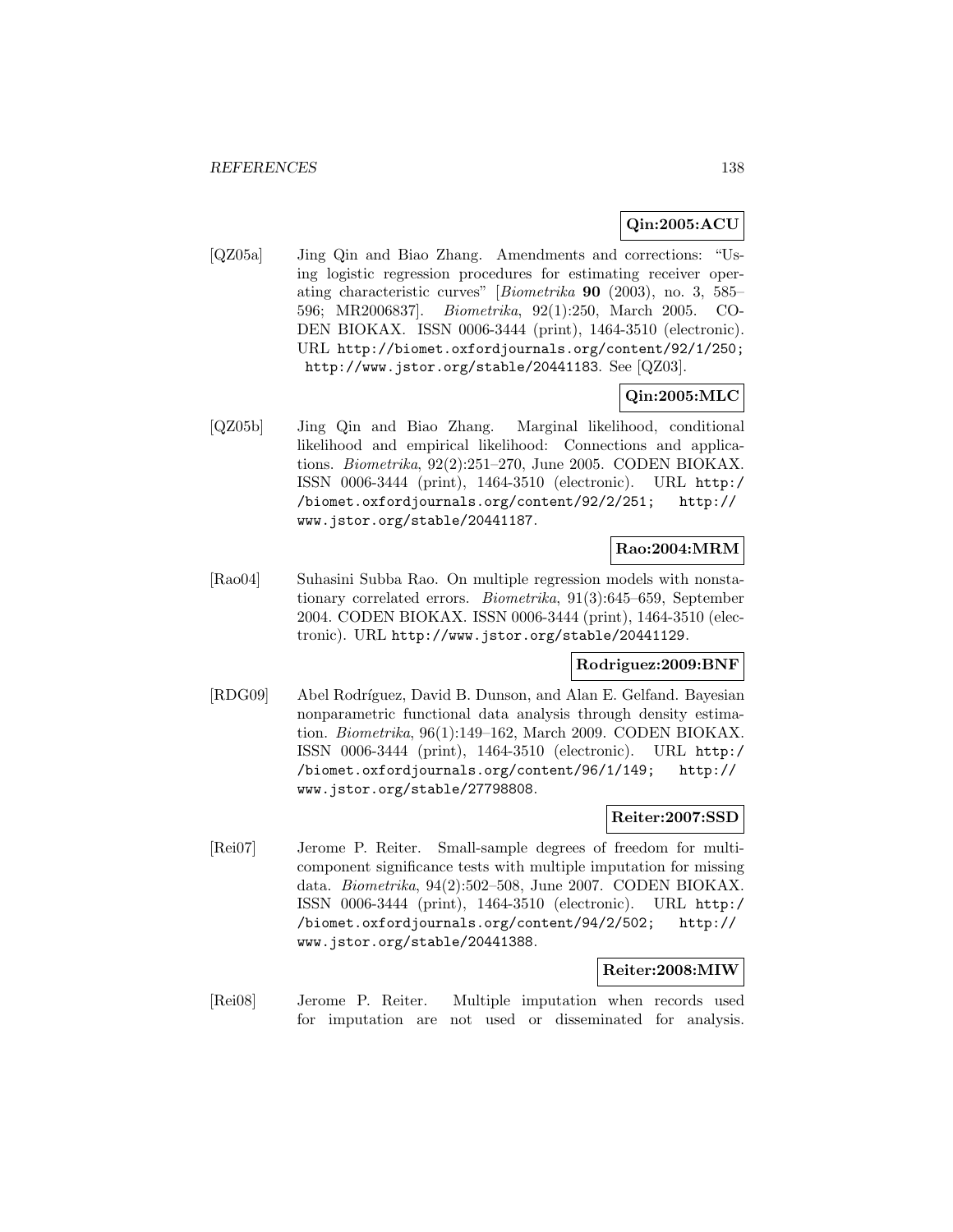## **Qin:2005:ACU**

[QZ05a] Jing Qin and Biao Zhang. Amendments and corrections: "Using logistic regression procedures for estimating receiver operating characteristic curves" [Biometrika **90** (2003), no. 3, 585– 596; MR2006837]. Biometrika, 92(1):250, March 2005. CO-DEN BIOKAX. ISSN 0006-3444 (print), 1464-3510 (electronic). URL http://biomet.oxfordjournals.org/content/92/1/250; http://www.jstor.org/stable/20441183. See [QZ03].

## **Qin:2005:MLC**

[QZ05b] Jing Qin and Biao Zhang. Marginal likelihood, conditional likelihood and empirical likelihood: Connections and applications. Biometrika, 92(2):251–270, June 2005. CODEN BIOKAX. ISSN 0006-3444 (print), 1464-3510 (electronic). URL http:/ /biomet.oxfordjournals.org/content/92/2/251; http:// www.jstor.org/stable/20441187.

## **Rao:2004:MRM**

[Rao04] Suhasini Subba Rao. On multiple regression models with nonstationary correlated errors. Biometrika, 91(3):645–659, September 2004. CODEN BIOKAX. ISSN 0006-3444 (print), 1464-3510 (electronic). URL http://www.jstor.org/stable/20441129.

## **Rodriguez:2009:BNF**

[RDG09] Abel Rodríguez, David B. Dunson, and Alan E. Gelfand. Bayesian nonparametric functional data analysis through density estimation. Biometrika, 96(1):149–162, March 2009. CODEN BIOKAX. ISSN 0006-3444 (print), 1464-3510 (electronic). URL http:/ /biomet.oxfordjournals.org/content/96/1/149; http:// www.jstor.org/stable/27798808.

### **Reiter:2007:SSD**

[Rei07] Jerome P. Reiter. Small-sample degrees of freedom for multicomponent significance tests with multiple imputation for missing data. Biometrika, 94(2):502–508, June 2007. CODEN BIOKAX. ISSN 0006-3444 (print), 1464-3510 (electronic). URL http:/ /biomet.oxfordjournals.org/content/94/2/502; http:// www.jstor.org/stable/20441388.

#### **Reiter:2008:MIW**

[Rei08] Jerome P. Reiter. Multiple imputation when records used for imputation are not used or disseminated for analysis.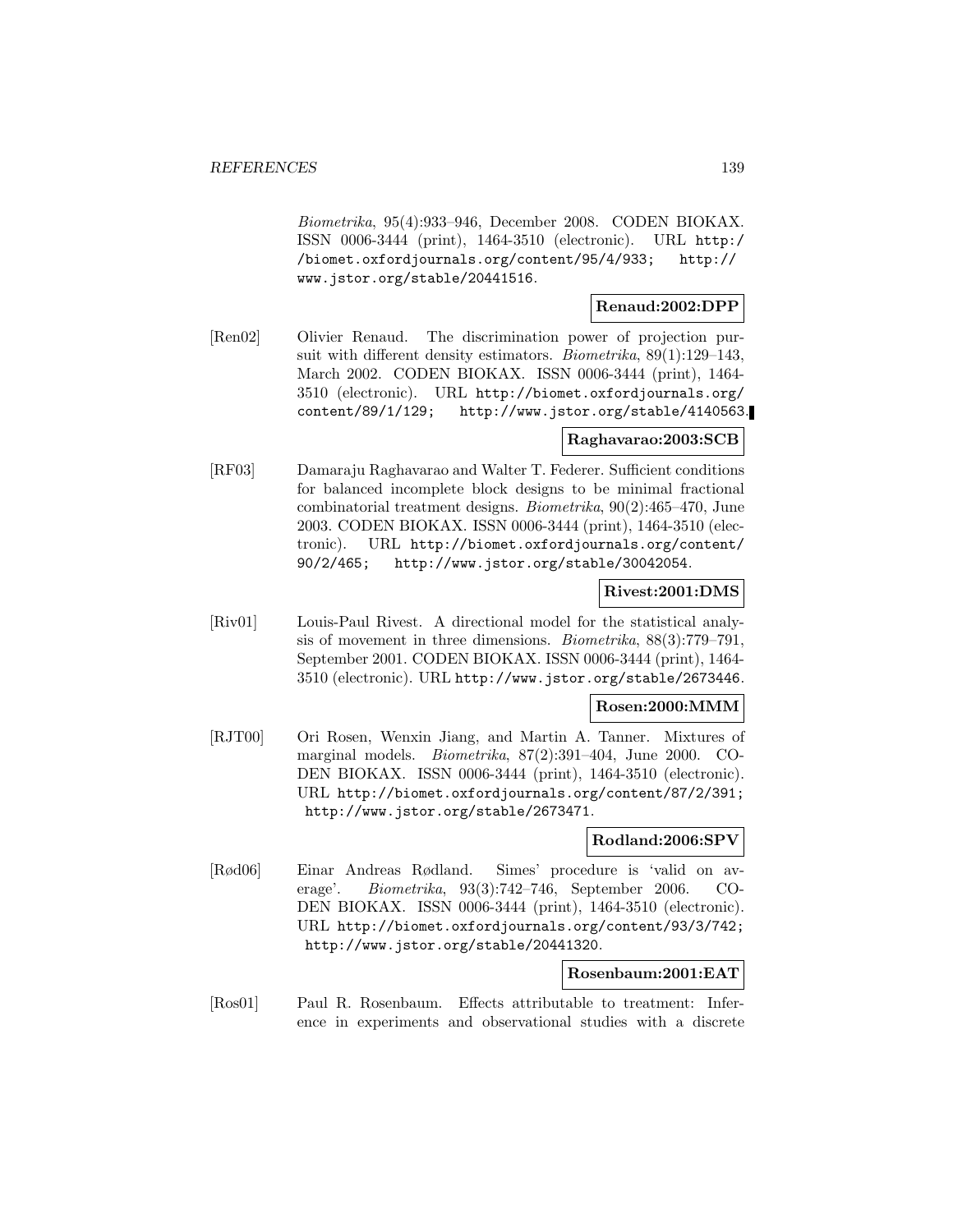Biometrika, 95(4):933–946, December 2008. CODEN BIOKAX. ISSN 0006-3444 (print), 1464-3510 (electronic). URL http:/ /biomet.oxfordjournals.org/content/95/4/933; http:// www.jstor.org/stable/20441516.

## **Renaud:2002:DPP**

[Ren02] Olivier Renaud. The discrimination power of projection pursuit with different density estimators. Biometrika, 89(1):129–143, March 2002. CODEN BIOKAX. ISSN 0006-3444 (print), 1464- 3510 (electronic). URL http://biomet.oxfordjournals.org/ content/89/1/129; http://www.jstor.org/stable/4140563.

## **Raghavarao:2003:SCB**

[RF03] Damaraju Raghavarao and Walter T. Federer. Sufficient conditions for balanced incomplete block designs to be minimal fractional combinatorial treatment designs. Biometrika, 90(2):465–470, June 2003. CODEN BIOKAX. ISSN 0006-3444 (print), 1464-3510 (electronic). URL http://biomet.oxfordjournals.org/content/ 90/2/465; http://www.jstor.org/stable/30042054.

### **Rivest:2001:DMS**

[Riv01] Louis-Paul Rivest. A directional model for the statistical analysis of movement in three dimensions. Biometrika, 88(3):779–791, September 2001. CODEN BIOKAX. ISSN 0006-3444 (print), 1464- 3510 (electronic). URL http://www.jstor.org/stable/2673446.

### **Rosen:2000:MMM**

[RJT00] Ori Rosen, Wenxin Jiang, and Martin A. Tanner. Mixtures of marginal models. Biometrika, 87(2):391–404, June 2000. CO-DEN BIOKAX. ISSN 0006-3444 (print), 1464-3510 (electronic). URL http://biomet.oxfordjournals.org/content/87/2/391; http://www.jstor.org/stable/2673471.

### **Rodland:2006:SPV**

[Rød06] Einar Andreas Rødland. Simes' procedure is 'valid on average'. Biometrika, 93(3):742–746, September 2006. CO-DEN BIOKAX. ISSN 0006-3444 (print), 1464-3510 (electronic). URL http://biomet.oxfordjournals.org/content/93/3/742; http://www.jstor.org/stable/20441320.

## **Rosenbaum:2001:EAT**

[Ros01] Paul R. Rosenbaum. Effects attributable to treatment: Inference in experiments and observational studies with a discrete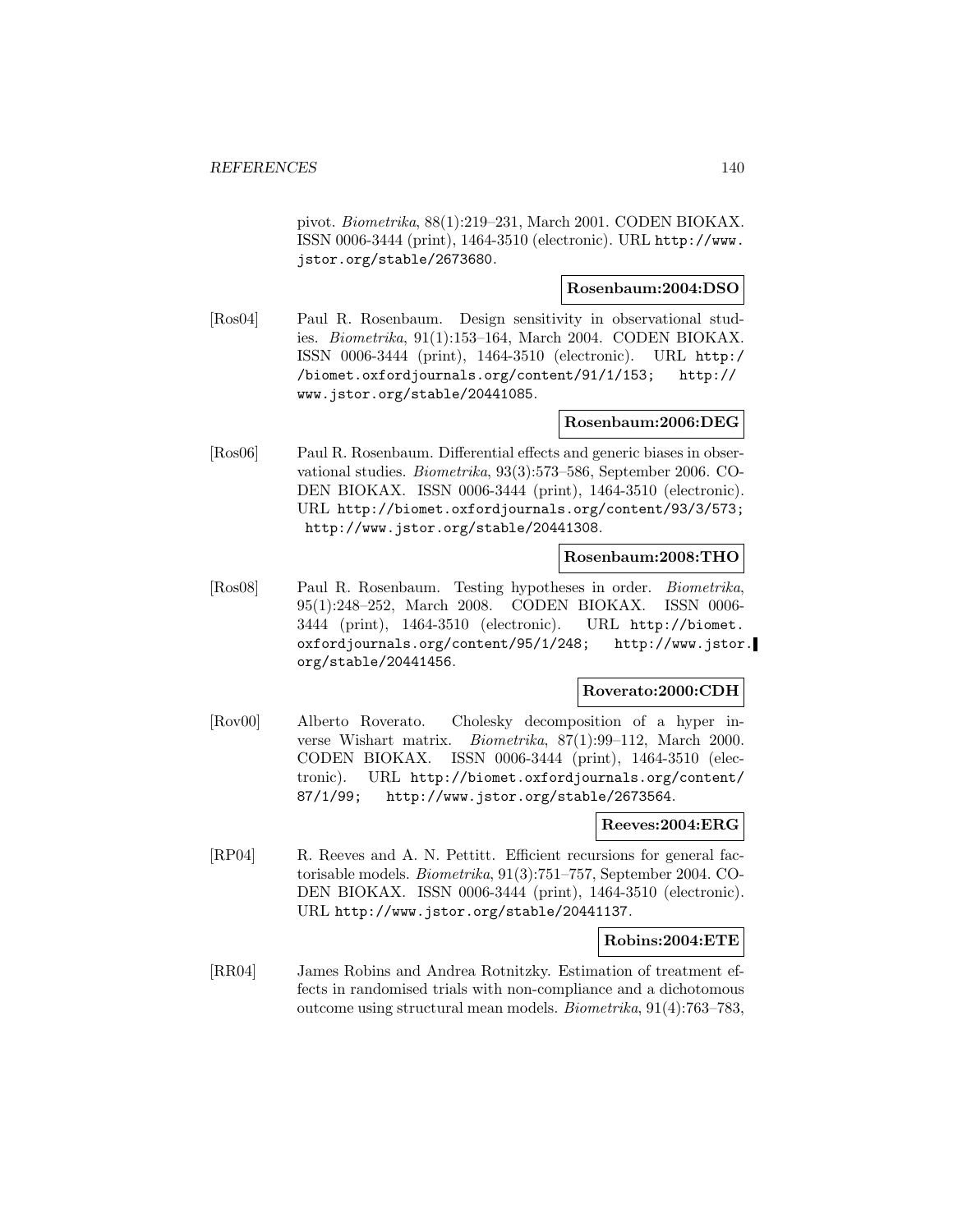pivot. Biometrika, 88(1):219–231, March 2001. CODEN BIOKAX. ISSN 0006-3444 (print), 1464-3510 (electronic). URL http://www. jstor.org/stable/2673680.

### **Rosenbaum:2004:DSO**

[Ros04] Paul R. Rosenbaum. Design sensitivity in observational studies. Biometrika, 91(1):153–164, March 2004. CODEN BIOKAX. ISSN 0006-3444 (print), 1464-3510 (electronic). URL http:/ /biomet.oxfordjournals.org/content/91/1/153; http:// www.jstor.org/stable/20441085.

## **Rosenbaum:2006:DEG**

[Ros06] Paul R. Rosenbaum. Differential effects and generic biases in observational studies. Biometrika, 93(3):573–586, September 2006. CO-DEN BIOKAX. ISSN 0006-3444 (print), 1464-3510 (electronic). URL http://biomet.oxfordjournals.org/content/93/3/573; http://www.jstor.org/stable/20441308.

#### **Rosenbaum:2008:THO**

[Ros08] Paul R. Rosenbaum. Testing hypotheses in order. Biometrika, 95(1):248–252, March 2008. CODEN BIOKAX. ISSN 0006- 3444 (print), 1464-3510 (electronic). URL http://biomet. oxfordjournals.org/content/95/1/248; http://www.jstor. org/stable/20441456.

## **Roverato:2000:CDH**

[Rov00] Alberto Roverato. Cholesky decomposition of a hyper inverse Wishart matrix. Biometrika, 87(1):99–112, March 2000. CODEN BIOKAX. ISSN 0006-3444 (print), 1464-3510 (electronic). URL http://biomet.oxfordjournals.org/content/ 87/1/99; http://www.jstor.org/stable/2673564.

#### **Reeves:2004:ERG**

[RP04] R. Reeves and A. N. Pettitt. Efficient recursions for general factorisable models. Biometrika, 91(3):751–757, September 2004. CO-DEN BIOKAX. ISSN 0006-3444 (print), 1464-3510 (electronic). URL http://www.jstor.org/stable/20441137.

### **Robins:2004:ETE**

[RR04] James Robins and Andrea Rotnitzky. Estimation of treatment effects in randomised trials with non-compliance and a dichotomous outcome using structural mean models. Biometrika, 91(4):763–783,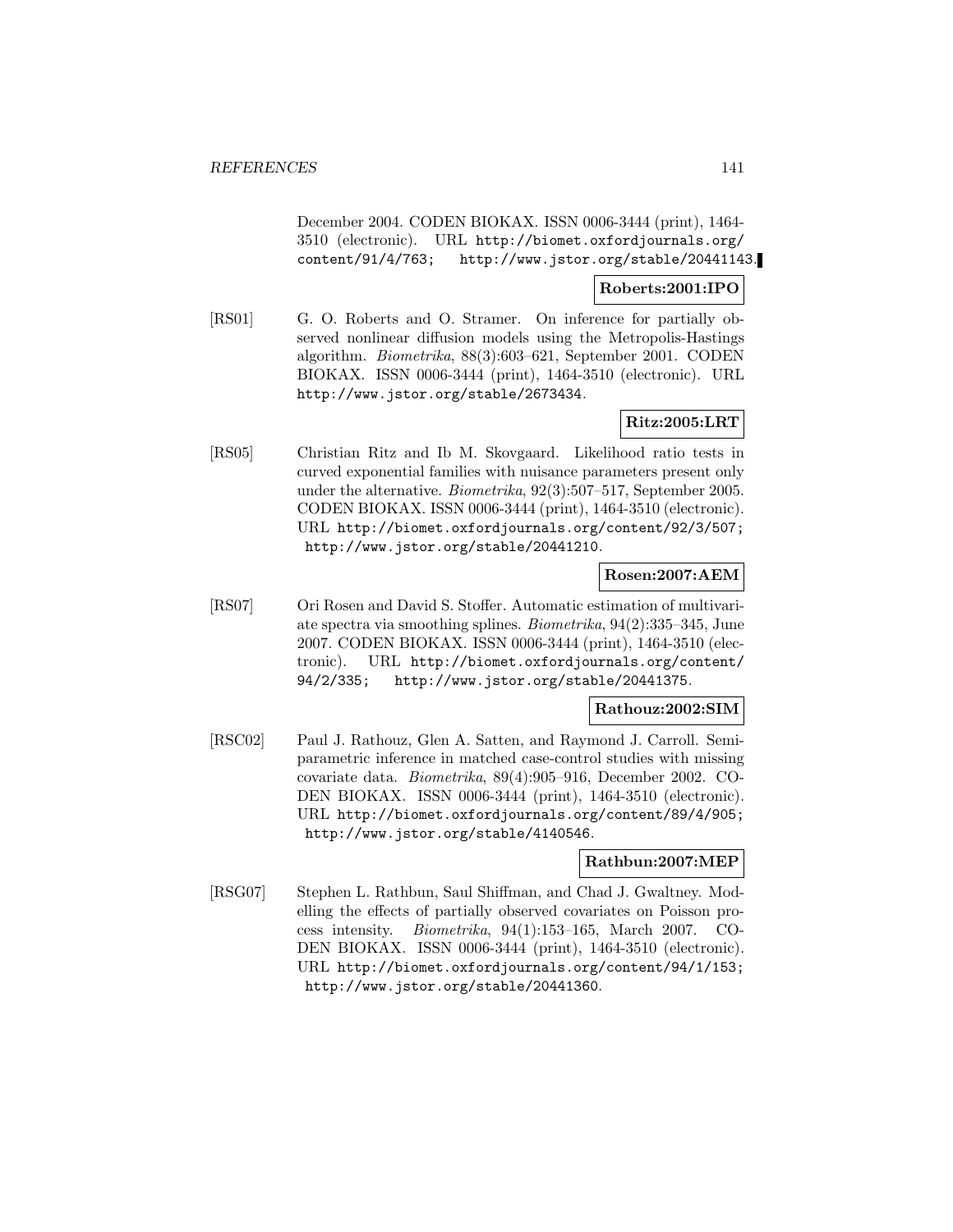December 2004. CODEN BIOKAX. ISSN 0006-3444 (print), 1464- 3510 (electronic). URL http://biomet.oxfordjournals.org/ content/91/4/763; http://www.jstor.org/stable/20441143.

### **Roberts:2001:IPO**

[RS01] G. O. Roberts and O. Stramer. On inference for partially observed nonlinear diffusion models using the Metropolis-Hastings algorithm. Biometrika, 88(3):603–621, September 2001. CODEN BIOKAX. ISSN 0006-3444 (print), 1464-3510 (electronic). URL http://www.jstor.org/stable/2673434.

## **Ritz:2005:LRT**

[RS05] Christian Ritz and Ib M. Skovgaard. Likelihood ratio tests in curved exponential families with nuisance parameters present only under the alternative. Biometrika, 92(3):507–517, September 2005. CODEN BIOKAX. ISSN 0006-3444 (print), 1464-3510 (electronic). URL http://biomet.oxfordjournals.org/content/92/3/507; http://www.jstor.org/stable/20441210.

## **Rosen:2007:AEM**

[RS07] Ori Rosen and David S. Stoffer. Automatic estimation of multivariate spectra via smoothing splines. Biometrika, 94(2):335–345, June 2007. CODEN BIOKAX. ISSN 0006-3444 (print), 1464-3510 (electronic). URL http://biomet.oxfordjournals.org/content/ 94/2/335; http://www.jstor.org/stable/20441375.

### **Rathouz:2002:SIM**

[RSC02] Paul J. Rathouz, Glen A. Satten, and Raymond J. Carroll. Semiparametric inference in matched case-control studies with missing covariate data. Biometrika, 89(4):905–916, December 2002. CO-DEN BIOKAX. ISSN 0006-3444 (print), 1464-3510 (electronic). URL http://biomet.oxfordjournals.org/content/89/4/905; http://www.jstor.org/stable/4140546.

## **Rathbun:2007:MEP**

[RSG07] Stephen L. Rathbun, Saul Shiffman, and Chad J. Gwaltney. Modelling the effects of partially observed covariates on Poisson process intensity. Biometrika, 94(1):153–165, March 2007. CO-DEN BIOKAX. ISSN 0006-3444 (print), 1464-3510 (electronic). URL http://biomet.oxfordjournals.org/content/94/1/153; http://www.jstor.org/stable/20441360.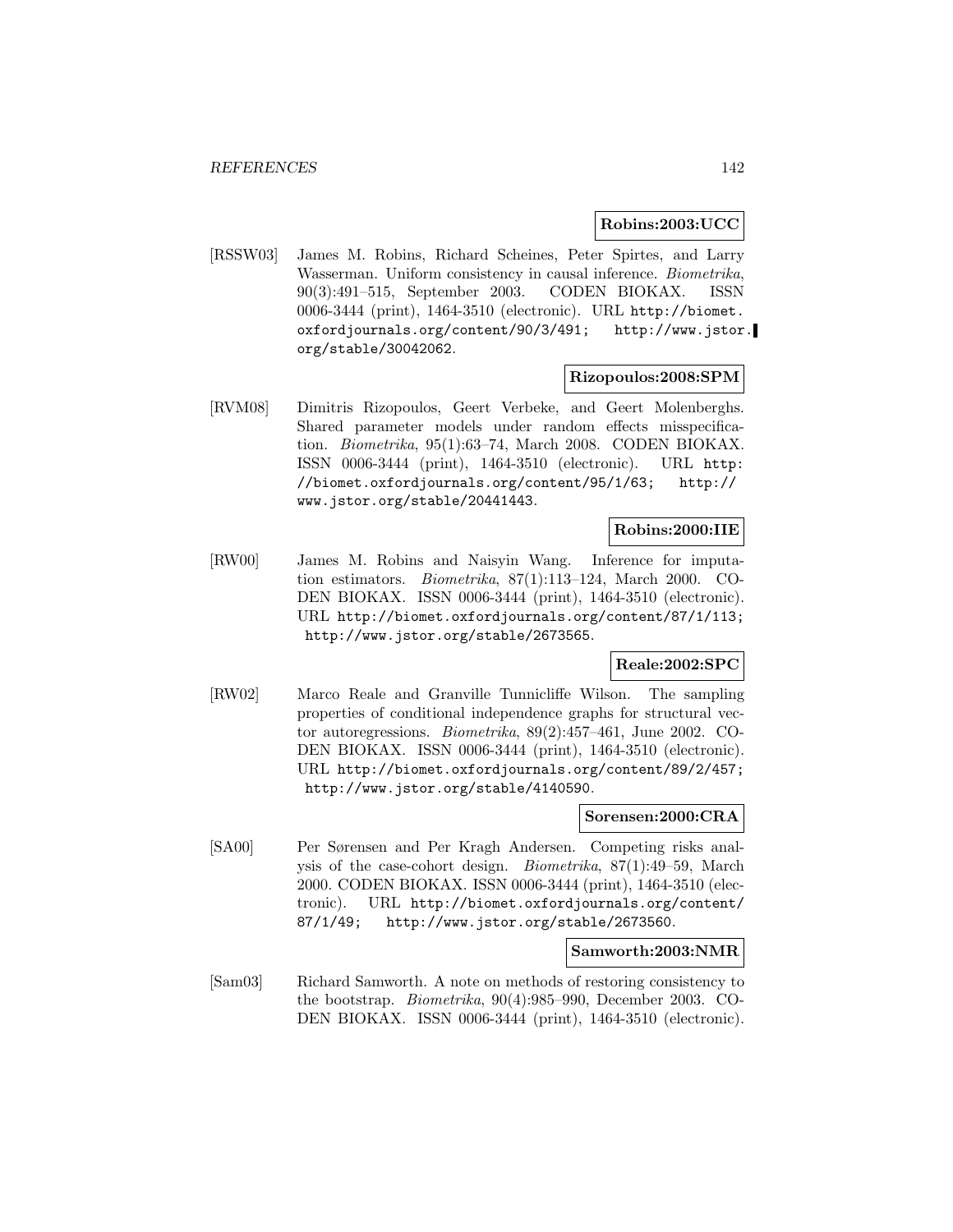#### **Robins:2003:UCC**

[RSSW03] James M. Robins, Richard Scheines, Peter Spirtes, and Larry Wasserman. Uniform consistency in causal inference. Biometrika, 90(3):491–515, September 2003. CODEN BIOKAX. ISSN 0006-3444 (print), 1464-3510 (electronic). URL http://biomet. oxfordjournals.org/content/90/3/491; http://www.jstor. org/stable/30042062.

### **Rizopoulos:2008:SPM**

[RVM08] Dimitris Rizopoulos, Geert Verbeke, and Geert Molenberghs. Shared parameter models under random effects misspecification. Biometrika, 95(1):63–74, March 2008. CODEN BIOKAX. ISSN 0006-3444 (print), 1464-3510 (electronic). URL http: //biomet.oxfordjournals.org/content/95/1/63; http:// www.jstor.org/stable/20441443.

### **Robins:2000:IIE**

[RW00] James M. Robins and Naisyin Wang. Inference for imputation estimators. Biometrika, 87(1):113–124, March 2000. CO-DEN BIOKAX. ISSN 0006-3444 (print), 1464-3510 (electronic). URL http://biomet.oxfordjournals.org/content/87/1/113; http://www.jstor.org/stable/2673565.

### **Reale:2002:SPC**

[RW02] Marco Reale and Granville Tunnicliffe Wilson. The sampling properties of conditional independence graphs for structural vector autoregressions. Biometrika, 89(2):457–461, June 2002. CO-DEN BIOKAX. ISSN 0006-3444 (print), 1464-3510 (electronic). URL http://biomet.oxfordjournals.org/content/89/2/457; http://www.jstor.org/stable/4140590.

#### **Sorensen:2000:CRA**

[SA00] Per Sørensen and Per Kragh Andersen. Competing risks analysis of the case-cohort design. Biometrika, 87(1):49–59, March 2000. CODEN BIOKAX. ISSN 0006-3444 (print), 1464-3510 (electronic). URL http://biomet.oxfordjournals.org/content/ 87/1/49; http://www.jstor.org/stable/2673560.

#### **Samworth:2003:NMR**

[Sam03] Richard Samworth. A note on methods of restoring consistency to the bootstrap. Biometrika, 90(4):985–990, December 2003. CO-DEN BIOKAX. ISSN 0006-3444 (print), 1464-3510 (electronic).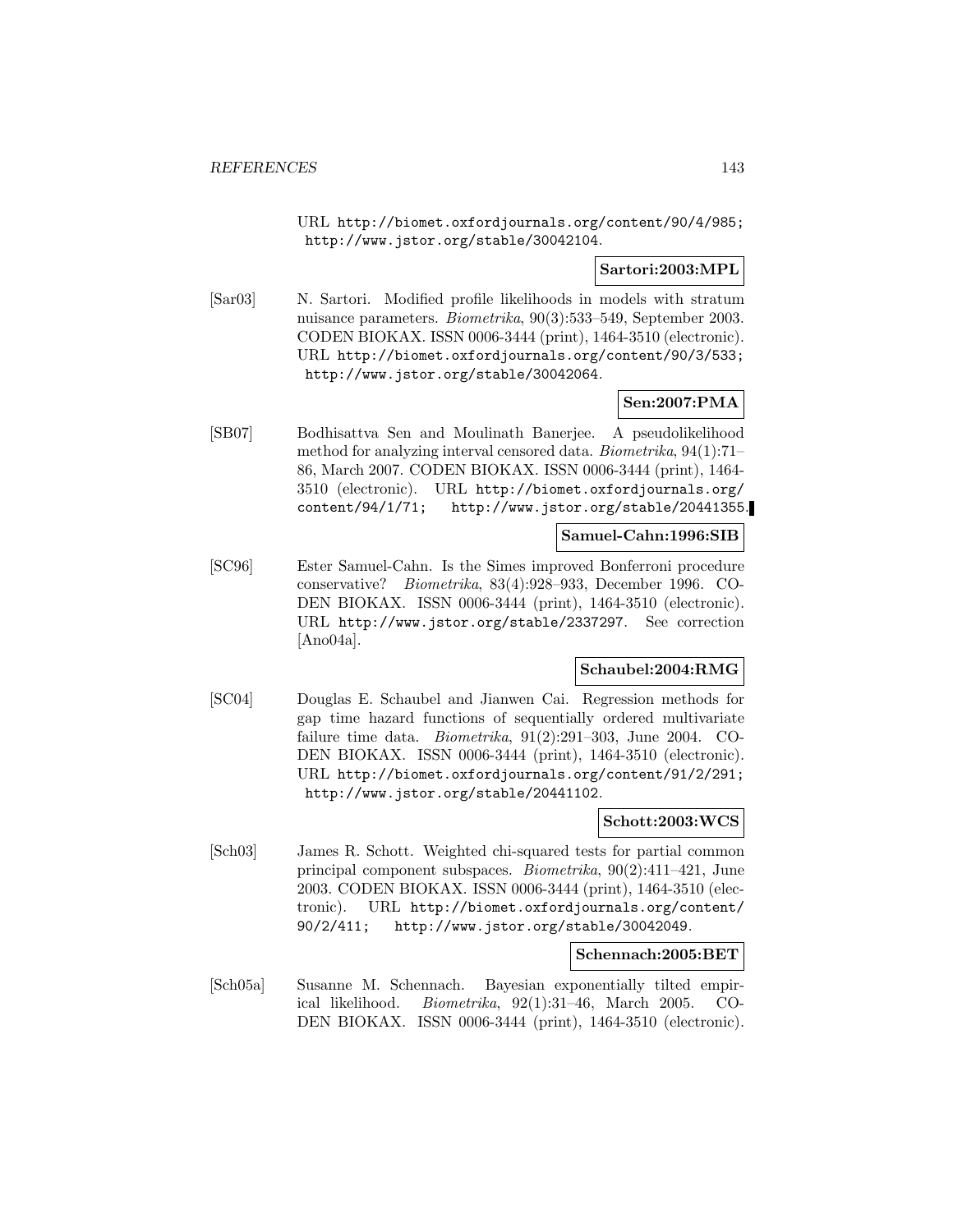URL http://biomet.oxfordjournals.org/content/90/4/985; http://www.jstor.org/stable/30042104.

### **Sartori:2003:MPL**

[Sar03] N. Sartori. Modified profile likelihoods in models with stratum nuisance parameters. Biometrika, 90(3):533–549, September 2003. CODEN BIOKAX. ISSN 0006-3444 (print), 1464-3510 (electronic). URL http://biomet.oxfordjournals.org/content/90/3/533; http://www.jstor.org/stable/30042064.

## **Sen:2007:PMA**

[SB07] Bodhisattva Sen and Moulinath Banerjee. A pseudolikelihood method for analyzing interval censored data. Biometrika, 94(1):71– 86, March 2007. CODEN BIOKAX. ISSN 0006-3444 (print), 1464- 3510 (electronic). URL http://biomet.oxfordjournals.org/ content/94/1/71; http://www.jstor.org/stable/20441355.

## **Samuel-Cahn:1996:SIB**

[SC96] Ester Samuel-Cahn. Is the Simes improved Bonferroni procedure conservative? Biometrika, 83(4):928–933, December 1996. CO-DEN BIOKAX. ISSN 0006-3444 (print), 1464-3510 (electronic). URL http://www.jstor.org/stable/2337297. See correction [Ano04a].

## **Schaubel:2004:RMG**

[SC04] Douglas E. Schaubel and Jianwen Cai. Regression methods for gap time hazard functions of sequentially ordered multivariate failure time data. Biometrika, 91(2):291–303, June 2004. CO-DEN BIOKAX. ISSN 0006-3444 (print), 1464-3510 (electronic). URL http://biomet.oxfordjournals.org/content/91/2/291; http://www.jstor.org/stable/20441102.

### **Schott:2003:WCS**

[Sch03] James R. Schott. Weighted chi-squared tests for partial common principal component subspaces. Biometrika, 90(2):411–421, June 2003. CODEN BIOKAX. ISSN 0006-3444 (print), 1464-3510 (electronic). URL http://biomet.oxfordjournals.org/content/ 90/2/411; http://www.jstor.org/stable/30042049.

#### **Schennach:2005:BET**

[Sch05a] Susanne M. Schennach. Bayesian exponentially tilted empirical likelihood. Biometrika, 92(1):31–46, March 2005. CO-DEN BIOKAX. ISSN 0006-3444 (print), 1464-3510 (electronic).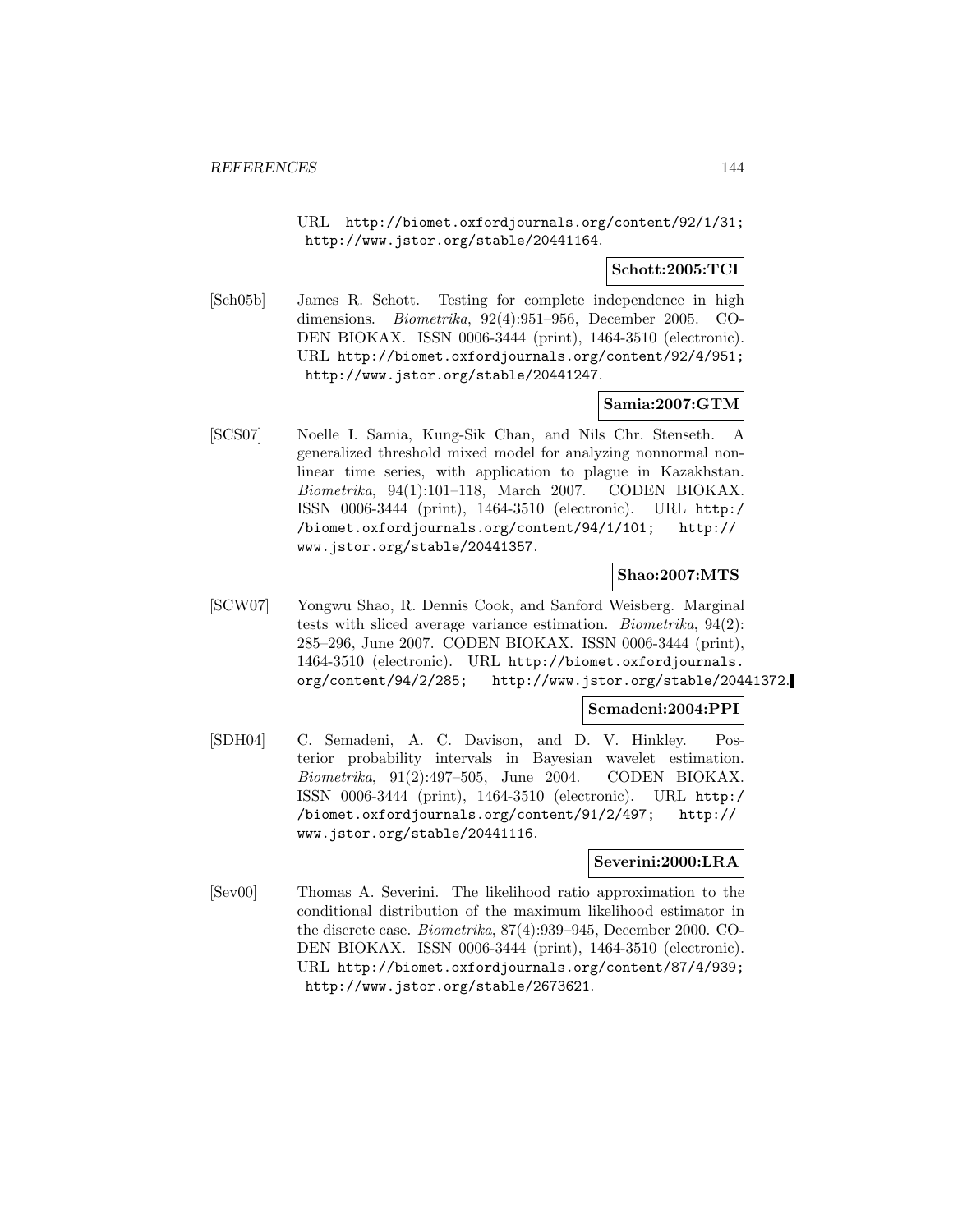URL http://biomet.oxfordjournals.org/content/92/1/31; http://www.jstor.org/stable/20441164.

**Schott:2005:TCI**

[Sch05b] James R. Schott. Testing for complete independence in high dimensions. Biometrika, 92(4):951–956, December 2005. CO-DEN BIOKAX. ISSN 0006-3444 (print), 1464-3510 (electronic). URL http://biomet.oxfordjournals.org/content/92/4/951; http://www.jstor.org/stable/20441247.

## **Samia:2007:GTM**

[SCS07] Noelle I. Samia, Kung-Sik Chan, and Nils Chr. Stenseth. A generalized threshold mixed model for analyzing nonnormal nonlinear time series, with application to plague in Kazakhstan. Biometrika, 94(1):101–118, March 2007. CODEN BIOKAX. ISSN 0006-3444 (print), 1464-3510 (electronic). URL http:/ /biomet.oxfordjournals.org/content/94/1/101; http:// www.jstor.org/stable/20441357.

**Shao:2007:MTS**

[SCW07] Yongwu Shao, R. Dennis Cook, and Sanford Weisberg. Marginal tests with sliced average variance estimation. Biometrika, 94(2): 285–296, June 2007. CODEN BIOKAX. ISSN 0006-3444 (print), 1464-3510 (electronic). URL http://biomet.oxfordjournals. org/content/94/2/285; http://www.jstor.org/stable/20441372.

### **Semadeni:2004:PPI**

[SDH04] C. Semadeni, A. C. Davison, and D. V. Hinkley. Posterior probability intervals in Bayesian wavelet estimation. Biometrika, 91(2):497–505, June 2004. CODEN BIOKAX. ISSN 0006-3444 (print), 1464-3510 (electronic). URL http:/ /biomet.oxfordjournals.org/content/91/2/497; http:// www.jstor.org/stable/20441116.

### **Severini:2000:LRA**

[Sev00] Thomas A. Severini. The likelihood ratio approximation to the conditional distribution of the maximum likelihood estimator in the discrete case. Biometrika, 87(4):939–945, December 2000. CO-DEN BIOKAX. ISSN 0006-3444 (print), 1464-3510 (electronic). URL http://biomet.oxfordjournals.org/content/87/4/939; http://www.jstor.org/stable/2673621.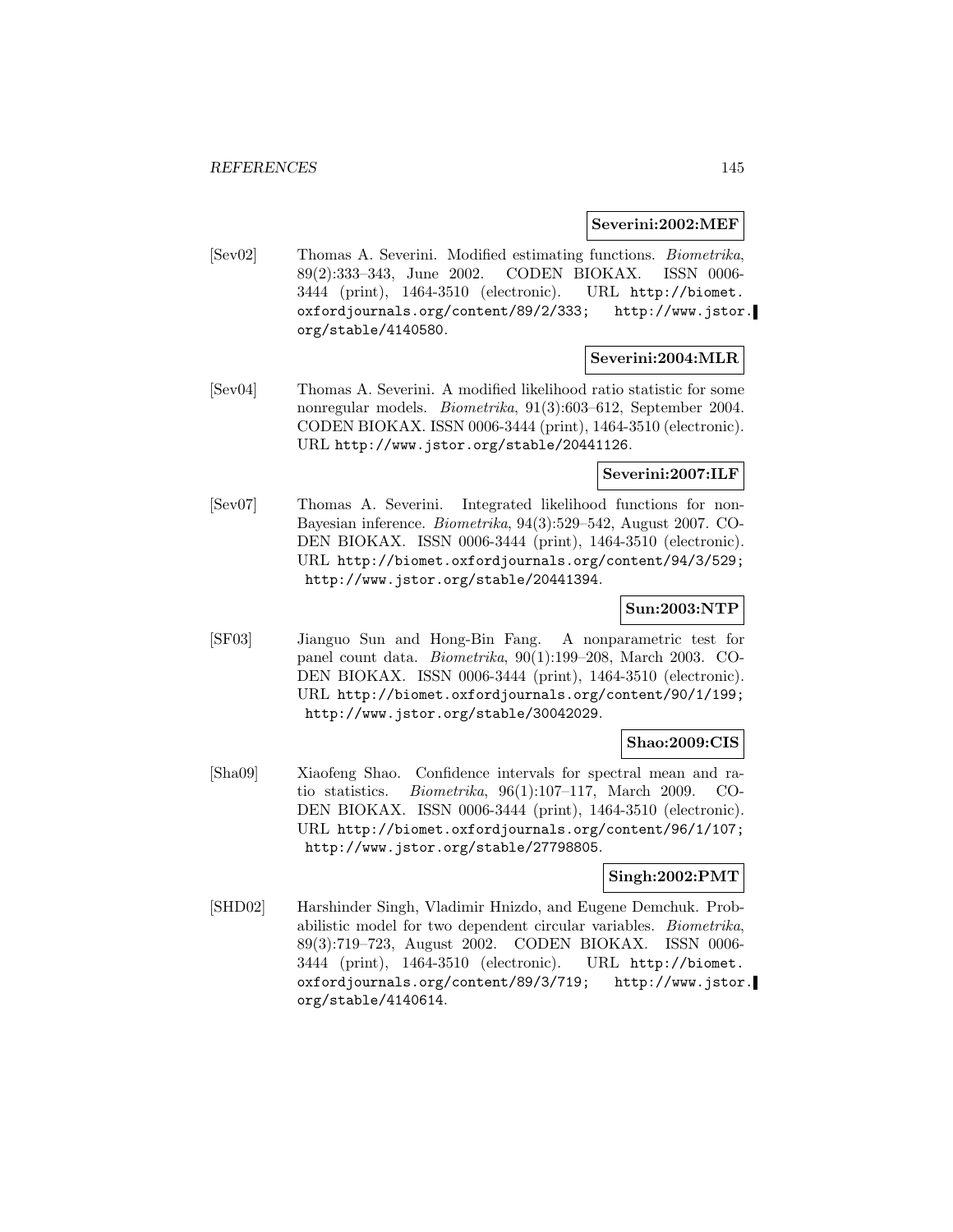**Severini:2002:MEF**

[Sev02] Thomas A. Severini. Modified estimating functions. Biometrika, 89(2):333–343, June 2002. CODEN BIOKAX. ISSN 0006- 3444 (print), 1464-3510 (electronic). URL http://biomet. oxfordjournals.org/content/89/2/333; http://www.jstor. org/stable/4140580.

### **Severini:2004:MLR**

[Sev04] Thomas A. Severini. A modified likelihood ratio statistic for some nonregular models. Biometrika, 91(3):603–612, September 2004. CODEN BIOKAX. ISSN 0006-3444 (print), 1464-3510 (electronic). URL http://www.jstor.org/stable/20441126.

### **Severini:2007:ILF**

[Sev07] Thomas A. Severini. Integrated likelihood functions for non-Bayesian inference. Biometrika, 94(3):529–542, August 2007. CO-DEN BIOKAX. ISSN 0006-3444 (print), 1464-3510 (electronic). URL http://biomet.oxfordjournals.org/content/94/3/529; http://www.jstor.org/stable/20441394.

### **Sun:2003:NTP**

[SF03] Jianguo Sun and Hong-Bin Fang. A nonparametric test for panel count data. Biometrika, 90(1):199–208, March 2003. CO-DEN BIOKAX. ISSN 0006-3444 (print), 1464-3510 (electronic). URL http://biomet.oxfordjournals.org/content/90/1/199; http://www.jstor.org/stable/30042029.

## **Shao:2009:CIS**

[Sha09] Xiaofeng Shao. Confidence intervals for spectral mean and ratio statistics. Biometrika, 96(1):107–117, March 2009. CO-DEN BIOKAX. ISSN 0006-3444 (print), 1464-3510 (electronic). URL http://biomet.oxfordjournals.org/content/96/1/107; http://www.jstor.org/stable/27798805.

### **Singh:2002:PMT**

[SHD02] Harshinder Singh, Vladimir Hnizdo, and Eugene Demchuk. Probabilistic model for two dependent circular variables. Biometrika, 89(3):719–723, August 2002. CODEN BIOKAX. ISSN 0006- 3444 (print), 1464-3510 (electronic). URL http://biomet. oxfordjournals.org/content/89/3/719; http://www.jstor. org/stable/4140614.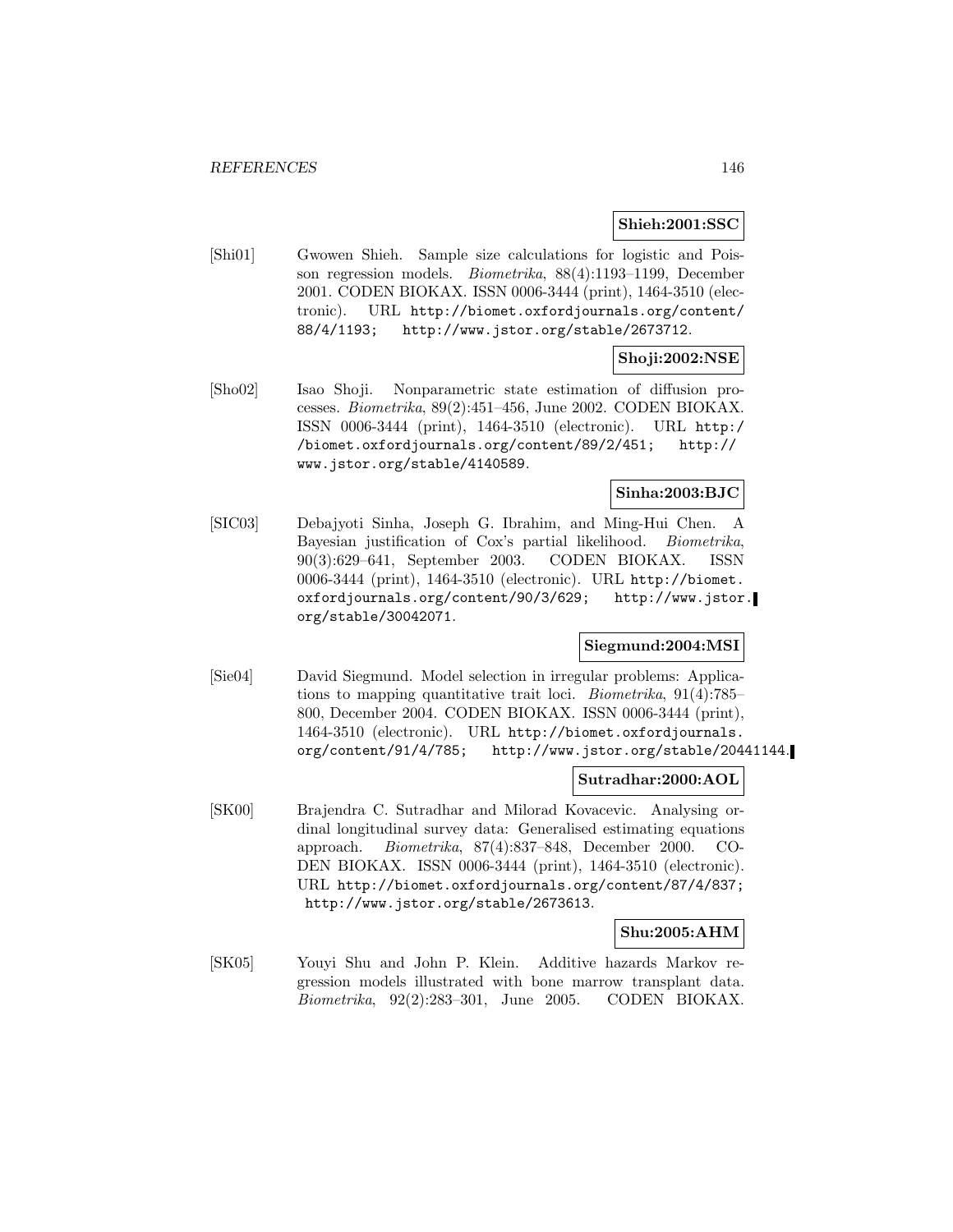#### **Shieh:2001:SSC**

[Shi01] Gwowen Shieh. Sample size calculations for logistic and Poisson regression models. Biometrika, 88(4):1193–1199, December 2001. CODEN BIOKAX. ISSN 0006-3444 (print), 1464-3510 (electronic). URL http://biomet.oxfordjournals.org/content/ 88/4/1193; http://www.jstor.org/stable/2673712.

# **Shoji:2002:NSE**

[Sho02] Isao Shoji. Nonparametric state estimation of diffusion processes. Biometrika, 89(2):451–456, June 2002. CODEN BIOKAX. ISSN 0006-3444 (print), 1464-3510 (electronic). URL http:/ /biomet.oxfordjournals.org/content/89/2/451; http:// www.jstor.org/stable/4140589.

### **Sinha:2003:BJC**

[SIC03] Debajyoti Sinha, Joseph G. Ibrahim, and Ming-Hui Chen. A Bayesian justification of Cox's partial likelihood. Biometrika, 90(3):629–641, September 2003. CODEN BIOKAX. ISSN 0006-3444 (print), 1464-3510 (electronic). URL http://biomet. oxfordjournals.org/content/90/3/629; http://www.jstor. org/stable/30042071.

### **Siegmund:2004:MSI**

[Sie04] David Siegmund. Model selection in irregular problems: Applications to mapping quantitative trait loci. Biometrika, 91(4):785– 800, December 2004. CODEN BIOKAX. ISSN 0006-3444 (print), 1464-3510 (electronic). URL http://biomet.oxfordjournals. org/content/91/4/785; http://www.jstor.org/stable/20441144.

#### **Sutradhar:2000:AOL**

[SK00] Brajendra C. Sutradhar and Milorad Kovacevic. Analysing ordinal longitudinal survey data: Generalised estimating equations approach. Biometrika, 87(4):837–848, December 2000. CO-DEN BIOKAX. ISSN 0006-3444 (print), 1464-3510 (electronic). URL http://biomet.oxfordjournals.org/content/87/4/837; http://www.jstor.org/stable/2673613.

### **Shu:2005:AHM**

[SK05] Youyi Shu and John P. Klein. Additive hazards Markov regression models illustrated with bone marrow transplant data. Biometrika, 92(2):283–301, June 2005. CODEN BIOKAX.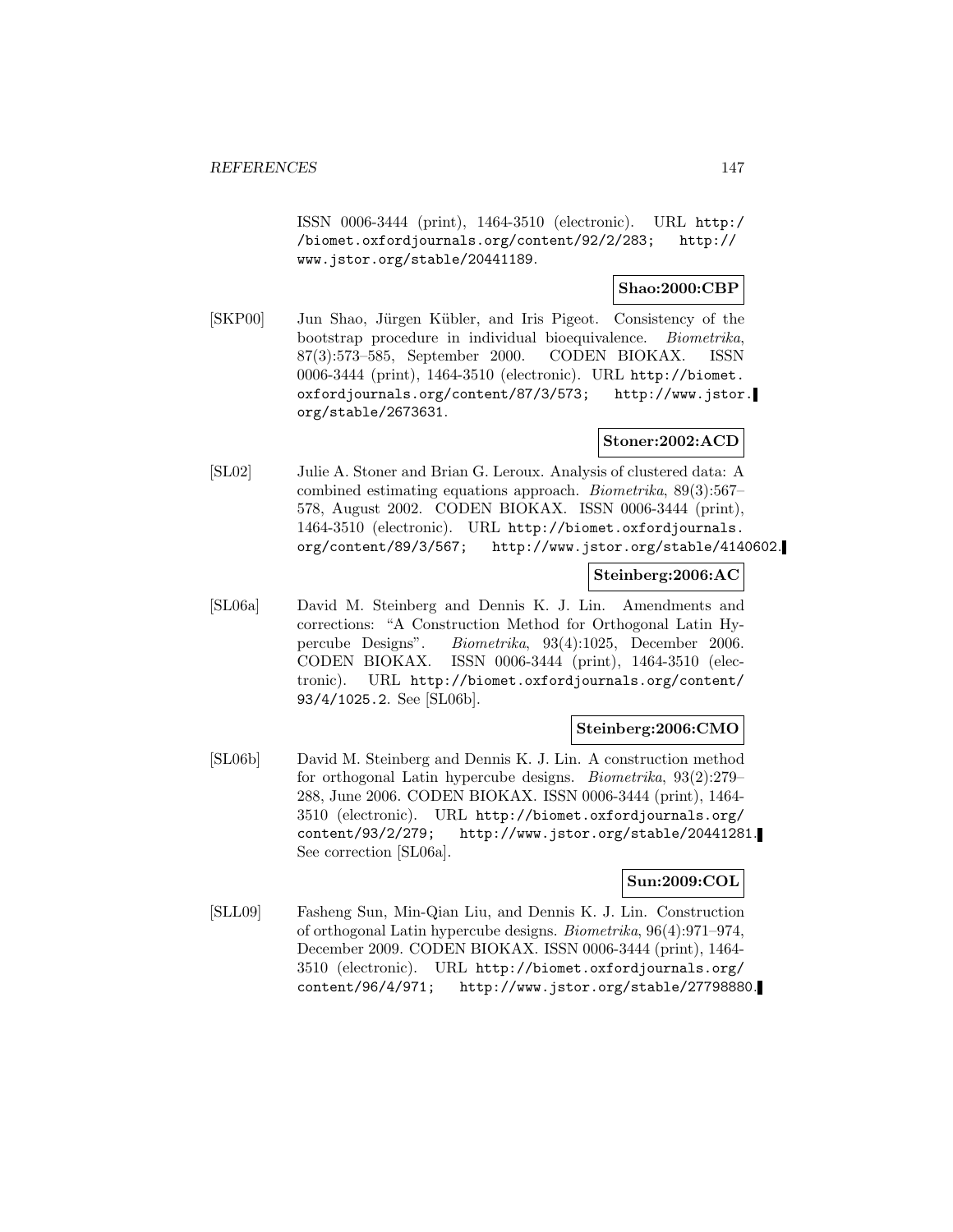ISSN 0006-3444 (print), 1464-3510 (electronic). URL http:/ /biomet.oxfordjournals.org/content/92/2/283; http:// www.jstor.org/stable/20441189.

### **Shao:2000:CBP**

[SKP00] Jun Shao, Jürgen Kübler, and Iris Pigeot. Consistency of the bootstrap procedure in individual bioequivalence. Biometrika, 87(3):573–585, September 2000. CODEN BIOKAX. ISSN 0006-3444 (print), 1464-3510 (electronic). URL http://biomet. oxfordjournals.org/content/87/3/573; http://www.jstor. org/stable/2673631.

### **Stoner:2002:ACD**

[SL02] Julie A. Stoner and Brian G. Leroux. Analysis of clustered data: A combined estimating equations approach. Biometrika, 89(3):567– 578, August 2002. CODEN BIOKAX. ISSN 0006-3444 (print), 1464-3510 (electronic). URL http://biomet.oxfordjournals. org/content/89/3/567; http://www.jstor.org/stable/4140602.

### **Steinberg:2006:AC**

[SL06a] David M. Steinberg and Dennis K. J. Lin. Amendments and corrections: "A Construction Method for Orthogonal Latin Hypercube Designs". Biometrika, 93(4):1025, December 2006. CODEN BIOKAX. ISSN 0006-3444 (print), 1464-3510 (electronic). URL http://biomet.oxfordjournals.org/content/ 93/4/1025.2. See [SL06b].

### **Steinberg:2006:CMO**

[SL06b] David M. Steinberg and Dennis K. J. Lin. A construction method for orthogonal Latin hypercube designs. Biometrika, 93(2):279– 288, June 2006. CODEN BIOKAX. ISSN 0006-3444 (print), 1464- 3510 (electronic). URL http://biomet.oxfordjournals.org/ content/93/2/279; http://www.jstor.org/stable/20441281. See correction [SL06a].

### **Sun:2009:COL**

[SLL09] Fasheng Sun, Min-Qian Liu, and Dennis K. J. Lin. Construction of orthogonal Latin hypercube designs. Biometrika, 96(4):971–974, December 2009. CODEN BIOKAX. ISSN 0006-3444 (print), 1464- 3510 (electronic). URL http://biomet.oxfordjournals.org/ content/96/4/971; http://www.jstor.org/stable/27798880.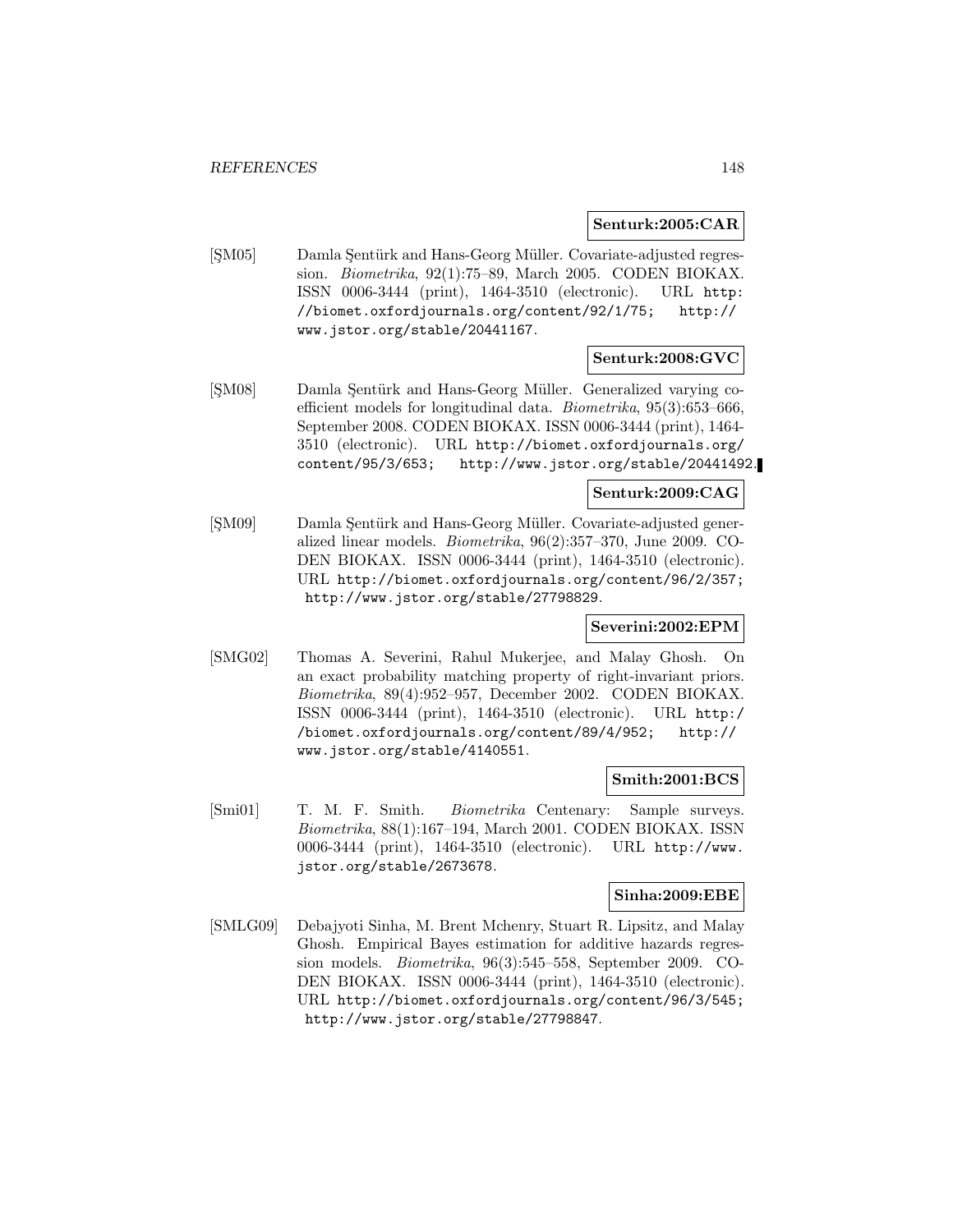### **Senturk:2005:CAR**

[ŞM05] Damla Şentürk and Hans-Georg Müller. Covariate-adjusted regression. Biometrika, 92(1):75–89, March 2005. CODEN BIOKAX. ISSN 0006-3444 (print), 1464-3510 (electronic). URL http: //biomet.oxfordjournals.org/content/92/1/75; http:// www.jstor.org/stable/20441167.

# **Senturk:2008:GVC**

[SM08] Damla Sentürk and Hans-Georg Müller. Generalized varying coefficient models for longitudinal data. Biometrika, 95(3):653–666, September 2008. CODEN BIOKAX. ISSN 0006-3444 (print), 1464- 3510 (electronic). URL http://biomet.oxfordjournals.org/ content/95/3/653; http://www.jstor.org/stable/20441492.

### **Senturk:2009:CAG**

[SM09] Damla Sentürk and Hans-Georg Müller. Covariate-adjusted generalized linear models. Biometrika, 96(2):357–370, June 2009. CO-DEN BIOKAX. ISSN 0006-3444 (print), 1464-3510 (electronic). URL http://biomet.oxfordjournals.org/content/96/2/357; http://www.jstor.org/stable/27798829.

## **Severini:2002:EPM**

[SMG02] Thomas A. Severini, Rahul Mukerjee, and Malay Ghosh. On an exact probability matching property of right-invariant priors. Biometrika, 89(4):952–957, December 2002. CODEN BIOKAX. ISSN 0006-3444 (print), 1464-3510 (electronic). URL http:/ /biomet.oxfordjournals.org/content/89/4/952; http:// www.jstor.org/stable/4140551.

### **Smith:2001:BCS**

[Smi01] T. M. F. Smith. Biometrika Centenary: Sample surveys. Biometrika, 88(1):167–194, March 2001. CODEN BIOKAX. ISSN 0006-3444 (print), 1464-3510 (electronic). URL http://www. jstor.org/stable/2673678.

## **Sinha:2009:EBE**

[SMLG09] Debajyoti Sinha, M. Brent Mchenry, Stuart R. Lipsitz, and Malay Ghosh. Empirical Bayes estimation for additive hazards regression models. Biometrika, 96(3):545–558, September 2009. CO-DEN BIOKAX. ISSN 0006-3444 (print), 1464-3510 (electronic). URL http://biomet.oxfordjournals.org/content/96/3/545; http://www.jstor.org/stable/27798847.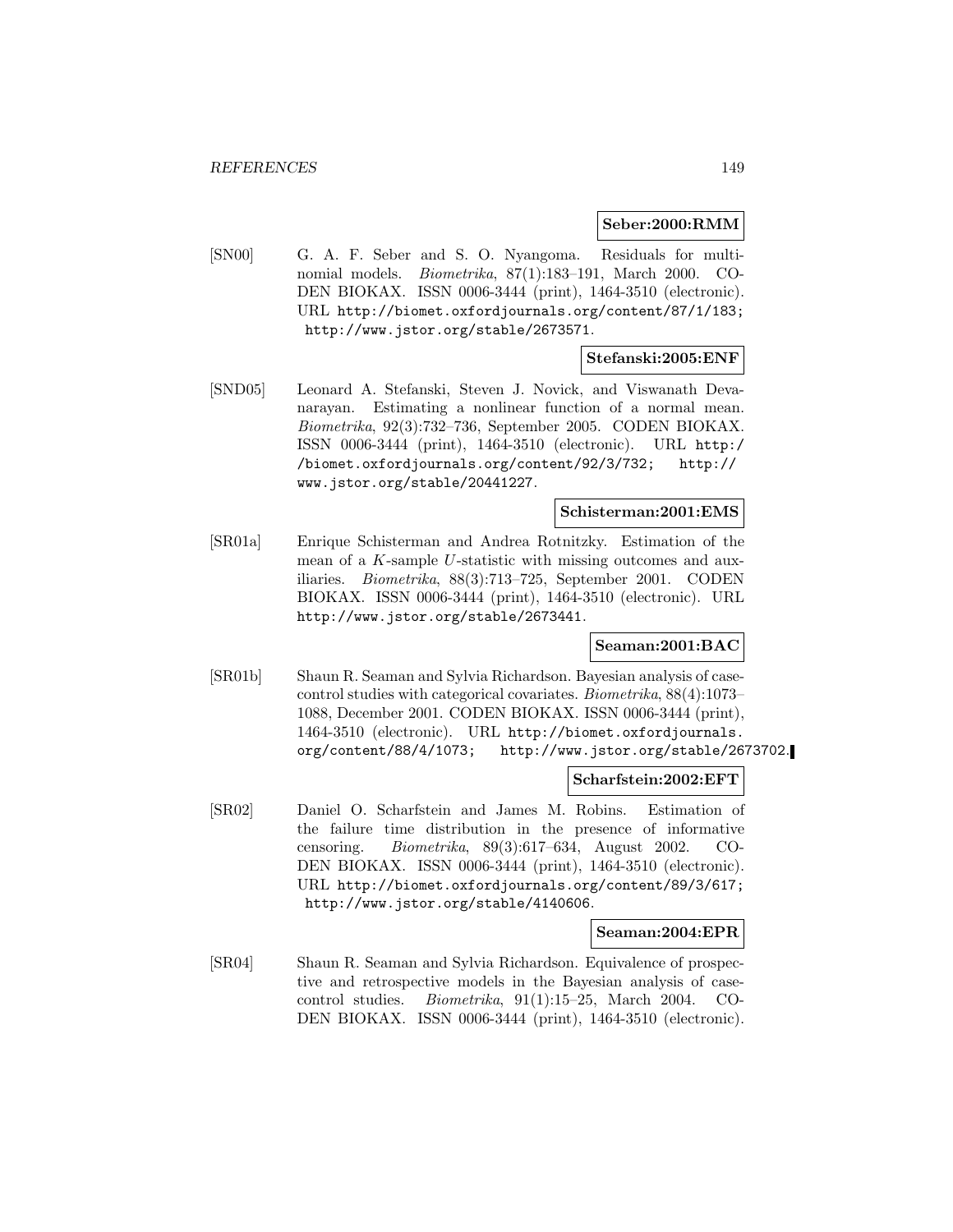#### **Seber:2000:RMM**

[SN00] G. A. F. Seber and S. O. Nyangoma. Residuals for multinomial models. Biometrika, 87(1):183–191, March 2000. CO-DEN BIOKAX. ISSN 0006-3444 (print), 1464-3510 (electronic). URL http://biomet.oxfordjournals.org/content/87/1/183; http://www.jstor.org/stable/2673571.

### **Stefanski:2005:ENF**

[SND05] Leonard A. Stefanski, Steven J. Novick, and Viswanath Devanarayan. Estimating a nonlinear function of a normal mean. Biometrika, 92(3):732–736, September 2005. CODEN BIOKAX. ISSN 0006-3444 (print), 1464-3510 (electronic). URL http:/ /biomet.oxfordjournals.org/content/92/3/732; http:// www.jstor.org/stable/20441227.

#### **Schisterman:2001:EMS**

[SR01a] Enrique Schisterman and Andrea Rotnitzky. Estimation of the mean of a K-sample U-statistic with missing outcomes and auxiliaries. Biometrika, 88(3):713–725, September 2001. CODEN BIOKAX. ISSN 0006-3444 (print), 1464-3510 (electronic). URL http://www.jstor.org/stable/2673441.

# **Seaman:2001:BAC**

[SR01b] Shaun R. Seaman and Sylvia Richardson. Bayesian analysis of casecontrol studies with categorical covariates. Biometrika, 88(4):1073– 1088, December 2001. CODEN BIOKAX. ISSN 0006-3444 (print), 1464-3510 (electronic). URL http://biomet.oxfordjournals. org/content/88/4/1073; http://www.jstor.org/stable/2673702.

### **Scharfstein:2002:EFT**

[SR02] Daniel O. Scharfstein and James M. Robins. Estimation of the failure time distribution in the presence of informative censoring. Biometrika, 89(3):617–634, August 2002. CO-DEN BIOKAX. ISSN 0006-3444 (print), 1464-3510 (electronic). URL http://biomet.oxfordjournals.org/content/89/3/617; http://www.jstor.org/stable/4140606.

#### **Seaman:2004:EPR**

[SR04] Shaun R. Seaman and Sylvia Richardson. Equivalence of prospective and retrospective models in the Bayesian analysis of casecontrol studies. Biometrika, 91(1):15–25, March 2004. CO-DEN BIOKAX. ISSN 0006-3444 (print), 1464-3510 (electronic).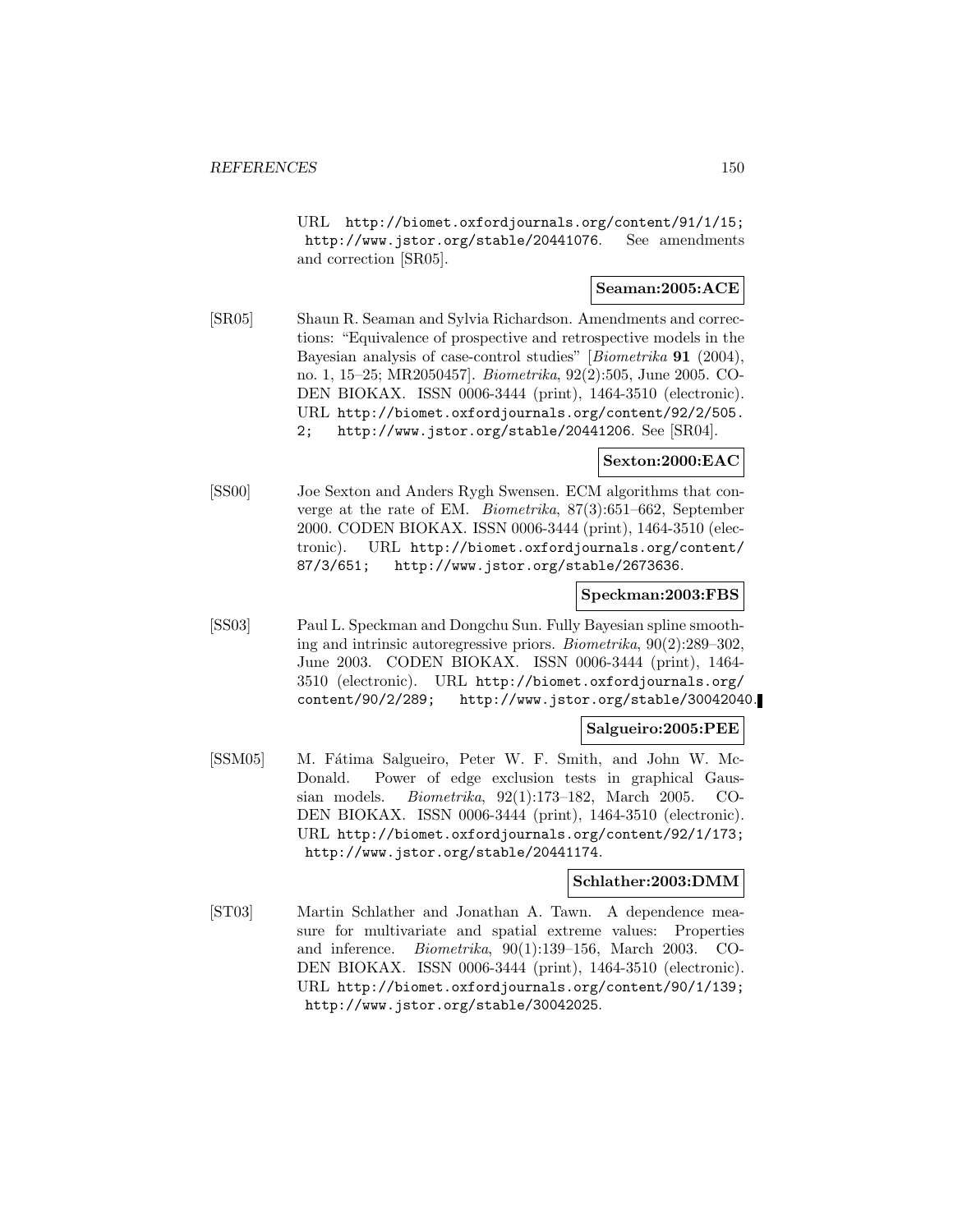URL http://biomet.oxfordjournals.org/content/91/1/15; http://www.jstor.org/stable/20441076. See amendments and correction [SR05].

### **Seaman:2005:ACE**

[SR05] Shaun R. Seaman and Sylvia Richardson. Amendments and corrections: "Equivalence of prospective and retrospective models in the Bayesian analysis of case-control studies" [Biometrika **91** (2004), no. 1, 15–25; MR2050457]. Biometrika, 92(2):505, June 2005. CO-DEN BIOKAX. ISSN 0006-3444 (print), 1464-3510 (electronic). URL http://biomet.oxfordjournals.org/content/92/2/505. 2; http://www.jstor.org/stable/20441206. See [SR04].

# **Sexton:2000:EAC**

[SS00] Joe Sexton and Anders Rygh Swensen. ECM algorithms that converge at the rate of EM. Biometrika, 87(3):651–662, September 2000. CODEN BIOKAX. ISSN 0006-3444 (print), 1464-3510 (electronic). URL http://biomet.oxfordjournals.org/content/ 87/3/651; http://www.jstor.org/stable/2673636.

### **Speckman:2003:FBS**

[SS03] Paul L. Speckman and Dongchu Sun. Fully Bayesian spline smoothing and intrinsic autoregressive priors. Biometrika, 90(2):289–302, June 2003. CODEN BIOKAX. ISSN 0006-3444 (print), 1464- 3510 (electronic). URL http://biomet.oxfordjournals.org/ content/90/2/289; http://www.jstor.org/stable/30042040.

#### **Salgueiro:2005:PEE**

[SSM05] M. Fátima Salgueiro, Peter W. F. Smith, and John W. Mc-Donald. Power of edge exclusion tests in graphical Gaussian models. Biometrika, 92(1):173–182, March 2005. CO-DEN BIOKAX. ISSN 0006-3444 (print), 1464-3510 (electronic). URL http://biomet.oxfordjournals.org/content/92/1/173; http://www.jstor.org/stable/20441174.

#### **Schlather:2003:DMM**

[ST03] Martin Schlather and Jonathan A. Tawn. A dependence measure for multivariate and spatial extreme values: Properties and inference. Biometrika, 90(1):139–156, March 2003. CO-DEN BIOKAX. ISSN 0006-3444 (print), 1464-3510 (electronic). URL http://biomet.oxfordjournals.org/content/90/1/139; http://www.jstor.org/stable/30042025.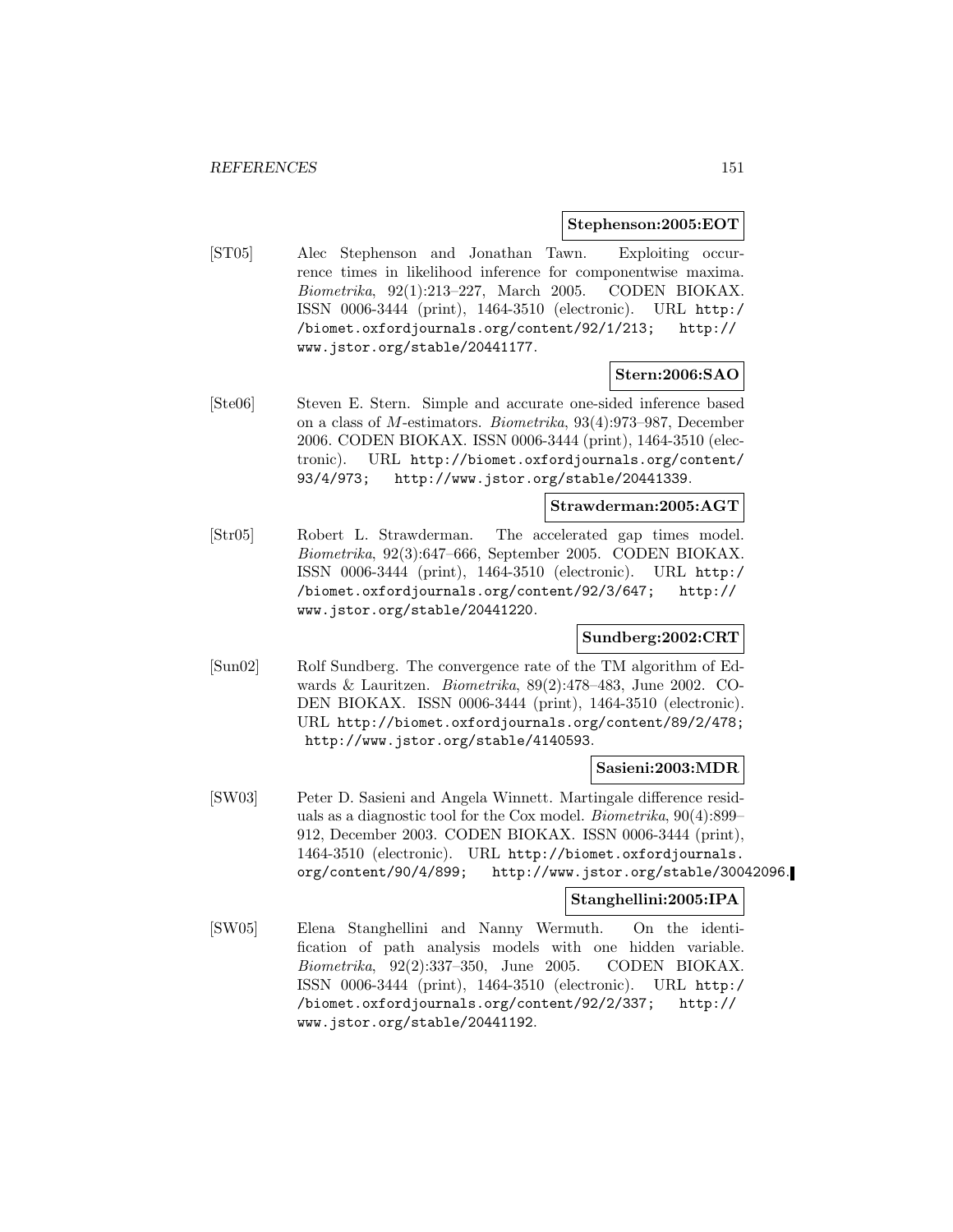#### **Stephenson:2005:EOT**

[ST05] Alec Stephenson and Jonathan Tawn. Exploiting occurrence times in likelihood inference for componentwise maxima. Biometrika, 92(1):213–227, March 2005. CODEN BIOKAX. ISSN 0006-3444 (print), 1464-3510 (electronic). URL http:/ /biomet.oxfordjournals.org/content/92/1/213; http:// www.jstor.org/stable/20441177.

# **Stern:2006:SAO**

[Ste06] Steven E. Stern. Simple and accurate one-sided inference based on a class of M-estimators. Biometrika, 93(4):973–987, December 2006. CODEN BIOKAX. ISSN 0006-3444 (print), 1464-3510 (electronic). URL http://biomet.oxfordjournals.org/content/ 93/4/973; http://www.jstor.org/stable/20441339.

### **Strawderman:2005:AGT**

[Str05] Robert L. Strawderman. The accelerated gap times model. Biometrika, 92(3):647–666, September 2005. CODEN BIOKAX. ISSN 0006-3444 (print), 1464-3510 (electronic). URL http:/ /biomet.oxfordjournals.org/content/92/3/647; http:// www.jstor.org/stable/20441220.

## **Sundberg:2002:CRT**

[Sun02] Rolf Sundberg. The convergence rate of the TM algorithm of Edwards & Lauritzen. Biometrika, 89(2):478–483, June 2002. CO-DEN BIOKAX. ISSN 0006-3444 (print), 1464-3510 (electronic). URL http://biomet.oxfordjournals.org/content/89/2/478; http://www.jstor.org/stable/4140593.

### **Sasieni:2003:MDR**

[SW03] Peter D. Sasieni and Angela Winnett. Martingale difference residuals as a diagnostic tool for the Cox model. Biometrika, 90(4):899– 912, December 2003. CODEN BIOKAX. ISSN 0006-3444 (print), 1464-3510 (electronic). URL http://biomet.oxfordjournals. org/content/90/4/899; http://www.jstor.org/stable/30042096.

# **Stanghellini:2005:IPA**

[SW05] Elena Stanghellini and Nanny Wermuth. On the identification of path analysis models with one hidden variable. Biometrika, 92(2):337–350, June 2005. CODEN BIOKAX. ISSN 0006-3444 (print), 1464-3510 (electronic). URL http:/ /biomet.oxfordjournals.org/content/92/2/337; http:// www.jstor.org/stable/20441192.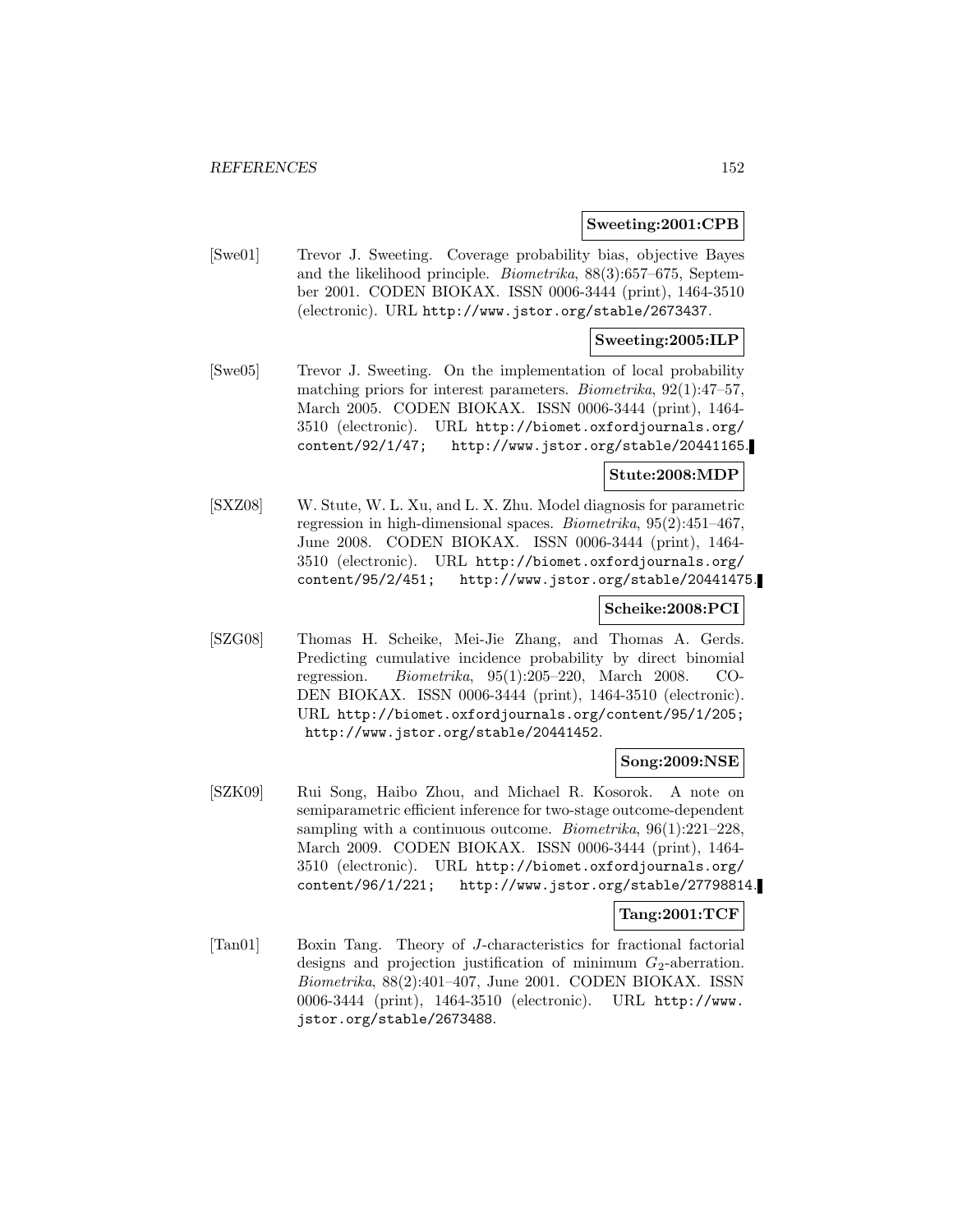#### **Sweeting:2001:CPB**

[Swe01] Trevor J. Sweeting. Coverage probability bias, objective Bayes and the likelihood principle. Biometrika, 88(3):657–675, September 2001. CODEN BIOKAX. ISSN 0006-3444 (print), 1464-3510 (electronic). URL http://www.jstor.org/stable/2673437.

# **Sweeting:2005:ILP**

[Swe05] Trevor J. Sweeting. On the implementation of local probability matching priors for interest parameters. Biometrika, 92(1):47–57, March 2005. CODEN BIOKAX. ISSN 0006-3444 (print), 1464- 3510 (electronic). URL http://biomet.oxfordjournals.org/ content/92/1/47; http://www.jstor.org/stable/20441165.

#### **Stute:2008:MDP**

[SXZ08] W. Stute, W. L. Xu, and L. X. Zhu. Model diagnosis for parametric regression in high-dimensional spaces. Biometrika, 95(2):451–467, June 2008. CODEN BIOKAX. ISSN 0006-3444 (print), 1464- 3510 (electronic). URL http://biomet.oxfordjournals.org/ content/95/2/451; http://www.jstor.org/stable/20441475.

### **Scheike:2008:PCI**

[SZG08] Thomas H. Scheike, Mei-Jie Zhang, and Thomas A. Gerds. Predicting cumulative incidence probability by direct binomial regression. Biometrika, 95(1):205–220, March 2008. CO-DEN BIOKAX. ISSN 0006-3444 (print), 1464-3510 (electronic). URL http://biomet.oxfordjournals.org/content/95/1/205; http://www.jstor.org/stable/20441452.

### **Song:2009:NSE**

[SZK09] Rui Song, Haibo Zhou, and Michael R. Kosorok. A note on semiparametric efficient inference for two-stage outcome-dependent sampling with a continuous outcome. *Biometrika*,  $96(1):221-228$ , March 2009. CODEN BIOKAX. ISSN 0006-3444 (print), 1464- 3510 (electronic). URL http://biomet.oxfordjournals.org/ content/96/1/221; http://www.jstor.org/stable/27798814.

### **Tang:2001:TCF**

[Tan01] Boxin Tang. Theory of J-characteristics for fractional factorial designs and projection justification of minimum  $G_2$ -aberration. Biometrika, 88(2):401–407, June 2001. CODEN BIOKAX. ISSN 0006-3444 (print), 1464-3510 (electronic). URL http://www. jstor.org/stable/2673488.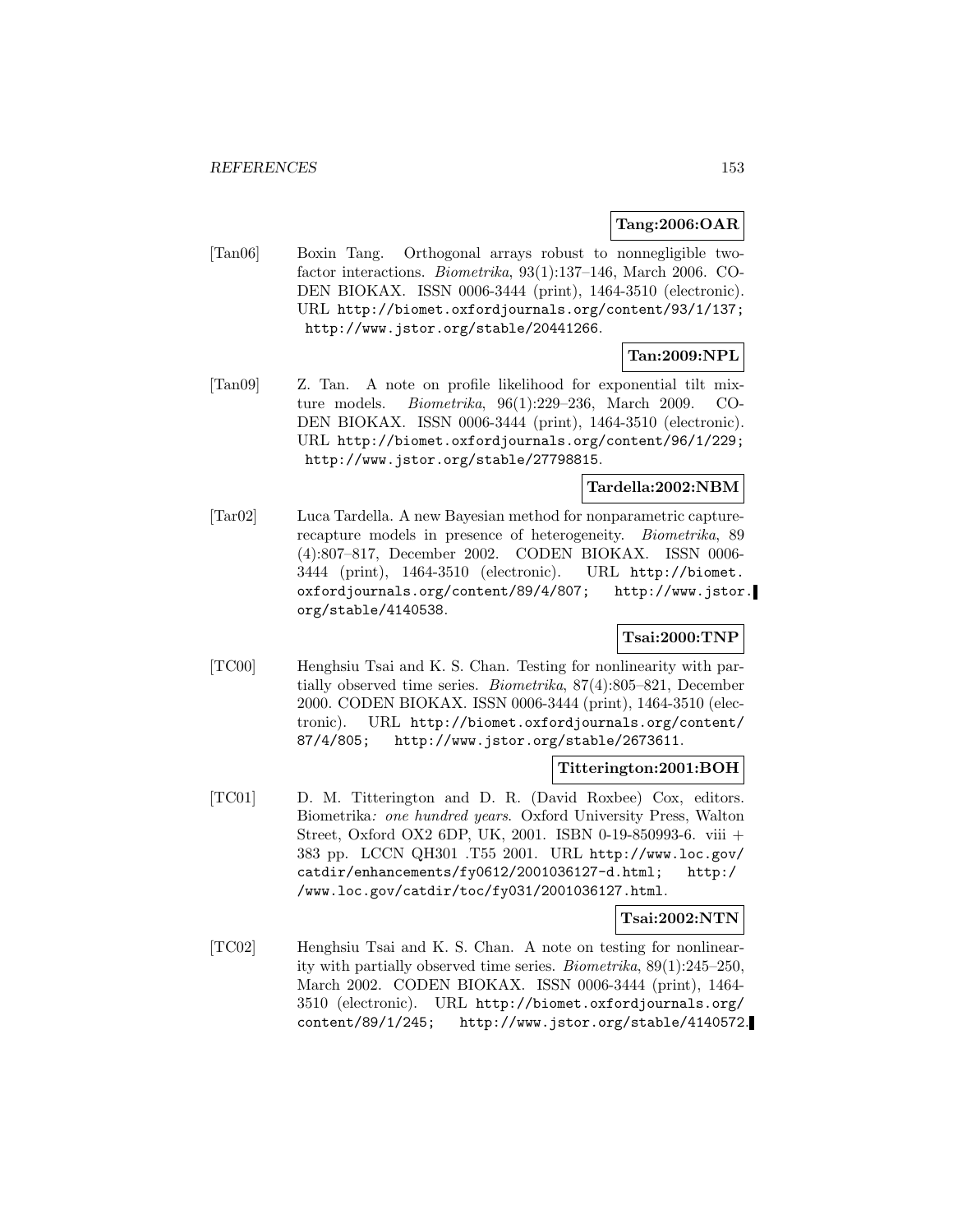### **Tang:2006:OAR**

[Tan06] Boxin Tang. Orthogonal arrays robust to nonnegligible twofactor interactions. Biometrika, 93(1):137–146, March 2006. CO-DEN BIOKAX. ISSN 0006-3444 (print), 1464-3510 (electronic). URL http://biomet.oxfordjournals.org/content/93/1/137; http://www.jstor.org/stable/20441266.

# **Tan:2009:NPL**

[Tan09] Z. Tan. A note on profile likelihood for exponential tilt mixture models. Biometrika, 96(1):229–236, March 2009. CO-DEN BIOKAX. ISSN 0006-3444 (print), 1464-3510 (electronic). URL http://biomet.oxfordjournals.org/content/96/1/229; http://www.jstor.org/stable/27798815.

### **Tardella:2002:NBM**

[Tar02] Luca Tardella. A new Bayesian method for nonparametric capturerecapture models in presence of heterogeneity. Biometrika, 89 (4):807–817, December 2002. CODEN BIOKAX. ISSN 0006- 3444 (print), 1464-3510 (electronic). URL http://biomet. oxfordjournals.org/content/89/4/807; http://www.jstor. org/stable/4140538.

## **Tsai:2000:TNP**

[TC00] Henghsiu Tsai and K. S. Chan. Testing for nonlinearity with partially observed time series. Biometrika, 87(4):805–821, December 2000. CODEN BIOKAX. ISSN 0006-3444 (print), 1464-3510 (electronic). URL http://biomet.oxfordjournals.org/content/ 87/4/805; http://www.jstor.org/stable/2673611.

### **Titterington:2001:BOH**

[TC01] D. M. Titterington and D. R. (David Roxbee) Cox, editors. Biometrika: one hundred years. Oxford University Press, Walton Street, Oxford OX2 6DP, UK, 2001. ISBN 0-19-850993-6. viii + 383 pp. LCCN QH301 .T55 2001. URL http://www.loc.gov/ catdir/enhancements/fy0612/2001036127-d.html; http:/ /www.loc.gov/catdir/toc/fy031/2001036127.html.

### **Tsai:2002:NTN**

[TC02] Henghsiu Tsai and K. S. Chan. A note on testing for nonlinearity with partially observed time series. Biometrika, 89(1):245–250, March 2002. CODEN BIOKAX. ISSN 0006-3444 (print), 1464- 3510 (electronic). URL http://biomet.oxfordjournals.org/ content/89/1/245; http://www.jstor.org/stable/4140572.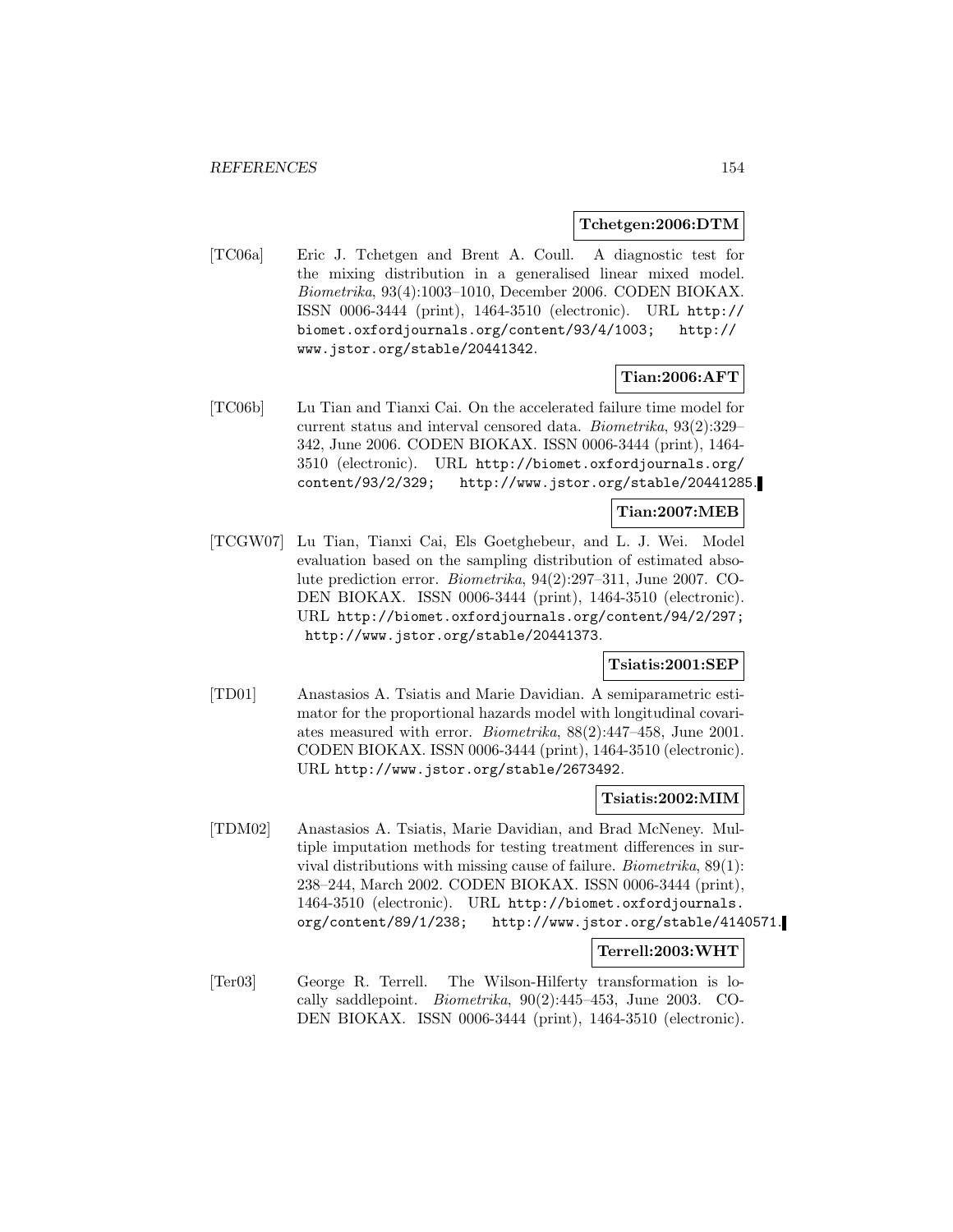#### **Tchetgen:2006:DTM**

[TC06a] Eric J. Tchetgen and Brent A. Coull. A diagnostic test for the mixing distribution in a generalised linear mixed model. Biometrika, 93(4):1003–1010, December 2006. CODEN BIOKAX. ISSN 0006-3444 (print), 1464-3510 (electronic). URL http:// biomet.oxfordjournals.org/content/93/4/1003; http:// www.jstor.org/stable/20441342.

### **Tian:2006:AFT**

[TC06b] Lu Tian and Tianxi Cai. On the accelerated failure time model for current status and interval censored data. Biometrika, 93(2):329– 342, June 2006. CODEN BIOKAX. ISSN 0006-3444 (print), 1464- 3510 (electronic). URL http://biomet.oxfordjournals.org/ content/93/2/329; http://www.jstor.org/stable/20441285.

# **Tian:2007:MEB**

[TCGW07] Lu Tian, Tianxi Cai, Els Goetghebeur, and L. J. Wei. Model evaluation based on the sampling distribution of estimated absolute prediction error. Biometrika, 94(2):297–311, June 2007. CO-DEN BIOKAX. ISSN 0006-3444 (print), 1464-3510 (electronic). URL http://biomet.oxfordjournals.org/content/94/2/297; http://www.jstor.org/stable/20441373.

### **Tsiatis:2001:SEP**

[TD01] Anastasios A. Tsiatis and Marie Davidian. A semiparametric estimator for the proportional hazards model with longitudinal covariates measured with error. Biometrika, 88(2):447–458, June 2001. CODEN BIOKAX. ISSN 0006-3444 (print), 1464-3510 (electronic). URL http://www.jstor.org/stable/2673492.

#### **Tsiatis:2002:MIM**

[TDM02] Anastasios A. Tsiatis, Marie Davidian, and Brad McNeney. Multiple imputation methods for testing treatment differences in survival distributions with missing cause of failure. Biometrika, 89(1): 238–244, March 2002. CODEN BIOKAX. ISSN 0006-3444 (print), 1464-3510 (electronic). URL http://biomet.oxfordjournals. org/content/89/1/238; http://www.jstor.org/stable/4140571.

### **Terrell:2003:WHT**

[Ter03] George R. Terrell. The Wilson-Hilferty transformation is locally saddlepoint. Biometrika, 90(2):445–453, June 2003. CO-DEN BIOKAX. ISSN 0006-3444 (print), 1464-3510 (electronic).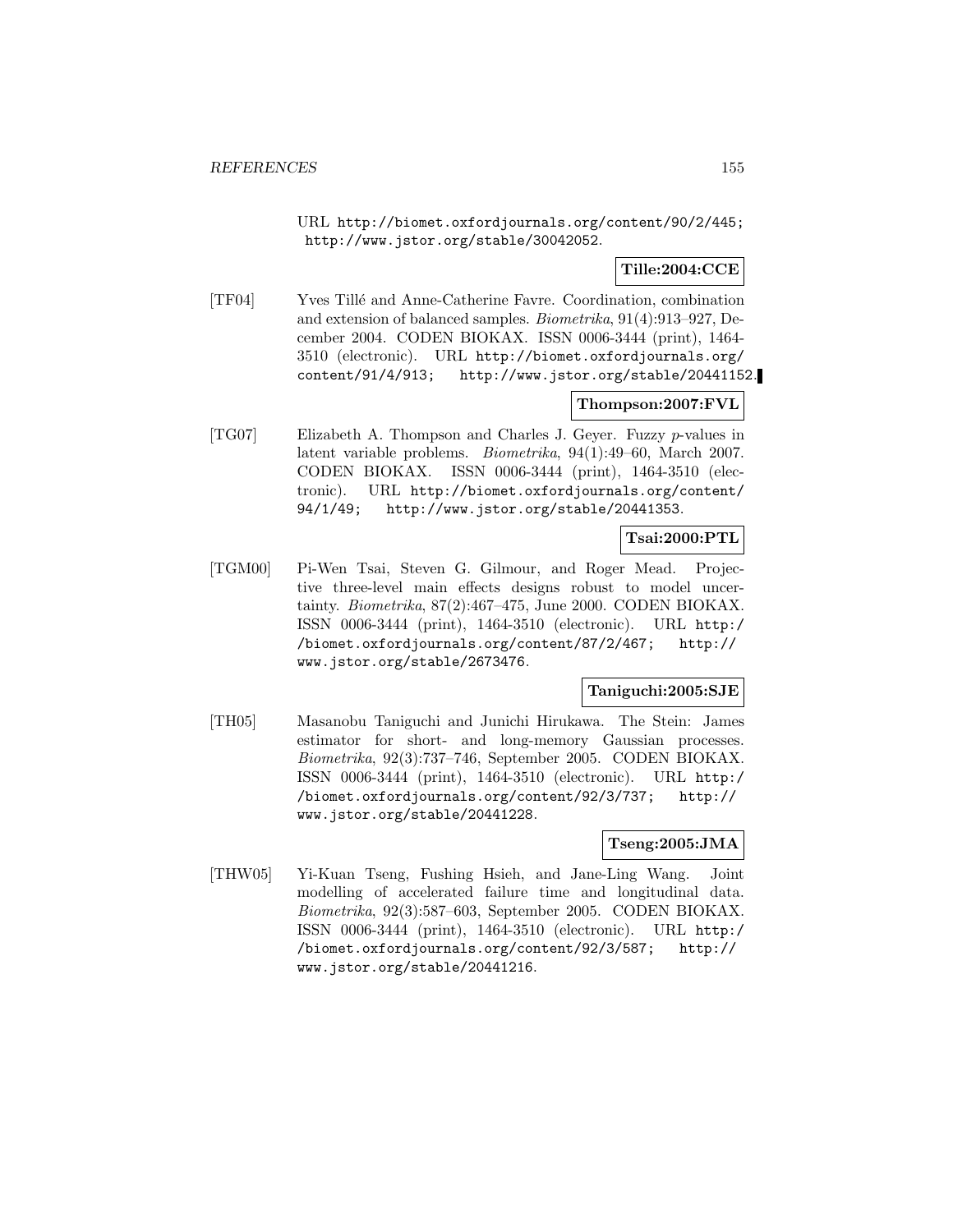URL http://biomet.oxfordjournals.org/content/90/2/445; http://www.jstor.org/stable/30042052.

### **Tille:2004:CCE**

[TF04] Yves Till´e and Anne-Catherine Favre. Coordination, combination and extension of balanced samples. Biometrika, 91(4):913–927, December 2004. CODEN BIOKAX. ISSN 0006-3444 (print), 1464- 3510 (electronic). URL http://biomet.oxfordjournals.org/ content/91/4/913; http://www.jstor.org/stable/20441152.

# **Thompson:2007:FVL**

[TG07] Elizabeth A. Thompson and Charles J. Geyer. Fuzzy p-values in latent variable problems. Biometrika, 94(1):49–60, March 2007. CODEN BIOKAX. ISSN 0006-3444 (print), 1464-3510 (electronic). URL http://biomet.oxfordjournals.org/content/ 94/1/49; http://www.jstor.org/stable/20441353.

# **Tsai:2000:PTL**

[TGM00] Pi-Wen Tsai, Steven G. Gilmour, and Roger Mead. Projective three-level main effects designs robust to model uncertainty. Biometrika, 87(2):467–475, June 2000. CODEN BIOKAX. ISSN 0006-3444 (print), 1464-3510 (electronic). URL http:/ /biomet.oxfordjournals.org/content/87/2/467; http:// www.jstor.org/stable/2673476.

# **Taniguchi:2005:SJE**

[TH05] Masanobu Taniguchi and Junichi Hirukawa. The Stein: James estimator for short- and long-memory Gaussian processes. Biometrika, 92(3):737–746, September 2005. CODEN BIOKAX. ISSN 0006-3444 (print), 1464-3510 (electronic). URL http:/ /biomet.oxfordjournals.org/content/92/3/737; http:// www.jstor.org/stable/20441228.

**Tseng:2005:JMA**

[THW05] Yi-Kuan Tseng, Fushing Hsieh, and Jane-Ling Wang. Joint modelling of accelerated failure time and longitudinal data. Biometrika, 92(3):587–603, September 2005. CODEN BIOKAX. ISSN 0006-3444 (print), 1464-3510 (electronic). URL http:/ /biomet.oxfordjournals.org/content/92/3/587; http:// www.jstor.org/stable/20441216.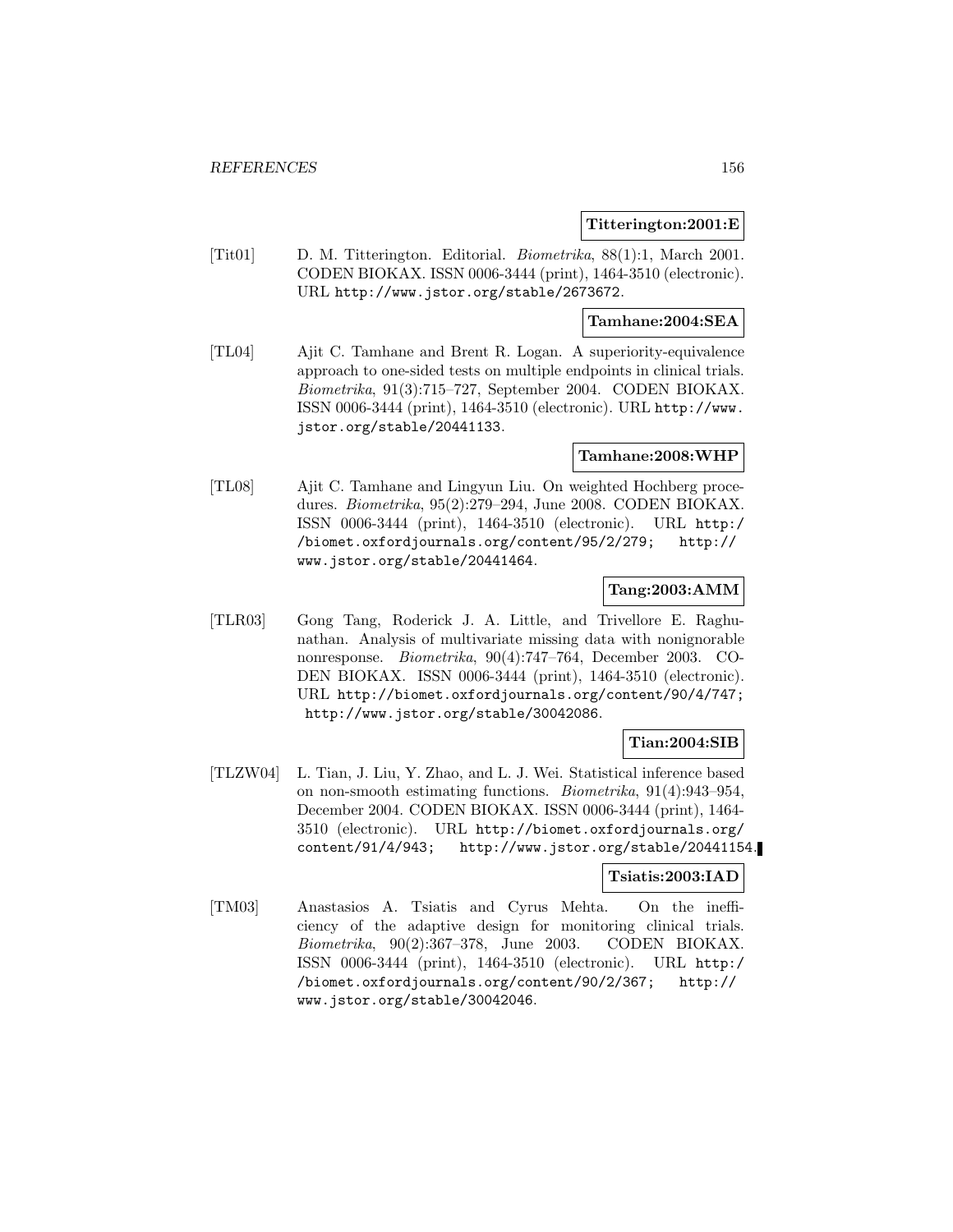#### **Titterington:2001:E**

[Tit01] D. M. Titterington. Editorial. Biometrika, 88(1):1, March 2001. CODEN BIOKAX. ISSN 0006-3444 (print), 1464-3510 (electronic). URL http://www.jstor.org/stable/2673672.

# **Tamhane:2004:SEA**

[TL04] Ajit C. Tamhane and Brent R. Logan. A superiority-equivalence approach to one-sided tests on multiple endpoints in clinical trials. Biometrika, 91(3):715–727, September 2004. CODEN BIOKAX. ISSN 0006-3444 (print), 1464-3510 (electronic). URL http://www. jstor.org/stable/20441133.

#### **Tamhane:2008:WHP**

[TL08] Ajit C. Tamhane and Lingyun Liu. On weighted Hochberg procedures. Biometrika, 95(2):279–294, June 2008. CODEN BIOKAX. ISSN 0006-3444 (print), 1464-3510 (electronic). URL http:/ /biomet.oxfordjournals.org/content/95/2/279; http:// www.jstor.org/stable/20441464.

# **Tang:2003:AMM**

[TLR03] Gong Tang, Roderick J. A. Little, and Trivellore E. Raghunathan. Analysis of multivariate missing data with nonignorable nonresponse. Biometrika, 90(4):747–764, December 2003. CO-DEN BIOKAX. ISSN 0006-3444 (print), 1464-3510 (electronic). URL http://biomet.oxfordjournals.org/content/90/4/747; http://www.jstor.org/stable/30042086.

# **Tian:2004:SIB**

[TLZW04] L. Tian, J. Liu, Y. Zhao, and L. J. Wei. Statistical inference based on non-smooth estimating functions. Biometrika, 91(4):943–954, December 2004. CODEN BIOKAX. ISSN 0006-3444 (print), 1464- 3510 (electronic). URL http://biomet.oxfordjournals.org/ content/91/4/943; http://www.jstor.org/stable/20441154.

### **Tsiatis:2003:IAD**

[TM03] Anastasios A. Tsiatis and Cyrus Mehta. On the inefficiency of the adaptive design for monitoring clinical trials. Biometrika, 90(2):367–378, June 2003. CODEN BIOKAX. ISSN 0006-3444 (print), 1464-3510 (electronic). URL http:/ /biomet.oxfordjournals.org/content/90/2/367; http:// www.jstor.org/stable/30042046.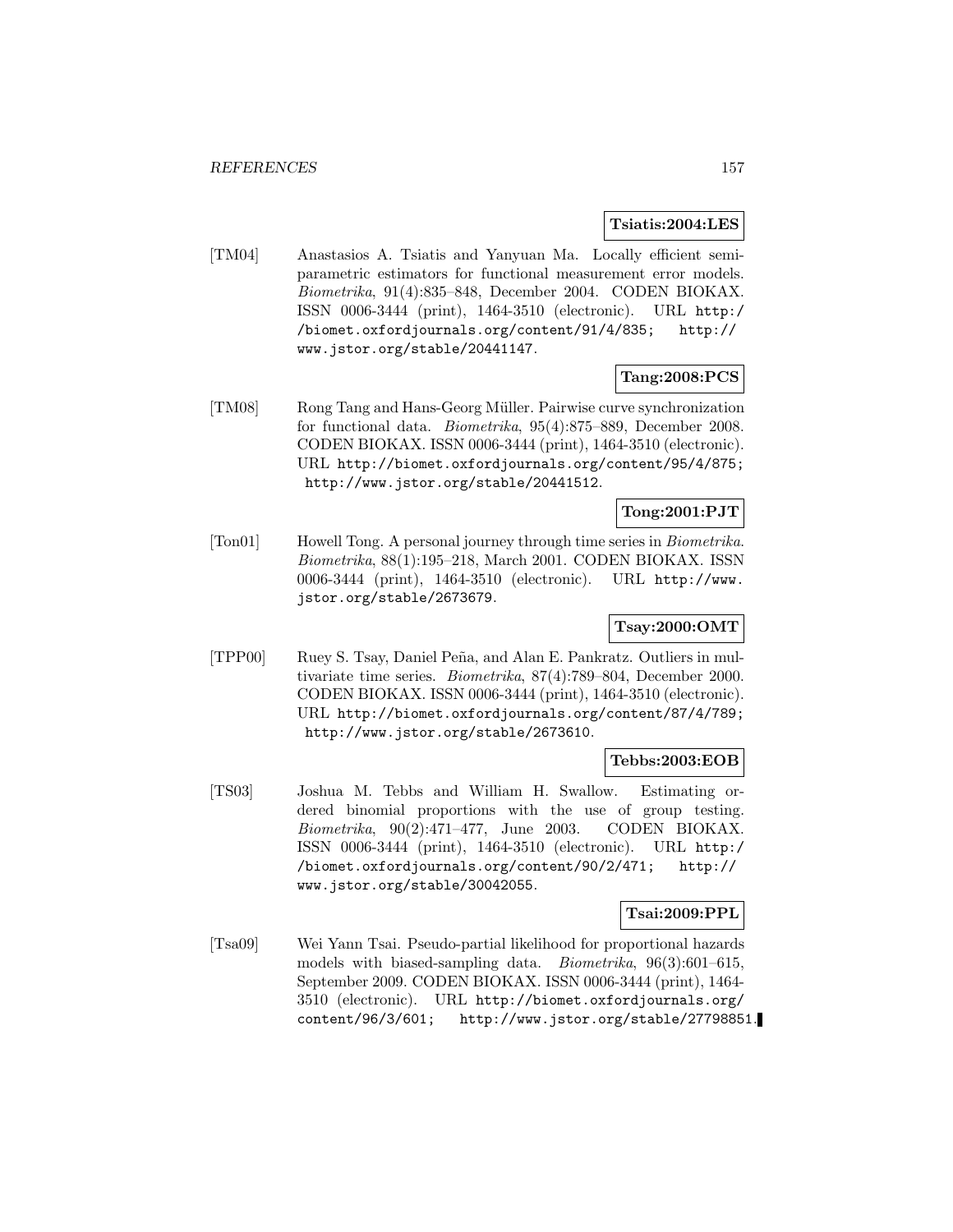#### **Tsiatis:2004:LES**

[TM04] Anastasios A. Tsiatis and Yanyuan Ma. Locally efficient semiparametric estimators for functional measurement error models. Biometrika, 91(4):835–848, December 2004. CODEN BIOKAX. ISSN 0006-3444 (print), 1464-3510 (electronic). URL http:/ /biomet.oxfordjournals.org/content/91/4/835; http:// www.jstor.org/stable/20441147.

### **Tang:2008:PCS**

[TM08] Rong Tang and Hans-Georg M¨uller. Pairwise curve synchronization for functional data. Biometrika, 95(4):875–889, December 2008. CODEN BIOKAX. ISSN 0006-3444 (print), 1464-3510 (electronic). URL http://biomet.oxfordjournals.org/content/95/4/875; http://www.jstor.org/stable/20441512.

# **Tong:2001:PJT**

[Ton01] Howell Tong. A personal journey through time series in Biometrika. Biometrika, 88(1):195–218, March 2001. CODEN BIOKAX. ISSN 0006-3444 (print), 1464-3510 (electronic). URL http://www. jstor.org/stable/2673679.

## **Tsay:2000:OMT**

[TPP00] Ruey S. Tsay, Daniel Peña, and Alan E. Pankratz. Outliers in multivariate time series. Biometrika, 87(4):789–804, December 2000. CODEN BIOKAX. ISSN 0006-3444 (print), 1464-3510 (electronic). URL http://biomet.oxfordjournals.org/content/87/4/789; http://www.jstor.org/stable/2673610.

### **Tebbs:2003:EOB**

[TS03] Joshua M. Tebbs and William H. Swallow. Estimating ordered binomial proportions with the use of group testing. Biometrika, 90(2):471–477, June 2003. CODEN BIOKAX. ISSN 0006-3444 (print), 1464-3510 (electronic). URL http:/ /biomet.oxfordjournals.org/content/90/2/471; http:// www.jstor.org/stable/30042055.

### **Tsai:2009:PPL**

[Tsa09] Wei Yann Tsai. Pseudo-partial likelihood for proportional hazards models with biased-sampling data. Biometrika, 96(3):601–615, September 2009. CODEN BIOKAX. ISSN 0006-3444 (print), 1464- 3510 (electronic). URL http://biomet.oxfordjournals.org/ content/96/3/601; http://www.jstor.org/stable/27798851.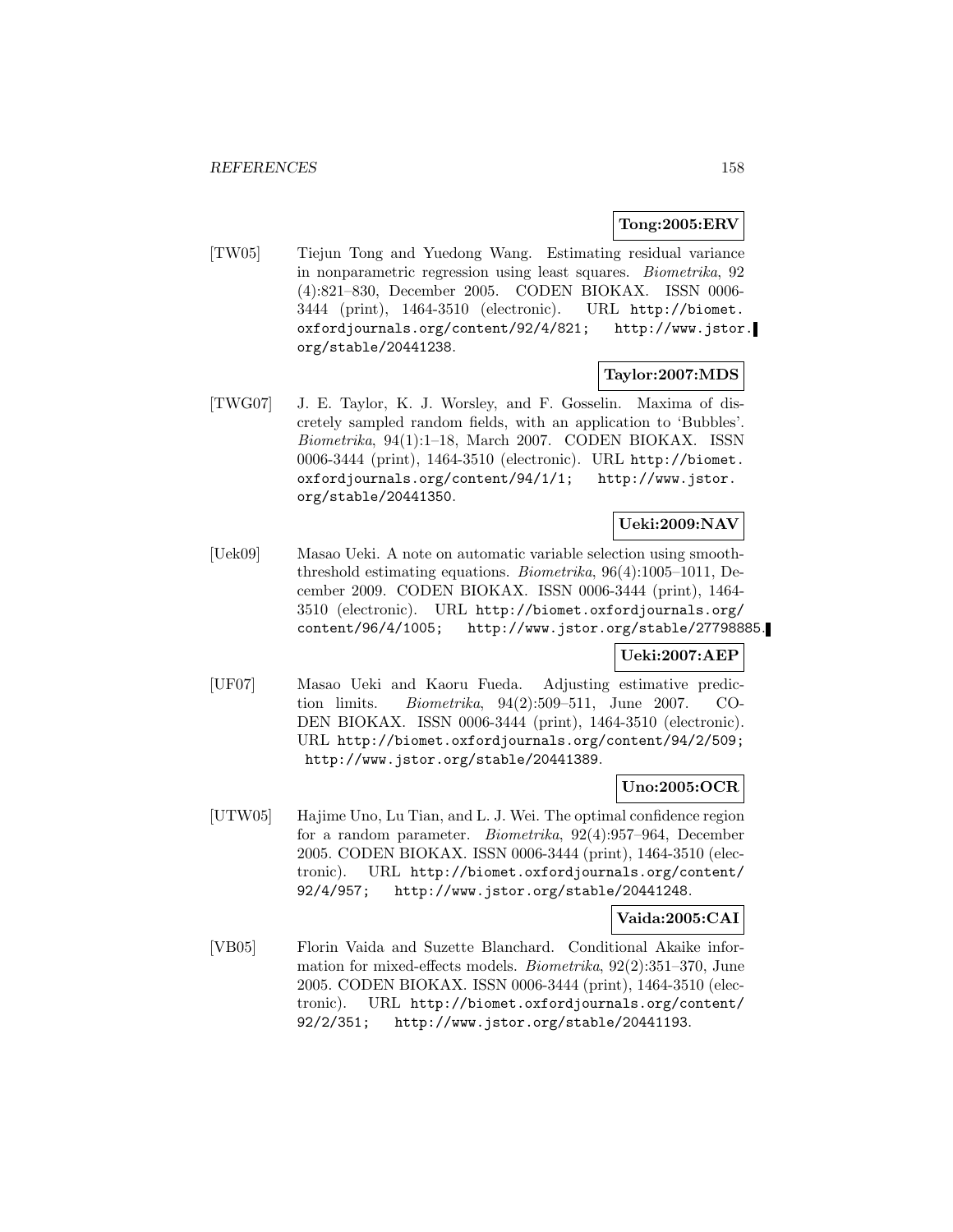### **Tong:2005:ERV**

[TW05] Tiejun Tong and Yuedong Wang. Estimating residual variance in nonparametric regression using least squares. Biometrika, 92 (4):821–830, December 2005. CODEN BIOKAX. ISSN 0006- 3444 (print), 1464-3510 (electronic). URL http://biomet. oxfordjournals.org/content/92/4/821; http://www.jstor. org/stable/20441238.

### **Taylor:2007:MDS**

[TWG07] J. E. Taylor, K. J. Worsley, and F. Gosselin. Maxima of discretely sampled random fields, with an application to 'Bubbles'. Biometrika, 94(1):1–18, March 2007. CODEN BIOKAX. ISSN 0006-3444 (print), 1464-3510 (electronic). URL http://biomet. oxfordjournals.org/content/94/1/1; http://www.jstor. org/stable/20441350.

### **Ueki:2009:NAV**

[Uek09] Masao Ueki. A note on automatic variable selection using smooththreshold estimating equations. Biometrika, 96(4):1005–1011, December 2009. CODEN BIOKAX. ISSN 0006-3444 (print), 1464- 3510 (electronic). URL http://biomet.oxfordjournals.org/ content/96/4/1005; http://www.jstor.org/stable/27798885.

### **Ueki:2007:AEP**

[UF07] Masao Ueki and Kaoru Fueda. Adjusting estimative prediction limits. Biometrika, 94(2):509–511, June 2007. CO-DEN BIOKAX. ISSN 0006-3444 (print), 1464-3510 (electronic). URL http://biomet.oxfordjournals.org/content/94/2/509; http://www.jstor.org/stable/20441389.

### **Uno:2005:OCR**

[UTW05] Hajime Uno, Lu Tian, and L. J. Wei. The optimal confidence region for a random parameter. Biometrika, 92(4):957–964, December 2005. CODEN BIOKAX. ISSN 0006-3444 (print), 1464-3510 (electronic). URL http://biomet.oxfordjournals.org/content/ 92/4/957; http://www.jstor.org/stable/20441248.

### **Vaida:2005:CAI**

[VB05] Florin Vaida and Suzette Blanchard. Conditional Akaike information for mixed-effects models. Biometrika, 92(2):351–370, June 2005. CODEN BIOKAX. ISSN 0006-3444 (print), 1464-3510 (electronic). URL http://biomet.oxfordjournals.org/content/ 92/2/351; http://www.jstor.org/stable/20441193.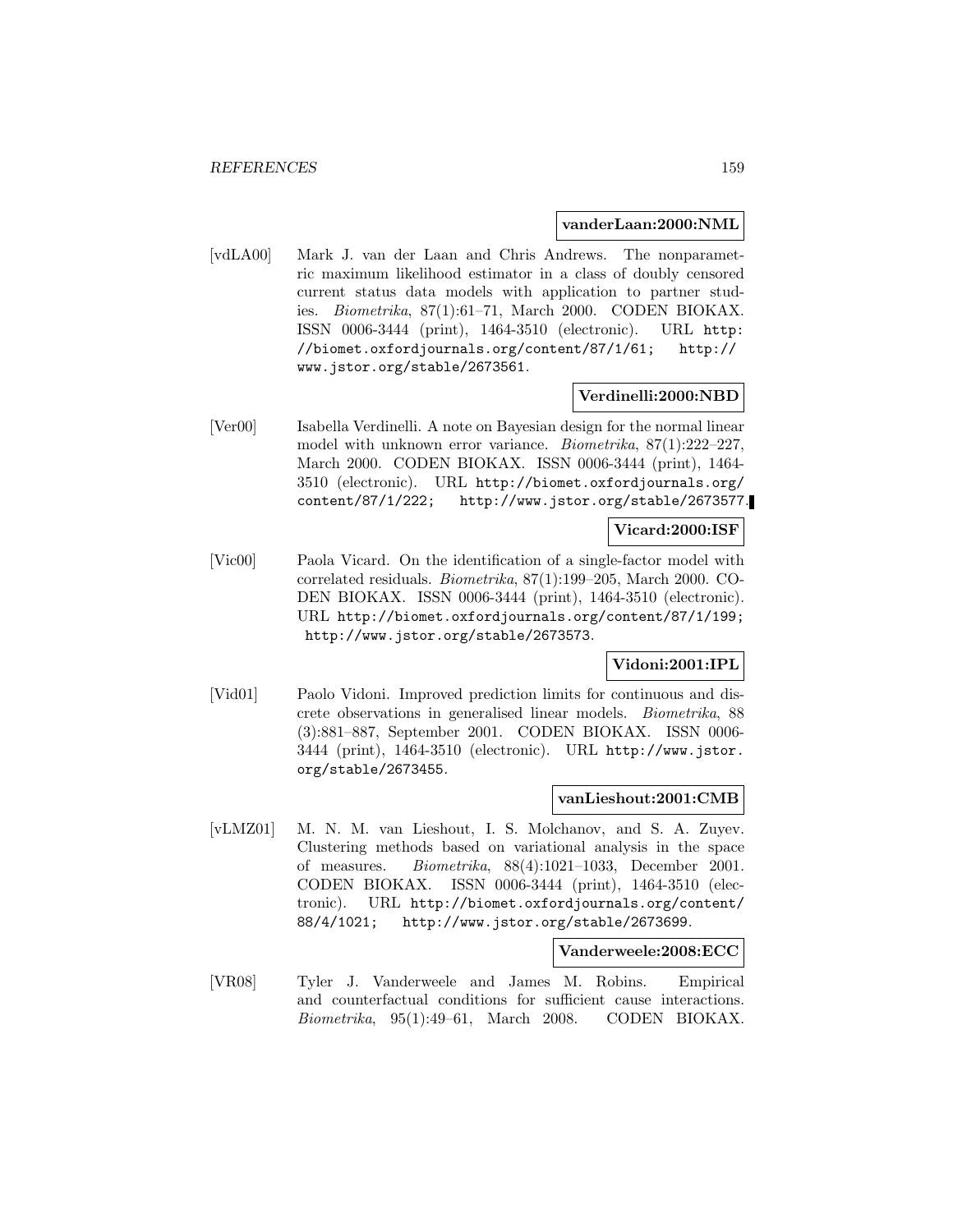#### **vanderLaan:2000:NML**

[vdLA00] Mark J. van der Laan and Chris Andrews. The nonparametric maximum likelihood estimator in a class of doubly censored current status data models with application to partner studies. Biometrika, 87(1):61–71, March 2000. CODEN BIOKAX. ISSN 0006-3444 (print), 1464-3510 (electronic). URL http: //biomet.oxfordjournals.org/content/87/1/61; http:// www.jstor.org/stable/2673561.

### **Verdinelli:2000:NBD**

[Ver00] Isabella Verdinelli. A note on Bayesian design for the normal linear model with unknown error variance. Biometrika, 87(1):222–227, March 2000. CODEN BIOKAX. ISSN 0006-3444 (print), 1464- 3510 (electronic). URL http://biomet.oxfordjournals.org/ content/87/1/222; http://www.jstor.org/stable/2673577.

### **Vicard:2000:ISF**

[Vic00] Paola Vicard. On the identification of a single-factor model with correlated residuals. Biometrika, 87(1):199–205, March 2000. CO-DEN BIOKAX. ISSN 0006-3444 (print), 1464-3510 (electronic). URL http://biomet.oxfordjournals.org/content/87/1/199; http://www.jstor.org/stable/2673573.

### **Vidoni:2001:IPL**

[Vid01] Paolo Vidoni. Improved prediction limits for continuous and discrete observations in generalised linear models. Biometrika, 88 (3):881–887, September 2001. CODEN BIOKAX. ISSN 0006- 3444 (print), 1464-3510 (electronic). URL http://www.jstor. org/stable/2673455.

#### **vanLieshout:2001:CMB**

[vLMZ01] M. N. M. van Lieshout, I. S. Molchanov, and S. A. Zuyev. Clustering methods based on variational analysis in the space of measures. Biometrika, 88(4):1021–1033, December 2001. CODEN BIOKAX. ISSN 0006-3444 (print), 1464-3510 (electronic). URL http://biomet.oxfordjournals.org/content/ 88/4/1021; http://www.jstor.org/stable/2673699.

#### **Vanderweele:2008:ECC**

[VR08] Tyler J. Vanderweele and James M. Robins. Empirical and counterfactual conditions for sufficient cause interactions. Biometrika, 95(1):49–61, March 2008. CODEN BIOKAX.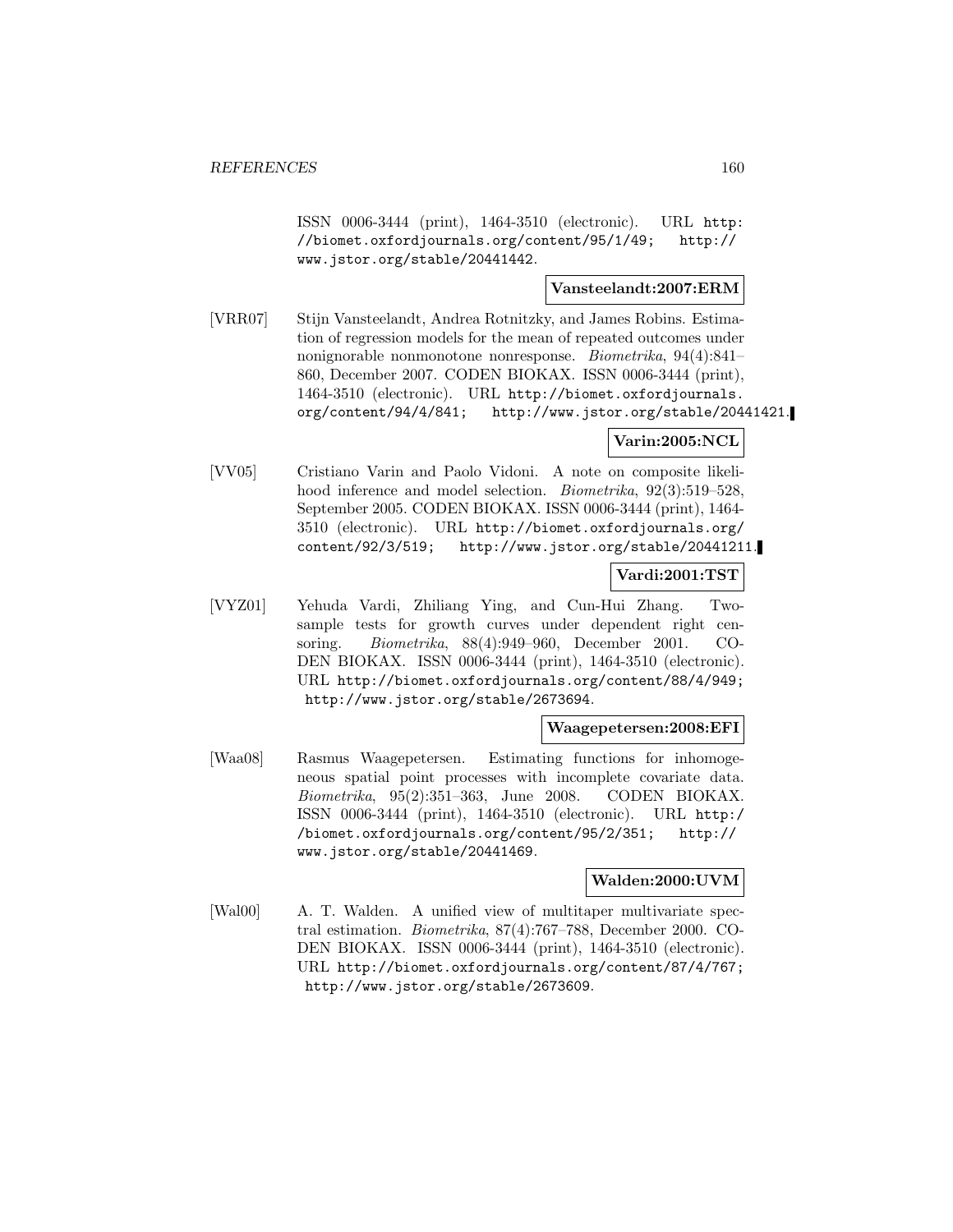ISSN 0006-3444 (print), 1464-3510 (electronic). URL http: //biomet.oxfordjournals.org/content/95/1/49; http:// www.jstor.org/stable/20441442.

### **Vansteelandt:2007:ERM**

[VRR07] Stijn Vansteelandt, Andrea Rotnitzky, and James Robins. Estimation of regression models for the mean of repeated outcomes under nonignorable nonmonotone nonresponse. Biometrika, 94(4):841– 860, December 2007. CODEN BIOKAX. ISSN 0006-3444 (print), 1464-3510 (electronic). URL http://biomet.oxfordjournals. org/content/94/4/841; http://www.jstor.org/stable/20441421.

### **Varin:2005:NCL**

[VV05] Cristiano Varin and Paolo Vidoni. A note on composite likelihood inference and model selection. *Biometrika*, 92(3):519–528, September 2005. CODEN BIOKAX. ISSN 0006-3444 (print), 1464- 3510 (electronic). URL http://biomet.oxfordjournals.org/ content/92/3/519; http://www.jstor.org/stable/20441211.

### **Vardi:2001:TST**

[VYZ01] Yehuda Vardi, Zhiliang Ying, and Cun-Hui Zhang. Twosample tests for growth curves under dependent right censoring. Biometrika, 88(4):949–960, December 2001. CO-DEN BIOKAX. ISSN 0006-3444 (print), 1464-3510 (electronic). URL http://biomet.oxfordjournals.org/content/88/4/949; http://www.jstor.org/stable/2673694.

### **Waagepetersen:2008:EFI**

[Waa08] Rasmus Waagepetersen. Estimating functions for inhomogeneous spatial point processes with incomplete covariate data. Biometrika, 95(2):351–363, June 2008. CODEN BIOKAX. ISSN 0006-3444 (print), 1464-3510 (electronic). URL http:/ /biomet.oxfordjournals.org/content/95/2/351; http:// www.jstor.org/stable/20441469.

### **Walden:2000:UVM**

[Wal00] A. T. Walden. A unified view of multitaper multivariate spectral estimation. Biometrika, 87(4):767–788, December 2000. CO-DEN BIOKAX. ISSN 0006-3444 (print), 1464-3510 (electronic). URL http://biomet.oxfordjournals.org/content/87/4/767; http://www.jstor.org/stable/2673609.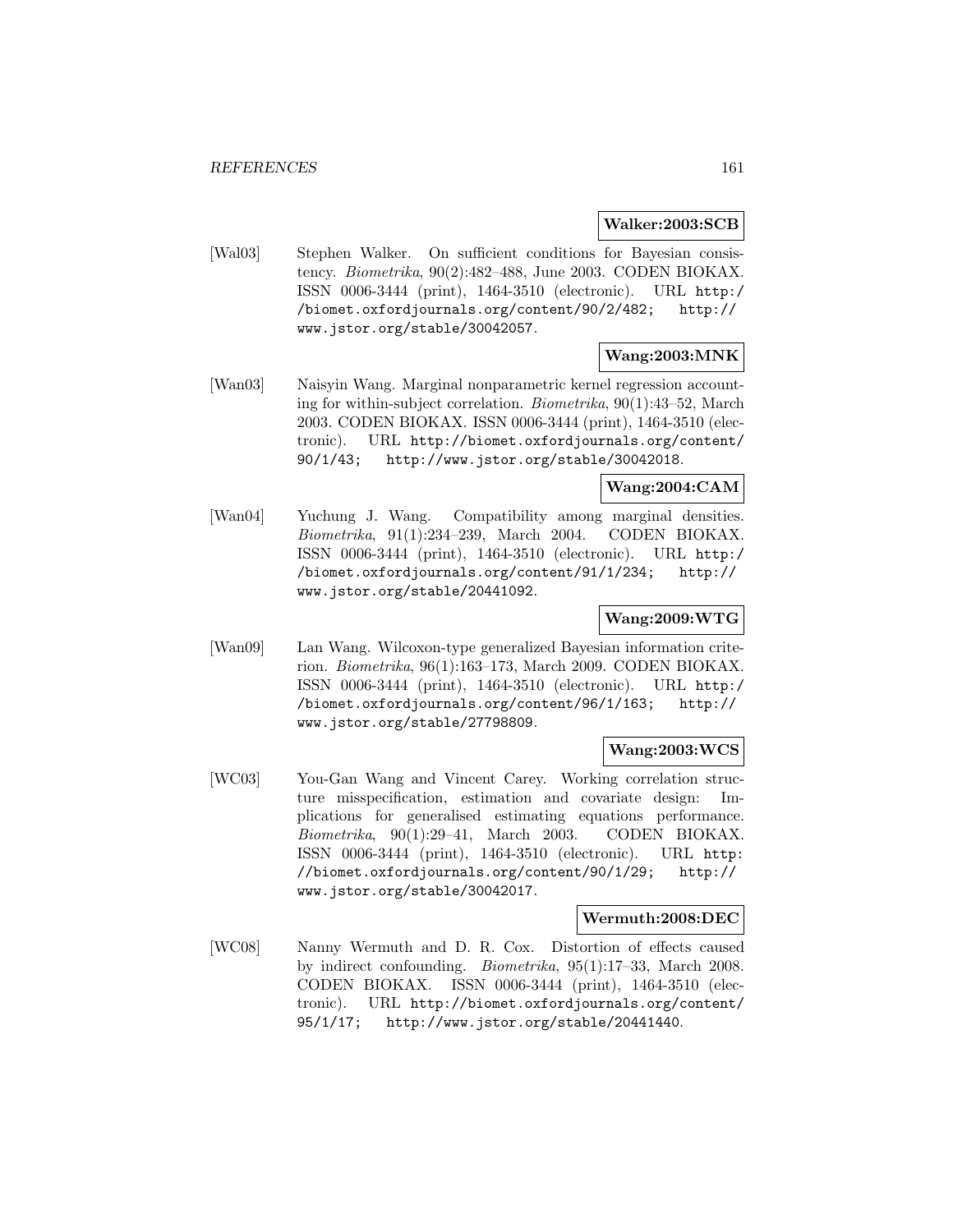**Walker:2003:SCB**

[Wal03] Stephen Walker. On sufficient conditions for Bayesian consistency. Biometrika, 90(2):482–488, June 2003. CODEN BIOKAX. ISSN 0006-3444 (print), 1464-3510 (electronic). URL http:/ /biomet.oxfordjournals.org/content/90/2/482; http:// www.jstor.org/stable/30042057.

### **Wang:2003:MNK**

[Wan03] Naisyin Wang. Marginal nonparametric kernel regression accounting for within-subject correlation. Biometrika, 90(1):43–52, March 2003. CODEN BIOKAX. ISSN 0006-3444 (print), 1464-3510 (electronic). URL http://biomet.oxfordjournals.org/content/ 90/1/43; http://www.jstor.org/stable/30042018.

## **Wang:2004:CAM**

[Wan04] Yuchung J. Wang. Compatibility among marginal densities. Biometrika, 91(1):234–239, March 2004. CODEN BIOKAX. ISSN 0006-3444 (print), 1464-3510 (electronic). URL http:/ /biomet.oxfordjournals.org/content/91/1/234; http:// www.jstor.org/stable/20441092.

## **Wang:2009:WTG**

[Wan09] Lan Wang. Wilcoxon-type generalized Bayesian information criterion. Biometrika, 96(1):163–173, March 2009. CODEN BIOKAX. ISSN 0006-3444 (print), 1464-3510 (electronic). URL http:/ /biomet.oxfordjournals.org/content/96/1/163; http:// www.jstor.org/stable/27798809.

## **Wang:2003:WCS**

[WC03] You-Gan Wang and Vincent Carey. Working correlation structure misspecification, estimation and covariate design: Implications for generalised estimating equations performance. Biometrika, 90(1):29–41, March 2003. CODEN BIOKAX. ISSN 0006-3444 (print), 1464-3510 (electronic). URL http: //biomet.oxfordjournals.org/content/90/1/29; http:// www.jstor.org/stable/30042017.

#### **Wermuth:2008:DEC**

[WC08] Nanny Wermuth and D. R. Cox. Distortion of effects caused by indirect confounding. Biometrika, 95(1):17–33, March 2008. CODEN BIOKAX. ISSN 0006-3444 (print), 1464-3510 (electronic). URL http://biomet.oxfordjournals.org/content/ 95/1/17; http://www.jstor.org/stable/20441440.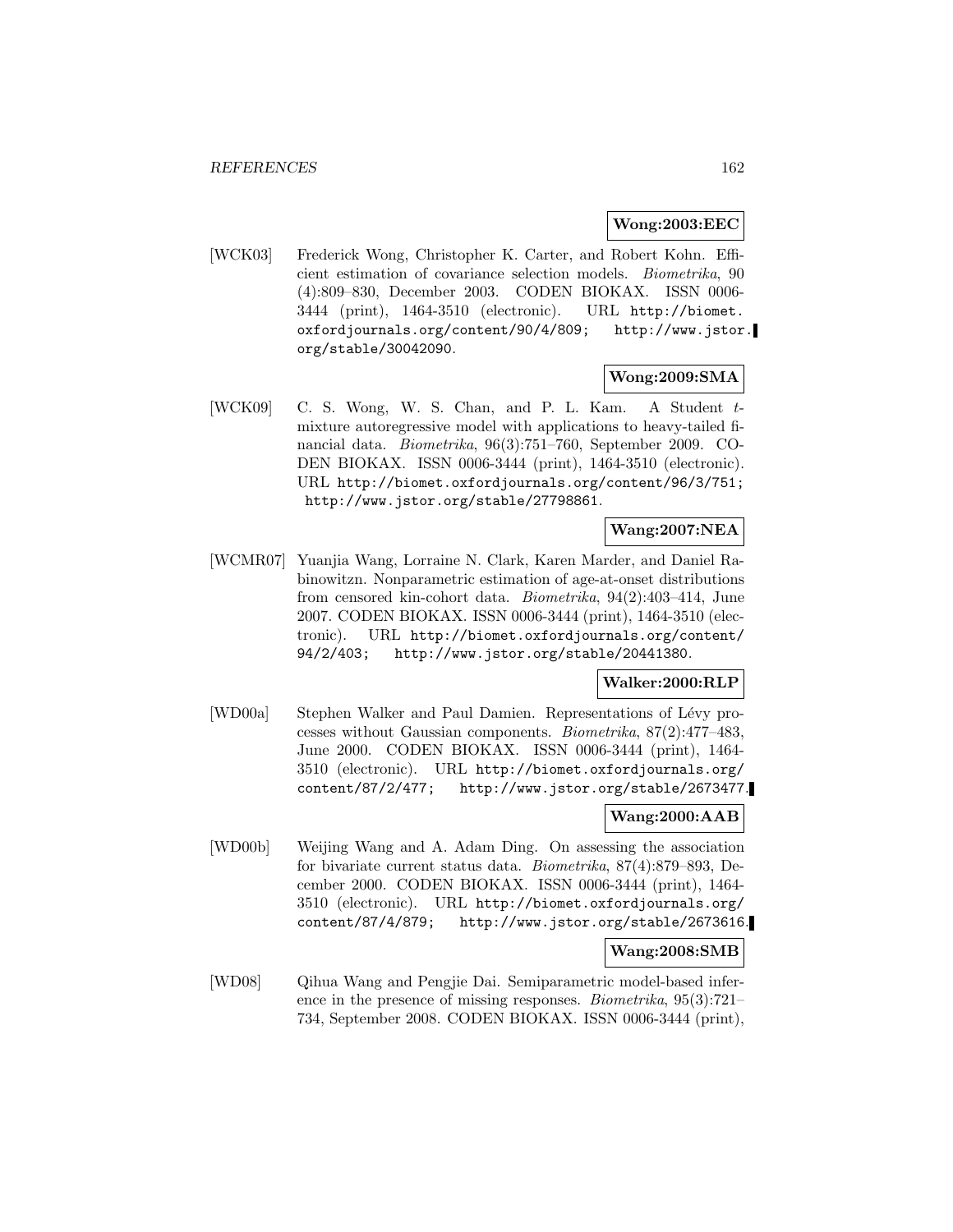#### **Wong:2003:EEC**

[WCK03] Frederick Wong, Christopher K. Carter, and Robert Kohn. Efficient estimation of covariance selection models. Biometrika, 90 (4):809–830, December 2003. CODEN BIOKAX. ISSN 0006- 3444 (print), 1464-3510 (electronic). URL http://biomet. oxfordjournals.org/content/90/4/809; http://www.jstor. org/stable/30042090.

#### **Wong:2009:SMA**

[WCK09] C. S. Wong, W. S. Chan, and P. L. Kam. A Student tmixture autoregressive model with applications to heavy-tailed financial data. Biometrika, 96(3):751–760, September 2009. CO-DEN BIOKAX. ISSN 0006-3444 (print), 1464-3510 (electronic). URL http://biomet.oxfordjournals.org/content/96/3/751; http://www.jstor.org/stable/27798861.

### **Wang:2007:NEA**

[WCMR07] Yuanjia Wang, Lorraine N. Clark, Karen Marder, and Daniel Rabinowitzn. Nonparametric estimation of age-at-onset distributions from censored kin-cohort data. Biometrika, 94(2):403–414, June 2007. CODEN BIOKAX. ISSN 0006-3444 (print), 1464-3510 (electronic). URL http://biomet.oxfordjournals.org/content/ 94/2/403; http://www.jstor.org/stable/20441380.

### **Walker:2000:RLP**

[WD00a] Stephen Walker and Paul Damien. Representations of Lévy processes without Gaussian components. Biometrika, 87(2):477–483, June 2000. CODEN BIOKAX. ISSN 0006-3444 (print), 1464- 3510 (electronic). URL http://biomet.oxfordjournals.org/ content/87/2/477; http://www.jstor.org/stable/2673477.

## **Wang:2000:AAB**

[WD00b] Weijing Wang and A. Adam Ding. On assessing the association for bivariate current status data. Biometrika, 87(4):879–893, December 2000. CODEN BIOKAX. ISSN 0006-3444 (print), 1464- 3510 (electronic). URL http://biomet.oxfordjournals.org/ content/87/4/879; http://www.jstor.org/stable/2673616.

### **Wang:2008:SMB**

[WD08] Qihua Wang and Pengjie Dai. Semiparametric model-based inference in the presence of missing responses. Biometrika, 95(3):721– 734, September 2008. CODEN BIOKAX. ISSN 0006-3444 (print),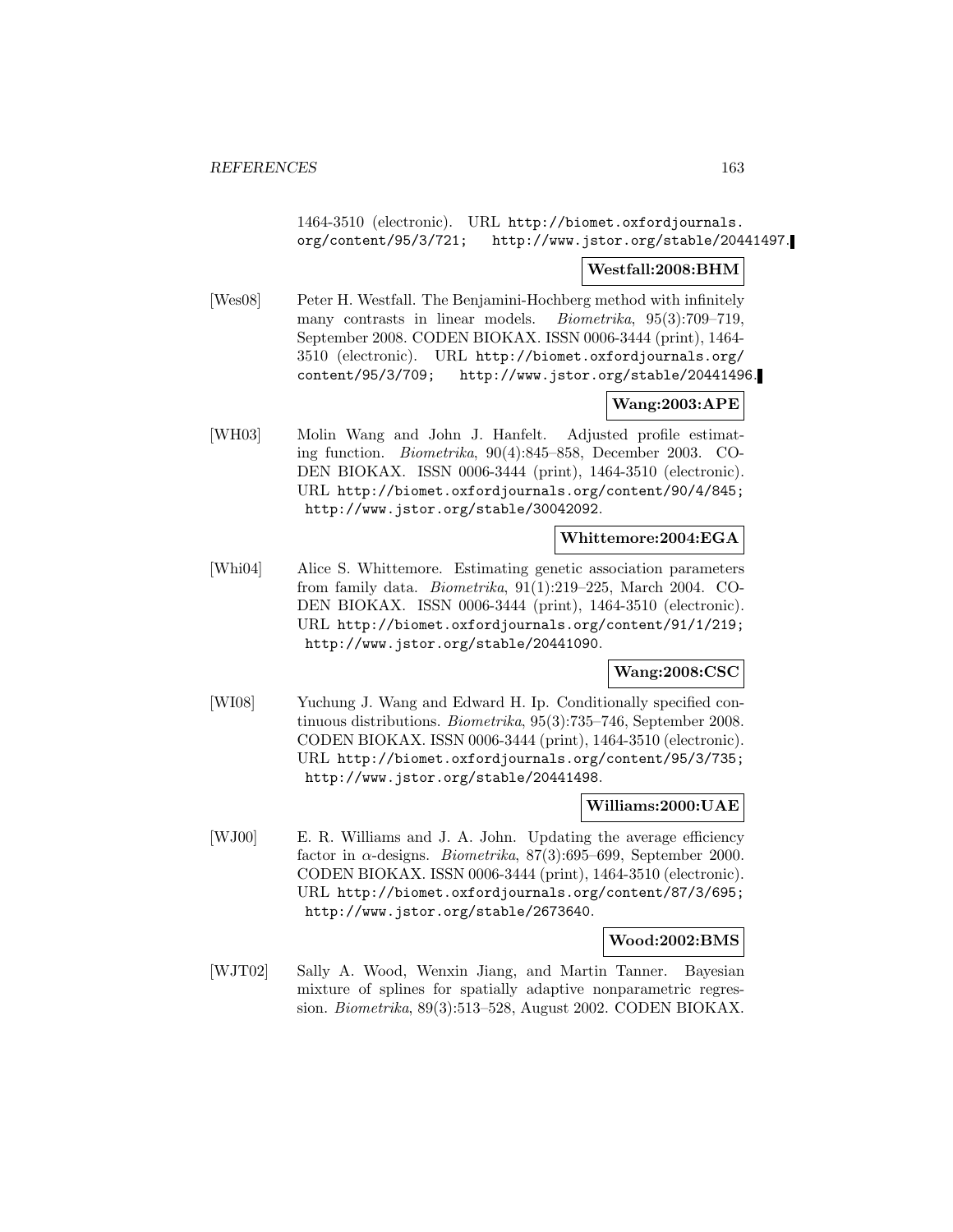### 1464-3510 (electronic). URL http://biomet.oxfordjournals. org/content/95/3/721; http://www.jstor.org/stable/20441497.

### **Westfall:2008:BHM**

[Wes08] Peter H. Westfall. The Benjamini-Hochberg method with infinitely many contrasts in linear models. Biometrika, 95(3):709–719, September 2008. CODEN BIOKAX. ISSN 0006-3444 (print), 1464- 3510 (electronic). URL http://biomet.oxfordjournals.org/ content/95/3/709; http://www.jstor.org/stable/20441496.

# **Wang:2003:APE**

[WH03] Molin Wang and John J. Hanfelt. Adjusted profile estimating function. Biometrika, 90(4):845–858, December 2003. CO-DEN BIOKAX. ISSN 0006-3444 (print), 1464-3510 (electronic). URL http://biomet.oxfordjournals.org/content/90/4/845; http://www.jstor.org/stable/30042092.

# **Whittemore:2004:EGA**

[Whi04] Alice S. Whittemore. Estimating genetic association parameters from family data. Biometrika, 91(1):219–225, March 2004. CO-DEN BIOKAX. ISSN 0006-3444 (print), 1464-3510 (electronic). URL http://biomet.oxfordjournals.org/content/91/1/219; http://www.jstor.org/stable/20441090.

### **Wang:2008:CSC**

[WI08] Yuchung J. Wang and Edward H. Ip. Conditionally specified continuous distributions. Biometrika, 95(3):735–746, September 2008. CODEN BIOKAX. ISSN 0006-3444 (print), 1464-3510 (electronic). URL http://biomet.oxfordjournals.org/content/95/3/735; http://www.jstor.org/stable/20441498.

### **Williams:2000:UAE**

[WJ00] E. R. Williams and J. A. John. Updating the average efficiency factor in  $\alpha$ -designs. *Biometrika*, 87(3):695–699, September 2000. CODEN BIOKAX. ISSN 0006-3444 (print), 1464-3510 (electronic). URL http://biomet.oxfordjournals.org/content/87/3/695; http://www.jstor.org/stable/2673640.

### **Wood:2002:BMS**

[WJT02] Sally A. Wood, Wenxin Jiang, and Martin Tanner. Bayesian mixture of splines for spatially adaptive nonparametric regression. Biometrika, 89(3):513–528, August 2002. CODEN BIOKAX.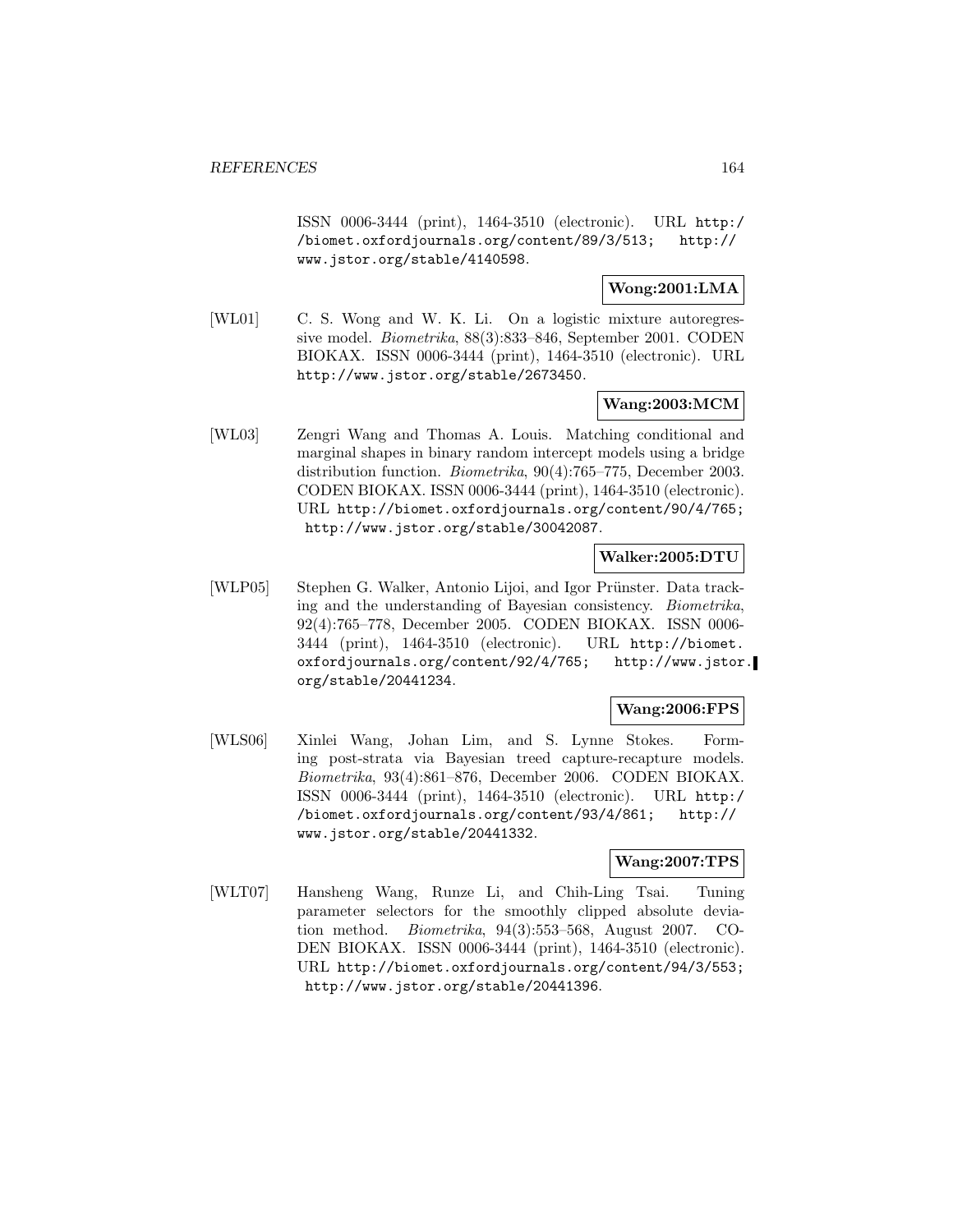ISSN 0006-3444 (print), 1464-3510 (electronic). URL http:/ /biomet.oxfordjournals.org/content/89/3/513; http:// www.jstor.org/stable/4140598.

**Wong:2001:LMA**

[WL01] C. S. Wong and W. K. Li. On a logistic mixture autoregressive model. Biometrika, 88(3):833–846, September 2001. CODEN BIOKAX. ISSN 0006-3444 (print), 1464-3510 (electronic). URL http://www.jstor.org/stable/2673450.

### **Wang:2003:MCM**

[WL03] Zengri Wang and Thomas A. Louis. Matching conditional and marginal shapes in binary random intercept models using a bridge distribution function. Biometrika, 90(4):765–775, December 2003. CODEN BIOKAX. ISSN 0006-3444 (print), 1464-3510 (electronic). URL http://biomet.oxfordjournals.org/content/90/4/765; http://www.jstor.org/stable/30042087.

#### **Walker:2005:DTU**

[WLP05] Stephen G. Walker, Antonio Lijoi, and Igor Prünster. Data tracking and the understanding of Bayesian consistency. Biometrika, 92(4):765–778, December 2005. CODEN BIOKAX. ISSN 0006- 3444 (print), 1464-3510 (electronic). URL http://biomet. oxfordjournals.org/content/92/4/765; http://www.jstor. org/stable/20441234.

### **Wang:2006:FPS**

[WLS06] Xinlei Wang, Johan Lim, and S. Lynne Stokes. Forming post-strata via Bayesian treed capture-recapture models. Biometrika, 93(4):861–876, December 2006. CODEN BIOKAX. ISSN 0006-3444 (print), 1464-3510 (electronic). URL http:/ /biomet.oxfordjournals.org/content/93/4/861; http:// www.jstor.org/stable/20441332.

### **Wang:2007:TPS**

[WLT07] Hansheng Wang, Runze Li, and Chih-Ling Tsai. Tuning parameter selectors for the smoothly clipped absolute deviation method. Biometrika, 94(3):553–568, August 2007. CO-DEN BIOKAX. ISSN 0006-3444 (print), 1464-3510 (electronic). URL http://biomet.oxfordjournals.org/content/94/3/553; http://www.jstor.org/stable/20441396.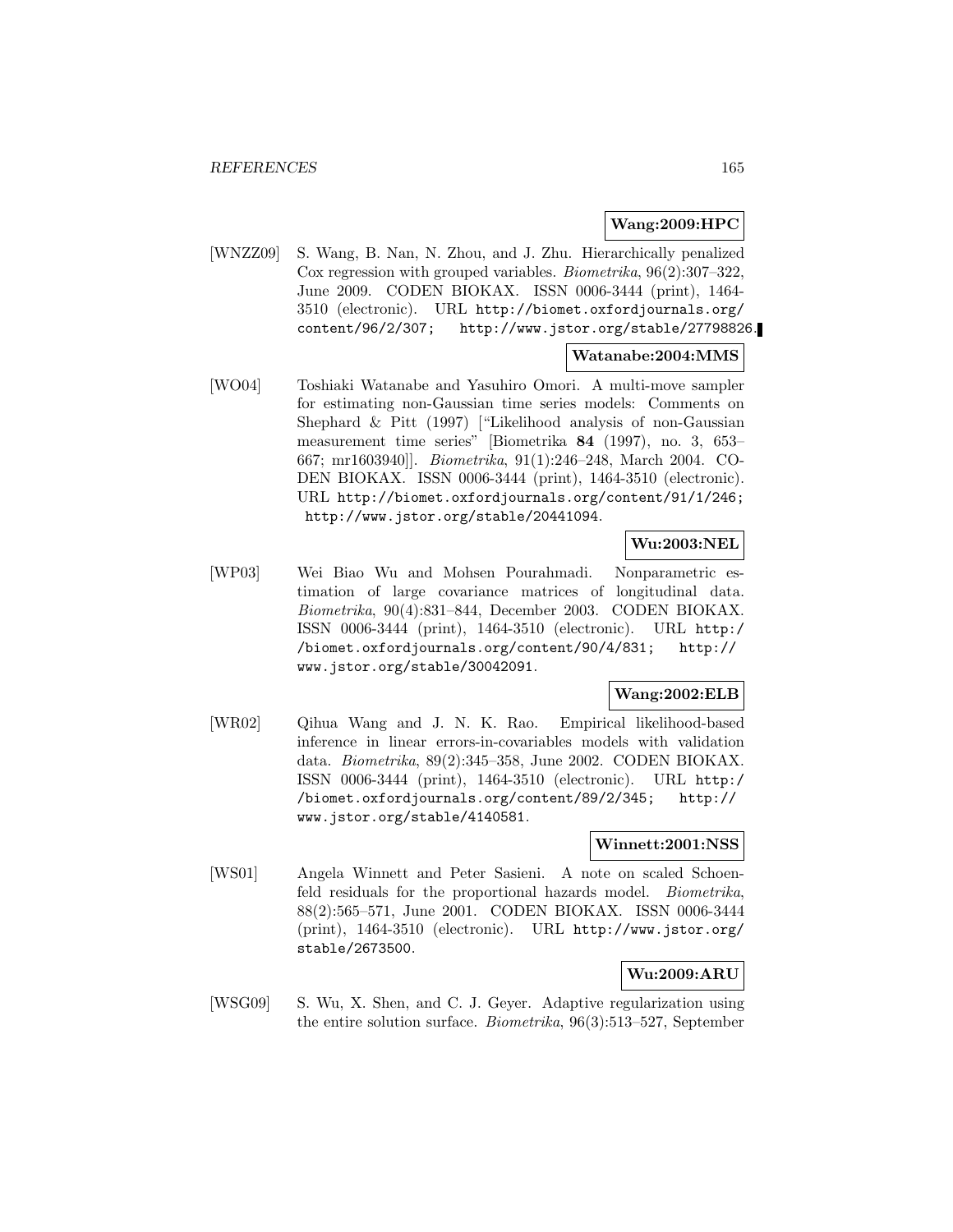### **Wang:2009:HPC**

[WNZZ09] S. Wang, B. Nan, N. Zhou, and J. Zhu. Hierarchically penalized Cox regression with grouped variables. Biometrika, 96(2):307–322, June 2009. CODEN BIOKAX. ISSN 0006-3444 (print), 1464- 3510 (electronic). URL http://biomet.oxfordjournals.org/ content/96/2/307; http://www.jstor.org/stable/27798826.

### **Watanabe:2004:MMS**

[WO04] Toshiaki Watanabe and Yasuhiro Omori. A multi-move sampler for estimating non-Gaussian time series models: Comments on Shephard & Pitt (1997) ["Likelihood analysis of non-Gaussian measurement time series" [Biometrika **84** (1997), no. 3, 653– 667; mr1603940]]. Biometrika, 91(1):246–248, March 2004. CO-DEN BIOKAX. ISSN 0006-3444 (print), 1464-3510 (electronic). URL http://biomet.oxfordjournals.org/content/91/1/246; http://www.jstor.org/stable/20441094.

### **Wu:2003:NEL**

[WP03] Wei Biao Wu and Mohsen Pourahmadi. Nonparametric estimation of large covariance matrices of longitudinal data. Biometrika, 90(4):831–844, December 2003. CODEN BIOKAX. ISSN 0006-3444 (print), 1464-3510 (electronic). URL http:/ /biomet.oxfordjournals.org/content/90/4/831; http:// www.jstor.org/stable/30042091.

### **Wang:2002:ELB**

[WR02] Qihua Wang and J. N. K. Rao. Empirical likelihood-based inference in linear errors-in-covariables models with validation data. Biometrika, 89(2):345–358, June 2002. CODEN BIOKAX. ISSN 0006-3444 (print), 1464-3510 (electronic). URL http:/ /biomet.oxfordjournals.org/content/89/2/345; http:// www.jstor.org/stable/4140581.

### **Winnett:2001:NSS**

[WS01] Angela Winnett and Peter Sasieni. A note on scaled Schoenfeld residuals for the proportional hazards model. Biometrika, 88(2):565–571, June 2001. CODEN BIOKAX. ISSN 0006-3444 (print), 1464-3510 (electronic). URL http://www.jstor.org/ stable/2673500.

## **Wu:2009:ARU**

[WSG09] S. Wu, X. Shen, and C. J. Geyer. Adaptive regularization using the entire solution surface. Biometrika, 96(3):513–527, September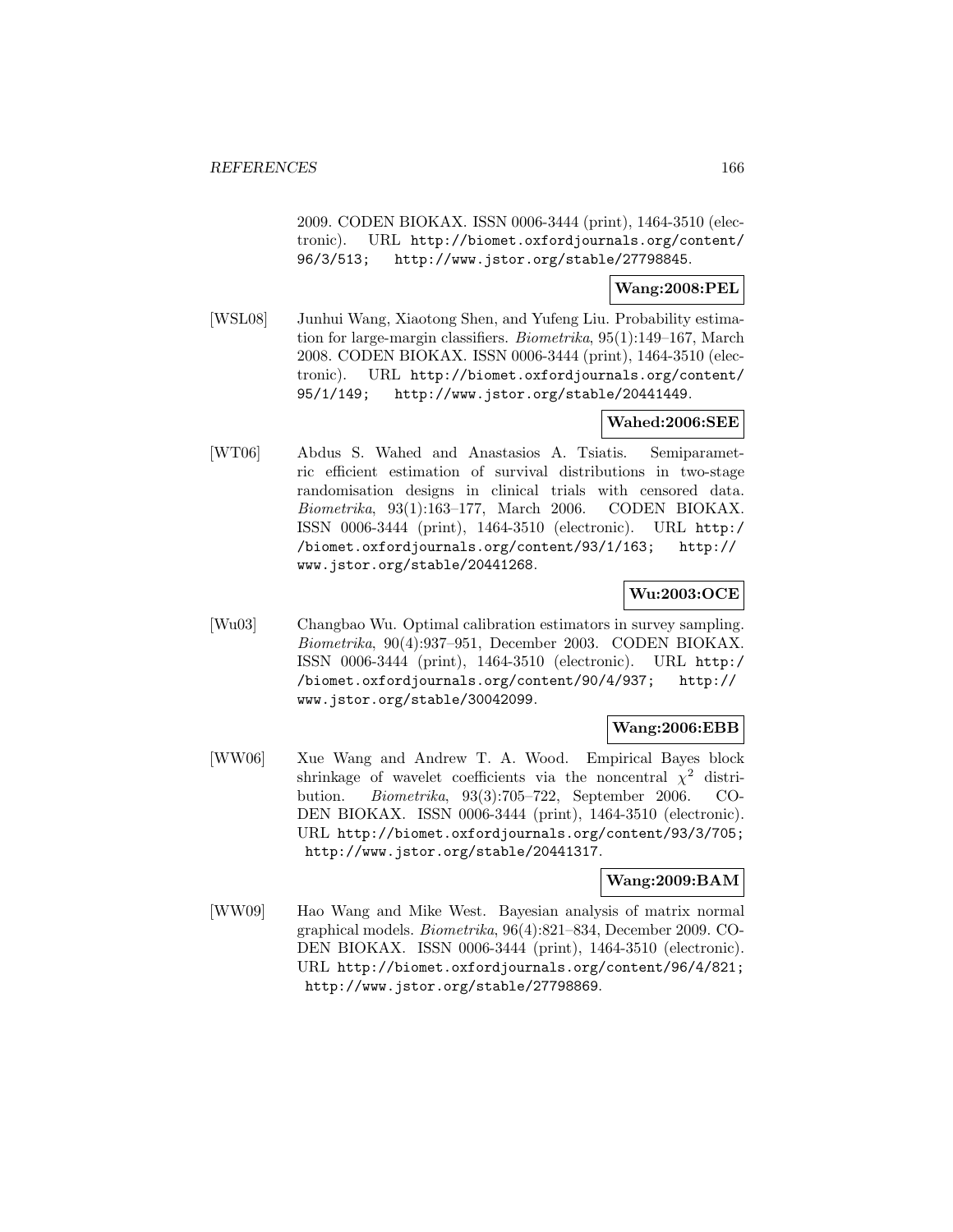2009. CODEN BIOKAX. ISSN 0006-3444 (print), 1464-3510 (electronic). URL http://biomet.oxfordjournals.org/content/ 96/3/513; http://www.jstor.org/stable/27798845.

### **Wang:2008:PEL**

[WSL08] Junhui Wang, Xiaotong Shen, and Yufeng Liu. Probability estimation for large-margin classifiers. Biometrika, 95(1):149–167, March 2008. CODEN BIOKAX. ISSN 0006-3444 (print), 1464-3510 (electronic). URL http://biomet.oxfordjournals.org/content/ 95/1/149; http://www.jstor.org/stable/20441449.

### **Wahed:2006:SEE**

[WT06] Abdus S. Wahed and Anastasios A. Tsiatis. Semiparametric efficient estimation of survival distributions in two-stage randomisation designs in clinical trials with censored data. Biometrika, 93(1):163–177, March 2006. CODEN BIOKAX. ISSN 0006-3444 (print), 1464-3510 (electronic). URL http:/ /biomet.oxfordjournals.org/content/93/1/163; http:// www.jstor.org/stable/20441268.

### **Wu:2003:OCE**

[Wu03] Changbao Wu. Optimal calibration estimators in survey sampling. Biometrika, 90(4):937–951, December 2003. CODEN BIOKAX. ISSN 0006-3444 (print), 1464-3510 (electronic). URL http:/ /biomet.oxfordjournals.org/content/90/4/937; http:// www.jstor.org/stable/30042099.

### **Wang:2006:EBB**

[WW06] Xue Wang and Andrew T. A. Wood. Empirical Bayes block shrinkage of wavelet coefficients via the noncentral  $\chi^2$  distribution. Biometrika, 93(3):705–722, September 2006. CO-DEN BIOKAX. ISSN 0006-3444 (print), 1464-3510 (electronic). URL http://biomet.oxfordjournals.org/content/93/3/705; http://www.jstor.org/stable/20441317.

### **Wang:2009:BAM**

[WW09] Hao Wang and Mike West. Bayesian analysis of matrix normal graphical models. Biometrika, 96(4):821–834, December 2009. CO-DEN BIOKAX. ISSN 0006-3444 (print), 1464-3510 (electronic). URL http://biomet.oxfordjournals.org/content/96/4/821; http://www.jstor.org/stable/27798869.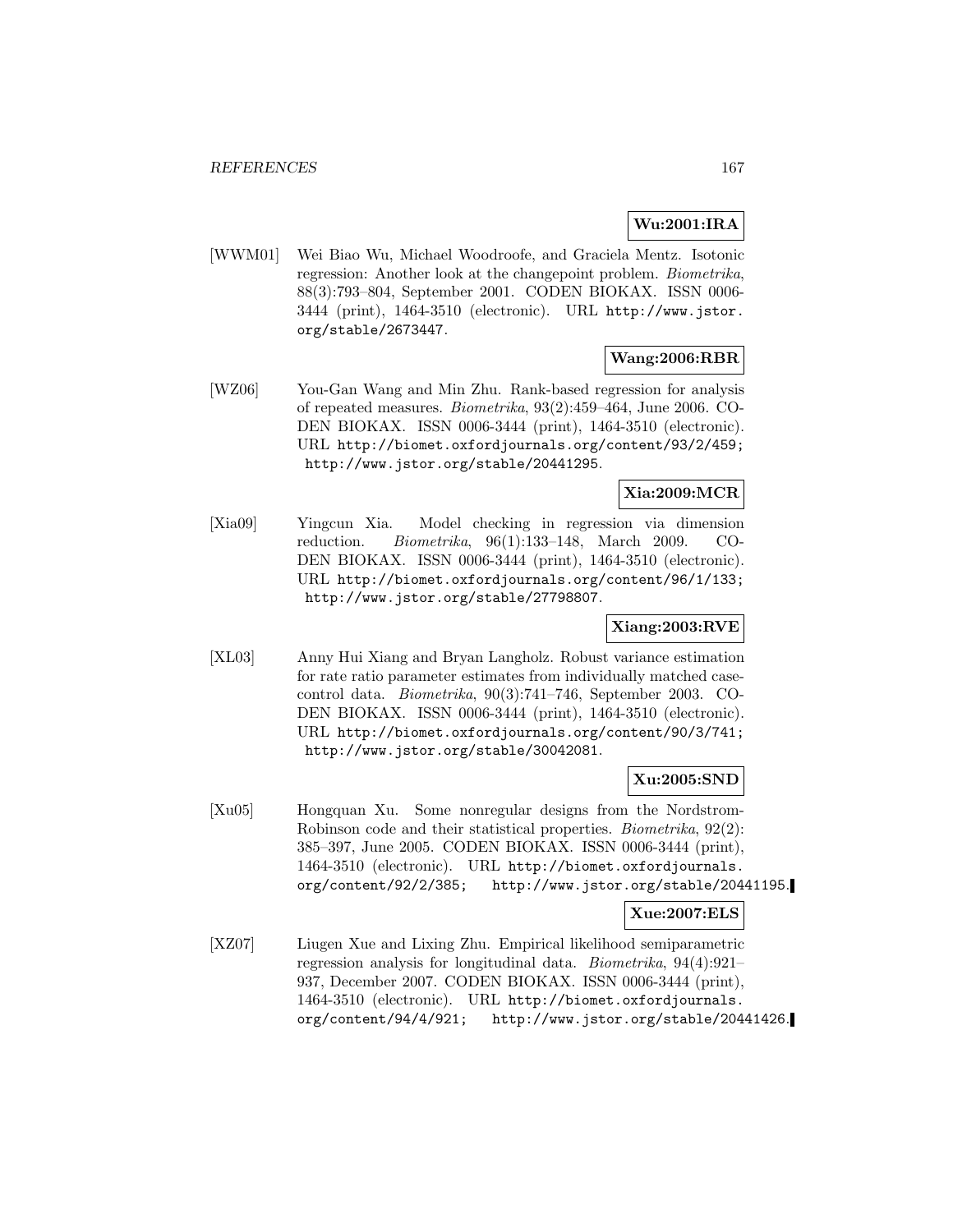# **Wu:2001:IRA**

[WWM01] Wei Biao Wu, Michael Woodroofe, and Graciela Mentz. Isotonic regression: Another look at the changepoint problem. Biometrika, 88(3):793–804, September 2001. CODEN BIOKAX. ISSN 0006- 3444 (print), 1464-3510 (electronic). URL http://www.jstor. org/stable/2673447.

# **Wang:2006:RBR**

[WZ06] You-Gan Wang and Min Zhu. Rank-based regression for analysis of repeated measures. Biometrika, 93(2):459–464, June 2006. CO-DEN BIOKAX. ISSN 0006-3444 (print), 1464-3510 (electronic). URL http://biomet.oxfordjournals.org/content/93/2/459; http://www.jstor.org/stable/20441295.

## **Xia:2009:MCR**

[Xia09] Yingcun Xia. Model checking in regression via dimension reduction. Biometrika, 96(1):133–148, March 2009. CO-DEN BIOKAX. ISSN 0006-3444 (print), 1464-3510 (electronic). URL http://biomet.oxfordjournals.org/content/96/1/133; http://www.jstor.org/stable/27798807.

## **Xiang:2003:RVE**

[XL03] Anny Hui Xiang and Bryan Langholz. Robust variance estimation for rate ratio parameter estimates from individually matched casecontrol data. Biometrika, 90(3):741–746, September 2003. CO-DEN BIOKAX. ISSN 0006-3444 (print), 1464-3510 (electronic). URL http://biomet.oxfordjournals.org/content/90/3/741; http://www.jstor.org/stable/30042081.

### **Xu:2005:SND**

[Xu05] Hongquan Xu. Some nonregular designs from the Nordstrom-Robinson code and their statistical properties. Biometrika, 92(2): 385–397, June 2005. CODEN BIOKAX. ISSN 0006-3444 (print), 1464-3510 (electronic). URL http://biomet.oxfordjournals. org/content/92/2/385; http://www.jstor.org/stable/20441195.

### **Xue:2007:ELS**

[XZ07] Liugen Xue and Lixing Zhu. Empirical likelihood semiparametric regression analysis for longitudinal data. Biometrika, 94(4):921– 937, December 2007. CODEN BIOKAX. ISSN 0006-3444 (print), 1464-3510 (electronic). URL http://biomet.oxfordjournals. org/content/94/4/921; http://www.jstor.org/stable/20441426.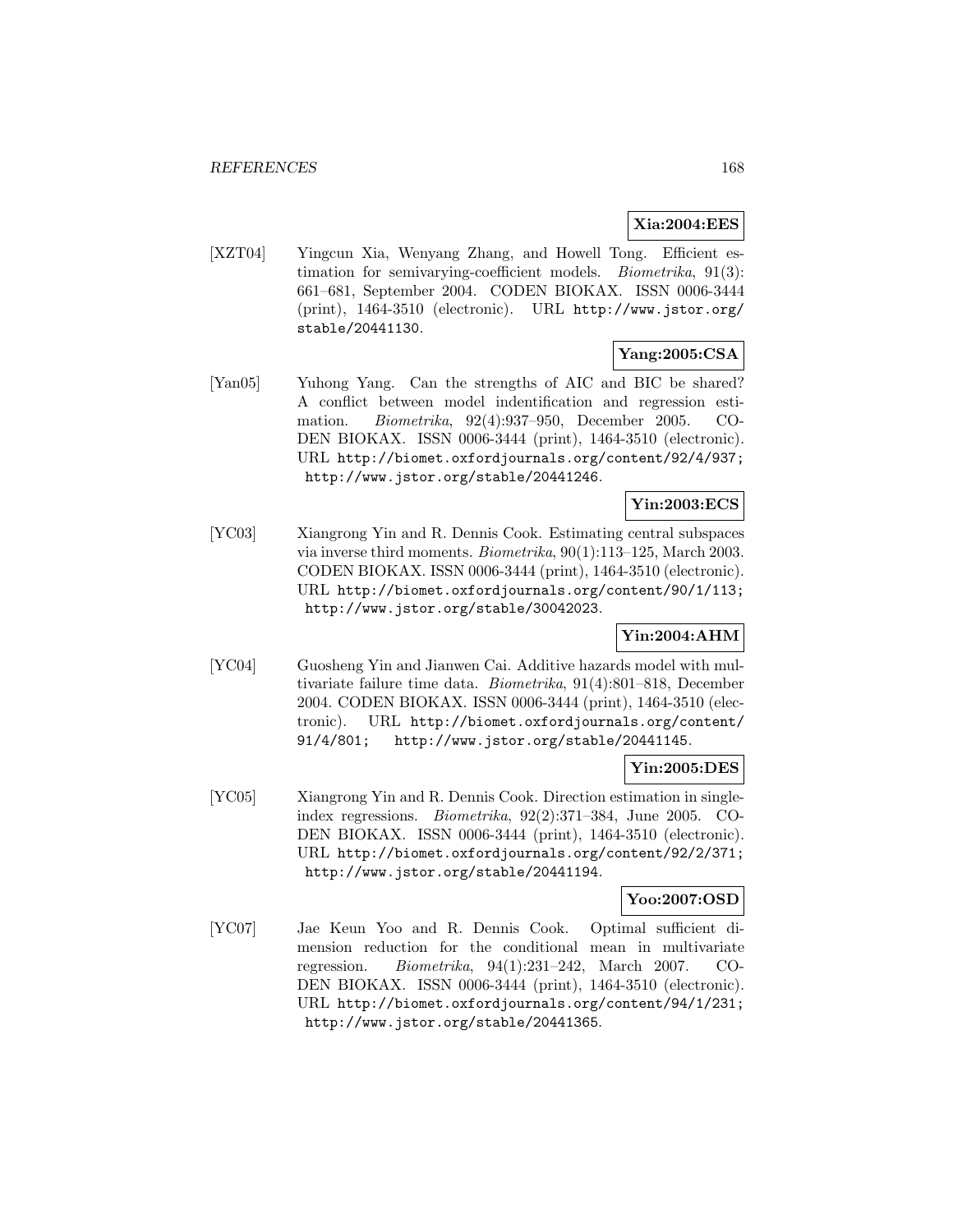## **Xia:2004:EES**

[XZT04] Yingcun Xia, Wenyang Zhang, and Howell Tong. Efficient estimation for semivarying-coefficient models. Biometrika, 91(3): 661–681, September 2004. CODEN BIOKAX. ISSN 0006-3444 (print), 1464-3510 (electronic). URL http://www.jstor.org/ stable/20441130.

# **Yang:2005:CSA**

[Yan05] Yuhong Yang. Can the strengths of AIC and BIC be shared? A conflict between model indentification and regression estimation. Biometrika, 92(4):937–950, December 2005. CO-DEN BIOKAX. ISSN 0006-3444 (print), 1464-3510 (electronic). URL http://biomet.oxfordjournals.org/content/92/4/937; http://www.jstor.org/stable/20441246.

# **Yin:2003:ECS**

[YC03] Xiangrong Yin and R. Dennis Cook. Estimating central subspaces via inverse third moments. Biometrika, 90(1):113–125, March 2003. CODEN BIOKAX. ISSN 0006-3444 (print), 1464-3510 (electronic). URL http://biomet.oxfordjournals.org/content/90/1/113; http://www.jstor.org/stable/30042023.

# **Yin:2004:AHM**

[YC04] Guosheng Yin and Jianwen Cai. Additive hazards model with multivariate failure time data. Biometrika, 91(4):801–818, December 2004. CODEN BIOKAX. ISSN 0006-3444 (print), 1464-3510 (electronic). URL http://biomet.oxfordjournals.org/content/ 91/4/801; http://www.jstor.org/stable/20441145.

# **Yin:2005:DES**

[YC05] Xiangrong Yin and R. Dennis Cook. Direction estimation in singleindex regressions. Biometrika, 92(2):371–384, June 2005. CO-DEN BIOKAX. ISSN 0006-3444 (print), 1464-3510 (electronic). URL http://biomet.oxfordjournals.org/content/92/2/371; http://www.jstor.org/stable/20441194.

### **Yoo:2007:OSD**

[YC07] Jae Keun Yoo and R. Dennis Cook. Optimal sufficient dimension reduction for the conditional mean in multivariate regression. Biometrika, 94(1):231–242, March 2007. CO-DEN BIOKAX. ISSN 0006-3444 (print), 1464-3510 (electronic). URL http://biomet.oxfordjournals.org/content/94/1/231; http://www.jstor.org/stable/20441365.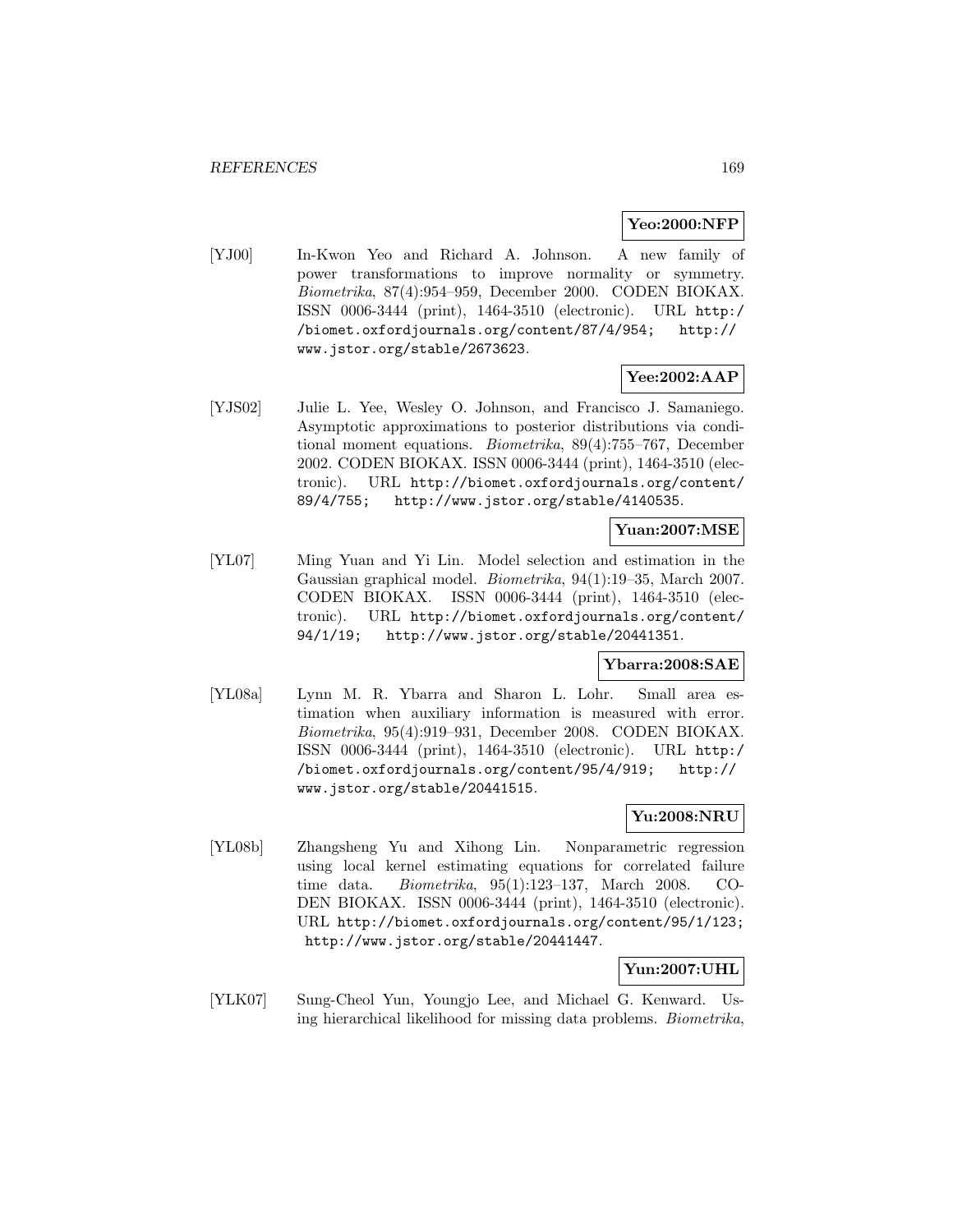### **Yeo:2000:NFP**

[YJ00] In-Kwon Yeo and Richard A. Johnson. A new family of power transformations to improve normality or symmetry. Biometrika, 87(4):954–959, December 2000. CODEN BIOKAX. ISSN 0006-3444 (print), 1464-3510 (electronic). URL http:/ /biomet.oxfordjournals.org/content/87/4/954; http:// www.jstor.org/stable/2673623.

## **Yee:2002:AAP**

[YJS02] Julie L. Yee, Wesley O. Johnson, and Francisco J. Samaniego. Asymptotic approximations to posterior distributions via conditional moment equations. Biometrika, 89(4):755–767, December 2002. CODEN BIOKAX. ISSN 0006-3444 (print), 1464-3510 (electronic). URL http://biomet.oxfordjournals.org/content/ 89/4/755; http://www.jstor.org/stable/4140535.

**Yuan:2007:MSE**

[YL07] Ming Yuan and Yi Lin. Model selection and estimation in the Gaussian graphical model. Biometrika, 94(1):19–35, March 2007. CODEN BIOKAX. ISSN 0006-3444 (print), 1464-3510 (electronic). URL http://biomet.oxfordjournals.org/content/ 94/1/19; http://www.jstor.org/stable/20441351.

### **Ybarra:2008:SAE**

[YL08a] Lynn M. R. Ybarra and Sharon L. Lohr. Small area estimation when auxiliary information is measured with error. Biometrika, 95(4):919–931, December 2008. CODEN BIOKAX. ISSN 0006-3444 (print), 1464-3510 (electronic). URL http:/ /biomet.oxfordjournals.org/content/95/4/919; http:// www.jstor.org/stable/20441515.

## **Yu:2008:NRU**

[YL08b] Zhangsheng Yu and Xihong Lin. Nonparametric regression using local kernel estimating equations for correlated failure time data. Biometrika, 95(1):123–137, March 2008. CO-DEN BIOKAX. ISSN 0006-3444 (print), 1464-3510 (electronic). URL http://biomet.oxfordjournals.org/content/95/1/123; http://www.jstor.org/stable/20441447.

### **Yun:2007:UHL**

[YLK07] Sung-Cheol Yun, Youngjo Lee, and Michael G. Kenward. Using hierarchical likelihood for missing data problems. Biometrika,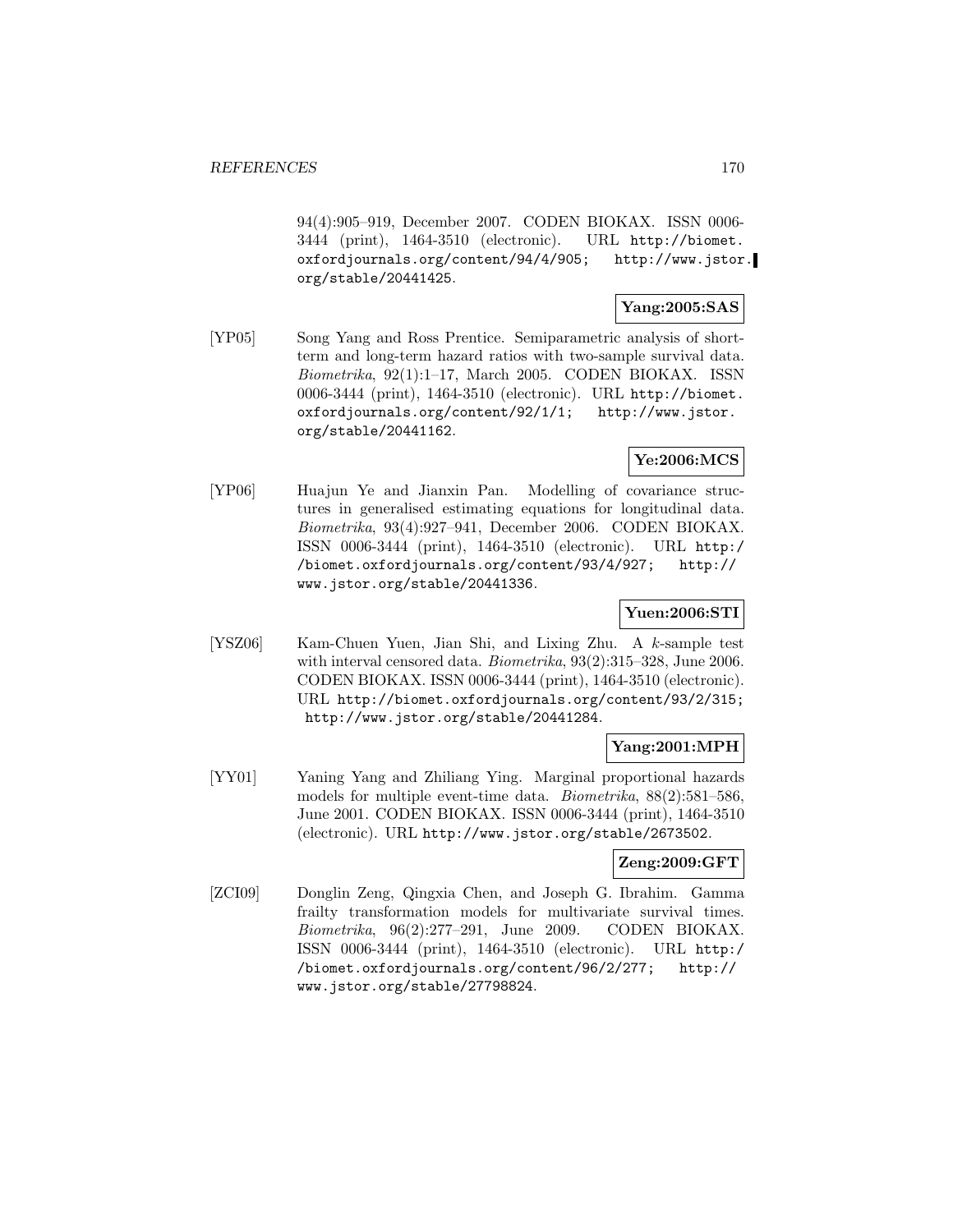94(4):905–919, December 2007. CODEN BIOKAX. ISSN 0006- 3444 (print), 1464-3510 (electronic). URL http://biomet. oxfordjournals.org/content/94/4/905; http://www.jstor. org/stable/20441425.

### **Yang:2005:SAS**

[YP05] Song Yang and Ross Prentice. Semiparametric analysis of shortterm and long-term hazard ratios with two-sample survival data. Biometrika, 92(1):1–17, March 2005. CODEN BIOKAX. ISSN 0006-3444 (print), 1464-3510 (electronic). URL http://biomet. oxfordjournals.org/content/92/1/1; http://www.jstor. org/stable/20441162.

# **Ye:2006:MCS**

[YP06] Huajun Ye and Jianxin Pan. Modelling of covariance structures in generalised estimating equations for longitudinal data. Biometrika, 93(4):927–941, December 2006. CODEN BIOKAX. ISSN 0006-3444 (print), 1464-3510 (electronic). URL http:/ /biomet.oxfordjournals.org/content/93/4/927; http:// www.jstor.org/stable/20441336.

### **Yuen:2006:STI**

[YSZ06] Kam-Chuen Yuen, Jian Shi, and Lixing Zhu. A k-sample test with interval censored data. Biometrika, 93(2):315–328, June 2006. CODEN BIOKAX. ISSN 0006-3444 (print), 1464-3510 (electronic). URL http://biomet.oxfordjournals.org/content/93/2/315; http://www.jstor.org/stable/20441284.

## **Yang:2001:MPH**

[YY01] Yaning Yang and Zhiliang Ying. Marginal proportional hazards models for multiple event-time data. Biometrika, 88(2):581–586, June 2001. CODEN BIOKAX. ISSN 0006-3444 (print), 1464-3510 (electronic). URL http://www.jstor.org/stable/2673502.

### **Zeng:2009:GFT**

[ZCI09] Donglin Zeng, Qingxia Chen, and Joseph G. Ibrahim. Gamma frailty transformation models for multivariate survival times. Biometrika, 96(2):277–291, June 2009. CODEN BIOKAX. ISSN 0006-3444 (print), 1464-3510 (electronic). URL http:/ /biomet.oxfordjournals.org/content/96/2/277; http:// www.jstor.org/stable/27798824.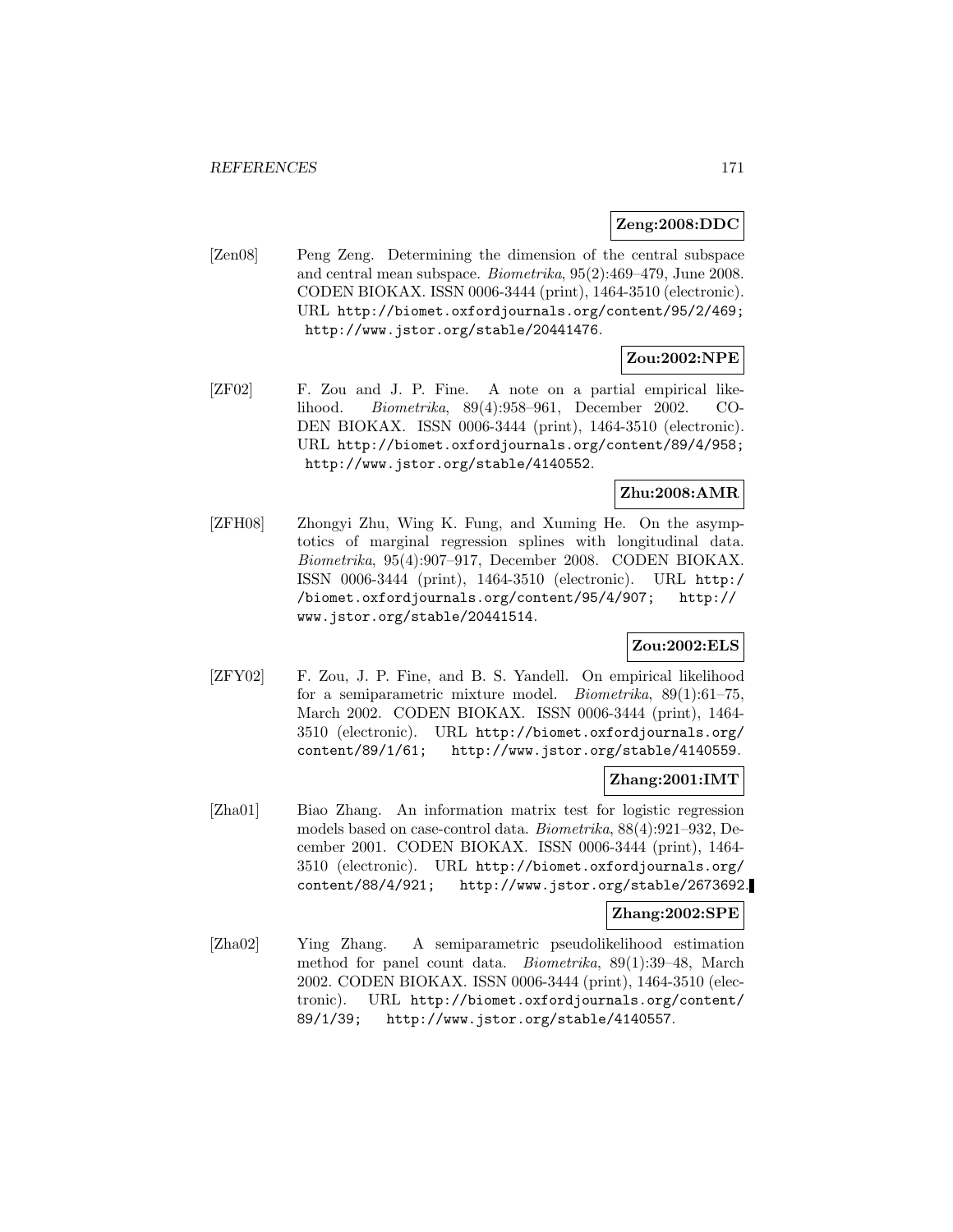#### **Zeng:2008:DDC**

[Zen08] Peng Zeng. Determining the dimension of the central subspace and central mean subspace. Biometrika, 95(2):469–479, June 2008. CODEN BIOKAX. ISSN 0006-3444 (print), 1464-3510 (electronic). URL http://biomet.oxfordjournals.org/content/95/2/469; http://www.jstor.org/stable/20441476.

# **Zou:2002:NPE**

[ZF02] F. Zou and J. P. Fine. A note on a partial empirical likelihood. Biometrika, 89(4):958–961, December 2002. CO-DEN BIOKAX. ISSN 0006-3444 (print), 1464-3510 (electronic). URL http://biomet.oxfordjournals.org/content/89/4/958; http://www.jstor.org/stable/4140552.

### **Zhu:2008:AMR**

[ZFH08] Zhongyi Zhu, Wing K. Fung, and Xuming He. On the asymptotics of marginal regression splines with longitudinal data. Biometrika, 95(4):907–917, December 2008. CODEN BIOKAX. ISSN 0006-3444 (print), 1464-3510 (electronic). URL http:/ /biomet.oxfordjournals.org/content/95/4/907; http:// www.jstor.org/stable/20441514.

# **Zou:2002:ELS**

[ZFY02] F. Zou, J. P. Fine, and B. S. Yandell. On empirical likelihood for a semiparametric mixture model. Biometrika, 89(1):61–75, March 2002. CODEN BIOKAX. ISSN 0006-3444 (print), 1464- 3510 (electronic). URL http://biomet.oxfordjournals.org/ content/89/1/61; http://www.jstor.org/stable/4140559.

### **Zhang:2001:IMT**

[Zha01] Biao Zhang. An information matrix test for logistic regression models based on case-control data. Biometrika, 88(4):921–932, December 2001. CODEN BIOKAX. ISSN 0006-3444 (print), 1464- 3510 (electronic). URL http://biomet.oxfordjournals.org/ content/88/4/921; http://www.jstor.org/stable/2673692.

### **Zhang:2002:SPE**

[Zha02] Ying Zhang. A semiparametric pseudolikelihood estimation method for panel count data. Biometrika, 89(1):39–48, March 2002. CODEN BIOKAX. ISSN 0006-3444 (print), 1464-3510 (electronic). URL http://biomet.oxfordjournals.org/content/ 89/1/39; http://www.jstor.org/stable/4140557.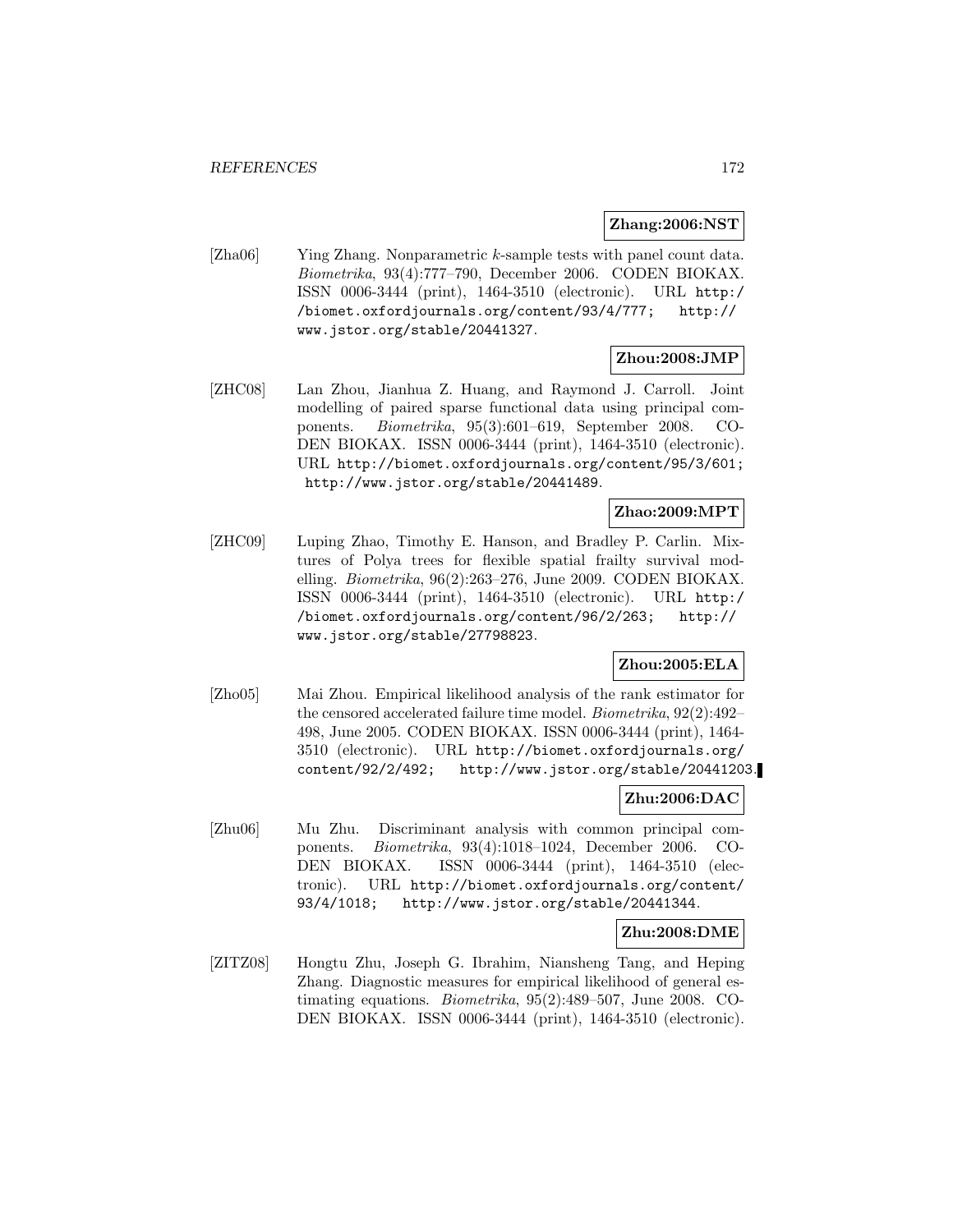#### **Zhang:2006:NST**

[Zha06] Ying Zhang. Nonparametric k-sample tests with panel count data. Biometrika, 93(4):777–790, December 2006. CODEN BIOKAX. ISSN 0006-3444 (print), 1464-3510 (electronic). URL http:/ /biomet.oxfordjournals.org/content/93/4/777; http:// www.jstor.org/stable/20441327.

# **Zhou:2008:JMP**

[ZHC08] Lan Zhou, Jianhua Z. Huang, and Raymond J. Carroll. Joint modelling of paired sparse functional data using principal components. Biometrika, 95(3):601–619, September 2008. CO-DEN BIOKAX. ISSN 0006-3444 (print), 1464-3510 (electronic). URL http://biomet.oxfordjournals.org/content/95/3/601; http://www.jstor.org/stable/20441489.

# **Zhao:2009:MPT**

[ZHC09] Luping Zhao, Timothy E. Hanson, and Bradley P. Carlin. Mixtures of Polya trees for flexible spatial frailty survival modelling. Biometrika, 96(2):263–276, June 2009. CODEN BIOKAX. ISSN 0006-3444 (print), 1464-3510 (electronic). URL http:/ /biomet.oxfordjournals.org/content/96/2/263; http:// www.jstor.org/stable/27798823.

### **Zhou:2005:ELA**

[Zho05] Mai Zhou. Empirical likelihood analysis of the rank estimator for the censored accelerated failure time model. Biometrika, 92(2):492– 498, June 2005. CODEN BIOKAX. ISSN 0006-3444 (print), 1464- 3510 (electronic). URL http://biomet.oxfordjournals.org/ content/92/2/492; http://www.jstor.org/stable/20441203.

### **Zhu:2006:DAC**

[Zhu06] Mu Zhu. Discriminant analysis with common principal components. Biometrika, 93(4):1018–1024, December 2006. CO-DEN BIOKAX. ISSN 0006-3444 (print), 1464-3510 (electronic). URL http://biomet.oxfordjournals.org/content/ 93/4/1018; http://www.jstor.org/stable/20441344.

### **Zhu:2008:DME**

[ZITZ08] Hongtu Zhu, Joseph G. Ibrahim, Niansheng Tang, and Heping Zhang. Diagnostic measures for empirical likelihood of general estimating equations. Biometrika, 95(2):489–507, June 2008. CO-DEN BIOKAX. ISSN 0006-3444 (print), 1464-3510 (electronic).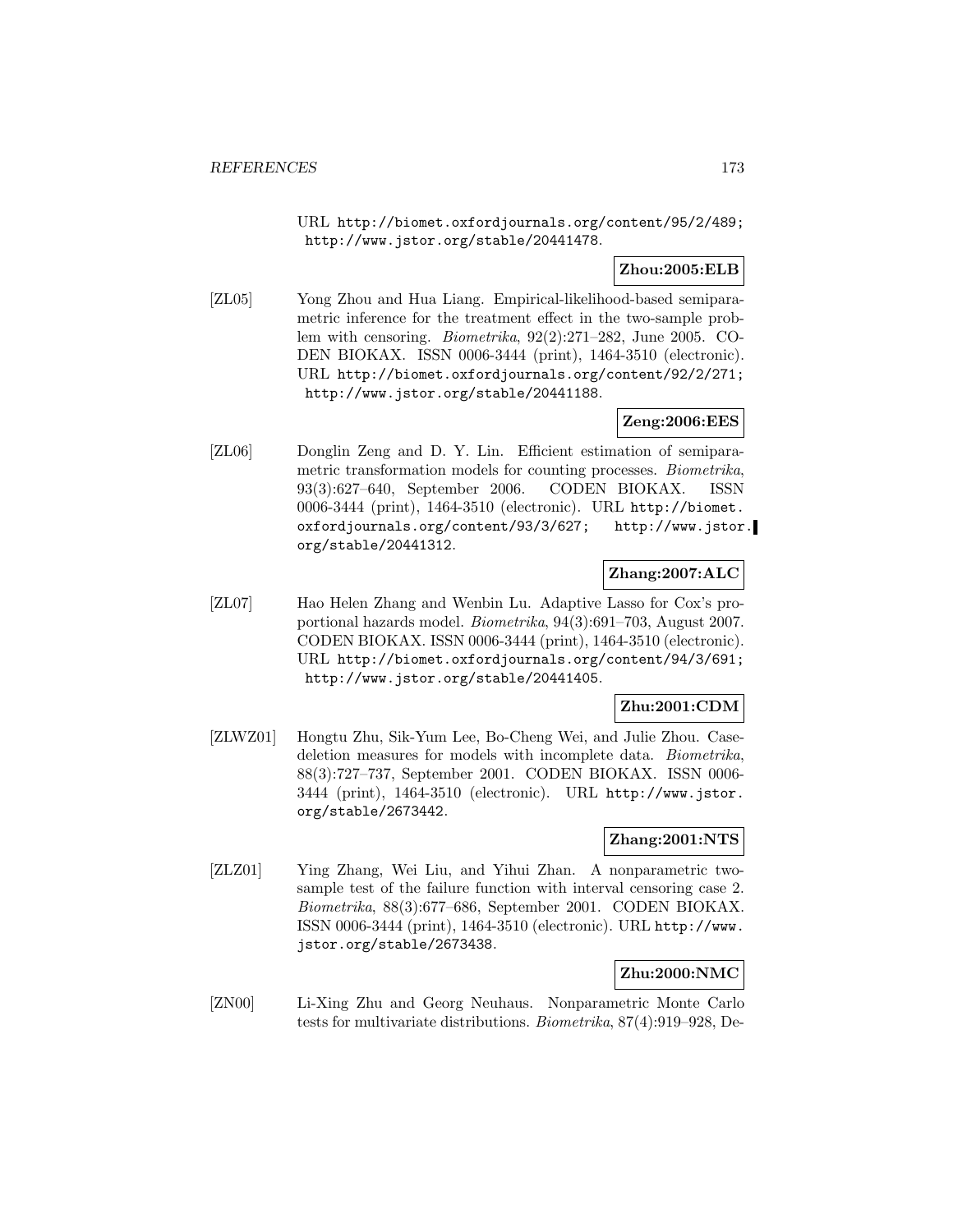URL http://biomet.oxfordjournals.org/content/95/2/489; http://www.jstor.org/stable/20441478.

### **Zhou:2005:ELB**

[ZL05] Yong Zhou and Hua Liang. Empirical-likelihood-based semiparametric inference for the treatment effect in the two-sample problem with censoring. Biometrika, 92(2):271–282, June 2005. CO-DEN BIOKAX. ISSN 0006-3444 (print), 1464-3510 (electronic). URL http://biomet.oxfordjournals.org/content/92/2/271; http://www.jstor.org/stable/20441188.

### **Zeng:2006:EES**

[ZL06] Donglin Zeng and D. Y. Lin. Efficient estimation of semiparametric transformation models for counting processes. Biometrika, 93(3):627–640, September 2006. CODEN BIOKAX. ISSN 0006-3444 (print), 1464-3510 (electronic). URL http://biomet. oxfordjournals.org/content/93/3/627; http://www.jstor. org/stable/20441312.

### **Zhang:2007:ALC**

[ZL07] Hao Helen Zhang and Wenbin Lu. Adaptive Lasso for Cox's proportional hazards model. Biometrika, 94(3):691–703, August 2007. CODEN BIOKAX. ISSN 0006-3444 (print), 1464-3510 (electronic). URL http://biomet.oxfordjournals.org/content/94/3/691; http://www.jstor.org/stable/20441405.

### **Zhu:2001:CDM**

[ZLWZ01] Hongtu Zhu, Sik-Yum Lee, Bo-Cheng Wei, and Julie Zhou. Casedeletion measures for models with incomplete data. Biometrika, 88(3):727–737, September 2001. CODEN BIOKAX. ISSN 0006- 3444 (print), 1464-3510 (electronic). URL http://www.jstor. org/stable/2673442.

### **Zhang:2001:NTS**

[ZLZ01] Ying Zhang, Wei Liu, and Yihui Zhan. A nonparametric twosample test of the failure function with interval censoring case 2. Biometrika, 88(3):677–686, September 2001. CODEN BIOKAX. ISSN 0006-3444 (print), 1464-3510 (electronic). URL http://www. jstor.org/stable/2673438.

### **Zhu:2000:NMC**

[ZN00] Li-Xing Zhu and Georg Neuhaus. Nonparametric Monte Carlo tests for multivariate distributions. Biometrika, 87(4):919–928, De